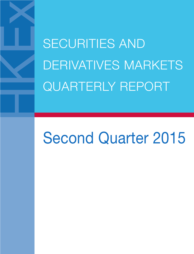SECURITIES AND DERIVATIVES MARKETS QUARTERLY REPORT

# Second Quarter 2015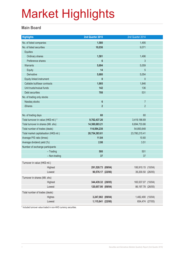#### **Main Board**

| <b>Highlights</b>                       |               | 2nd Quarter 2015   | 2nd Quarter 2014   |  |
|-----------------------------------------|---------------|--------------------|--------------------|--|
| No. of listed companies                 |               | 1,580              | 1,495              |  |
| No. of listed securities                |               | 10,036             | 9,071              |  |
| <b>Equities</b>                         |               |                    |                    |  |
| Ordinary shares                         |               | 1,581              | 1,496              |  |
| Preference shares                       |               | $6\phantom{1}$     | 3                  |  |
| <b>Warrants</b>                         |               | 5,694              | 5,059              |  |
| Equity                                  |               | 14                 | 5                  |  |
| <b>Derivative</b>                       |               | 5,680              | 5,054              |  |
| Equity linked instrument                |               | $\mathbf{0}$       | $\mathbf 0$        |  |
| Callable bull/bear contracts            |               | 1,905              | 1,846              |  |
| Unit trusts/mutual funds                |               | 142                | 136                |  |
| Debt securities                         |               | 708                | 531                |  |
| No. of trading only stocks              |               |                    |                    |  |
| Nasdaq stocks                           |               | $\boldsymbol{6}$   | $\overline{7}$     |  |
| <b>iShares</b>                          |               | $\overline{2}$     | $\overline{2}$     |  |
|                                         |               |                    |                    |  |
| No. of trading days                     |               | 60                 | 60                 |  |
| Total turnover in value (HK\$ mil.) *   |               | 9,762,437.26       | 3,419,186.69       |  |
| Total turnover in shares (Mil. shs)     |               | 14,360,683.21      | 6,694,733.66       |  |
| Total number of trades (deals)          |               | 114,094,238        | 54,893,648         |  |
| Total market capitalisation (HK\$ mil.) |               | 28,754,383.61      | 23,780,215.41      |  |
| Average P/E ratio (times)               |               | 11.84              | 10.60              |  |
| Average dividend yield (%)              |               | 2.98               | 3.51               |  |
| Number of exchange participants         |               |                    |                    |  |
|                                         | $-$ Trading   | 500                | 501                |  |
|                                         | - Non-trading | 37                 | 37                 |  |
| Turnover in value (HK\$ mil.)           |               |                    |                    |  |
|                                         | Highest       | 291,528.73 (09/04) | 106,910.15 (10/04) |  |
|                                         | Lowest        | 90,576.17 (22/06)  | 39,200.50 (26/05)  |  |
| Turnover in shares (Mil. shs)           |               |                    |                    |  |
|                                         | Highest       | 344,439.32 (28/05) | 165,537.07 (10/04) |  |
|                                         | Lowest        | 120,657.90 (09/04) | 86,197.78 (26/05)  |  |
| Total number of trades (deals)          |               |                    |                    |  |
|                                         | Highes        | 3,247,002 (09/04)  | 1,482,490 (10/04)  |  |
|                                         | Lowest        | 1,115,641 (22/06)  | 654,474 (27/05)    |  |
|                                         |               |                    |                    |  |

\* Included turnover value traded in non-HKD currency securities.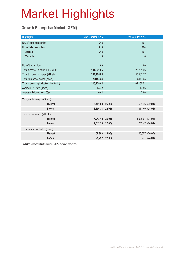### **Growth Enterprise Market (GEM)**

| <b>Highlights</b>                       |         | 2nd Quarter 2015 |                | 2nd Quarter 2014 |                |
|-----------------------------------------|---------|------------------|----------------|------------------|----------------|
| No. of listed companies                 |         | 213              |                | 194              |                |
| No. of listed securities                |         | 213              |                | 194              |                |
| <b>Equities</b>                         |         | 213              |                | 194              |                |
| Warrants                                |         | $\mathbf{0}$     |                | $\mathbf 0$      |                |
|                                         |         |                  |                |                  |                |
| No. of trading days                     |         | 60               |                | 60               |                |
| Total turnover in value (HK\$ mil.) *   |         | 131,631.55       |                | 28,231.96        |                |
| Total turnover in shares (Mil. shs)     |         | 254,155.08       |                | 80,562.77        |                |
| Total number of trades (deals)          |         | 2,815,024        |                | 844,565          |                |
| Total market capitalisation (HK\$ mil.) |         | 326,139.64       | 164, 166.52    |                  |                |
| Average P/E ratio (times)               |         | 84.72            | 10.86          |                  |                |
| Average dividend yield (%)              |         | 0.42             |                | 0.66             |                |
| Turnover in value (HK\$ mil.)           |         |                  |                |                  |                |
|                                         | Highest | 3,481.63 (26/05) |                |                  | 695.46 (02/04) |
|                                         | Lowest  | 1,196.33 (22/06) |                |                  | 311.40 (24/04) |
| Turnover in shares (Mil. shs)           |         |                  |                |                  |                |
|                                         | Highest | 7,243.12 (26/05) |                | 4,008.97 (21/05) |                |
|                                         | Lowest  | 2,012.50 (22/06) |                |                  | 756.47 (24/04) |
| Total number of trades (deals)          |         |                  |                |                  |                |
|                                         | Highest |                  | 68,883 (26/05) |                  | 20,057 (30/05) |
|                                         | Lowest  |                  | 25,252 (22/06) |                  | 9,271 (24/04)  |
|                                         |         |                  |                |                  |                |

\* Included turnover value traded in non-HKD currency securities.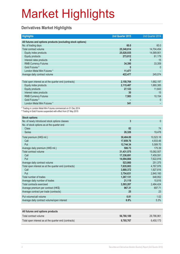### **Derivatives Market Highlights**

| <b>Highlights</b>                                                                                                                   | 2nd Quarter 2015 | 2nd Quarter 2014 |
|-------------------------------------------------------------------------------------------------------------------------------------|------------------|------------------|
| All futures and options products (excluding stock options)                                                                          |                  |                  |
| No. of trading days                                                                                                                 | 60.0             | 60.0             |
| Total contract volume                                                                                                               | 25,348,614       | 14,704,454       |
| Equity index products                                                                                                               | 25,028,935       | 14,589,901       |
| Equity products                                                                                                                     | 273,812          | 81,179           |
| Interest rates products                                                                                                             | $\mathbf{0}$     | 15               |
| <b>RMB Currency Futures</b>                                                                                                         | 34,390           | 33,359           |
| Gold Futures <sup>#</sup>                                                                                                           | 0                | $\overline{0}$   |
| London Metal Mini Futures *                                                                                                         | 11,477           |                  |
| Average daily contract volume                                                                                                       | 422,477          | 245,074          |
|                                                                                                                                     |                  |                  |
| Total open interest as at the quarter end (contracts)                                                                               | 2,150,764        | 1,682,197        |
| Equity index products                                                                                                               | 2,115,487        | 1,660,385        |
| Equity products                                                                                                                     | 27,123           | 11,643           |
| Interest rates products                                                                                                             | 30               | 15               |
| <b>RMB Currency Futures</b>                                                                                                         | 7,583            | 10,154           |
| Gold Futures <sup>#</sup>                                                                                                           |                  | 0                |
| London Metal Mini Futures *                                                                                                         | 541              |                  |
| * Trading in London Metal Mini Futures commenced on 01 Dec 2014<br># Trading in Gold Futures suspended with effect from 27 May 2015 |                  |                  |
| <b>Stock options</b>                                                                                                                |                  |                  |
| No. of newly introduced stock options classes                                                                                       | 3                | $\mathbf{0}$     |
| No. of stock options as at the quarter end                                                                                          |                  |                  |
| <b>Class</b>                                                                                                                        | 82               | 74               |
| Series                                                                                                                              | 26,326           | 19,478           |
| Total premium (HK\$ mil.)                                                                                                           | 30,404.09        | 10,523.18        |
| Call                                                                                                                                | 17,659.76        | 4,933.48         |
| Put                                                                                                                                 | 12,744.34        | 5,589.70         |
| Average daily premium (HK\$ mil.)                                                                                                   | 506.73           | 175.39           |
| Total contract volume                                                                                                               | 31,431,575       | 15,082,507       |
| Call                                                                                                                                | 17,336,691       | 7,459,591        |
| Put                                                                                                                                 | 14,094,884       | 7,622,916        |
| Average daily contract volume                                                                                                       | 523,860          | 251,375          |
| Total open interest as at the quarter end (contracts)                                                                               | 7,635,003        | 4,767,976        |
| Call                                                                                                                                | 3,880,372        | 1,927,816        |
| Put                                                                                                                                 | 3,754,631        | 2,840,160        |
| Total number of trades                                                                                                              | 1,267,131        | 648,952          |
| Average daily number of trades                                                                                                      | 21,119           | 10,816           |
| Total contracts exercised                                                                                                           | 3,593,207        | 2,484,424        |
| Average premium per contract (HK\$)                                                                                                 | 967.31           | 697.71           |
| Average contract per trade (contracts)                                                                                              | 25               | 23               |
| Put volume/call volume                                                                                                              | 0.81             | 1.02             |
| Average daily contract volume/open interest                                                                                         | 6.9%             | 5.3%             |
|                                                                                                                                     |                  |                  |
| All futures and options products                                                                                                    |                  |                  |
| Total contract volume                                                                                                               | 56,780,189       | 29,786,961       |
| Total open interest as at the quarter end (contracts)                                                                               | 9,785,767        | 6,450,173        |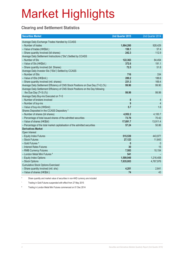### **Clearing and Settlement Statistics**

| <b>Securities Market</b>                                                        | 2nd Quarter 2015 | 2nd Quarter 2014 |
|---------------------------------------------------------------------------------|------------------|------------------|
| Average Daily Exchange Trades Handled by CCASS                                  |                  |                  |
| - Number of trades                                                              | 1,864,260        | 928,429          |
| - Value of trades (HK\$bil.)                                                    | 158.1            | 57.4             |
| - Share quantity Involved (bil shares)                                          | 242.3            | 112.9            |
| Average Daily Settlement Instructions ("SIs") Settled by CCASS                  |                  |                  |
| - Number of SIs                                                                 | 122,363          | 84,454           |
| - Value of SIs (HK\$bil.)                                                       | 372.6            | 191.1            |
| - Share quantity involved (bil. Shares)                                         | 72.5             | 51.8             |
| Average Daily Investor SIs ("ISIs") Settled by CCASS                            |                  |                  |
| - Number of ISIs                                                                | 716              | 334              |
| - Value of ISIs (HK\$mil.)                                                      | 289.2            | 188.6            |
| - Share quantity involved (mil. shares)                                         | 231.3            | 169.4            |
| Average Daily Settlement Efficiency of CNS Stock Positions on Due Day (T+2) (%) | 99.96            | 99.90            |
| Average Daily Settlement Efficiency of CNS Stock Positions on the Day following |                  |                  |
| the Due Day $(T+3)$ (%)                                                         | 99.99            | 99.99            |
| Average Daily Buy-ins Executed on T+3                                           |                  |                  |
| - Number of brokers involved                                                    | 8                | 4                |
| - Number of buy-ins                                                             | 9                | $\overline{4}$   |
| - Value of buy-ins (HK\$mil)                                                    | 5.7              | 1.6              |
| Shares Deposited in the CCASS Depository *                                      |                  |                  |
| - Number of shares (bil shares)                                                 | 4,952.2          | 4,100.7          |
| - Percentage of total issued shares of the admitted securities                  | 73.78            | 70.42            |
| - Value of shares (HK\$bil)                                                     | 17,891.7         | 13,911.4         |
| - Percentage of the total market capitalisation of the admitted securities      | 57.24            | 50.86            |
| <b>Derivatives Market</b>                                                       |                  |                  |
| Open Interest                                                                   |                  |                  |
| - Equity Index Futures                                                          | 515,539          | 443,977          |
| - Stock Futures                                                                 | 27,123           | 11,643           |
| - Gold Futures ^                                                                | $\mathbf{0}$     | $\mathbf{0}$     |
| - Interest Rates Futures                                                        | 30               | 15               |
| - RMB Currency Futures                                                          | 7,583            | 10,154           |
| - London Metal Mini Futures #                                                   | 541              |                  |
| - Equity Index Options                                                          | 1,599,948        | 1,216,408        |
| - Stock Options                                                                 | 7,635,003        | 4,767,976        |
| <b>Cumulative Stock Options Exercised</b>                                       |                  |                  |
| - Share quantity involved (mil. shs)                                            | 4,201            | 2,641            |
| - Value of shares (HK\$bil.)                                                    | 74               | 43               |

\* Share quantity and market value of securities in non-HKD currency are included

^ Trading in Gold Futures suspended with effect from 27 May 2015

# Trading in London Metal Mini Futures commenced on 01 Dec 2014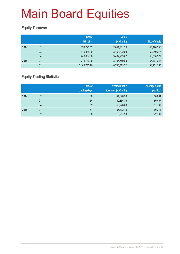### **Equity Turnover**

|      |                | <b>Share</b> | <b>Value</b> |              |
|------|----------------|--------------|--------------|--------------|
|      |                | (Mil. shs)   | (HK\$ mil.)  | No. of deals |
| 2014 | Q <sub>2</sub> | 639,726.12   | 2,641,701.39 | 45,496,255   |
|      | Q <sub>3</sub> | 875,838.39   | 3,158,832.53 | 52,249,276   |
|      | Q4             | 946,664.36   | 3,489,289.62 | 56,518,377   |
| 2015 | Q1             | 774,786.99   | 3,405,759.83 | 56,467,243   |
|      | Q2             | 2,486,785.70 | 6,796,873.72 | 94,261,256   |

### **Equity Trading Statistics**

|      |                | No. of<br>trading days | <b>Average daily</b><br>turnover (HK\$ mil.) | Average value<br>per deal |
|------|----------------|------------------------|----------------------------------------------|---------------------------|
| 2014 | Q2             | 60                     | 44,028.36                                    | 58,064                    |
|      | Q <sub>3</sub> | 64                     | 49,356.76                                    | 60,457                    |
|      | Q4             | 62                     | 56,278.86                                    | 61,737                    |
| 2015 | Q <sub>1</sub> | 61                     | 55,832.13                                    | 60,314                    |
|      | Q <sub>2</sub> | 60                     | 113,281.23                                   | 72,107                    |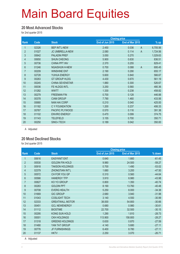#### **20 Most Advanced Stocks**

for 2nd quarter 2015

|                |       |                        | <b>Closing price</b> |                         |          |
|----------------|-------|------------------------|----------------------|-------------------------|----------|
| Rank           | Code  | <b>Stock</b>           | End of Jun 2015      | End of Mar 2015         | % up     |
| 1              | 02326 | <b>BEP INT'L-NEW</b>   | 2.450                | 0.036<br>A              | 6,705.56 |
| $\overline{2}$ | 01027 | <b>JC UMBRELLA-NEW</b> | 2.080                | 0.114<br>A              | 1,724.56 |
| 3              | 00642 | <b>PALADIN PREF</b>    | 3.050                | 0.270                   | 1,029.63 |
| $\overline{4}$ | 00650 | <b>SHUN CHEONG</b>     | 5.900                | 0.630                   | 836.51   |
| 5              | 00736 | <b>CHINA PPT INV</b>   | 2.370                | 0.255                   | 829.41   |
| 6              | 01246 | <b>NGAISHUN H-NEW</b>  | 0.700                | $\overline{A}$<br>0.088 | 695.45   |
| $\overline{7}$ | 00209 | <b>WINSHINE ENT</b>    | 2.190                | 0.290                   | 655.17   |
| $\bf 8$        | 02728 | YUHUA ENERGY           | 5.600                | 0.840                   | 566.67   |
| 9              | 00263 | <b>GT GROUP HLDG</b>   | 4.430                | 0.670                   | 561.19   |
| 10             | 00245 | <b>CHINA SEVENSTAR</b> | 1.880                | 0.300                   | 526.67   |
| 11             | 00036 | FE HLDGS INTL          | 3.250                | 0.560                   | 480.36   |
| 12             | 01282 | <b>WWTT</b>            | 1.330                | 0.238                   | 458.82   |
| 13             | 00279 | <b>FREEMAN FIN</b>     | 0.700                | 0.128                   | 446.88   |
| 14             | 00378 | <b>CIAM GROUP</b>      | 7.790                | 1.460                   | 433.56   |
| 15             | 00680 | <b>NAN HAI CORP</b>    | 0.210                | 0.040                   | 425.00   |
| 16             | 01182 | C Y FOUNDATION         | 1.200                | 0.237                   | 406.33   |
| 17             | 00767 | PACIFIC PLYWOOD        | 0.570                | 0.116                   | 391.38   |
| 18             | 01102 | <b>ENVIRO ENERGY</b>   | 0.470                | 0.099                   | 374.75   |
| 19             | 01143 | <b>TELEFIELD</b>       | 3.155                | 0.700                   | 350.71   |
| 20             | 00250 | <b>SINO-I TECH</b>     | 0.189                | 0.042                   | 350.00   |

A Adjusted

#### **20 Most Declined Stocks**

for 2nd quarter 2015

|                |       | <b>Closing price</b>   |                 |                 |          |
|----------------|-------|------------------------|-----------------|-----------------|----------|
| Rank           | Code  | <b>Stock</b>           | End of Jun 2015 | End of Mar 2015 | % down   |
| $\mathbf{1}$   | 00616 | <b>EASYKNIT ENT</b>    | 0.640           | 1.660           | $-61.45$ |
| $\overline{2}$ | 00530 | <b>GOLDIN FIN HOLD</b> | 9.980           | 24.500          | $-59.27$ |
| 3              | 00918 | <b>TAKSON HOLDINGS</b> | 0.700           | 1.490           | $-53.02$ |
| 4              | 02379 | <b>ZHONGTIAN INT'L</b> | 1.680           | 3.200           | $-47.50$ |
| 5              | 00572 | CH FOR YOU GP          | 0.310           | 0.560           | $-44.64$ |
| $6\phantom{.}$ | 00566 | <b>HANERGY TFP</b>     | 3.910           | 6.980           | $-43.98$ |
| $\overline{7}$ | 00827 | KO YO GROUP            | 0.800           | 1.350           | $-40.74$ |
| $\bf 8$        | 00283 | <b>GOLDIN PPT</b>      | 8.190           | 13.760          | $-40.48$ |
| 9              | 00708 | <b>EVERG HEALTH</b>    | 5.250           | 8.000           | $-34.38$ |
| 10             | 01669 | <b>GIC GROUP</b>       | 2.680           | 3.940           | $-31.98$ |
| 11             | 01043 | <b>COSLIGHT TECH</b>   | 3.140           | 4.550           | $-30.99$ |
| 12             | 02333 | <b>GREATWALL MOTOR</b> | 38.000          | 54.800          | $-30.66$ |
| 13             | 00451 | <b>GCL NEWENERGY</b>   | 0.680           | 0.980           | $-30.61$ |
| 14             | 01112 | <b>BIOSTIME</b>        | 22.700          | 32.500          | $-30.15$ |
| 15             | 00295 | KONG SUN HOLD          | 1.290           | 1.810           | $-28.73$ |
| 16             | 00001 | <b>CKH HOLDINGS</b>    | 113.900         | 158,800         | $-28.27$ |
| 17             | 01318 | <b>GREENS HOLDINGS</b> | 0.630           | 0.870           | $-27.59$ |
| 18             | 01480 | YAN TAT GROUP          | 4.140           | 5.680           | $-27.11$ |
| 19             | 00776 | <b>JF FURNISHINGS</b>  | 6.400           | 8.780           | $-27.11$ |
| 20             | 01137 | <b>HKTV</b>            | 2.250           | 3.070           | $-26.71$ |

A Adjusted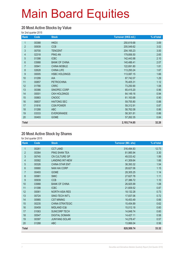#### **20 Most Active Stocks by Value**

for 2nd quarter 2015

| Rank             | Code  | <b>Stock</b>         | Turnover (HK\$ mil.) | % of total |
|------------------|-------|----------------------|----------------------|------------|
| 1                | 00388 | <b>HKEX</b>          | 250,619.68           | 3.69       |
| $\overline{2}$   | 00939 | <b>CCB</b>           | 205,549.62           | 3.02       |
| $\mathfrak{S}$   | 00700 | <b>TENCENT</b>       | 204, 165.23          | 3.00       |
| $\overline{4}$   | 02318 | <b>PING AN</b>       | 179,856.50           | 2.65       |
| 5                | 01398 | <b>ICBC</b>          | 142,443.98           | 2.10       |
| $6\phantom{a}$   | 03988 | <b>BANK OF CHINA</b> | 140,486.41           | 2.07       |
| $\overline{7}$   | 00941 | <b>CHINA MOBILE</b>  | 122,691.80           | 1.81       |
| 8                | 02628 | <b>CHINA LIFE</b>    | 113,293.24           | 1.67       |
| $\boldsymbol{9}$ | 00005 | <b>HSBC HOLDINGS</b> | 113,087.15           | 1.66       |
| 10               | 01299 | <b>AIA</b>           | 87,742.07            | 1.29       |
| 11               | 00857 | <b>PETROCHINA</b>    | 76,405.31            | 1.12       |
| 12               | 01766 | <b>CRRC</b>          | 73,250.90            | 1.08       |
| 13               | 00386 | SINOPEC CORP         | 65,415.20            | 0.96       |
| 14               | 00001 | <b>CKH HOLDINGS</b>  | 64,149.16            | 0.94       |
| 15               | 00883 | <b>CNOOC</b>         | 61,163.68            | 0.90       |
| 16               | 06837 | <b>HAITONG SEC</b>   | 59,755.80            | 0.88       |
| 17               | 01816 | <b>CGN POWER</b>     | 59,312.91            | 0.87       |
| 18               | 01288 | <b>ABC</b>           | 58,762.08            | 0.86       |
| 19               | 03333 | <b>EVERGRANDE</b>    | 58,301.81            | 0.86       |
| 20               | 00493 | <b>GOME</b>          | 57,262.35            | 0.84       |
| <b>Total</b>     |       |                      | 2,193,714.85         | 32.28      |

#### **20 Most Active Stock by Shares**

| Rank           | Code  | <b>Stock</b>            | <b>Turnover (Mil. shs)</b> | % of total |
|----------------|-------|-------------------------|----------------------------|------------|
| 1              | 00261 | <b>CCT LAND</b>         | 316,494.83                 | 12.73      |
| $\overline{2}$ | 00364 | PING SHAN TEA           | 81,985.94                  | 3.30       |
| 3              | 00745 | CN CULTURE GP           | 49,533.42                  | 1.99       |
| 4              | 00582 | <b>LANDING INT-NEW</b>  | 41,309.64                  | 1.66       |
| 5              | 00326 | <b>CHINA STAR ENT</b>   | 38,393.32                  | 1.54       |
| 6              | 00680 | <b>NAN HAI CORP</b>     | 28,627.06                  | 1.15       |
| $\overline{7}$ | 00493 | <b>GOME</b>             | 28,305.25                  | 1.14       |
| 8              | 00981 | <b>SMIC</b>             | 27,627.78                  | 1.11       |
| 9              | 00939 | <b>CCB</b>              | 27,386.72                  | 1.10       |
| 10             | 03988 | <b>BANK OF CHINA</b>    | 26,925.99                  | 1.08       |
| 11             | 01398 | <b>ICBC</b>             | 21,609.52                  | 0.87       |
| 12             | 00061 | <b>NORTH ASIA RES</b>   | 18,132.28                  | 0.73       |
| 13             | 00724 | SINO-TECH INT'L         | 17,837.06                  | 0.72       |
| 14             | 00985 | <b>CST MINING</b>       | 16,453.49                  | 0.66       |
| 15             | 00235 | <b>CHINA STRATEGIC</b>  | 15,454.89                  | 0.62       |
| 16             | 00459 | <b>MIDLAND IC&amp;I</b> | 15,012.18                  | 0.60       |
| 17             | 01063 | <b>SUNCORP TECH</b>     | 14,848.74                  | 0.60       |
| 18             | 00547 | <b>DIGITAL DOMAIN</b>   | 14,427.11                  | 0.58       |
| 19             | 00397 | <b>JUNYANG SOLAR</b>    | 14,278.47                  | 0.57       |
| 20             | 01288 | <b>ABC</b>              | 13,866.04                  | 0.56       |
| <b>Total</b>   |       |                         | 828,509.74                 | 33.32      |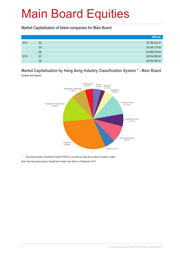#### **Market Capitalisation of listed companies for Main Board**

|      |                | HK\$ mil.     |
|------|----------------|---------------|
| 2014 | Q2             | 23,780,215.41 |
|      | Q3             | 24,248,110.50 |
|      | Q4             | 24,892,419.04 |
| 2015 | Q <sub>1</sub> | 26,534,266.95 |
|      | Q2             | 28,754,383.61 |

#### **Market Capitalisation by Hang Seng Industry Classification System \* - Main Board**  Quarter-end figures



\* Hang Seng Industry Classification System (HSICS) is provided by Hang Seng Indexes Company Limited.

Note: New Hang Seng Industry Classification System took effect on 9 September 2013.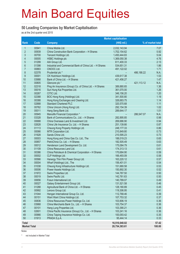#### **50 Leading Companies by Market Capitalisation**

as at the 2nd quarter end 2015

|                     |                |                                                         | <b>Market capitalisation</b> |            |                   |
|---------------------|----------------|---------------------------------------------------------|------------------------------|------------|-------------------|
| <b>Rank</b>         | Code           | <b>Company</b>                                          | (HK\$ mil.)                  |            | % of market total |
| $\mathbf{1}$        | 00941          | China Mobile Ltd.                                       | 2,032,143.94                 |            | 7.07              |
| $\overline{2}$      | 00939          | China Construction Bank Corporation - H Shares          | 1,702,154.62                 |            | 5.92              |
| 3                   | 00700          | Tencent Holdings Ltd.                                   | 1,450,444.83                 |            | 5.04              |
| 4                   | 00005          | <b>HSBC Holdings plc</b>                                | 1,369,050.38                 |            | 4.76              |
| 5                   | 01299          | AIA Group Ltd.                                          | 611,400.33                   |            | 2.13              |
| $6\phantom{a}$      | 01398          | Industrial and Commercial Bank of China Ltd. - H Shares | 534,651.31                   |            | 1.86              |
| $\overline{7}$      | 00883          | CNOOC Ltd.                                              | 491,122.02                   |            | 1.71              |
| 8                   | 02378          | Prudential plc *                                        |                              | 486,188.22 | N.A.              |
| $\overline{9}$      | 00001          | CK Hutchison Holdings Ltd.                              | 439,617.38                   |            | 1.53              |
| 10                  | 03988          | Bank of China Ltd. - H Shares                           | 421,456.27                   |            | 1.47              |
| 11                  | 00805          | Glencore plc *                                          |                              | 421,113.12 | N.A.              |
| 12                  | 02318          | Ping An Insurance (Group) Co. of China Ltd. - H Shares  | 389,880.65                   |            | 1.36              |
| 13                  | 00016          | Sun Hung Kai Properties Ltd.                            | 361,070.00                   |            | 1.26              |
| 14                  | 00267          | CITIC Ltd.                                              | 346,156.20                   |            | 1.20              |
| 15                  | 02388          | BOC Hong Kong (Holdings) Ltd.                           | 341,500.80                   |            | 1.19              |
| 16                  | 00388          | Hong Kong Exchanges and Clearing Ltd.                   | 326,683.75                   |            | 1.14              |
| 17                  | 02888          | <b>Standard Chartered PLC</b>                           | 320,570.68                   |            | 1.11              |
| 18                  | 00762          | China Unicom (Hong Kong) Ltd.                           | 292, 154.39                  |            | 1.02              |
| 19                  | 00011          | Hang Seng Bank Ltd.                                     | 289,644.17                   |            | 1.01              |
| 20                  | 00945          | Manulife Financial Corporation *                        |                              | 286,547.07 | N.A.              |
| 21                  | 03328          | Bank of Communications Co., Ltd. - H Shares             | 282,895.85                   |            | 0.98              |
| 22                  | 00688          | China Overseas Land & Investment Ltd.                   | 269,686.90                   |            | 0.94              |
| 23                  | 02628          | China Life Insurance Co. Ltd. - H Shares                | 251,139.66                   |            | 0.87              |
| 24                  | 01113          | Cheung Kong Property Holdings Ltd.                      | 248, 177.33                  |            | 0.86              |
| 25                  | 00066          | MTR Corporation Ltd.                                    | 210,849.80                   |            | 0.73              |
| 26                  | 01928          | Sands China Ltd.                                        | 210,595.23                   |            | 0.73              |
| 27                  | 00003          | Hong Kong and China Gas Co. Ltd., The                   | 188,019.23                   |            | 0.65              |
| 28                  | 00857          | PetroChina Co. Ltd. - H Shares                          | 182,505.49                   |            | 0.63              |
| 29                  | 00012          | Henderson Land Development Co. Ltd.                     | 175,084.79                   |            | 0.61              |
| 30                  | 01109          | China Resources Land Ltd.                               | 174,313.13                   |            | 0.61              |
| 31                  | 00386          | China Petroleum & Chemical Corporation - H Shares       | 170,684.90                   |            | 0.59              |
| 32                  | 00002          | CLP Holdings Ltd.                                       | 166,493.09                   |            | 0.58              |
| 33                  | 00566          | Hanergy Thin Film Power Group Ltd.                      | 163,220.12                   |            | 0.57              |
| 34<br>35            | 00004          | Wharf (Holdings) Ltd., The                              | 156,401.01                   |            | 0.54              |
| 36                  | 01038<br>00006 | Cheung Kong Infrastructure Holdings Ltd.                | 151,680.58<br>150,892.30     |            | 0.53<br>0.52      |
|                     | 01972          | Power Assets Holdings Ltd.<br>Swire Properties Ltd.     | 144,787.50                   |            | 0.50              |
| 37<br>38            | 00019          | Swire Pacific Ltd.                                      | 142,761.63                   |            | 0.50              |
| 39                  | 00656          | Fosun International Ltd.                                | 140,789.07                   |            | 0.49              |
| 40                  | 00027          | Galaxy Entertainment Group Ltd.                         | 131,521.58                   |            | 0.46              |
| 41                  | 01288          | Agricultural Bank of China Ltd. - H Shares              | 128,180.89                   |            | 0.45              |
| 42                  | 00992          | Lenovo Group Ltd.                                       | 119,306.95                   |            | 0.41              |
| 43                  | 01044          | Hengan International Group Co. Ltd.                     | 112,768.46                   |            | 0.39              |
| 44                  | 00151          | Want Want China Holdings Ltd.                           | 107,753.32                   |            | 0.37              |
| 45                  | 00836          | China Resources Power Holdings Co. Ltd.                 | 103,906.19                   |            | 0.36              |
| 46                  | 03968          | China Merchants Bank Co., Ltd. - H Shares               | 103,754.37                   |            | 0.36              |
| 47                  | 00101          | Hang Lung Properties Ltd.                               | 103,390.21                   |            | 0.36              |
| 48                  | 02601          | China Pacific Insurance (Group) Co., Ltd. - H Shares    | 103,241.16                   |            | 0.36              |
| 49                  | 00966          | China Taiping Insurance Holdings Co. Ltd.               | 100,093.42                   |            | 0.35              |
| 50                  | 01913          | PRADA S.p.A.                                            | 95,444.14                    |            | 0.33              |
|                     |                |                                                         |                              |            |                   |
| Total               |                |                                                         | 16,510,040.02                |            | 57.42             |
| <b>Market Total</b> |                |                                                         | 28,754,383.61                |            | 100.00            |

Notes:

\* not included in Market Total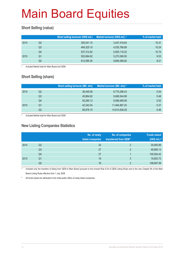### **Short Selling (value)**

|      |    | Short selling turnover (HK\$ mil.) | Market turnover (HK\$ mil.) * | % of market total |
|------|----|------------------------------------|-------------------------------|-------------------|
| 2014 | Q2 | 355,541.15                         | 3,447,418.64                  | 10.31             |
|      | Q3 | 464,325.10                         | 4,535,766.69                  | 10.24             |
|      | Q4 | 537,312.82                         | 5,005,118.22                  | 10.74             |
| 2015 | O1 | 502,684.62                         | 5,272,006.50                  | 9.53              |
|      | Q2 | 812,595.30                         | 9,894,068.82                  | 8.21              |

Included Market total for Main Board and GEM

### **Short Selling (share)**

|      |    | <b>Short selling turnover (Mil. shs)</b> | Market turnover (Mil. shs) * | % of market total |
|------|----|------------------------------------------|------------------------------|-------------------|
| 2014 | Q2 | 36,449.08                                | 6,775,296.43                 | 0.54              |
|      | Q3 | 45,864.62                                | 9,468,544.88                 | 0.48              |
|      | Q4 | 50,290.13                                | 9,599,469.09                 | 0.52              |
| 2015 | O1 | 42.342.54                                | 11,464,887.20                | 0.37              |
|      | Q2 | 66,878.15                                | 14,614,838.29                | 0.46              |

Included Market total for Main Board and GEM

#### **New Listing Companies Statistics**

|      |                | No. of newly<br>listed companies | No. of companies<br>transferred from GEM* | <b>Funds raised</b><br>(HK\$ mil.) # |
|------|----------------|----------------------------------|-------------------------------------------|--------------------------------------|
| 2014 | Q <sub>2</sub> | 24                               | $\mathcal{D}$                             | 35,955.89                            |
|      | Q <sub>3</sub> | 27                               | $\mathcal{D}$                             | 48,806.13                            |
|      | Q4             | 27                               |                                           | 100,054.42                           |
| 2015 | Q1             | 16                               | 3                                         | 19,653.73                            |
|      | Q2             | 16                               | C                                         | 108,697.59                           |

Included only the transfers of listing from GEM to Main Board pursuant to the revised Rule 9.24 of GEM Listing Rules and to the new Chapter 9A of the Main Board Listing Rules effective from 1 July 2008

All funds raised are attributed to the initial public offers of newly listed companies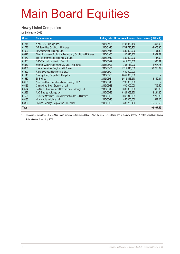#### **Newly Listed Companies**

for 2nd quarter 2015

| Code         | <b>Company name</b>                                        |            |               | Listing date No. of issued shares Funds raised (HK\$ mil.) |
|--------------|------------------------------------------------------------|------------|---------------|------------------------------------------------------------|
|              |                                                            |            |               |                                                            |
| 01245        | Niraku GC Holdings, Inc.                                   | 2015/04/08 | 1,195,850,460 | 354.00                                                     |
| 01776        | GF Securities Co., Ltd. - H Shares                         | 2015/04/10 | 1,701,796,200 | 32,078.86                                                  |
| 01500        | In Construction Holdings Ltd.                              | 2015/04/16 | 830,000,000   | 151.80                                                     |
| 06826        | Shanghai Haohai Biological Technology Co., Ltd. - H Shares | 2015/04/30 | 40.045.300    | 2,362.67                                                   |
| 01470        | Tic Tac International Holdings Co. Ltd.                    | 2015/05/12 | 800.000.000   | 136.00                                                     |
| 01301        | D&G Technology Holding Co. Ltd.                            | 2015/05/27 | 619,258,000   | 385.91                                                     |
| 06839        | Yunnan Water Investment Co., Ltd. - H Shares               | 2015/05/27 | 363,713,900   | 1,917.76                                                   |
| 06886        | Huatai Securities Co., Ltd. - H Shares                     | 2015/06/01 | 1.719.045.680 | 38,756.67                                                  |
| 01520        | Runway Global Holdings Co. Ltd. *                          | 2015/06/01 | 600,000,000   |                                                            |
| 01113        | Cheung Kong Property Holdings Ltd.                         | 2015/06/03 | 3,859,678,500 |                                                            |
| 01530        | 3SBio Inc.                                                 | 2015/06/11 | 2,515,313,570 | 6,342.84                                                   |
| 06108        | New Ray Medicine International Holding Ltd. *              | 2015/06/16 | 1,205,000,000 |                                                            |
| 06183        | China Greenfresh Group Co., Ltd.                           | 2015/06/18 | 500,000,000   | 706.50                                                     |
| 00574        | Pa Shun Pharmaceutical International Holdings Ltd.         | 2015/06/19 | 1.000.000.000 | 305.00                                                     |
| 02686        | AAG Energy Holdings Ltd.                                   | 2015/06/23 | 3,324,368,920 | 2,284.20                                                   |
| 01528        | Red Star Macalline Group Corporation Ltd. - H Shares       | 2015/06/26 | 1,062,813,069 | 7,218.85                                                   |
| 06133        | Vital Mobile Holdings Ltd.                                 | 2015/06/26 | 850,000,000   | 527.00                                                     |
| 03396        | Legend Holdings Corporation - H Shares                     | 2015/06/29 | 388,238,400   | 15,169.53                                                  |
| <b>Total</b> |                                                            |            |               | 108,697.59                                                 |

\* Transfers of listing from GEM to Main Board pursuant to the revised Rule 9.24 of the GEM Listing Rules and to the new Chapter 9A of the Main Board Listing Rules effective from 1 July 2008.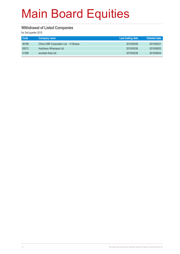#### **Withdrawal of Listed Companies**

| Code  | Company name                          | Last trading date | <b>Delisted date</b> |
|-------|---------------------------------------|-------------------|----------------------|
| 06199 | China CNR Corporation Ltd. - H Shares | 2015/05/06        | 2015/05/21           |
| 00013 | Hutchison Whampoa Ltd.                | 2015/05/26        | 2015/06/03           |
| 01390 | econtext Asia Ltd.                    | 2015/05/26        | 2015/06/04           |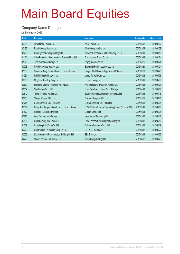#### **Company Name Changes**

| Code  | Old name                                              | New name                                                    | <b>Effective date</b> | <b>Adoption date</b> |
|-------|-------------------------------------------------------|-------------------------------------------------------------|-----------------------|----------------------|
| 03313 | ArtGo Mining Holdings Ltd.                            | ArtGo Holdings Ltd.                                         | 2015/03/02            | 2015/04/02           |
| 00183 | Richfield Group Holdings Ltd.                         | Winfull Group Holdings Ltd.                                 | 2015/03/04            | 2015/04/09           |
| 00209 | China Tycoon Beverage Holdings Ltd.                   | Winshine Entertainment & Media Holding Co. Ltd.             | 2015/03/11            | 2015/04/16           |
| 01101 | China Rongsheng Heavy Industries Group Holdings Ltd.  | China Huarong Energy Co. Ltd.                               | 2015/03/18            | 2015/04/24           |
| 01329 | Juda International Holdings Ltd.                      | Beijing Capital Juda Ltd.                                   | 2015/03/26            | 2015/04/24           |
| 00708 | New Media Group Holdings Ltd.                         | Evergrande Health Industry Group Ltd.                       | 2015/04/20            | 2015/04/24           |
| 01033 | Sinopec Yizheng Chemical Fibre Co. Ltd. - H Shares    | Sinopec Oilfield Service Corporation - H Shares             | 2015/03/20            | 2015/04/28           |
| 01281 | Kai Shi China Holdings Co. Ltd.                       | Long Ji Tai He Holding Ltd.                                 | 2015/04/02            | 2015/05/06           |
| 00860 | Ming Fung Jewellery Group Ltd.                        | O Luxe Holdings Ltd.                                        | 2015/03/11            | 2015/05/06           |
| 00521 | Shougang Concord Technology Holdings Ltd.             | HNA International Investment Holdings Ltd.                  | 2015/04/23            | 2015/05/07           |
| 00039 | Sino Distillery Group Ltd.                            | China Beidahuang Industry Group Holdings Ltd.               | 2015/04/13            | 2015/05/14           |
| 00812 | Tanrich Financial Holdings Ltd.                       | Southwest Securities International Securities Ltd.          | 2015/04/14            | 2015/05/15           |
| 00218 | Shenyin Wanguo (H.K.) Ltd.                            | Shenwan Hongyuan (H.K.) Ltd.                                | 2015/05/21            | 2015/06/01           |
| 01766 | CSR Corporation Ltd. - H Shares                       | CRRC Corporation Ltd. - H Shares                            | 2015/06/01            | 2015/06/08           |
| 00317 | Guangzhou Shipyard International Co. Ltd. - H Shares  | CSSC Offshore & Marine Engineering (Group) Co. Ltd. - H Shs | 2015/05/11            | 2015/06/08           |
| 01822 | Perception Digital Holdings Ltd.                      | E-Rental Car Co. Ltd.                                       | 2015/05/04            | 2015/06/08           |
| 00876 | Wing Tai Investment Holdings Ltd.                     | Mega Medical Technology Ltd.                                | 2015/05/22            | 2015/06/12           |
| 03836 | China Harmony Auto Holding Ltd.                       | China Harmony New Energy Auto Holding Ltd.                  | 2015/05/12            | 2015/06/16           |
| 01039 | Changfeng Axle (China) Co. Ltd.                       | Fortunet e-Commerce Group Ltd.                              | 2015/05/28            | 2015/06/19           |
| 00263 | China Yunnan Tin Minerals Group Co. Ltd.              | GT Group Holdings Ltd.                                      | 2015/06/12            | 2015/06/22           |
| 02005 | Lijun International Pharmaceutical (Holding) Co. Ltd. | SSY Group Ltd.                                              | 2015/05/19            | 2015/06/22           |
| 02728 | Shinhint Acoustic Link Holdings Ltd.                  | Yuhua Energy Holdings Ltd.                                  | 2015/06/02            | 2015/06/29           |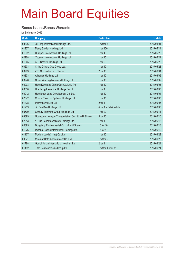#### **Bonus Issues/Bonus Warrants**

| Code  | <b>Company</b>                                      | <b>Particulars</b>    | Ex-date    |
|-------|-----------------------------------------------------|-----------------------|------------|
| 03336 | Ju Teng International Holdings Ltd.                 | 1 wt for 8            | 2015/04/01 |
| 01237 | Merry Garden Holdings Ltd.                          | 1 for 100             | 2015/05/14 |
| 01332 | Qualipak International Holdings Ltd.                | 1 for $4$             | 2015/05/20 |
| 02268 | Youyuan International Holdings Ltd.                 | 1 for 10              | 2015/05/21 |
| 01045 | APT Satellite Holdings Ltd.                         | 1 for 2               | 2015/05/28 |
| 00603 | China Oil And Gas Group Ltd.                        | 1 for 10              | 2015/05/28 |
| 00763 | ZTE Corporation - H Shares                          | 2 for 10              | 2015/06/01 |
| 00833 | Alltronics Holdings Ltd.                            | 1 for 10              | 2015/06/02 |
| 03778 | China Weaving Materials Holdings Ltd.               | 1 for 10              | 2015/06/02 |
| 00003 | Hong Kong and China Gas Co. Ltd., The               | 1 for 10              | 2015/06/03 |
| 06830 | Huazhong In-Vehicle Holdings Co. Ltd.               | 1 for $1$             | 2015/06/03 |
| 00012 | Henderson Land Development Co. Ltd.                 | 1 for 10              | 2015/06/04 |
| 02342 | Comba Telecom Systems Holdings Ltd.                 | 1 for 10              | 2015/06/05 |
| 01328 | International Elite Ltd.                            | $2$ for 1             | 2015/06/05 |
| 01239 | Jin Bao Bao Holdings Ltd.                           | 4 for 1 subdivided sh | 2015/06/05 |
| 00509 | Century Sunshine Group Holdings Ltd.                | 1 for 20              | 2015/06/11 |
| 03399 | Guangdong Yueyun Transportation Co. Ltd. - H Shares | 5 for 10              | 2015/06/15 |
| 02213 | Yi Hua Department Store Holdings Ltd.               | 1 for $4$             | 2015/06/16 |
| 00895 | Dongjiang Environmental Co. Ltd. - H Shares         | 15 for 10             | 2015/06/18 |
| 01076 | Imperial Pacific International Holdings Ltd.        | 15 for 1              | 2015/06/19 |
| 01107 | Modern Land (China) Co., Ltd.                       | 1 for 10              | 2015/06/22 |
| 00071 | Miramar Hotel & Investment Co. Ltd.                 | 1 wt for 5            | 2015/06/23 |
| 01788 | Guotai Junan International Holdings Ltd.            | $2$ for 1             | 2015/06/24 |
| 01192 | Titan Petrochemicals Group Ltd.                     | 1 wt for 1 offer sh   | 2015/06/24 |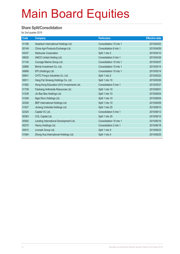#### **Share Split/Consolidation**

| Code  | Company                                      | <b>Particulars</b>      | <b>Effective date</b> |
|-------|----------------------------------------------|-------------------------|-----------------------|
| 01166 | Solartech International Holdings Ltd.        | Consolidation 10 into 1 | 2015/04/02            |
| 00149 | China Agri-Products Exchange Ltd.            | Consolidation 8 into 1  | 2015/04/09            |
| 04337 | <b>Starbucks Corporation</b>                 | Split 1 into 2          | 2015/04/10            |
| 00630 | AMCO United Holding Ltd.                     | Consolidation 5 into 1  | 2015/04/28            |
| 01145 | Courage Marine Group Ltd.                    | Consolidation 10 into 1 | 2015/05/07            |
| 02886 | Binhai Investment Co. Ltd.                   | Consolidation 10 into 1 | 2015/05/14            |
| 00689 | EPI (Holdings) Ltd.                          | Consolidation 10 into 1 | 2015/05/14            |
| 00641 | CHTC Fong's Industries Co. Ltd.              | Split 1 into 2          | 2015/05/22            |
| 00911 | Hang Fat Ginseng Holdings Co. Ltd.           | Split 1 into 10         | 2015/05/26            |
| 01082 | Hong Kong Education (Int'l) Investments Ltd. | Consolidation 5 into 1  | 2015/05/27            |
| 01738 | Feishang Anthracite Resources Ltd.           | Split 1 into 10         | 2015/06/01            |
| 01239 | Jin Bao Bao Holdings Ltd.                    | Split 1 into 10         | 2015/06/04            |
| 01246 | Ngai Shun Holdings Ltd.                      | Split 1 into 10         | 2015/06/04            |
| 02326 | BEP International Holdings Ltd.              | Split 1 into 10         | 2015/06/09            |
| 01027 | Jicheng Umbrella Holdings Ltd.               | Split 1 into 25         | 2015/06/10            |
| 02324 | Capital VC Ltd.                              | Consolidation 5 into 1  | 2015/06/12            |
| 00383 | COL Capital Ltd.                             | Split 1 into 20         | 2015/06/15            |
| 00582 | Landing International Development Ltd.       | Consolidation 10 into 1 | 2015/06/16            |
| 00275 | Hanny Holdings Ltd.                          | Consolidation 2 into 1  | 2015/06/18            |
| 00915 | Linmark Group Ltd.                           | Split 1 into 5          | 2015/06/23            |
| 01064 | Zhong Hua International Holdings Ltd.        | Split 1 into 4          | 2015/06/25            |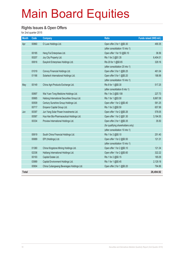#### **Rights Issues & Open Offers**

| <b>Month</b> | Code  | <b>Company</b>                              | <b>Ratio</b>                       | Funds raised (HK\$ mil.) |
|--------------|-------|---------------------------------------------|------------------------------------|--------------------------|
| Apr          | 00860 | O Luxe Holdings Ltd.                        | Open offer 2 for 1 @\$0.30         | 490.35                   |
|              |       |                                             | (after consolidation 10 into 1)    |                          |
|              | 00185 | Heng Fai Enterprises Ltd.                   | Open offer 1 for 10 @\$0.10        | 36.56                    |
|              | 00207 | Joy City Property Ltd.                      | Rts 1 for 2 @\$1.35                | 6,404.01                 |
|              | 00616 | Easyknit Enterprises Holdings Ltd.          | Rts 20 for 1 @\$0.65               | 329.16                   |
|              |       |                                             | (after consolidation 20 into 1)    |                          |
|              | 01019 | Convoy Financial Holdings Ltd.              | Open offer 3 for 1 @\$0.25         | 461.04                   |
|              | 01166 | Solartech International Holdings Ltd.       | Open offer 5 for 1 @\$0.20         | 188.99                   |
|              |       |                                             | (after consolidation 10 into 1)    |                          |
| May          | 00149 | China Agri-Products Exchange Ltd.           | Rts 8 for 1 @\$0.30                | 517.25                   |
|              |       |                                             | (after consolidation 8 into 1)     |                          |
|              | 00897 | Wai Yuen Tong Medicine Holdings Ltd.        | Rts 1 for 2 @\$0.108               | 227.73                   |
|              | 00665 | Haitong International Securities Group Ltd. | Rts 1 for 1 @\$3.50                | 8,867.09                 |
|              | 00509 | Century Sunshine Group Holdings Ltd.        | Open offer 1 for 2 @\$0.40         | 581.25                   |
|              | 00717 | Emperor Capital Group Ltd.                  | Rts 1 for 2 @\$0.50                | 657.99                   |
| Jun          | 00397 | Jun Yang Solar Power Investments Ltd.       | Open offer 1 for 2 @\$0.26         | 578.05                   |
|              | 00587 | Hua Han Bio-Pharmaceutical Holdings Ltd.    | Open offer 1 for 2 @\$1.30         | 3,194.55                 |
|              | 00334 | Proview International Holdings Ltd.         | Open offer 2 for 1 @\$0.35         | 35.50                    |
|              |       |                                             | (for qualifying shareholders only) |                          |
|              |       |                                             | (after consolidation 10 into 1)    |                          |
|              | 00619 | South China Financial Holdings Ltd.         | Rts 1 for 2 @\$0.10                | 251.40                   |
|              | 00689 | EPI (Holdings) Ltd.                         | Open offer 1 for 2 @\$0.50         | 121.31                   |
|              |       |                                             | (after consolidation 10 into 1)    |                          |
|              | 01380 | China Kingstone Mining Holdings Ltd.        | Open offer 1 for 2 @\$0.10         | 121.34                   |
|              | 02336 | Hailiang International Holdings Ltd.        | Open offer 1 for 2 @\$0.60         | 322.22                   |
|              | 00193 | Capital Estate Ltd.                         | Rts 1 for 2 @\$0.15                | 185.09                   |
|              | 03989 | Capital Environment Holdings Ltd.           | Rts 1 for 1 @\$0.45                | 2,129.18                 |
|              | 00904 | China Culiangwang Beverages Holdings Ltd.   | Open offer 2 for 1 @\$0.20         | 794.86                   |
| <b>Total</b> |       |                                             |                                    | 26,494.92                |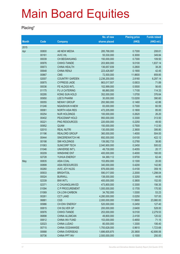#### **Placing\***

|              |       |                       | No. of new    | <b>Placing price</b> | <b>Funds raised</b> |
|--------------|-------|-----------------------|---------------|----------------------|---------------------|
| <b>Month</b> | Code  | <b>Company</b>        | shares placed | (HK\$)               | (HK\$ mil.)         |
| 2015         |       |                       |               |                      |                     |
| Apr          | 00800 | <b>A8 NEW MEDIA</b>   | 285,768,000   | 0.7300               | 208.61              |
|              | 00161 | <b>AVIC IHL</b>       | 55,530,000    | 6.3000               | 349.84              |
|              | 00039 | <b>CH BEIDAHUANG</b>  | 150,000,000   | 0.7300               | 109.50              |
|              | 00976 | CHIHO-TIANDE          | 203,900,000   | 9.0100               | 1,837.14            |
|              | 00673 | <b>CHINA HEALTH</b>   | 136,657,939   | 0.2800               | 38.26               |
|              | 00648 | <b>CHINA RENJI</b>    | 223,426,687   | 0.1900               | 42.45               |
|              | 00867 | <b>CMS</b>            | 72,500,000    | 11.8600              | 859.85              |
|              | 02007 | <b>COUNTRY GARDEN</b> | 2,236,200,000 | 2.8160               | 6,297.14            |
|              | 00875 | <b>CYPRESS JADE</b>   | 863,017,507   | 0.0833               | 71.89               |
|              | 00036 | FE HLDGS INTL         | 102,999,000   | 0.5500               | 56.65               |
|              | 01175 | FU JI CATERING        | 66,860,000    | 1.7100               | 114.33              |
|              | 00295 | <b>KONG SUN HOLD</b>  | 352,000,000   | 1.0700               | 376.64              |
|              | 00950 | <b>LEE'S PHARM</b>    | 30,000,000    | 13.0200              | 390.60              |
|              | 00055 | <b>NEWAY GROUP</b>    | 293,560,000   | 0.1460               | 42.86               |
|              | 01246 | <b>NGAISHUN H-NEW</b> | 83,000,000    | 0.7300               | 60.59               |
|              | 00061 | <b>NORTH ASIA RES</b> | 472,205,000   | 0.1800               | 85.00               |
|              | 00254 | <b>NUR HOLDINGS</b>   | 100,000,000   | 0.2620               | 26.20               |
|              | 00402 | PEACEMAP HOLD         | 950,000,000   | 0.3300               | 313.50              |
|              | 00221 | PNG RESOURCES         | 220,000,000   | 0.2250               | 49.50               |
|              | 00952 | QUAM                  | 150,000,000   | 0.7500               | 112.50              |
|              | 02010 | <b>REAL NUTRI</b>     | 130,000,000   | 2.3600               | 306.80              |
|              | 01196 | REALORD GROUP         | 360,000,000   | 1.4000               | 504.00              |
|              | 00444 | SINCEREWATCH HK       | 692,000,000   | 0.6100               | 422.12              |
|              | 00198 | <b>SMI HOLDINGS</b>   | 139,582,733   | 0.2780               | 38.80               |
|              | 01063 | <b>SUNCORP TECH</b>   | 2,040,900,000 | 0.2450               | 500.02              |
|              | 01046 | UNIVERSE INT'L        | 49,730,000    | 0.4055               | 20.17               |
|              | 00209 | <b>WINSHINE ENT</b>   | 400,000,000   | 0.4000               | 160.00              |
|              | 02728 | YUHUA ENERGY          | 64,369,112    | 0.9700               | 62.44               |
| May          | 00835 | <b>ASIA COAL</b>      | 153,850,000   | 0.1300               | 20.00               |
|              | 00899 | <b>ASIA RESOURCES</b> | 340,000,000   | 0.4200               | 142.80              |
|              | 00260 | <b>AVIC JOY HLDG</b>  | 876,000,000   | 0.4100               | 359.16              |
|              | 00933 | <b>BRIGHTOIL</b>      | 590,017,000   | 2.2000               | 1,298.04            |
|              | 00024 | <b>BURWILL</b>        | 138,000,000   | 0.3250               | 44.85               |
|              | 02339 | <b>BWI INT'L</b>      | 400,000,000   | 0.3800               | 152.00              |
|              | 02371 | C CHUANGLIAN ED       | 473,800,000   | 0.3300               | 156.35              |
|              | 01094 | C P PROCUREMENT       | 1,000,000,000 | 0.1705               | 170.50              |
|              | 01069 | CA LOW-CARBON         | 34,792,000    | 1.5300               | 53.23               |
|              | 00261 | <b>CCT LAND</b>       | 4,280,000,000 | 0.0250               | 107.00              |
|              | 06881 | <b>CGS</b>            | 2,000,000,000 | 11.9900              | 23,980.00           |
|              | 00986 | CH ENV ENERGY         | 520,000,000   | 0.2450               | 127.40              |
|              | 00815 | CHI SILVER GP         | 200,000,000   | 2.6400               | 528.00              |
|              | 00976 | CHIHO-TIANDE          | 253,000,000   | 9.0100               | 2,279.53            |
|              | 06898 | <b>CHINA ALUMCAN</b>  | 49,800,000    | 2.4100               | 120.02              |
|              | 00612 | <b>CHINA INV FUND</b> | 153,000,000   | 0.4650               | 71.15               |
|              | 02023 | CHINA LUDAO           | 80,000,000    | 1.3300               | 106.40              |
|              | 00715 | CHINA OCEANWIDE       | 1,793,628,000 | 0.9610               | 1,723.68            |
|              | 00688 | CHINA OVERSEAS        | 1,686,605,875 | 25.3800              | 42,806.06           |
|              | 00736 | <b>CHINA PPT INV</b>  | 2,500,000,000 | 0.1000               | 250.00              |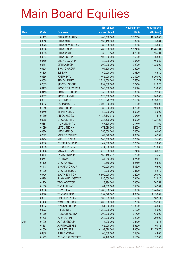|              |       |                        | No. of new     | <b>Placing price</b> | <b>Funds raised</b> |
|--------------|-------|------------------------|----------------|----------------------|---------------------|
| <b>Month</b> | Code  | <b>Company</b>         | shares placed  | (HKS)                | $(HK$$ mil.)        |
|              | 01109 | <b>CHINA RES LAND</b>  | 400,000,000    | 25.2500              | 10,100.00           |
|              | 00910 | <b>CHINA SANDI</b>     | 137,410,000    | 0.3700               | 50.84               |
|              | 00245 | <b>CHINA SEVENSTAR</b> | 83,360,000     | 0.6000               | 50.02               |
|              | 00966 | <b>CHINA TAIPING</b>   | 486,000,000    | 27.7400              | 13,481.64           |
|              | 00855 | <b>CHINA WATER</b>     | 36,907,143     | 4.2000               | 155.01              |
|              | 00354 | CHINASOFT INT'L        | 100,000,000    | 3.6800               | 368.00              |
|              | 00560 | CHU KONG SHIP          | 180,000,000    | 2.5600               | 460.80              |
|              | 00884 | CIFI HOLD GP           | 600,000,000    | 2.2000               | 1,320.00            |
|              | 00524 | <b>E-KONG GROUP</b>    | 104,200,000    | 0.6900               | 71.90               |
|              | 01395 | <b>ELL ENV</b>         | 160,000,000    | 0.9800               | 156.80              |
|              | 00656 | <b>FOSUN INTL</b>      | 465,000,000    | 20.0000              | 9,300.00            |
|              | 00535 | <b>GEMDALE PPT</b>     | 2,524,000,000  | 0.5300               | 1,337.72            |
|              | 02389 | <b>GENVON GROUP</b>    | 999,000,000    | 0.7200               | 719.28              |
|              | 00109 | <b>GOOD FELLOW RES</b> | 1,500,000,000  | 0.4390               | 658.50              |
|              | 00115 | <b>GRAND FIELD GP</b>  | 58,680,000     | 0.3800               | 22.30               |
|              | 00337 | <b>GREENLAND HK</b>    | 228,000,000    | 7.4600               | 1,700.88            |
|              | 06837 | <b>HAITONG SEC</b>     | 1,916,978,820  | 17.1800              | 32,933.70           |
|              | 00033 | <b>HARMONIC STR</b>    | 4,000,000,000  | 0.1000               | 400.00              |
|              | 01340 | <b>HUISHENG INTL</b>   | 80,000,000     | 1.2500               | 100.00              |
|              | 00640 | <b>INFINITY CHEM</b>   | 50,000,000     | 1.6000               | 80.00               |
|              | 01250 | <b>JIN CAI HLDGS</b>   | 14,136,452,910 | 0.0790               | 1,116.78            |
|              | 00268 | KINGDEE INT'L          | 288,526,000    | 4.6000               | 1,327.22            |
|              | 00381 | KIU HUNG INT'L         | 67,200,000     | 0.1740               | 11.69               |
|              | 01089 | LEYOU TECH H           | 478,080,000    | 1.2000               | 573.70              |
|              | 00876 | <b>MEGA MEDICAL</b>    | 250,000,000    | 0.4000               | 100.00              |
|              | 02322 | <b>NOBLE CENTURY</b>   | 67,520,000     | 1.0000               | 67.52               |
|              | 00254 | <b>NUR HOLDINGS</b>    | 500,000,000    | 0.2620               | 131.00              |
|              | 00310 | PROSP INV HOLD         | 142,500,000    | 0.2000               | 28.50               |
|              | 00803 | PROSPERITY INTL        | 714,280,000    | 0.2380               | 170.00              |
|              | 01198 | ROYALE FURN            | 278,000,000    | 0.2400               | 66.72               |
|              | 00482 | <b>SANDMARTIN INTL</b> | 166,445,772    | 0.2800               | 46.60               |
|              | 00747 | <b>SHENYANG PUBLIC</b> | 84,080,000     | 1.2500               | 105.10              |
|              | 01106 | <b>SINO HAIJING</b>    | 49,860,000     | 1.2680               | 63.22               |
|              | 01418 | <b>SINOMAX GROUP</b>   | 100,000,000    | 1.0600               | 106.00              |
|              | 01020 | SINOREF HLDGS          | 170,000,000    | 0.3100               | 52.70               |
|              | 00726 | SOUTH EAST GP          | 6,500,000,000  | 0.2000               | 1,300.00            |
|              | 00188 | <b>SUNWAH KINGSWAY</b> | 630,000,000    | 0.3400               | 214.20              |
|              | 01206 | <b>TECHNOVATOR</b>     | 128,994,000    | 5.9500               | 767.51              |
|              | 01600 | <b>TIAN LUN GAS</b>    | 181,689,608    | 6.4000               | 1,162.81            |
|              | 03886 | <b>TOWN HEALTH</b>     | 1,785,098,644  | 0.9800               | 1,749.40            |
|              | 00570 | <b>TRAD CHI MED</b>    | 1,752,098,682  | 4.6800               | 8,199.82            |
|              | 00307 | <b>UP ENERGY DEV</b>   | 303,832,000    | 0.5500               | 167.11              |
|              | 01400 | <b>WANG TAI HLDG</b>   | 200,000,000    | 0.7600               | 152.00              |
|              | 03393 | <b>WASION GROUP</b>    | 61,000,000     | 10.8000              | 658.80              |
|              | 00273 | <b>WILLIE INT'L</b>    | 1,250,000,000  | 0.1200               | 150.00              |
|              | 01260 | <b>WONDERFUL SKY</b>   | 200,000,000    | 2.1500               | 430.00              |
|              | 01628 | YUZHOU PPT             | 360,000,000    | 2.2000               | 792.00              |
| Jun          | 01096 | <b>ACTIVE GROUP</b>    | 175,000,000    | 0.6500               | 113.75              |
|              | 01131 | <b>AGRITRADE RES</b>   | 65,000,000     | 1.5500               | 100.75              |
|              | 01060 | <b>ALI PICTURES</b>    | 4,199,570,000  | 2.9000               | 12,178.75           |
|              | 06828 | <b>BLUE SKY PWR</b>    | 100,000,000    | 0.4300               | 43.00               |
|              | 01253 | <b>BROADGREENSTATE</b> | 59,440,000     | 2.1500               | 127.80              |
|              |       |                        |                |                      |                     |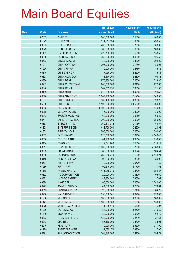|              |       |                        | No. of new    | <b>Placing price</b> | <b>Funds raised</b> |
|--------------|-------|------------------------|---------------|----------------------|---------------------|
| <b>Month</b> | Code  | <b>Company</b>         | shares placed | (HK\$)               | $(HK$$ mil.)        |
|              | 02339 | <b>BWI INT'L</b>       | 800,000,000   | 0.5000               | 400.00              |
|              | 01522 | C CITYRAILTEC          | 114,617,534   | 2.0810               | 238.52              |
|              | 00605 | C FIN SERVICES         | 400,000,000   | 0.7500               | 300.00              |
|              | 03623 | C SUCCESS FIN          | 60,000,000    | 2.6800               | 160.80              |
|              | 01182 | C Y FOUNDATION         | 220,700,000   | 0.6050               | 133.52              |
|              | 00996 | <b>CARNIVAL GROUP</b>  | 360,000,000   | 1.4600               | 525.60              |
|              | 00633 | CH ALL ACCESS          | 130,000,000   | 2.3400               | 304.20              |
|              | 01217 | CH INNOVATION          | 1,395,000,000 | 0.1340               | 186.93              |
|              | 01226 | CH INV FIN GP          | 130,000,000   | 0.2750               | 35.75               |
|              | 00815 | CHI SILVER GP          | 17,956,000    | 4.2500               | 76.31               |
|              | 06898 | <b>CHINA ALUMCAN</b>   | 41,174,000    | 2.2800               | 93.88               |
|              | 00370 | <b>CHINA BEST</b>      | 875,380,000   | 0.2500               | 218.85              |
|              | 00217 | <b>CHINA CHENGTONG</b> | 968,000,000   | 1.0100               | 977.68              |
|              | 00648 | <b>CHINA RENJI</b>     | 362,853,795   | 0.3350               | 121.56              |
|              | 00153 | <b>CHINA SAITE</b>     | 278,000,000   | 1.4260               | 396.43              |
|              | 00326 | <b>CHINA STAR ENT</b>  | 2,887,900,000 | 0.1200               | 346.55              |
|              | 01091 | <b>CITIC DAMENG</b>    | 302,480,000   | 1.3000               | 393.22              |
|              | 06030 | <b>CITIC SEC</b>       | 1,100,000,000 | 24.6000              | 27,060.00           |
|              | 00985 | <b>CST MINING</b>      | 5,400,000,000 | 0.1000               | 540.00              |
|              | 00065 | DETEAM CO LTD          | 45,000,000    | 0.8200               | 36.90               |
|              | 00943 | EFORCE HOLDINGS        | 160,000,000   | 0.3950               | 63.20               |
|              | 00717 | <b>EMPEROR CAPITAL</b> | 1,300,000,000 | 0.5000               | 650.00              |
|              | 00353 | <b>ENERGY INTINV</b>   | 369,417,012   | 0.1450               | 53.57               |
|              | 01808 | <b>ENTERPRISE DEV</b>  | 483,700,000   | 0.2500               | 120.93              |
|              | 01822 | <b>E-RENTAL CAR</b>    | 1,500,000,000 | 0.2600               | 390.00              |
|              | 03333 | <b>EVERGRANDE</b>      | 820,000,000   | 5.6700               | 4,649.40            |
|              | 00036 | FE HLDGS INTL          | 181,200,000   | 1.3800               | 250.06              |
|              | 00484 | <b>FORGAME</b>         | 19,041,900    | 16.5000              | 314.19              |
|              | 00817 | <b>FRANSHION PPT</b>   | 1,600,000,000 | 2.7300               | 4,368.00            |
|              | 03683 | <b>GREAT HARVEST</b>   | 83,000,000    | 1.9820               | 164.51              |
|              | 03836 | <b>HARMONY AUTO</b>    | 262,616,779   | 8.1800               | 2,148.21            |
|              | 00145 | HK BLDG & LOAN         | 100,000,000   | 0.8900               | 89.00               |
|              | 00521 | HNA INT'L INV          | 110,000,000   | 0.6500               | 71.50               |
|              | 01280 | <b>HUIYIN APP</b>      | 102,616,000   | 1.7700               | 181.63              |
|              | 01188 | <b>HYBRID KINETIC</b>  | 4,471,268,040 | 0.3700               | 1,654.37            |
|              | 00372 | <b>ITC CORPORATION</b> | 120,000,000   | 0.8800               | 105.60              |
|              | 00872 | <b>JH AUTO SAFETY</b>  | 147,364,000   | 0.8660               | 127.62              |
|              | 03888 | <b>KINGSOFT</b>        | 100,000,000   | 27.4000              | 2,740.00            |
|              | 00295 | KONG SUN HOLD          | 1,144,700,000 | 1.2000               | 1,373.64            |
|              | 00915 | <b>LINMARK GROUP</b>   | 20,000,000    | 3.2100               | 64.20               |
|              | 00938 | <b>MAN SANG INT'L</b>  | 256,038,041   | 1.0900               | 279.08              |
|              | 01268 | <b>MEIDONG AUTO</b>    | 100,000,000   | 1.8300               | 183.00              |
|              | 01141 | <b>MISSION CAP</b>     | 1,500,000,000 | 0.1000               | 150.00              |
|              | 00276 | MONGOLIA ENERGY        | 11,055,179    | 0.5400               | 5.97                |
|              | 01236 | <b>NATIONAL AGRI</b>   | 58,000,000    | 4.2500               | 246.50              |
|              | 01319 | <b>OIWAHPAWN</b>       | 80,000,000    | 2.0300               | 162.40              |
|              | 00803 | PROSPERITY INTL        | 489,000,000   | 0.2610               | 127.63              |
|              | 00243 | QPL INT'L              | 153,470,000   | 0.5600               | 85.94               |
|              | 02010 | <b>REAL NUTRI</b>      | 140,000,000   | 2.6500               | 371.00              |
|              | 01189 | ROSEDALE HOTEL         | 131,535,174   | 0.8900               | 117.07              |
|              | 00491 | SEE CORPORATION        | 368,880,000   | 0.8100               | 298.79              |
|              |       |                        |               |                      |                     |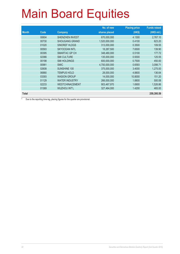|              |       |                        | No. of new    | <b>Placing price</b> | <b>Funds raised</b> |
|--------------|-------|------------------------|---------------|----------------------|---------------------|
| <b>Month</b> | Code  | <b>Company</b>         | shares placed | (HKS)                | (HK\$ mil.)         |
|              | 00604 | <b>SHENZHEN INVEST</b> | 670,000,000   | 4.1300               | 2,767.10            |
|              | 00730 | <b>SHOUGANG GRAND</b>  | 1,520,000,000 | 0.4100               | 623.20              |
|              | 01020 | SINOREF HLDGS          | 313,000,000   | 0.3500               | 109.55              |
|              | 00593 | <b>SKYOCEAN INTL</b>   | 18,287,500    | 7.6500               | 139.90              |
|              | 00395 | SMARTAC GP CH          | 348,480,000   | 0.5100               | 177.72              |
|              | 02366 | <b>SMI CULTURE</b>     | 135,000,000   | 0.9300               | 125.55              |
|              | 00198 | <b>SMI HOLDINGS</b>    | 600,000,000   | 0.7500               | 450.00              |
|              | 00981 | <b>SMIC</b>            | 4,700,000,000 | 0.6593               | 3,098.71            |
|              | 02608 | <b>SUNSHINE 100</b>    | 375,000,000   | 3.4000               | 1.275.00            |
|              | 06880 | <b>TEMPUS HOLD</b>     | 28,000,000    | 4.8800               | 136.64              |
|              | 03393 | <b>WASION GROUP</b>    | 14,000,000    | 10.8000              | 151.20              |
|              | 01129 | <b>WATER INDUSTRY</b>  | 266,000,000   | 1.8800               | 500.08              |
|              | 02233 | <b>WESTCHINACEMENT</b> | 903,467,970   | 1.6900               | 1,526.86            |
|              | 01369 | <b>WUZHOU INT'L</b>    | 327,464,000   | 1.4200               | 465.00              |
| Total        |       |                        |               |                      | 259,395.59          |

\* Due to the reporting time-lag, placing figures for the quarter are provisional.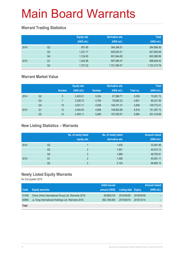### **Warrant Trading Statistics**

|      |                | <b>Equity wts</b><br>(HK\$ mil.) | <b>Derivative wts</b><br>(HK\$ mil.) | <b>Total</b><br>(HK\$ mil.) |
|------|----------------|----------------------------------|--------------------------------------|-----------------------------|
| 2014 | Q <sub>2</sub> | 651.85                           | 384,246.51                           | 384,898.36                  |
|      | Q <sub>3</sub> | 1,251.17                         | 626,632.51                           | 627,883.68                  |
|      | Q4             | 1,124.93                         | 601,944.06                           | 603,068.99                  |
| 2015 | Q1             | 1,242.98                         | 897,585.47                           | 898,828.45                  |
|      | Q <sub>2</sub> | 1,727.22                         | 1,721,585.57                         | 1,723,312.78                |

### **Warrant Market Value**

|      |                |               | <b>Equity wts</b> |               | <b>Derivative wts</b> |           | <b>Total</b> |
|------|----------------|---------------|-------------------|---------------|-----------------------|-----------|--------------|
|      |                | <b>Number</b> | (HK\$ mil.)       | <b>Number</b> | (HK\$ mil.)           | Total no. | (HK\$ mil.)  |
| 2014 | Q <sub>2</sub> | 5             | 2,493.01          | 5.054         | 67,588.71             | 5,059     | 70,081.72    |
|      | Q <sub>3</sub> |               | 3,338.72          | 4.794         | 76,683.23             | 4.801     | 80,021.95    |
|      | Q4             | 10            | 3.031.11          | 4.938         | 146.741.31            | 4.948     | 149,772.41   |
| 2015 | Q1             | 12            | 2.484.83          | 4.806         | 148.902.89            | 4.818     | 151,387.72   |
|      | Q <sub>2</sub> | 14            | 4,383.11          | 5,680         | 197,036.57            | 5,694     | 201,419.68   |

### **New Listing Statistics – Warrants**

|      |                | No. of newly listed<br>equity wts | No. of newly listed<br>derivative wts | <b>Amount raised</b><br>(HK\$ mil.) |
|------|----------------|-----------------------------------|---------------------------------------|-------------------------------------|
| 2014 | Q2             |                                   | 1,435                                 | 33,081.98                           |
|      | Q <sub>3</sub> | $\overline{2}$                    | 1,951                                 | 44,515.12                           |
|      | Q4             | 3                                 | 1,986                                 | 48,705.91                           |
| 2015 | Q1             | っ                                 | 1,498                                 | 40,081.11                           |
|      | Q <sub>2</sub> | C                                 | 2,124                                 | 68,662.15                           |

### **Newly Listed Equity Warrants**

|              |                                                     | Initial issued |                            |            | <b>Amount raised</b> |
|--------------|-----------------------------------------------------|----------------|----------------------------|------------|----------------------|
| <b>Code</b>  | <b>Equity warrants</b>                              | amount (HK\$)  | <b>Listing date Expiry</b> |            | (HK\$ mil.)          |
| 01436        | China Jinhai International Group Ltd. Warrants 2016 | 59,868,518     | 2015/04/09                 | 2016/04/09 |                      |
| 00964        | Ju Teng International Holdings Ltd. Warrants 2016   | 662,188,400    | 2015/04/16                 | 2016/10/14 |                      |
| <b>Total</b> |                                                     |                |                            |            |                      |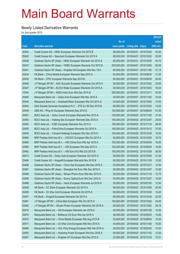### **Newly Listed Derivative Warrants**

|       |                                                               |               |                            |                       | <b>Amount</b> |
|-------|---------------------------------------------------------------|---------------|----------------------------|-----------------------|---------------|
|       |                                                               | No. of        |                            |                       | raised        |
| Code  | <b>Derivative warrants</b>                                    | issue (units) | <b>Listing date Expiry</b> |                       | (HK\$ mil.)   |
| 20443 | Credit Suisse AG - HKEx European Warrants Oct 2015 B          | 80,000,000    | 2015/04/01                 | 2015/10/02            | 24.00         |
| 20442 | Credit Suisse AG - Stanchart European Warrants Oct 2015 A     | 80,000,000    | 2015/04/01                 | 2015/10/02            | 32.00         |
| 20438 | Goldman Sachs SP (Asia) – HKEx European Warrants Oct 2015 A   | 80,000,000    | 2015/04/01                 | 2015/10/05            | 40.72         |
| 20437 | Goldman Sachs SP (Asia) - HSBC European Warrants Oct 2015 B   | 200,000,000   | 2015/04/01                 | 2015/10/05            | 50.00         |
| 20441 | Goldman Sachs SP (Asia) – Kingdee Intl European Wts Nov 15 A  | 60,000,000    | 2015/04/01                 | 2015/11/05            | 31.14         |
| 20434 | HK Bank – China Mobile European Warrants Sep 2015 A           | 60,000,000    | 2015/04/01                 | 2015/09/30            | 21.00         |
| 20435 | HK Bank – CPIC European Warrants Sep 2015 B                   | 80,000,000    | 2015/04/01                 | 2015/09/30            | 20.00         |
| 20446 | J P Morgan SP BV - AAC Acoustic European Warrants Oct 2015 A  | 50,000,000    | 2015/04/01                 | 2015/10/02            | 23.65         |
| 20447 | J P Morgan SP BV - BJ Ent Water European Warrants Oct 2015 A  | 40,000,000    | 2015/04/01                 | 2015/10/02            | 16.04         |
| 10344 | J P Morgan SP BV - N225 Index Euro Wts Dec 2015 B             | 200,000,000   | 2015/04/01 2015/12/11      |                       | 50.00         |
| 20445 | Macquarie Bank Ltd. - Geely Auto European Wts Nov 2015 A      | 40,000,000    | 2015/04/01                 | 2015/11/03            | 10.04         |
| 20444 | Macquarie Bank Ltd. - Greatwall Motor European Wts Oct 2015 A | 40,000,000    | 2015/04/01 2015/10/05      |                       | 10.00         |
| 20440 | SGA Societe Generale Acceptance N.V. - ZTE Eu Wt Dec 2015 B   | 80,000,000    | 2015/04/01                 | 2015/12/02            | 14.00         |
| 20448 | UBS AG – Ping An European Warrants Sep 2015 D                 | 100,000,000   | 2015/04/01 2015/09/30      |                       | 51.00         |
| 20451 | BOCI Asia Ltd. - Anhui Conch European Warrants Nov 2015 A     | 100,000,000   |                            | 2015/04/02 2015/11/02 | 27.00         |
| 20453 | BOCI Asia Ltd. - Haitong Sec European Warrants Dec 2015 A     | 100,000,000   | 2015/04/02 2015/12/07      |                       | 29.00         |
| 20452 | BOCI Asia Ltd. - ICBC European Warrants Nov 2015 A            | 100,000,000   |                            | 2015/04/02 2015/11/16 | 28.00         |
| 20450 | BOCI Asia Ltd. - PetroChina European Warrants Oct 2015 A      | 100,000,000   | 2015/04/02 2015/10/12      |                       | 37.00         |
| 20449 | BOCI Asia Ltd. – Tencent Holdings European Wts Dec 2015 D     | 100,000,000   |                            | 2015/04/02 2015/12/28 | 15.00         |
| 20464 | BNP Paribas Arbit Issu B.V. - CNOOC European Wts Oct 2015 A   | 94,000,000    | 2015/04/02 2015/10/05      |                       | 19.74         |
| 20465 | BNP Paribas Arbit Issu B.V. - A50 China Euro Wts Apr 2016 A   | 100,000,000   |                            | 2015/04/02 2016/04/05 | 16.00         |
| 20460 | BNP Paribas Arbit Issu B.V. - HSI European Wts Sep 2015 A     | 100,000,000   | 2015/04/02 2015/09/29      |                       | 16.00         |
| 20462 | BNP Paribas Arbit Issu B.V. - HSI Euro Put Wts Oct 2015 B     | 100,000,000   |                            | 2015/04/02 2015/10/29 | 26.00         |
| 20473 | Credit Suisse AG - Geely Auto European Warrants Oct 2015 A    | 60,000,000    | 2015/04/02 2015/10/05      |                       | 21.00         |
| 20484 | Credit Suisse AG - Kingsoft European Warrants Nov 2015 B      | 60,000,000    |                            | 2015/04/02 2015/11/30 | 15.00         |
| 20488 | Goldman Sachs SP (Asia) – China Gas European Wts Dec 2015 A   | 50,000,000    | 2015/04/02 2015/12/21      |                       | 12.50         |
| 20487 | Goldman Sachs SP (Asia) - Shanghai Ind Euro Wts Dec 2015 A    | 50,000,000    |                            | 2015/04/02 2015/12/07 | 12.50         |
| 20489 | Goldman Sachs SP (Asia) - Sihuan Pharm Euro Wts Nov 2015 A    | 20,000,000    | 2015/04/02 2015/11/16      |                       | 12.70         |
| 20490 | Goldman Sachs SP (Asia) - Sunny Optical Euro Wts Dec 2015 A   | 50,000,000    | 2015/04/02 2015/12/07      |                       | 15.00         |
| 20486 | Goldman Sachs SP (Asia) - Vtech European Warrants Jul 2016 A  | 50,000,000    | 2015/04/02 2016/07/05      |                       | 12.50         |
| 20459 | HK Bank - CC Bank European Warrants Oct 2015 A                | 80,000,000    |                            | 2015/04/02 2015/10/05 | 20.00         |
| 20458 | HK Bank - Ch Ship Cont European Warrants Oct 2015 A           | 60,000,000    | 2015/04/02 2015/10/05      |                       | 15.00         |
| 20457 | HK Bank - Kingsoft European Warrants Oct 2015 A               | 80,000,000    |                            | 2015/04/02 2015/10/30 | 20.00         |
| 20481 | J P Morgan SP BV - China Mob European Wts Oct 2015 A          | 100,000,000   | 2015/04/02 2015/10/02      |                       | 34.00         |
| 20482 | J P Morgan SP BV - Sihuan Pharm European Warrants Oct 2015 A  | 80,000,000    |                            | 2015/04/02 2015/10/02 | 28.16         |
| 20476 | Macquarie Bank Ltd. - AIA European Warrants Jan 2016 A        | 40,000,000    | 2015/04/02 2016/01/05      |                       | 10.00         |
| 20470 | Macquarie Bank Ltd. - Brilliance Chi Euro Wts Apr 2016 A      | 40,000,000    |                            | 2015/04/02 2016/04/05 | 10.00         |
| 20472 | Macquarie Bank Ltd. - China Mobile European Wts Aug 2015 B    | 50,000,000    | 2015/04/02 2015/08/04      |                       | 10.00         |
| 20471 | Macquarie Bank Ltd. - Ch Ship Cont European Wts Nov 2015 A    | 40,000,000    | 2015/04/02 2015/11/05      |                       | 10.00         |
| 20466 | Macquarie Bank Ltd. - GCL-Poly Energy European Wts Feb 2016 A | 30,000,000    | 2015/04/02 2016/02/02      |                       | 10.02         |
| 20483 | Macquarie Bank Ltd. - Huaneng Power European Wts Nov 2016 A   | 80,000,000    |                            | 2015/04/02 2016/11/02 | 12.00         |
| 20467 | Macquarie Bank Ltd. - Kingdee Int'l European Wts Dec 2015 A   | 22,000,000    | 2015/04/02 2015/12/16      |                       | 10.01         |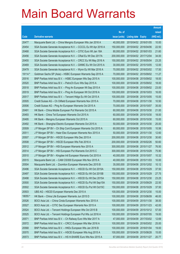|         |                                                               |               |                            |            | <b>Amount</b> |
|---------|---------------------------------------------------------------|---------------|----------------------------|------------|---------------|
|         |                                                               | No. of        |                            |            | raised        |
| Code    | <b>Derivative warrants</b>                                    | issue (units) | <b>Listing date Expiry</b> |            | (HK\$ mil.)   |
| 20477   | Macquarie Bank Ltd. - China Mengniu European Wts Jan 2016 A   | 40,000,000    | 2015/04/02 2016/01/05      |            | 10.00         |
| 20454   | SGA Societe Generale Acceptance N.V. - CCCCL Eu Wt Apr 2016 A | 150,000,000   | 2015/04/02 2016/04/06      |            | 22.50         |
| 20468   | SGA Societe Generale Acceptance N.V. - CITIC Euro Wt Jan 18A  | 80,000,000    | 2015/04/02 2018/01/03      |            | 21.60         |
| 20456   | SGA Societe Generale Acceptance N.V. - CRail Eu Wt Dec 2017A  | 200,000,000   | 2015/04/02 2017/12/04      |            | 34.00         |
| 20455   | SGA Societe Generale Acceptance N.V. - CRCC Eu Wt May 2016 A  | 150,000,000   | 2015/04/02 2016/05/04      |            | 23.25         |
| 20469   | SGA Societe Generale Acceptance N.V. - GWMC Eu Wt Oct 2015 A  | 30,000,000    | 2015/04/02 2015/10/05      |            | 12.00         |
| 20479   | SGA Societe Generale Acceptance N.V. - Wynn Eu Wt Mar 2016 A  | 70,000,000    | 2015/04/02 2016/03/02      |            | 17.50         |
| 19114 # | Goldman Sachs SP (Asia) - HSBC European Warrants Sep 2015 A   | 70,000,000    | 2015/04/02 2015/09/02      |            | 11.27         |
| 20516   | BNP Paribas Arbit Issu B.V. - HSBC European Wts Sep 2015 A    | 100,000,000   | 2015/04/08 2015/09/02      |            | 18.00         |
| 20520   | BNP Paribas Arbit Issu B.V. - PetroCh Euro Wts Sep 2015 A     | 100,000,000   | 2015/04/08 2015/09/02      |            | 18.00         |
| 20518   | BNP Paribas Arbit Issu B.V. - Ping An European Wt Sep 2015 A  | 100,000,000   | 2015/04/08 2015/09/02      |            | 23.00         |
| 20519   | BNP Paribas Arbit Issu B.V. - Ping An European Wt Oct 2016 A  | 100,000,000   | 2015/04/08 2016/10/03      |            | 16.00         |
| 20517   | BNP Paribas Arbit Issu B.V. - Tencent HIdgs Eu Wt Oct 2015 A  | 100,000,000   | 2015/04/08 2015/10/05      |            | 15.00         |
| 20505   | Credit Suisse AG - Ch Oilfield European Warrants Nov 2015 A   | 70,000,000    | 2015/04/08 2015/11/30      |            | 10.50         |
| 20506   | Credit Suisse AG - Ping An European Warrants Oct 2015 A       | 70,000,000    | 2015/04/08 2015/10/07      |            | 35.00         |
| 20491   | HK Bank - China Mobile European Put Warrants Oct 2015 A       | 60,000,000    | 2015/04/08 2015/10/30      |            | 21.00         |
| 20493   | HK Bank - China Tel European Warrants Oct 2015 A              | 60,000,000    | 2015/04/08 2015/10/30      |            | 18.00         |
| 20495   | HK Bank - Mengniu European Warrants Oct 2015 A                | 60,000,000    | 2015/04/08 2015/10/30      |            | 15.00         |
| 20492   | HK Bank - Shanghai Electric European Warrants Oct 2015 A      | 50,000,000    | 2015/04/08 2015/10/30      |            | 25.00         |
| 20509   | J P Morgan SP BV - Ch Ship Cont European Warrants Oct 2015 A  | 60,000,000    | 2015/04/08 2015/10/05      |            | 10.56         |
| 20511   | J P Morgan SP BV - Haier Elec European Warrants Nov 2015 A    | 50,000,000    | 2015/04/08 2015/11/30      |            | 12.60         |
| 20507   | J P Morgan SP BV - HSCEI European Wts Dec 2015 A              | 200,000,000   | 2015/04/08 2015/12/30      |            | 30.60         |
| 20508   | J P Morgan SP BV - HSCEI European Wts Feb 2016 A              | 200,000,000   | 2015/04/08 2016/02/26      |            | 50.60         |
| 20512   | J P Morgan SP BV - HSI European Warrants Nov 2015 A           | 300,000,000   | 2015/04/08 2015/11/27      |            | 76.50         |
| 20514   | J P Morgan SP BV - HSI European Put Warrants Oct 2015 C       | 300,000,000   | 2015/04/08 2015/10/29      |            | 75.90         |
| 20510   | J P Morgan SP BV - Kingdee Intl European Warrants Oct 2015 A  | 40,000,000    | 2015/04/08 2015/10/07      |            | 10.32         |
| 20515   | Macquarie Bank Ltd. - CAM CSI300 European Wts Nov 2015 A      | 40,000,000    | 2015/04/08 2015/11/03      |            | 10.00         |
| 20504   | Macquarie Bank Ltd. - Zoomlion European Warrants Dec 2015 B   | 35,000,000    | 2015/04/08 2015/12/02      |            | 10.12         |
| 20496   | SGA Societe Generale Acceptance N.V. - HSCEI Eu Wt Oct 2015A  | 150,000,000   | 2015/04/08 2015/10/29      |            | 37.50         |
| 20497   | SGA Societe Generale Acceptance N.V. - HSCEI Eu Wt Oct 2015B  | 150,000,000   | 2015/04/08 2015/10/29      |            | 27.75         |
| 20498   | SGA Societe Generale Acceptance N.V. - HSCEI Eu Wt Dec 2015A  | 150,000,000   | 2015/04/08 2015/12/30      |            | 23.25         |
| 20500   | SGA Societe Generale Acceptance N.V. - HSCEI Eu Put Wt Sep15A | 150,000,000   | 2015/04/08 2015/09/29      |            | 22.50         |
| 20502   | SGA Societe Generale Acceptance N.V. - HSCEI Eu Put Wt Oct15C | 150,000,000   | 2015/04/08 2015/10/29      |            | 37.50         |
| 20503   | UBS AG - HSCEI European Warrants Dec 2015 A                   | 100,000,000   | 2015/04/08 2015/12/30      |            | 15.00         |
| 18055 # | HK Bank - China Life European Warrants Jun 2015 D             | 100,000,000   | 2015/04/08 2015/06/09      |            | 46.00         |
| 20526   | BOCI Asia Ltd. - China Cinda European Warrants Nov 2015 A     | 100,000,000   | 2015/04/09 2015/11/30      |            | 38.00         |
| 20527   | BOCI Asia Ltd. - CITIC Sec European Warrants Nov 2015 A       | 100,000,000   | 2015/04/09                 | 2015/11/23 | 42.00         |
| 20524   | BOCI Asia Ltd. - Tencent Holdings European Wts Oct 2015 B     | 100,000,000   | 2015/04/09 2015/10/12      |            | 57.00         |
| 20525   | BOCI Asia Ltd. - Tencent Holdings European Put Wts Jul 2016 A | 100,000,000   | 2015/04/09                 | 2016/07/05 | 19.00         |
| 20571   | BNP Paribas Arbit Issu B.V. - Ch Railway Euro Wts Mar 2017 A  | 47,000,000    | 2015/04/09 2017/03/02      |            | 12.69         |
| 20572   | BNP Paribas Arbit Issu B.V. - CRCC European Wts Mar 2016 A    | 100,000,000   | 2015/04/09                 | 2016/03/02 | 25.00         |
| 20568   | BNP Paribas Arbit Issu B.V. - HKEx European Wts Jan 2016 B    | 100,000,000   | 2015/04/09 2016/01/04      |            | 19.00         |
| 20570   | BNP Paribas Arbit Issu B.V. - HSCEI European Wts Aug 2015 A   | 100,000,000   | 2015/04/09                 | 2015/08/28 | 15.00         |
| 20573   | BNP Paribas Arbit Issu B.V. - HS H-SHARE Euro Wts Nov 2015 A  | 67,000,000    | 2015/04/09 2015/11/27      |            | 20.77         |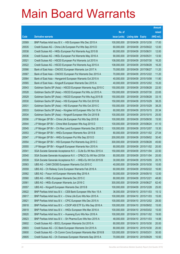|       |                                                               |               |                            |            | <b>Amount</b> |
|-------|---------------------------------------------------------------|---------------|----------------------------|------------|---------------|
|       |                                                               | No. of        |                            |            | raised        |
| Code  | <b>Derivative warrants</b>                                    | issue (units) | <b>Listing date Expiry</b> |            | (HK\$ mil.)   |
| 20569 | BNP Paribas Arbit Issu B.V. - HSI European Wts Dec 2015 A     | 100,000,000   | 2015/04/09                 | 2015/12/30 | 17.00         |
| 20535 | Credit Suisse AG - China Life European Put Wts Sep 2015 D     | 60,000,000    | 2015/04/09                 | 2015/09/22 | 12.00         |
| 20538 | Credit Suisse AG - HKEx European Put Warrants Aug 2015 B      | 80,000,000    | 2015/04/09                 | 2015/08/31 | 12.00         |
| 20536 | Credit Suisse AG - HKEx European Put Warrants May 2016 A      | 90,000,000    | 2015/04/09 2016/05/31      |            | 13.50         |
| 20521 | Credit Suisse AG - HSCEI European Put Warrants Jul 2015 A     | 108,000,000   | 2015/04/09                 | 2015/07/30 | 16.20         |
| 20522 | Credit Suisse AG - HSCEI European Put Warrants Aug 2015 A     | 108,000,000   | 2015/04/09 2015/08/28      |            | 16.20         |
| 20566 | Bank of East Asia – CNOOC European Warrants Jun 2017 A        | 70,000,000    | 2015/04/09                 | 2017/06/27 | 11.20         |
| 20567 | Bank of East Asia – CNOOC European Put Warrants Dec 2015 A    | 70,000,000    | 2015/04/09 2015/12/22      |            | 11.20         |
| 20564 | Bank of East Asia – Henganintl European Warrants Oct 2015 A   | 40,000,000    | 2015/04/09 2015/10/08      |            | 11.80         |
| 20565 | Bank of East Asia - Kingsoft European Warrants Dec 2015 A     | 40,000,000    | 2015/04/09 2015/12/02      |            | 10.20         |
| 20543 | Goldman Sachs SP (Asia) - HSCEI European Warrants Aug 2015 C  | 150,000,000   | 2015/04/09                 | 2015/08/28 | 22.50         |
| 20528 | Goldman Sachs SP (Asia) – HSCEI European Put Wts Jul 2015 A   | 150,000,000   | 2015/04/09 2015/07/30      |            | 22.65         |
| 20529 | Goldman Sachs SP (Asia) - HSCEI European Put Wts Aug 2015 B   | 150,000,000   | 2015/04/09                 | 2015/08/28 | 33.15         |
| 20530 | Goldman Sachs SP (Asia) - HSI European Put Wts Oct 2015 B     | 150,000,000   | 2015/04/09 2015/10/29      |            | 38.25         |
| 20531 | Goldman Sachs SP (Asia) - HSI European Put Wts Oct 2015 C     | 150,000,000   | 2015/04/09                 | 2015/10/29 | 38.25         |
| 20533 | Goldman Sachs SP (Asia) – Kingdee Intl European Wts Oct 15 A  | 60,000,000    | 2015/04/09 2015/10/15      |            | 20.34         |
| 20534 | Goldman Sachs SP (Asia) – Kingsoft European Wts Oct 2015 B    | 100,000,000   | 2015/04/09                 | 2015/10/15 | 25.00         |
| 20556 | J P Morgan SP BV - China Life European Put Wts Sep 2015 B     | 100,000,000   | 2015/04/09 2015/09/30      |            | 15.50         |
| 20544 | J P Morgan SP BV - China Mob European Wts Aug 2015 D          | 100,000,000   | 2015/04/09                 | 2015/08/24 | 41.10         |
| 20545 | J P Morgan SP BV - Chi Res Land European Warrants Dec 2015 C  | 100,000,000   | 2015/04/09 2015/12/07      |            | 15.30         |
| 20553 | J P Morgan SP BV - HKEx European Warrants Nov 2015 B          | 80,000,000    | 2015/04/09 2015/11/02      |            | 27.04         |
| 20547 | J P Morgan SP BV - HKEx European Put Wts Sep 2015 D           | 200,000,000   | 2015/04/09                 | 2015/09/02 | 30.40         |
| 20554 | J P Morgan SP BV - HSI European Put Warrants Aug 2015 C       | 300,000,000   | 2015/04/09                 | 2015/08/28 | 45.60         |
| 20555 | J P Morgan SP BV - Kingsoft European Warrants Nov 2015 A      | 80,000,000    | 2015/04/09 2015/11/02      |            | 20.00         |
| 20541 | SGA Societe Generale Acceptance N.V. - CLife Eu Wt Nov 2015 A | 150,000,000   | 2015/04/09 2015/11/04      |            | 22.50         |
| 20540 | SGA Societe Generale Acceptance N.V. - CP&CC Eu Wt Nov 2015A  | 80,000,000    | 2015/04/09 2015/11/04      |            | 20.00         |
| 20539 | SGA Societe Generale Acceptance N.V. - HKEx Eu Wt Oct 2015 B  | 30,000,000    | 2015/04/09 2015/10/05      |            | 20.70         |
| 20563 | UBS AG - CAM CSI300 European Warrants Oct 2015 C              | 40,000,000    | 2015/04/09 2015/10/30      |            | 10.00         |
| 20559 | UBS AG - Ch Railway Cons European Warrants Feb 2016 A         | 60,000,000    | 2015/04/09 2016/02/22      |            | 16.80         |
| 20562 | UBS AG - Fosun Intl European Warrants May 2016 A              | 50,000,000    | 2015/04/09 2016/05/10      |            | 12.50         |
| 20560 | UBS AG - HKEx European Warrants Dec 2015 C                    | 80,000,000    | 2015/04/09 2015/12/21      |            | 48.80         |
| 20561 | UBS AG - HKEx European Warrants Jun 2016 C                    | 300,000,000   | 2015/04/09 2016/06/27      |            | 62.40         |
| 20557 | UBS AG - Kingsoft European Warrants Dec 2015 B                | 100,000,000   | 2015/04/09 2015/12/28      |            | 25.00         |
| 20622 | BNP Paribas Arbit Issu B.V. - CEB Bank European Wts Nov 15 A  | 36,000,000    | 2015/04/10 2015/11/03      |            | 15.12         |
| 20617 | BNP Paribas Arbit Issu B.V. - China Life Euro Wts Nov 2015 A  | 100,000,000   | 2015/04/10 2015/11/03      |            | 15.00         |
| 20621 | BNP Paribas Arbit Issu B.V. - CPIC European Wts Dec 2015 A    | 100,000,000   | 2015/04/10 2015/12/02      |            | 28.00         |
| 20618 | BNP Paribas Arbit Issu B.V. - CSOP A50 ETF Eu Wts Sep 2016 A  | 100,000,000   | 2015/04/10 2016/09/02      |            | 15.00         |
| 20619 | BNP Paribas Arbit Issu B.V. - HKEx European Wts Mar 2016 A    | 100,000,000   | 2015/04/10 2016/03/02      |            | 15.00         |
| 20620 | BNP Paribas Arbit Issu B.V. - Huaneng Euro Wts Nov 2016 A     | 100,000,000   | 2015/04/10 2016/11/02      |            | 19.00         |
| 20623 | BNP Paribas Arbit Issu B.V. - Sh Pharma Euro Wts Nov 2015 A   | 48,000,000    | 2015/04/10 2015/11/03      |            | 14.88         |
| 20602 | Credit Suisse AG - BOCL European Warrants Oct 2015 A          | 80,000,000    | 2015/04/10 2015/10/30      |            | 20.00         |
| 20603 | Credit Suisse AG - CC Bank European Warrants Oct 2015 A       | 80,000,000    | 2015/04/10 2015/10/30      |            | 20.00         |
| 20600 | Credit Suisse AG - Ch Comm Cons European Warrants Mar 2016 B  | 120,000,000   | 2015/04/10 2016/03/31      |            | 30.00         |
| 20605 | Credit Suisse AG - Ch Overseas European Warrants Sep 2015 A   | 70,000,000    | 2015/04/10 2015/09/29      |            | 10.50         |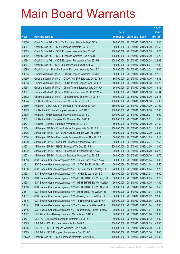|         |                                                                |               |                            | <b>Amount</b> |
|---------|----------------------------------------------------------------|---------------|----------------------------|---------------|
|         |                                                                | No. of        |                            | raised        |
| Code    | <b>Derivative warrants</b>                                     | issue (units) | <b>Listing date Expiry</b> | (HK\$ mil.)   |
| 20606   | Credit Suisse AG – China Tel European Warrants Sep 2015 A      | 70,000,000    | 2015/04/10 2015/09/29      | 15.40         |
| 20601   | Credit Suisse AG - HKEx European Warrants Oct 2015 C           | 80,000,000    | 2015/04/10 2015/10/30      | 21.60         |
| 20583   | Credit Suisse AG - HSCEI European Warrants Sep 2015 C          | 108,000,000   | 2015/04/10 2015/09/29      | 16.20         |
| 20582   | Credit Suisse AG - HSCEI European Warrants Dec 2015 B          | 108,000,000   | 2015/04/10 2015/12/30      | 16.20         |
| 20584   | Credit Suisse AG - HSCEI European Put Warrants Aug 2015 B      | 108,000,000   | 2015/04/10 2015/08/28      | 22.68         |
| 20604   | Credit Suisse AG - ICBC European Warrants Oct 2015 A           | 80,000,000    | 2015/04/10 2015/10/07      | 12.00         |
| 20599   | Credit Suisse - Shanghai Electric European Warrants Dec 15 A   | 50,000,000    | 2015/04/10 2015/12/21      | 36.00         |
| 20595   | Goldman Sachs SP (Asia) – CITIC European Warrants Oct 2015 B   | 50,000,000    | 2015/04/10 2015/10/30      | 22.10         |
| 20590   | Goldman Sachs SP (Asia) - CSOP A50 ETF Euro Wts Oct 2015 A     | 80,000,000    | 2015/04/10 2015/10/30      | 46.32         |
| 20593   | Goldman Sachs SP (Asia) – Ch South Air European Wts Oct 15 A   | 40,000,000    | 2015/04/10 2015/10/30      | 26.28         |
| 20594   | Goldman Sachs SP (Asia) – China Taiping European Wts Oct15 A   | 50,000,000    | 2015/04/10 2015/10/30      | 18.15         |
| 20591   | Goldman Sachs SP (Asia) - A50 China European Wts Oct 2015 A    | 80,000,000    | 2015/04/10 2015/10/30      | 55.04         |
| 20592   | Goldman Sachs SP (Asia) – China Mengniu Euro Wt Oct 2015 A     | 80,000,000    | 2015/04/10 2015/10/30      | 26.16         |
| 20574   | HK Bank - China Life European Warrants Oct 2015 A              | 100,000,000   | 2015/04/10 2015/10/30      | 15.00         |
| 20580   | HK Bank - CSOP A50 ETF European Warrants Apr 2016 A            | 180,000,000   | 2015/04/10 2016/04/29      | 27.00         |
| 20579   | HK Bank - A50 China European Warrants Jun 2016 B               | 180,000,000   | 2015/04/10 2016/06/30      | 27.00         |
| 20575   | HK Bank - HKEx European Put Warrants Sep 2015 D                | 100,000,000   | 2015/04/10 2015/09/01      | 15.00         |
| 20581   | HK Bank – HKEx European Put Warrants May 2016 A                | 100,000,000   | 2015/04/10 2016/05/31      | 15.00         |
| 20577   | HK Bank - Tencent European Warrants Oct 2015 C                 | 50,000,000    | 2015/04/10 2015/10/30      | 27.50         |
| 20624   | J P Morgan SP BV - China Railway European Wts Oct 2016 A       | 100,000,000   | 2015/04/10 2016/10/31      | 25.30         |
| 20625   | J P Morgan SP BV - Ch Railway Cons European Wts Feb 2016 A     | 80,000,000    | 2015/04/10 2016/02/29      | 20.00         |
| 20628   | J P Morgan SP BV - Evergrande European Warrants Nov 2015 A     | 60,000,000    | 2015/04/10 2015/11/03      | 15.18         |
| 20630   | J P Morgan SP BV - Fosun Intl European Warrants Mar 2016 A     | 50,000,000    | 2015/04/10 2016/03/31      | 12.60         |
| 20631   | J P Morgan SP BV - HSCEI European Wts Dec 2015 B               | 200,000,000   | 2015/04/10 2015/12/30      | 30.00         |
| 20632   | J P Morgan SP BV - HSCEI European Put Warrants Oct 2015 A      | 200,000,000   | 2015/04/10 2015/10/29      | 50.20         |
| 20633   | J P Morgan SP BV - Stanchart European Warrants Sep 2015 B      | 50,000,000    | 2015/04/10 2015/09/30      | 18.75         |
| 20613   | SGA Societe Generale Acceptance N.V. - CCoal Eu Wt Nov 2015 A  | 30,000,000    | 2015/04/10 2015/11/04      | 10.35         |
| 20612   | SGA Societe Generale Acceptance N.V. - CITIC Sec Eu Wt Nov15A  | 50,000,000    | 2015/04/10 2015/11/04      | 14.50         |
| 20596   | SGA Societe Generale Acceptance NV - Chi Res Land Eu Wt May16A | 70,000,000    | 2015/04/10 2016/05/04      | 18.20         |
| 20598   | SGA Societe Generale Acceptance N.V. - HKEx Eu Wt Jul 2016 C   | 300,000,000   | 2015/04/10 2016/07/04      | 45.00         |
| 20609   | SGA Societe Generale Acceptance N.V - HS H-SHARE Eu Wts Aug15A | 50,000,000    | 2015/04/10 2015/08/05      | 18.75         |
| 20608   | SGA Societe Generale Acceptance N.V - HS H-SHARE Eu Wts Oct15A | 50,000,000    | 2015/04/10 2015/10/05      | 41.00         |
| 20610   | SGA Societe Generale Acceptance N.V - HS H-SHARE Eu Wts Nov15A | 50,000,000    | 2015/04/10 2015/11/04      | 18.50         |
| 20611   | SGA Societe Generale Acceptance N.V - HS H-SH Eu Put Wt Nov15B | 50,000,000    | 2015/04/10 2015/11/04      | 34.00         |
| 20597   | SGA Societe Generale Acceptance N.V - Haitong Sec Eu Wt Dec15A | 80,000,000    | 2015/04/10 2015/12/02      | 20.00         |
| 20615   | SGA Societe Generale Acceptance N.V. - Shimao Ppt Eu Wt Jun16A | 100,000,000   | 2015/04/10 2016/06/06      | 25.00         |
| 20614   | SGA Societe Generale Acceptance N.V. - Ch Vanke Eu Wts Nov15 A | 100,000,000   | 2015/04/10 2015/11/04      | 18.00         |
| 20616   | SGA Societe Generale Acceptance NV - Yanzhou Coal Eu Wt Nov15A | 20,000,000    | 2015/04/10 2015/11/04      | 13.00         |
| 20627   | UBS AG - China Railway European Warrants Nov 2016 A            | 80,000,000    | 2015/04/10 2016/11/28      | 20.00         |
| 20607   | UBS AG - Evergrande European Warrants Oct 2015 A               | 40,000,000    | 2015/04/10 2015/10/12      | 12.00         |
| 20585   | UBS AG - HKEx European Warrants Jun 2017 A                     | 300,000,000   | 2015/04/10 2017/06/23      | 45.00         |
| 20586   | UBS AG - HSCEI European Warrants Dec 2015 B                    | 100,000,000   | 2015/04/10 2015/12/30      | 15.00         |
| 20589   | UBS AG - HSCEI European Put Warrants Dec 2015 C                | 100,000,000   | 2015/04/10 2015/12/30      | 23.00         |
| 17173 # | Credit Suisse AG - HKEx European Warrants Nov 2015 A           | 150,000,000   | 2015/04/10 2015/11/23      | 21.30         |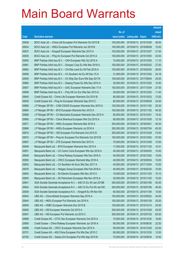|       |                                                                |                      |                            |            | <b>Amount</b> |
|-------|----------------------------------------------------------------|----------------------|----------------------------|------------|---------------|
|       |                                                                | No. of               |                            |            | raised        |
| Code  | <b>Derivative warrants</b>                                     | <i>issue (units)</i> | <b>Listing date Expiry</b> |            | (HK\$ mil.)   |
| 20636 | BOCI Asia Ltd. – China Life European Put Warrants Oct 2015 B   | 100,000,000          | 2015/04/13 2015/10/29      |            | 28.00         |
| 20634 | BOCI Asia Ltd. - HKEx European Put Warrants Jun 2016 B         | 100,000,000          | 2015/04/13 2016/06/08      |            | 15.00         |
| 20637 | BOCI Asia Ltd. - Kingsoft European Warrants Dec 2015 A         | 100,000,000          | 2015/04/13 2015/12/07      |            | 31.00         |
| 20635 | BOCI Asia Ltd. – Ping An European Put Warrants Oct 2015 A      | 100,000,000          | 2015/04/13 2015/10/05      |            | 43.00         |
| 20655 | BNP Paribas Arbit Issu B.V. - CKH European Wts Oct 2015 A      | 74,000,000           | 2015/04/13 2015/10/05      |            | 11.10         |
| 20661 | BNP Paribas Arbit Issu B.V. - Sinopec Corp Eu Wts Mar 2016 A   | 100,000,000          | 2015/04/13 2016/03/02      |            | 27.00         |
| 20662 | BNP Paribas Arbit Issu B.V. - Chi Res Land Eu Wt Feb 2016 A    | 100,000,000          | 2015/04/13 2016/02/02      |            | 28.00         |
| 20658 | BNP Paribas Arbit Issu B.V. - Ch Southern Air Eu Wt Dec 15 A   | 31,000,000           | 2015/04/13 2015/12/02      |            | 24.18         |
| 20659 | BNP Paribas Arbit Issu B.V. - Ch Ship Dev Euro Wts Sep 2017A   | 100,000,000          | 2015/04/13 2017/09/04      |            | 25.00         |
| 20660 | BNP Paribas Arbit Issu B.V. - Datang Power Eu Wts Dec 2015 A   | 30,000,000           | 2015/04/13 2015/12/02      |            | 10.50         |
| 20657 | BNP Paribas Arbit Issu B.V. - GAC European Warrants Dec 17 A   | 100,000,000          | 2015/04/13 2017/12/04      |            | 27.00         |
| 20656 | BNP Paribas Arbit Issu B.V. - Poly HK Inv Eur Wts Dec 2015 A   | 30,000,000           | 2015/04/13 2015/12/02      |            | 11.40         |
| 20640 | Credit Suisse AG – China Life European Warrants Oct 2015 B     | 80,000,000           | 2015/04/13 2015/10/23      |            | 12.00         |
| 20639 | Credit Suisse AG - Ping An European Warrants Sep 2015 C        | 80,000,000           | 2015/04/13 2015/09/29      |            | 24.00         |
| 20666 | J P Morgan SP BV - CAM CSI300 European Warrants Nov 2015 A     | 100,000,000          | 2015/04/13 2015/11/02      |            | 25.30         |
| 20664 | J P Morgan SP BV - BYD European Warrants Nov 2015 A            | 100,000,000          | 2015/04/13 2015/11/02      |            | 46.30         |
| 20668 | J P Morgan SP BV – Ch Merchants European Warrants Dec 2015 A   | 60,000,000           | 2015/04/13 2015/12/01      |            | 15.42         |
| 20665 | J P Morgan SP BV - China Shenhua European Wts Oct 2015 A       | 80,000,000           | 2015/04/13 2015/10/30      |            | 12.16         |
| 20671 | J P Morgan SP BV - HKEx European Warrants Mar 2016 A           | 300,000,000          | 2015/04/13 2016/03/01      |            | 45.30         |
| 20669 | J P Morgan SP BV - HKEx European Warrants Jul 2016 A           | 300,000,000          | 2015/04/13 2016/07/04      |            | 45.30         |
| 20674 | J P Morgan SP BV - HSI European Put Warrants Oct 2015 D        | 300,000,000          | 2015/04/13 2015/10/29      |            | 75.00         |
| 20672 | J P Morgan SP BV - Ping An European Put Warrants Oct 2015 B    | 100,000,000          | 2015/04/13 2015/10/02      |            | 57.60         |
| 20667 | J P Morgan SP BV - ZTE European Warrants Dec 2015 A            | 70,000,000           | 2015/04/13 2015/12/09      |            | 10.50         |
| 20648 | Macquarie Bank Ltd. - BYD European Warrants Nov 2015 A         | 17,000,000           | 2015/04/13 2015/11/03      |            | 10.01         |
| 20651 | Macquarie Bank Ltd. - Ch Comm Cons European Wts Apr 2016 A     | 40,000,000           | 2015/04/13 2016/04/05      |            | 10.00         |
| 20649 | Macquarie Bank Ltd. - China Railway European Wts Dec 2016 A    | 40.000.000           | 2015/04/13 2016/12/02      |            | 10.00         |
| 20650 | Macquarie Bank Ltd. - CRCC European Warrants May 2016 A        | 40,000,000           | 2015/04/13 2016/05/04      |            | 10.00         |
| 20652 | Macquarie Bank Ltd. - Ch Southern Air Euro Wts Dec 2017 A      | 40,000,000           | 2015/04/13 2017/12/04      |            | 10.00         |
| 20676 | Macquarie Bank Ltd. - Weigao Group European Wts Feb 2018 A     | 40,000,000           | 2015/04/13 2018/02/20      |            | 10.00         |
| 20654 | Macquarie Bank Ltd. - Sh Electric European Wts Nov 2015 A      | 16,000,000           | 2015/04/13 2015/11/03      |            | 10.10         |
| 20653 | Macquarie Bank Ltd. - Sh Petrochem European Wts Nov 2015 A     | 30,000,000           | 2015/04/13 2015/11/03      |            | 10.02         |
| 20641 | SGA Societe Generale Acceptance N.V. - A50 Ch Eu Wt Jan 2016B  | 300,000,000          | 2015/04/13 2016/01/06      |            | 45.00         |
| 20642 | SGA Societe Generale Acceptance N.V. - A50 Ch Eu Put Wt Jan16C | 300,000,000          | 2015/04/13 2016/01/06      |            | 45.00         |
| 20638 | SGA Societe Generale Acceptance N.V. - Kingsoft Eu Wt Nov15A   | 60,000,000           | 2015/04/13 2015/11/04      |            | 15.00         |
| 20643 | UBS AG - China Mobile European Warrants Sep 2015 A             | 100,000,000          | 2015/04/13 2015/09/22      |            | 34.00         |
| 20644 | UBS AG - HKEx European Put Warrants Jan 2016 A                 | 100,000,000          | 2015/04/13 2016/01/29      |            | 25.00         |
| 20645 | UBS AG - HSBC European Warrants Dec 2015 B                     | 100,000,000          | 2015/04/13 2015/12/14      |            | 25.50         |
| 20646 | UBS AG - HSI European Warrants Oct 2015 A                      | 300,000,000          | 2015/04/13 2015/10/29      |            | 45.00         |
| 20647 | UBS AG - HSI European Put Warrants Jul 2015 C                  | 300,000,000          | 2015/04/13 2015/07/30      |            | 63.00         |
| 20698 | Credit Suisse AG - CITIC Sec European Warrants Oct 2015 A      | 70,000,000           | 2015/04/14 2015/10/30      |            | 18.90         |
| 20695 | Credit Suisse - China Railway European Warrants Jun 2016 A     | 90,000,000           | 2015/04/14                 | 2016/06/30 | 22.50         |
| 20696 | Credit Suisse AG - CRCC European Warrants Dec 2015 A           | 90,000,000           | 2015/04/14 2015/12/30      |            | 22.50         |
| 20701 | Credit Suisse AG - A50 China European Put Wts Dec 2015 C       | 80,000,000           | 2015/04/14 2015/12/30      |            | 12.00         |
| 20700 | Credit Suisse AG - Galaxy Ent European Put Wts Sep 2015 B      | 70,000,000           | 2015/04/14 2015/09/30      |            | 10.50         |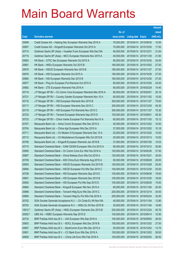|         |                                                              |               |                            |                       | <b>Amount</b> |
|---------|--------------------------------------------------------------|---------------|----------------------------|-----------------------|---------------|
|         |                                                              | No. of        |                            |                       | raised        |
| Code    | <b>Derivative warrants</b>                                   | issue (units) | <b>Listing date Expiry</b> |                       | (HK\$ mil.)   |
| 20699   | Credit Suisse AG - Haitong Sec European Warrants Sep 2015 A  | 70,000,000    |                            | 2015/04/14 2015/09/30 | 10.50         |
| 20697   | Credit Suisse AG - Kingsoft European Warrants Oct 2015 A     | 70,000,000    |                            | 2015/04/14 2015/10/30 | 17.50         |
| 20714   | Goldman Sachs SP (Asia) - Huadian Fuxin European Wts Dec15A  | 40,000,000    | 2015/04/14                 | 2015/12/31            | 21.64         |
| 20715   | Goldman Sachs SP (Asia) - MCC European Warrants Nov 2015 A   | 40,000,000    | 2015/04/14 2015/11/30      |                       | 21.80         |
| 20683   | HK Bank - CITIC Sec European Warrants Oct 2015 A             | 80,000,000    | 2015/04/14                 | 2015/10/30            | 24.00         |
| 20681   | HK Bank - HKEx European Warrants Oct 2015 B                  | 180,000,000   |                            | 2015/04/14 2015/10/02 | 27.00         |
| 20679   | HK Bank - HSCEI European Warrants Nov 2015 B                 | 180,000,000   | 2015/04/14 2015/11/27      |                       | 27.00         |
| 20678   | HK Bank - HSI European Warrants Oct 2015 A                   | 180,000,000   |                            | 2015/04/14 2015/10/29 | 27.00         |
| 20680   | HK Bank - HSI European Warrants Dec 2015 B                   | 180,000,000   |                            | 2015/04/14 2015/12/30 | 27.00         |
| 20677   | HK Bank - Ping An European Put Warrants Oct 2015 A           | 60,000,000    |                            | 2015/04/14 2015/10/30 | 24.00         |
| 20682   | HK Bank - ZTE European Warrants Feb 2016 A                   | 80,000,000    | 2015/04/14                 | 2016/02/29            | 14.40         |
| 20719   | J P Morgan SP BV - Ch Comm Cons European Warrants Mar 2016 A | 80,000,000    | 2015/04/14 2016/03/01      |                       | 20.16         |
| 20721   | J P Morgan SP BV - Country Garden European Warrants Nov 15 A | 60,000,000    |                            | 2015/04/14 2015/11/02 | 15.00         |
| 20716   | J P Morgan SP BV - HSI European Warrants Nov 2015 B          | 300,000,000   |                            | 2015/04/14 2015/11/27 | 75.00         |
| 20717   | J P Morgan SP BV - HSI European Warrants Dec 2015 C          | 300,000,000   |                            | 2015/04/14 2015/12/30 | 45.30         |
| 20718   | J P Morgan SP BV - HSI European Put Warrants Nov 2015 C      | 300,000,000   |                            | 2015/04/14 2015/11/27 | 75.30         |
| 20720   | J P Morgan SP BV - Tencent European Warrants Sep 2015 D      | 100,000,000   | 2015/04/14 2015/09/01      |                       | 45.30         |
| 20723   | J P Morgan SP BV - China Vanke European Put Warrants Nov15 A | 60,000,000    |                            | 2015/04/14 2015/11/03 | 15.12         |
| 20707   | Macquarie Bank Ltd. - Anhui Conch European Wts Dec 2015 A    | 40,000,000    | 2015/04/14                 | 2015/12/02            | 10.00         |
| 20704   | Macquarie Bank Ltd. - China Agri European Wts Dec 2015 A     | 37,000,000    | 2015/04/14 2015/12/02      |                       | 10.18         |
| 20711   | Macquarie Bank Ltd. - Ch Modern D European Warrants Dec 15 A | 20,000,000    |                            | 2015/04/14 2015/12/02 | 10.00         |
| 20712   | Macquarie Bank Ltd. - Ch Molybdenum European Wts Oct 2015 B  | 20,000,000    |                            | 2015/04/14 2015/10/13 | 10.00         |
| 20706   | Macquarie Bank Ltd. - Kingsoft European Warrants Jan 2016 B  | 37,000,000    | 2015/04/14                 | 2016/01/05            | 10.03         |
| 20710   | Standard Chartered Bank - CAM CSI300 European Wts Oct 2015 A | 80,000,000    |                            | 2015/04/14 2015/10/12 | 20.80         |
| 20690   | Standard Chartered Bank - Ch Comm Cons Eur Wts Feb 2016 A    | 150,000,000   |                            | 2015/04/14 2016/02/26 | 37.50         |
| 20687   | Standard Chartered Bank - China Railway Euro Wts Oct 2016 A  | 120,000,000   | 2015/04/14 2016/10/21      |                       | 30.00         |
| 20709   | Standard Chartered Bank - A50 China Euro Warrants Aug 2015 A | 80,000,000    | 2015/04/14 2015/08/28      |                       | 28.00         |
| 20693   | Standard Chartered Bank - HSCEI European Warrants Oct 2015 B | 100,000,000   | 2015/04/14 2015/10/29      |                       | 25.00         |
| 20694   | Standard Chartered Bank - HSCEI European Put Wts Dec 2015 C  | 100,000,000   | 2015/04/14                 | 2015/12/30            | 25.00         |
| 20708   | Standard Chartered Bank - HSI European Warrants Sep 2015 E   | 100,000,000   | 2015/04/14 2015/09/29      |                       | 19.00         |
| 20691   | Standard Chartered Bank - HSI European Warrants Dec 2015 B   | 100,000,000   | 2015/04/14                 | 2015/12/30            | 18.00         |
| 20692   | Standard Chartered Bank - HSI European Put Wts Sep 2015 D    | 100,000,000   | 2015/04/14                 | 2015/09/29            | 15.00         |
| 20684   | Standard Chartered Bank - Kingsoft European Wts Nov 2015 A   | 80,000,000    | 2015/04/14                 | 2015/11/04            | 20.00         |
| 20686   | Standard Chartered Bank - Tencent Hidg Euro Wts Dec 2015 C   | 200,000,000   | 2015/04/14                 | 2015/12/14            | 34.00         |
| 20685   | Standard Chartered Bank - Tencent Hidg Eu Put Wts Feb 2016 A | 200,000,000   | 2015/04/14                 | 2016/02/24            | 32.00         |
| 20702   | SGA Societe Generale Acceptance N.V. - Ch Cinda Eu Wt Nov15A | 40,000,000    | 2015/04/14                 | 2015/11/04            | 12.80         |
| 20703   | SGA Societe Generale Acceptance N.V. - HKEx Eu Wt Nov 2015 B | 30,000,000    | 2015/04/14                 | 2015/11/04            | 18.90         |
| 15912 # | Goldman Sachs SP (Asia) - HKEx European Warrants Dec 2015 B  | 220,000,000   | 2015/04/14                 | 2015/12/24            | 45.76         |
| 20002 # | UBS AG - HSBC European Warrants Sep 2015 D                   | 100,000,000   | 2015/04/14                 | 2015/09/14            | 10.50         |
| 20733   | BNP Paribas Arbit Issu B.V. - AIA European Wts Sep 2016 A    | 100,000,000   |                            | 2015/04/15 2016/09/02 | 26.00         |
| 20803   | BNP Paribas Arbit Issu B.V. - BOCL European Wts Dec 2016 B   | 100,000,000   | 2015/04/15                 | 2016/12/02            | 27.00         |
| 20807   | BNP Paribas Arbit Issu B.V. - BankComm Euro Wts Dec 2015 A   | 55,000,000    |                            | 2015/04/15 2015/12/02 | 13.75         |
| 20801   | BNP Paribas Arbit Issu B.V. - CC Bank Euro Wts Dec 2016 A    | 100,000,000   | 2015/04/15 2016/12/02      |                       | 28.00         |
| 20809   | BNP Paribas Arbit Issu B.V. - China Life Euro Wts Feb 2016 A | 100,000,000   | 2015/04/15 2016/02/02      |                       | 26.00         |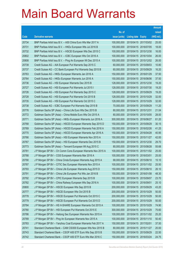|       |                                                              |               |                            |                       | <b>Amount</b> |
|-------|--------------------------------------------------------------|---------------|----------------------------|-----------------------|---------------|
|       |                                                              | No. of        |                            |                       | raised        |
| Code  | <b>Derivative warrants</b>                                   | issue (units) | <b>Listing date Expiry</b> |                       | (HK\$ mil.)   |
| 20734 | BNP Paribas Arbit Issu B.V. - A50 China Euro Wts Mar 2017 A  | 100,000,000   |                            | 2015/04/15 2017/03/02 | 25.00         |
| 20731 | BNP Paribas Arbit Issu B.V. - HKEx European Wts Jul 2016 B   | 100,000,000   |                            | 2015/04/15 2016/07/05 | 18.00         |
| 20732 | BNP Paribas Arbit Issu B.V. - HSCEI European Wts Dec 2015 C  | 100,000,000   |                            | 2015/04/15 2015/12/30 | 16.00         |
| 20802 | BNP Paribas Arbit Issu B.V. - ICBC European Wts Oct 2016 A   | 100,000,000   |                            | 2015/04/15 2016/10/04 | 26.00         |
| 20808 | BNP Paribas Arbit Issu B.V. - Ping An European Wt Dec 2015 A | 100,000,000   |                            | 2015/04/15 2015/12/02 | 26.00         |
| 20739 | Credit Suisse AG - AIA European Put Warrants Sep 2015 C      | 60,000,000    |                            | 2015/04/15 2015/09/03 | 10.80         |
| 20737 | Credit Suisse AG - CC Bank European Put Warrants Sep 2015 B  | 60,000,000    | 2015/04/15 2015/09/29      |                       | 16.20         |
| 20763 | Credit Suisse AG - HKEx European Warrants Jan 2016 A         | 150,000,000   | 2015/04/15 2016/01/29      |                       | 37.50         |
| 20764 | Credit Suisse AG - HKEx European Warrants Jun 2016 A         | 150,000,000   |                            | 2015/04/15 2016/06/06 | 37.50         |
| 20736 | Credit Suisse AG - HSI European Warrants Dec 2015 B          | 128,000,000   |                            | 2015/04/15 2015/12/30 | 19.20         |
| 20727 | Credit Suisse AG - HSI European Put Warrants Jul 2015 I      | 128,000,000   |                            | 2015/04/15 2015/07/30 | 19.20         |
| 20726 | Credit Suisse AG - HSI European Put Warrants Sep 2015 C      | 128,000,000   | 2015/04/15 2015/09/29      |                       | 19.20         |
| 20728 | Credit Suisse AG - HSI European Put Warrants Oct 2015 B      | 128,000,000   |                            | 2015/04/15 2015/10/29 | 32.00         |
| 20735 | Credit Suisse AG - HSI European Put Warrants Oct 2015 C      | 128,000,000   |                            | 2015/04/15 2015/10/29 | 32.00         |
| 20738 | Credit Suisse AG - ICBC European Put Warrants Sep 2015 B     | 70,000,000    | 2015/04/15 2015/09/29      |                       | 11.20         |
| 20776 | Goldman Sachs SP (Asia) - China Life Euro Wts Dec 2015 B     | 80,000,000    | 2015/04/15 2015/12/31      |                       | 21.04         |
| 20772 | Goldman Sachs SP (Asia) - China Mobile Euro Wts Oct 2015 A   | 80,000,000    |                            | 2015/04/15 2015/10/05 | 28.00         |
| 20771 | Goldman Sachs SP (Asia) – HKEx European Warrants Jun 2016 A  | 300,000,000   | 2015/04/15 2016/06/27      |                       | 61.20         |
| 20768 | Goldman Sachs SP (Asia) - HSCEI European Warrants Sep 2015 D | 150,000,000   | 2015/04/15 2015/09/29      |                       | 30.15         |
| 20769 | Goldman Sachs SP (Asia) - HSCEI European Warrants Feb 2016 A | 150,000,000   |                            | 2015/04/15 2016/02/26 | 41.25         |
| 20770 | Goldman Sachs SP (Asia) - HSCEI European Warrants Apr 2016 A | 150,000,000   |                            | 2015/04/15 2016/04/28 | 40.95         |
| 20766 | Goldman Sachs SP (Asia) - HSI European Warrants Nov 2015 A   | 150,000,000   |                            | 2015/04/15 2015/11/27 | 42.00         |
| 20767 | Goldman Sachs SP (Asia) - HSI European Warrants Dec 2015 B   | 150,000,000   |                            | 2015/04/15 2015/12/30 | 29.70         |
| 20773 | Goldman Sachs SP (Asia) - Tencent European Wt Aug 2015 C     | 80,000,000    |                            | 2015/04/15 2015/08/28 | 55.68         |
| 20781 | J P Morgan SP BV - Ch Comm Cons European Warrants Nov 2015 A | 100,000,000   |                            | 2015/04/15 2015/11/02 | 25.00         |
| 20788 | J P Morgan SP BV - CGS European Warrants Mar 2016 A          | 100,000,000   | 2015/04/15 2016/03/01      |                       | 25.00         |
| 20790 | J P Morgan SP BV - China Cinda European Warrants Aug 2015 A  | 68,000,000    | 2015/04/15 2015/08/10      |                       | 15.10         |
| 20787 | J P Morgan SP BV - CITIC Sec European Warrants Nov 2015 A    | 100,000,000   | 2015/04/15 2015/11/02      |                       | 25.50         |
| 20793 | J P Morgan SP BV - China Life European Warrants Aug 2015 D   | 150,000,000   | 2015/04/15 2015/08/10      |                       | 26.10         |
| 20791 | J P Morgan SP BV - China Life European Put Wts Jan 2016 B    | 150,000,000   | 2015/04/15 2016/01/08      |                       | 48.30         |
| 20792 | J P Morgan SP BV - CPIC European Warrants Sep 2015 B         | 100,000,000   | 2015/04/15 2015/09/07      |                       | 23.70         |
| 20782 | J P Morgan SP BV - China Railway European Wts Sep 2016 A     | 100,000,000   | 2015/04/15 2016/09/01      |                       | 25.10         |
| 20800 | J P Morgan SP BV - HSCEI European Wts Sep 2015 B             | 200,000,000   | 2015/04/15 2015/09/29      |                       | 43.20         |
| 20777 | J P Morgan SP BV - HSCEI European Wts Oct 2015 B             | 200,000,000   | 2015/04/15 2015/10/29      |                       | 50.00         |
| 20778 | J P Morgan SP BV - HSCEI European Put Warrants Oct 2015 C    | 200,000,000   | 2015/04/15 2015/10/29      |                       | 50.00         |
| 20779 | J P Morgan SP BV - HSCEI European Put Warrants Oct 2015 D    | 200,000,000   | 2015/04/15 2015/10/29      |                       | 50.00         |
| 20784 | J P Morgan SP BV - HS H-SHARE European Warrants Oct 2015 A   | 100,000,000   | 2015/04/15 2015/10/29      |                       | 74.90         |
| 20780 | J P Morgan SP BV - HSI European Put Warrants Oct 2015 E      | 300,000,000   | 2015/04/15 2015/10/29      |                       | 75.60         |
| 20786 | J P Morgan SP BV - Haitong Sec European Warrants Nov 2015 A  | 100,000,000   | 2015/04/15 2015/11/02      |                       | 25.20         |
| 20789 | J P Morgan SP BV - Ping An European Warrants Nov 2015 A      | 100,000,000   | 2015/04/15 2015/11/10      |                       | 50.40         |
| 20783 | J P Morgan SP BV - Yanzhou Coal European Warrants Feb 2017 A | 150,000,000   | 2015/04/15 2017/02/01      |                       | 37.50         |
| 20741 | Standard Chartered Bank - CAM CSI300 European Wts Nov 2015 B | 80,000,000    | 2015/04/15 2015/11/27      |                       | 20.00         |
| 20743 | Standard Chartered Bank - CSOP A50 ETF Euro Wts Sep 2015 B   | 150,000,000   | 2015/04/15 2015/09/29      |                       | 22.50         |
| 20742 | Standard Chartered Bank - CSOP A50 ETF Euro Wts Mar 2016 C   | 150,000,000   | 2015/04/15 2016/03/24      |                       | 24.75         |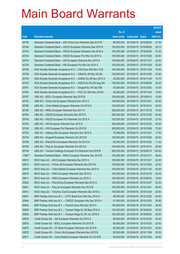|         |                                                               |               |                            |                       | <b>Amount</b> |
|---------|---------------------------------------------------------------|---------------|----------------------------|-----------------------|---------------|
|         |                                                               | No. of        |                            |                       | raised        |
| Code    | <b>Derivative warrants</b>                                    | issue (units) | <b>Listing date Expiry</b> |                       | (HK\$ mil.)   |
| 20740   | Standard Chartered Bank - A50 China Euro Warrants Sep 2015 B  | 80,000,000    | 2015/04/15 2015/09/24      |                       | 47.20         |
| 20746   | Standard Chartered Bank - HSCEI European Warrants Sep 2015 E  | 150,000,000   | 2015/04/15 2015/09/29      |                       | 26.10         |
| 20745   | Standard Chartered Bank - HSCEI European Warrants Feb 2016 A  | 150,000,000   | 2015/04/15 2016/02/26      |                       | 37.50         |
| 20730   | Standard Chartered Bank - HSCEI European Put Wts Oct 2015 C   | 100,000,000   | 2015/04/15 2015/10/29      |                       | 25.00         |
| 20744   | Standard Chartered Bank - HSI European Warrants Nov 2015 A    | 100,000,000   | 2015/04/15 2015/11/27      |                       | 25.00         |
| 20729   | Standard Chartered Bank - HSI European Put Wts Oct 2015 C     | 100,000,000   | 2015/04/15 2015/10/29      |                       | 25.00         |
| 20756   | SGA Societe Generale Acceptance N.V. - CGS Euro Wts Nov 15 B  | 100,000,000   |                            | 2015/04/15 2015/11/04 | 15.00         |
| 20758   | SGA Societe Generale Acceptance N.V. - CRail Eu Wt Dec 2016A  | 150,000,000   | 2015/04/15 2016/12/05      |                       | 37.50         |
| 20759   | SGA Societe Generale Acceptance N.V. - GWMC Eu Wt Nov 2015 A  | 30,000,000    |                            | 2015/04/15 2015/11/04 | 14.70         |
| 20725   | SGA Societe Generale Acceptance N.V. - HSCEI Eu Put Wt Aug15A | 150,000,000   | 2015/04/15 2015/08/28      |                       | 26.25         |
| 20761   | SGA Societe Generale Acceptance N.V. - Kingsoft Eu Wt Dec15B  | 50,000,000    |                            | 2015/04/15 2015/12/02 | 10.00         |
| 20762   | SGA Societe Generale Acceptance N.V. - PICC Eu Wts Nov 2015A  | 40,000,000    | 2015/04/15 2015/11/04      |                       | 10.80         |
| 20797   | UBS AG - BOCL European Warrants Sep 2015 B                    | 100,000,000   |                            | 2015/04/15 2015/09/15 | 15.00         |
| 20752   | UBS AG – China Life European Warrants Dec 2015 C              | 100,000,000   | 2015/04/15 2015/12/31      |                       | 25.00         |
| 20796   | UBS AG - China Mobile European Warrants Oct 2015 A            | 100,000,000   |                            | 2015/04/15 2015/10/14 | 25.00         |
| 20795   | UBS AG - HKEx European Warrants Dec 2017 A                    | 300,000,000   | 2015/04/15 2017/12/18      |                       | 75.00         |
| 20794   | UBS AG - HSCEI European Warrants Dec 2015 D                   | 200,000,000   |                            | 2015/04/15 2015/12/30 | 50.00         |
| 20748   | UBS AG - HSCEI European Put Warrants Oct 2015 A               | 100,000,000   | 2015/04/15 2015/10/29      |                       | 27.00         |
| 20750   | UBS AG - HSI European Warrants Dec 2015 E                     | 300,000,000   |                            | 2015/04/15 2015/12/30 | 45.00         |
| 20749   | UBS AG - HSI European Put Warrants Oct 2015 B                 | 300,000,000   | 2015/04/15 2015/10/29      |                       | 75.00         |
| 20753   | UBS AG - Haitong Sec European Warrants Dec 2015 A             | 70,000,000    | 2015/04/15 2015/12/21      |                       | 17.50         |
| 20754   | UBS AG - Kingsoft European Warrants Oct 2015 B                | 100,000,000   | 2015/04/15 2015/10/26      |                       | 25.00         |
| 20798   | UBS AG - PetroChina European Warrants Oct 2015 A              | 60,000,000    |                            | 2015/04/15 2015/10/22 | 11.22         |
| 20755   | UBS AG - Ping An European Warrants Oct 2015 A                 | 100,000,000   | 2015/04/15 2015/10/14      |                       | 28.50         |
| 20799   | UBS AG - Tencent Holdings European Put Warrants Feb 2016 B    | 500,000,000   |                            | 2015/04/15 2016/02/15 | 125.00        |
| 17587 # | Standard Chartered Bank - HKEx European Warrants Dec 2015 B   | 100,000,000   | 2015/04/15 2015/12/17      |                       | 39.00         |
| 20814   | BOCI Asia Ltd. – AIA European Warrants Dec 2015 A             | 100,000,000   | 2015/04/16 2015/12/21      |                       | 32.00         |
| 20815   | BOCI Asia Ltd. - China Life European Warrants Dec 2015 B      | 100,000,000   | 2015/04/16 2015/12/02      |                       | 32.00         |
| 20819   | BOCI Asia Ltd. - China Mobile European Warrants Nov 2015 A    | 100,000,000   | 2015/04/16 2015/11/30      |                       | 40.00         |
| 20810   | BOCI Asia Ltd. - HKEx European Warrants Dec 2015 D            | 100,000,000   | 2015/04/16 2015/12/18      |                       | 20.00         |
| 20811   | BOCI Asia Ltd. - HKEx European Warrants Jun 2016 C            | 100,000,000   | 2015/04/16 2016/06/20      |                       | 18.00         |
| 20820   | BOCI Asia Ltd. - PetroChina European Warrants Dec 2015 A      | 100,000,000   | 2015/04/16 2015/12/07      |                       | 32.00         |
| 20821   | BOCI Asia Ltd. - Ping An European Warrants Dec 2015 B         | 100,000,000   | 2015/04/16 2015/12/01      |                       | 49.00         |
| 20812   | BOCI Asia Ltd. - Yanzhou Coal European Warrants Dec 2016 A    | 100,000,000   | 2015/04/16 2016/12/28      |                       | 25.00         |
| 20841   | BNP Paribas Arbit Issu B.V. - CITIC Bank Euro Wts Dec 2015 A  | 89,000,000    |                            | 2015/04/16 2015/12/02 | 24.92         |
| 20844   | BNP Paribas Arbit Issu B.V. - CNOOC European Wts Dec 2015 A   | 97,000,000    | 2015/04/16 2015/12/02      |                       | 36.86         |
| 20842   | BNP Paribas Arbit Issu B.V. - PetroCh Euro Wts Dec 2015 A     | 100,000,000   |                            | 2015/04/16 2015/12/02 | 36.00         |
| 20839   | BNP Paribas Arbit Issu B.V. - Tencent HIdgs Eu Wt May 2016 A  | 100,000,000   | 2015/04/16 2016/05/03      |                       | 25.00         |
| 20840   | BNP Paribas Arbit Issu B.V. - Tencent HIdgs Eu Wt Jun 2016 A  | 100,000,000   |                            | 2015/04/16 2016/06/02 | 30.00         |
| 20870   | Credit Suisse AG - AIA European Warrants Oct 2015 A           | 80,000,000    | 2015/04/16 2015/10/30      |                       | 20.00         |
| 20876   | Credit Suisse AG - BOCL European Warrants Oct 2015 B          | 80,000,000    | 2015/04/16 2015/10/23      |                       | 20.00         |
| 20875   | Credit Suisse AG - CC Bank European Warrants Oct 2015 B       | 80,000,000    | 2015/04/16 2015/10/23      |                       | 20.00         |
| 20878   | Credit Suisse AG - China Life European Warrants Nov 2015 B    | 80,000,000    | 2015/04/16 2015/11/09      |                       | 20.00         |
| 20871   | Credit Suisse AG - China Mobile European Warrants Oct 2015 B  | 80,000,000    | 2015/04/16 2015/10/30      |                       | 38.40         |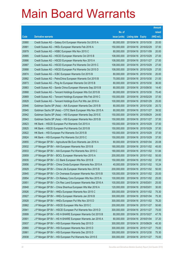|       |                                                              |               |                       | <b>Amount</b> |
|-------|--------------------------------------------------------------|---------------|-----------------------|---------------|
|       |                                                              | No. of        |                       | raised        |
| Code  | <b>Derivative warrants</b>                                   | issue (units) | Listing date Expiry   | $(HK$$ mil.)  |
| 20880 | Credit Suisse AG - Galaxy Ent European Warrants Oct 2015 A   | 80,000,000    | 2015/04/16 2015/10/30 | 20.00         |
| 20881 | Credit Suisse AG - HKEx European Warrants Feb 2016 A         | 150,000,000   | 2015/04/16 2016/02/29 | 37.50         |
| 20879 | Credit Suisse AG - HSBC European Wts Nov 2015 C              | 80,000,000    | 2015/04/16 2015/11/09 | 20.00         |
| 20885 | Credit Suisse AG - HSCEI European Warrants Oct 2015 B        | 108,000,000   | 2015/04/16 2015/10/29 | 27.00         |
| 20886 | Credit Suisse AG - HSCEI European Warrants Nov 2015 A        | 108,000,000   | 2015/04/16 2015/11/27 | 27.00         |
| 20887 | Credit Suisse AG - HSCEI European Put Warrants Oct 2015 C    | 108,000,000   | 2015/04/16 2015/10/29 | 27.00         |
| 20888 | Credit Suisse AG - HSCEI European Put Warrants Oct 2015 D    | 108,000,000   | 2015/04/16 2015/10/29 | 27.00         |
| 20874 | Credit Suisse AG - ICBC European Warrants Oct 2015 B         | 80,000,000    | 2015/04/16 2015/10/30 | 20.00         |
| 20882 | Credit Suisse AG - PetroChina European Warrants Oct 2015 B   | 70,000,000    | 2015/04/16 2015/10/30 | 21.00         |
| 20873 | Credit Suisse AG - Ping An European Warrants Oct 2015 B      | 80,000,000    | 2015/04/16 2015/10/30 | 36.00         |
| 20883 | Credit Suisse AG - Sands China European Warrants Sep 2015 B  | 80,000,000    | 2015/04/16 2015/09/30 | 14.40         |
| 20868 | Credit Suisse AG - Tencent Holdings European Wts Oct 2015 B  | 80,000,000    | 2015/04/16 2015/10/30 | 70.40         |
| 20869 | Credit Suisse AG - Tencent Holdings European Wts Feb 2016 C  | 150,000,000   | 2015/04/16 2016/02/29 | 37.50         |
| 20829 | Credit Suisse AG - Tencent Holdings Euro Put Wts Jan 2016 A  | 100,000,000   | 2015/04/16 2016/01/29 | 25.00         |
| 20946 | Goldman Sachs SP (Asia) - AIA European Warrants Dec 2015 B   | 80,000,000    | 2015/04/16 2015/12/30 | 20.72         |
| 20945 | Goldman Sachs SP (Asia) – CITIC Bank European Wts Nov 2015 A | 80,000,000    | 2015/04/16 2015/11/27 | 39.52         |
| 20942 | Goldman Sachs SP (Asia) - HSI European Warrants Sep 2015 E   | 150,000,000   | 2015/04/16 2015/09/29 | 24.60         |
| 20943 | Goldman Sachs SP (Asia) - HSI European Warrants Nov 2015 B   | 150,000,000   | 2015/04/16 2015/11/27 | 37.50         |
| 20823 | HK Bank - HSCEI European Put Warrants Oct 2015 A             | 150,000,000   | 2015/04/16 2015/10/29 | 37.50         |
| 20825 | HK Bank – HSCEI European Put Warrants Oct 2015 B             | 150,000,000   | 2015/04/16 2015/10/29 | 37.50         |
| 20822 | HK Bank – HSI European Put Warrants Oct 2015 B               | 150,000,000   | 2015/04/16 2015/10/29 | 37.50         |
| 20824 | HK Bank - HSI European Put Warrants Oct 2015 C               | 150,000,000   | 2015/04/16 2015/10/29 | 37.50         |
| 20855 | J P Morgan SP BV - Agricultural Bk Euro Warrants Jan 2016 A  | 80,000,000    | 2015/04/16 2016/01/04 | 20.08         |
| 20932 | J P Morgan SP BV - AIA European Warrants Nov 2015 B          | 180,000,000   | 2015/04/16 2015/11/02 | 45.00         |
| 20933 | J P Morgan SP BV – AIA European Put Warrants Nov 2015 C      | 180,000,000   | 2015/04/16 2015/11/02 | 51.84         |
| 20859 | J P Morgan SP BV - BOCL European Warrants Nov 2015 A         | 200,000,000   | 2015/04/16 2015/11/02 | 50.00         |
| 20935 | J P Morgan SP BV - CC Bank European Wts Nov 2015 B           | 150,000,000   | 2015/04/16 2015/11/02 | 37.50         |
| 20856 | J P Morgan SP BV - China Cinda European Warrants Nov 2015 A  | 40,000,000    | 2015/04/16 2015/11/02 | 10.24         |
| 20929 | J P Morgan SP BV - China Life European Warrants Nov 2015 B   | 200,000,000   | 2015/04/16 2015/11/02 | 50.00         |
| 20845 | J P Morgan SP BV - Ch Overseas European Warrants Nov 2015 B  | 100,000,000   | 2015/04/16 2015/11/02 | 25.00         |
| 20854 | J P Morgan SP BV - Ch Railway Cons European Wts Nov 2015 A   | 100,000,000   | 2015/04/16 2015/11/02 | 25.00         |
| 20851 | J P Morgan SP BV - Chi Res Land European Warrants Mar 2016 A | 100,000,000   | 2015/04/16 2016/03/01 | 25.00         |
| 20848 | J P Morgan SP BV - China Shenhua European Wts Mar 2016 A     | 120,000,000   | 2015/04/16 2016/03/01 | 30.00         |
| 20926 | J P Morgan SP BV - HKEx European Warrants Nov 2015 C         | 300,000,000   | 2015/04/16 2015/11/02 | 75.30         |
| 20927 | J P Morgan SP BV - HKEx European Warrants Jan 2016 B         | 300,000,000   | 2015/04/16 2016/01/04 | 75.30         |
| 20928 | J P Morgan SP BV - HKEx European Put Wts Nov 2015 D          | 300,000,000   | 2015/04/16 2015/11/02 | 76.20         |
| 20862 | J P Morgan SP BV - HSCEI European Wts Nov 2015 C             | 200,000,000   | 2015/04/16 2015/11/27 | 50.60         |
| 20941 | J P Morgan SP BV - HSCEI European Put Warrants Nov 2015 D    | 300,000,000   | 2015/04/16 2015/11/27 | 75.00         |
| 20899 | J P Morgan SP BV - HS H-SHARE European Warrants Oct 2015 B   | 80,000,000    | 2015/04/16 2015/10/27 | 47.76         |
| 20901 | J P Morgan SP BV - HS H-SHARE European Warrants Jan 2016 A   | 80,000,000    | 2015/04/16 2016/01/04 | 37.20         |
| 20937 | J P Morgan SP BV - HSI European Warrants Sep 2015 D          | 300,000,000   | 2015/04/16 2015/09/29 | 45.30         |
| 20860 | J P Morgan SP BV - HSI European Warrants Nov 2015 D          | 300,000,000   | 2015/04/16 2015/11/27 | 75.00         |
| 20861 | J P Morgan SP BV - HSI European Warrants Dec 2015 D          | 300,000,000   | 2015/04/16 2015/12/30 | 75.30         |
| 20938 | J P Morgan SP BV - HSI European Put Warrants Nov 2015 E      | 300,000,000   | 2015/04/16 2015/11/27 | 75.00         |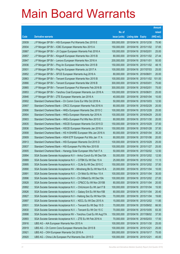|       |                                                                |               |                            |                       | <b>Amount</b> |
|-------|----------------------------------------------------------------|---------------|----------------------------|-----------------------|---------------|
|       |                                                                | No. of        |                            |                       | raised        |
| Code  | <b>Derivative warrants</b>                                     | issue (units) | <b>Listing date Expiry</b> |                       | (HK\$ mil.)   |
| 20939 | J P Morgan SP BV - HSI European Put Warrants Dec 2015 E        | 300,000,000   |                            | 2015/04/16 2015/12/30 | 75.90         |
| 20934 | J P Morgan SP BV - ICBC European Warrants Nov 2015 A           | 150,000,000   | 2015/04/16 2015/11/02      |                       | 37.65         |
| 20867 | J P Morgan SP BV - JX Copper European Warrants Feb 2016 A      | 100,000,000   | 2015/04/16 2016/02/01      |                       | 25.00         |
| 20857 | J P Morgan SP BV - Kingsoft European Warrants Nov 2015 B       | 80,000,000    | 2015/04/16 2015/11/02      |                       | 27.44         |
| 20847 | J P Morgan SP BV – Lenovo European Warrants Nov 2016 A         | 200,000,000   | 2015/04/16 2016/11/01      |                       | 50.00         |
| 20936 | J P Morgan SP BV - Ping An European Warrants Nov 2015 B        | 150,000,000   |                            | 2015/04/16 2015/11/02 | 48.15         |
| 20931 | J P Morgan SP BV - Ping An European Warrants Jul 2017 A        | 100,000,000   | 2015/04/16 2017/07/03      |                       | 25.00         |
| 20852 | J P Morgan SP BV - SFCE European Warrants Aug 2016 A           | 80,000,000    | 2015/04/16 2016/08/01      |                       | 20.00         |
| 20863 | J P Morgan SP BV - Tencent European Warrants Nov 2015 B        | 100,000,000   |                            | 2015/04/16 2015/11/02 | 101.00        |
| 20866 | J P Morgan SP BV - Tencent European Warrants Mar 2016 B        | 300,000,000   | 2015/04/16 2016/03/01      |                       | 75.60         |
| 20865 | J P Morgan SP BV - Tencent European Put Warrants Feb 2016 B    | 300,000,000   | 2015/04/16 2016/02/01      |                       | 75.00         |
| 20853 | J P Morgan SP BV - Yanzhou Coal European Warrants Jun 2016 A   | 100,000,000   | 2015/04/16 2016/06/01      |                       | 25.00         |
| 20846 | J P Morgan SP BV - ZTE European Warrants Jan 2016 A            | 40,000,000    | 2015/04/16 2016/01/04      |                       | 10.00         |
| 20902 | Standard Chartered Bank – Ch Comm Cons Eur Wts Oct 2016 A      | 50,000,000    | 2015/04/16 2016/10/03      |                       | 12.50         |
| 20907 | Standard Chartered Bank - CRCC European Warrants Feb 2016 A    | 80,000,000    | 2015/04/16 2016/02/29      |                       | 20.00         |
| 20906 | Standard Chartered Bank – HKEx European Warrants Dec 2015 C    | 100,000,000   | 2015/04/16 2015/12/28      |                       | 25.00         |
| 20904 | Standard Chartered Bank - HKEx European Warrants Apr 2016 A    | 100,000,000   | 2015/04/16 2016/04/29      |                       | 25.00         |
| 20903 | Standard Chartered Bank - HKEx European Put Wts Nov 2015 E     | 80,000,000    | 2015/04/16 2015/11/30      |                       | 20.00         |
| 20835 | Standard Chartered Bank - HSCEI European Warrants Oct 2015 D   | 150,000,000   | 2015/04/16 2015/10/29      |                       | 37.50         |
| 20836 | Standard Chartered Bank – HSCEI European Warrants Jan 2016 A   | 150,000,000   | 2015/04/16 2016/01/28      |                       | 37.50         |
| 20908 | Standard Chartered Bank - HS H-SHARE European Wts Jan 2016 A   | 80,000,000    |                            | 2015/04/16 2016/01/04 | 35.20         |
| 20909 | Standard Chartered Bank - HSHI ETF European Put Wts Jan 17 A   | 80,000,000    | 2015/04/16 2017/01/06      |                       | 20.00         |
| 20913 | Standard Chartered Bank - HSI European Warrants Oct 2015 D     | 100,000,000   | 2015/04/16 2015/10/29      |                       | 25.00         |
| 20837 | Standard Chartered Bank – HSI European Put Wts Nov 2015 B      | 100,000,000   | 2015/04/16 2015/11/27      |                       | 25.00         |
| 20905 | Standard Chartered Bank - Hanergy Solar European Wts Feb17 A   | 50,000,000    |                            | 2015/04/16 2017/02/02 | 12.50         |
| 20894 | SGA Societe Generale Acceptance N.V - Anhui Conch Eu Wt Dec15A | 50,000,000    | 2015/04/16 2015/12/02      |                       | 12.50         |
| 20889 | SGA Societe Generale Acceptance N.V. - CITBK Eu Wt Dec 15 A    | 25,000,000    | 2015/04/16 2015/12/02      |                       | 11.13         |
| 20895 | SGA Societe Generale Acceptance N.V. - CLife Eu Wt Dec 2015 C  | 150,000,000   | 2015/04/16 2015/12/02      |                       | 37.50         |
| 20890 | SGA Societe Generale Acceptance NV - Minsheng Bk Eu Wt Nov15 A | 20,000,000    | 2015/04/16 2015/11/04      |                       | 10.00         |
| 20891 | SGA Societe Generale Acceptance N.V. - Ch Mob Eu Wt Nov 15 A   | 100,000,000   | 2015/04/16 2015/11/04      |                       | 30.00         |
| 20896 | SGA Societe Generale Acceptance N.V - Ch Oilfield Eu Wt Dec15A | 100,000,000   | 2015/04/16 2015/12/02      |                       | 27.00         |
| 20828 | SGA Societe Generale Acceptance N.V. - CP&CC Eu Wt Nov 2015B   | 80,000,000    | 2015/04/16 2015/11/04      |                       | 20.00         |
| 20892 | SGA Societe Generale Acceptance N.V. - ChiUnicom Eu Wt Jan17 B | 100,000,000   | 2015/04/16 2017/01/04      |                       | 15.50         |
| 20826 | SGA Societe Generale Acceptance N.V. - Galaxy Ent Eu Wt Nov15B | 80,000,000    | 2015/04/16 2015/11/04      |                       | 20.40         |
| 20827 | SGA Societe Generale Acceptance N.V - Haitong Sec Eu Wt Nov15A | 70,000,000    | 2015/04/16 2015/11/04      |                       | 19.60         |
| 20897 | SGA Societe Generale Acceptance N.V. - KECL Eu Wt Dec 2015 A   | 15,000,000    | 2015/04/16 2015/12/02      |                       | 11.85         |
| 20831 | SGA Societe Generale Acceptance N.V. - Tencent Eu Wt Sep 15 D  | 70,000,000    | 2015/04/16 2015/09/02      |                       | 66.50         |
| 20830 | SGA Societe Generale Acceptance N.V. - Tencent Eu Wt Oct 15 C  | 70,000,000    | 2015/04/16 2015/10/05      |                       | 83.30         |
| 20898 | SGA Societe Generale Acceptance NV - Yanzhou Coal Eu Wt Aug17A | 150,000,000   | 2015/04/16 2017/08/02      |                       | 37.50         |
| 20893 | SGA Societe Generale Acceptance N.V. - ZTE Eu Wt Feb 2016 A    | 70,000,000    | 2015/04/16 2016/02/03      |                       | 17.50         |
| 20916 | UBS AG - AIA European Warrants Nov 2015 A                      | 100,000,000   | 2015/04/16 2015/11/30      |                       | 25.00         |
| 20919 | UBS AG – Ch Comm Cons European Warrants Dec 2015 B             | 100,000,000   | 2015/04/16 2015/12/21      |                       | 25.00         |
| 20921 | UBS AG - CKH European Warrants Oct 2016 A                      | 300,000,000   | 2015/04/16 2016/10/17      |                       | 75.00         |
| 20920 | UBS AG - China Life European Put Warrants Dec 2015 D           | 100,000,000   | 2015/04/16 2015/12/21      |                       | 45.00         |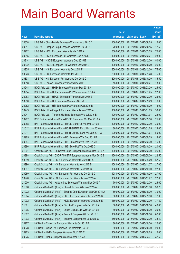|       |                                                                |               |                            |                       | <b>Amount</b> |
|-------|----------------------------------------------------------------|---------------|----------------------------|-----------------------|---------------|
|       |                                                                | No. of        |                            |                       | raised        |
| Code  | <b>Derivative warrants</b>                                     | issue (units) | <b>Listing date Expiry</b> |                       | (HK\$ mil.)   |
| 20838 | UBS AG – China Mobile European Warrants Aug 2015 D             | 100,000,000   | 2015/04/16 2015/08/05      |                       | 15.00         |
| 20917 | UBS AG - Sinopec Corp European Warrants Oct 2015 B             | 70,000,000    | 2015/04/16 2015/10/15      |                       | 17.50         |
| 20922 | UBS AG - HKEx European Warrants Mar 2016 A                     | 300,000,000   | 2015/04/16 2016/03/29      |                       | 75.00         |
| 20915 | UBS AG - HKEx European Put Warrants Dec 2015 E                 | 100,000,000   | 2015/04/16 2015/12/21      |                       | 28.00         |
| 20914 | UBS AG - HSCEI European Warrants Dec 2015 E                    | 200,000,000   |                            | 2015/04/16 2015/12/30 | 50.00         |
| 20832 | UBS AG - HSCEI European Put Warrants Oct 2015 B                | 100,000,000   | 2015/04/16 2015/10/29      |                       | 25.00         |
| 20925 | UBS AG - HSI European Warrants Dec 2015 F                      | 300,000,000   |                            | 2015/04/16 2015/12/30 | 75.00         |
| 20923 | UBS AG - HSI European Warrants Jan 2016 A                      | 300,000,000   | 2015/04/16 2016/01/28      |                       | 75.00         |
| 20833 | UBS AG - HSI European Put Warrants Oct 2015 C                  | 300,000,000   |                            | 2015/04/16 2015/10/29 | 85.50         |
| 20918 | UBS AG - Lenovo European Warrants Dec 2015 B                   | 15,000,000    | 2015/04/16 2015/12/21      |                       | 13.35         |
| 20948 | BOCI Asia Ltd. - HKEx European Warrants Mar 2016 A             | 100,000,000   | 2015/04/17 2016/03/29      |                       | 25.00         |
| 20954 | BOCI Asia Ltd. - HKEx European Put Warrants Jan 2016 A         | 100,000,000   | 2015/04/17 2016/01/25      |                       | 27.00         |
| 20953 | BOCI Asia Ltd. - HSCEI European Warrants Dec 2015 B            | 100,000,000   |                            | 2015/04/17 2015/12/30 | 25.00         |
| 20950 | BOCI Asia Ltd. - HSI European Warrants Sep 2015 C              | 100,000,000   | 2015/04/17 2015/09/29      |                       | 16.00         |
| 20952 | BOCI Asia Ltd. - HSI European Put Warrants Oct 2015 B          | 100,000,000   |                            | 2015/04/17 2015/10/29 | 18.00         |
| 20949 | BOCI Asia Ltd. - Kingsoft European Warrants Nov 2015 A         | 100,000,000   | 2015/04/17 2015/11/23      |                       | 39.00         |
| 20947 | BOCI Asia Ltd. – Tencent Holdings European Wts Jul 2016 B      | 100,000,000   |                            | 2015/04/17 2016/07/04 | 25.00         |
| 20987 | BNP Paribas Arbit Issu B.V. - HSCEI European Wts Mar 2016 A    | 100,000,000   |                            | 2015/04/17 2016/03/30 | 25.00         |
| 20988 | BNP Paribas Arbit Issu B.V. - HSCEI Euro Put Wts Mar 2016 B    | 100,000,000   | 2015/04/17                 | 2016/03/30            | 30.00         |
| 21012 | BNP Paribas Arbit Issu B.V. - HS H-SHARE Euro Wts Jan 2016 A   | 80,000,000    | 2015/04/17 2016/01/05      |                       | 28.00         |
| 21011 | BNP Paribas Arbit Issu B.V. - HS H-SHARE Euro Wts Jan 2017 A   | 200,000,000   |                            | 2015/04/17 2017/01/04 | 50.00         |
| 20985 | BNP Paribas Arbit Issu B.V. - HSI European Wts Sep 2015 B      | 100,000,000   | 2015/04/17 2015/09/29      |                       | 18.00         |
| 20984 | BNP Paribas Arbit Issu B.V. - HSI European Wts Dec 2015 B      | 100,000,000   | 2015/04/17                 | 2015/12/30            | 15.00         |
| 20986 | BNP Paribas Arbit Issu B.V. - HSI Euro Put Wts Oct 2015 C      | 100,000,000   | 2015/04/17 2015/10/29      |                       | 20.00         |
| 21001 | Credit Suisse AG - Ch Comm Cons European Warrants Dec 2015 A   | 100,000,000   |                            | 2015/04/17 2015/12/30 | 26.00         |
| 20998 | Credit Suisse AG - CSOP A50 ETF European Warrants May 2016 B   | 150,000,000   | 2015/04/17 2016/05/30      |                       | 22.50         |
| 20999 | Credit Suisse AG - HKEx European Warrants Mar 2016 A           | 150,000,000   | 2015/04/17 2016/03/29      |                       | 37.50         |
| 20996 | Credit Suisse AG - HSI European Warrants Nov 2015 B            | 108,000,000   | 2015/04/17 2015/11/27      |                       | 27.00         |
| 20997 | Credit Suisse AG - HSI European Warrants Dec 2015 C            | 108,000,000   |                            | 2015/04/17 2015/12/30 | 27.00         |
| 20969 | Credit Suisse AG - HSI European Put Warrants Oct 2015 D        | 108,000,000   | 2015/04/17 2015/10/29      |                       | 27.00         |
| 20970 | Credit Suisse AG - HSI European Put Warrants Nov 2015 A        | 108,000,000   |                            | 2015/04/17 2015/11/27 | 27.00         |
| 21000 | Credit Suisse AG - Haitong Sec European Warrants Dec 2015 A    | 70,000,000    |                            | 2015/04/17 2015/12/30 | 26.60         |
| 21006 | Goldman Sachs SP (Asia) - China Life Euro Wts Nov 2015 A       | 150,000,000   | 2015/04/17                 | 2015/11/30            | 38.25         |
| 21022 | Goldman Sachs SP (Asia) - Sinopec Corp European Wts Oct 2015 A | 80,000,000    |                            | 2015/04/17 2015/10/30 | 30.00         |
| 21004 | Goldman Sachs SP (Asia) - HKEx European Warrants Sep 2015 B    | 80,000,000    |                            | 2015/04/17 2015/09/30 | 12.00         |
| 21002 | Goldman Sachs SP (Asia) - HKEx European Warrants Dec 2015 E    | 150,000,000   |                            | 2015/04/17 2015/12/30 | 37.80         |
| 21021 | Goldman Sachs SP (Asia) - Ping An European Wts Oct 2015 A      | 80,000,000    | 2015/04/17                 | 2015/10/30            | 46.08         |
| 21005 | Goldman Sachs SP (Asia) - Sands China Euro Wts Oct 2015 B      | 80,000,000    |                            | 2015/04/17 2015/10/30 | 20.00         |
| 21007 | Goldman Sachs SP (Asia) - Tencent European Wt Oct 2015 C       | 100,000,000   |                            | 2015/04/17 2015/10/30 | 82.80         |
| 21003 | Goldman Sachs SP (Asia) – Tencent European Wt Dec 2016 C       | 150,000,000   |                            | 2015/04/17 2016/12/30 | 38.40         |
| 20977 | HK Bank - China Life European Warrants Oct 2015 B              | 80,000,000    | 2015/04/17                 | 2015/10/30            | 20.00         |
| 20978 | HK Bank - China Life European Put Warrants Oct 2015 C          | 80,000,000    |                            | 2015/04/17 2015/10/30 | 20.00         |
| 20973 | HK Bank - HKEx European Warrants Oct 2015 C                    | 100,000,000   |                            | 2015/04/17 2015/10/05 | 15.00         |
| 20975 | HK Bank - HKEx European Warrants Mar 2016 A                    | 150,000,000   | 2015/04/17 2016/03/31      |                       | 37.50         |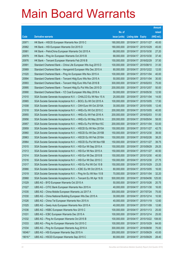|         |                                                               |               |                            |                       | <b>Amount</b> |
|---------|---------------------------------------------------------------|---------------|----------------------------|-----------------------|---------------|
|         |                                                               | No. of        |                            |                       | raised        |
| Code    | <b>Derivative warrants</b>                                    | issue (units) | <b>Listing date Expiry</b> |                       | (HK\$ mil.)   |
| 20971   | HK Bank – HSCEI European Warrants Nov 2015 C                  | 180,000,000   |                            | 2015/04/17 2015/11/27 | 45.00         |
| 20982   | HK Bank - HSI European Warrants Oct 2015 D                    | 180,000,000   | 2015/04/17 2015/10/29      |                       | 45.00         |
| 20981   | HK Bank - PetroChina European Warrants Oct 2015 A             | 68,000,000    | 2015/04/17                 | 2015/10/30            | 27.20         |
| 20979   | HK Bank - Ping An European Warrants Oct 2015 B                | 68,000,000    |                            | 2015/04/17 2015/10/30 | 37.40         |
| 20976   | HK Bank - Tencent European Warrants Feb 2016 B                | 150,000,000   |                            | 2015/04/17 2016/02/29 | 37.50         |
| 20991   | Standard Chartered Bank - China Life European Wts Aug 2015 D  | 100,000,000   |                            | 2015/04/17 2015/08/10 | 31.00         |
| 20989   | Standard Chartered Bank - Henganintl European Wts Dec 2015 A  | 80,000,000    |                            | 2015/04/17 2015/12/22 | 12.00         |
| 21020   | Standard Chartered Bank - Ping An European Wts Nov 2015 A     | 100,000,000   | 2015/04/17 2015/11/04      |                       | 40.00         |
| 20994   | Standard Chartered Bank - Tencent Hidg Euro Wts Nov 2015 A    | 50,000,000    |                            | 2015/04/17 2015/11/04 | 30.00         |
| 20993   | Standard Chartered Bank - Tencent Hidg Euro Wts Feb 2016 B    | 300,000,000   | 2015/04/17 2016/02/03      |                       | 75.00         |
| 20995   | Standard Chartered Bank - Tencent Hidg Eu Put Wts Dec 2015 D  | 200,000,000   | 2015/04/17                 | 2015/12/07            | 50.00         |
| 20990   | Standard Chartered Bank - YZ Coal European Wts May 2016 A     | 50,000,000    |                            | 2015/04/17 2016/05/30 | 12.50         |
| 21010   | SGA Societe Generale Acceptance N.V. - CHALCO Eu Wt Nov 15 A  | 25,000,000    |                            | 2015/04/17 2015/11/04 | 14.00         |
| 20965   | SGA Societe Generale Acceptance N.V. - BOCL Eu Wt Oct 2015 A  | 100,000,000   |                            | 2015/04/17 2015/10/05 | 17.50         |
| 21008   | SGA Societe Generale Acceptance N.V. - CKH Euro Wt Oct 2015A  | 30,000,000    | 2015/04/17                 | 2015/10/05            | 12.45         |
| 21018   | SGA Societe Generale Acceptance N.V. - HKEx Eu Wt Oct 2015 C  | 200,000,000   |                            | 2015/04/17 2015/10/05 | 40.00         |
| 20955   | SGA Societe Generale Acceptance N.V. - HKEx Eu Wt Feb 2016 A  | 200,000,000   |                            | 2015/04/17 2016/02/03 | 51.00         |
| 20956   | SGA Societe Generale Acceptance N.V. - HKEx Eu Wt May 2016 A  | 200,000,000   | 2015/04/17 2016/05/04      |                       | 58.00         |
| 20957   | SGA Societe Generale Acceptance N.V. - HKEx Eu Put Wt Nov15C  | 200,000,000   | 2015/04/17                 | 2015/11/04            | 53.00         |
| 20959   | SGA Societe Generale Acceptance N.V. - HSCEI Eu Wt Nov 2015A  | 150,000,000   |                            | 2015/04/17 2015/11/27 | 42.75         |
| 20960   | SGA Societe Generale Acceptance N.V. - HSCEI Eu Wt Dec 2015B  | 150,000,000   |                            | 2015/04/17 2015/12/30 | 39.00         |
| 20963   | SGA Societe Generale Acceptance N.V. - HSCEI Eu Wt Feb 2016A  | 150,000,000   |                            | 2015/04/17 2016/02/26 | 38.25         |
| 20964   | SGA Societe Generale Acceptance N.V. - HSCEI Eu Put Wt Nov15B | 150,000,000   |                            | 2015/04/17 2015/11/27 | 39.75         |
| 21015   | SGA Societe Generale Acceptance N.V. - HSI Eur Wt Sep 2015 A  | 150,000,000   |                            | 2015/04/17 2015/09/29 | 29.25         |
| 21013   | SGA Societe Generale Acceptance N.V. - HSI Eur Wt Nov 2015 A  | 150,000,000   |                            | 2015/04/17 2015/11/27 | 40.50         |
| 21014   | SGA Societe Generale Acceptance N.V. - HSI Eur Wt Dec 2015 B  | 150,000,000   |                            | 2015/04/17 2015/12/30 | 40.50         |
| 21016   | SGA Societe Generale Acceptance N.V. - HSI Eur Wt Dec 2015 C  | 150,000,000   |                            | 2015/04/17 2015/12/30 | 27.75         |
| 21017   | SGA Societe Generale Acceptance N.V. - HSI Eu Put Wt Oct 15 B | 150,000,000   | 2015/04/17 2015/10/29      |                       | 23.25         |
| 20966   | SGA Societe Generale Acceptance N.V. - ICBC Eu Wt Oct 2015 A  | 80,000,000    |                            | 2015/04/17 2015/10/05 | 16.00         |
| 21019   | SGA Societe Generale Acceptance N.V. - Ping An Eu Wt Nov 15 B | 70,000,000    |                            | 2015/04/17 2015/11/04 | 32.20         |
| 20968   | SGA Societe Generale Acceptance N.V. - Tencent Eu Wt Apr 16 B | 500,000,000   |                            | 2015/04/17 2016/04/06 | 125.00        |
| 21029   | UBS AG - BYD European Warrants Oct 2015 A                     | 50,000,000    | 2015/04/17 2015/10/26      |                       | 20.75         |
| 21027   | UBS AG - CITIC Bank European Warrants Nov 2015 A              | 40,000,000    |                            | 2015/04/17 2015/11/30 | 16.00         |
| 21035   | UBS AG - China Mobile European Warrants Jul 2017 A            | 300,000,000   | 2015/04/17 2017/07/24      |                       | 75.00         |
| 21030   | UBS AG - China National Building European Wts Dec 2015 A      | 30,000,000    |                            | 2015/04/17 2015/12/14 | 10.50         |
| 21026   | UBS AG - China Tel European Warrants Nov 2015 A               | 40,000,000    | 2015/04/17 2015/11/19      |                       | 12.60         |
| 21025   | UBS AG - Geely Auto European Warrants Nov 2015 A              | 40,000,000    | 2015/04/17                 | 2015/11/09            | 12.80         |
| 21036   | UBS AG - HSBC European Warrants Nov 2015 C                    | 100,000,000   |                            | 2015/04/17 2015/11/13 | 25.00         |
| 21031   | UBS AG - ICBC European Warrants Dec 2015 A                    | 100,000,000   |                            | 2015/04/17 2015/12/14 | 25.00         |
| 21032   | UBS AG - Ping An European Warrants Oct 2015 B                 | 100,000,000   |                            | 2015/04/17 2015/10/22 | 108.00        |
| 21033   | UBS AG - Ping An European Warrants Oct 2015 C                 | 100,000,000   |                            | 2015/04/17 2015/10/29 | 64.00         |
| 21034   | UBS AG - Ping An European Warrants Aug 2016 A                 | 300,000,000   | 2015/04/17 2016/08/08      |                       | 75.00         |
| 16046 # | UBS AG - HSI European Warrants Sep 2015 A                     | 200,000,000   | 2015/04/17                 | 2015/09/29            | 43.00         |
| 19016 # | UBS AG - HSCEI European Warrants Sep 2015 C                   | 80,000,000    | 2015/04/17 2015/09/29      |                       | 28.40         |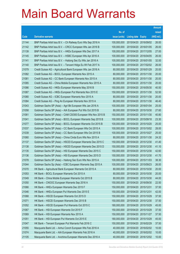|       |                                                              |               |                            | <b>Amount</b> |
|-------|--------------------------------------------------------------|---------------|----------------------------|---------------|
|       |                                                              | No. of        |                            | raised        |
| Code  | <b>Derivative warrants</b>                                   | issue (units) | <b>Listing date Expiry</b> | (HK\$ mil.)   |
| 21144 | BNP Paribas Arbit Issu B.V. - Ch Railway Euro Wts Sep 2016 A | 100,000,000   | 2015/04/20 2016/09/02      | 26.00         |
| 21142 | BNP Paribas Arbit Issu B.V. - CRCC European Wts Jan 2016 B   | 100,000,000   | 2015/04/20 2016/01/05      | 26.00         |
| 21139 | BNP Paribas Arbit Issu B.V. - HKEx European Wts Dec 2017 A   | 100,000,000   | 2015/04/20 2017/12/05      | 27.00         |
| 21145 | BNP Paribas Arbit Issu B.V. - HSBC European Wts Apr 2016 A   | 100,000,000   | 2015/04/20 2016/04/05      | 26.00         |
| 21141 | BNP Paribas Arbit Issu B.V. - Haitong Sec Eu Wts Jan 2016 A  | 100,000,000   | 2015/04/20 2016/01/05      | 32.00         |
| 21140 | BNP Paribas Arbit Issu B.V. - Tencent Hidgs Eu Wt Feb 2017 A | 100,000,000   | 2015/04/20 2017/02/02      | 26.00         |
| 21079 | Credit Suisse AG - Agricultural Bank European Wts Jan 2016 A | 80,000,000    | 2015/04/20 2016/01/29      | 20.00         |
| 21082 | Credit Suisse AG - BOCL European Warrants Nov 2015 A         | 80,000,000    | 2015/04/20 2015/11/30      | 20.00         |
| 21081 | Credit Suisse AG - CC Bank European Warrants Nov 2015 A      | 80,000,000    | 2015/04/20 2015/11/30      | 20.00         |
| 21085 | Credit Suisse AG - China Mobile European Warrants Nov 2015 A | 80,000,000    | 2015/04/20 2015/11/30      | 20.00         |
| 21086 | Credit Suisse AG - HKEx European Warrants May 2016 B         | 150,000,000   | 2015/04/20 2016/05/30      | 40.50         |
| 21087 | Credit Suisse AG - HKEx European Put Warrants Nov 2015 E     | 150,000,000   | 2015/04/20 2015/11/30      | 52.50         |
| 21080 | Credit Suisse AG - ICBC European Warrants Nov 2015 A         | 80,000,000    | 2015/04/20 2015/11/30      | 20.00         |
| 21084 | Credit Suisse AG – Ping An European Warrants Nov 2015 A      | 80,000,000    | 2015/04/20 2015/11/30      | 46.40         |
| 21043 | Goldman Sachs SP (Asia) - Agri Bk European Wts Jan 2016 A    | 100,000,000   | 2015/04/20 2016/01/04      | 25.00         |
| 21058 | Goldman Sachs SP (Asia) – AIA European Put Wts Oct 2015 B    | 80,000,000    | 2015/04/20 2015/10/30      | 27.60         |
| 21061 | Goldman Sachs SP (Asia) - CAM CSI300 European Wts Nov 2015 B | 150,000,000   | 2015/04/20 2015/11/30      | 40.80         |
| 21041 | Goldman Sachs SP (Asia) – BOCL European Warrants Sep 2015 B  | 100,000,000   | 2015/04/20 2015/09/18      | 23.30         |
| 21077 | Goldman Sachs SP (Asia) - BOCL European Warrants Oct 2015 B  | 100,000,000   | 2015/04/20 2015/10/20      | 25.00         |
| 21037 | Goldman Sachs SP (Asia) – CC Bank European Wts Oct 2015 A    | 100,000,000   | 2015/04/20 2015/10/02      | 28.00         |
| 21039 | Goldman Sachs SP (Asia) – CC Bank European Wts Oct 2015 B    | 100,000,000   | 2015/04/20 2015/10/27      | 25.00         |
| 21060 | Goldman Sachs SP (Asia) - China Cinda Euro Wts Nov 2015 A    | 80,000,000    | 2015/04/20 2015/11/30      | 24.32         |
| 21137 | Goldman Sachs SP (Asia) - HSCEI European Warrants Dec 2015 C | 150,000,000   | 2015/04/20 2015/12/30      | 41.40         |
| 21138 | Goldman Sachs SP (Asia) - HSCEI European Warrants Dec 2015 D | 150,000,000   | 2015/04/20 2015/12/30      | 41.10         |
| 21135 | Goldman Sachs SP (Asia) – HSI European Warrants Dec 2015 C   | 150,000,000   | 2015/04/20 2015/12/30      | 42.60         |
| 21136 | Goldman Sachs SP (Asia) - HSI European Warrants Dec 2015 D   | 150,000,000   | 2015/04/20 2015/12/30      | 41.70         |
| 21078 | Goldman Sachs SP (Asia) - Haitong Sec Euro Wts Nov 2015 A    | 100,000,000   | 2015/04/20 2015/11/03      | 38.30         |
| 21044 | Goldman Sachs Sp (Asia) - ICBC European Warrants Sep 2015 A  | 100,000,000   | 2015/04/20 2015/09/23      | 26.00         |
| 21070 | HK Bank - Agricultural Bank European Warrants Oct 2015 A     | 80,000,000    | 2015/04/20 2015/10/30      | 20.00         |
| 21053 | HK Bank - BOCL European Warrants Oct 2015 A                  | 80,000,000    | 2015/04/20 2015/10/30      | 20.00         |
| 21049 | HK Bank - China Mobile European Warrants Oct 2015 B          | 80,000,000    | 2015/04/20 2015/10/30      | 44.00         |
| 21050 | HK Bank - CNOOC European Warrants Sep 2016 A                 | 150,000,000   | 2015/04/20 2016/09/30      | 22.50         |
| 21066 | HK Bank - HKEx European Warrants Dec 2015 F                  | 150,000,000   | 2015/04/20 2015/12/31      | 37.50         |
| 21046 | HK Bank - HKEx European Put Warrants Dec 2015 E              | 150,000,000   | 2015/04/20 2015/12/31      | 42.00         |
| 21068 | HK Bank - HSCEI European Warrants Oct 2015 D                 | 150,000,000   | 2015/04/20 2015/10/29      | 37.50         |
| 21071 | HK Bank - HSCEI European Warrants Dec 2015 B                 | 150,000,000   | 2015/04/20 2015/12/30      | 37.50         |
| 21052 | HK Bank - HSCEI European Put Warrants Oct 2015 C             | 180,000,000   | 2015/04/20 2015/10/29      | 45.00         |
| 21067 | HK Bank - HSI European Warrants Oct 2015 F                   | 150,000,000   | 2015/04/20 2015/10/29      | 37.50         |
| 21069 | HK Bank - HSI European Warrants Nov 2015 A                   | 150,000,000   | 2015/04/20 2015/11/27      | 37.50         |
| 21051 | HK Bank - HSI European Put Warrants Oct 2015 E               | 180,000,000   | 2015/04/20 2015/10/29      | 45.00         |
| 21047 | HK Bank - Tencent European Put Warrants Feb 2016 C           | 150,000,000   | 2015/04/20 2016/02/29      | 37.50         |
| 21055 | Macquarie Bank Ltd. - Anhui Conch European Wts Feb 2016 A    | 40,000,000    | 2015/04/20 2016/02/02      | 10.00         |
| 21074 | Macquarie Bank Ltd. - AIA European Warrants Feb 2016 A       | 40,000,000    | 2015/04/20 2016/02/02      | 10.00         |
| 21105 | Macquarie Bank Ltd. - Avichina European Warrants Dec 2016 A  | 40,000,000    | 2015/04/20 2016/12/02      | 10.00         |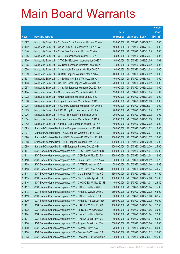|       |                                                                |               |                            |                       | <b>Amount</b> |
|-------|----------------------------------------------------------------|---------------|----------------------------|-----------------------|---------------|
|       |                                                                | No. of        |                            |                       | raised        |
| Code  | <b>Derivative warrants</b>                                     | issue (units) | <b>Listing date Expiry</b> |                       | (HK\$ mil.)   |
| 21097 | Macquarie Bank Ltd. - Ch Comm Cons European Wts Jun 2016 A     | 25,000,000    |                            | 2015/04/20 2016/06/02 | 10.00         |
| 21102 | Macquarie Bank Ltd. - China COSCO European Wts Jul 2017 A      | 40,000,000    | 2015/04/20 2017/07/04      |                       | 10.00         |
| 21040 | Macquarie Bank Ltd. - China Coal European Wts Jan 2016 A       | 20,000,000    | 2015/04/20                 | 2016/01/05            | 10.00         |
| 21096 | Macquarie Bank Ltd. - CGS European Warrants Mar 2016 A         | 35,000,000    |                            | 2015/04/20 2016/03/04 | 10.05         |
| 21100 | Macquarie Bank Ltd. - CITIC Sec European Warrants Jan 2016 A   | 19,000,000    |                            | 2015/04/20 2016/01/05 | 10.01         |
| 21095 | Macquarie Bank Ltd. - CM Bank European Warrants Feb 2016 A     | 37,000,000    |                            | 2015/04/20 2016/02/02 | 10.03         |
| 21056 | Macquarie Bank Ltd. - China Mobile European Wts Nov 2015 A     | 40,000,000    | 2015/04/20 2015/11/03      |                       | 10.00         |
| 21099 | Macquarie Bank Ltd. - CNBM European Warrants Mar 2018 A        | 40,000,000    | 2015/04/20 2018/03/02      |                       | 10.00         |
| 21101 | Macquarie Bank Ltd. - Ch Southern Air Euro Wts Oct 2016 A      | 40,000,000    |                            | 2015/04/20 2016/10/04 | 10.00         |
| 21103 | Macquarie Bank Ltd. - Ch Ship Cont European Wts Mar 2016 A     | 20,000,000    |                            | 2015/04/20 2016/03/02 | 10.02         |
| 21057 | Macquarie Bank Ltd. - China Tel European Warrants Dec 2015 A   | 40,000,000    |                            | 2015/04/20 2015/12/02 | 10.00         |
| 21104 | Macquarie Bank Ltd. - Gome European Warrants Jul 2016 A        | 15,000,000    | 2015/04/20 2016/07/05      |                       | 11.37         |
| 21072 | Macquarie Bank Ltd. - HKEx European Warrants Jan 2016 C        | 40,000,000    |                            | 2015/04/20 2016/01/05 | 10.00         |
| 21098 | Macquarie Bank Ltd. - Kingsoft European Warrants Nov 2015 B    | 25,000,000    | 2015/04/20 2015/11/03      |                       | 10.00         |
| 21075 | Macquarie Bank Ltd. - PICC P&C European Warrants May 2016 B    | 40,000,000    | 2015/04/20 2016/05/04      |                       | 10.00         |
| 21073 | Macquarie Bank Ltd. - PICC Group European Wts Jan 2016 A       | 20,000,000    |                            | 2015/04/20 2016/01/05 | 10.20         |
| 21076 | Macquarie Bank Ltd. - Ping An European Warrants Dec 2015 A     | 20,000,000    |                            | 2015/04/20 2015/12/02 | 10.92         |
| 21054 | Macquarie Bank Ltd. - Tencent European Warrants Nov 2015 A     | 22,000,000    | 2015/04/20 2015/11/03      |                       | 10.03         |
| 21042 | Macquarie Bank Ltd. - Yanzhou Coal European Wts Mar 2017 A     | 40,000,000    |                            | 2015/04/20 2017/03/02 | 10.00         |
| 21093 | Standard Chartered Bank – AIA European Warrants Nov 2015 B     | 60,000,000    | 2015/04/20 2015/11/02      |                       | 15.00         |
| 21094 | Standard Chartered Bank - AIA European Warrants Dec 2015 A     | 60,000,000    |                            | 2015/04/20 2015/12/04 | 15.00         |
| 21090 | Standard Chartered Bank - HSCEI European Put Wts Nov 2015 B    | 100,000,000   | 2015/04/20 2015/11/27      |                       | 25.00         |
| 21088 | Standard Chartered Bank - HSI European Warrants Dec 2015 C     | 100,000,000   |                            | 2015/04/20 2015/12/30 | 15.00         |
| 21089 | Standard Chartered Bank – HSI European Put Wts Dec 2015 D      | 100,000,000   |                            | 2015/04/20 2015/12/30 | 25.00         |
| 21107 | SGA Societe Generale Acceptance N.V. - BOCL Eu Wt Nov 2015 B   | 100,000,000   |                            | 2015/04/20 2015/11/04 | 25.00         |
| 21111 | SGA Societe Generale Acceptance N.V. - CCB Eur Wt Nov 2015 A   | 100,000,000   | 2015/04/20 2015/11/04      |                       | 32.00         |
| 21110 | SGA Societe Generale Acceptance N.V. - CCoal Eu Wt Dec 2015 A  | 30,000,000    | 2015/04/20 2015/12/02      |                       | 16.20         |
| 21109 | SGA Societe Generale Acceptance N.V. - CITBK Eu Wt Jan 16 A    | 25,000,000    | 2015/04/20 2016/01/06      |                       | 12.38         |
| 21113 | SGA Societe Generale Acceptance N.V. - CLife Eu Wt Nov 2015 B  | 150,000,000   | 2015/04/20 2015/11/04      |                       | 40.50         |
| 21114 | SGA Societe Generale Acceptance N.V. - CLife Eu Put Wt Nov15C  | 150,000,000   | 2015/04/20 2015/11/04      |                       | 67.50         |
| 21115 | SGA Societe Generale Acceptance N.V. - CMB Eu Wts Apr 2016 A   | 100,000,000   | 2015/04/20 2016/04/06      |                       | 25.00         |
| 21116 | SGA Societe Generale Acceptance N.V. - CNOOC Eu Wt Nov 2015B   | 40,000,000    | 2015/04/20 2015/11/04      |                       | 26.40         |
| 21117 | SGA Societe Generale Acceptance N.V. - HKEx Eu Wt Nov 2015 D   | 250,000,000   | 2015/04/20 2015/11/04      |                       | 75.00         |
| 21118 | SGA Societe Generale Acceptance N.V. - HKEx Eu Wt Dec 2015 C   | 250,000,000   | 2015/04/20 2015/12/02      |                       | 65.00         |
| 21119 | SGA Societe Generale Acceptance N.V. - HKEx Eu Wt Jan 2016 E   | 250,000,000   | 2015/04/20 2016/01/06      |                       | 62.50         |
| 21120 | SGA Societe Generale Acceptance N.V. - HKEx Eu Put Wt Dec15D   | 250,000,000   |                            | 2015/04/20 2015/12/02 | 100.00        |
| 21121 | SGA Societe Generale Acceptance N.V. - ICBC Eu Wt Nov 2015 B   | 100,000,000   | 2015/04/20 2015/11/04      |                       | 27.50         |
| 21122 | SGA Societe Generale Acceptance N.V. - JIANC Eu Wt Apr 2016A   | 80,000,000    | 2015/04/20 2016/04/06      |                       | 20.00         |
| 21124 | SGA Societe Generale Acceptance N.V. - Petch Eu Wt Nov 2015A   | 60,000,000    | 2015/04/20 2015/11/04      |                       | 27.60         |
| 21127 | SGA Societe Generale Acceptance N.V. - Ping An Eu Wt Nov 15 C  | 80,000,000    | 2015/04/20 2015/11/04      |                       | 60.00         |
| 21126 | SGA Societe Generale Acceptance N.V. - Ping An Eu Wt Mar 17 A  | 500,000,000   | 2015/04/20 2017/03/06      |                       | 125.00        |
| 21130 | SGA Societe Generale Acceptance N.V. - Tencent Eu Wt Nov 15 B  | 70,000,000    | 2015/04/20 2015/11/04      |                       | 60.90         |
| 21128 | SGA Societe Generale Acceptance N.V. - Tencent Eu Wt Nov 16 A  | 500,000,000   |                            | 2015/04/20 2016/11/02 | 125.00        |
| 21063 | SGA Societe Generale Acceptance N.V - Tencent Eu Put Wt Jun16A | 500,000,000   | 2015/04/20 2016/06/01      |                       | 125.00        |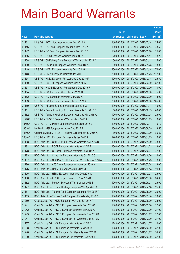|         |                                                            |               |                            |                       | <b>Amount</b> |
|---------|------------------------------------------------------------|---------------|----------------------------|-----------------------|---------------|
|         |                                                            | No. of        |                            |                       | raised        |
| Code    | <b>Derivative warrants</b>                                 | issue (units) | <b>Listing date Expiry</b> |                       | (HK\$ mil.)   |
| 21161   | UBS AG - BOCL European Warrants Dec 2015 A                 | 100,000,000   |                            | 2015/04/20 2015/12/14 | 28.00         |
| 21146   | UBS AG - CC Bank European Warrants Dec 2015 A              | 100,000,000   |                            | 2015/04/20 2015/12/14 | 43.50         |
| 21147   | UBS AG - CC Bank European Warrants Dec 2015 B              | 100,000,000   |                            | 2015/04/20 2015/12/28 | 25.00         |
| 21156   | UBS AG - CGS European Warrants Jan 2016 A                  | 70,000,000    | 2015/04/20 2016/01/11      |                       | 18.20         |
| 21158   | UBS AG - Ch Railway Cons European Warrants Jan 2016 A      | 60,000,000    | 2015/04/20 2016/01/11      |                       | 15.00         |
| 21160   | UBS AG - Fosun Intl European Warrants Jan 2016 A           | 50,000,000    |                            | 2015/04/20 2016/01/25 | 13.00         |
| 21149   | UBS AG - HKEx European Warrants Dec 2015 G                 | 300,000,000   |                            | 2015/04/20 2015/12/14 | 174.00        |
| 21148   | UBS AG - HKEx European Warrants Jan 2016 B                 | 300,000,000   |                            | 2015/04/20 2016/01/25 | 117.00        |
| 21134   | UBS AG - HKEx European Put Warrants Dec 2015 F             | 100,000,000   |                            | 2015/04/20 2015/12/14 | 26.50         |
| 21150   | UBS AG - HSCEI European Warrants Mar 2016 A                | 200,000,000   |                            | 2015/04/20 2016/03/30 | 52.00         |
| 21131   | UBS AG - HSCEI European Put Warrants Dec 2015 F            | 100,000,000   |                            | 2015/04/20 2015/12/30 | 30.00         |
| 21154   | UBS AG - HSI European Warrants Dec 2015 H                  | 300,000,000   |                            | 2015/04/20 2015/12/30 | 75.00         |
| 21152   | UBS AG - HSI European Warrants Mar 2016 A                  | 300,000,000   |                            | 2015/04/20 2016/03/30 | 78.00         |
| 21133   | UBS AG - HSI European Put Warrants Dec 2015 G              | 300,000,000   |                            | 2015/04/20 2015/12/30 | 105.00        |
| 21159   | UBS AG - Kingsoft European Warrants Jan 2016 A             | 100,000,000   | 2015/04/20 2016/01/11      |                       | 43.00         |
| 21151   | UBS AG - Tencent Holdings European Warrants Oct 2015 B     | 50,000,000    |                            | 2015/04/20 2015/10/19 | 60.00         |
| 21162   | UBS AG - Tencent Holdings European Warrants Mar 2016 A     | 100,000,000   |                            | 2015/04/20 2016/03/24 | 25.00         |
| 11926 # | UBS AG - CNOOC European Warrants Nov 2015 A                | 200,000,000   |                            | 2015/04/20 2015/11/23 | 10.00         |
| 13756 # | UBS AG - CITIC Pacific European Warrants Dec 2015 B        | 100,000,000   |                            | 2015/04/20 2015/12/14 | 10.10         |
| 16618 # | HK Bank - HSI European Warrants Sep 2015 B                 | 150,000,000   |                            | 2015/04/20 2015/09/29 | 28.50         |
| 19846 # | Goldman Sachs SP (Asia) - Tencent European Wt Jul 2015 A   | 70,000,000    |                            | 2015/04/20 2015/07/30 | 86.80         |
| 20644 # | UBS AG - HKEx European Put Warrants Jan 2016 A             | 120,000,000   |                            | 2015/04/20 2016/01/29 | 10.80         |
| 21188   | BOCI Asia Ltd. - CAM CSI300 European Warrants Nov 2015 B   | 100,000,000   | 2015/04/21                 | 2015/11/09            | 43.00         |
| 21181   | BOCI Asia Ltd. - BOCL European Warrants Nov 2015 B         | 100,000,000   |                            | 2015/04/21 2015/11/23 | 29.00         |
| 21178   | BOCI Asia Ltd. - CC Bank European Warrants Dec 2015 A      | 100,000,000   |                            | 2015/04/21 2015/12/07 | 42.00         |
| 21183   | BOCI Asia Ltd. - China Life European Warrants Oct 2015 C   | 100,000,000   |                            | 2015/04/21 2015/10/26 | 34.00         |
| 21187   | BOCI Asia Ltd. - CSOP A50 ETF European Warrants May 2016 A | 100,000,000   |                            | 2015/04/21 2016/05/23 | 18.00         |
| 21186   | BOCI Asia Ltd. - A50 China European Warrants Jul 2016 A    | 100,000,000   |                            | 2015/04/21 2016/07/04 | 18.00         |
| 21176   | BOCI Asia Ltd. - HKEx European Warrants Dec 2015 E         | 100,000,000   | 2015/04/21                 | 2015/12/14            | 29.00         |
| 21175   | BOCI Asia Ltd. - HSBC European Warrants Dec 2015 A         | 100,000,000   |                            | 2015/04/21 2015/12/28 | 26.00         |
| 21180   | BOCI Asia Ltd. - ICBC European Warrants Nov 2015 B         | 100,000,000   | 2015/04/21                 | 2015/11/30            | 34.00         |
| 21182   | BOCI Asia Ltd. - Ping An European Warrants Sep 2016 B      | 100,000,000   | 2015/04/21                 | 2016/09/23            | 25.00         |
| 21177   | BOCI Asia Ltd. - Tencent Holdings European Wts Apr 2016 A  | 100,000,000   | 2015/04/21                 | 2016/04/18            | 25.00         |
| 21184   | BOCI Asia Ltd. - Tracker Fund European Warrants May 2016 A | 100,000,000   | 2015/04/21                 | 2016/05/30            | 25.00         |
| 21185   | BOCI Asia Ltd. - Tracker Fund European Put Wts May 2016 B  | 100,000,000   | 2015/04/21                 | 2016/05/16            | 28.00         |
| 21260   | Credit Suisse AG - HKEx European Warrants Jun 2017 A       | 200,000,000   | 2015/04/21                 | 2017/06/30            | 126.00        |
| 21241   | Credit Suisse AG - HSCEI European Warrants Dec 2015 C      | 108,000,000   | 2015/04/21                 | 2015/12/30            | 27.00         |
| 21242   | Credit Suisse AG - HSCEI European Warrants Mar 2016 A      | 108,000,000   | 2015/04/21                 | 2016/03/30            | 27.00         |
| 21243   | Credit Suisse AG - HSCEI European Put Warrants Nov 2015 B  | 108,000,000   | 2015/04/21                 | 2015/11/27            | 27.00         |
| 21244   | Credit Suisse AG - HSCEI European Put Warrants Dec 2015 D  | 108,000,000   | 2015/04/21                 | 2015/12/30            | 27.00         |
| 21237   | Credit Suisse AG - HSI European Warrants Nov 2015 C        | 128,000,000   | 2015/04/21                 | 2015/11/27            | 32.00         |
| 21238   | Credit Suisse AG - HSI European Warrants Dec 2015 D        | 128,000,000   | 2015/04/21                 | 2015/12/30            | 32.00         |
| 21240   | Credit Suisse AG - HSI European Put Warrants Nov 2015 D    | 128,000,000   | 2015/04/21                 | 2015/11/27            | 34.56         |
| 21239   | Credit Suisse AG - HSI European Put Warrants Dec 2015 E    | 128,000,000   | 2015/04/21                 | 2015/12/30            | 32.00         |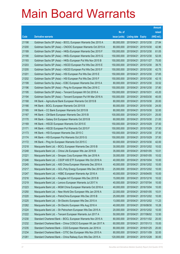|       |                                                               |               |                            |                       | <b>Amount</b> |
|-------|---------------------------------------------------------------|---------------|----------------------------|-----------------------|---------------|
|       |                                                               | No. of        |                            |                       | raised        |
| Code  | <b>Derivative warrants</b>                                    | issue (units) | <b>Listing date Expiry</b> |                       | (HK\$ mil.)   |
| 21198 | Goldman Sachs SP (Asia) - BOCL European Warrants Dec 2015 A   | 80,000,000    | 2015/04/21                 | 2015/12/30            | 27.84         |
| 21200 | Goldman Sachs SP (Asia) - CNOOC European Warrants Oct 2015 A  | 80,000,000    | 2015/04/21                 | 2015/10/30            | 42.96         |
| 21189 | Goldman Sachs SP (Asia) - HKEx European Warrants Dec 2015 F   | 150,000,000   | 2015/04/21                 | 2015/12/30            | 61.05         |
| 21190 | Goldman Sachs SP (Asia) - HKEx European Warrants Dec 2015 G   | 150,000,000   | 2015/04/21                 | 2015/12/30            | 52.05         |
| 21193 | Goldman Sachs SP (Asia) - HKEx European Put Wts Nov 2015 B    | 150,000,000   | 2015/04/21                 | 2015/11/27            | 75.00         |
| 21203 | Goldman Sachs SP (Asia) - HSCEI European Put Wts Dec 2015 E   | 150,000,000   | 2015/04/21                 | 2015/12/30            | 39.75         |
| 21205 | Goldman Sachs SP (Asia) - HSCEI European Put Wts Dec 2015 F   | 150,000,000   | 2015/04/21                 | 2015/12/30            | 42.75         |
| 21201 | Goldman Sachs SP (Asia) - HSI European Put Wts Dec 2015 E     | 150,000,000   | 2015/04/21                 | 2015/12/30            | 37.65         |
| 21202 | Goldman Sachs SP (Asia) - HSI European Put Wts Dec 2015 F     | 150,000,000   | 2015/04/21                 | 2015/12/30            | 42.15         |
| 21199 | Goldman Sachs Sp (Asia) - ICBC European Warrants Dec 2015 A   | 80,000,000    | 2015/04/21                 | 2015/12/30            | 33.52         |
| 21196 | Goldman Sachs SP (Asia) - Ping An European Wts Dec 2016 C     | 150,000,000   | 2015/04/21                 | 2016/12/30            | 37.80         |
| 21195 | Goldman Sachs SP (Asia) - Tencent European Wt Oct 2016 A      | 150,000,000   | 2015/04/21                 | 2016/10/31            | 43.20         |
| 21194 | Goldman Sachs SP (Asia) - Tencent European Put Wt Mar 2016 A  | 150,000,000   | 2015/04/21                 | 2016/03/30            | 40.05         |
| 21168 | HK Bank - Agricultural Bank European Warrants Oct 2015 B      | 80,000,000    | 2015/04/21                 | 2015/10/30            | 20.00         |
| 21166 | HK Bank - BOCL European Warrants Oct 2015 B                   | 80,000,000    | 2015/04/21                 | 2015/10/30            | 24.00         |
| 21165 | HK Bank - CC Bank European Warrants Oct 2015 B                | 80,000,000    | 2015/04/21                 | 2015/10/30            | 32.00         |
| 21167 | HK Bank - CM Bank European Warrants Dec 2015 B                | 100,000,000   | 2015/04/21                 | 2015/12/31            | 25.00         |
| 21170 | HK Bank - Galaxy Ent European Warrants Oct 2015 B             | 60,000,000    | 2015/04/21                 | 2015/10/30            | 21.00         |
| 21169 | HK Bank - HSCEI European Warrants Oct 2015 E                  | 150,000,000   | 2015/04/21                 | 2015/10/29            | 37.50         |
| 21171 | HK Bank - HSCEI European Put Warrants Oct 2015 F              | 150,000,000   | 2015/04/21                 | 2015/10/29            | 37.50         |
| 21173 | HK Bank - HSI European Warrants Dec 2015 C                    | 150,000,000   | 2015/04/21                 | 2015/12/30            | 37.50         |
| 21174 | HK Bank - HSI European Put Warrants Oct 2015 G                | 150,000,000   | 2015/04/21                 | 2015/10/29            | 37.50         |
| 21172 | HK Bank - Ping An European Warrants Oct 2015 C                | 60,000,000    | 2015/04/21                 | 2015/10/30            | 42.00         |
| 21218 | Macquarie Bank Ltd. - BOCL European Warrants Dec 2015 B       | 30,000,000    | 2015/04/21                 | 2015/12/02            | 10.02         |
| 21248 | Macquarie Bank Ltd. - China Life European Wts Jan 2016 B      | 35,000,000    | 2015/04/21                 | 2016/01/05            | 10.01         |
| 21221 | Macquarie Bank Ltd. - Sinopec Corp European Wts Jan 2016 A    | 30,000,000    | 2015/04/21                 | 2016/01/05            | 10.02         |
| 21246 | Macquarie Bank Ltd. - CSOP A50 ETF European Wts Oct 2016 A    | 40,000,000    | 2015/04/21                 | 2016/10/04            | 10.00         |
| 21245 | Macquarie Bank Ltd. - A50 China European Warrants Dec 2016 A  | 40,000,000    |                            | 2015/04/21 2016/12/02 | 10.00         |
| 21217 | Macquarie Bank Ltd. - GCL-Poly Energy European Wts Dec 2015 B | 25,000,000    | 2015/04/21                 | 2015/12/02            | 10.00         |
| 21247 | Macquarie Bank Ltd. - HSBC European Warrants Apr 2016 A       | 40,000,000    | 2015/04/21                 | 2016/04/05            | 10.00         |
| 21216 | Macquarie Bank Ltd. - Kingdee Int'l European Wts Dec 2015 B   | 15,000,000    | 2015/04/21                 | 2015/12/16            | 10.02         |
| 21219 | Macquarie Bank Ltd. - Lenovo European Warrants Jul 2017 A     | 40,000,000    | 2015/04/21                 | 2017/07/04            | 10.00         |
| 21223 | Macquarie Bank Ltd. - MGM China European Warrants Oct 2016 A  | 40,000,000    | 2015/04/21                 | 2016/10/04            | 10.00         |
| 21250 | Macquarie Bank Ltd. - New World Dev European Wts Jan 2016 A   | 22,000,000    | 2015/04/21                 | 2016/01/05            | 10.01         |
| 21220 | Macquarie Bank Ltd. - PetroChina European Wts Dec 2015 B      | 25,000,000    | 2015/04/21                 | 2015/12/02            | 10.00         |
| 21225 | Macquarie Bank Ltd. - Sh Electric European Wts Dec 2015 A     | 13,000,000    | 2015/04/21                 | 2015/12/02            | 11.23         |
| 21262 | Macquarie Bank Ltd. - Sh Electric European Wts Aug 2016 A     | 40,000,000    | 2015/04/21                 | 2016/08/30            | 10.28         |
| 21224 | Macquarie Bank Ltd. - Sh Petrochem European Wts Dec 2015 A    | 20,000,000    | 2015/04/21                 | 2015/12/02            | 10.00         |
| 21222 | Macquarie Bank Ltd. - Tencent European Warrants Jun 2017 A    | 50,000,000    | 2015/04/21                 | 2017/06/02            | 12.50         |
| 21230 | Standard Chartered Bank - BOCL European Warrants Nov 2015 A   | 80,000,000    | 2015/04/21                 | 2015/11/02            | 20.00         |
| 21232 | Standard Chartered Bank - China COSCO European Wt Jan 2017 A  | 60,000,000    | 2015/04/21                 | 2017/01/13            | 15.00         |
| 21235 | Standard Chartered Bank - CGS European Warrants Jan 2016 A    | 80,000,000    | 2015/04/21                 | 2016/01/25            | 20.00         |
| 21234 | Standard Chartered Bank - CITIC Sec European Wts Nov 2015 A   | 80,000,000    | 2015/04/21                 | 2015/11/09            | 32.00         |
| 21261 | Standard Chartered Bank - China Railway Euro Wts Dec 2015 A   | 120,000,000   | 2015/04/21                 | 2015/12/28            | 30.00         |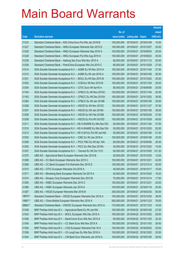|         |                                                                |               |                            |                       | <b>Amount</b> |
|---------|----------------------------------------------------------------|---------------|----------------------------|-----------------------|---------------|
|         |                                                                | No. of        |                            |                       | raised        |
| Code    | <b>Derivative warrants</b>                                     | issue (units) | <b>Listing date Expiry</b> |                       | (HK\$ mil.)   |
| 21233   | Standard Chartered Bank - A50 China Euro Put Wts Jan 2016 B    | 100,000,000   | 2015/04/21                 | 2016/01/08            | 15.00         |
| 21227   | Standard Chartered Bank - HKEx European Warrants Dec 2015 D    | 100,000,000   | 2015/04/21                 | 2015/12/07            | 25.00         |
| 21226   | Standard Chartered Bank - HKEx European Warrants Sep 2016 A    | 100,000,000   | 2015/04/21                 | 2016/09/30            | 25.00         |
| 21228   | Standard Chartered Bank - HKEx European Put Wts Aug 2016 A     | 100,000,000   | 2015/04/21                 | 2016/08/22            | 30.00         |
| 21236   | Standard Chartered Bank - Haitong Sec Euro Wts Nov 2015 A      | 80,000,000    | 2015/04/21                 | 2015/11/13            | 20.00         |
| 21229   | Standard Chartered Bank – PetroChina European Wts Oct 2015 C   | 60,000,000    | 2015/04/21                 | 2015/10/29            | 27.00         |
| 21214   | SGA Societe Generale Acceptance N.V. - AGBK Eu Wt Nov 2015 A   | 100,000,000   | 2015/04/21                 | 2015/11/04            | 27.00         |
| 21215   | SGA Societe Generale Acceptance N.V. - AGBK Eu Wt Jan 2016 A   | 100,000,000   |                            | 2015/04/21 2016/01/06 | 26.50         |
| 21251   | SGA Societe Generale Acceptance N.V. - BOCL Eu Wt Dec 2015 B   | 100,000,000   | 2015/04/21                 | 2015/12/02            | 25.00         |
| 21252   | SGA Societe Generale Acceptance N.V. - CCB Eur Wt Nov 2015 B   | 100,000,000   | 2015/04/21                 | 2015/11/04            | 25.00         |
| 21254   | SGA Societe Generale Acceptance N.V. - CITIC Euro Wt Apr16 A   | 80,000,000    | 2015/04/21                 | 2016/04/06            | 20.00         |
| 21164   | SGA Societe Generale Acceptance N.V. - CP&CC Eu Wt Nov 2015C   | 100,000,000   | 2015/04/21 2015/11/04      |                       | 25.50         |
| 21163   | SGA Societe Generale Acceptance N.V. - CP&CC Eu Wt Dec 2015A   | 100,000,000   | 2015/04/21                 | 2015/12/02            | 39.50         |
| 21264   | SGA Societe Generale Acceptance N.V. - CP&CC Eu Wt Jan 2016B   | 100,000,000   | 2015/04/21                 | 2016/01/06            | 25.00         |
| 21206   | SGA Societe Generale Acceptance N.V. - HSCEI Eu Wt Nov 2015C   | 150,000,000   | 2015/04/21                 | 2015/11/27            | 37.50         |
| 21207   | SGA Societe Generale Acceptance N.V. - HSCEI Eu Wt Jan 2016A   | 150,000,000   | 2015/04/21 2016/01/28      |                       | 39.00         |
| 21208   | SGA Societe Generale Acceptance N.V. - HSCEI Eu Wt Feb 2016B   | 150,000,000   | 2015/04/21                 | 2016/02/26            | 37.50         |
| 21209   | SGA Societe Generale Acceptance N.V. - HSCEI Eu Put Wt Oct15D  | 150,000,000   | 2015/04/21                 | 2015/10/29            | 45.00         |
| 21211   | SGA Societe Generale Acceptance N.V - HS H-SHARE Eu Wts Nov15C | 50,000,000    | 2015/04/21                 | 2015/11/04            | 37.50         |
| 21210   | SGA Societe Generale Acceptance N.V - HS H-SHARE Eu Wts Dec15A | 50,000,000    |                            | 2015/04/21 2015/12/02 | 52.50         |
| 21213   | SGA Societe Generale Acceptance N.V - HS H-SH Eu Put Wt Jan16A | 50,000,000    | 2015/04/21                 | 2016/01/06            | 51.00         |
| 21253   | SGA Societe Generale Acceptance N.V. - ICBC Eu Wt Jan 2016 A   | 100,000,000   | 2015/04/21                 | 2016/01/06            | 25.50         |
| 21256   | SGA Societe Generale Acceptance N.V. - PICC P&C Eu Wt Apr 16A  | 80,000,000    | 2015/04/21                 | 2016/04/06            | 20.00         |
| 21255   | SGA Societe Generale Acceptance N.V. - PICC Eu Wts Dec 2015A   | 30,000,000    |                            | 2015/04/21 2015/12/02 | 15.00         |
| 21257   | SGA Societe Generale Acceptance N.V. - Tencent Eu Wt Oct 15 D  | 60,000,000    | 2015/04/21                 | 2015/10/05            | 121.20        |
| 21270   | UBS AG - Agricultural Bank European Warrants Dec 2015 B        | 50,000,000    | 2015/04/21                 | 2015/12/30            | 12.50         |
| 21268   | UBS AG – CC Bank European Warrants Dec 2015 C                  | 100,000,000   | 2015/04/21 2015/12/21      |                       | 42.00         |
| 21269   | UBS AG - CC Bank European Put Warrants Dec 2015 D              | 100,000,000   | 2015/04/21 2015/12/14      |                       | 50.00         |
| 21273   | UBS AG - CITIC European Warrants Oct 2016 A                    | 40,000,000    | 2015/04/21                 | 2016/10/17            | 10.00         |
| 21271   | UBS AG - Minsheng Bank European Warrants Oct 2015 A            | 40,000,000    | 2015/04/21 2015/10/20      |                       | 19.20         |
| 21274   | UBS AG - Sinopec Corp European Warrants Dec 2015 B             | 70,000,000    | 2015/04/21                 | 2015/12/14            | 17.50         |
| 21265   | UBS AG - HSBC European Warrants Dec 2015 C                     | 100,000,000   | 2015/04/21 2015/12/21      |                       | 25.00         |
| 21266   | UBS AG - HSBC European Warrants Jan 2016 A                     | 100,000,000   | 2015/04/21                 | 2016/01/18            | 25.00         |
| 21267   | UBS AG - HSCEI European Warrants Mar 2016 B                    | 200,000,000   |                            | 2015/04/21 2016/03/30 | 50.00         |
| 18879 # | Standard Chartered Bank - HSCEI European Warrants Dec 2015 A   | 100,000,000   | 2015/04/21                 | 2015/12/30            | 38.00         |
| 19997 # | UBS AG - China Mobile European Warrants Nov 2016 A             | 500,000,000   |                            | 2015/04/21 2016/11/23 | 78.00         |
| 28862 # | Standard Chartered Bank - CNOOC European Warrants Nov 2015 A   | 170,000,000   | 2015/04/21                 | 2015/11/23            | 10.03         |
| 21348   | BNP Paribas Arbit Issu B.V. - Agricultural Bank Eu Wt Jan16A   | 100,000,000   | 2015/04/22 2016/01/05      |                       | 27.00         |
| 21343   | BNP Paribas Arbit Issu B.V. - BOCL European Wts Dec 2015 A     | 100,000,000   |                            | 2015/04/22 2015/12/02 | 29.00         |
| 21346   | BNP Paribas Arbit Issu B.V. - BankComm Euro Wts Nov 2015 A     | 60,000,000    |                            | 2015/04/22 2015/11/03 | 22.20         |
| 21340   | BNP Paribas Arbit Issu B.V. - CC Bank Euro Wts Nov 2015 A      | 100,000,000   |                            | 2015/04/22 2015/11/03 | 29.00         |
| 21354   | BNP Paribas Arbit Issu B.V. - CGS European Warrants Feb 16 A   | 100,000,000   |                            | 2015/04/22 2016/02/02 | 25.00         |
| 21356   | BNP Paribas Arbit Issu B.V. - Ch LongYuan Eu Wts Dec 2016 A    | 100,000,000   |                            | 2015/04/22 2016/12/02 | 25.00         |
| 21344   | BNP Paribas Arbit Issu B.V. - CM Bank Euro Warrants Jan 2016 A | 100,000,000   | 2015/04/22 2016/01/05      |                       | 26.00         |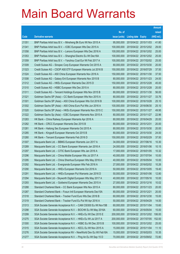|       |                                                                |               |                            |                       | <b>Amount</b> |
|-------|----------------------------------------------------------------|---------------|----------------------------|-----------------------|---------------|
|       |                                                                | No. of        |                            |                       | raised        |
| Code  | <b>Derivative warrants</b>                                     | issue (units) | <b>Listing date Expiry</b> |                       | (HK\$ mil.)   |
| 21351 | BNP Paribas Arbit Issu B.V. - Minsheng Bk Euro Wt Nov 2015 A   | 95,000,000    |                            | 2015/04/22 2015/11/03 | 41.80         |
| 21341 | BNP Paribas Arbit Issu B.V. - ICBC European Wts Dec 2015 A     | 100,000,000   |                            | 2015/04/22 2015/12/02 | 29.00         |
| 21358 | BNP Paribas Arbit Issu B.V. - Lenovo European Wts Dec 2016 A   | 100,000,000   |                            | 2015/04/22 2016/12/02 | 25.00         |
| 21353 | BNP Paribas Arbit Issu B.V. - Shanghai Electric Eu Wt Dec16A   | 100,000,000   |                            | 2015/04/22 2016/12/02 | 25.00         |
| 21359 | BNP Paribas Arbit Issu B.V. - Yanzhou Coal Eur Wt Feb 2017 A   | 100,000,000   |                            | 2015/04/22 2017/02/02 | 25.00         |
| 21309 | Credit Suisse AG - Sinopec Corp European Warrants Oct 2015 A   | 80,000,000    |                            | 2015/04/22 2015/10/30 | 20.00         |
| 21323 | Credit Suisse AG - CSOP A50 ETF European Warrants Jul 2016 B   | 150,000,000   | 2015/04/22 2016/07/29      |                       | 37.50         |
| 21324 | Credit Suisse AG - A50 China European Warrants Nov 2016 A      | 150,000,000   | 2015/04/22 2016/11/30      |                       | 37.50         |
| 21308 | Credit Suisse AG - Galaxy Ent European Warrants Nov 2015 B     | 80,000,000    |                            | 2015/04/22 2015/11/23 | 24.00         |
| 21312 | Credit Suisse AG - HKEx European Warrants Dec 2015 D           | 150,000,000   | 2015/04/22 2015/12/28      |                       | 45.00         |
| 21310 | Credit Suisse AG - HSBC European Wts Dec 2015 A                | 80,000,000    | 2015/04/22 2015/12/28      |                       | 20.00         |
| 21311 | Credit Suisse AG - Tencent Holdings European Wts Nov 2015 B    | 80,000,000    | 2015/04/22 2015/11/30      |                       | 56.00         |
| 21321 | Goldman Sachs SP (Asia) - CC Bank European Wts Nov 2015 A      | 80,000,000    |                            | 2015/04/22 2015/11/27 | 33.76         |
| 21301 | Goldman Sachs SP (Asia) - A50 China European Wts Oct 2016 B    | 100,000,000   |                            | 2015/04/22 2016/10/28 | 25.10         |
| 21302 | Goldman Sachs SP (Asia) – A50 China Euro Put Wts Jun 2016 A    | 100,000,000   |                            | 2015/04/22 2016/06/30 | 25.10         |
| 21320 | Goldman Sachs SP (Asia) – HKEx European Warrants Nov 2015 C    | 150,000,000   | 2015/04/22 2015/11/27      |                       | 49.95         |
| 21322 | Goldman Sachs Sp (Asia) – ICBC European Warrants Nov 2015 A    | 80,000,000    |                            | 2015/04/22 2015/11/27 | 22.96         |
| 21283 | HK Bank - China Railway European Warrants Apr 2016 A           | 80,000,000    | 2015/04/22 2016/04/29      |                       | 20.00         |
| 21282 | HK Bank – CRCC European Warrants Dec 2015 B                    | 80,000,000    | 2015/04/22 2015/12/31      |                       | 20.00         |
| 21281 | HK Bank – Haitong Sec European Warrants Oct 2015 A             | 80,000,000    | 2015/04/22 2015/10/30      |                       | 20.00         |
| 21285 | HK Bank – Kingsoft European Warrants Oct 2015 B                | 80,000,000    |                            | 2015/04/22 2015/10/30 | 24.00         |
| 21280 | HK Bank - Tencent European Warrants Feb 2016 D                 | 150,000,000   | 2015/04/22 2016/02/29      |                       | 37.50         |
| 21307 | Macquarie Bank Ltd. - BBMG European Warrants Jun 2017 A        | 34,000,000    |                            | 2015/04/22 2017/06/16 | 10.30         |
| 21289 | Macquarie Bank Ltd. - CC Bank European Warrants Jan 2016 A     | 24,000,000    | 2015/04/22 2016/01/06      |                       | 10.15         |
| 21297 | Macquarie Bank Ltd. - CITIC Bank European Wts Jan 2016 A       | 17,000,000    |                            | 2015/04/22 2016/01/05 | 10.32         |
| 21296 | Macquarie Bank Ltd. - China Mobile European Wts Jul 2017 A     | 40.000.000    | 2015/04/22 2017/07/04      |                       | 10.00         |
| 21295 | Macquarie Bank Ltd. - China Shenhua European Wts May 2016 A    | 40,000,000    | 2015/04/22 2016/05/04      |                       | 10.00         |
| 21292 | Macquarie Bank Ltd. - Evergrande European Wts Feb 2016 A       | 27,000,000    | 2015/04/22 2016/02/02      |                       | 10.26         |
| 21290 | Macquarie Bank Ltd. - HKEx European Warrants Oct 2016 A        | 50,000,000    | 2015/04/22 2016/10/05      |                       | 19.40         |
| 21291 | Macquarie Bank Ltd. - HKEx European Put Warrants Jan 2016 D    | 50.000.000    |                            | 2015/04/22 2016/01/06 | 12.80         |
| 21294 | Macquarie Bank Ltd - Skyworth Digital European Wts May 2017 A  | 40,000,000    | 2015/04/22 2017/05/16      |                       | 10.00         |
| 21293 | Macquarie Bank Ltd. - Goldwind European Warrants Dec 2015 A    | 27,000,000    | 2015/04/22 2015/12/16      |                       | 10.02         |
| 21288 | Standard Chartered Bank - CC Bank European Wts Nov 2015 A      | 80,000,000    | 2015/04/22 2015/11/23      |                       | 20.00         |
| 21287 | Standard Chartered Bank - Fosun Intl European Warrants Dec15A  | 80,000,000    | 2015/04/22 2015/12/21      |                       | 20.00         |
| 21318 | Standard Chartered Bank - Tracker Fund Euro Wts Dec 2016 B     | 60,000,000    | 2015/04/22 2016/12/30      |                       | 15.00         |
| 21319 | Standard Chartered Bank - Tracker Fund Eu Put Wt Apr 2016 A    | 50,000,000    | 2015/04/22 2016/04/29      |                       | 14.00         |
| 21313 | SGA Societe Generale Acceptance N.V. - CAM CSI300 Eu Wt Nov15B | 60,000,000    | 2015/04/22 2015/11/04      |                       | 15.60         |
| 21298 | SGA Societe Generale Acceptance N.V. - BOCHK Eu Wt May 2016A   | 60,000,000    | 2015/04/22 2016/05/04      |                       | 15.00         |
| 21299 | SGA Societe Generale Acceptance N.V. - HKEx Eu Wt Dec 2015 E   | 200,000,000   |                            | 2015/04/22 2015/12/02 | 106.00        |
| 21275 | SGA Societe Generale Acceptance N.V. - HKEx Eu Wt Jul 2017 A   | 200,000,000   |                            | 2015/04/22 2017/07/05 | 152.00        |
| 21300 | SGA Societe Generale Acceptance N.V. - HSBC Eu Wt Dec 2015 B   | 100,000,000   | 2015/04/22 2015/12/02      |                       | 25.00         |
| 21315 | SGA Societe Generale Acceptance N.V. - KECL Eu Wt Nov 2015 A   | 15,000,000    | 2015/04/22 2015/11/04      |                       | 11.10         |
| 21276 | SGA Societe Generale Acceptance NV - NewWorld Dev Eu Wt Feb16A | 15,000,000    | 2015/04/22 2016/02/03      |                       | 10.35         |
| 21277 | SGA Societe Generale Acceptance N.V. - Ping An Eu Wt Sep 15 D  | 70,000,000    | 2015/04/22 2015/09/02      |                       | 72.80         |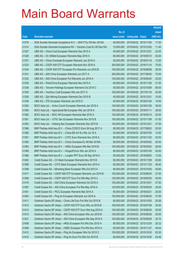|       |                                                                |               |                            |                       | <b>Amount</b> |
|-------|----------------------------------------------------------------|---------------|----------------------------|-----------------------|---------------|
|       |                                                                | No. of        |                            |                       | raised        |
| Code  | <b>Derivative warrants</b>                                     | issue (units) | <b>Listing date Expiry</b> |                       | (HK\$ mil.)   |
| 21279 | SGA Societe Generale Acceptance N.V. - SHK P Eu Wt Nov 2015A   | 40,000,000    |                            | 2015/04/22 2015/11/04 | 17.20         |
| 21314 | SGA Societe Generale Acceptance NV - Yanzhou Coal Eu Wt Dec15A | 15,000,000    |                            | 2015/04/22 2015/12/02 | 11.40         |
| 21327 | UBS AG - China Coal European Warrants Dec 2015 A               | 40,000,000    | 2015/04/22 2015/12/21      |                       | 22.00         |
| 21329 | UBS AG - Ch Oilfield European Warrants May 2016 A              | 80,000,000    |                            | 2015/04/22 2016/05/10 | 20.00         |
| 21337 | UBS AG - China Overseas European Warrants Jan 2016 A           | 50,000,000    |                            | 2015/04/22 2016/01/18 | 12.50         |
| 21333 | UBS AG - CSOP A50 ETF European Warrants Nov 2016 A             | 300,000,000   |                            | 2015/04/22 2016/11/14 | 75.00         |
| 21334 | UBS AG - CSOP A50 ETF European Put Warrants Jun 2016 B         | 100,000,000   |                            | 2015/04/22 2016/06/08 | 25.00         |
| 21331 | UBS AG - A50 China European Warrants Jun 2017 A                | 300,000,000   |                            | 2015/04/22 2017/06/30 | 75.00         |
| 21332 | UBS AG - A50 China European Put Warrants Jun 2016 A            | 100,000,000   |                            | 2015/04/22 2016/06/20 | 25.00         |
| 21335 | UBS AG - PetroChina European Warrants Nov 2015 A               | 60,000,000    |                            | 2015/04/22 2015/11/09 | 21.00         |
| 21338 | UBS AG - Tencent Holdings European Warrants Oct 2015 C         | 50,000,000    |                            | 2015/04/22 2015/10/08 | 80.00         |
| 21325 | UBS AG - Yanzhou Coal European Wts Jan 2017 A                  | 100,000,000   |                            | 2015/04/22 2017/01/18 | 25.00         |
| 21328 | UBS AG - Zijin Mining European Warrants Dec 2015 B             | 40,000,000    | 2015/04/22 2015/12/21      |                       | 10.00         |
| 21336 | UBS AG - ZTE European Warrants Jan 2016 A                      | 40,000,000    |                            | 2015/04/22 2016/01/25 | 10.00         |
| 21363 | BOCI Asia Ltd. - Anhui Conch European Warrants Jan 2016 A      | 100,000,000   |                            | 2015/04/23 2016/01/26 | 39.00         |
| 21365 | BOCI Asia Ltd. - Agricultural Bk European Wts Jan 2016 A       | 100,000,000   | 2015/04/23 2016/01/11      |                       | 29.00         |
| 21364 | BOCI Asia Ltd. - BOC HK European Warrants Mar 2016 A           | 100,000,000   |                            | 2015/04/23 2016/03/14 | 25.00         |
| 21361 | BOCI Asia Ltd. - CITIC Sec European Warrants Nov 2015 B        | 100,000,000   |                            | 2015/04/23 2015/11/09 | 51.00         |
| 21362 | BOCI Asia Ltd. - Haitong Sec European Warrants Dec 2015 B      | 100,000,000   | 2015/04/23 2015/12/21      |                       | 37.00         |
| 21388 | BNP Paribas Arbit Issu B.V. - China COSCO Euro Wt Aug 2017 A   | 80,000,000    |                            | 2015/04/23 2017/08/02 | 20.00         |
| 21380 | BNP Paribas Arbit Issu B.V. - China EB Int'l Eu Wts Jul 16 A   | 50,000,000    |                            | 2015/04/23 2016/07/05 | 12.50         |
| 21381 | BNP Paribas Arbit Issu B.V. - CITIC Euro Warrants Nov 2016 A   | 80,000,000    |                            | 2015/04/23 2016/11/02 | 20.00         |
| 21385 | BNP Paribas Arbit Issu B.V. - China Overseas Eu Wt Mar 2016A   | 80,000,000    |                            | 2015/04/23 2016/03/02 | 20.00         |
| 21383 | BNP Paribas Arbit Issu B.V. - HKEx European Wts Mar 2016 B     | 100,000,000   |                            | 2015/04/23 2016/03/02 | 29.00         |
| 21389 | BNP Paribas Arbit Issu B.V. - Kingsoft Euro Wts Jan 2016 A     | 80,000,000    |                            | 2015/04/23 2016/01/05 | 20.00         |
| 21386 | BNP Paribas Arbit Issu B.V. - Longfor PPT Euro Wt Sep 2016 A   | 50,000,000    |                            | 2015/04/23 2016/09/02 | 12.50         |
| 21400 | Credit Suisse AG - CC Bank European Warrants Nov 2015 B        | 80,000,000    |                            | 2015/04/23 2015/11/09 | 20.80         |
| 21399 | Credit Suisse AG - CITIC Bank European Warrants Nov 2015 A     | 80,000,000    |                            | 2015/04/23 2015/11/30 | 38.40         |
| 21398 | Credit Suisse AG - Minsheng Bank European Wts Oct 2015 A       | 80,000,000    |                            | 2015/04/23 2015/10/30 | 45.60         |
| 21417 | Credit Suisse AG - CSOP A50 ETF European Warrants Jun 2016 B   | 150,000,000   |                            | 2015/04/23 2016/06/30 | 37.50         |
| 21366 | Credit Suisse AG - CSOP A50 ETF Euro Put Wts May 2016 C        | 120,000,000   |                            | 2015/04/23 2016/05/30 | 30.00         |
| 21419 | Credit Suisse AG - A50 China European Warrants Oct 2016 A      | 150,000,000   | 2015/04/23 2016/10/31      |                       | 37.50         |
| 21367 | Credit Suisse AG - A50 China European Put Wts May 2016 A       | 120,000,000   |                            | 2015/04/23 2016/05/30 | 30.00         |
| 21401 | Credit Suisse AG - PICC European Warrants Mar 2016 A           | 80,000,000    | 2015/04/23 2016/03/21      |                       | 20.00         |
| 21402 | Credit Suisse AG - Ping An European Warrants Jun 2016 A        | 150,000,000   |                            | 2015/04/23 2016/06/30 | 37.50         |
| 21411 | Goldman Sachs SP (Asia) - China Life Euro Put Wts Oct 2015 B   | 80,000,000    |                            | 2015/04/23 2015/10/30 | 20.56         |
| 21415 | Goldman Sachs SP (Asia) - CSOP A50 ETF Euro Wts Jul 2016 B     | 100,000,000   |                            | 2015/04/23 2016/07/28 | 25.00         |
| 21414 | Goldman Sachs SP (Asia) - CSOP A50 ETF Euro Wts Aug 2016 A     | 100,000,000   |                            | 2015/04/23 2016/08/30 | 25.00         |
| 21413 | Goldman Sachs SP (Asia) - A50 China European Wts Jun 2016 B    | 100,000,000   |                            | 2015/04/23 2016/06/29 | 25.00         |
| 21421 | Goldman Sachs SP (Asia) - A50 China European Wts Sep 2016 A    | 100,000,000   |                            | 2015/04/23 2016/09/29 | 25.70         |
| 21408 | Goldman Sachs SP (Asia) - HKEx European Put Wts Dec 2015 H     | 80,000,000    |                            | 2015/04/23 2015/12/30 | 26.32         |
| 21409 | Goldman Sachs SP (Asia) - HSBC European Put Wts Nov 2015 A     | 80,000,000    |                            | 2015/04/23 2015/11/27 | 49.44         |
| 21412 | Goldman Sachs SP (Asia) - Ping An European Wts Oct 2015 C      | 100,000,000   |                            | 2015/04/23 2015/10/30 | 83.30         |
| 21410 | Goldman Sachs SP (Asia) - Ping An Euro Put Wts Oct 2015 B      | 80,000,000    |                            | 2015/04/23 2015/10/30 | 54.48         |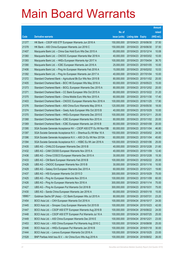|         |                                                                |               |                            |            | <b>Amount</b> |
|---------|----------------------------------------------------------------|---------------|----------------------------|------------|---------------|
|         |                                                                | No. of        |                            |            | raised        |
| Code    | <b>Derivative warrants</b>                                     | issue (units) | <b>Listing date Expiry</b> |            | (HK\$ mil.)   |
| 21377   | HK Bank - CSOP A50 ETF European Warrants Jun 2016 A            | 150,000,000   | 2015/04/23 2016/06/30      |            | 37.50         |
| 21378   | HK Bank - A50 China European Warrants Jun 2016 C               | 150,000,000   | 2015/04/23 2016/06/30      |            | 37.50         |
| 21407   | Macquarie Bank Ltd. - China Gas Hold Euro Wts Dec 2015 A       | 65,000,000    | 2015/04/23 2015/12/14      |            | 10.08         |
| 21360   | Macquarie Bank Ltd. - CNOOC European Warrants Mar 2018 A       | 40,000,000    | 2015/04/23 2018/03/02      |            | 10.00         |
| 21393   | Macquarie Bank Ltd. - HKEx European Warrants Apr 2017 A        | 100,000,000   | 2015/04/23 2017/04/04      |            | 36.70         |
| 21390   | Macquarie Bank Ltd. - ICBC European Warrants Jan 2016 A        | 25,000,000    | 2015/04/23 2016/01/05      |            | 10.00         |
| 21406   | Macquarie Bank Ltd. - Ping An European Warrants Feb 2016 A     | 15,000,000    | 2015/04/23 2016/02/02      |            | 10.53         |
| 21392   | Macquarie Bank Ltd. - Ping An European Warrants Jan 2017 A     | 40,000,000    | 2015/04/23 2017/01/04      |            | 10.00         |
| 21372   | Standard Chartered Bank – Agricultural Bk Eur Wts Nov 2015 B   | 80,000,000    | 2015/04/23 2015/11/02      |            | 20.00         |
| 21405   | Standard Chartered Bank - BOC HK European Wts May 2016 A       | 60,000,000    | 2015/04/23 2016/05/23      |            | 15.00         |
| 21373   | Standard Chartered Bank - BOCL European Warrants Dec 2015 A    | 80,000,000    | 2015/04/23 2015/12/02      |            | 20.00         |
| 21371   | Standard Chartered Bank – CC Bank European Wts Oct 2015 A      | 80,000,000    | 2015/04/23 2015/10/22      |            | 31.20         |
| 21375   | Standard Chartered Bank - China Mobile Euro Wts Nov 2015 A     | 60,000,000    | 2015/04/23 2015/11/30      |            | 17.40         |
| 21403   | Standard Chartered Bank - CNOOC European Warrants Nov 2016 A   | 100,000,000   | 2015/04/23 2016/11/25      |            | 17.90         |
| 21376   | Standard Chartered Bank - A50 China Euro Warrants May 2016 A   | 120,000,000   | 2015/04/23 2016/05/30      |            | 18.00         |
| 21374   | Standard Chartered Bank - Geely Auto European Wts Oct 2015 B   | 40,000,000    | 2015/04/23 2015/10/29      |            | 10.00         |
| 21370   | Standard Chartered Bank – HKEx European Warrants Dec 2015 E    | 100,000,000   | 2015/04/23 2015/12/11      |            | 25.00         |
| 21368   | Standard Chartered Bank – ICBC European Warrants Nov 2015 A    | 80,000,000    | 2015/04/23 2015/11/02      |            | 20.00         |
| 21369   | Standard Chartered Bank – ICBC European Warrants Jan 2016 B    | 80,000,000    | 2015/04/23 2016/01/08      |            | 20.00         |
| 21395   | SGA Societe Generale Acceptance NV - CSOP A50 ETF Eu Wt Nov15B | 60,000,000    | 2015/04/23 2015/11/04      |            | 46.80         |
| 21397   | SGA Societe Generale Acceptance N.V. - Shenhua Eu Wt Mar 16 A  | 150,000,000   | 2015/04/23 2016/03/02      |            | 24.00         |
| 21396   | SGA Societe Generale Acceptance N.V. - A50 Ch Eu Wt Nov 2015A  | 60,000,000    | 2015/04/23 2015/11/04      |            | 45.60         |
| 21394   | SGA Societe Generale Acceptance N.V. - HSBC Eu Wt Jan 2016 A   | 100,000,000   | 2015/04/23 2016/01/06      |            | 25.00         |
| 21435   | UBS AG – CHALCO European Warrants Dec 2015 B                   | 40,000,000    | 2015/04/23 2015/12/28      |            | 21.60         |
| 21432   | UBS AG - CAM CSI300 European Warrants Nov 2015 A               | 40,000,000    | 2015/04/23 2015/11/09      |            | 12.40         |
| 21436   | UBS AG - China COSCO European Warrants Dec 2015 A              | 30,000,000    | 2015/04/23 2015/12/28      |            | 15.30         |
| 21433   | UBS AG – CM Bank European Warrants Feb 2016 B                  | 100,000,000   | 2015/04/23 2016/02/22      |            | 25.00         |
| 21428   | UBS AG – CNOOC European Warrants Nov 2015 B                    | 30,000,000    | 2015/04/23 2015/11/16      |            | 10.50         |
| 21429   | UBS AG - Galaxy Ent European Warrants Dec 2015 A               | 60,000,000    | 2015/04/23 2015/12/21      |            | 19.80         |
| 21437   | UBS AG - HSI European Warrants Oct 2015 D                      | 300,000,000   | 2015/04/23 2015/10/29      |            | 75.00         |
| 21425   | UBS AG - Ping An European Warrants Nov 2015 A                  | 100,000,000   | 2015/04/23 2015/11/09      |            | 60.00         |
| 21426   | UBS AG - Ping An European Warrants Nov 2016 A                  | 300,000,000   | 2015/04/23 2016/11/14      |            | 75.00         |
| 21427   | UBS AG - Ping An European Put Warrants Oct 2016 B              | 300,000,000   | 2015/04/23 2016/10/31      |            | 75.00         |
| 21430   | UBS AG - Sands China European Warrants Jan 2016 A              | 60,000,000    | 2015/04/23 2016/01/18      |            | 15.00         |
| 18960 # | Goldman Sachs SP (Asia) - CC Bank European Wts Jul 2015 A      | 80,000,000    | 2015/04/23 2015/07/31      |            | 23.20         |
| 21454   | BOCI Asia Ltd. - CKH European Warrants Oct 2016 A              | 100,000,000   | 2015/04/24 2016/10/17      |            | 24.00         |
| 21445   | BOCI Asia Ltd. - Sinopec Corp European Warrants Oct 2015 B     | 100,000,000   | 2015/04/24 2015/10/23      |            | 42.00         |
| 21447   | BOCI Asia Ltd. - CSOP A50 ETF European Warrants Aug 2016 B     | 100,000,000   | 2015/04/24 2016/08/22      |            | 24.00         |
| 21448   | BOCI Asia Ltd. - CSOP A50 ETF European Put Warrants Jul 16 A   | 100,000,000   | 2015/04/24 2016/07/25      |            | 25.00         |
| 21449   | BOCI Asia Ltd. - A50 China European Warrants Dec 2016 E        | 100,000,000   | 2015/04/24 2016/12/21      |            | 23.00         |
| 21453   | BOCI Asia Ltd. - A50 China European Put Warrants Aug 2016 C    | 100,000,000   | 2015/04/24                 | 2016/08/08 | 25.00         |
| 21446   | BOCI Asia Ltd. - HKEx European Put Warrants Jan 2016 B         | 100,000,000   | 2015/04/24 2016/01/18      |            | 30.00         |
| 21444   | BOCI Asia Ltd. - Lenovo European Warrants Oct 2016 A           | 100,000,000   | 2015/04/24 2016/10/25      |            | 23.00         |
| 21528   | BNP Paribas Arbit Issu B.V. - Air China Euro Wts Aug 2016 A    | 100,000,000   | 2015/04/24 2016/08/02      |            | 26.00         |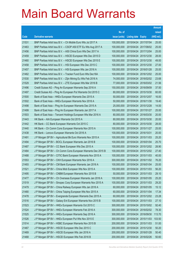|       |                                                              |               |                            |                       | <b>Amount</b> |
|-------|--------------------------------------------------------------|---------------|----------------------------|-----------------------|---------------|
|       |                                                              | No. of        |                            |                       | raised        |
| Code  | <b>Derivative warrants</b>                                   | issue (units) | <b>Listing date Expiry</b> |                       | (HK\$ mil.)   |
| 21531 | BNP Paribas Arbit Issu B.V. - Ch Mobile Euro Wts Jul 2017 A  | 100,000,000   | 2015/04/24 2017/07/04      |                       | 25.00         |
| 21463 | BNP Paribas Arbit Issu B.V. - CSOP A50 ETF Eu Wts Aug 2017 A | 100,000,000   |                            | 2015/04/24 2017/08/02 | 25.00         |
| 21456 | BNP Paribas Arbit Issu B.V. - A50 China Euro Wts Dec 2017 A  | 100,000,000   | 2015/04/24 2017/12/04      |                       | 25.00         |
| 21459 | BNP Paribas Arbit Issu B.V. - HSCEI European Wts Dec 2015 D  | 100,000,000   |                            | 2015/04/24 2015/12/30 | 28.00         |
| 21460 | BNP Paribas Arbit Issu B.V. - HSCEI European Wts Dec 2015 E  | 100,000,000   |                            | 2015/04/24 2015/12/30 | 49.00         |
| 21458 | BNP Paribas Arbit Issu B.V. - HSI European Wts Dec 2015 C    | 100,000,000   |                            | 2015/04/24 2015/12/30 | 27.00         |
| 21457 | BNP Paribas Arbit Issu B.V. - HSI European Wts Jan 2016 A    | 100,000,000   | 2015/04/24 2016/01/28      |                       | 25.00         |
| 21462 | BNP Paribas Arbit Issu B.V. - Tracker Fund Euro Wts Dec16A   | 100,000,000   | 2015/04/24 2016/12/02      |                       | 25.00         |
| 21530 | BNP Paribas Arbit Issu B.V. - Zijin Mining Eu Wts Feb 2016 A | 74,000,000    |                            | 2015/04/24 2016/02/02 | 23.68         |
| 21529 | BNP Paribas Arbit Issu B.V. - ZTE European Wts Mar 2016 B    | 77,000,000    |                            | 2015/04/24 2016/03/02 | 21.56         |
| 21496 | Credit Suisse AG - Ping An European Warrants Sep 2016 A      | 150,000,000   | 2015/04/24 2016/09/09      |                       | 37.50         |
| 21497 | Credit Suisse AG - Ping An European Put Warrants Oct 2015 C  | 80,000,000    | 2015/04/24 2015/10/30      |                       | 60.00         |
| 21500 | Bank of East Asia - HKEx European Warrants Dec 2015 A        | 50,000,000    |                            | 2015/04/24 2015/12/07 | 16.00         |
| 21502 | Bank of East Asia - HKEx European Warrants Nov 2016 A        | 50,000,000    |                            | 2015/04/24 2016/11/30 | 19.40         |
| 21498 | Bank of East Asia - Ping An European Warrants Dec 2015 A     | 25,000,000    | 2015/04/24 2015/12/28      |                       | 14.00         |
| 21499 | Bank of East Asia - Ping An European Warrants Jan 2017 A     | 100,000,000   | 2015/04/24 2017/01/27      |                       | 25.00         |
| 21503 | Bank of East Asia - Tencent Holdings European Wts Mar 2016 A | 80,000,000    |                            | 2015/04/24 2016/03/30 | 20.00         |
| 21443 | HK Bank - AIA European Warrants Oct 2015 A                   | 80,000,000    |                            | 2015/04/24 2015/10/30 | 20.00         |
| 21442 | HK Bank - CC Bank European Warrants Oct 2015 C               | 80,000,000    |                            | 2015/04/24 2015/10/30 | 28.00         |
| 21440 | HK Bank - Ch Comm Cons European Warrants Nov 2015 A          | 100,000,000   | 2015/04/24 2015/11/27      |                       | 25.00         |
| 21438 | HK Bank - Lenovo European Warrants Oct 2016 A                | 100,000,000   | 2015/04/24 2016/10/31      |                       | 20.00         |
| 21491 | J P Morgan SP BV - Agricultural Bk Euro Warrants Nov 2015 A  | 100,000,000   |                            | 2015/04/24 2015/11/03 | 25.20         |
| 21494 | J P Morgan SP BV - BOCL European Warrants Jan 2016 B         | 100,000,000   | 2015/04/24 2016/01/04      |                       | 25.70         |
| 21487 | J P Morgan SP BV - CC Bank European Wts Dec 2015 A           | 100,000,000   | 2015/04/24 2015/12/02      |                       | 28.90         |
| 21484 | J P Morgan SP BV - Ch Comm Cons European Warrants Dec 2015 B | 100,000,000   |                            | 2015/04/24 2015/12/02 | 27.40         |
| 21488 | J P Morgan SP BV - CITIC Bank European Warrants Nov 2015 A   | 100,000,000   | 2015/04/24 2015/11/03      |                       | 40.00         |
| 21553 | J P Morgan SP BV - CKH European Warrants Nov 2016 A          | 300,000,000   | 2015/04/24 2016/11/02      |                       | 76.20         |
| 21493 | J P Morgan SP BV - CM Bank European Warrants Jan 2016 A      | 100,000,000   | 2015/04/24 2016/01/04      |                       | 25.00         |
| 21521 | J P Morgan SP BV - China Mob European Wts Nov 2015 A         | 100,000,000   | 2015/04/24 2015/11/03      |                       | 56.20         |
| 21495 | J P Morgan SP BV - CNBM European Warrants Nov 2015 B         | 50,000,000    |                            | 2015/04/24 2015/11/03 | 29.10         |
| 21477 | J P Morgan SP BV - Ch Overseas European Warrants Jan 2016 A  | 100,000,000   | 2015/04/24 2016/01/05      |                       | 25.20         |
| 21519 | J P Morgan SP BV - Sinopec Corp European Warrants Nov 2015 A | 100,000,000   | 2015/04/24 2015/11/03      |                       | 29.20         |
| 21479 | J P Morgan SP BV - China Railway European Wts Jan 2016 A     | 60,000,000    | 2015/04/24 2016/01/05      |                       | 15.12         |
| 21480 | J P Morgan SP BV - China Taiping European Wts Nov 2015 A     | 60,000,000    | 2015/04/24 2015/11/04      |                       | 17.34         |
| 21478 | J P Morgan SP BV - Evergrande European Warrants Dec 2015 A   | 60,000,000    |                            | 2015/04/24 2015/12/02 | 23.28         |
| 21516 | J P Morgan SP BV - Galaxy Ent European Warrants Nov 2015 B   | 100,000,000   | 2015/04/24 2015/11/03      |                       | 27.10         |
| 21523 | J P Morgan SP BV - HKEx European Warrants Oct 2015 C         | 300,000,000   | 2015/04/24 2015/10/02      |                       | 92.40         |
| 21524 | J P Morgan SP BV - HKEx European Warrants Feb 2016 A         | 300,000,000   |                            | 2015/04/24 2016/02/02 | 78.30         |
| 21525 | J P Morgan SP BV - HKEx European Warrants Sep 2016 A         | 300,000,000   |                            | 2015/04/24 2016/09/30 | 113.70        |
| 21526 | J P Morgan SP BV - HKEx European Put Wts Nov 2015 E          | 300,000,000   |                            | 2015/04/24 2015/11/03 | 103.50        |
| 21514 | J P Morgan SP BV - HSBC European Warrants Nov 2015 B         | 200,000,000   | 2015/04/24 2015/11/03      |                       | 51.00         |
| 21467 | J P Morgan SP BV - HSCEI European Wts Dec 2015 C             | 200,000,000   | 2015/04/24 2015/12/30      |                       | 50.20         |
| 21469 | J P Morgan SP BV - HSCEI European Wts Jan 2016 A             | 200,000,000   | 2015/04/24 2016/01/28      |                       | 50.40         |
| 21468 | J P Morgan SP BV - HSCEI European Wts Feb 2016 B             | 200,000,000   | 2015/04/24 2016/02/26      |                       | 50.60         |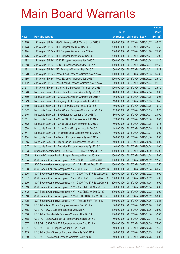|       |                                                                |               |                            |            | <b>Amount</b> |
|-------|----------------------------------------------------------------|---------------|----------------------------|------------|---------------|
|       |                                                                | No. of        |                            |            | raised        |
| Code  | <b>Derivative warrants</b>                                     | issue (units) | <b>Listing date Expiry</b> |            | (HK\$ mil.)   |
| 21470 | J P Morgan SP BV - HSCEI European Put Warrants Nov 2015 E      | 200,000,000   | 2015/04/24 2015/11/27      |            | 50.20         |
| 21473 | J P Morgan SP BV - HSI European Warrants Nov 2015 F            | 300,000,000   | 2015/04/24 2015/11/27      |            | 75.60         |
| 21474 | J P Morgan SP BV - HSI European Warrants Jan 2016 A            | 300,000,000   | 2015/04/24 2016/01/28      |            | 75.30         |
| 21476 | J P Morgan SP BV - HSI European Put Warrants Nov 2015 G        | 300,000,000   | 2015/04/24 2015/11/27      |            | 75.90         |
| 21492 | J P Morgan SP BV - ICBC European Warrants Jan 2016 A           | 100,000,000   | 2015/04/24 2016/01/04      |            | 31.10         |
| 21518 | J P Morgan SP BV - KECL European Warrants Mar 2017 A           | 150,000,000   | 2015/04/24 2017/03/31      |            | 22.65         |
| 21481 | J P Morgan SP BV - NCI European Warrants Dec 2015 A            | 60,000,000    | 2015/04/24 2015/12/02      |            | 24.24         |
| 21520 | J P Morgan SP BV - PetroChina European Warrants Nov 2015 A     | 100,000,000   | 2015/04/24 2015/11/03      |            | 56.30         |
| 21485 | J P Morgan SP BV - PICC European Warrants Jun 2016 A           | 100,000,000   | 2015/04/24 2016/06/02      |            | 25.10         |
| 21482 | J P Morgan SP BV - PICC Group European Warrants Nov 2015 A     | 60,000,000    | 2015/04/24 2015/11/04      |            | 21.12         |
| 21517 | J P Morgan SP BV - Sands China European Warrants Nov 2015 A    | 100,000,000   | 2015/04/24 2015/11/03      |            | 25.10         |
| 21548 | Macquarie Bank Ltd. - Air China European Warrants Apr 2017 A   | 40,000,000    | 2015/04/24 2017/04/04      |            | 10.00         |
| 21550 | Macquarie Bank Ltd. - CHALCO European Warrants Jan 2016 A      | 16,000,000    | 2015/04/24 2016/01/05      |            | 10.08         |
| 21549 | Macquarie Bank Ltd. - Angang Steel European Wts Jan 2016 A     | 13,000,000    | 2015/04/24 2016/01/05      |            | 10.48         |
| 21540 | Macquarie Bank Ltd. - Bank of EA European Wts Jul 2016 B       | 50,000,000    | 2015/04/24                 | 2016/07/05 | 13.40         |
| 21542 | Macquarie Bank Ltd. - BankComm European Warrants Jul 2016 A    | 12,000,000    | 2015/04/24 2016/07/05      |            | 10.27         |
| 21546 | Macquarie Bank Ltd. - BYD European Warrants Apr 2018 A         | 80,000,000    | 2015/04/24 2018/04/03      |            | 20.00         |
| 21551 | Macquarie Bank Ltd. - China EB Int'l European Wts Jul 2016 A   | 37,000,000    | 2015/04/24 2016/07/18      |            | 10.03         |
| 21552 | Macquarie Bank Ltd. - China EB Ltd Euro Warrants Jul 2016 B    | 50,000,000    | 2015/04/24                 | 2016/07/05 | 16.45         |
| 21538 | Macquarie Bank Ltd. - China Cinda European Wts Jul 2016 A      | 14,000,000    | 2015/04/24 2016/07/05      |            | 10.42         |
| 21544 | Macquarie Bank Ltd. - Minsheng Bank European Wts Jul 2017 A    | 40,000,000    | 2015/04/24 2017/07/04      |            | 10.00         |
| 21464 | Macquarie Bank Ltd. - Datang European Warrants Nov 2015 A      | 16,000,000    | 2015/04/24 2015/11/16      |            | 10.50         |
| 21545 | Macquarie Bank Ltd. - Digital China European Wts Oct 2016 A    | 40,000,000    | 2015/04/24 2016/10/18      |            | 10.00         |
| 21547 | Macquarie Bank Ltd. - Zoomlion European Warrants Apr 2018 A    | 40,000,000    | 2015/04/24 2018/04/04      |            | 10.00         |
| 21533 | Standard Chartered Bank - CSOP A50 ETF Euro Wts May 2016 A     | 100,000,000   | 2015/04/24 2016/05/30      |            | 25.00         |
| 21535 | Standard Chartered Bank - Ping An European Wts Nov 2016 A      | 100,000,000   | 2015/04/24 2016/11/28      |            | 25.00         |
| 21504 | SGA Societe Generale Acceptance N.V. - CCCCL Eu Wt Dec 2015 B  | 100,000,000   | 2015/04/24 2015/12/02      |            | 27.50         |
| 21527 | SGA Societe Generale Acceptance N.V. - CRail Eu Wt Dec 2015A   | 150,000,000   | 2015/04/24 2015/12/02      |            | 37.50         |
| 21508 | SGA Societe Generale Acceptance NV - CSOP A50 ETF Eu Wt Nov15C | 50,000,000    | 2015/04/24 2015/11/04      |            | 80.50         |
| 21506 | SGA Societe Generale Acceptance NV - CSOP A50 ETF Eu Wt Dec15C | 300,000,000   | 2015/04/24 2015/12/02      |            | 75.00         |
| 21507 | SGA Societe Generale Acceptance NV - CSOP A50 ETF Eu Wt Mar16A | 300,000,000   | 2015/04/24 2016/03/02      |            | 75.00         |
| 21509 | SGA Societe Generale Acceptance NV – CSOP A50 ETF Eu Wt Oct16B | 300,000,000   | 2015/04/24 2016/10/05      |            | 75.00         |
| 21513 | SGA Societe Generale Acceptance N.V. - A50 Ch Eu Wt Nov 2015B  | 50,000,000    | 2015/04/24                 | 2015/11/04 | 74.00         |
| 21512 | SGA Societe Generale Acceptance N.V. - A50 Ch Eu Wt Dec 2015B  | 300,000,000   | 2015/04/24 2015/12/02      |            | 75.00         |
| 21510 | SGA Societe Generale Acceptance N.V - HS H-SHARE Eu Wts Dec15B | 50,000,000    | 2015/04/24 2015/12/02      |            | 33.00         |
| 21505 | SGA Societe Generale Acceptance N.V. - Tencent Eu Wt Apr 16 C  | 150,000,000   | 2015/04/24 2016/04/06      |            | 38.25         |
| 21560 | UBS AG - Anhui Conch European Warrants Dec 2015 A              | 60,000,000    | 2015/04/24                 | 2015/12/28 | 15.00         |
| 21555 | UBS AG - BOCL European Warrants Oct 2015 A                     | 100,000,000   | 2015/04/24 2015/10/26      |            | 28.00         |
| 21556 | UBS AG - China Mobile European Warrants Nov 2015 A             | 100,000,000   | 2015/04/24 2015/11/16      |            | 52.00         |
| 21558 | UBS AG - China Overseas European Warrants Dec 2015 B           | 50,000,000    | 2015/04/24 2015/12/21      |            | 12.50         |
| 21557 | UBS AG - CSOP A50 ETF European Warrants Sep 2016 A             | 300,000,000   | 2015/04/24                 | 2016/09/09 | 75.00         |
| 21561 | UBS AG - CSCL European Warrants Dec 2015 B                     | 40,000,000    | 2015/04/24 2015/12/28      |            | 12.40         |
| 21465 | UBS AG - China Shenhua European Warrants Feb 2016 A            | 60,000,000    | 2015/04/24 2016/02/29      |            | 15.00         |
| 21559 | UBS AG - Evergrande European Warrants Dec 2015 B               | 40,000,000    | 2015/04/24 2015/12/28      |            | 10.00         |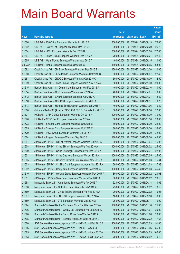|         |                                                               |               |                            |                       | <b>Amount</b> |
|---------|---------------------------------------------------------------|---------------|----------------------------|-----------------------|---------------|
|         |                                                               | No. of        |                            |                       | raised        |
| Code    | <b>Derivative warrants</b>                                    | issue (units) | <b>Listing date Expiry</b> |                       | (HK\$ mil.)   |
| 21566   | UBS AG - A50 China European Warrants Jun 2016 B               | 300,000,000   |                            | 2015/04/24 2016/06/13 | 75.00         |
| 21562   | UBS AG - Galaxy Ent European Warrants Dec 2015 B              | 60,000,000    |                            | 2015/04/24 2015/12/29 | 26.70         |
| 21554   | UBS AG - HKEx European Warrants Dec 2015 H                    | 300,000,000   |                            | 2015/04/24 2015/12/28 | 177.00        |
| 21564   | UBS AG - Sands China European Warrants Dec 2015 A             | 70,000,000    | 2015/04/24 2015/12/21      |                       | 22.40         |
| 21565   | UBS AG - Wynn Macau European Warrants Aug 2016 A              | 40,000,000    |                            | 2015/04/24 2016/08/15 | 10.00         |
| 20973 # | HK Bank - HKEx European Warrants Oct 2015 C                   | 180,000,000   |                            | 2015/04/24 2015/10/05 | 63.90         |
| 21582   | Credit Suisse AG - CM Bank European Warrants Dec 2015 B       | 120,000,000   |                            | 2015/04/27 2015/12/30 | 30.00         |
| 21580   | Credit Suisse AG - China Mobile European Warrants Oct 2015 C  | 80,000,000    |                            | 2015/04/27 2015/10/07 | 22.40         |
| 21581   | Credit Suisse AG - CNOOC European Warrants Oct 2015 C         | 50,000,000    |                            | 2015/04/27 2015/10/30 | 12.50         |
| 21599   | Credit Suisse AG - Sands China European Warrants Nov 2015 A   | 80,000,000    |                            | 2015/04/27 2015/11/30 | 20.00         |
| 21615   | Bank of East Asia - Ch Comm Cons European Wts Feb 2016 A      | 40,000,000    |                            | 2015/04/27 2016/02/16 | 10.00         |
| 21614   | Bank of East Asia – CGS European Warrants Apr 2016 A          | 40,000,000    | 2015/04/27 2016/04/01      |                       | 10.00         |
| 21612   | Bank of East Asia - CNBM European Warrants Apr 2017 A         | 50,000,000    |                            | 2015/04/27 2017/04/24 | 12.50         |
| 21616   | Bank of East Asia – CNOOC European Warrants Oct 2016 A        | 60,000,000    | 2015/04/27 2016/10/31      |                       | 10.20         |
| 21613   | Bank of East Asia - Haitong Sec European Warrants Jan 2016 A  | 40,000,000    |                            | 2015/04/27 2016/01/06 | 10.80         |
| 21600   | Goldman Sachs SP (Asia) - CSOP A50 ETF Eu Put Wts Jun 2016 B  | 80,000,000    |                            | 2015/04/27 2016/06/30 | 22.80         |
| 21571   | HK Bank – CAM CSI300 European Warrants Oct 2015 A             | 100,000,000   |                            | 2015/04/27 2015/10/30 | 30.00         |
| 21578   | HK Bank - CITIC Sec European Warrants Nov 2015 A              | 80,000,000    |                            | 2015/04/27 2015/11/30 | 28.00         |
| 21573   | HK Bank - Sinopec Corp European Warrants Oct 2015 B           | 80,000,000    |                            | 2015/04/27 2015/10/30 | 24.00         |
| 21575   | HK Bank – Sinopec Corp European Warrants Oct 2015 C           | 80,000,000    |                            | 2015/04/27 2015/10/30 | 36.00         |
| 21579   | HK Bank – PICC Group European Warrants Oct 2015 A             | 80,000,000    |                            | 2015/04/27 2015/10/30 | 32.00         |
| 21574   | HK Bank - Ping An European Warrants Sep 2016 B                | 180,000,000   |                            | 2015/04/27 2016/09/30 | 45.00         |
| 21607   | J P Morgan SP BV - BJ Ent Water European Warrants Jul 2017 A  | 60,000,000    |                            | 2015/04/27 2017/07/04 | 15.06         |
| 21608   | J P Morgan SP BV - China EB Int'l European Wts Aug 2016 A     | 100,000,000   |                            | 2015/04/27 2016/08/02 | 25.00         |
| 21609   | J P Morgan SP BV - China Everbright European Wts Dec 2015 A   | 80,000,000    | 2015/04/27 2015/12/31      |                       | 22.08         |
| 21601   | J P Morgan SP BV - China Gas Hold European Wts Jul 2016 A     | 100,000,000   |                            | 2015/04/27 2016/07/05 | 25.00         |
| 21605   | J P Morgan SP BV - Chinares Cement Euro Warrants Nov 2015 A   | 40,000,000    |                            | 2015/04/27 2015/11/03 | 15.64         |
| 21603   | J P Morgan SP BV - Ch Ship Cont European Warrants Nov 2015 A  | 60,000,000    | 2015/04/27 2015/11/03      |                       | 37.38         |
| 21602   | J P Morgan SP BV - Geely Auto European Warrants Nov 2015 A    | 100,000,000   |                            | 2015/04/27 2015/11/03 | 45.40         |
| 21610   | J P Morgan SP BV - Weigao Group European Warrants May 2017 A  | 80,000,000    |                            | 2015/04/27 2017/05/02 | 20.08         |
| 21611   | J P Morgan SP BV - Sinopharm European Warrants Dec 2015 A     | 80,000,000    |                            | 2015/04/27 2015/12/02 | 20.16         |
| 21588   | Macquarie Bank Ltd. - Anta Sports European Wts Apr 2016 A     | 32,000,000    |                            | 2015/04/27 2016/04/18 | 10.02         |
| 21590   | Macquarie Bank Ltd. - CPIC European Warrants Feb 2016 A       | 25,000,000    | 2015/04/27                 | 2016/02/02            | 13.15         |
| 21569   | Macquarie Bank Ltd. - China Taiping European Wts Feb 2016 A   | 20,000,000    |                            | 2015/04/27 2016/02/02 | 10.04         |
| 21587   | Macquarie Bank Ltd. - JNCEC European Warrants Mar 2016 A      | 18,000,000    |                            | 2015/04/27 2016/03/16 | 10.03         |
| 21589   | Macquarie Bank Ltd. - ZTE European Warrants May 2016 A        | 25,000,000    |                            | 2015/04/27 2016/05/17 | 10.00         |
| 21594   | Standard Chartered Bank - Ch Comm Cons Eur Wts Nov 2015 A     | 100,000,000   | 2015/04/27                 | 2015/11/18            | 25.00         |
| 21596   | Standard Chartered Bank - Galaxy Ent European Wts Jan 2016 A  | 80,000,000    |                            | 2015/04/27 2016/01/04 | 20.00         |
| 21598   | Standard Chartered Bank - Sands China Euro Wts Jan 2016 A     | 80,000,000    |                            | 2015/04/27 2016/01/08 | 20.00         |
| 21595   | Standard Chartered Bank - Tencent Hidg Euro Wts Feb 2016 C    | 80,000,000    |                            | 2015/04/27 2016/02/22 | 17.68         |
| 21570   | SGA Societe Generale Acceptance N.V. - HKEx Eu Wt Feb 2016 B  | 200,000,000   | 2015/04/27                 | 2016/02/03            | 51.00         |
| 21586   | SGA Societe Generale Acceptance N.V. - HKEx Eu Wt Jul 2016 D  | 200,000,000   |                            | 2015/04/27 2016/07/06 | 55.00         |
| 21585   | SGA Societe Generale Acceptance N.V. - HKEx Eu Wt Apr 2017 A  | 200,000,000   | 2015/04/27                 | 2017/04/03            | 102.00        |
| 21583   | SGA Societe Generale Acceptance N.V. - Ping An Eu Wt Dec 15 A | 70,000,000    |                            | 2015/04/27 2015/12/02 | 79.10         |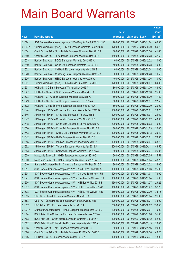|         |                                                                |               |                            | <b>Amount</b> |
|---------|----------------------------------------------------------------|---------------|----------------------------|---------------|
|         |                                                                | No. of        |                            | raised        |
| Code    | <b>Derivative warrants</b>                                     | issue (units) | <b>Listing date Expiry</b> | (HK\$ mil.)   |
| 21584   | SGA Societe Generale Acceptance N.V - Ping An Eu Put Wt Nov15D | 70,000,000    | 2015/04/27 2015/11/04      | 65.80         |
| 21004 # | Goldman Sachs SP (Asia) – HKEx European Warrants Sep 2015 B    | 170,000,000   | 2015/04/27 2015/09/30      | 69.70         |
| 21654   | Credit Suisse AG - China Mobile European Warrants Dec 2015 A   | 80,000,000    | 2015/04/28 2015/12/30      | 41.60         |
| 21659   | Credit Suisse AG - China Mobile European Warrants Dec 2016 C   | 150,000,000   | 2015/04/28 2016/12/28      | 37.50         |
| 21623   | Bank of East Asia – BOCL European Warrants Dec 2015 A          | 40,000,000    | 2015/04/28 2015/12/22      | 10.00         |
| 21619   | Bank of East Asia - China Life European Warrants Oct 2015 B    | 40,000,000    | 2015/04/28 2015/10/28      | 10.00         |
| 21622   | Bank of East Asia - CM Bank European Warrants Mar 2016 B       | 40,000,000    | 2015/04/28 2016/03/24      | 10.00         |
| 21620   | Bank of East Asia - Minsheng Bank European Warrants Oct 15 A   | 30,000,000    | 2015/04/28 2015/10/28      | 10.50         |
| 21625   | Bank of East Asia - HSBC European Warrants Nov 2015 A          | 40,000,000    | 2015/04/28 2015/11/26      | 10.00         |
| 21661   | Goldman Sachs SP (Asia) – China Mobile Euro Wts Oct 2015 B     | 120,000,000   | 2015/04/28 2015/10/07      | 64.80         |
| 21631   | HK Bank – CC Bank European Warrants Nov 2015 A                 | 80,000,000    | 2015/04/28 2015/11/30      | 48.00         |
| 21627   | HK Bank - China COSCO European Warrants Dec 2016 A             | 100,000,000   | 2015/04/28 2016/12/30      | 25.00         |
| 21633   | HK Bank - CITIC Bank European Warrants Oct 2015 A              | 50,000,000    | 2015/04/28 2015/10/30      | 17.50         |
| 21629   | HK Bank - Ch Ship Cont European Warrants Dec 2015 A            | 50,000,000    | 2015/04/28 2015/12/31      | 27.50         |
| 21632   | HK Bank - China Shenhua European Warrants Feb 2016 A           | 80,000,000    | 2015/04/28 2016/02/29      | 20.00         |
| 21644   | J P Morgan SP BV - China Life European Warrants Dec 2015 D     | 100,000,000   | 2015/04/28 2015/12/01      | 28.70         |
| 21646   | J P Morgan SP BV - China Mob European Wts Oct 2015 B           | 100,000,000   | 2015/04/28 2015/10/07      | 24.60         |
| 21647   | J P Morgan SP BV - China Mob European Wts Nov 2015 B           | 100,000,000   | 2015/04/28 2015/11/02      | 40.90         |
| 21618   | J P Morgan SP BV - China Mob European Put Wts Oct 2016 A       | 300,000,000   | 2015/04/28 2016/10/03      | 75.00         |
| 21650   | J P Morgan SP BV - China Tel European Warrants Nov 2015 A      | 80,000,000    | 2015/04/28 2015/11/03      | 20.00         |
| 21643   | J P Morgan SP BV – Galaxy Ent European Warrants Oct 2015 C     | 100,000,000   | 2015/04/28 2015/10/13      | 25.40         |
| 21642   | J P Morgan SP BV - HKEx European Warrants Dec 2015 C           | 300,000,000   | 2015/04/28 2015/12/01      | 76.50         |
| 21645   | J P Morgan SP BV - Ping An European Warrants Dec 2015 A        | 100,000,000   | 2015/04/28 2015/12/01      | 58.70         |
| 21652   | J P Morgan SP BV - Tencent European Warrants Apr 2016 A        | 300,000,000   | 2015/04/28 2016/04/11      | 46.50         |
| 21653   | J P Morgan SP BV - Goldwind European Warrants Dec 2015 A       | 80,000,000    | 2015/04/28 2015/12/31      | 25.36         |
| 21639   | Macquarie Bank Ltd. - HKEx European Warrants Jul 2016 C        | 30,000,000    | 2015/04/28 2016/07/05      | 15.54         |
| 21660   | Macquarie Bank Ltd. - HKEx European Warrants Jan 2017 A        | 100,000,000   | 2015/04/28 2017/01/04      | 48.20         |
| 21640   | Standard Chartered Bank - China Life European Wts Dec 2015 D   | 80,000,000    | 2015/04/28 2015/12/22      | 36.00         |
| 21617   | SGA Societe Generale Acceptance N.V. - AIA Eur Wt Jan 2016 A   | 100,000,000   | 2015/04/28 2016/01/06      | 25.00         |
| 21634   | SGA Societe Generale Acceptance N.V. - Ch Mob Eu Wt Nov 15 B   | 100,000,000   | 2015/04/28 2015/11/04      | 78.00         |
| 21641   | SGA Societe Generale Acceptance N.V. - Shenhua Eu Wt Nov 15 A  | 100,000,000   | 2015/04/28 2015/11/04      | 15.00         |
| 21636   | SGA Societe Generale Acceptance N.V. - HSI Eur Wt Nov 2015 B   | 150,000,000   | 2015/04/28 2015/11/27      | 29.25         |
| 21637   | SGA Societe Generale Acceptance N.V. - HSI Eu Put Wt Nov 15 C  | 150,000,000   | 2015/04/28 2015/11/27      | 32.25         |
| 21638   | SGA Societe Generale Acceptance N.V. - HSI Eu Put Wt Dec 15 D  | 150,000,000   | 2015/04/28 2015/12/30      | 33.75         |
| 21655   | UBS AG - China Life European Warrants Nov 2015 A               | 100,000,000   | 2015/04/28 2015/11/04      | 21.00         |
| 21658   | UBS AG - China Mobile European Put Warrants Oct 2015 B         | 100,000,000   | 2015/04/28 2015/10/27      | 83.00         |
| 21657   | UBS AG - HKEx European Warrants Oct 2015 A                     | 300,000,000   | 2015/04/28 2015/10/27      | 130.50        |
| 21227 # | Standard Chartered Bank - HKEx European Warrants Dec 2015 D    | 200,000,000   | 2015/04/28 2015/12/07      | 79.00         |
| 21664   | BOCI Asia Ltd. - China Life European Put Warrants Nov 2015 A   | 100,000,000   | 2015/04/29 2015/11/06      | 31.00         |
| 21663   | BOCI Asia Ltd. - China Mobile European Warrants Oct 2015 A     | 100,000,000   | 2015/04/29 2015/10/12      | 52.00         |
| 21662   | BOCI Asia Ltd. - China Mobile European Warrants Mar 2017 A     | 100,000,000   | 2015/04/29 2017/03/13      | 25.00         |
| 21685   | Credit Suisse AG - AIA European Warrants Nov 2015 C            | 80,000,000    | 2015/04/29 2015/11/16      | 20.00         |
| 21686   | Credit Suisse AG - China Mobile European Put Wts Oct 2015 D    | 70,000,000    | 2015/04/29 2015/10/30      | 46.20         |
| 21666   | HK Bank - CITIC European Warrants Mar 2016 A                   | 100,000,000   | 2015/04/29 2016/03/31      | 18.00         |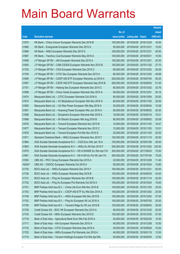|         |                                                                |               |                            |                       | <b>Amount</b> |
|---------|----------------------------------------------------------------|---------------|----------------------------|-----------------------|---------------|
|         |                                                                | No. of        |                            |                       | raised        |
| Code    | <b>Derivative warrants</b>                                     | issue (units) | <b>Listing date Expiry</b> |                       | (HK\$ mil.)   |
| 21670   | HK Bank – China Unicom European Warrants Dec 2016 B            | 100,000,000   | 2015/04/29 2016/12/29      |                       | 16.00         |
| 21665   | HK Bank – Evergrande European Warrants Dec 2015 A              | 50,000,000    | 2015/04/29 2015/12/31      |                       | 15.00         |
| 21669   | HK Bank – HKEx European Warrants Dec 2015 G                    | 180,000,000   | 2015/04/29 2015/12/31      |                       | 45.00         |
| 21667   | HK Bank - Yanzhou Coal European Warrants May 2016 A            | 100,000,000   | 2015/04/29 2016/05/31      |                       | 15.00         |
| 21699   | J P Morgan SP BV - AIA European Warrants Dec 2015 A            | 100,000,000   | 2015/04/29 2015/12/01      |                       | 25.30         |
| 21693   | J P Morgan SP BV - CAM CSI300 European Warrants Nov 2015 B     | 100,000,000   | 2015/04/29 2015/11/02      |                       | 27.70         |
| 21702   | J P Morgan SP BV - CGS European Warrants Dec 2015 C            | 80,000,000    |                            | 2015/04/29 2015/12/02 | 20.08         |
| 21700   | J P Morgan SP BV - CITIC Sec European Warrants Dec 2015 A      | 80,000,000    | 2015/04/29 2015/12/02      |                       | 45.68         |
| 21695   | J P Morgan SP BV - CSOP A50 ETF European Warrants Jul 2016 A   | 200,000,000   |                            | 2015/04/29 2016/07/04 | 50.20         |
| 21697   | J P Morgan SP BV - CSOP A50 ETF European Warrants Sep 2016 B   | 200,000,000   | 2015/04/29 2016/09/30      |                       | 51.00         |
| 21701   | J P Morgan SP BV - Haitong Sec European Warrants Dec 2015 C    | 80,000,000    |                            | 2015/04/29 2015/12/02 | 33.76         |
| 21698   | J P Morgan SP BV - China Vanke European Warrants Dec 2015 A    | 80,000,000    | 2015/04/29 2015/12/01      |                       | 20.16         |
| 21674   | Macquarie Bank Ltd. - CITIC European Warrants Oct 2016 A       | 80,000,000    |                            | 2015/04/29 2016/10/04 | 20.00         |
| 21672   | Macquarie Bank Ltd. - Ch Molybdenum European Wts Nov 2016 A    | 80,000,000    | 2015/04/29 2016/11/02      |                       | 20.00         |
| 21690   | Macquarie Bank Ltd. - Chi Res Power European Wts May 2016 A    | 30,000,000    | 2015/04/29                 | 2016/05/04            | 10.08         |
| 21691   | Macquarie Bank Ltd. - Huaneng Power European Wts Jun 2016 A    | 80,000,000    | 2015/04/29 2016/06/02      |                       | 20.00         |
| 21689   | Macquarie Bank Ltd. - Sinopharm European Warrants Mar 2016 A   | 18,000,000    | 2015/04/29 2016/03/16      |                       | 10.01         |
| 21688   | Macquarie Bank Ltd. - Sh Electric European Wts Aug 2016 B      | 80,000,000    | 2015/04/29 2016/08/02      |                       | 20.08         |
| 21676   | Macquarie Bank Ltd. - Tencent European Warrants Nov 2015 B     | 15,000,000    | 2015/04/29 2015/11/03      |                       | 16.47         |
| 21677   | Macquarie Bank Ltd. - Tencent European Warrants Nov 2015 C     | 15,000,000    | 2015/04/29 2015/11/03      |                       | 10.01         |
| 21678   | Macquarie Bank Ltd. - Tencent European Put Wts Nov 2015 D      | 20,000,000    |                            | 2015/04/29 2015/11/03 | 20.00         |
| 21671   | Standard Chartered Bank - HKEx European Warrants Nov 2015 F    | 100,000,000   | 2015/04/29 2015/11/10      |                       | 35.50         |
| 21684   | SGA Societe Generale Acceptance N.V. - CGS Euro Wts Jan 16 A   | 100,000,000   | 2015/04/29 2016/01/06      |                       | 29.50         |
| 21683   | SGA Societe Generale Acceptance N.V. - HKEx Eu Wt Dec 2015 F   | 200,000,000   |                            | 2015/04/29 2015/12/02 | 102.00        |
| 21679   | SGA Societe Generale Acceptance N.V - HS H-SHARE Eu Wts Apr17A | 300,000,000   | 2015/04/29 2017/04/03      |                       | 75.00         |
| 21681   | SGA Societe Generale Acceptance N.V - HS H-SH Eu Put Wt Jan17A | 300,000,000   | 2015/04/29 2017/01/04      |                       | 75.00         |
| 21692   | UBS AG - PICC Group European Warrants Dec 2015 A               | 20,000,000    | 2015/04/29 2015/12/28      |                       | 11.40         |
| 16248 # | UBS AG - CNOOC European Warrants Oct 2016 A                    | 90,000,000    | 2015/04/29 2016/10/24      |                       | 10.80         |
| 21730   | BOCI Asia Ltd. - HKEx European Warrants Dec 2015 F             | 100,000,000   | 2015/04/30 2015/12/31      |                       | 45.00         |
| 21728   | BOCI Asia Ltd. - HKEx European Warrants May 2016 B             | 100,000,000   | 2015/04/30 2016/05/30      |                       | 43.00         |
| 21731   | BOCI Asia Ltd. - Ping An European Warrants Nov 2016 B          | 100,000,000   |                            | 2015/04/30 2016/11/14 | 22.00         |
| 21732   | BOCI Asia Ltd. - Ping An European Put Warrants Oct 2016 A      | 100,000,000   | 2015/04/30 2016/10/24      |                       | 19.00         |
| 21751   | BNP Paribas Arbit Issu B.V. - China Life Euro Wts Nov 2015 B   | 100,000,000   | 2015/04/30 2015/11/03      |                       | 25.00         |
| 21753   | BNP Paribas Arbit Issu B.V. - CSOP A50 ETF Eu Wts Dec 2016 A   | 100,000,000   | 2015/04/30 2016/12/02      |                       | 25.00         |
| 21749   | BNP Paribas Arbit Issu B.V. - HKEx European Wts Dec 2015 B     | 100,000,000   |                            | 2015/04/30 2015/12/02 | 27.00         |
| 21752   | BNP Paribas Arbit Issu B.V. - Ping An European Wt Jul 2016 A   | 100,000,000   | 2015/04/30 2016/07/05      |                       | 25.00         |
| 21750   | BNP Paribas Arbit Issu B.V. - Tencent HIdgs Eu Wt Jun 2016 B   | 100,000,000   |                            | 2015/04/30 2016/06/02 | 25.00         |
| 21739   | Credit Suisse AG - BOC HK European Warrants Dec 2015 A         | 80,000,000    | 2015/04/30 2015/12/30      |                       | 20.00         |
| 21734   | Credit Suisse AG - HKEx European Warrants Dec 2015 E           | 150,000,000   |                            | 2015/04/30 2015/12/30 | 57.00         |
| 21718   | Bank of East Asia - Agricultural Bank Euro Wts Feb 2016 A      | 40,000,000    | 2015/04/30 2016/02/25      |                       | 10.00         |
| 21717   | Bank of East Asia - AIA European Warrants Dec 2015 A           | 40,000,000    | 2015/04/30 2015/12/08      |                       | 10.00         |
| 21733   | Bank of East Asia - CITIC European Warrants Sep 2016 A         | 40,000,000    | 2015/04/30 2016/09/26      |                       | 10.00         |
| 21720   | Bank of East Asia - HKEx European Put Warrants Jan 2016 A      | 40,000,000    | 2015/04/30 2016/01/19      |                       | 12.00         |
| 21719   | Bank of East Asia - Tencent Holdings European Put Wts Apr16A   | 50,000,000    | 2015/04/30 2016/04/05      |                       | 12.50         |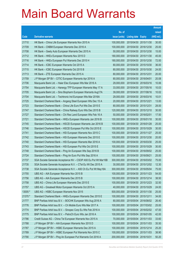|         |                                                                |               |                            |            | <b>Amount</b> |
|---------|----------------------------------------------------------------|---------------|----------------------------|------------|---------------|
|         |                                                                | No. of        |                            |            | raised        |
| Code    | <b>Derivative warrants</b>                                     | issue (units) | <b>Listing date Expiry</b> |            | $(HK$$ mil.)  |
| 21710   | HK Bank - China Life European Warrants Nov 2015 A              | 100,000,000   | 2015/04/30 2015/11/30      |            | 30.00         |
| 21709   | HK Bank - CNBM European Warrants Dec 2016 A                    | 100,000,000   | 2015/04/30 2016/12/30      |            | 25.00         |
| 21708   | HK Bank – Geely Auto European Warrants Dec 2015 A              | 50,000,000    | 2015/04/30 2015/12/30      |            | 15.00         |
| 21712   | HK Bank – HKEx European Warrants Nov 2015 D                    | 180,000,000   | 2015/04/30 2015/11/30      |            | 45.00         |
| 21716   | HK Bank – HKEx European Put Warrants Dec 2015 H                | 180,000,000   | 2015/04/30 2015/12/30      |            | 72.00         |
| 21714   | HK Bank - ICBC European Warrants Oct 2015 A                    | 80,000,000    | 2015/04/30 2015/10/30      |            | 36.00         |
| 21715   | HK Bank - ICBC European Warrants Oct 2015 B                    | 80,000,000    | 2015/04/30                 | 2015/10/30 | 24.00         |
| 21713   | HK Bank - ZTE European Warrants Dec 2015 A                     | 80,000,000    | 2015/04/30 2015/12/31      |            | 20.00         |
| 21759   | J P Morgan SP BV - CITIC European Warrants Apr 2016 A          | 80,000,000    | 2015/04/30 2016/04/01      |            | 20.08         |
| 21706   | Macquarie Bank Ltd. - Haier Elec European Wts Mar 2016 A       | 29,000,000    | 2015/04/30 2016/03/16      |            | 10.06         |
| 21754   | Macquarie Bank Ltd. - Hanergy TFP European Warrants May 17 A   | 33,000,000    | 2015/04/30 2017/05/16      |            | 10.03         |
| 21705   | Macquarie Bank Ltd. - Sino Biopharm European Warrants Aug17A   | 39,000,000    | 2015/04/30 2017/08/16      |            | 10.02         |
| 21704   | Macquarie Bank Ltd. - Techtronic Ind European Wts Mar 2016A    | 29,000,000    | 2015/04/30 2016/03/16      |            | 10.01         |
| 21725   | Standard Chartered Bank - Angang Steel European Wts Dec 15 A   | 20,000,000    | 2015/04/30 2015/12/21      |            | 13.00         |
| 21723   | Standard Chartered Bank - China Life Euro Put Wts Dec 2015 E   | 80,000,000    | 2015/04/30 2015/12/31      |            | 28.00         |
| 21747   | Standard Chartered Bank – China Railway Euro Wts Dec 2015 B    | 120,000,000   | 2015/04/30 2015/12/10      |            | 30.00         |
| 21727   | Standard Chartered Bank - Chi Res Land European Wts Feb 16 A   | 50,000,000    | 2015/04/30 2016/02/01      |            | 17.50         |
| 21721   | Standard Chartered Bank - HKEx European Warrants Jan 2016 B    | 100,000,000   | 2015/04/30 2016/01/18      |            | 30.00         |
| 21745   | Standard Chartered Bank - HSCEI European Warrants Jan 2016 B   | 100,000,000   | 2015/04/30 2016/01/28      |            | 25.00         |
| 21746   | Standard Chartered Bank - HSCEI European Put Wts Oct 2015 E    | 100,000,000   | 2015/04/30 2015/10/29      |            | 30.00         |
| 21741   | Standard Chartered Bank – HSI European Warrants Nov 2015 C     | 100,000,000   | 2015/04/30 2015/11/27      |            | 25.00         |
| 21742   | Standard Chartered Bank - HSI European Warrants Dec 2015 E     | 100,000,000   | 2015/04/30 2015/12/30      |            | 20.00         |
| 21740   | Standard Chartered Bank - HSI European Warrants Mar 2016 A     | 100,000,000   | 2015/04/30 2016/03/30      |            | 25.00         |
| 21743   | Standard Chartered Bank - HSI European Put Wts Oct 2015 E      | 100,000,000   | 2015/04/30 2015/10/29      |            | 30.00         |
| 21748   | Standard Chartered Bank - Ping An European Wts Sep 2016 B      | 100,000,000   | 2015/04/30 2016/09/02      |            | 25.00         |
| 21724   | Standard Chartered Bank - Ping An Euro Put Wts Sep 2016 A      | 100,000,000   | 2015/04/30 2016/09/21      |            | 25.00         |
| 21737   | SGA Societe Generale Acceptance NV - CSOP A50 Eu Put Wt Mar16B | 300,000,000   | 2015/04/30 2016/03/02      |            | 75.00         |
| 21735   | SGA Societe Generale Acceptance N.V. - CTel Eu Wt Dec 2015 A   | 30,000,000    | 2015/04/30 2015/12/02      |            | 12.30         |
| 21738   | SGA Societe Generale Acceptance N.V. - A50 Ch Eu Put Wt May16A | 300,000,000   | 2015/04/30 2016/05/04      |            | 75.00         |
| 21755   | UBS AG – AIA European Warrants Nov 2015 B                      | 100,000,000   | 2015/04/30 2015/11/23      |            | 54.00         |
| 21756   | UBS AG - AIA European Warrants Dec 2015 B                      | 100,000,000   | 2015/04/30 2015/12/14      |            | 38.50         |
| 21758   | UBS AG - China Life European Warrants Dec 2015 E               | 100,000,000   | 2015/04/30 2015/12/23      |            | 32.50         |
| 21757   | UBS AG - Greatwall Motor European Warrants Oct 2015 A          | 40,000,000    | 2015/04/30                 | 2015/10/29 | 24.00         |
| 13005 # | UBS AG - HSBC European Warrants Nov 2015                       | 500,000,000   | 2015/04/30 2015/11/30      |            | 25.00         |
| 21370 # | Standard Chartered Bank - HKEx European Warrants Dec 2015 E    | 100,000,000   | 2015/04/30 2015/12/11      |            | 34.00         |
| 21777   | BNP Paribas Arbit Issu B.V. - BOCHK European Wts Aug 2016 A    | 80,000,000    | 2015/05/04 2016/08/02      |            | 26.40         |
| 21776   | BNP Paribas Arbit Issu B.V. - Ch Mobile Euro Wts Mar 2017 A    | 100,000,000   | 2015/05/04                 | 2017/03/02 | 25.00         |
| 21774   | BNP Paribas Arbit Issu B.V. - Sinopec Corp Eu Wts Feb 2016 A   | 100,000,000   | 2015/05/04 2016/02/02      |            | 47.00         |
| 21775   | BNP Paribas Arbit Issu B.V. - PetroCh Euro Wts Jan 2016 A      | 100,000,000   | 2015/05/04 2016/01/05      |            | 42.00         |
| 21786   | Credit Suisse AG - China Tel European Warrants Nov 2015 A      | 70,000,000    | 2015/05/04 2015/11/03      |            | 33.60         |
| 21788   | J P Morgan SP BV - AIA European Warrants Nov 2015 D            | 100,000,000   | 2015/05/04                 | 2015/11/03 | 35.50         |
| 21787   | J P Morgan SP BV - HSBC European Warrants Dec 2015 A           | 100,000,000   | 2015/05/04 2015/12/14      |            | 25.20         |
| 21789   | J P Morgan SP BV - HSBC European Put Warrants Nov 2015 C       | 100,000,000   | 2015/05/04 2015/11/03      |            | 38.90         |
| 21790   | J P Morgan SP BV - Ping An European Put Warrants Oct 2016 A    | 200,000,000   | 2015/05/04 2016/10/31      |            | 50.20         |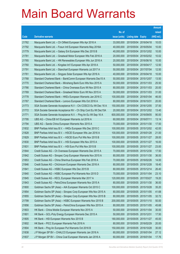|       |                                                                |               |                            |            | <b>Amount</b> |
|-------|----------------------------------------------------------------|---------------|----------------------------|------------|---------------|
|       |                                                                | No. of        |                            |            | raised        |
| Code  | <b>Derivative warrants</b>                                     | issue (units) | <b>Listing date Expiry</b> |            | (HK\$ mil.)   |
| 21762 | Macquarie Bank Ltd. - Ch Oilfield European Wts Apr 2016 A      | 33,000,000    | 2015/05/04 2016/04/18      |            | 10.03         |
| 21792 | Macquarie Bank Ltd. - Fosun Intl European Warrants May 2016A   | 40,000,000    | 2015/05/04 2016/05/04      |            | 10.00         |
| 21779 | Macquarie Bank Ltd. - Galaxy Ent European Wts Dec 2015 B       | 40,000,000    | 2015/05/04                 | 2015/12/02 | 10.00         |
| 21781 | Macquarie Bank Ltd. - Greatwall Motor European Wts Feb 2016 A  | 20,000,000    | 2015/05/04 2016/02/02      |            | 10.02         |
| 21765 | Macquarie Bank Ltd. - HN Renewables European Wts Jun 2016 A    | 20,000,000    | 2015/05/04 2016/06/16      |            | 10.00         |
| 21760 | Macquarie Bank Ltd. - Kingdee Int'l European Wts Apr 2018 A    | 50,000,000    | 2015/05/04 2018/04/17      |            | 12.50         |
| 21791 | Macquarie Bank Ltd. - Stanchart European Warrants Jul 2017 A   | 50,000,000    | 2015/05/04 2017/07/04      |            | 12.50         |
| 21761 | Macquarie Bank Ltd. - Singyes Solar European Wts Apr 2016 A    | 40,000,000    | 2015/05/04 2016/04/18      |            | 10.00         |
| 21768 | Standard Chartered Bank – BankComm European Warrants Dec15 A   | 50,000,000    | 2015/05/04 2015/12/07      |            | 13.50         |
| 21770 | Standard Chartered Bank - Minsheng Bank Euro Wts Nov 2015 A    | 50,000,000    | 2015/05/04 2015/11/03      |            | 25.50         |
| 21766 | Standard Chartered Bank – China Overseas Euro Wt Nov 2015 A    | 80,000,000    | 2015/05/04 2015/11/03      |            | 20.00         |
| 21769 | Standard Chartered Bank - Greatwall Motor Euro Wt Nov 2015 A   | 50,000,000    | 2015/05/04 2015/11/03      |            | 31.00         |
| 21778 | Standard Chartered Bank - HKEx European Warrants Jan 2016 C    | 100,000,000   | 2015/05/04 2016/01/04      |            | 46.00         |
| 21767 | Standard Chartered Bank - Lenovo European Wts Oct 2016 A       | 80,000,000    | 2015/05/04 2016/10/31      |            | 20.00         |
| 21773 | SGA Societe Generale Acceptance N.V – Chi COSCO Eu Wt Dec 16 A | 150,000,000   | 2015/05/04 2016/12/05      |            | 37.50         |
| 21772 | SGA Societe Generale Acceptance NV – Ch Ship Cont Eu Wt Dec15A | 20,000,000    | 2015/05/04 2015/12/02      |            | 13.40         |
| 21771 | SGA Societe Generale Acceptance N.V. - Ping An Eu Wt Sep 16 A  | 600,000,000   | 2015/05/04 2016/09/05      |            | 90.00         |
| 21795 | UBS AG - China EB Int'l European Warrants Jul 2016 A           | 60,000,000    | 2015/05/04 2016/07/11      |            | 13.14         |
| 21794 | UBS AG - Sands China European Warrants Nov 2015 A              | 70,000,000    | 2015/05/04 2015/11/30      |            | 17.50         |
| 21832 | BNP Paribas Arbit Issu B.V. - HKEx European Wts Dec 2015 C     | 100,000,000   | 2015/05/05 2015/12/02      |            | 42.00         |
| 21828 | BNP Paribas Arbit Issu B.V. - HSCEI European Wts Jan 2016 A    | 100,000,000   | 2015/05/05 2016/01/28      |            | 21.00         |
| 21829 | BNP Paribas Arbit Issu B.V. - HSCEI Euro Put Wts Nov 2015 B    | 100,000,000   | 2015/05/05 2015/11/27      |            | 28.00         |
| 21830 | BNP Paribas Arbit Issu B.V. - HSI European Wts Nov 2015 A      | 100,000,000   | 2015/05/05 2015/11/27      |            | 16.00         |
| 21831 | BNP Paribas Arbit Issu B.V. - HSI Euro Put Wts Nov 2015 B      | 100,000,000   | 2015/05/05 2015/11/27      |            | 23.00         |
| 21844 | Credit Suisse AG - Ch Overseas European Warrants Dec 2015 A    | 70,000,000    | 2015/05/05 2015/12/30      |            | 17.50         |
| 21842 | Credit Suisse AG - Sinopec Corp European Warrants Nov 2015 A   | 80,000,000    | 2015/05/05 2015/11/30      |            | 36.00         |
| 21853 | Credit Suisse AG - China Shenhua European Wts Feb 2016 A       | 70,000,000    | 2015/05/05 2016/02/26      |            | 14.00         |
| 21846 | Credit Suisse AG - ChiUnicom European Warrants Dec 2016 A      | 80,000,000    | 2015/05/05 2016/12/28      |            | 18.40         |
| 21841 | Credit Suisse AG - HSBC European Wts Dec 2015 B                | 80,000,000    | 2015/05/05 2015/12/14      |            | 26.40         |
| 21840 | Credit Suisse AG - HSBC European Put Warrants Nov 2015 D       | 70,000,000    | 2015/05/05 2015/11/04      |            | 23.10         |
| 21845 | Credit Suisse AG - KECL European Warrants Mar 2017 A           | 120,000,000   | 2015/05/05 2017/03/27      |            | 19.20         |
| 21843 | Credit Suisse AG - PetroChina European Warrants Nov 2015 A     | 80,000,000    | 2015/05/05 2015/11/30      |            | 36.00         |
| 21800 | Goldman Sachs SP (Asia) - AIA European Warrants Oct 2015 C     | 100,000,000   | 2015/05/05 2015/10/28      |            | 35.20         |
| 21854 | Goldman Sachs SP (Asia) - Sinopec Corp European Wts Nov 2015 A | 80,000,000    | 2015/05/05 2015/11/05      |            | 41.68         |
| 21855 | Goldman Sachs SP (Asia) - Sinopec Corp European Wts Nov 2015 B | 80,000,000    | 2015/05/05 2015/11/05      |            | 32.72         |
| 21799 | Goldman Sachs SP (Asia) - HSBC European Warrants Nov 2015 B    | 200,000,000   | 2015/05/05 2015/11/10      |            | 50.00         |
| 21856 | Goldman Sachs SP (Asia) - PetroChina European Wts Nov 2015 A   | 80,000,000    | 2015/05/05 2015/11/05      |            | 45.68         |
| 21803 | HK Bank - China Mobile European Warrants Nov 2015 A            | 50,000,000    | 2015/05/05 2015/11/04      |            | 30.00         |
| 21801 | HK Bank - GCL-Poly Energy European Warrants Dec 2015 A         | 50,000,000    | 2015/05/05 2015/12/31      |            | 17.50         |
| 21805 | HK Bank - HSI European Warrants Nov 2015 B                     | 180,000,000   | 2015/05/05 2015/11/27      |            | 45.00         |
| 21802 | HK Bank - PICC European Warrants Feb 2016 A                    | 80,000,000    | 2015/05/05 2016/02/29      |            | 20.00         |
| 21804 | HK Bank - Ping An European Put Warrants Oct 2016 B             | 150,000,000   | 2015/05/05 2016/10/28      |            | 30.00         |
| 21838 | J P Morgan SP BV - CHALCO European Warrants Jan 2016 A         | 60,000,000    | 2015/05/05 2016/01/04      |            | 27.12         |
| 21837 | J P Morgan SP BV - China Coal European Warrants Jan 2016 A     | 60,000,000    | 2015/05/05 2016/01/04      |            | 17.76         |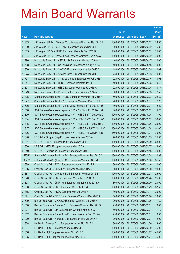|         |                                                               |               |                       |                       | <b>Amount</b> |
|---------|---------------------------------------------------------------|---------------|-----------------------|-----------------------|---------------|
|         |                                                               | No. of        |                       |                       | raised        |
| Code    | <b>Derivative warrants</b>                                    | issue (units) | Listing date Expiry   |                       | (HK\$ mil.)   |
| 21833   | J P Morgan SP BV - Sinopec Corp European Warrants Dec 2015 B  | 100,000,000   | 2015/05/05 2015/12/02 |                       | 39.50         |
| 21839   | J P Morgan SP BV - GCL-Poly European Warrants Dec 2015 A      | 60,000,000    |                       | 2015/05/05 2015/12/02 | 15.36         |
| 21835   | J P Morgan SP BV - HSBC European Warrants Dec 2015 B          | 100,000,000   | 2015/05/05 2015/12/02 |                       | 25.00         |
| 21834   | J P Morgan SP BV - PetroChina European Warrants Dec 2015 A    | 100,000,000   |                       | 2015/05/05 2015/12/02 | 49.90         |
| 21796   | Macquarie Bank Ltd. - ASM Pacific European Wts Apr 2018 A     | 40,000,000    | 2015/05/05 2018/04/17 |                       | 10.00         |
| 21798   | Macquarie Bank Ltd. - Ch LongYuan European Wts Aug 2017 A     | 40,000,000    | 2015/05/05 2017/08/16 |                       | 10.00         |
| 21820   | Macquarie Bank Ltd. - CNOOC European Warrants Jan 2016 A      | 15,000,000    | 2015/05/05 2016/01/05 |                       | 10.02         |
| 21824   | Macquarie Bank Ltd. - Sinopec Corp European Wts Jan 2016 B    | 23,000,000    | 2015/05/05 2016/01/05 |                       | 10.03         |
| 21797   | Macquarie Bank Ltd. - Chinares Cement European Wt Feb 2016 A  | 22,000,000    | 2015/05/05 2016/02/16 |                       | 10.03         |
| 21847   | Macquarie Bank Ltd. - HSBC European Warrants Jan 2016 B       | 40,000,000    | 2015/05/05 2016/01/05 |                       | 10.48         |
| 21807   | Macquarie Bank Ltd. - HSBC European Warrants Jul 2016 A       | 22,000,000    | 2015/05/05 2016/07/05 |                       | 10.47         |
| 21823   | Macquarie Bank Ltd. - PetroChina European Wts Apr 2018 A      | 50,000,000    | 2015/05/05 2018/04/03 |                       | 12.50         |
| 21825   | Standard Chartered Bank - HSBC European Warrants Feb 2016 A   | 50,000,000    | 2015/05/05 2016/02/23 |                       | 22.50         |
| 21827   | Standard Chartered Bank - NCI European Warrants Mar 2016 A    | 20,000,000    | 2015/05/05 2016/03/31 |                       | 12.20         |
| 21826   | Standard Chartered Bank - China Vanke European Wts Dec 2015B  | 50,000,000    | 2015/05/05 2015/12/31 |                       | 12.50         |
| 21808   | SGA Societe Generale Acceptance N.V. - Ch Cinda Eu Wt Dec15A  | 30,000,000    |                       | 2015/05/05 2015/12/02 | 14.25         |
| 21809   | SGA Societe Generale Acceptance N.V. - HSBC Eu Wt Oct 2015 C  | 100,000,000   | 2015/05/05 2015/10/05 |                       | 37.00         |
| 21814   | SGA Societe Generale Acceptance N.V. - HSBC Eu Wt Dec 2015 C  | 100,000,000   |                       | 2015/05/05 2015/12/02 | 36.00         |
| 21815   | SGA Societe Generale Acceptance N.V. - HSBC Eu Wt Jan 2016 B  | 100,000,000   | 2015/05/05 2016/01/06 |                       | 25.00         |
| 21817   | SGA Societe Generale Acceptance N.V. - HSBC Eu Put Wt Nov15 C | 100,000,000   | 2015/05/05 2015/11/04 |                       | 51.00         |
| 21806   | SGA Societe Generale Acceptance N.V. - HSI Eu Put Wt Nov 15 D | 150,000,000   | 2015/05/05 2015/11/27 |                       | 39.00         |
| 21848   | UBS AG - Sinopec Corp European Warrants Nov 2015 A            | 70,000,000    | 2015/05/05 2015/11/09 |                       | 25.90         |
| 21851   | UBS AG - HSBC European Put Warrants Nov 2015 D                | 100,000,000   | 2015/05/05 2015/11/09 |                       | 58.00         |
| 21850   | UBS AG - KECL European Warrants Mar 2017 A                    | 100,000,000   | 2015/05/05 2017/03/27 |                       | 16.00         |
| 21849   | UBS AG - PetroChina European Warrants Nov 2015 B              | 100,000,000   | 2015/05/05 2015/11/16 |                       | 44.00         |
| 15755 # | Standard Chartered Bank - KECL European Warrants Dec 2015 A   | 180,000,000   | 2015/05/05 2015/12/28 |                       | 10.98         |
| 19577 # | Goldman Sachs SP (Asia) – HSBC European Warrants Sep 2015 C   | 100,000,000   | 2015/05/05 2015/09/30 |                       | 31.50         |
| 21879   | Credit Suisse AG - BOCL European Warrants Nov 2015 B          | 80,000,000    | 2015/05/06 2015/11/16 |                       | 20.00         |
| 21886   | Credit Suisse AG - China Life European Warrants Nov 2015 C    | 80,000,000    | 2015/05/06 2015/11/30 |                       | 20.00         |
| 21887   | Credit Suisse AG - Minsheng Bank European Wts Dec 2016 B      | 100,000,000   | 2015/05/06 2016/12/28 |                       | 25.00         |
| 21870   | Credit Suisse AG - CNBM European Warrants Dec 2016 A          | 100,000,000   | 2015/05/06 2016/12/28 |                       | 25.00         |
| 21878   | Credit Suisse AG - ChiUnicom European Warrants Sep 2016 A     | 80,000,000    | 2015/05/06 2016/09/30 |                       | 20.00         |
| 21888   | Credit Suisse AG - HKEx European Warrants Jan 2016 B          | 150,000,000   | 2015/05/06 2016/01/29 |                       | 37.50         |
| 21885   | Credit Suisse AG - HSBC European Wts Jan 2016 A               | 80,000,000    | 2015/05/06 2016/01/11 |                       | 20.00         |
| 21871   | Credit Suisse AG - PICC Group European Warrants Dec 2015 A    | 50,000,000    | 2015/05/06 2015/12/28 |                       | 28.00         |
| 21899   | Bank of East Asia - CHALCO European Warrants Jan 2016 A       | 20,000,000    | 2015/05/06 2016/01/06 |                       | 11.80         |
| 21880   | Bank of East Asia - Sinopec Corp European Warrants Dec 2015A  | 25,000,000    | 2015/05/06 2015/12/31 |                       | 10.00         |
| 21901   | Bank of East Asia - JIANC European Warrants Mar 2016 A        | 60,000,000    | 2015/05/06 2016/03/31 |                       | 11.40         |
| 21882   | Bank of East Asia - PetroChina European Warrants Dec 2015 A   | 25,000,000    | 2015/05/06 2015/12/31 |                       | 10.50         |
| 21900   | Bank of East Asia - Yanzhou Coal European Wts Dec 2015 A      | 20,000,000    | 2015/05/06 2015/12/04 |                       | 12.00         |
| 21868   | HK Bank - Sinopec Corp European Warrants Nov 2015 A           | 80,000,000    | 2015/05/06 2015/11/30 |                       | 28.00         |
| 21867   | HK Bank - HSCEI European Warrants Dec 2015 C                  | 180,000,000   | 2015/05/06 2015/12/30 |                       | 45.00         |
| 21866   | HK Bank - HSI European Warrants Nov 2015 D                    | 180,000,000   | 2015/05/06 2015/11/27 |                       | 45.00         |
| 21865   | HK Bank - HSI European Put Warrants Nov 2015 C                | 180,000,000   | 2015/05/06 2015/11/27 |                       | 45.00         |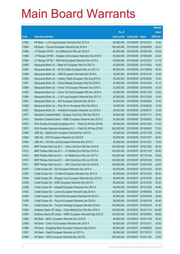|       |                                                              |               |                            |            | <b>Amount</b> |
|-------|--------------------------------------------------------------|---------------|----------------------------|------------|---------------|
|       |                                                              | No. of        |                            |            | raised        |
| Code  | <b>Derivative warrants</b>                                   | issue (units) | <b>Listing date Expiry</b> |            | (HK\$ mil.)   |
| 21862 | HK Bank – Li & Fung European Warrants Dec 2015 A             | 60,000,000    | 2015/05/06 2015/12/31      |            | 15.00         |
| 21864 | HK Bank – Tencent European Warrants Apr 2016 A               | 180,000,000   | 2015/05/06 2016/04/29      |            | 45.00         |
| 21896 | J P Morgan SP BV - Ch Oilfield Euro Wts Jan 2016 A           | 80,000,000    | 2015/05/06 2016/01/04      |            | 20.08         |
| 21898 | J P Morgan SP BV - Kingdee Intl European Warrants Feb 2018 A | 80,000,000    | 2015/05/06 2018/02/28      |            | 20.08         |
| 21869 | J P Morgan SP BV - SHK Ppt European Warrants Dec 2015 A      | 60,000,000    | 2015/05/06 2015/12/01      |            | 21.78         |
| 21890 | Macquarie Bank Ltd. - Belle Int'l European Wts Oct 2017 A    | 40,000,000    | 2015/05/06 2017/10/03      |            | 10.00         |
| 21860 | Macquarie Bank Ltd. - BJ Ent Water European Wts Jun 2017 A   | 80,000,000    | 2015/05/06 2017/06/26      |            | 20.00         |
| 21858 | Macquarie Bank Ltd. - CMS European Warrants Dec 2016 A       | 38,000,000    | 2015/05/06 2016/12/16      |            | 10.03         |
| 21893 | Macquarie Bank Ltd. - Cathay Pacific European Wts Aug 2016 A | 40,000,000    | 2015/05/06 2016/08/02      |            | 10.00         |
| 21891 | Macquarie Bank Ltd. - China Railway European Wts Oct 2016 A  | 27,000,000    | 2015/05/06 2016/10/04      |            | 10.15         |
| 21889 | Macquarie Bank Ltd. - China Tel European Warrants Apr 2016 A | 30,000,000    | 2015/05/06 2016/04/05      |            | 10.35         |
| 21892 | Macquarie Bank Ltd. - Chow Tai Fook European Wts Nov 2016 A  | 40,000,000    | 2015/05/06 2016/11/02      |            | 10.00         |
| 21895 | Macquarie Bank Ltd. - Li & Fung European Warrants Dec 2017 A | 40,000,000    | 2015/05/06 2017/12/04      |            | 10.00         |
| 21861 | Macquarie Bank Ltd. - NCI European Warrants Mar 2016 A       | 20,000,000    | 2015/05/06 2016/03/02      |            | 10.00         |
| 21859 | Macquarie Bank Ltd. - Poly HK Inv European Wts Feb 2016 A    | 16,000,000    | 2015/05/06 2016/02/02      |            | 10.29         |
| 21857 | Macquarie Bank Ltd. - Goldwind European Warrants Jun 2016 A  | 20,000,000    | 2015/05/06 2016/06/17      |            | 10.00         |
| 21877 | Standard Chartered Bank – Sinopec Corp Euro Wts Nov 2015 A   | 50,000,000    | 2015/05/06 2015/11/11      |            | 23.50         |
| 21874 | Standard Chartered Bank – HSBC European Warrants Sep 2015 C  | 50,000,000    | 2015/05/06 2015/09/23      |            | 16.00         |
| 21872 | SGA Societe Generale Acceptance N.V. - Petch Eu Wt Dec 2015A | 60,000,000    | 2015/05/06 2015/12/02      |            | 41.40         |
| 21873 | SGA Societe Generale Acceptance N.V. - Petch Eu Wt Sep 2018A | 300,000,000   | 2015/05/06 2018/09/03      |            | 75.00         |
| 21883 | UBS AG - BankComm European Warrants Nov 2015 A               | 40,000,000    | 2015/05/06 2015/11/09      |            | 23.60         |
| 21884 | UBS AG - BYD European Warrants Oct 2015 B                    | 50,000,000    | 2015/05/06 2015/10/27      |            | 46.00         |
| 21894 | UBS AG - Chi Res Land European Warrants Dec 2015 C           | 40,000,000    | 2015/05/06 2015/12/21      |            | 13.60         |
| 21915 | BNP Paribas Arbit Issu B.V. - China Life Euro Wts Dec 2015 B | 100,000,000   | 2015/05/07 2015/12/02      |            | 25.00         |
| 21912 | BNP Paribas Arbit Issu B.V. - Ch Mobile Euro Wts Nov 2015 A  | 100,000,000   | 2015/05/07 2015/11/03      |            | 36.00         |
| 21914 | BNP Paribas Arbit Issu B.V. - Ch Mobile Euro Wts Jan 2017 A  | 100.000.000   | 2015/05/07 2017/01/04      |            | 25.00         |
| 21910 | BNP Paribas Arbit Issu B.V. - A50 China Euro Wts Jul 2016 B  | 100,000,000   | 2015/05/07 2016/07/05      |            | 25.00         |
| 21911 | BNP Paribas Arbit Issu B.V. - A50 China Euro Wts Oct 2016 B  | 100,000,000   | 2015/05/07 2016/10/04      |            | 26.00         |
| 21937 | Credit Suisse AG - AIA European Warrants Dec 2015 A          | 80,000,000    | 2015/05/07 2015/12/30      |            | 20.00         |
| 21935 | Credit Suisse AG - CC Bank European Warrants Dec 2015 A      | 80,000,000    | 2015/05/07 2015/12/30      |            | 20.00         |
| 21934 | Credit Suisse AG - Sinopec Corp European Warrants Dec 2015 A | 80,000,000    | 2015/05/07 2015/12/30      |            | 20.00         |
| 21936 | Credit Suisse AG - ICBC European Warrants Dec 2015 A         | 80,000,000    | 2015/05/07 2015/12/30      |            | 20.00         |
| 21938 | Credit Suisse AG - Kingsoft European Warrants Dec 2015 A     | 80,000,000    | 2015/05/07                 | 2015/12/30 | 44.80         |
| 21932 | Credit Suisse AG - Lenovo European Warrants Sep 2016 A       | 120,000,000   | 2015/05/07 2016/09/30      |            | 30.00         |
| 21940 | Credit Suisse AG - PetroChina European Warrants Feb 2016 A   | 80,000,000    | 2015/05/07 2016/02/26      |            | 26.40         |
| 21939 | Credit Suisse AG - Ping An European Warrants Jan 2016 A      | 80,000,000    | 2015/05/07 2016/01/28      |            | 54.40         |
| 21931 | Credit Suisse AG - Tencent Holdings European Wts Mar 2016 A  | 150,000,000   | 2015/05/07                 | 2016/03/29 | 37.50         |
| 21954 | Goldman Sachs SP (Asia) - China Mobile Euro Wts Nov 2015 A   | 150,000,000   | 2015/05/07 2015/11/10      |            | 154.80        |
| 21955 | Goldman Sachs SP (Asia) - HSBC European Warrants Sep 2015 E  | 150,000,000   | 2015/05/07                 | 2015/09/04 | 56.85         |
| 21905 | HK Bank - BOCL European Warrants Nov 2015 B                  | 80,000,000    | 2015/05/07 2015/11/30      |            | 20.00         |
| 21908 | HK Bank - China Tel European Warrants Dec 2015 A             | 80,000,000    | 2015/05/07                 | 2015/12/31 | 32.00         |
| 21906 | HK Bank - Dongfeng Motor European Warrants Sep 2016 A        | 80,000,000    | 2015/05/07 2016/09/30      |            | 20.00         |
| 21907 | HK Bank - Esprit European Warrants Jul 2017 A                | 80,000,000    | 2015/05/07                 | 2017/07/31 | 12.00         |
| 21909 | HK Bank - HKEx European Warrants Nov 2015 E                  | 180,000,000   | 2015/05/07 2015/11/03      |            | 72.00         |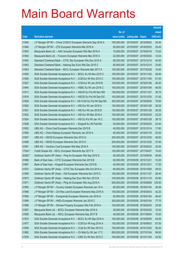|         |                                                                |               |                            |            | <b>Amount</b> |
|---------|----------------------------------------------------------------|---------------|----------------------------|------------|---------------|
|         |                                                                | No. of        |                            |            | raised        |
| Code    | <b>Derivative warrants</b>                                     | issue (units) | <b>Listing date Expiry</b> |            | (HK\$ mil.)   |
| 21945   | J P Morgan SP BV - China COSCO European Warrants Sep 2016 A    | 100,000,000   | 2015/05/07                 | 2016/09/02 | 25.00         |
| 21946   | J P Morgan SP BV - ZTE European Warrants Mar 2016 A            | 50,000,000    | 2015/05/07 2016/03/02      |            | 29.45         |
| 21903   | Macquarie Bank Ltd. - AAC Acoustic European Wts Mar 2016 A     | 15,000,000    | 2015/05/07                 | 2016/03/16 | 10.02         |
| 21902   | Macquarie Bank Ltd. - Foxconn European Warrants Mar 2016 A     | 22,000,000    | 2015/05/07 2016/03/02      |            | 10.03         |
| 21942   | Standard Chartered Bank - CITIC Sec European Wts Dec 2015 A    | 80,000,000    | 2015/05/07 2015/12/14      |            | 40.00         |
| 21943   | Standard Chartered Bank - Haitong Sec Euro Wts Dec 2015 C      | 80,000,000    | 2015/05/07 2015/12/14      |            | 33.60         |
| 21953   | Standard Chartered Bank - KECL European Warrants Mar 2017 A    | 100,000,000   | 2015/05/07 2017/03/28      |            | 15.00         |
| 21925   | SGA Societe Generale Acceptance N.V. - BOCL Eu Wt Nov 2015 C   | 100,000,000   | 2015/05/07 2015/11/02      |            | 38.50         |
| 21926   | SGA Societe Generale Acceptance N.V. - CCB Eur Wt Nov 2015 C   | 100,000,000   | 2015/05/07 2015/11/04      |            | 61.00         |
| 21927   | SGA Societe Generale Acceptance N.V. - CCB Eur Wt Jan 2016 B   | 100,000,000   | 2015/05/07 2016/01/06      |            | 46.00         |
| 21944   | SGA Societe Generale Acceptance N.V. - HSBC Eu Wt Jan 2016 C   | 100,000,000   | 2015/05/07                 | 2016/01/06 | 46.00         |
| 21917   | SGA Societe Generale Acceptance N.V. - HSCEI Eu Put Wt Nov15D  | 150,000,000   | 2015/05/07 2015/11/27      |            | 36.75         |
| 21919   | SGA Societe Generale Acceptance N.V. - HSCEI Eu Put Wt Dec15C  | 150,000,000   | 2015/05/07 2015/12/30      |            | 31.50         |
| 21929   | SGA Societe Generale Acceptance N.V - HS H-SH Eu Put Wt Sep16A | 300,000,000   | 2015/05/07 2016/09/05      |            | 75.00         |
| 21920   | SGA Societe Generale Acceptance N.V. - HSI Eur Wt Jan 2016 A   | 150,000,000   | 2015/05/07 2016/01/28      |            | 38.25         |
| 21921   | SGA Societe Generale Acceptance N.V. - HSI Eur Wt Jan 2016 B   | 150,000,000   | 2015/05/07 2016/01/28      |            | 26.25         |
| 21922   | SGA Societe Generale Acceptance N.V. - HSI Eur Wt Mar 2016 A   | 150,000,000   | 2015/05/07 2016/03/30      |            | 23.25         |
| 21924   | SGA Societe Generale Acceptance N.V. - HSI Eu Put Wt Jan 16 C  | 150,000,000   | 2015/05/07 2016/01/28      |            | 39.75         |
| 21928   | SGA Societe Generale Acceptance N.V. - Kingsoft Eu Wt Feb16A   | 40,000,000    | 2015/05/07 2016/02/03      |            | 24.40         |
| 21952   | UBS AG - China Coal European Warrants Dec 2015 B               | 40,000,000    | 2015/05/07 2015/12/14      |            | 17.80         |
| 21950   | UBS AG - China Railway European Warrants Jan 2016 A            | 80,000,000    | 2015/05/07 2016/01/18      |            | 20.00         |
| 21947   | UBS AG - HSCEI European Warrants Dec 2015 G                    | 200,000,000   | 2015/05/07 2015/12/30      |            | 46.00         |
| 21948   | UBS AG - HSCEI European Warrants Dec 2015 H                    | 200,000,000   | 2015/05/07 2015/12/30      |            | 37.00         |
| 21951   | UBS AG - Yanzhou Coal European Wts May 2016 A                  | 100,000,000   | 2015/05/07 2016/05/23      |            | 20.00         |
| 17524 # | Credit Suisse AG - KECL European Warrants Apr 2017 A           | 120,000,000   | 2015/05/07 2017/04/27      |            | 19.20         |
| 20382 # | Goldman Sachs SP (Asia) - Ping An European Wts Sep 2015 E      | 60.000.000    | 2015/05/07 2015/09/30      |            | 58.80         |
| 21968   | Bank of East Asia - CITIC European Warrants Dec 2015 B         | 60,000,000    | 2015/05/08 2015/12/21      |            | 10.20         |
| 21967   | Bank of East Asia - Kingsoft European Warrants Dec 2015 B      | 40,000,000    | 2015/05/08 2015/12/31      |            | 17.20         |
| 21972   | Goldman Sachs SP (Asia) - CITIC Sec European Wts Oct 2015 A    | 80,000,000    | 2015/05/08 2015/10/05      |            | 49.52         |
| 21958   | Goldman Sachs SP (Asia) - HSI European Warrants Nov 2015 C     | 150,000,000   | 2015/05/08 2015/11/27      |            | 26.40         |
| 21973   | Goldman Sachs SP (Asia) - Haitong Sec Euro Wts Nov 2015 B      | 100,000,000   | 2015/05/08 2015/11/10      |            | 53.90         |
| 21971   | Goldman Sachs SP (Asia) - Ping An European Wts Aug 2016 A      | 500,000,000   | 2015/05/08 2016/08/08      |            | 125.00        |
| 21993   | J P Morgan SP BV - Country Garden European Warrants Jan 16 A   | 60,000,000    | 2015/05/08 2016/01/04      |            | 26.58         |
| 21998   | J P Morgan SP BV - Chi Res Land European Warrants May 2016 A   | 100,000,000   | 2015/05/08 2016/05/03      |            | 42.20         |
| 21995   | J P Morgan SP BV - Evergrande European Warrants Jan 2016 A     | 60,000,000    | 2015/05/08 2016/01/04      |            | 48.42         |
| 21999   | J P Morgan SP BV - HKEx European Warrants Jan 2016 C           | 300,000,000   | 2015/05/08 2016/01/04      |            | 77.70         |
| 21996   | J P Morgan SP BV - Shimao Property European Wts Feb 2016 A     | 100,000,000   | 2015/05/08 2016/02/02      |            | 25.00         |
| 21957   | Macquarie Bank Ltd. - BOCL European Warrants Mar 2016 A        | 28,000,000    | 2015/05/08 2016/03/02      |            | 10.02         |
| 21956   | Macquarie Bank Ltd. - KECL European Warrants Sep 2017 B        | 40,000,000    | 2015/05/08 2017/09/04      |            | 10.00         |
| 21975   | SGA Societe Generale Acceptance N.V. - BOCL Eu Wt Sep 2016 A   | 100,000,000   | 2015/05/08 2016/09/05      |            | 44.00         |
| 21977   | SGA Societe Generale Acceptance N.V. - CCB Eur Wt Aug 2016 A   | 100,000,000   | 2015/05/08                 | 2016/08/03 | 67.00         |
| 21959   | SGA Societe Generale Acceptance N.V. - CLife Eu Wt Dec 2015 D  | 150,000,000   | 2015/05/08 2015/12/02      |            | 56.25         |
| 21982   | SGA Societe Generale Acceptance N.V. - Ch Mob Eu Wt Jan 17 C   | 600,000,000   | 2015/05/08                 | 2017/01/04 | 99.00         |
| 21978   | SGA Societe Generale Acceptance N.V. - ICBC Eu Wt Nov 2015 C   | 100,000,000   | 2015/05/08 2015/11/04      |            | 43.50         |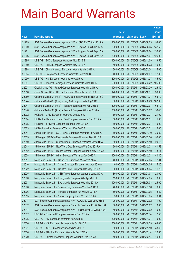|       |                                                                |               |                            |                       | <b>Amount</b> |
|-------|----------------------------------------------------------------|---------------|----------------------------|-----------------------|---------------|
|       |                                                                | No. of        |                            |                       | raised        |
| Code  | <b>Derivative warrants</b>                                     | issue (units) | <b>Listing date Expiry</b> |                       | (HK\$ mil.)   |
| 21979 | SGA Societe Generale Acceptance N.V. - ICBC Eu Wt Aug 2016 A   | 100,000,000   | 2015/05/08 2016/08/03      |                       | 59.00         |
| 21960 | SGA Societe Generale Acceptance N.V. - Ping An Eu Wt Jun 17 A  | 500,000,000   |                            | 2015/05/08 2017/06/05 | 132.50        |
| 21961 | SGA Societe Generale Acceptance N.V. - Ping An Eu Wt Sep 17 A  | 500,000,000   | 2015/05/08 2017/09/04      |                       | 130.00        |
| 21966 | SGA Societe Generale Acceptance N.V. - Ping An Eu Wt Nov 17 A  | 500,000,000   | 2015/05/08 2017/11/01      |                       | 125.00        |
| 21985 | UBS AG - BOCL European Warrants Nov 2015 B                     | 100,000,000   | 2015/05/08 2015/11/09      |                       | 39.50         |
| 21989 | UBS AG - CITIC European Warrants May 2016 A                    | 40,000,000    |                            | 2015/05/08 2016/05/23 | 10.00         |
| 21988 | UBS AG - China Shenhua European Warrants Mar 2016 A            | 60,000,000    |                            | 2015/05/08 2016/03/24 | 15.00         |
| 21984 | UBS AG - Evergrande European Warrants Dec 2015 C               | 40,000,000    |                            | 2015/05/08 2015/12/07 | 12.80         |
| 21990 | UBS AG - HSI European Warrants Nov 2015 A                      | 300,000,000   |                            | 2015/05/08 2015/11/27 | 45.00         |
| 21987 | UBS AG - Tencent Holdings European Warrants Mar 2016 B         | 500,000,000   |                            | 2015/05/08 2016/03/22 | 105.00        |
| 22021 | Credit Suisse AG - Jiangxi Copper European Wts Mar 2016 A      | 120,000,000   | 2015/05/11                 | 2016/03/29            | 26.40         |
| 22018 | Credit Suisse AG - SHK Ppt European Warrants Oct 2016 A        | 120,000,000   | 2015/05/11 2016/10/31      |                       | 30.00         |
| 22050 | Goldman Sachs SP (Asia) - HSBC European Warrants Nov 2015 C    | 180,000,000   | 2015/05/11                 | 2015/11/27            | 65.70         |
| 22044 | Goldman Sachs SP (Asia) - Ping An European Wts Aug 2016 B      | 500,000,000   | 2015/05/11                 | 2016/08/29            | 107.00        |
| 22047 | Goldman Sachs SP (Asia) - Tencent European Wt Feb 2016 B       | 300,000,000   | 2015/05/11                 | 2016/02/01            | 65.70         |
| 22048 | Goldman Sachs SP (Asia) - Tencent European Wt May 2016 A       | 300,000,000   | 2015/05/11                 | 2016/05/27            | 59.40         |
| 22002 | HK Bank - CPIC European Warrants Dec 2015 A                    | 60,000,000    | 2015/05/11                 | 2015/12/31            | 21.00         |
| 22004 | HK Bank - Henderson Land Dev European Warrants Dec 2015 A      | 60,000,000    | 2015/05/11                 | 2015/12/31            | 15.00         |
| 22005 | HK Bank - SHK Ppt European Warrants Dec 2015 A                 | 60,000,000    | 2015/05/11                 | 2015/12/31            | 15.00         |
| 22003 | HK Bank - Wharf European Warrants Dec 2015 A                   | 60,000,000    | 2015/05/11                 | 2015/12/31            | 15.00         |
| 22041 | J P Morgan SP BV - CGN Power European Warrants Nov 2015 A      | 60,000,000    | 2015/05/11                 | 2015/11/10            | 30.30         |
| 22039 | J P Morgan SP BV - Evergrande European Warrants Dec 2016 A     | 200,000,000   | 2015/05/11                 | 2016/12/30            | 50.00         |
| 22040 | J P Morgan SP BV - Guotai Junani European Warrants Nov 2015A   | 80,000,000    | 2015/05/11                 | 2015/11/10            | 20.16         |
| 22043 | J P Morgan SP BV - New World Dev European Wts Dec 2015 A       | 60,000,000    | 2015/05/11 2015/12/31      |                       | 41.58         |
| 22042 | J P Morgan SP BV - Wanda Comm European Warrants Nov 2015 A     | 60,000,000    | 2015/05/11                 | 2015/11/10            | 43.14         |
| 22038 | J P Morgan SP BV - Wharf European Warrants Dec 2015 A          | 100,000,000   | 2015/05/11                 | 2015/12/31            | 40.40         |
| 22017 | Macquarie Bank Ltd. - China Life European Wts Apr 2016 A       | 40,000,000    | 2015/05/11                 | 2016/04/05            | 12.84         |
| 22016 | Macquarie Bank Ltd. - China Overseas European Wts Apr 2016 A   | 40,000,000    | 2015/05/11 2016/04/05      |                       | 15.20         |
| 22022 | Macquarie Bank Ltd. - Chi Res Land European Wts May 2016 A     | 30,000,000    | 2015/05/11                 | 2016/05/04            | 11.79         |
| 22025 | Macquarie Bank Ltd. - CSR Times European Warrants Jan 2017 A   | 80,000,000    | 2015/05/11                 | 2017/01/04            | 20.00         |
| 22000 | Macquarie Bank Ltd. - Evergrande European Wts Apr 2016 A       | 13,000,000    | 2015/05/11                 | 2016/04/05            | 10.06         |
| 22001 | Macquarie Bank Ltd. - Evergrande European Wts May 2018 A       | 100,000,000   | 2015/05/11                 | 2018/05/03            | 25.00         |
| 22008 | Macquarie Bank Ltd. - Sinopec Seg European Wts Jan 2018 A      | 40,000,000    | 2015/05/11                 | 2018/01/16            | 10.00         |
| 22006 | Macquarie Bank Ltd. - Tencent European Put Wts Jul 2016 A      | 50,000,000    | 2015/05/11                 | 2016/07/05            | 12.50         |
| 22015 | Macquarie Bank Ltd. - Yuexiu Property Euro Wts Jul 2016 A      | 35,000,000    | 2015/05/11                 | 2016/07/05            | 10.01         |
| 22011 | SGA Societe Generale Acceptance N.V - COVS Eu Wts Dec 2015 B   | 25,000,000    | 2015/05/11                 | 2015/12/02            | 11.00         |
| 22012 | SGA Societe Generale Acceptance NV - Chi Res Land Eu Wt Dec15A | 30,000,000    | 2015/05/11                 | 2015/12/02            | 10.05         |
| 22014 | SGA Societe Generale Acceptance N.V. - Shimao Ppt Eu Wt Mar16A | 40,000,000    | 2015/05/11                 | 2016/03/02            | 10.00         |
| 22037 | UBS AG - Fosun Intl European Warrants Dec 2015 A               | 50,000,000    | 2015/05/11                 | 2015/12/14            | 12.50         |
| 22035 | UBS AG - HSI European Warrants Nov 2015 B                      | 300,000,000   | 2015/05/11                 | 2015/11/27            | 75.00         |
| 22036 | UBS AG - HSI European Put Warrants Oct 2015 E                  | 300,000,000   | 2015/05/11                 | 2015/10/29            | 69.00         |
| 22031 | UBS AG - ICBC European Warrants Nov 2015 A                     | 80,000,000    | 2015/05/11                 | 2015/11/10            | 38.40         |
| 22026 | UBS AG - SHK Ppt European Warrants Dec 2015 A                  | 50,000,000    | 2015/05/11                 | 2015/12/14            | 22.50         |
| 22029 | UBS AG - Shimao Property European Warrants Dec 2015 A          | 40,000,000    | 2015/05/11                 | 2015/12/14            | 10.00         |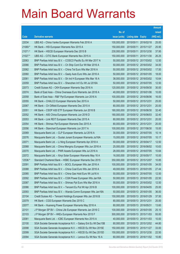|         |                                                                |               |                            |            | <b>Amount</b> |
|---------|----------------------------------------------------------------|---------------|----------------------------|------------|---------------|
|         |                                                                | No. of        |                            |            | raised        |
| Code    | <b>Derivative warrants</b>                                     | issue (units) | <b>Listing date Expiry</b> |            | (HK\$ mil.)   |
| 22034   | UBS AG – China Vanke European Warrants Feb 2016 A              | 100,000,000   | 2015/05/11                 | 2016/02/18 | 25.00         |
| 21069 # | HK Bank - HSI European Warrants Nov 2015 A                     | 150,000,000   | 2015/05/11 2015/11/27      |            | 25.95         |
| 21071 # | HK Bank - HSCEI European Warrants Dec 2015 B                   | 230,000,000   | 2015/05/11                 | 2015/12/30 | 37.95         |
| 21027 # | UBS AG - CITIC Bank European Warrants Nov 2015 A               | 150,000,000   | 2015/05/11 2015/11/30      |            | 26.25         |
| 22063   | BNP Paribas Arbit Issu B.V. - COSCO Pacific Eu Wt Mar 2017 A   | 50,000,000    | 2015/05/12 2017/03/02      |            | 12.50         |
| 22066   | BNP Paribas Arbit Issu B.V. - Ch Ship Cont Eur Wt Mar 2016 A   | 50,000,000    | 2015/05/12 2016/03/02      |            | 34.00         |
| 22062   | BNP Paribas Arbit Issu B.V. - China Tel Euro Wts Mar 2016 A    | 50,000,000    | 2015/05/12 2016/03/02      |            | 17.50         |
| 22060   | BNP Paribas Arbit Issu B.V. - Geely Auto Euro Wts Jan 2016 A   | 50,000,000    | 2015/05/12 2016/01/05      |            | 18.00         |
| 22061   | BNP Paribas Arbit Issu B.V. - Sh Ind H European Wts Mar 16 A   | 38,000,000    | 2015/05/12 2016/03/02      |            | 10.64         |
| 22059   | BNP Paribas Arbit Issu B.V. - Shenzhen Int'l Eu Wt Jul 2016A   | 50,000,000    | 2015/05/12 2016/07/05      |            | 12.50         |
| 22073   | Credit Suisse AG - CKH European Warrants Sep 2016 A            | 120,000,000   | 2015/05/12 2016/09/30      |            | 30.00         |
| 22074   | Bank of East Asia - China Overseas Euro Warrants Jan 2016 A    | 40,000,000    | 2015/05/12 2016/01/06      |            | 10.00         |
| 22058   | Bank of East Asia - R&F Ppt European Warrants Jun 2016 A       | 100,000,000   | 2015/05/12 2016/06/06      |            | 16.00         |
| 22055   | HK Bank - CHALCO European Warrants Dec 2015 A                  | 50,000,000    | 2015/05/12 2015/12/31      |            | 25.00         |
| 22067   | HK Bank - Ch Oilfield European Warrants Dec 2015 A             | 80,000,000    | 2015/05/12 2015/12/31      |            | 20.00         |
| 22051   | HK Bank – CSOP A50 ETF European Warrants Jun 2016 B            | 180,000,000   | 2015/05/12 2016/06/30      |            | 32.40         |
| 22052   | HK Bank - A50 China European Warrants Jun 2016 D               | 180,000,000   | 2015/05/12 2016/06/03      |            | 32.40         |
| 22053   | HK Bank - Link REIT European Warrants Dec 2015 A               | 80,000,000    | 2015/05/12 2015/12/31      |            | 20.00         |
| 22054   | HK Bank - Shimao Ppt European Warrants Dec 2015 A              | 80,000,000    | 2015/05/12 2015/12/31      |            | 20.00         |
| 22056   | HK Bank - Stanchart European Warrants Jun 2017 A               | 100,000,000   | 2015/05/12 2017/06/30      |            | 15.00         |
| 22069   | Macquarie Bank Ltd. - CLP European Warrants Jul 2016 A         | 30,000,000    | 2015/05/12 2016/07/05      |            | 10.14         |
| 22076   | Macquarie Bank Ltd. - Guotai Junani European Warrants Jul16A   | 15,000,000    | 2015/05/12 2016/07/05      |            | 10.17         |
| 22071   | Macquarie Bank Ltd. - Li Ning European Warrants Apr 2018 A     | 50,000,000    | 2015/05/12 2018/04/17      |            | 12.50         |
| 22068   | Macquarie Bank Ltd. - China Mengniu European Wts Jun 2016 A    | 25,000,000    | 2015/05/12 2016/06/02      |            | 10.63         |
| 22070   | Macquarie Bank Ltd. - PWR Assets European Wts Jul 2016 A       | 28,000,000    | 2015/05/12 2016/07/05      |            | 10.64         |
| 22072   | Macquarie Bank Ltd. - Xinyi Solar European Warrants May 16 A   | 16,000,000    | 2015/05/12 2016/05/17      |            | 10.00         |
| 12536 # | Standard Chartered Bank - HSBC European Warrants Dec 2015      | 350,000,000   | 2015/05/12 2015/12/07      |            | 10.85         |
| 22091   | BNP Paribas Arbit Issu B.V. - BOCL European Wts Jan 2016 A     | 100,000,000   | 2015/05/13 2016/01/05      |            | 34.00         |
| 22088   | BNP Paribas Arbit Issu B.V. - China Coal Euro Wts Jan 2016 A   | 49,000,000    | 2015/05/13 2016/01/05      |            | 27.44         |
| 22085   | BNP Paribas Arbit Issu B.V. - China Gas Hold Euro Wt Jul16 A   | 50,000,000    | 2015/05/13 2016/07/05      |            | 12.50         |
| 22092   | BNP Paribas Arbit Issu B.V. - CGN Power European Wts Jan16A    | 50,000,000    | 2015/05/13 2016/01/05      |            | 22.50         |
| 22087   | BNP Paribas Arbit Issu B.V. - Shimao Ppt Euro Wts Mar 2016 A   | 50,000,000    | 2015/05/13 2016/03/02      |            | 12.50         |
| 22086   | BNP Paribas Arbit Issu B.V. - Tencent Eu Put Wt Apr 2016 B     | 100,000,000   | 2015/05/13 2016/04/05      |            | 25.00         |
| 22093   | BNP Paribas Arbit Issu B.V. - Wanda Comm European Wts Jan16A   | 50,000,000    | 2015/05/13 2016/01/05      |            | 36.00         |
| 22104   | Credit Suisse AG - Tencent Holdings European Wts Jan 2016 B    | 150,000,000   | 2015/05/13 2016/01/29      |            | 37.50         |
| 22079   | HK Bank - CGS European Warrants Dec 2015 C                     | 80,000,000    | 2015/05/13 2015/12/31      |            | 20.00         |
| 22077   | HK Bank - Huaneng Power European Warrants May 2016 A           | 80,000,000    | 2015/05/13 2016/05/31      |            | 13.60         |
| 22101   | J P Morgan SP BV - China Life European Warrants Jan 2016 C     | 100,000,000   | 2015/05/13 2016/01/05      |            | 25.10         |
| 22103   | J P Morgan SP BV - HKEx European Warrants Nov 2015 F           | 300,000,000   | 2015/05/13 2015/11/03      |            | 93.00         |
| 22081   | Macquarie Bank Ltd. - ICBC European Warrants Nov 2015 A        | 40,000,000    | 2015/05/13 2015/11/03      |            | 10.00         |
| 22100   | SGA Societe Generale Acceptance N.V. - Galaxy Ent Eu Wt Dec15B | 80,000,000    | 2015/05/13 2015/12/02      |            | 44.80         |
| 22098   | SGA Societe Generale Acceptance N.V. - HSCEI Eu Wt Nov 2015E   | 150,000,000   | 2015/05/13 2015/11/27      |            | 33.00         |
| 22099   | SGA Societe Generale Acceptance N.V. - HSCEI Eu Wt Dec 2015D   | 150,000,000   | 2015/05/13 2015/12/30      |            | 22.50         |
| 22094   | SGA Societe Generale Acceptance N.V. - Lenovo Eu Wt Nov 16 A   | 60,000,000    | 2015/05/13 2016/11/02      |            | 10.80         |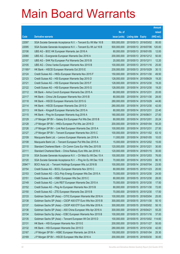|         |                                                               |               |                            |                       | <b>Amount</b> |
|---------|---------------------------------------------------------------|---------------|----------------------------|-----------------------|---------------|
|         |                                                               | No. of        |                            |                       | raised        |
| Code    | <b>Derivative warrants</b>                                    | issue (units) | <b>Listing date Expiry</b> |                       | (HK\$ mil.)   |
| 22097   | SGA Societe Generale Acceptance N.V. - Tencent Eu Wt Mar 16 B | 500,000,000   |                            | 2015/05/13 2016/03/02 | 95.00         |
| 22095   | SGA Societe Generale Acceptance N.V. - Tencent Eu Wt Jul 16 B | 500,000,000   |                            | 2015/05/13 2016/07/06 | 120.00        |
| 22106   | UBS AG - BOC HK European Warrants Jan 2016 A                  | 80,000,000    | 2015/05/13 2016/01/05      |                       | 12.00         |
| 22080   | UBS AG - Evergrande European Warrants Dec 2016 A              | 200,000,000   |                            | 2015/05/13 2016/12/12 | 50.00         |
| 22107   | UBS AG - SHK Ppt European Put Warrants Dec 2015 B             | 20,000,000    | 2015/05/13 2015/12/11      |                       | 12.20         |
| 22105   | UBS AG - China Vanke European Warrants Nov 2015 B             | 100,000,000   |                            | 2015/05/13 2015/11/16 | 25.00         |
| 21169 # | HK Bank - HSCEI European Warrants Oct 2015 E                  | 230,000,000   | 2015/05/13 2015/10/29      |                       | 30.13         |
| 22124   | Credit Suisse AG - HKEx European Warrants Nov 2015 F          | 150,000,000   |                            | 2015/05/14 2015/11/30 | 49.50         |
| 22123   | Credit Suisse AG - HSI European Warrants Sep 2015 D           | 128,000,000   |                            | 2015/05/14 2015/09/29 | 19.20         |
| 22121   | Credit Suisse AG - HSI European Warrants Dec 2015 F           | 128,000,000   |                            | 2015/05/14 2015/12/30 | 19.20         |
| 22122   | Credit Suisse AG - HSI European Warrants Dec 2015 G           | 128,000,000   |                            | 2015/05/14 2015/12/30 | 19.20         |
| 22112   | HK Bank - Anhui Conch European Warrants Dec 2015 A            | 80,000,000    | 2015/05/14 2015/12/31      |                       | 20.00         |
| 22117   | HK Bank - China Life European Warrants Nov 2015 B             | 80,000,000    |                            | 2015/05/14 2015/11/30 | 28.00         |
| 22118   | HK Bank - HSCEI European Warrants Oct 2015 G                  | 280,000,000   |                            | 2015/05/14 2015/10/29 | 44.80         |
| 22114   | HK Bank - HSCEI European Warrants Dec 2015 D                  | 280,000,000   |                            | 2015/05/14 2015/12/30 | 42.00         |
| 22113   | HK Bank - Kingsoft European Warrants Dec 2015 A               | 80,000,000    | 2015/05/14 2015/12/31      |                       | 22.40         |
| 22115   | HK Bank - Ping An European Warrants Aug 2016 A                | 180,000,000   | 2015/05/14 2016/08/31      |                       | 27.00         |
| 22129   | J P Morgan SP BV - Galaxy Ent European Put Wts Dec 2015 B     | 80,000,000    | 2015/05/14 2015/12/01      |                       | 20.24         |
| 22128   | J P Morgan SP BV - HKEx European Put Wts Jan 2016 D           | 200,000,000   | 2015/05/14 2016/01/04      |                       | 50.20         |
| 22126   | J P Morgan SP BV - Link Reit European Warrants Dec 2015 A     | 100,000,000   | 2015/05/14 2015/12/31      |                       | 27.50         |
| 22127   | J P Morgan SP BV - Tencent European Warrants Nov 2015 C       | 100,000,000   |                            | 2015/05/14 2015/11/02 | 63.10         |
| 22109   | Macquarie Bank Ltd. - Lenovo European Warrants Jan 2016 A     | 11,000,000    |                            | 2015/05/14 2016/01/05 | 10.03         |
| 22108   | Macquarie Bank Ltd. - Tencent European Put Wts Dec 2015 A     | 15,000,000    |                            | 2015/05/14 2015/12/02 | 15.00         |
| 22110   | Standard Chartered Bank - Ch Comm Cons Eur Wts Dec 2015 B     | 120,000,000   | 2015/05/14 2015/12/21      |                       | 30.00         |
| 22111   | Standard Chartered Bank - China Railway Euro Wts Jan 2016 A   | 120,000,000   |                            | 2015/05/14 2016/01/15 | 30.00         |
| 22119   | SGA Societe Generale Acceptance N.V. - Ch Mob Eu Wt Dec 15 A  | 100,000,000   | 2015/05/14 2015/12/03      |                       | 76.00         |
| 22120   | SGA Societe Generale Acceptance N.V. - Ping An Eu Wt Dec 15 B | 70,000,000    |                            | 2015/05/14 2015/12/03 | 86.10         |
| 20947 # | BOCI Asia Ltd. - Tencent Holdings European Wts Jul 2016 B     | 100,000,000   | 2015/05/14 2016/07/04      |                       | 23.50         |
| 22154   | Credit Suisse AG - BOCL European Warrants Nov 2015 C          | 80,000,000    | 2015/05/15 2015/11/23      |                       | 20.00         |
| 22153   | Credit Suisse AG - GCL-Poly Energy European Wts Dec 2015 A    | 70,000,000    |                            | 2015/05/15 2015/12/30 | 24.50         |
| 22151   | Credit Suisse AG - HSBC European Wts Dec 2015 C               | 80,000,000    |                            | 2015/05/15 2015/12/30 | 28.00         |
| 22149   | Credit Suisse AG - Link REIT European Warrants Dec 2015 A     | 70,000,000    |                            | 2015/05/15 2015/12/30 | 17.50         |
| 22152   | Credit Suisse AG - Ping An European Warrants Nov 2015 B       | 80,000,000    | 2015/05/15 2015/11/30      |                       | 72.00         |
| 22150   | Credit Suisse AG - ZTE European Warrants Dec 2015 B           | 70,000,000    |                            | 2015/05/15 2015/12/30 | 17.50         |
| 22133   | Goldman Sachs SP (Asia) - CITIC European Warrants Mar 2016 A  | 100,000,000   | 2015/05/15 2016/03/04      |                       | 25.00         |
| 22138   | Goldman Sachs SP (Asia) - CSOP A50 ETF Euro Wts Nov 2015 B    | 300,000,000   |                            | 2015/05/15 2015/11/30 | 50.10         |
| 22137   | Goldman Sachs SP (Asia) - CSOP A50 ETF Euro Wts Mar 2016 A    | 300,000,000   |                            | 2015/05/15 2016/03/02 | 50.10         |
| 22136   | Goldman Sachs SP (Asia) - A50 China European Wts Apr 2016 A   | 300,000,000   | 2015/05/15 2016/04/21      |                       | 55.20         |
| 22134   | Goldman Sachs Sp (Asia) - ICBC European Warrants Nov 2015 B   | 100,000,000   | 2015/05/15 2015/11/16      |                       | 37.00         |
| 22135   | Goldman Sachs SP (Asia) - Tencent European Wt Oct 2015 D      | 100,000,000   |                            | 2015/05/15 2015/10/02 | 114.60        |
| 22131   | HK Bank - HSI European Warrants Nov 2015 E                    | 200,000,000   | 2015/05/15 2015/11/27      |                       | 50.00         |
| 22132   | HK Bank - HSI European Warrants Dec 2015 D                    | 280,000,000   | 2015/05/15 2015/12/30      |                       | 42.00         |
| 22167   | J P Morgan SP BV - HSBC European Warrants Jan 2016 A          | 100,000,000   | 2015/05/15 2016/01/04      |                       | 25.30         |
| 22169   | J P Morgan SP BV - HSCEI European Wts Mar 2016 A              | 200,000,000   | 2015/05/15 2016/03/30      |                       | 30.00         |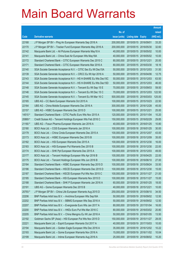|         |                                                                |               |                            |                       | <b>Amount</b> |
|---------|----------------------------------------------------------------|---------------|----------------------------|-----------------------|---------------|
|         |                                                                | No. of        |                            |                       | raised        |
| Code    | <b>Derivative warrants</b>                                     | issue (units) | <b>Listing date Expiry</b> |                       | (HK\$ mil.)   |
| 22168   | J P Morgan SP BV - Ping An European Warrants Sep 2016 A        | 200,000,000   | 2015/05/15 2016/09/01      |                       | 33.20         |
| 22170   | J P Morgan SP BV - Tracker Fund European Warrants May 2016 A   | 200,000,000   |                            | 2015/05/15 2016/05/30 | 32.60         |
| 22142   | Macquarie Bank Ltd. - Ali Pictures European Warrants May18 A   | 40,000,000    |                            | 2015/05/15 2018/05/02 | 10.00         |
| 22141   | Macquarie Bank Ltd. - China East Air European Wts May18A       | 40,000,000    |                            | 2015/05/15 2018/05/02 | 10.00         |
| 22172   | Standard Chartered Bank - CITIC European Warrants Dec 2015 C   | 80,000,000    | 2015/05/15 2015/12/21      |                       | 20.00         |
| 22171   | Standard Chartered Bank - CITIC European Warrants Mar 2016 A   | 80,000,000    |                            | 2015/05/15 2016/03/30 | 18.16         |
| 22140   | SGA Societe Generale Acceptance N.V. - CITIC Sec Eu Wt Dec15A  | 50,000,000    |                            | 2015/05/15 2015/12/03 | 31.50         |
| 22139   | SGA Societe Generale Acceptance N.V. - CRCC Eu Wt Apr 2016 A   | 50,000,000    |                            | 2015/05/15 2016/04/06 | 12.75         |
| 22143   | SGA Societe Generale Acceptance N.V - HS H-SHARE Eu Wts Dec15C | 50,000,000    |                            | 2015/05/15 2015/12/03 | 63.50         |
| 22144   | SGA Societe Generale Acceptance N.V - HS H-SHARE Eu Wts Dec15D | 50,000,000    |                            | 2015/05/15 2015/12/03 | 46.00         |
| 22148   | SGA Societe Generale Acceptance N.V. - Tencent Eu Wt Sep 15 E  | 70,000,000    |                            | 2015/05/15 2015/09/03 | 59.50         |
| 22146   | SGA Societe Generale Acceptance N.V. - Tencent Eu Wt Dec 15 C  | 70,000,000    |                            | 2015/05/15 2015/12/03 | 122.50        |
| 22145   | SGA Societe Generale Acceptance N.V. - Tencent Eu Wt Mar 16 C  | 500,000,000   |                            | 2015/05/15 2016/03/03 | 125.00        |
| 22165   | UBS AG - CC Bank European Warrants Oct 2015 A                  | 100,000,000   |                            | 2015/05/15 2015/10/23 | 22.50         |
| 22164   | UBS AG - China Mobile European Warrants Dec 2016 A             | 300,000,000   |                            | 2015/05/15 2016/12/28 | 45.00         |
| 22157   | UBS AG - HSBC European Warrants Dec 2015 D                     | 100,000,000   | 2015/05/15 2015/12/21      |                       | 25.00         |
| 14510 # | Standard Chartered Bank - CITIC Pacific Euro Wts Nov 2015 A    | 120,000,000   |                            | 2015/05/15 2015/11/04 | 10.20         |
| 20869 # | Credit Suisse AG - Tencent Holdings European Wts Feb 2016 C    | 150,000,000   |                            | 2015/05/15 2016/02/29 | 29.85         |
| 21160 # | UBS AG - Fosun Pharma European Warrants Jan 2016 A             | 40,000,000    |                            | 2015/05/15 2016/01/25 | 10.80         |
| 22180   | BOCI Asia Ltd. - CGS European Warrants Jan 2016 A              | 100,000,000   |                            | 2015/05/18 2016/01/25 | 30.00         |
| 22179   | BOCI Asia Ltd. - China Cinda European Warrants Dec 2015 A      | 100,000,000   |                            | 2015/05/18 2015/12/07 | 43.00         |
| 22173   | BOCI Asia Ltd. - HSBC European Warrants Dec 2015 B             | 100,000,000   |                            | 2015/05/18 2015/12/09 | 35.00         |
| 22182   | BOCI Asia Ltd. - HSI European Warrants Dec 2015 A              | 100,000,000   |                            | 2015/05/18 2015/12/30 | 16.00         |
| 22183   | BOCI Asia Ltd. - HSI European Put Warrants Dec 2015 B          | 100,000,000   |                            | 2015/05/18 2015/12/30 | 22.00         |
| 22174   | BOCI Asia Ltd. - SHK Ppt European Warrants Dec 2015 A          | 100,000,000   |                            | 2015/05/18 2015/12/03 | 49.00         |
| 22177   | BOCI Asia Ltd. - Tencent Holdings European Wts Apr 2016 B      | 100,000,000   |                            | 2015/05/18 2016/04/25 | 22.00         |
| 22175   | BOCI Asia Ltd. – Tencent Holdings European Wts Jun 2016 B      | 100,000,000   |                            | 2015/05/18 2016/06/10 | 27.00         |
| 22184   | Standard Chartered Bank - HSBC European Warrants Sep 2015 D    | 100,000,000   |                            | 2015/05/18 2015/09/24 | 33.50         |
| 22186   | Standard Chartered Bank - HSCEI European Warrants Dec 2015 D   | 100,000,000   |                            | 2015/05/18 2015/12/30 | 15.00         |
| 22187   | Standard Chartered Bank - HSCEI European Put Wts Nov 2015 C    | 100,000,000   |                            | 2015/05/18 2015/11/27 | 21.00         |
| 22185   | Standard Chartered Bank - HSI European Warrants Nov 2015 D     | 100,000,000   |                            | 2015/05/18 2015/11/27 | 15.00         |
| 22188   | Standard Chartered Bank - SHK P European Warrants Jan 2016 A   | 60,000,000    |                            | 2015/05/18 2016/01/25 | 18.00         |
| 22191   | UBS AG - Gome European Warrants Dec 2015 B                     | 40,000,000    | 2015/05/18 2015/12/21      |                       | 10.00         |
| 20793 # | J P Morgan SP BV - China Life European Warrants Aug 2015 D     | 250,000,000   |                            | 2015/05/18 2015/08/10 | 34.50         |
| 22206   | BNP Paribas Arbit Issu B.V. - Avichina European Wts Sep16A     | 50,000,000    |                            | 2015/05/19 2016/09/02 | 12.50         |
| 22202   | BNP Paribas Arbit Issu B.V. - BBMG European Wts Sep 2016 A     | 50,000,000    |                            | 2015/05/19 2016/09/02 | 12.50         |
| 22207   | BNP Paribas Arbit Issu B.V. - Evergrande Euro Wts Jan 2017 A   | 80,000,000    | 2015/05/19                 | 2017/01/04            | 16.00         |
| 22200   | BNP Paribas Arbit Issu B.V. - HKEx Euro Put Wts Mar 2016 C     | 80,000,000    |                            | 2015/05/19 2016/03/02 | 20.80         |
| 22205   | BNP Paribas Arbit Issu B.V. - China Mengniu Eu Wt Jan 2016 A   | 50,000,000    |                            | 2015/05/19 2016/01/05 | 13.50         |
| 22192   | Goldman Sachs SP (Asia) - HSI European Put Wts Nov 2015 D      | 150,000,000   |                            | 2015/05/19 2015/11/27 | 28.05         |
| 22221   | Macquarie Bank Ltd. - Esprit European Warrants Oct 2017 A      | 40,000,000    | 2015/05/19                 | 2017/10/03            | 10.00         |
| 22194   | Macquarie Bank Ltd. - Golden Eagle European Wts Dec 2016 A     | 35,000,000    |                            | 2015/05/19 2016/12/02 | 10.22         |
| 22193   | Macquarie Bank Ltd. - Gome European Warrants Nov 2016 A        | 15,000,000    | 2015/05/19                 | 2016/11/02            | 10.04         |
| 22199   | Macquarie Bank Ltd. - Intime European Warrants Aug 2016 A      | 25,000,000    |                            | 2015/05/19 2016/08/02 | 10.20         |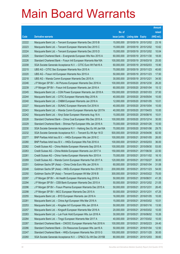|       |                                                                |               |                            |            | <b>Amount</b> |
|-------|----------------------------------------------------------------|---------------|----------------------------|------------|---------------|
|       |                                                                | No. of        |                            |            | raised        |
| Code  | <b>Derivative warrants</b>                                     | issue (units) | <b>Listing date Expiry</b> |            | (HK\$ mil.)   |
| 22222 | Macquarie Bank Ltd. - Tencent European Warrants Dec 2015 B     | 15,000,000    | 2015/05/19 2015/12/02      |            | 23.16         |
| 22223 | Macquarie Bank Ltd. - Tencent European Warrants Dec 2015 C     | 15,000,000    | 2015/05/19 2015/12/02      |            | 10.62         |
| 22224 | Macquarie Bank Ltd. - Tencent European Warrants Dec 2015 D     | 15,000,000    | 2015/05/19                 | 2015/12/02 | 10.04         |
| 22225 | Standard Chartered Bank – Evergrande European Wts Nov 2015 A   | 60,000,000    | 2015/05/19 2015/11/30      |            | 18.00         |
| 22226 | Standard Chartered Bank - Fosun Intl European Warrants Mar16A  | 100,000,000   | 2015/05/19                 | 2016/03/18 | 25.00         |
| 22208 | SGA Societe Generale Acceptance N.V. - CITIC Euro Wt Feb16 A   | 60,000,000    | 2015/05/19 2016/02/03      |            | 15.90         |
| 22215 | UBS AG - CITIC Sec European Warrants Nov 2015 A                | 70,000,000    | 2015/05/19 2015/11/23      |            | 40.60         |
| 22220 | UBS AG - Fosun Intl European Warrants Nov 2015 A               | 50,000,000    | 2015/05/19 2015/11/23      |            | 17.50         |
| 22218 | UBS AG - Wanda Comm European Warrants Dec 2015 A               | 30,000,000    | 2015/05/19 2015/12/21      |            | 34.50         |
| 22246 | J P Morgan SP BV - Ali Pictures European Warrants Dec 2016 A   | 100,000,000   | 2015/05/20 2016/12/30      |            | 26.20         |
| 22239 | J P Morgan SP BV - Fosun Intl European Warrants Jan 2016 A     | 60,000,000    | 2015/05/20 2016/01/04      |            | 15.12         |
| 22245 | Macquarie Bank Ltd. - CGN Power European Warrants Jan 2018 A   | 150,000,000   | 2015/05/20 2018/01/03      |            | 37.50         |
| 22244 | Macquarie Bank Ltd. - CITIC European Warrants May 2016 A       | 40,000,000    | 2015/05/20 2016/05/04      |            | 10.00         |
| 22240 | Macquarie Bank Ltd. - CNBM European Warrants Jan 2016 A        | 12,000,000    | 2015/05/20 2016/01/05      |            | 10.01         |
| 22227 | Macquarie Bank Ltd. - SUNAC European Warrants Oct 2016 A       | 40,000,000    | 2015/05/20 2016/10/04      |            | 10.00         |
| 22243 | Macquarie Bank Ltd. - Wanda Comm European Warrants Apr 2017A   | 40,000,000    | 2015/05/20 2017/04/03      |            | 10.00         |
| 22242 | Macquarie Bank Ltd. - Xinyi Solar European Warrants Aug 16 A   | 15,000,000    | 2015/05/20 2016/08/16      |            | 10.01         |
| 22228 | Standard Chartered Bank - China Coal European Wts Dec 2015 A   | 100,000,000   | 2015/05/20 2015/12/14      |            | 30.00         |
| 22229 | Standard Chartered Bank - Shimao Ppt European Wts Jan 2016 A   | 70,000,000    | 2015/05/20 2016/01/26      |            | 10.50         |
| 22230 | SGA Societe Generale Acceptance N.V - Haitong Sec Eu Wt Jan16A | 70,000,000    | 2015/05/20 2016/01/06      |            | 29.75         |
| 22232 | SGA Societe Generale Acceptance N.V. - Tencent Eu Wt Apr 16 D  | 500,000,000   | 2015/05/20 2016/04/06      |            | 82.50         |
| 22277 | BNP Paribas Arbit Issu B.V. - HKEx European Wts Jan 2016 C     | 100,000,000   | 2015/05/21                 | 2016/01/05 | 26.00         |
| 22280 | BNP Paribas Arbit Issu B.V. - HKEx European Wts Feb 2016 A     | 100,000,000   | 2015/05/21                 | 2016/02/03 | 36.00         |
| 22262 | Credit Suisse AG - China Mobile European Warrants Sep 2015 A   | 100,000,000   | 2015/05/21                 | 2015/09/30 | 53.00         |
| 22263 | Credit Suisse AG - China Mobile European Warrants Jun 2017 A   | 150,000,000   | 2015/05/21                 | 2017/06/30 | 22.50         |
| 22261 | Credit Suisse AG - China Vanke European Warrants Nov 2015 A    | 70,000,000    | 2015/05/21                 | 2015/11/02 | 16.10         |
| 22269 | Credit Suisse AG - Wanda Comm European Warrants Feb 2017 A     | 120,000,000   | 2015/05/21 2017/02/27      |            | 30.00         |
| 22251 | Goldman Sachs SP (Asia) - China Cinda Euro Wts Jan 2016 A      | 60,000,000    | 2015/05/21 2016/01/04      |            | 31.08         |
| 22248 | Goldman Sachs SP (Asia) - HKEx European Warrants Nov 2015 D    | 200,000,000   | 2015/05/21                 | 2015/11/23 | 54.00         |
| 22250 | Goldman Sachs SP (Asia) - Tencent European Wt Mar 2016 B       | 300,000,000   | 2015/05/21 2016/03/22      |            | 75.00         |
| 22297 | J P Morgan SP BV - Ali Health European Warrants Aug 2016 A     | 50,000,000    | 2015/05/21                 | 2016/08/31 | 41.35         |
| 22294 | J P Morgan SP BV - CEB Bank European Warrants Dec 2015 A       | 50,000,000    | 2015/05/21                 | 2015/12/02 | 21.05         |
| 22296 | J P Morgan SP BV - Fosun Pharma European Warrants Dec 2015 A   | 50,000,000    | 2015/05/21                 | 2015/12/31 | 26.45         |
| 22298 | J P Morgan SP BV - MCC European Warrants Dec 2015 A            | 50,000,000    | 2015/05/21                 | 2015/12/31 | 47.25         |
| 22255 | Macquarie Bank Ltd. - BYD European Warrants Jan 2016 A         | 16,000,000    | 2015/05/21                 | 2016/01/05 | 10.00         |
| 22281 | Macquarie Bank Ltd. - China Agri European Wts Mar 2016 A       | 15,000,000    | 2015/05/21                 | 2016/03/02 | 10.01         |
| 22253 | Macquarie Bank Ltd. - Kingdee Int'l European Wts Jan 2018 A    | 50,000,000    | 2015/05/21                 | 2018/01/16 | 13.50         |
| 22257 | Macquarie Bank Ltd. - Kingsoft European Warrants Mar 2016 A    | 20,000,000    | 2015/05/21                 | 2016/03/02 | 10.00         |
| 22283 | Macquarie Bank Ltd. - Luk Fook Hold European Wts Jun 2016 A    | 30,000,000    | 2015/05/21                 | 2016/06/02 | 10.26         |
| 22284 | Macquarie Bank Ltd. - Tingyi European Warrants Mar 2017 A      | 40,000,000    | 2015/05/21                 | 2017/03/02 | 10.00         |
| 22287 | Standard Chartered Bank - CNOOC European Warrants Feb 2018 A   | 100,000,000   | 2015/05/21                 | 2018/02/23 | 24.40         |
| 22286 | Standard Chartered Bank - Chi Resources European Wts Jan16 A   | 50,000,000    | 2015/05/21                 | 2016/01/04 | 12.50         |
| 22247 | Standard Chartered Bank - HKEx European Warrants Nov 2015 G    | 100,000,000   | 2015/05/21                 | 2015/11/20 | 30.00         |
| 22260 | SGA Societe Generale Acceptance N.V. - CP&CC Eu Wt Dec 2015B   | 80,000,000    | 2015/05/21                 | 2015/12/03 | 39.60         |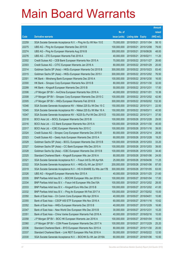|       |                                                                |                      |                            |                       | <b>Amount</b> |
|-------|----------------------------------------------------------------|----------------------|----------------------------|-----------------------|---------------|
|       |                                                                | No. of               |                            |                       | raised        |
| Code  | <b>Derivative warrants</b>                                     | <i>issue (units)</i> | <b>Listing date Expiry</b> |                       | (HK\$ mil.)   |
| 22259 | SGA Societe Generale Acceptance N.V. - Ping An Eu Wt Nov 15 E  | 70,000,000           | 2015/05/21                 | 2015/11/04            | 58.10         |
| 22275 | UBS AG - Ping An European Warrants Dec 2015 B                  | 100,000,000          |                            | 2015/05/21 2015/12/08 | 79.00         |
| 22274 | UBS AG – Ping An European Warrants Aug 2016 B                  | 300,000,000          | 2015/05/21                 | 2016/08/26            | 48.00         |
| 22276 | UBS AG - ZTE European Warrants Feb 2016 A                      | 40,000,000           | 2015/05/21 2016/02/11      |                       | 11.20         |
| 22302 | Credit Suisse AG - CEB Bank European Warrants Nov 2015 A       | 70,000,000           |                            | 2015/05/22 2015/11/27 | 26.60         |
| 22303 | Credit Suisse AG - CITIC European Warrants Jan 2016 A          | 80,000,000           | 2015/05/22 2016/01/29      |                       | 20.00         |
| 22314 | Goldman Sachs SP (Asia) - HKEx European Warrants Oct 2015 B    | 300,000,000          |                            | 2015/05/22 2015/10/23 | 83.40         |
| 22315 | Goldman Sachs SP (Asia) – HKEx European Warrants Dec 2015 I    | 300,000,000          |                            | 2015/05/22 2015/12/02 | 76.50         |
| 22301 | HK Bank - Minsheng Bank European Warrants Dec 2016 A           | 100,000,000          |                            | 2015/05/22 2016/12/30 | 16.00         |
| 22300 | HK Bank - Sinopec Corp European Warrants Nov 2015 B            | 80,000,000           |                            | 2015/05/22 2015/11/30 | 32.00         |
| 22299 | HK Bank - Kingsoft European Warrants Dec 2015 B                | 50,000,000           |                            | 2015/05/22 2015/12/31 | 17.50         |
| 22306 | J P Morgan SP BV – AviChina European Warrants Nov 2016 A       | 40,000,000           | 2015/05/22 2016/11/01      |                       | 10.36         |
| 22308 | J P Morgan SP BV - Sinopec Corp European Warrants Dec 2015 C   | 100,000,000          |                            | 2015/05/22 2015/12/02 | 42.90         |
| 22305 | J P Morgan SP BV - HKEx European Warrants Feb 2016 B           | 300,000,000          |                            | 2015/05/22 2016/02/02 | 132.30        |
| 10346 | SGA Societe Generale Acceptance NV - Nikkei 225 Eu Wt Dec 15 C | 150,000,000          | 2015/05/22 2015/12/11      |                       | 22.50         |
| 10345 | SGA Societe Generale Acceptance NV - Nikkei 225 Eu Wt Mar 16 A | 150,000,000          | 2015/05/22 2016/03/11      |                       | 40.50         |
| 10347 | SGA Societe Generale Acceptance NV - N225 Eu Put Wt Dec 2015 D | 150,000,000          |                            | 2015/05/22 2015/12/11 | 37.50         |
| 22318 | BOCI Asia Ltd. - BOCL European Warrants Dec 2015 B             | 100,000,000          |                            | 2015/05/26 2015/12/28 | 29.00         |
| 22316 | BOCI Asia Ltd. - CC Bank European Warrants Nov 2015 A          | 100,000,000          |                            | 2015/05/26 2015/11/30 | 40.00         |
| 22317 | BOCI Asia Ltd. - ICBC European Warrants Nov 2015 C             | 100,000,000          |                            | 2015/05/26 2015/11/16 | 39.00         |
| 22324 | Credit Suisse AG - Sinopec Corp European Warrants Dec 2015 B   | 80,000,000           |                            | 2015/05/26 2015/12/14 | 28.80         |
| 22323 | Credit Suisse AG - Geely Auto European Warrants Dec 2015 A     | 60,000,000           |                            | 2015/05/26 2015/12/28 | 19.20         |
| 22329 | Goldman Sachs SP (Asia) - BOCL European Warrants Dec 2015 B    | 100,000,000          |                            | 2015/05/26 2015/12/03 | 33.20         |
| 22327 | Goldman Sachs SP (Asia) – CC Bank European Wts Dec 2015 A      | 100,000,000          |                            | 2015/05/26 2015/12/03 | 39.00         |
| 22328 | Goldman Sachs Sp (Asia) – ICBC European Warrants Dec 2015 B    | 100,000,000          |                            | 2015/05/26 2015/12/03 | 34.40         |
| 22325 | Standard Chartered Bank - Kingsoft European Wts Jan 2016 A     | 80,000,000           | 2015/05/26 2016/01/06      |                       | 24.00         |
| 22321 | SGA Societe Generale Acceptance N.V. - Fosun Intl Eu Wt Apr16A | 25,000,000           |                            | 2015/05/26 2016/04/06 | 11.25         |
| 22322 | SGA Societe Generale Acceptance N.V. - HKEx Eu Wt Jan 2016 F   | 200,000,000          | 2015/05/26 2016/01/06      |                       | 87.00         |
| 22319 | SGA Societe Generale Acceptance N.V - HS H-SHARE Eu Wts Jan17B | 300,000,000          |                            | 2015/05/26 2017/01/05 | 63.00         |
| 22326 | UBS AG - Kingsoft European Warrants Nov 2015 A                 | 40,000,000           |                            | 2015/05/26 2015/11/25 | 21.60         |
| 22335 | BNP Paribas Arbit Issu B.V. - BOCHK European Wts Jan 2016 A    | 100,000,000          |                            | 2015/05/27 2016/01/04 | 17.00         |
| 22334 | BNP Paribas Arbit Issu B.V. - Fosun Intl European Wts Dec15A   | 100,000,000          |                            | 2015/05/27 2015/12/02 | 28.00         |
| 22333 | BNP Paribas Arbit Issu B.V. - Kingsoft Euro Wts Dec 2015 B     | 100,000,000          | 2015/05/27                 | 2015/12/02            | 41.00         |
| 22332 | BNP Paribas Arbit Issu B.V. - Ping An European Wt Feb 2017 A   | 100,000,000          |                            | 2015/05/27 2017/02/02 | 15.00         |
| 22350 | Bank of East Asia - Ch Comm Cons European Wts Apr 2016 A       | 40,000,000           | 2015/05/27 2016/04/01      |                       | 10.80         |
| 22355 | Bank of East Asia - CSOP A50 ETF European Wts Nov 2016 A       | 60,000,000           |                            | 2015/05/27 2016/11/16 | 10.62         |
| 22352 | Bank of East Asia - HKEx European Warrants Dec 2015 B          | 40,000,000           | 2015/05/27                 | 2015/12/29            | 16.80         |
| 22347 | Bank of East Asia – New World Dev European Wts Dec 2015 B      | 30,000,000           | 2015/05/27 2015/12/31      |                       | 10.20         |
| 22351 | Bank of East Asia - China Vanke European Warrants Feb 2016 A   | 40,000,000           |                            | 2015/05/27 2016/02/16 | 10.00         |
| 22358 | J P Morgan SP BV - BOC HK European Warrants Jan 2016 A         | 100,000,000          |                            | 2015/05/27 2016/01/04 | 15.00         |
| 22360 | J P Morgan SP BV - CGN Power European Warrants Dec 2017 A      | 100,000,000          | 2015/05/27                 | 2017/12/29            | 25.20         |
| 22336 | Standard Chartered Bank - BYD European Warrants Nov 2015 A     | 80,000,000           | 2015/05/27 2015/11/30      |                       | 20.00         |
| 22337 | Standard Chartered Bank - Link REIT European Wts Feb 2016 A    | 50,000,000           |                            | 2015/05/27 2016/02/22 | 12.50         |
| 22330 | SGA Societe Generale Acceptance N.V. - BOCHK Eu Wt Jan 2016A   | 60,000,000           |                            | 2015/05/27 2016/01/06 | 10.50         |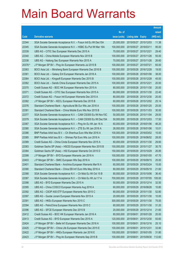|         |                                                                |               |                       |                       | <b>Amount</b> |
|---------|----------------------------------------------------------------|---------------|-----------------------|-----------------------|---------------|
|         |                                                                | No. of        |                       |                       | raised        |
| Code    | <b>Derivative warrants</b>                                     | issue (units) | Listing date Expiry   |                       | (HK\$ mil.)   |
| 22344   | SGA Societe Generale Acceptance N.V. - Fosun Intl Eu Wt Dec15A | 25,000,000    |                       | 2015/05/27 2015/12/03 | 11.38         |
| 22345   | SGA Societe Generale Acceptance N.V. - HSBC Eu Put Wt Mar 16A  | 100,000,000   | 2015/05/27 2016/03/11 |                       | 95.00         |
| 22339   | UBS AG - CITIC Sec European Warrants Dec 2015 A                | 70,000,000    | 2015/05/27 2015/12/21 |                       | 29.40         |
| 22340   | UBS AG - China Mobile European Warrants Nov 2015 B             | 100,000,000   |                       | 2015/05/27 2015/11/26 | 55.00         |
| 22338   | UBS AG - Haitong Sec European Warrants Nov 2015 A              | 70,000,000    |                       | 2015/05/27 2015/11/26 | 26.60         |
| 20378 # | J P Morgan SP BV - Ping An European Warrants Jul 2015 B        | 100,000,000   | 2015/05/27 2015/07/21 |                       | 65.00         |
| 22363   | BOCI Asia Ltd. - Minsheng Bank European Warrants Dec 2016 B    | 100,000,000   | 2015/05/28 2016/12/28 |                       | 19.00         |
| 22361   | BOCI Asia Ltd. - Galaxy Ent European Warrants Jan 2016 A       | 100,000,000   |                       | 2015/05/28 2016/01/06 | 38.00         |
| 22364   | BOCI Asia Ltd. - Kingsoft European Warrants Dec 2015 B         | 100,000,000   |                       | 2015/05/28 2015/12/28 | 45.00         |
| 22362   | BOCI Asia Ltd. - Sands China European Warrants Dec 2015 A      | 100,000,000   | 2015/05/28 2015/12/21 |                       | 20.00         |
| 22370   | Credit Suisse AG - BOC HK European Warrants Nov 2015 A         | 80,000,000    | 2015/05/28 2015/11/30 |                       | 20.00         |
| 22371   | Credit Suisse AG - CITIC Sec European Warrants Nov 2015 A      | 80,000,000    |                       | 2015/05/28 2015/11/30 | 22.40         |
| 22372   | Credit Suisse AG - Fosun Intl European Warrants Dec 2015 A     | 80,000,000    |                       | 2015/05/28 2015/12/30 | 20.00         |
| 22382   | J P Morgan SP BV - KECL European Warrants Dec 2015 B           | 60,000,000    |                       | 2015/05/28 2015/12/02 | 25.14         |
| 22376   | Standard Chartered Bank - Agricultural Bk Eur Wts Jan 2016 A   | 100,000,000   | 2015/05/28 2016/01/25 |                       | 25.00         |
| 22381   | Standard Chartered Bank - China Mobile Euro Wts Nov 2015 B     | 100,000,000   |                       | 2015/05/28 2015/11/03 | 30.00         |
| 22377   | SGA Societe Generale Acceptance N.V. - CAM CSI300 Eu Wt Nov15C | 50,000,000    |                       | 2015/05/28 2015/11/04 | 29.00         |
| 22379   | SGA Societe Generale Acceptance N.V. - CAM CSI300 Eu Wt Dec15A | 50,000,000    |                       | 2015/05/28 2015/12/03 | 17.50         |
| 22367   | SGA Societe Generale Acceptance N.V. - Ping An Eu Wt Jan 16 A  | 60,000,000    | 2015/05/28 2016/01/06 |                       | 46.20         |
| 22380   | SGA Societe Generale Acceptance N.V. - ZTE Eu Wt Jan 2016 A    | 26,000,000    |                       | 2015/05/28 2016/01/06 | 10.01         |
| 22386   | BNP Paribas Arbit Issu B.V. - Ch Shenhua Euro Wts Mar 2016 A   | 100,000,000   |                       | 2015/05/29 2016/03/02 | 15.00         |
| 22385   | BNP Paribas Arbit Issu B.V. - Shimao Ppt Euro Wts Jun 2016 A   | 100,000,000   |                       | 2015/05/29 2016/06/02 | 28.00         |
| 22389   | Credit Suisse AG - China Cinda European Warrants Nov 2015 A    | 80,000,000    |                       | 2015/05/29 2015/11/30 | 29.60         |
| 22383   | Goldman Sachs SP (Asia) - HSCEI European Warrants Nov 2015 B   | 150,000,000   |                       | 2015/05/29 2015/11/27 | 30.75         |
| 22384   | Goldman Sachs SP (Asia) - HSI European Warrants Oct 2015 D     | 150,000,000   |                       | 2015/05/29 2015/10/29 | 26.85         |
| 22399   | J P Morgan SP BV - BYD European Warrants Jan 2016 A            | 100,000,000   | 2015/05/29 2016/01/05 |                       | 47.70         |
| 22403   | J P Morgan SP BV - SMIC European Wts Sep 2016 A                | 100,000,000   |                       | 2015/05/29 2016/09/15 | 25.00         |
| 22401   | Standard Chartered Bank - Avichina European Warrants Mar16 A   | 60,000,000    | 2015/05/29 2016/03/24 |                       | 15.00         |
| 22390   | Standard Chartered Bank - China EB Int'l Euro Wts May 2016 A   | 80,000,000    | 2015/05/29 2016/05/18 |                       | 21.60         |
| 22388   | SGA Societe Generale Acceptance N.V. - Ch Mob Eu Wt Oct 15 B   | 80,000,000    |                       | 2015/05/29 2015/10/06 | 36.40         |
| 22387   | SGA Societe Generale Acceptance N.V. - Ch Mob Eu Wt Jul 17 A   | 700,000,000   |                       | 2015/05/29 2017/07/05 | 105.00        |
| 22398   | UBS AG - BYD European Warrants Dec 2015 A                      | 50,000,000    | 2015/05/29 2015/12/14 |                       | 32.50         |
| 22395   | UBS AG - China COSCO European Warrants Aug 2016 A              | 60,000,000    | 2015/05/29            | 2016/08/26            | 10.80         |
| 22392   | UBS AG - CSOP A50 ETF European Warrants Nov 2015 C             | 80,000,000    | 2015/05/29 2015/11/30 |                       | 52.80         |
| 22397   | UBS AG - Guotai Junani European Warrants Nov 2015 A            | 20,000,000    | 2015/05/29 2015/11/30 |                       | 10.00         |
| 22391   | UBS AG - HKEx European Warrants Nov 2015 C                     | 300,000,000   | 2015/05/29 2015/11/30 |                       | 75.00         |
| 22394   | UBS AG - PetroChina European Warrants Nov 2015 C               | 60,000,000    | 2015/05/29            | 2015/11/30            | 31.20         |
| 22396   | UBS AG - SFCE European Warrants Dec 2015 B                     | 20,000,000    | 2015/05/29 2015/12/14 |                       | 21.60         |
| 22412   | Credit Suisse AG - BOC HK European Warrants Jan 2016 A         | 80,000,000    | 2015/06/01            | 2016/01/28            | 20.00         |
| 22413   | Credit Suisse AG - BYD European Warrants Dec 2015 A            | 120,000,000   | 2015/06/01            | 2015/12/30            | 93.60         |
| 22424   | J P Morgan SP BV - Belle Int'l European Warrants Dec 2016 A    | 100,000,000   | 2015/06/01            | 2016/12/16            | 25.10         |
| 22425   | J P Morgan SP BV - China Life European Warrants Dec 2015 E     | 100,000,000   | 2015/06/01            | 2015/12/31            | 33.90         |
| 22422   | J P Morgan SP BV - HKEx European Warrants Jan 2016 E           | 100,000,000   | 2015/06/01            | 2016/01/05            | 31.80         |
| 22423   | J P Morgan SP BV - Ping An European Warrants Sep 2015 B        | 100,000,000   | 2015/06/01            | 2015/09/30            | 112.60        |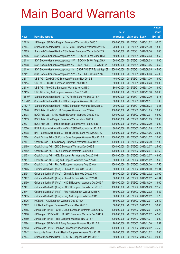|         |                                                                |               |                            |                       | <b>Amount</b> |
|---------|----------------------------------------------------------------|---------------|----------------------------|-----------------------|---------------|
|         |                                                                | No. of        |                            |                       | raised        |
| Code    | <b>Derivative warrants</b>                                     | issue (units) | <b>Listing date Expiry</b> |                       | (HK\$ mil.)   |
| 22419   | J P Morgan SP BV - Ping An European Warrants Nov 2015 C        | 100,000,000   |                            | 2015/06/01 2015/11/02 | 52.20         |
| 22404   | Standard Chartered Bank - CGN Power European Warrants Nov15A   | 20,000,000    |                            | 2015/06/01 2015/11/30 | 13.00         |
| 22405   | Standard Chartered Bank - CGN Power European Warrants Oct17A   | 60,000,000    | 2015/06/01                 | 2017/10/30            | 15.00         |
| 22406   | SGA Societe Generale Acceptance N.V. - BOCHK Eu Wt Mar 2016A   | 50,000,000    |                            | 2015/06/01 2016/03/03 | 13.50         |
| 22418   | SGA Societe Generale Acceptance N.V. - BOCHK Eu Wt Aug 2016A   | 50,000,000    |                            | 2015/06/01 2016/08/03 | 14.00         |
| 22408   | SGA Societe Generale Acceptance NV - CSOP A50 ETF Eu Wt Jul16A | 300,000,000   |                            | 2015/06/01 2016/07/06 | 49.50         |
| 22410   | SGA Societe Generale Acceptance NV - CSOP A50 ETF Eu Wt Sep16B | 300,000,000   | 2015/06/01                 | 2016/09/05            | 45.00         |
| 22411   | SGA Societe Generale Acceptance N.V. - A50 Ch Eu Wt Jun 2016C  | 300,000,000   |                            | 2015/06/01 2016/06/03 | 45.00         |
| 22417   | UBS AG - CAM CSI300 European Warrants Nov 2015 B               | 40,000,000    |                            | 2015/06/01 2015/11/30 | 13.00         |
| 22414   | UBS AG - BOC HK European Warrants Feb 2016 A                   | 80,000,000    |                            | 2015/06/01 2016/02/23 | 20.00         |
| 22416   | UBS AG - A50 China European Warrants Nov 2015 C                | 80,000,000    |                            | 2015/06/01 2015/11/30 | 38.00         |
| 22415   | UBS AG - Ping An European Warrants Nov 2015 B                  | 100,000,000   |                            | 2015/06/01 2015/11/30 | 39.00         |
| 13110 # | Standard Chartered Bank - CITIC Pacific Euro Wts Dec 2015 A    | 50,000,000    |                            | 2015/06/01 2015/12/30 | 16.75         |
| 21370 # | Standard Chartered Bank - HKEx European Warrants Dec 2015 E    | 50,000,000    |                            | 2015/06/01 2015/12/11 | 11.30         |
| 21874 # | Standard Chartered Bank - HSBC European Warrants Sep 2015 C    | 90,000,000    |                            | 2015/06/01 2015/09/23 | 10.35         |
| 22440   | BOCI Asia Ltd. - BOC HK European Warrants Jan 2016 A           | 100,000,000   |                            | 2015/06/02 2016/01/05 | 23.00         |
| 22438   | BOCI Asia Ltd. - China Mobile European Warrants Dec 2015 A     | 100,000,000   |                            | 2015/06/02 2015/12/07 | 53.00         |
| 22439   | BOCI Asia Ltd. - Ping An European Warrants Nov 2015 A          | 100,000,000   |                            | 2015/06/02 2015/11/23 | 76.00         |
| 22437   | BOCI Asia Ltd. - Tencent Holdings European Wts Feb 2016 B      | 100,000,000   |                            | 2015/06/02 2016/02/29 | 19.00         |
| 22500   | BNP Paribas Arbit Issu B.V. - CAM CSI300 Euro Wts Jan 2016 B   | 80,000,000    |                            | 2015/06/02 2016/01/05 | 27.20         |
| 22498   | BNP Paribas Arbit Issu B.V. - HS H-SHARE Euro Wts Apr 2017 A   | 100,000,000   |                            | 2015/06/02 2017/04/06 | 25.00         |
| 22464   | Credit Suisse AG - Ch Comm Cons European Warrants Nov 2015 B   | 100,000,000   |                            | 2015/06/02 2015/11/27 | 20.00         |
| 22467   | Credit Suisse - China Railway European Warrants Dec 2015 A     | 100,000,000   |                            | 2015/06/02 2015/12/30 | 17.00         |
| 22469   | Credit Suisse AG - CRCC European Warrants Dec 2015 B           | 100,000,000   |                            | 2015/06/02 2015/12/07 | 25.00         |
| 22452   | Credit Suisse AG - HKEx European Warrants Dec 2015 F           | 120,000,000   |                            | 2015/06/02 2015/12/07 | 51.60         |
| 22453   | Credit Suisse AG - HKEx European Put Warrants Dec 2015 G       | 120,000,000   |                            | 2015/06/02 2015/12/07 | 48.00         |
| 22457   | Credit Suisse AG - Ping An European Warrants Nov 2015 C        | 80,000,000    |                            | 2015/06/02 2015/11/02 | 73.60         |
| 22459   | Credit Suisse AG - Ping An European Warrants Aug 2016 A        | 150,000,000   |                            | 2015/06/02 2016/08/30 | 37.50         |
| 22445   | Goldman Sachs SP (Asia) - China Life Euro Wts Oct 2015 C       | 80,000,000    |                            | 2015/06/02 2015/10/30 | 21.04         |
| 22494   | Goldman Sachs SP (Asia) - China Life Euro Wts Dec 2015 C       | 80,000,000    |                            | 2015/06/02 2015/12/02 | 20.00         |
| 22497   | Goldman Sachs SP (Asia) - China Life Euro Wts Dec 2015 D       | 80,000,000    |                            | 2015/06/02 2015/12/02 | 41.04         |
| 22490   | Goldman Sachs SP (Asia) - HSCEI European Warrants Oct 2015 A   | 150,000,000   |                            | 2015/06/02 2015/10/29 | 33.60         |
| 22491   | Goldman Sachs SP (Asia) - HSCEI European Put Wts Oct 2015 B    | 150,000,000   |                            | 2015/06/02 2015/10/29 | 22.50         |
| 22444   | Goldman Sachs SP (Asia) - Ping An European Wts Dec 2015 A      | 80,000,000    |                            | 2015/06/02 2015/12/02 | 74.32         |
| 22495   | Goldman Sachs SP (Asia) - Ping An European Wts Dec 2015 B      | 80,000,000    |                            | 2015/06/02 2015/12/02 | 71.28         |
| 22426   | HK Bank - AIA European Warrants Dec 2015 A                     | 80,000,000    |                            | 2015/06/02 2015/12/01 | 22.40         |
| 22427   | HK Bank - Ping An European Warrants Dec 2015 B                 | 50,000,000    |                            | 2015/06/02 2015/12/01 | 30.00         |
| 22485   | J P Morgan SP BV - CAM CSI300 European Warrants Dec 2015 A     | 100,000,000   |                            | 2015/06/02 2015/12/01 | 25.20         |
| 22488   | J P Morgan SP BV - HS H-SHARE European Warrants Dec 2015 A     | 100,000,000   |                            | 2015/06/02 2015/12/02 | 47.40         |
| 22489   | J P Morgan SP BV - HSI European Warrants Nov 2015 H            | 300,000,000   |                            | 2015/06/02 2015/11/27 | 45.00         |
| 22484   | J P Morgan SP BV - Li & Fung European Warrants Nov 2017 A      | 70,000,000    |                            | 2015/06/02 2017/11/30 | 10.57         |
| 22483   | J P Morgan SP BV - Ping An European Warrants Dec 2015 B        | 100,000,000   |                            | 2015/06/02 2015/12/02 | 45.50         |
| 22442   | Macquarie Bank Ltd. - Ali Health European Warrants Nov 2016A   | 20,000,000    |                            | 2015/06/02 2016/11/02 | 10.06         |
| 22434   | Standard Chartered Bank - BOC HK European Wts Jan 2016 A       | 80,000,000    |                            | 2015/06/02 2016/01/04 | 20.00         |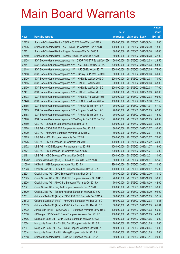|         |                                                                |               |                            |                       | <b>Amount</b> |
|---------|----------------------------------------------------------------|---------------|----------------------------|-----------------------|---------------|
|         |                                                                | No. of        |                            |                       | raised        |
| Code    | <b>Derivative warrants</b>                                     | issue (units) | <b>Listing date Expiry</b> |                       | (HK\$ mil.)   |
| 22435   | Standard Chartered Bank - CSOP A50 ETF Euro Wts Jun 2016 A     | 100,000,000   | 2015/06/02 2016/06/24      |                       | 15.00         |
| 22436   | Standard Chartered Bank - A50 China Euro Warrants Dec 2016 B   | 100,000,000   |                            | 2015/06/02 2016/12/30 | 18.00         |
| 22451   | Standard Chartered Bank - Ping An European Wts Oct 2015 A      | 80,000,000    | 2015/06/02 2015/10/28      |                       | 56.00         |
| 22449   | Standard Chartered Bank - Tencent Hidg Euro Wts Oct 2015 B     | 80,000,000    |                            | 2015/06/02 2015/10/28 | 32.00         |
| 22428   | SGA Societe Generale Acceptance NV - CSOP A50 ETF Eu Wt Dec15D | 50,000,000    |                            | 2015/06/02 2015/12/03 | 28.50         |
| 22447   | SGA Societe Generale Acceptance N.V. - A50 Ch Eu Wt Nov 2016A  | 300,000,000   |                            | 2015/06/02 2016/11/03 | 63.00         |
| 22448   | SGA Societe Generale Acceptance N.V. - A50 Ch Eu Wt Jul 2017A  | 300,000,000   | 2015/06/02 2017/07/05      |                       | 75.00         |
| 22458   | SGA Societe Generale Acceptance N.V. - Galaxy Eu Put Wt Dec15C | 80,000,000    |                            | 2015/06/02 2015/12/03 | 30.80         |
| 22429   | SGA Societe Generale Acceptance N.V. - HKEx Eu Wt Dec 2015 G   | 200,000,000   |                            | 2015/06/02 2015/12/03 | 70.00         |
| 22455   | SGA Societe Generale Acceptance N.V. - HKEx Eu Wt Dec 2015 I   | 200,000,000   |                            | 2015/06/02 2015/12/03 | 58.00         |
| 22430   | SGA Societe Generale Acceptance N.V. - HKEx Eu Wt Feb 2016 C   | 200,000,000   | 2015/06/02 2016/02/03      |                       | 77.00         |
| 22431   | SGA Societe Generale Acceptance N.V. - HKEx Eu Wt Mar 2016 B   | 200,000,000   |                            | 2015/06/02 2016/03/03 | 66.00         |
| 22433   | SGA Societe Generale Acceptance N.V. - HKEx Eu Put Wt Dec15H   | 200,000,000   |                            | 2015/06/02 2015/12/03 | 106.00        |
| 22446   | SGA Societe Generale Acceptance N.V. - HSCEI Eu Wt Mar 2016A   | 150,000,000   |                            | 2015/06/02 2016/03/30 | 22.50         |
| 22465   | SGA Societe Generale Acceptance N.V. - Ping An Eu Wt Nov 15 F  | 70,000,000    | 2015/06/02 2015/11/04      |                       | 57.40         |
| 22463   | SGA Societe Generale Acceptance N.V. - Ping An Eu Wt Dec 15 C  | 70,000,000    |                            | 2015/06/02 2015/12/03 | 82.60         |
| 22468   | SGA Societe Generale Acceptance N.V. - Ping An Eu Wt Dec 15 D  | 70,000,000    |                            | 2015/06/02 2015/12/03 | 45.50         |
| 22470   | SGA Societe Generale Acceptance N.V - Ping An Eu Put Wt Dec15E | 70,000,000    |                            | 2015/06/02 2015/12/03 | 83.30         |
| 22480   | UBS AG - China Life European Warrants Dec 2015 F               | 100,000,000   | 2015/06/02 2015/12/08      |                       | 25.00         |
| 22478   | UBS AG - CSOP A50 ETF European Warrants Dec 2015 B             | 80,000,000    | 2015/06/02 2015/12/07      |                       | 52.80         |
| 22479   | UBS AG - A50 China European Warrants Dec 2015 C                | 80,000,000    |                            | 2015/06/02 2015/12/07 | 44.00         |
| 22475   | UBS AG - HKEx European Warrants Dec 2015 I                     | 300,000,000   |                            | 2015/06/02 2015/12/07 | 75.00         |
| 22476   | UBS AG - HKEx European Put Warrants Jan 2016 C                 | 100,000,000   |                            | 2015/06/02 2016/01/22 | 39.00         |
| 22472   | UBS AG - HSCEI European Put Warrants Nov 2015 B                | 100,000,000   |                            | 2015/06/02 2015/11/27 | 18.00         |
| 22471   | UBS AG - HSI European Put Warrants Nov 2015 C                  | 300,000,000   | 2015/06/02 2015/11/27      |                       | 75.00         |
| 22481   | UBS AG - ICBC European Warrants Dec 2015 B                     | 100,000,000   | 2015/06/02 2015/12/21      |                       | 30.00         |
| 20776 # | Goldman Sachs SP (Asia) - China Life Euro Wts Dec 2015 B       | 80,000,000    | 2015/06/02 2015/12/31      |                       | 32.40         |
| 21069 # | HK Bank - HSI European Warrants Nov 2015 A                     | 280,000,000   | 2015/06/02 2015/11/27      |                       | 30.80         |
| 22523   | Credit Suisse AG - China Life European Warrants Dec 2015 A     | 100,000,000   | 2015/06/03 2015/12/07      |                       | 25.00         |
| 22524   | Credit Suisse AG - CPIC European Warrants Dec 2015 A           | 70,000,000    |                            | 2015/06/03 2015/12/30 | 30.10         |
| 22525   | Credit Suisse AG - CSOP A50 ETF European Warrants Oct 2015 B   | 70,000,000    | 2015/06/03 2015/10/29      |                       | 53.90         |
| 22526   | Credit Suisse AG - A50 China European Warrants Oct 2015 A      | 70,000,000    | 2015/06/03 2015/10/29      |                       | 42.00         |
| 22521   | Credit Suisse AG - Ping An European Warrants Dec 2015 B        | 100,000,000   | 2015/06/03 2015/12/07      |                       | 58.00         |
| 22520   | Credit Suisse AG - Tencent Holdings European Wts Oct 2015 C    | 80,000,000    |                            | 2015/06/03 2015/10/29 | 104.00        |
| 22511   | Goldman Sachs SP (Asia) - CSOP A50 ETF Euro Wts Dec 2015 A     | 80,000,000    | 2015/06/03 2015/12/03      |                       | 97.12         |
| 22512   | Goldman Sachs SP (Asia) - A50 China European Wts Dec 2015 C    | 80,000,000    |                            | 2015/06/03 2015/12/03 | 119.36        |
| 22513   | Goldman Sachs SP (Asia) - A50 China European Wts Dec 2015 D    | 80,000,000    | 2015/06/03 2015/12/03      |                       | 85.84         |
| 22532   | J P Morgan SP BV - CSOP A50 ETF European Warrants Nov 2015 B   | 100,000,000   | 2015/06/03 2015/11/03      |                       | 65.80         |
| 22530   | J P Morgan SP BV - A50 China European Warrants Dec 2015 D      | 100,000,000   | 2015/06/03 2015/12/03      |                       | 48.80         |
| 22506   | Macquarie Bank Ltd. - CAM CSI300 European Wts Jan 2016 A       | 40,000,000    | 2015/06/03 2016/01/05      |                       | 10.00         |
| 22504   | Macquarie Bank Ltd. - Ch Ship Cont European Wts Jan 2016 A     | 20,000,000    | 2015/06/03 2016/01/05      |                       | 10.00         |
| 22507   | Macquarie Bank Ltd. - A50 China European Warrants Oct 2016 A   | 40,000,000    | 2015/06/03 2016/10/04      |                       | 10.00         |
| 22514   | Macquarie Bank Ltd. - Zijin Mining European Wts Jan 2016 A     | 25,000,000    | 2015/06/03 2016/01/05      |                       | 10.00         |
| 22518   | Standard Chartered Bank - Belle Int'l European Wts Jul 2016A   | 80,000,000    | 2015/06/03 2016/07/11      |                       | 20.00         |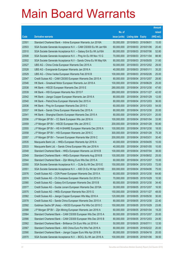|       |                                                                |               |                            |            | <b>Amount</b> |
|-------|----------------------------------------------------------------|---------------|----------------------------|------------|---------------|
|       |                                                                | No. of        |                            |            | raised        |
| Code  | <b>Derivative warrants</b>                                     | issue (units) | <b>Listing date Expiry</b> |            | (HK\$ mil.)   |
| 22501 | Standard Chartered Bank – Intime European Warrants Jun 2016A   | 50,000,000    | 2015/06/03 2016/06/01      |            | 15.00         |
| 22503 | SGA Societe Generale Acceptance N.V. - CAM CSI300 Eu Wt Jan16A | 60,000,000    | 2015/06/03 2016/01/06      |            | 20.40         |
| 22510 | SGA Societe Generale Acceptance N.V. - Galaxy Ent Eu Wt Jul16A | 80,000,000    | 2015/06/03 2016/07/06      |            | 52.80         |
| 22508 | SGA Societe Generale Acceptance N.V. - Ping An Eu Wt Nov 15 G  | 70,000,000    | 2015/06/03 2015/11/04      |            | 88.90         |
| 22502 | SGA Societe Generale Acceptance N.V - Sands China Eu Wt May16A | 80,000,000    | 2015/06/03 2016/05/05      |            | 31.60         |
| 22527 | UBS AG - China Cinda European Warrants Dec 2015 A              | 50,000,000    | 2015/06/03 2015/12/02      |            | 29.00         |
| 22528 | UBS AG - Evergrande European Warrants Jan 2016 A               | 40,000,000    | 2015/06/03 2016/01/11      |            | 35.20         |
| 22529 | UBS AG - China Vanke European Warrants Feb 2016 B              | 100,000,000   | 2015/06/03 2016/02/26      |            | 25.00         |
| 22547 | Credit Suisse AG - CAM CSI300 European Warrants Dec 2015 A     | 80,000,000    | 2015/06/04 2015/12/07      |            | 28.80         |
| 22546 | HK Bank - Greatwall Motor European Warrants Jun 2018 A         | 100,000,000   | 2015/06/04 2018/06/29      |            | 25.00         |
| 22538 | HK Bank - HSCEI European Warrants Dec 2015 E                   | 280,000,000   | 2015/06/04 2015/12/30      |            | 47.60         |
| 22539 | HK Bank – HSI European Warrants Nov 2015 F                     | 280,000,000   | 2015/06/04 2015/11/27      |            | 42.00         |
| 22542 | HK Bank – Jiangxi Copper European Warrants Jan 2016 A          | 80,000,000    | 2015/06/04 2016/01/29      |            | 12.00         |
| 22540 | HK Bank - PetroChina European Warrants Dec 2015 A              | 80,000,000    | 2015/06/04 2015/12/03      |            | 36.00         |
| 22536 | HK Bank - Ping An European Warrants Dec 2015 C                 | 60,000,000    | 2015/06/04 2015/12/03      |            | 54.00         |
| 22537 | HK Bank – Sands China European Warrants Dec 2015 A             | 80,000,000    | 2015/06/04 2015/12/30      |            | 20.00         |
| 22541 | HK Bank - Shanghai Electric European Warrants Dec 2015 A       | 80,000,000    | 2015/06/04 2015/12/31      |            | 20.00         |
| 22556 | J P Morgan SP BV - CC Bank European Wts Jan 2016 A             | 100,000,000   | 2015/06/04 2016/01/04      |            | 33.90         |
| 22559 | J P Morgan SP BV - HSCEI European Wts Jan 2016 C               | 200,000,000   | 2015/06/04                 | 2016/01/28 | 50.80         |
| 22555 | J P Morgan SP BV - HS H-SHARE European Warrants Dec 2016 A     | 100,000,000   | 2015/06/04 2016/12/30      |            | 18.00         |
| 22558 | J P Morgan SP BV - HSI European Warrants Jan 2016 C            | 300,000,000   | 2015/06/04 2016/01/28      |            | 75.30         |
| 22557 | J P Morgan SP BV - Tencent European Warrants Mar 2016 C        | 200,000,000   | 2015/06/04 2016/03/31      |            | 30.40         |
| 22535 | Macquarie Bank Ltd. - HKEx European Warrants Apr 2016 A        | 40,000,000    | 2015/06/04                 | 2016/04/05 | 10.00         |
| 22533 | Macquarie Bank Ltd. - Sands China European Wts Jan 2016 A      | 40,000,000    | 2015/06/04 2016/01/05      |            | 10.00         |
| 22548 | Standard Chartered Bank - HKEx European Warrants Jul 2016 B    | 100,000,000   | 2015/06/04 2016/07/04      |            | 38.00         |
| 22549 | Standard Chartered Bank - HKEx European Warrants Aug 2016 B    | 100,000,000   | 2015/06/04 2016/08/02      |            | 25.00         |
| 22544 | Standard Chartered Bank - Zijin Mining Euro Wts Dec 2015 A     | 60,000,000    | 2015/06/04 2015/12/07      |            | 15.00         |
| 22550 | SGA Societe Generale Acceptance N.V. - CLife Eu Wt Dec 2015 E  | 150,000,000   | 2015/06/04 2015/12/03      |            | 72.00         |
| 22551 | SGA Societe Generale Acceptance N.V. - A50 Ch Eu Wt Apr 2016D  | 300,000,000   | 2015/06/04 2016/04/06      |            | 75.00         |
| 22576 | Credit Suisse AG - CGN Power European Warrants Dec 2015 A      | 60,000,000    | 2015/06/05 2015/12/30      |            | 64.80         |
| 22574 | Credit Suisse AG - Ch Overseas European Warrants Oct 2015 A    | 70,000,000    | 2015/06/05 2015/10/29      |            | 10.50         |
| 22580 | Credit Suisse AG - Galaxy Ent European Warrants Dec 2015 B     | 80,000,000    | 2015/06/05 2015/12/30      |            | 34.40         |
| 22577 | Credit Suisse AG - Guotai Junani European Warrants Dec 2015A   | 30,000,000    | 2015/06/05 2015/12/07      |            | 16.50         |
| 22575 | Credit Suisse AG - HKEx European Warrants Nov 2015 G           | 150,000,000   | 2015/06/05 2015/11/27      |            | 48.00         |
| 22582 | Credit Suisse AG - Jiangxi Copper European Wts May 2016 A      | 120,000,000   | 2015/06/05 2016/05/30      |            | 30.00         |
| 22578 | Credit Suisse AG - Sands China European Warrants Dec 2015 A    | 80,000,000    | 2015/06/05 2015/12/30      |            | 22.40         |
| 22592 | Goldman Sachs SP (Asia) - HSCEI European Put Wts Oct 2015 C    | 150,000,000   | 2015/06/05 2015/10/29      |            | 23.85         |
| 22588 | J P Morgan SP BV - Zijin Mining European Warrants Jan 2016 A   | 60,000,000    | 2015/06/05 2016/01/04      |            | 19.20         |
| 22564 | Standard Chartered Bank - CAM CSI300 European Wts Dec 2015 A   | 80,000,000    | 2015/06/05 2015/12/07      |            | 20.00         |
| 22566 | Standard Chartered Bank - CAM CSI300 European Wts Dec 2015 B   | 80,000,000    | 2015/06/05 2015/12/03      |            | 24.80         |
| 22562 | Standard Chartered Bank - Brilliance Chi Euro Wts Jul 2016 A   | 50,000,000    | 2015/06/05 2016/07/11      |            | 12.50         |
| 22567 | Standard Chartered Bank - A50 China Euro Put Wts Feb 2016 A    | 80,000,000    | 2015/06/05 2016/02/22      |            | 20.00         |
| 22590 | Standard Chartered Bank - Jiangxi Copper Euro Wts Apr 2016 B   | 80,000,000    | 2015/06/05 2016/04/18      |            | 20.00         |
| 22570 | SGA Societe Generale Acceptance N.V. - BOCL Eu Wt Jan 2016 A   | 100,000,000   | 2015/06/05 2016/01/06      |            | 39.50         |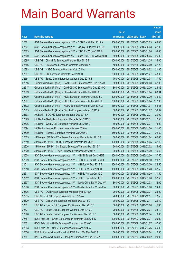|       |                                                                |               |                            |                       | <b>Amount</b> |
|-------|----------------------------------------------------------------|---------------|----------------------------|-----------------------|---------------|
|       |                                                                | No. of        |                            |                       | raised        |
| Code  | <b>Derivative warrants</b>                                     | issue (units) | <b>Listing date Expiry</b> |                       | (HK\$ mil.)   |
| 22571 | SGA Societe Generale Acceptance N.V. - CCB Eur Wt Feb 2016 A   | 100,000,000   | 2015/06/05 2016/02/03      |                       | 69.00         |
| 22561 | SGA Societe Generale Acceptance N.V. - Galaxy Eu Put Wt Jun16B | 80,000,000    |                            | 2015/06/05 2016/06/03 | 32.00         |
| 22573 | SGA Societe Generale Acceptance N.V. - ICBC Eu Wt Jan 2016 B   | 100,000,000   |                            | 2015/06/05 2016/01/06 | 58.00         |
| 22560 | SGA Societe Generale Acceptance NV - Sands Ch Eu Put Wt May16B | 80,000,000    |                            | 2015/06/05 2016/05/05 | 26.00         |
| 22585 | UBS AG - China Life European Warrants Nov 2015 B               | 100,000,000   |                            | 2015/06/05 2015/11/25 | 35.00         |
| 22586 | UBS AG - Evergrande European Warrants Mar 2016 A               | 40,000,000    |                            | 2015/06/05 2016/03/09 | 37.20         |
| 22583 | UBS AG - HSBC European Warrants Oct 2015 A                     | 100,000,000   |                            | 2015/06/05 2015/10/02 | 21.00         |
| 22587 | UBS AG - HSI European Warrants Nov 2015 D                      | 300,000,000   |                            | 2015/06/05 2015/11/27 | 48.00         |
| 22584 | UBS AG - Sands China European Warrants Dec 2015 B              | 70,000,000    |                            | 2015/06/05 2015/12/08 | 17.50         |
| 22616 | Goldman Sachs SP (Asia) - CAM CSI300 European Wts Dec 2015 B   | 80,000,000    |                            | 2015/06/08 2015/12/08 | 32.96         |
| 22617 | Goldman Sachs SP (Asia) - CAM CSI300 European Wts Dec 2015 C   | 80,000,000    |                            | 2015/06/08 2015/12/30 | 26.32         |
| 22603 | Goldman Sachs SP (Asia) - China Mobile Euro Wts Jan 2016 A     | 120,000,000   |                            | 2015/06/08 2016/01/04 | 83.04         |
| 22600 | Goldman Sachs SP (Asia) - HKEx European Warrants Dec 2015 J    | 300,000,000   |                            | 2015/06/08 2015/12/30 | 136.50        |
| 22601 | Goldman Sachs SP (Asia) - HKEx European Warrants Jan 2016 A    | 300,000,000   |                            | 2015/06/08 2016/01/04 | 117.90        |
| 22602 | Goldman Sachs SP (Asia) - HSBC European Warrants Jan 2016 A    | 150,000,000   | 2015/06/08 2016/01/04      |                       | 56.85         |
| 22605 | Goldman Sachs SP (Asia) - Ping An European Wts Nov 2015 A      | 80,000,000    |                            | 2015/06/08 2015/11/27 | 93.92         |
| 22598 | HK Bank - BOC HK European Warrants Dec 2015 A                  | 80,000,000    | 2015/06/08 2015/12/31      |                       | 20.00         |
| 22593 | HK Bank - Geely Auto European Warrants Dec 2015 B              | 50,000,000    | 2015/06/08 2015/12/31      |                       | 17.50         |
| 22596 | HK Bank - Galaxy Ent European Warrants Dec 2015 B              | 60,000,000    | 2015/06/08 2015/12/31      |                       | 18.00         |
| 22594 | HK Bank - Lenovo European Warrants Nov 2016 A                  | 100,000,000   |                            | 2015/06/08 2016/11/30 | 21.00         |
| 22599 | HK Bank - Tencent European Warrants Mar 2016 B                 | 150,000,000   | 2015/06/08 2016/03/31      |                       | 22.50         |
| 22623 | J P Morgan SP BV - CGN Power European Warrants Jan 2016 A      | 60,000,000    |                            | 2015/06/08 2016/01/04 | 60.60         |
| 22619 | J P Morgan SP BV - HSBC European Warrants Jan 2016 B           | 100,000,000   |                            | 2015/06/08 2016/01/05 | 32.40         |
| 22626 | J P Morgan SP BV - Sh Electric European Warrants Mar 2016 A    | 60,000,000    |                            | 2015/06/08 2016/03/02 | 15.06         |
| 22620 | J P Morgan SP BV - Tingyi European Warrants Nov 2016 A         | 60,000,000    |                            | 2015/06/08 2016/11/30 | 15.42         |
| 22608 | SGA Societe Generale Acceptance N.V. - HSCEI Eu Wt Dec 2015E   | 150,000,000   |                            | 2015/06/08 2015/12/30 | 37.50         |
| 22609 | SGA Societe Generale Acceptance N.V. - HSCEI Eu Put Wt Dec15F  | 150,000,000   |                            | 2015/06/08 2015/12/30 | 29.25         |
| 22611 | SGA Societe Generale Acceptance N.V. - HSI Eur Wt Dec 2015 E   | 150,000,000   | 2015/06/08 2015/12/30      |                       | 25.50         |
| 22610 | SGA Societe Generale Acceptance N.V. - HSI Eur Wt Jan 2016 D   | 150,000,000   | 2015/06/08 2016/01/28      |                       | 37.50         |
| 22613 | SGA Societe Generale Acceptance N.V. - HSI Eu Put Wt Oct 15 C  | 150,000,000   | 2015/06/08 2015/10/29      |                       | 31.50         |
| 22612 | SGA Societe Generale Acceptance N.V. - HSI Eu Put Wt Jan 16 E  | 150,000,000   | 2015/06/08 2016/01/28      |                       | 37.50         |
| 22607 | SGA Societe Generale Acceptance N.V - Sands China Eu Wt Dec15A | 80,000,000    | 2015/06/08 2015/12/03      |                       | 12.00         |
| 22606 | SGA Societe Generale Acceptance N.V - Sands China Eu Wt Jan16A | 80,000,000    | 2015/06/08 2016/01/06      |                       | 24.80         |
| 22636 | UBS AG - CGN Power European Warrants Mar 2016 A                | 20,000,000    | 2015/06/08 2016/03/31      |                       | 26.00         |
| 22635 | UBS AG - CGS European Warrants Dec 2015 A                      | 70,000,000    | 2015/06/08 2015/12/11      |                       | 17.50         |
| 22629 | UBS AG - Galaxy Ent European Warrants Dec 2015 C               | 70,000,000    | 2015/06/08 2015/12/11      |                       | 29.40         |
| 22631 | UBS AG - Galaxy Ent European Put Warrants Dec 2015 D           | 60,000,000    | 2015/06/08 2015/12/08      |                       | 15.90         |
| 22627 | UBS AG - Sands China European Warrants Dec 2015 C              | 70,000,000    | 2015/06/08 2015/12/24      |                       | 23.10         |
| 22628 | UBS AG - Sands China European Put Warrants Dec 2015 D          | 60,000,000    | 2015/06/08 2015/12/14      |                       | 18.00         |
| 22654 | BOCI Asia Ltd. - China Life European Warrants Dec 2015 C       | 100,000,000   | 2015/06/09 2015/12/31      |                       | 20.00         |
| 22651 | BOCI Asia Ltd. - HKEx European Warrants Jan 2016 C             | 100,000,000   | 2015/06/09                 | 2016/01/07            | 57.00         |
| 22653 | BOCI Asia Ltd. - HKEx European Warrants Apr 2016 A             | 100,000,000   | 2015/06/09                 | 2016/04/26            | 59.00         |
| 22656 | BNP Paribas Arbit Issu B.V. - Link REIT Euro Wts May 2016 A    | 50,000,000    | 2015/06/09                 | 2016/05/04            | 12.50         |
| 22657 | BNP Paribas Arbit Issu B.V. - Ping An European Wt Sep 2016 A   | 100,000,000   | 2015/06/09 2016/09/02      |                       | 20.00         |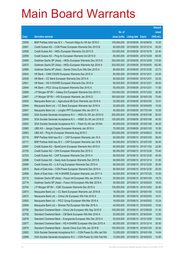|       |                                                                |               |                            |            | <b>Amount</b> |
|-------|----------------------------------------------------------------|---------------|----------------------------|------------|---------------|
|       |                                                                | No. of        |                            |            | raised        |
| Code  | <b>Derivative warrants</b>                                     | issue (units) | <b>Listing date Expiry</b> |            | (HK\$ mil.)   |
| 22655 | BNP Paribas Arbit Issu B.V. - Tencent HIdgs Eu Wt Apr 2016 C   | 100,000,000   | 2015/06/09 2016/04/05      |            | 15.00         |
| 22661 | Credit Suisse AG - CGN Power European Warrants Dec 2015 B      | 60,000,000    | 2015/06/09 2015/12/14      |            | 45.00         |
| 22658 | Credit Suisse AG - HKEx European Warrants Oct 2015 D           | 120,000,000   | 2015/06/09 2015/10/19      |            | 32.40         |
| 22659 | Credit Suisse AG - Ping An European Warrants Oct 2015 D        | 80,000,000    | 2015/06/09 2015/10/29      |            | 68.00         |
| 22669 | Goldman Sachs SP (Asia) - HKEx European Warrants Dec 2015 K    | 300,000,000   | 2015/06/09 2015/12/09      |            | 115.50        |
| 22670 | Goldman Sachs SP (Asia) - HKEx European Warrants Apr 2016 A    | 300,000,000   | 2015/06/09 2016/04/05      |            | 162.90        |
| 22666 | Goldman Sachs SP (Asia) - Sands China Euro Wts Dec 2015 A      | 80,000,000    | 2015/06/09                 | 2015/12/30 | 22.72         |
| 22643 | HK Bank - CAM CSI300 European Warrants Dec 2015 A              | 80,000,000    | 2015/06/09 2015/12/31      |            | 24.00         |
| 22639 | HK Bank - CC Bank European Warrants Dec 2015 A                 | 80,000,000    | 2015/06/09 2015/12/31      |            | 32.00         |
| 22641 | HK Bank - HS H-SHARE European Warrants Dec 2015 A              | 80,000,000    | 2015/06/09 2015/12/31      |            | 48.00         |
| 22644 | HK Bank - PICC Group European Warrants Dec 2015 A              | 50,000,000    | 2015/06/09 2015/12/31      |            | 17.50         |
| 22668 | J P Morgan SP BV - Galaxy Ent European Warrants Dec 2015 C     | 100,000,000   | 2015/06/09 2015/12/02      |            | 26.80         |
| 22667 | J P Morgan SP BV - HSI European Warrants Jan 2016 D            | 300,000,000   | 2015/06/09 2016/01/28      |            | 75.60         |
| 22650 | Macquarie Bank Ltd. - Agricultural Bk Euro Warrants Jan 2016 A | 35,000,000    | 2015/06/09 2016/01/05      |            | 10.01         |
| 22649 | Macquarie Bank Ltd. - CC Bank European Warrants Apr 2016 A     | 20,000,000    | 2015/06/09                 | 2016/04/05 | 10.00         |
| 22647 | Macquarie Bank Ltd. - Longfor PPT European Wts Jan 2017 A      | 40,000,000    | 2015/06/09 2017/01/04      |            | 10.00         |
| 22660 | SGA Societe Generale Acceptance N.V. - HKEx Eu Wt Jan 2016 G   | 200,000,000   | 2015/06/09 2016/01/06      |            | 80.00         |
| 22645 | SGA Societe Generale Acceptance N.V. - HSBC Eu Wt Jan 2016 D   | 100,000,000   | 2015/06/09 2016/01/06      |            | 40.50         |
| 22662 | SGA Societe Generale Acceptance N.V. - Petch Eu Wt Jan 2016A   | 60,000,000    | 2015/06/09                 | 2016/01/06 | 49.20         |
| 22665 | UBS AG - Jiangxi Copper European Warrants Jan 2016 A           | 70,000,000    | 2015/06/09 2016/01/25      |            | 10.50         |
| 22663 | UBS AG - Ping An European Warrants Aug 2016 C                  | 300,000,000   | 2015/06/09 2016/08/23      |            | 55.50         |
| 22716 | BNP Paribas Arbit Issu B.V. - CKP European Warrants Jan 16 A   | 60,000,000    | 2015/06/10 2016/01/05      |            | 36.00         |
| 22717 | BNP Paribas Arbit Issu B.V. - CKP European Warrants Jan 16 B   | 60,000,000    | 2015/06/10 2016/01/05      |            | 26.40         |
| 22697 | Credit Suisse AG - BankComm European Warrants Nov 2015 A       | 60,000,000    | 2015/06/10 2015/11/02      |            | 22.80         |
| 22700 | Credit Suisse AG - CKH European Warrants Dec 2015 C            | 80,000,000    | 2015/06/10 2015/12/30      |            | 70.40         |
| 22703 | Credit Suisse AG - CKP European Warrants Dec 2015 A            | 80,000,000    | 2015/06/10 2015/12/30      |            | 40.00         |
| 22698 | Credit Suisse AG - Geely Auto European Warrants Dec 2015 B     | 60,000,000    | 2015/06/10 2015/12/14      |            | 31.80         |
| 22699 | Credit Suisse AG - Li & Fung European Warrants Dec 2015 A      | 60,000,000    | 2015/06/10 2015/12/30      |            | 30.00         |
| 22675 | Bank of East Asia - CGN Power European Warrants Dec 2016 A     | 80,000,000    | 2015/06/10 2016/12/30      |            | 20.00         |
| 22696 | Bank of East Asia - HS H-SHARE European Warrants Jan 2017 A    | 40,000,000    | 2015/06/10 2017/01/25      |            | 10.00         |
| 22715 | Goldman Sachs SP (Asia) - Fosun Intl European Wts Jan 2016 A   | 50,000,000    | 2015/06/10 2016/01/04      |            | 19.70         |
| 22714 | Goldman Sachs SP (Asia) - Fosun Intl European Wts Mar 2016 A   | 50,000,000    | 2015/06/10 2016/03/03      |            | 18.00         |
| 22704 | J P Morgan SP BV - ICBC European Warrants Dec 2015 A           | 100,000,000   | 2015/06/10 2015/12/02      |            | 32.90         |
| 22673 | Macquarie Bank Ltd. - CC Bank European Warrants Jan 2016 B     | 16,000,000    | 2015/06/10 2016/01/05      |            | 10.03         |
| 22672 | Macquarie Bank Ltd. - China Life European Wts Feb 2016 A       | 35,000,000    | 2015/06/10 2016/02/02      |            | 10.01         |
| 22693 | Macquarie Bank Ltd. - PICC Group European Wts Mar 2016 A       | 18,000,000    | 2015/06/10 2016/03/02      |            | 10.24         |
| 22694 | Macquarie Bank Ltd. - Shimao Ppt European Wts Mar 2016 A       | 40,000,000    | 2015/06/10 2016/03/02      |            | 10.00         |
| 22706 | Standard Chartered Bank - China Life European Wts Sep 2015 D   | 100,000,000   | 2015/06/10 2015/09/29      |            | 31.50         |
| 22708 | Standard Chartered Bank - CM Bank European Wts Mar 2016 A      | 50,000,000    | 2015/06/10 2016/03/04      |            | 12.50         |
| 22678 | Standard Chartered Bank - Evergrande European Wts Dec 2015 A   | 50,000,000    | 2015/06/10 2015/12/09      |            | 15.00         |
| 22677 | Standard Chartered Bank - HS H-SHARE European Wts Dec 2015 A   | 60,000,000    | 2015/06/10 2015/12/14      |            | 30.00         |
| 22679 | Standard Chartered Bank - Sands China Euro Wts Jan 2016 B      | 100,000,000   | 2015/06/10 2016/01/25      |            | 25.00         |
| 22683 | SGA Societe Generale Acceptance N.V. - CGN Power Eu Wts Jan16A | 12,000,000    | 2015/06/10 2016/01/06      |            | 14.64         |
| 22686 | SGA Societe Generale Acceptance N.V. - CGN Power Eu Wts Feb16A | 12,000,000    | 2015/06/10 2016/02/03      |            | 12.60         |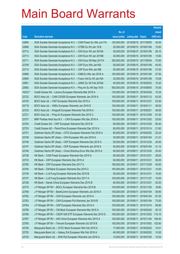|         |                                                                |               |                            |                       | <b>Amount</b> |
|---------|----------------------------------------------------------------|---------------|----------------------------|-----------------------|---------------|
|         |                                                                | No. of        |                            |                       | raised        |
| Code    | <b>Derivative warrants</b>                                     | issue (units) | <b>Listing date Expiry</b> |                       | (HK\$ mil.)   |
| 22684   | SGA Societe Generale Acceptance N.V. - CGN Power Eu Wts Jun17A | 120,000,000   |                            | 2015/06/10 2017/06/05 | 30.00         |
| 22688   | SGA Societe Generale Acceptance N.V. - CITBK Eu Wt Jan 16 B    | 20,000,000    |                            | 2015/06/10 2016/01/06 | 10.60         |
| 22712   | SGA Societe Generale Acceptance N.V. - CKH Euro Wt Jan 2016A   | 30,000,000    |                            | 2015/06/10 2016/01/06 | 26.10         |
| 22713   | SGA Societe Generale Acceptance N.V. - CKH Euro Wt Jan 2016B   | 30,000,000    |                            | 2015/06/10 2016/01/06 | 13.80         |
| 22711   | SGA Societe Generale Acceptance N.V. - CKH Euro Wt May 2017A   | 300,000,000   |                            | 2015/06/10 2017/05/04 | 75.00         |
| 22709   | SGA Societe Generale Acceptance N.V. - CKP Euro Wts Jan16A     | 50,000,000    |                            | 2015/06/10 2016/01/06 | 44.50         |
| 22710   | SGA Societe Generale Acceptance N.V. - CKP Euro Wts Jan16B     | 50,000,000    | 2015/06/10 2016/01/06      |                       | 27.00         |
| 22689   | SGA Societe Generale Acceptance N.V. - CMB Eu Wts Jan 2016 A   | 100,000,000   |                            | 2015/06/10 2016/01/06 | 27.50         |
| 22690   | SGA Societe Generale Acceptance N.V. - Fosun Intl Eu Wt Jan16A | 32,000,000    |                            | 2015/06/10 2016/01/06 | 10.08         |
| 22681   | SGA Societe Generale Acceptance N.V. - JIANC Eu Wt Feb 2016A   | 40,000,000    |                            | 2015/06/10 2016/02/03 | 10.20         |
| 22692   | SGA Societe Generale Acceptance N.V. - Ping An Eu Wt Sep 16 B  | 500,000,000   | 2015/06/10 2016/09/05      |                       | 75.00         |
| 16222 # | Credit Suisse AG - Lenovo European Warrants Mar 2016 A         | 130,000,000   | 2015/06/10 2016/03/29      |                       | 15.34         |
| 22722   | BOCI Asia Ltd. - CAM CSI300 European Warrants Jan 2016 A       | 100,000,000   | 2015/06/11                 | 2016/01/12            | 42.00         |
| 22720   | BOCI Asia Ltd. - CKP European Warrants Dec 2015 A              | 100,000,000   | 2015/06/11                 | 2015/12/31            | 53.00         |
| 22718   | BOCI Asia Ltd. - HKEx European Warrants Jan 2016 D             | 100,000,000   | 2015/06/11                 | 2016/01/11            | 39.00         |
| 22723   | BOCI Asia Ltd. - Kingsoft European Warrants Feb 2016 A         | 100,000,000   | 2015/06/11                 | 2016/02/01            | 49.00         |
| 22721   | BOCI Asia Ltd. – Ping An European Warrants Dec 2015 C          | 100,000,000   | 2015/06/11                 | 2015/12/08            | 81.00         |
| 22727   | BNP Paribas Arbit Issu B.V. - CKH European Wts Dec 2016 A      | 100,000,000   | 2015/06/11                 | 2016/12/02            | 25.00         |
| 22754   | Credit Suisse AG - CKP European Warrants Dec 2015 B            | 80,000,000    | 2015/06/11                 | 2015/12/30            | 50.40         |
| 22753   | Credit Suisse AG - PetroChina European Warrants Dec 2015 A     | 80,000,000    | 2015/06/11                 | 2015/12/14            | 21.60         |
| 22751   | Goldman Sachs SP (Asia) – CITIC European Warrants Feb 2016 A   | 80,000,000    | 2015/06/11                 | 2016/02/02            | 20.24         |
| 22749   | Goldman Sachs SP (Asia) - CKH European Wts Jan 2016 A          | 30,000,000    | 2015/06/11                 | 2016/01/04            | 21.21         |
| 22748   | Goldman Sachs SP (Asia) - CKP European Warrants Dec 2015 A     | 50,000,000    | 2015/06/11                 | 2015/12/30            | 20.65         |
| 22747   | Goldman Sachs SP (Asia) - CKP European Warrants Jan 2016 A     | 50,000,000    | 2015/06/11                 | 2016/01/04            | 31.10         |
| 22746   | Goldman Sachs SP (Asia) - China Shenhua Euro Wts Dec 2015 A    | 80,000,000    | 2015/06/11                 | 2015/12/30            | 20.40         |
| 22736   | HK Bank - CGN Power European Warrants Dec 2015 A               | 80,000,000    | 2015/06/11                 | 2015/12/31            | 28.00         |
| 22733   | HK Bank - CKP European Warrants Dec 2015 A                     | 60,000,000    | 2015/06/11 2015/12/31      |                       | 36.00         |
| 22760   | HK Bank - CKP European Warrants Dec 2017 A                     | 180,000,000   | 2015/06/11 2017/12/29      |                       | 45.00         |
| 22740   | HK Bank - CM Bank European Warrants Dec 2015 C                 | 100,000,000   | 2015/06/11                 | 2015/12/31            | 15.00         |
| 22739   | HK Bank - Li & Fung European Warrants Dec 2015 B               | 50,000,000    | 2015/06/11                 | 2015/12/31            | 15.00         |
| 22737   | HK Bank - Li & Fung European Warrants Nov 2017 A               | 100,000,000   | 2015/06/11                 | 2017/11/27            | 15.00         |
| 22728   | HK Bank - Sands China European Warrants Dec 2015 B             | 80,000,000    | 2015/06/11                 | 2015/12/31            | 20.00         |
| 22770   | J P Morgan SP BV - BOCL European Warrants Nov 2015 B           | 100,000,000   | 2015/06/11                 | 2015/11/02            | 18.80         |
| 22768   | J P Morgan SP BV - BankComm European Warrants Jan 2016 A       | 100,000,000   | 2015/06/11                 | 2016/01/04            | 59.90         |
| 22762   | J P Morgan SP BV - CKH European Warrants Jan 2016 A            | 100,000,000   | 2015/06/11                 | 2016/01/04            | 87.20         |
| 22763   | J P Morgan SP BV - CKH European Put Warrants Jan 2016 B        | 100,000,000   | 2015/06/11                 | 2016/01/04            | 73.00         |
| 22764   | J P Morgan SP BV - CKP European Warrants Dec 2015 A            | 100,000,000   | 2015/06/11                 | 2015/12/10            | 56.90         |
| 22769   | J P Morgan SP BV - CM Bank European Warrants Mar 2016 A        | 100,000,000   | 2015/06/11                 | 2016/03/02            | 25.10         |
| 22766   | J P Morgan SP BV - CSOP A50 ETF European Warrants Dec 2015 D   | 100,000,000   | 2015/06/11                 | 2015/12/02            | 115.10        |
| 22767   | J P Morgan SP BV - A50 China European Warrants Nov 2015 A      | 100,000,000   | 2015/06/11                 | 2015/11/04            | 106.40        |
| 22765   | J P Morgan SP BV - Tencent European Warrants Oct 2015 B        | 100,000,000   | 2015/06/11                 | 2015/10/02            | 102.60        |
| 22726   | Macquarie Bank Ltd. - CITIC Bank European Wts Feb 2016 A       | 17,000,000    | 2015/06/11                 | 2016/02/02            | 10.01         |
| 22752   | Macquarie Bank Ltd. - Galaxy Ent European Wts Feb 2016 A       | 40,000,000    | 2015/06/11                 | 2016/02/02            | 10.00         |
| 22725   | Macquarie Bank Ltd. - SHK Ppt European Warrants Jan 2016 A     | 15,000,000    | 2015/06/11                 | 2016/01/05            | 10.04         |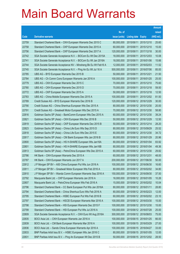|       |                                                                |               |                            |                       | <b>Amount</b> |
|-------|----------------------------------------------------------------|---------------|----------------------------|-----------------------|---------------|
|       |                                                                | No. of        |                            |                       | raised        |
| Code  | <b>Derivative warrants</b>                                     | issue (units) | <b>Listing date Expiry</b> |                       | (HK\$ mil.)   |
| 22759 | Standard Chartered Bank - CKH European Warrants Dec 2015 C     | 80,000,000    | 2015/06/11                 | 2015/12/10            | 25.60         |
| 22758 | Standard Chartered Bank - CKP European Warrants Dec 2015 A     | 60,000,000    | 2015/06/11                 | 2015/12/10            | 15.00         |
| 22756 | Standard Chartered Bank - CKP European Warrants Dec 2017 A     | 120,000,000   | 2015/06/11                 | 2017/12/18            | 30.00         |
| 22742 | SGA Societe Generale Acceptance N.V. - BOCom Eu Wt Dec 2015A   | 18,000,000    | 2015/06/11                 | 2015/12/03            | 10.08         |
| 22741 | SGA Societe Generale Acceptance N.V. - BOCom Eu Wt Jan 2016A   | 18,000,000    | 2015/06/11                 | 2016/01/06            | 15.66         |
| 22744 | SGA Societe Generale Acceptance NV - Minsheng Bk Eu Wt Feb16 A | 12,000,000    | 2015/06/11                 | 2016/02/03            | 11.52         |
| 22745 | SGA Societe Generale Acceptance N.V. - Ping An Eu Wt Jul 16 A  | 500,000,000   | 2015/06/11                 | 2016/07/06            | 85.00         |
| 22785 | UBS AG - BYD European Warrants Dec 2015 B                      | 50,000,000    | 2015/06/11                 | 2015/12/21            | 21.50         |
| 22784 | UBS AG - Ch Comm Cons European Warrants Jan 2016 A             | 100,000,000   | 2015/06/11                 | 2016/01/25            | 25.00         |
| 22779 | UBS AG - CKH European Warrants Dec 2015 C                      | 70,000,000    |                            | 2015/06/11 2015/12/10 | 75.60         |
| 22780 | UBS AG - CKH European Warrants Dec 2015 D                      | 70,000,000    | 2015/06/11                 | 2015/12/18            | 59.50         |
| 22772 | UBS AG - CKP European Warrants Dec 2015 A                      | 50,000,000    |                            | 2015/06/11 2015/12/18 | 12.50         |
| 22783 | UBS AG - China Mobile European Warrants Dec 2015 A             | 100,000,000   | 2015/06/11                 | 2015/12/02            | 81.50         |
| 22789 | Credit Suisse AG - BYD European Warrants Dec 2016 B            | 120,000,000   |                            | 2015/06/12 2016/12/29 | 30.00         |
| 22790 | Credit Suisse AG - China Shenhua European Wts Dec 2015 A       | 80,000,000    |                            | 2015/06/12 2015/12/30 | 20.00         |
| 22791 | Credit Suisse AG - Greatwall Motor European Wts Dec 2015 A     | 70,000,000    |                            | 2015/06/12 2015/12/30 | 58.80         |
| 22816 | Goldman Sachs SP (Asia) - BankComm European Wts Dec 2015 A     | 60,000,000    |                            | 2015/06/12 2015/12/30 | 39.24         |
| 22821 | Goldman Sachs SP (Asia) - CKH European Wts Dec 2016 B          | 50,000,000    |                            | 2015/06/12 2016/12/29 | 12.50         |
| 22819 | Goldman Sachs SP (Asia) - CKP European Warrants Dec 2015 B     | 50,000,000    | 2015/06/12 2015/12/14      |                       | 28.20         |
| 22823 | Goldman Sachs SP (Asia) - China Life Euro Wts Sep 2015 D       | 80,000,000    |                            | 2015/06/12 2015/09/29 | 25.52         |
| 22818 | Goldman Sachs SP (Asia) - China Life Euro Wts Dec 2015 E       | 80,000,000    |                            | 2015/06/12 2015/12/30 | 34.72         |
| 22817 | Goldman Sachs SP (Asia) - CM Bank European Wts Jan 2016 B      | 80,000,000    |                            | 2015/06/12 2016/01/29 | 20.96         |
| 22800 | Goldman Sachs SP (Asia) - HS H-SHARE European Wts Jan16A       | 80,000,000    | 2015/06/12 2016/01/04      |                       | 83.92         |
| 22801 | Goldman Sachs SP (Asia) - HS H-SHARE European Wts Jan16B       | 80,000,000    |                            | 2015/06/12 2016/01/04 | 49.36         |
| 22813 | Goldman Sachs SP (Asia) - PetroChina European Wts Dec 2015 A   | 60,000,000    |                            | 2015/06/12 2015/12/30 | 29.82         |
| 22786 | HK Bank - CKH European Warrants Dec 2015 A                     | 60,000,000    | 2015/06/12 2015/12/31      |                       | 48.00         |
| 22787 | HK Bank - CKH European Warrants Jun 2017 A                     | 200,000,000   | 2015/06/12 2017/06/30      |                       | 50.00         |
| 22812 | J P Morgan SP BV - A50 China European Put Wts Jun 2016 A       | 100,000,000   | 2015/06/12 2016/06/30      |                       | 16.60         |
| 22811 | J P Morgan SP BV - Greatwall Motor European Wts Feb 2016 A     | 80,000,000    |                            | 2015/06/12 2016/02/02 | 34.80         |
| 22810 | J P Morgan SP BV - Wanda Comm European Warrants Sep 2016 A     | 150,000,000   |                            | 2015/06/12 2016/09/30 | 37.50         |
| 22792 | Macquarie Bank Ltd. - CKP European Warrants Jan 2016 A         | 16,000,000    | 2015/06/12 2016/01/05      |                       | 10.26         |
| 22807 | Macquarie Bank Ltd. - PetroChina European Wts Feb 2016 A       | 15,000,000    |                            | 2015/06/12 2016/02/02 | 10.04         |
| 22796 | Standard Chartered Bank - CC Bank European Put Wts Jan 2016A   | 80,000,000    | 2015/06/12 2016/01/11      |                       | 28.80         |
| 22794 | Standard Chartered Bank - China Shenhua Euro Wts Feb 2016 A    | 80,000,000    |                            | 2015/06/12 2016/02/23 | 12.00         |
| 22795 | Standard Chartered Bank - HSBC European Put Wts Feb 2016 B     | 60,000,000    |                            | 2015/06/12 2016/02/02 | 23.10         |
| 22797 | Standard Chartered Bank - HSCEI European Warrants Mar 2016 A   | 100,000,000   | 2015/06/12 2016/03/30      |                       | 15.00         |
| 22798 | Standard Chartered Bank - HSI European Warrants Dec 2015 F     | 100,000,000   | 2015/06/12 2015/12/30      |                       | 15.00         |
| 22799 | Standard Chartered Bank - HSI European Put Wts Jul 2016 A      | 100,000,000   | 2015/06/12 2016/07/28      |                       | 25.00         |
| 22809 | SGA Societe Generale Acceptance N.V. - CKH Euro Wt Aug 2016A   | 300,000,000   | 2015/06/12 2016/08/03      |                       | 75.00         |
| 22835 | BOCI Asia Ltd. - CKH European Warrants Jan 2016 A              | 100,000,000   | 2015/06/15 2016/01/25      |                       | 66.00         |
| 22839 | BOCI Asia Ltd. - CM Bank European Warrants Mar 2016 A          | 100,000,000   | 2015/06/15 2016/03/29      |                       | 27.00         |
| 22836 | BOCI Asia Ltd. - Sands China European Warrants Apr 2016 A      | 100,000,000   | 2015/06/15 2016/04/27      |                       | 33.00         |
| 22833 | BNP Paribas Arbit Issu B.V. - HSBC European Wts Jan 2016 C     | 80,000,000    | 2015/06/15 2016/01/05      |                       | 12.00         |
| 22831 | BNP Paribas Arbit Issu B.V. - Ping An European Wt Dec 2015 B   | 50,000,000    |                            | 2015/06/15 2015/12/02 | 28.50         |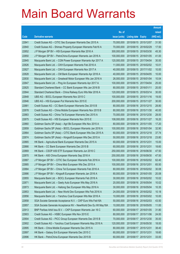|       |                                                                |               |                            |                       | <b>Amount</b> |
|-------|----------------------------------------------------------------|---------------|----------------------------|-----------------------|---------------|
|       |                                                                | No. of        |                            |                       | raised        |
| Code  | <b>Derivative warrants</b>                                     | issue (units) | <b>Listing date Expiry</b> |                       | (HK\$ mil.)   |
| 22841 | Credit Suisse AG - CITIC Sec European Warrants Dec 2015 A      | 70,000,000    | 2015/06/15 2015/12/07      |                       | 31.50         |
| 22840 | Credit Suisse AG - Shimao Property European Warrants Feb16 A   | 70,000,000    |                            | 2015/06/15 2016/02/29 | 17.50         |
| 22852 | J P Morgan SP BV - HSI European Warrants Mar 2016 A            | 300,000,000   | 2015/06/15 2016/03/30      |                       | 45.30         |
| 22850 | J P Morgan SP BV - PetroChina European Warrants Jan 2016 A     | 100,000,000   |                            | 2015/06/15 2016/01/05 | 41.00         |
| 22845 | Macquarie Bank Ltd. - CGN Power European Warrants Apr 2017 A   | 120,000,000   |                            | 2015/06/15 2017/04/04 | 30.00         |
| 22826 | Macquarie Bank Ltd. - CKH European Warrants Feb 2016 A         | 11,000,000    |                            | 2015/06/15 2016/02/02 | 10.01         |
| 22827 | Macquarie Bank Ltd. - CKH European Warrants Nov 2017 A         | 40,000,000    |                            | 2015/06/15 2017/11/02 | 10.00         |
| 22828 | Macquarie Bank Ltd. - CM Bank European Warrants Apr 2016 A     | 40,000,000    |                            | 2015/06/15 2016/04/05 | 10.00         |
| 22830 | Macquarie Bank Ltd. - Greatwall Motor European Wts Jan 2016 A  | 26,000,000    |                            | 2015/06/15 2016/01/04 | 10.04         |
| 22847 | Macquarie Bank Ltd. - Ping An European Warrants Apr 2017 A     | 100,000,000   |                            | 2015/06/15 2017/04/04 | 25.00         |
| 22825 | Standard Chartered Bank - CC Bank European Wts Jan 2016 B      | 80,000,000    | 2015/06/15 2016/01/11      |                       | 20.00         |
| 22844 | Standard Chartered Bank - China Railway Euro Wts Mar 2016 A    | 120,000,000   | 2015/06/15 2016/03/14      |                       | 30.00         |
| 22848 | UBS AG - BOCL European Warrants Nov 2015 C                     | 100,000,000   |                            | 2015/06/15 2015/11/16 | 19.00         |
| 22846 | UBS AG - HSI European Put Warrants Nov 2015 E                  | 200,000,000   |                            | 2015/06/15 2015/11/27 | 30.00         |
| 22881 | Credit Suisse AG - CC Bank European Warrants Dec 2015 B        | 80,000,000    | 2015/06/16 2015/12/15      |                       | 28.80         |
| 22878 | Credit Suisse AG - China Mobile European Warrants Nov 2015 B   | 80,000,000    |                            | 2015/06/16 2015/11/30 | 40.00         |
| 22883 | Credit Suisse AG - China Tel European Warrants Dec 2015 A      | 70,000,000    |                            | 2015/06/16 2015/12/30 | 28.00         |
| 22875 | Credit Suisse AG - HSI European Warrants Nov 2015 E            | 108,000,000   |                            | 2015/06/16 2015/11/27 | 16.20         |
| 22860 | Goldman Sachs SP (Asia) - Agri Bk European Wts Nov 2015 A      | 80,000,000    | 2015/06/16 2015/11/05      |                       | 17.20         |
| 22859 | Goldman Sachs SP (Asia) - BOCL European Warrants Jan 2016 A    | 100,000,000   |                            | 2015/06/16 2016/01/04 | 32.90         |
| 22864 | Goldman Sachs SP (Asia) - CITIC Bank European Wts Dec 2015 A   | 60,000,000    |                            | 2015/06/16 2015/12/18 | 37.74         |
| 22874 | Goldman Sachs SP (Asia) - Kingsoft European Wts Dec 2015 A     | 50,000,000    |                            | 2015/06/16 2015/12/18 | 23.80         |
| 22865 | HK Bank - Agricultural Bank European Warrants Dec 2015 A       | 60,000,000    | 2015/06/16 2015/12/31      |                       | 15.00         |
| 22866 | HK Bank - CC Bank European Warrants Dec 2015 B                 | 60,000,000    | 2015/06/16 2015/12/31      |                       | 18.60         |
| 22869 | HK Bank - CSOP A50 ETF European Warrants Jun 2016 C            | 250,000,000   |                            | 2015/06/16 2016/06/30 | 47.50         |
| 22870 | HK Bank - A50 China European Warrants Sep 2016 A               | 250,000,000   | 2015/06/16 2016/09/30      |                       | 47.50         |
| 22887 | J P Morgan SP BV - CITIC Sec European Warrants Feb 2016 A      | 100,000,000   |                            | 2015/06/16 2016/02/02 | 62.40         |
| 22885 | J P Morgan SP BV - China Mob European Wts Dec 2015 A           | 100,000,000   | 2015/06/16 2015/12/01      |                       | 65.50         |
| 22884 | J P Morgan SP BV - China Tel European Warrants Feb 2016 A      | 80,000,000    | 2015/06/16 2016/02/02      |                       | 30.08         |
| 22886 | J P Morgan SP BV - Kingsoft European Warrants Jan 2016 A       | 80,000,000    |                            | 2015/06/16 2016/01/05 | 20.08         |
| 22855 | Macquarie Bank Ltd. - BOCL European Warrants Feb 2016 A        | 30,000,000    |                            | 2015/06/16 2016/02/02 | 10.02         |
| 22871 | Macquarie Bank Ltd. - Geely Auto European Wts May 2016 A       | 20,000,000    | 2015/06/16 2016/05/04      |                       | 10.02         |
| 22873 | Macquarie Bank Ltd. - Haitong Sec European Wts May 2016 A      | 30,000,000    | 2015/06/16 2016/05/04      |                       | 10.35         |
| 22853 | Macquarie Bank Ltd. - New World Dev European Wts Feb 2016 A    | 24,000,000    |                            | 2015/06/16 2016/02/02 | 10.18         |
| 22856 | Macquarie Bank Ltd. - Yanzhou Coal European Wts Mar 2016 A     | 10,000,000    |                            | 2015/06/16 2016/03/02 | 10.00         |
| 22858 | SGA Societe Generale Acceptance N.V. - CKP Euro Wts Feb16A     | 50,000,000    | 2015/06/16 2016/02/03      |                       | 43.50         |
| 22857 | SGA Societe Generale Acceptance NV - NewWorld Dev Eu Wt May16A | 10,000,000    | 2015/06/16 2016/05/05      |                       | 11.00         |
| 22913 | BNP Paribas Arbit Issu B.V. - CKP European Warrants Jan 16 C   | 60,000,000    | 2015/06/17 2016/01/05      |                       | 31.80         |
| 22903 | Credit Suisse AG - HSBC European Wts Nov 2015 E                | 80,000,000    | 2015/06/17 2015/11/06      |                       | 24.00         |
| 22904 | Credit Suisse AG - PICC Group European Warrants Dec 2015 B     | 70,000,000    | 2015/06/17 2015/12/30      |                       | 35.00         |
| 22902 | Credit Suisse AG - Yanzhou Coal European Warrants May 2016 A   | 120,000,000   | 2015/06/17                 | 2016/05/30            | 18.00         |
| 22895 | HK Bank - China Mobile European Warrants Dec 2015 A            | 80,000,000    | 2015/06/17 2015/12/31      |                       | 38.40         |
| 22897 | HK Bank - Galaxy Ent European Warrants Dec 2015 C              | 60,000,000    | 2015/06/17 2015/12/31      |                       | 18.60         |
| 22896 | HK Bank - PetroChina European Warrants Dec 2015 B              | 60,000,000    | 2015/06/17 2015/12/31      |                       | 33.00         |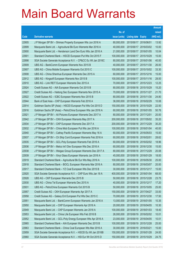|       |                                                                |               |                            |                       | <b>Amount</b> |
|-------|----------------------------------------------------------------|---------------|----------------------------|-----------------------|---------------|
|       |                                                                | No. of        |                            |                       | raised        |
| Code  | <b>Derivative warrants</b>                                     | issue (units) | <b>Listing date Expiry</b> |                       | (HK\$ mil.)   |
| 22905 | J P Morgan SP BV - Shimao Property European Wts Jun 2016 A     | 80,000,000    | 2015/06/17 2016/06/01      |                       | 13.92         |
| 22899 | Macquarie Bank Ltd. - Agricultural Bk Euro Warrants Mar 2016 A | 40,000,000    |                            | 2015/06/17 2016/03/02 | 10.00         |
| 22900 | Macquarie Bank Ltd. - Henderson Land Dev Euro Wts Jan 2016 A   | 21,000,000    | 2015/06/17 2016/01/05      |                       | 10.04         |
| 22901 | Standard Chartered Bank - HSCEI European Put Wts Oct 2015 F    | 100,000,000   |                            | 2015/06/17 2015/10/29 | 15.00         |
| 22898 | SGA Societe Generale Acceptance N.V. - CP&CC Eu Wt Jan 2016C   | 80,000,000    |                            | 2015/06/17 2016/01/06 | 40.00         |
| 22909 | UBS AG - BankComm European Warrants Nov 2015 B                 | 40,000,000    |                            | 2015/06/17 2015/11/30 | 26.00         |
| 22907 | UBS AG - China Mobile European Warrants Oct 2015 C             | 100,000,000   |                            | 2015/06/17 2015/10/02 | 33.30         |
| 22908 | UBS AG - China Shenhua European Warrants Dec 2015 A            | 60,000,000    |                            | 2015/06/17 2015/12/16 | 15.00         |
| 22912 | UBS AG - Kingsoft European Warrants Nov 2015 B                 | 100,000,000   |                            | 2015/06/17 2015/11/16 | 28.00         |
| 22910 | UBS AG - Link REIT European Warrants Dec 2015 A                | 70,000,000    |                            | 2015/06/17 2015/12/23 | 12.25         |
| 22924 | Credit Suisse AG - AIA European Warrants Oct 2015 B            | 80,000,000    |                            | 2015/06/18 2015/10/29 | 15.20         |
| 22927 | Credit Suisse AG - Haitong Sec European Warrants Nov 2015 A    | 70,000,000    | 2015/06/18 2015/11/27      |                       | 21.70         |
| 22922 | Credit Suisse AG - ICBC European Warrants Nov 2015 B           | 80,000,000    |                            | 2015/06/18 2015/11/30 | 24.80         |
| 22944 | Bank of East Asia - CKP European Warrants Feb 2016 A           | 36,000,000    |                            | 2015/06/18 2016/02/29 | 10.08         |
| 22914 | Goldman Sachs SP (Asia) - HSCEI European Put Wts Oct 2015 D    | 150,000,000   | 2015/06/18 2015/10/29      |                       | 22.50         |
| 22916 | Goldman Sachs SP (Asia) - PetroChina European Wts Jan 2016 A   | 60,000,000    |                            | 2015/06/18 2016/01/05 | 50.76         |
| 22921 | J P Morgan SP BV - Ali Pictures European Warrants Dec 2017 A   | 80,000,000    | 2015/06/18 2017/12/01      |                       | 20.00         |
| 22942 | J P Morgan SP BV - CKH European Warrants May 2017 A            | 200,000,000   |                            | 2015/06/18 2017/05/02 | 35.20         |
| 22934 | J P Morgan SP BV - CKP European Warrants Dec 2017 A            | 200,000,000   | 2015/06/18 2017/12/29      |                       | 30.20         |
| 22932 | J P Morgan SP BV - China Mob European Put Wts Jan 2016 A       | 100,000,000   | 2015/06/18 2016/01/04      |                       | 40.00         |
| 22940 | J P Morgan SP BV - Cathay Pacific European Warrants May 16 A   | 60,000,000    |                            | 2015/06/18 2016/05/03 | 15.00         |
| 22937 | J P Morgan SP BV - Ch Ship Cont European Warrants Feb 2016 A   | 60,000,000    | 2015/06/18 2016/02/01      |                       | 28.62         |
| 22935 | J P Morgan SP BV - GCL-Poly European Warrants Feb 2016 A       | 60,000,000    |                            | 2015/06/18 2016/02/02 | 18.96         |
| 22936 | J P Morgan SP BV - Melco Int'l Dev European Wts Dec 2016 A     | 60,000,000    |                            | 2015/06/18 2016/12/30 | 15.00         |
| 22938 | J P Morgan SP BV - Weigao Group European Warrants Dec 2017 A   | 80,000,000    |                            | 2015/06/18 2017/12/29 | 20.08         |
| 22939 | J P Morgan SP BV - Xinyi Glass European Warrants Jan 2016 A    | 45,000,000    | 2015/06/18 2016/01/29      |                       | 18.00         |
| 22919 | Standard Chartered Bank – Agricultural Bk Eur Wts May 2016 A   | 100,000,000   |                            | 2015/06/18 2016/05/30 | 25.00         |
| 22918 | Standard Chartered Bank - BOCL European Warrants Mar 2016 A    | 80,000,000    | 2015/06/18 2016/03/07      |                       | 20.00         |
| 22917 | Standard Chartered Bank - YZ Coal European Wts Dec 2015 B      | 30,000,000    | 2015/06/18 2015/12/17      |                       | 15.00         |
| 22920 | SGA Societe Generale Acceptance N.V. - CKP Euro Wts Jan 18 A   | 400,000,000   | 2015/06/18 2018/01/04      |                       | 68.00         |
| 22928 | UBS AG - CKP European Warrants Dec 2015 B                      | 50,000,000    | 2015/06/18 2015/12/28      |                       | 23.75         |
| 22930 | UBS AG - China Tel European Warrants Dec 2015 A                | 40,000,000    | 2015/06/18 2015/12/17      |                       | 17.20         |
| 22931 | UBS AG - PetroChina European Warrants Oct 2015 B               | 50,000,000    | 2015/06/18 2015/10/05      |                       | 25.00         |
| 22957 | Credit Suisse AG - CKH European Warrants Apr 2017 A            | 150,000,000   | 2015/06/19 2017/04/27      |                       | 33.00         |
| 22958 | Credit Suisse AG - Galaxy Ent European Put Wts Dec 2015 C      | 70,000,000    | 2015/06/19 2015/12/30      |                       | 17.50         |
| 22951 | Macquarie Bank Ltd. - BankComm European Warrants Jan 2016 A    | 13,000,000    | 2015/06/19 2016/01/05      |                       | 10.35         |
| 22950 | Macquarie Bank Ltd. - CKP European Warrants Apr 2016 A         | 20,000,000    | 2015/06/19                 | 2016/04/05            | 10.30         |
| 22949 | Macquarie Bank Ltd. - CKP European Warrants Jan 2018 A         | 100,000,000   |                            | 2015/06/19 2018/01/03 | 18.40         |
| 22953 | Macquarie Bank Ltd. - China Life European Wts Feb 2016 B       | 26,000,000    |                            | 2015/06/19 2016/02/02 | 10.01         |
| 22952 | Macquarie Bank Ltd. - GCL-Poly Energy European Wts Apr 2016 A  | 23,000,000    | 2015/06/19 2016/04/05      |                       | 10.01         |
| 22965 | Standard Chartered Bank - AIA European Warrants Dec 2015 B     | 100,000,000   | 2015/06/19                 | 2015/12/28            | 25.00         |
| 22963 | Standard Chartered Bank - China Coal European Wts Mar 2016 A   | 30,000,000    | 2015/06/19 2016/03/21      |                       | 15.00         |
| 22959 | SGA Societe Generale Acceptance N.V. - HSCEI Eu Wt Jan 2016B   | 150,000,000   | 2015/06/19 2016/01/28      |                       | 24.00         |
| 22960 | SGA Societe Generale Acceptance N.V. - HSI Eur Wt Oct 2015 D   | 150,000,000   | 2015/06/19 2015/10/29      |                       | 24.75         |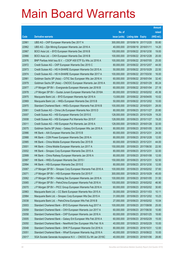|       |                                                              |                                   |                            |            | <b>Amount</b> |
|-------|--------------------------------------------------------------|-----------------------------------|----------------------------|------------|---------------|
|       |                                                              | No. of                            |                            |            | raised        |
| Code  | <b>Derivative warrants</b>                                   | issue (units)                     | <b>Listing date Expiry</b> |            | $(HK$$ mil.)  |
| 22961 | UBS AG - CKP European Warrants Dec 2017 A                    | 300,000,000                       | 2015/06/19 2017/12/20      |            | 55.80         |
| 22962 | UBS AG – Zijin Mining European Warrants Jan 2016 A           | 40,000,000                        | 2015/06/19 2016/01/11      |            | 14.20         |
| 22967 | BOCI Asia Ltd. - BYD European Warrants Dec 2016 B            | 100,000,000                       | 2015/06/22 2016/12/30      |            | 19.00         |
| 22966 | BOCI Asia Ltd. - CKH European Warrants Dec 2016 B            | 100,000,000                       | 2015/06/22 2016/12/28      |            | 20.00         |
| 22976 | BNP Paribas Arbit Issu B.V. - CSOP A50 ETF Eu Wts Jul 2016 A | 100,000,000                       | 2015/06/22 2016/07/05      |            | 25.00         |
| 22972 | Credit Suisse AG - CKP European Warrants Dec 2015 C          | 80,000,000                        | 2015/06/22 2015/12/07      |            | 44.00         |
| 22973 | Credit Suisse AG - HS H-SHARE European Warrants Oct 2015 A   | 50,000,000                        | 2015/06/22 2015/10/29      |            | 22.50         |
| 22974 | Credit Suisse AG - HS H-SHARE European Warrants Mar 2017 A   | 100,000,000                       | 2015/06/22 2017/03/30      |            | 16.00         |
| 22981 | Goldman Sachs SP (Asia) – CITIC Sec European Wts Jan 2016 A  | 60,000,000                        | 2015/06/22 2016/01/04      |            | 32.40         |
| 22979 | Goldman Sachs SP (Asia) – CNOOC European Warrants Jan 2016 A | 80,000,000                        | 2015/06/22 2016/01/29      |            | 80.24         |
| 22977 | J P Morgan SP BV - Evergrande European Warrants Jan 2016 B   | 60,000,000                        | 2015/06/22 2016/01/04      |            | 27.18         |
| 22978 | J P Morgan SP BV - Guotai Junani European Warrants Feb 2016A | 80,000,000                        | 2015/06/22 2016/02/02      |            | 45.36         |
| 22975 | Macquarie Bank Ltd. - BYD European Warrants Apr 2016 A       | 13,000,000                        | 2015/06/22 2016/04/05      |            | 10.02         |
| 22969 | Macquarie Bank Ltd. - HKEx European Warrants Dec 2015 B      | 50,000,000                        | 2015/06/22 2015/12/02      |            | 10.00         |
| 22970 | Standard Chartered Bank - HKEx European Warrants Feb 2016 B  | 100,000,000                       | 2015/06/22 2016/02/01      |            | 28.00         |
| 23061 | Credit Suisse AG - China Life European Warrants Nov 2015 D   | 80,000,000                        | 2015/06/23 2015/11/27      |            | 20.80         |
| 23007 | Credit Suisse AG - HSI European Warrants Oct 2015 E          | 128,000,000                       | 2015/06/23 2015/10/29      |            | 19.20         |
| 23008 | Credit Suisse AG - HSI European Put Warrants Nov 2015 F      | 128,000,000                       | 2015/06/23 2015/11/27      |            | 19.20         |
| 23011 | Credit Suisse AG - HSI European Put Warrants Jan 2016 A      | 128,000,000                       | 2015/06/23 2016/01/28      |            | 32.00         |
| 23075 | Goldman Sachs SP (Asia) – Galaxy Ent European Wts Jan 2016 A | 80,000,000                        | 2015/06/23 2016/01/05      |            | 30.00         |
| 22986 | HK Bank – AIA European Warrants Dec 2015 B                   | 80,000,000                        | 2015/06/23 2015/12/31      |            | 24.00         |
| 22988 | HK Bank - CGN Power European Warrants Dec 2016 A             | 80,000,000                        | 2015/06/23 2016/12/28      |            | 12.00         |
| 22985 | HK Bank - China Mobile European Warrants Dec 2015 B          | 80,000,000                        | 2015/06/23 2015/12/31      |            | 44.00         |
| 23001 | HK Bank - China Mobile European Warrants Jun 2017 A          | 150,000,000                       | 2015/06/23 2017/06/30      |            | 22.50         |
| 23002 | HK Bank - Sinopec Corp European Warrants Dec 2015 A          | 80,000,000                        | 2015/06/23 2015/12/31      |            | 32.00         |
| 22999 | HK Bank - China Railway European Warrants Jan 2016 A         | 80,000,000                        | 2015/06/23 2016/01/08      |            | 12.00         |
| 22987 | HK Bank – HKEx European Warrants Dec 2015 I                  | 150,000,000 2015/06/23 2015/12/31 |                            |            | 52.50         |
| 22994 | HK Bank - HSI European Warrants Dec 2015 E                   | 80,000,000                        | 2015/06/23 2015/12/30      |            | 12.00         |
| 23067 | J P Morgan SP BV - Sinopec Corp European Warrants Feb 2016 A | 100,000,000                       | 2015/06/23 2016/02/02      |            | 37.60         |
| 23071 | J P Morgan SP BV - HSI European Warrants Oct 2015 F          | 300,000,000                       | 2015/06/23 2015/10/29      |            | 45.00         |
| 23062 | J P Morgan SP BV - Haitong Sec European Warrants Jan 2016 A  | 100,000,000                       | 2015/06/23 2016/01/05      |            | 31.50         |
| 23065 | J P Morgan SP BV - PetroChina European Warrants Feb 2016 A   | 100,000,000                       | 2015/06/23 2016/02/02      |            | 46.90         |
| 23070 | J P Morgan SP BV - PICC Group European Warrants Feb 2016 A   | 60,000,000                        | 2015/06/23                 | 2016/02/02 | 30.60         |
| 22983 | Macquarie Bank Ltd. - CC Bank European Warrants Nov 2015 A   | 30,000,000                        | 2015/06/23 2015/11/03      |            | 10.11         |
| 22984 | Macquarie Bank Ltd. - Sinopec Corp European Wts Dec 2015 A   | 31,000,000                        | 2015/06/23 2015/12/02      |            | 10.23         |
| 23038 | Macquarie Bank Ltd. - PetroChina European Wts Feb 2016 B     | 27,000,000                        | 2015/06/23 2016/02/02      |            | 10.04         |
| 23003 | Standard Chartered Bank - BYD European Warrants Aug 2017 A   | 100,000,000                       | 2015/06/23                 | 2017/08/08 | 25.00         |
| 23059 | Standard Chartered Bank - CKH European Warrants Jun 2017 A   | 60,000,000                        | 2015/06/23 2017/06/30      |            | 10.80         |
| 23058 | Standard Chartered Bank - CKP European Warrants Jan 2016 A   | 60,000,000                        | 2015/06/23 2016/01/25      |            | 18.60         |
| 23005 | Standard Chartered Bank - Galaxy Ent European Wts Feb 2016 A | 60,000,000                        | 2015/06/23 2016/02/29      |            | 15.00         |
| 23050 | Standard Chartered Bank - NewWorld Dev European Wts Feb 16 A | 40,000,000                        | 2015/06/23                 | 2016/02/29 | 10.00         |
| 23048 | Standard Chartered Bank - SHK P European Warrants Oct 2016 A | 80,000,000                        | 2015/06/23 2016/10/31      |            | 12.00         |
| 23051 | Standard Chartered Bank - Wharf European Warrants Aug 2016 A | 40,000,000                        | 2015/06/23 2016/08/22      |            | 10.00         |
| 23017 | SGA Societe Generale Acceptance N.V. - CNOOC Eu Wt Jan 2016C | 40,000,000                        | 2015/06/23 2016/01/06      |            | 28.80         |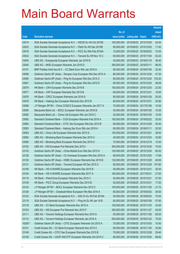|         |                                                                |               |                            |                       | <b>Amount</b> |
|---------|----------------------------------------------------------------|---------------|----------------------------|-----------------------|---------------|
|         |                                                                | No. of        |                            |                       | raised        |
| Code    | <b>Derivative warrants</b>                                     | issue (units) | <b>Listing date Expiry</b> |                       | (HK\$ mil.)   |
| 23015   | SGA Societe Generale Acceptance N.V. - HSCEI Eu Wt Oct 2015E   | 150,000,000   | 2015/06/23 2015/10/29      |                       | 24.00         |
| 23025   | SGA Societe Generale Acceptance N.V. - Petch Eu Wt Dec 2015B   | 60,000,000    | 2015/06/23 2015/12/03      |                       | 17.40         |
| 23018   | SGA Societe Generale Acceptance N.V. - PICC Eu Wts Feb 2016A   | 15,000,000    | 2015/06/23 2016/02/03      |                       | 10.05         |
| 23032   | SGA Societe Generale Acceptance N.V. - Tencent Eu Wt Nov 15 C  | 60,000,000    | 2015/06/23 2015/11/04      |                       | 52.20         |
| 23045   | UBS AG - Evergrande European Warrants Jan 2016 B               | 40,000,000    |                            | 2015/06/23 2016/01/18 | 38.40         |
| 23040   | UBS AG - HKEx European Warrants Jan 2016 D                     | 300,000,000   | 2015/06/23 2016/01/11      |                       | 96.00         |
| 23101   | BNP Paribas Arbit Issu B.V. - CC Bank Euro Wts Jan 2016 A      | 80,000,000    | 2015/06/24 2016/01/05      |                       | 22.40         |
| 23098   | Goldman Sachs SP (Asia) - Sinopec Corp European Wts Dec 2015 A | 80,000,000    | 2015/06/24 2015/12/30      |                       | 47.20         |
| 23080   | Goldman Sachs SP (Asia) - Ping An European Wts Dec 2015 C      | 80,000,000    |                            | 2015/06/24 2015/12/30 | 103.20        |
| 23081   | Goldman Sachs SP (Asia) - Ping An European Wts Dec 2015 D      | 80,000,000    | 2015/06/24 2015/12/30      |                       | 58.08         |
| 23079   | HK Bank - CKH European Warrants Dec 2016 B                     | 150,000,000   |                            | 2015/06/24 2016/12/30 | 22.50         |
| 23077   | HK Bank - CKP European Warrants Dec 2015 B                     | 60,000,000    | 2015/06/24 2015/12/31      |                       | 18.00         |
| 23076   | HK Bank - CRCC European Warrants Jan 2016 A                    | 80,000,000    |                            | 2015/06/24 2016/01/29 | 20.00         |
| 23078   | HK Bank - Haitong Sec European Warrants Dec 2015 B             | 80,000,000    | 2015/06/24 2015/12/31      |                       | 20.80         |
| 23096   | J P Morgan SP BV - China COSCO European Warrants Jan 2017 A    | 70,000,000    | 2015/06/24 2017/01/06      |                       | 10.50         |
| 23085   | Macquarie Bank Ltd. - BOCL European Warrants Jan 2016 B        | 30,000,000    | 2015/06/24 2016/01/05      |                       | 10.05         |
| 23092   | Macquarie Bank Ltd. - China Life European Wts Jan 2016 C       | 25,000,000    | 2015/06/24 2016/01/05      |                       | 10.00         |
| 23082   | Standard Chartered Bank - CGS European Warrants Feb 2016 A     | 100,000,000   |                            | 2015/06/24 2016/02/22 | 25.00         |
| 23084   | Standard Chartered Bank - CITIC Sec European Wts Dec 2015 B    | 80,000,000    | 2015/06/24 2015/12/28      |                       | 30.40         |
| 23083   | Standard Chartered Bank - Haitong Sec Euro Wts Jan 2016 A      | 80,000,000    | 2015/06/24 2016/01/11      |                       | 20.00         |
| 23093   | UBS AG - China Life European Warrants Dec 2015 G               | 100,000,000   | 2015/06/24 2015/12/01      |                       | 38.50         |
| 23094   | UBS AG - Minsheng Bank European Warrants Dec 2015 A            | 40,000,000    | 2015/06/24 2015/12/23      |                       | 32.80         |
| 23095   | UBS AG - Minsheng Bank European Warrants Dec 2016 A            | 70,000,000    | 2015/06/24 2016/12/19      |                       | 10.50         |
| 23102   | UBS AG - HSI European Put Warrants Dec 2015 I                  | 300,000,000   | 2015/06/24 2015/12/30      |                       | 75.00         |
| 23132   | Goldman Sachs SP (Asia) - China Mobile Euro Wts Dec 2015 A     | 100,000,000   | 2015/06/25 2015/12/30      |                       | 80.50         |
| 23128   | Goldman Sachs SP (Asia) - Ch Overseas European Wts Dec 2015 A  | 68,000,000    | 2015/06/25 2015/12/30      |                       | 17.68         |
| 23130   | Goldman Sachs SP (Asia) - HSBC European Warrants Dec 2015 B    | 120,000,000   | 2015/06/25 2015/12/28      |                       | 46.56         |
| 23131   | Goldman Sachs SP (Asia) - Tencent European Wt Dec 2015 C       | 80,000,000    | 2015/06/25 2015/12/28      |                       | 107.60        |
| 23105   | HK Bank - HS H-SHARE European Warrants Dec 2015 B              | 50,000,000    | 2015/06/25 2015/12/31      |                       | 30.00         |
| 23104   | HK Bank - HS H-SHARE European Warrants Mar 2017 A              | 180,000,000   | 2015/06/25 2017/03/31      |                       | 27.00         |
| 23110   | HK Bank - PetroChina European Warrants Dec 2015 C              | 50,000,000    | 2015/06/25 2015/12/31      |                       | 27.50         |
| 23109   | HK Bank - PICC Group European Warrants Dec 2015 B              | 50,000,000    | 2015/06/25 2015/12/31      |                       | 17.50         |
| 23124   | J P Morgan SP BV - BOCL European Warrants Nov 2015 C           | 100,000,000   | 2015/06/25 2015/11/30      |                       | 21.70         |
| 23126   | J P Morgan SP BV - Greatwall Motor European Wts Mar 2016 A     | 80,000,000    | 2015/06/25 2016/03/02      |                       | 38.00         |
| 23122   | SGA Societe Generale Acceptance N.V. - A50 Ch Eu Wt Feb 2016A  | 50,000,000    | 2015/06/25 2016/02/03      |                       | 70.00         |
| 23119   | SGA Societe Generale Acceptance N.V. - Ping An Eu Wt Jan 16 B  | 60,000,000    | 2015/06/25 2016/01/06      |                       | 57.60         |
| 23118   | UBS AG - CC Bank European Warrants Nov 2015 A                  | 100,000,000   | 2015/06/25 2015/11/23      |                       | 32.00         |
| 23103   | UBS AG - HSI European Put Warrants Nov 2015 F                  | 300,000,000   | 2015/06/25 2015/11/27      |                       | 45.00         |
| 23111   | UBS AG - Tencent Holdings European Warrants Nov 2015 A         | 50,000,000    | 2015/06/25 2015/11/26      |                       | 65.00         |
| 23112   | UBS AG - Tencent Holdings European Warrants Jan 2016 A         | 500,000,000   | 2015/06/25 2016/01/22      |                       | 75.00         |
| 16256 # | Goldman Sachs SP (Asia) - CITIC European Warrants Oct 2015 A   | 70,000,000    |                            | 2015/06/25 2015/10/30 | 10.50         |
| 23151   | Credit Suisse AG - CC Bank European Warrants Nov 2015 C        | 80,000,000    | 2015/06/26 2015/11/30      |                       | 32.80         |
| 23149   | Credit Suisse AG - CITIC Sec European Warrants Dec 2015 B      | 70,000,000    | 2015/06/26 2015/12/28      |                       | 29.40         |
| 23138   | Credit Suisse AG - CSOP A50 ETF European Warrants Oct 2015 C   | 80,000,000    | 2015/06/26 2015/10/30      |                       | 68.80         |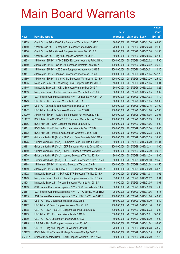|         |                                                               |               |                            |                       | <b>Amount</b> |
|---------|---------------------------------------------------------------|---------------|----------------------------|-----------------------|---------------|
|         |                                                               | No. of        |                            |                       | raised        |
| Code    | <b>Derivative warrants</b>                                    | issue (units) | <b>Listing date Expiry</b> |                       | (HK\$ mil.)   |
| 23139   | Credit Suisse AG - A50 China European Warrants Nov 2015 C     | 80,000,000    |                            | 2015/06/26 2015/11/30 | 64.00         |
| 23150   | Credit Suisse AG - Haitong Sec European Warrants Dec 2015 B   | 70,000,000    | 2015/06/26 2015/12/28      |                       | 21.00         |
| 23136   | Credit Suisse AG - Kingsoft European Warrants Dec 2015 B      | 70,000,000    | 2015/06/26 2015/12/28      |                       | 31.50         |
| 23148   | Credit Suisse AG - Ping An European Warrants Oct 2015 E       | 80,000,000    |                            | 2015/06/26 2015/10/05 | 52.00         |
| 23153   | J P Morgan SP BV - CAM CSI300 European Warrants Feb 2016 A    | 100,000,000   |                            | 2015/06/26 2016/02/02 | 35.90         |
| 23159   | J P Morgan SP BV - China Life European Warrants Feb 2016 A    | 100,000,000   |                            | 2015/06/26 2016/02/02 | 26.40         |
| 23161   | J P Morgan SP BV - A50 China European Warrants Apr 2016 B     | 200,000,000   | 2015/06/26 2016/04/01      |                       | 30.40         |
| 23157   | J P Morgan SP BV - Ping An European Warrants Jan 2016 A       | 150,000,000   |                            | 2015/06/26 2016/01/04 | 142.20        |
| 23160   | J P Morgan SP BV - Sands China European Warrants Jan 2016 A   | 100,000,000   | 2015/06/26 2016/01/29      |                       | 25.30         |
| 23135   | Macquarie Bank Ltd. - Minsheng Bank European Wts Jan 2016 A   | 15,000,000    |                            | 2015/06/26 2016/01/05 | 10.04         |
| 23145   | Macquarie Bank Ltd. - KECL European Warrants Dec 2015 A       | 30,000,000    |                            | 2015/06/26 2015/12/02 | 10.26         |
| 23133   | Macquarie Bank Ltd. - Tencent European Warrants Apr 2016 A    | 60,000,000    |                            | 2015/06/26 2016/04/05 | 10.02         |
| 23147   | SGA Societe Generale Acceptance N.V. - Lenovo Eu Wt Apr 17 A  | 60,000,000    |                            | 2015/06/26 2017/04/03 | 11.70         |
| 23143   | UBS AG - CKP European Warrants Jan 2016 A                     | 50,000,000    |                            | 2015/06/26 2016/01/05 | 30.00         |
| 23140   | UBS AG - China Life European Warrants Dec 2015 H              | 100,000,000   | 2015/06/26 2015/12/15      |                       | 21.00         |
| 23142   | UBS AG - China Life European Warrants Jan 2016 B              | 100,000,000   |                            | 2015/06/26 2016/01/08 | 47.00         |
| 20200 # | J P Morgan SP BV - Galaxy Ent European Put Wts Oct 2015 B     | 120,000,000   |                            | 2015/06/26 2015/10/05 | 20.04         |
| 21187 # | BOCI Asia Ltd. - CSOP A50 ETF European Warrants May 2016 A    | 100,000,000   |                            | 2015/06/26 2016/05/23 | 16.00         |
| 23166   | BOCI Asia Ltd. - CKP European Warrants Jan 2016 A             | 100,000,000   | 2015/06/29                 | 2016/01/06            | 44.00         |
| 23171   | BOCI Asia Ltd. - China Life European Warrants Dec 2015 D      | 100,000,000   |                            | 2015/06/29 2015/12/30 | 29.00         |
| 23162   | BOCI Asia Ltd. - PetroChina European Warrants Dec 2015 B      | 100,000,000   |                            | 2015/06/29 2015/12/28 | 35.00         |
| 23177   | Goldman Sachs SP (Asia) - Ch Comm Cons Euro Wts Feb 2016 A    | 200,000,000   |                            | 2015/06/29 2016/02/29 | 34.80         |
| 23175   | Goldman Sachs SP (Asia) - Ch Comm Cons Euro Wts Jun 2016 A    | 80,000,000    | 2015/06/29 2016/06/29      |                       | 21.84         |
| 23181   | Goldman Sachs SP (Asia) - CKP European Warrants Dec 2017 A    | 200,000,000   |                            | 2015/06/29 2017/12/14 | 30.00         |
| 23180   | Goldman Sachs SP (Asia) - JIANC European Warrants Mar 2016 A  | 80,000,000    |                            | 2015/06/29 2016/03/30 | 20.16         |
| 23179   | Goldman Sachs SP (Asia) - Lenovo European Wts Nov 2016 A      | 80,000,000    | 2015/06/29 2016/11/29      |                       | 12.00         |
| 23182   | Goldman Sachs SP (Asia) - PICC Group European Wts Dec 2015 A  | 50,000,000    |                            | 2015/06/29 2015/12/30 | 26.40         |
| 23188   | J P Morgan SP BV - China Mob European Wts Jan 2016 B          | 100,000,000   | 2015/06/29 2016/01/04      |                       | 41.50         |
| 23189   | J P Morgan SP BV - CSOP A50 ETF European Warrants Feb 2016 A  | 200,000,000   | 2015/06/29 2016/02/29      |                       | 30.20         |
| 23172   | Macquarie Bank Ltd. - CSOP A50 ETF European Wts Nov 2015 A    | 25,000,000    |                            | 2015/06/29 2015/11/03 | 10.05         |
| 23173   | Macquarie Bank Ltd. - A50 China European Warrants Dec 2015 A  | 35,000,000    |                            | 2015/06/29 2015/12/02 | 10.01         |
| 23174   | Macquarie Bank Ltd. - Tencent European Warrants Jan 2016 A    | 15,000,000    | 2015/06/29 2016/01/05      |                       | 10.01         |
| 23183   | SGA Societe Generale Acceptance N.V. - CGS Euro Wts Mar 16 A  | 60,000,000    | 2015/06/29                 | 2016/03/03            | 15.00         |
| 23184   | SGA Societe Generale Acceptance N.V. - CITIC Sec Eu Wt Jan16A | 25,000,000    | 2015/06/29 2016/01/06      |                       | 12.13         |
| 23185   | SGA Societe Generale Acceptance N.V. - HSBC Eu Wt Jan 2016 E  | 100,000,000   | 2015/06/29 2016/01/06      |                       | 40.00         |
| 23191   | UBS AG - BOCL European Warrants Oct 2015 B                    | 80,000,000    | 2015/06/29 2015/10/30      |                       | 18.40         |
| 23192   | UBS AG - CC Bank European Warrants Nov 2015 B                 | 100,000,000   | 2015/06/29                 | 2015/11/16            | 16.00         |
| 23198   | UBS AG - CSOP A50 ETF European Warrants Jun 2016 C            | 300,000,000   | 2015/06/29 2016/06/23      |                       | 45.00         |
| 23199   | UBS AG - HKEx European Warrants Mar 2016 B                    | 300,000,000   | 2015/06/29 2016/03/21      |                       | 102.00        |
| 23190   | UBS AG - ICBC European Warrants Oct 2015 A                    | 80,000,000    | 2015/06/29 2015/10/30      |                       | 12.00         |
| 23195   | UBS AG - Ping An European Warrants Nov 2015 C                 | 100,000,000   | 2015/06/29                 | 2015/11/04            | 56.00         |
| 23197   | UBS AG - Ping An European Put Warrants Oct 2015 D             | 70,000,000    | 2015/06/29 2015/10/28      |                       | 33.60         |
| 22177 # | BOCI Asia Ltd. - Tencent Holdings European Wts Apr 2016 B     | 100,000,000   | 2015/06/29 2016/04/25      |                       | 19.90         |
| 26001 # | Standard Chartered Bank - BYD European Warrants Dec 2016 A    | 80,000,000    | 2015/06/29 2016/12/20      |                       | 12.72         |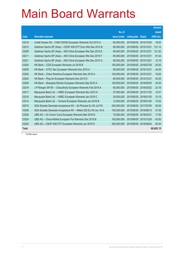|                   |                                                                |               |                     |               | <b>Amount</b> |
|-------------------|----------------------------------------------------------------|---------------|---------------------|---------------|---------------|
|                   |                                                                | No. of        |                     |               | raised        |
| $\overline{Code}$ | <b>Derivative warrants</b>                                     | issue (units) | <b>Listing date</b> | <b>Expiry</b> | (HK\$ mil.)   |
| 23218             | Credit Suisse AG - CAM CSI300 European Warrants Oct 2015 A     | 60,000,000    | 2015/06/30          | 2015/10/30    | 19.20         |
| 23213             | Goldman Sachs SP (Asia) - CSOP A50 ETF Euro Wts Dec 2015 B     | 80,000,000    | 2015/06/30          | 2015/12/31    | 121.12        |
| 23209             | Goldman Sachs SP (Asia) - A50 China European Wts Dec 2015 E    | 80,000,000    | 2015/06/30          | 2015/12/31    | 121.20        |
| 23211             | Goldman Sachs SP (Asia) - A50 China European Wts Dec 2015 F    | 80,000,000    | 2015/06/30          | 2015/12/31    | 91.44         |
| 23221             | Goldman Sachs SP (Asia) - A50 China European Wts Dec 2015 G    | 80,000,000    | 2015/06/30          | 2015/12/01    | 12.16         |
| 23204             | HK Bank - CGS European Warrants Jul 2016 B                     | 100,000,000   | 2015/06/30          | 2016/07/29    | 25.00         |
| 23205             | HK Bank – CITIC Sec European Warrants Dec 2015 A               | 80,000,000    | 2015/06/30          | 2015/12/31    | 24.00         |
| 23202             | HK Bank - China Shenhua European Warrants Dec 2015 A           | 100,000,000   | 2015/06/30          | 2015/12/31    | 18.00         |
| 23200             | HK Bank - Ping An European Warrants Dec 2015 D                 | 60,000,000    | 2015/06/30          | 2015/12/31    | 42.00         |
| 23208             | HK Bank - Shanghai Electric European Warrants Sep 2016 A       | 100,000,000   | 2015/06/30          | 2016/09/30    | 25.00         |
| 23219             | J P Morgan SP BV - Chsouthcity European Warrants Feb 2016 A    | 60,000,000    | 2015/06/30          | 2016/02/02    | 23.16         |
| 23217             | Macquarie Bank Ltd. - HSBC European Warrants Nov 2015 A        | 27,000,000    | 2015/06/30          | 2015/11/03    | 10.07         |
| 23216             | Macquarie Bank Ltd. - HSBC European Warrants Jan 2016 C        | 35,000,000    | 2015/06/30          | 2016/01/05    | 10.15         |
| 23214             | Macquarie Bank Ltd. - Tencent European Warrants Jan 2016 B     | 12,000,000    | 2015/06/30          | 2016/01/05    | 10.02         |
| 23215             | SGA Societe Generale Acceptance NV - Ali Pictures Eu Wt Jul17A | 200,000,000   | 2015/06/30          | 2017/07/05    | 50.00         |
| 10348             | SGA Societe Generale Acceptance NV - Nikkei 225 Eu Wt Jun 16 A | 150,000,000   | 2015/06/30          | 2016/06/10    | 37.50         |
| 23226             | UBS AG - Ch Comm Cons European Warrants Mar 2016 B             | 70,000,000    | 2015/06/30          | 2016/03/31    | 17.50         |
| 23224             | UBS AG - China Mobile European Put Warrants Dec 2015 B         | 100,000,000   | 2015/06/30          | 2015/12/29    | 43.00         |
| 23225             | UBS AG - CSOP A50 ETF European Warrants Jun 2016 D             | 300,000,000   | 2015/06/30          | 2016/06/24    | 54.00         |
| <b>Total</b>      |                                                                |               |                     |               | 68,662.15     |

# Further issue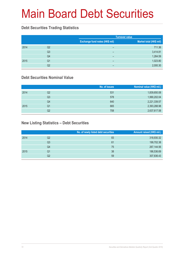#### **Debt Securities Trading Statistics**

|      |                |                                | <b>Turnover value</b>   |
|------|----------------|--------------------------------|-------------------------|
|      |                | Exchange fund notes (HK\$ mil) | Market total (HK\$ mil) |
| 2014 | Q2             | -                              | 711.36                  |
|      | Q <sub>3</sub> | -                              | 3,414.81                |
|      | Q4             | -                              | 1,264.59                |
| 2015 | Q1             | -                              | 1,023.80                |
|      | Q2             | -                              | 2,000.30                |

#### **Debt Securities Nominal Value**

|      |    | No. of issues | Nominal value (HK\$ mil.) |
|------|----|---------------|---------------------------|
| 2014 | Q2 | 531           | 1,839,650.08              |
|      | Q3 | 578           | 1,990,202.04              |
|      | Q4 | 640           | 2,221,339.57              |
| 2015 | Q1 | 665           | 2,393,288.98              |
|      | Q2 | 708           | 2,637,617.58              |

#### **New Listing Statistics – Debt Securities**

|    | No. of newly listed debt securities | Amount raised (HK\$ mil.) |
|----|-------------------------------------|---------------------------|
| Q2 | 83                                  | 318,930.32                |
| Q3 | 61                                  | 199,702.38                |
| Q4 | 75                                  | 267,144.56                |
| Q1 | 38                                  | 186,536.69                |
| Q2 | 59                                  | 307,836.43                |
|    |                                     |                           |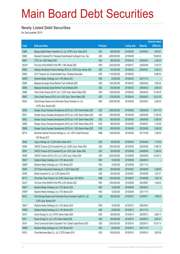#### **Newly Listed Debt Securities**

for 2nd quarter 2015

|        |                                                                         |                  |               |                     |                 | <b>Amount raised</b> |
|--------|-------------------------------------------------------------------------|------------------|---------------|---------------------|-----------------|----------------------|
| Code   | <b>Debt securities</b>                                                  | <b>Principal</b> |               | <b>Listing date</b> | <b>Maturity</b> | (HK\$ mil.)          |
| 05889  | Beijing Capital Polaris Investment Co. Ltd. 2.875% Guar. Notes 2018     | <b>USD</b>       | 600,000,000   | 2015/04/02          | 2018/04/01      | 4,676.91             |
| 05890  | Standard Chartered PLC Perpetual Subordinated Contingent Conv. Sec      | <b>USD</b>       | 2,000,000,000 | 2015/04/08          |                 | 15,600.00            |
| 05891  | CITIC Ltd. 4.60% Notes 2035                                             | <b>USD</b>       | 280,000,000   | 2015/04/15          | 2035/04/14      | 2,184.00             |
| 04225# | The Govt of the HKSAR of the PRC 1.06% Bonds 2020                       | <b>HKD</b>       | 3,200,000,000 | 2015/04/17          | 2020/02/05      | 3,187.20             |
| 05892  | Haitong International Finance Holdings 2015 Ltd. 3.50% Guar. Bonds 2020 | <b>USD</b>       | 670,000,000   | 2015/04/22          | 2020/04/21      | 5,220.31             |
| 05893  | CCCI Treasure Ltd. Unsubordinated Guar. Perpetual Securities            | <b>USD</b>       | 1,100,000,000 | 2015/04/22          |                 | 8,580.00             |
| 05855# | Skyfame Realty (Holdings) Ltd. 0.10% Bonds 2031                         | <b>HKD</b>       | 20,000,000    | 2015/04/22          | 2031/11/14      |                      |
| 05894  | Malaysia Sovereign Sukuk Berhad Trust Certificate 2025                  | <b>USD</b>       | 1,000,000,000 | 2015/04/23          | 2025/04/22      | 7,800.00             |
| 05895  | Malaysia Sovereign Sukuk Berhad Trust Certificate 2045                  | <b>USD</b>       | 500,000,000   | 2015/04/23          | 2045/04/22      | 3,900.00             |
| 05896  | China Cinda Finance (2015) I Ltd. 3.125% Guar. Senior Notes 2020        | <b>USD</b>       | 1,300,000,000 | 2015/04/24          | 2020/04/23      | 10,108.36            |
| 05897  | China Cinda Finance (2015) I Ltd. 4.25% Guar. Senior Notes 2025         | <b>USD</b>       | 1,700,000,000 | 2015/04/24          | 2025/04/23      | 13,221.55            |
| 05503  | China Energy Reserve and Chemicals Group Overseas Co. Ltd.              | <b>HKD</b>       | 2,000,000,000 | 2015/04/28          | 2022/04/27      | 2,000.00             |
|        | 6.30% Guar, Bonds 2022                                                  |                  |               |                     |                 |                      |
| 05500  | Sinopec Group Overseas Development (2015) Ltd. 2.50% Senior Notes 2020  | <b>USD</b>       | 2,500,000,000 | 2015/04/29          | 2020/04/28      | 19,417.33            |
| 05501  | Sinopec Group Overseas Development (2015) Ltd. 3.25% Senior Notes 2025  | <b>USD</b>       | 1,500,000,000 | 2015/04/29          | 2025/04/28      | 11,585.58            |
| 05502  | Sinopec Group Overseas Development (2015) Ltd. 4.10% Senior Notes 2045  | <b>USD</b>       | 800,000,000   | 2015/04/29          | 2045/04/28      | 6,240.00             |
| 05898  | Sinopec Group Overseas Development (2015) Ltd. 0.50% Senior Notes 2018  | <b>EUR</b>       | 850,000,000   | 2015/04/29          | 2018/04/27      | 7,142.86             |
| 05899  | Sinopec Group Overseas Development (2015) Ltd. 1.00% Senior Notes 2022  | <b>EUR</b>       | 650,000,000   | 2015/04/29          | 2022/04/28      | 5,436.28             |
| 85714  | Shenzhen Qianhai Financial Holdings Co., Ltd. 4.55% Credit Enhanced     | <b>RMB</b>       | 1,000,000,000 | 2015/04/29          | 2017/10/28      | 1,246.00             |
|        | CNY Bonds 2017                                                          |                  |               |                     |                 |                      |
| 05504  | Jingrui Holdings Ltd. 13.25% Senior Notes 2018                          | <b>USD</b>       | 150,000,000   | 2015/05/04          | 2018/04/30      | 1,170.00             |
| 05506  | CNOOC Finance (2015) Australia Pty Ltd. 2.625% Guar. Notes 2020         | <b>USD</b>       | 1,500,000,000 | 2015/05/06          | 2020/05/05      | 11,666.78            |
| 05507  | CNOOC Finance (2015) Australia Pty Ltd. 4.20% Guar. Notes 2045          | <b>USD</b>       | 300,000,000   | 2015/05/06          | 2045/05/05      | 2,340.00             |
| 05508  | CNOOC Finance (2015) U.S.A. LLC 3.50% Guar. Notes 2025                  | <b>USD</b>       | 2,000,000,000 | 2015/05/06          | 2025/05/05      | 15,455.70            |
| 05821# | Skyfame Realty (Holdings) Ltd. 0.10% Bonds 2024                         | <b>HKD</b>       | 10,000,000    | 2015/05/06          | 2024/09/12      |                      |
| 05855# | Skyfame Realty (Holdings) Ltd. 0.10% Bonds 2031                         | <b>HKD</b>       | 10,000,000    | 2015/05/06          | 2031/11/14      |                      |
| 05505  | CLP Power Hong Kong Financing Ltd. 3.125% Notes 2025                    | <b>USD</b>       | 300,000,000   | 2015/05/07          | 2025/05/06      | 2,329.85             |
| 05509  | Binhai Investment Co. Ltd. 3.25% Bonds 2018                             | <b>USD</b>       | 200,000,000   | 2015/05/07          | 2018/05/06      | 1,557.47             |
| 85715  | China New Town Finance I Ltd. 5.50% Senior Guar. CNY N2018              | <b>RMB</b>       | 1,300,000,000 | 2015/05/07          | 2018/05/06      | 1,623.18             |
| 04221# | The Govt of the HKSAR of the PRC 2.22% Bonds 2024                       | <b>HKD</b>       | 1,500,000,000 | 2015/05/08          | 2024/08/07      | 1,548.00             |
| 05821# | Skyfame Realty (Holdings) Ltd. 0.10% Bonds 2024                         | <b>HKD</b>       | 10,000,000    | 2015/05/08          | 2024/09/12      |                      |
| 05855# | Skyfame Realty (Holdings) Ltd. 0.10% Bonds 2031                         | HKD              | 10,000,000    | 2015/05/08          | 2031/11/14      |                      |
| 05512  | China Energy Reserve and Chemicals Group Overseas Capital Co. Ltd.      | <b>USD</b>       | 200,000,000   | 2015/05/12          | 2018/05/11      | 1,560.00             |
|        | 5.25% Guar. Bonds 2018                                                  |                  |               |                     |                 |                      |
| 05821# | Skyfame Realty (Holdings) Ltd. 0.10% Bonds 2024                         | <b>HKD</b>       | 10,000,000    | 2015/05/13          | 2024/09/12      |                      |
| 05855# | Skyfame Realty (Holdings) Ltd. 0.10% Bonds 2031                         | <b>HKD</b>       | 20,000,000    | 2015/05/13          | 2031/11/14      |                      |
| 05510  | Kunlun Energy Co. Ltd. 2.875% Senior Notes 2020                         | <b>USD</b>       | 500,000,000   | 2015/05/14          | 2020/05/13      | 3,882.73             |
| 05511  | Kunlun Energy Co. Ltd. 3.75% Senior Notes 2025                          | <b>USD</b>       | 500,000,000   | 2015/05/14          | 2025/05/13      | 3,861.51             |
| 05514  | China Construction Bank Corporation Tier 2 Dated Capital Bonds 2025     | <b>USD</b>       | 2,000,000,000 | 2015/05/14          | 2025/05/13      | 15,515.14            |
| 05855# | Skyfame Realty (Holdings) Ltd. 0.10% Bonds 2031                         | <b>HKD</b>       | 20,000,000    | 2015/05/14          | 2031/11/14      |                      |
| 05515  | China Merchants Bank Co., Ltd. 2.375% Notes 2018                        | <b>USD</b>       | 500,000,000   | 2015/05/15          | 2018/05/14      | 3,887.68             |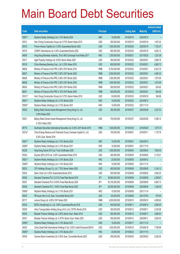|        |                                                                                              |                  |                |                     |                 | <b>Amount raised</b> |
|--------|----------------------------------------------------------------------------------------------|------------------|----------------|---------------------|-----------------|----------------------|
| Code   | <b>Debt securities</b>                                                                       | <b>Principal</b> |                | <b>Listing date</b> | <b>Maturity</b> | (HK\$ mil.)          |
| 05821# | Skyfame Realty (Holdings) Ltd. 0.10% Bonds 2024                                              | <b>HKD</b>       | 10,000,000     | 2015/05/15          | 2024/09/12      |                      |
| 05513  | Hsin Chong Construction Group Ltd. 8.75% Senior Notes 2018                                   | <b>USD</b>       | 250,000,000    | 2015/05/19          | 2018/05/18      | 1,937.42             |
| 05516  | Proven Honour Capital Ltd. 4.125% Guaranteed Bonds 2025                                      | <b>USD</b>       | 1,000,000,000  | 2015/05/20          | 2025/05/19      | 7,722.47             |
| 05519  | CGNPC International Ltd. 4.00% Guaranteed Bonds 2025                                         | <b>USD</b>       | 600,000,000    | 2015/05/20          | 2025/05/19      | 4,652.15             |
| 04060  | Hong Kong Monetary Authority, The 0.46% Exchange Fund Notes 2017                             | <b>HKD</b>       | 1,200,000,000  | 2015/05/21          | 2017/05/22      | 1,201.08             |
| 05517  | Agile Property Holdings Ltd. 9.00% Senior Notes 2020                                         | <b>USD</b>       | 500,000,000    | 2015/05/22          | 2020/05/21      | 3,880.78             |
| 05518  | China Minsheng Banking Corp., Ltd. 2.25% Notes 2018                                          | <b>USD</b>       | 600,000,000    | 2015/05/22          | 2018/05/21      | 4,663.72             |
| 86626  | Ministry of Finance of the PRC 2.80% CNY Bonds 2018                                          | <b>RMB</b>       | 6,750,000,000  | 2015/05/22          | 2018/05/21      | 8,432.78             |
| 86627  | Ministry of Finance of the PRC 3.00% CNY Bonds 2020                                          | <b>RMB</b>       | 3,250,000,000  | 2015/05/22          | 2020/05/21      | 4,060.23             |
| 86628  | Ministry of Finance of the PRC 3.36% CNY Bonds 2022                                          | <b>RMB</b>       | 1,500,000,000  | 2015/05/22          | 2022/05/21      | 1,873.95             |
| 86629  | Ministry of Finance of the PRC 3.39% CNY Bonds 2025                                          | <b>RMB</b>       | 1,500,000,000  | 2015/05/22          | 2025/05/21      | 1,873.95             |
| 86630  | Ministry of Finance of the PRC 3.60% CNY Bonds 2030                                          | <b>RMB</b>       | 500,000,000    | 2015/05/22          | 2030/05/21      | 624.65               |
| 86631  | Ministry of Finance of the PRC 4.10% CNY Bonds 2045                                          | <b>RMB</b>       | 500,000,000    | 2015/05/22          | 2045/05/21      | 624.65               |
| 05513# | Hsin Chong Construction Group Ltd. 8.75% Senior Notes 2018                                   | <b>USD</b>       | 50,000,000     | 2015/05/22          | 2018/05/18      | 394.88               |
| 05821# | Skyfame Realty (Holdings) Ltd. 0.10% Bonds 2024                                              | <b>HKD</b>       | 10,000,000     | 2015/05/22          | 2024/09/12      |                      |
| 05855# | Skyfame Realty (Holdings) Ltd. 0.10% Bonds 2031                                              | <b>HKD</b>       | 10,000,000     | 2015/05/22          | 2031/11/14      |                      |
| 05520  | Beijing State-Owned Assets Management (Hong Kong) Co. Ltd.<br>3.00% Notes 2020               | <b>USD</b>       | 300,000,000    | 2015/05/27          | 2020/05/26      | 2,327.53             |
| 05521  | Beijing State-Owned Assets Management (Hong Kong) Co. Ltd.<br>4.125% Notes 2025              | <b>USD</b>       | 700,000,000    | 2015/05/27          | 2025/05/26      | 5,396.12             |
| 85716  | Southwest Securities International Securities Ltd. 6.45% CNY Bonds 2018                      | <b>RMB</b>       | 1,500,000,000  | 2015/05/29          | 2018/05/28      | 1,875.75             |
| 05512# | China Energy Reserve and Chemicals Group Overseas Capital Co. Ltd.<br>5.25% Guar. Bonds 2018 | <b>USD</b>       | 150,000,000    | 2015/06/01          | 2018/05/11      | 1,178.78             |
| 05821# | Skyfame Realty (Holdings) Ltd. 0.10% Bonds 2024                                              | <b>HKD</b>       | 10,000,000     | 2015/06/01          | 2024/09/12      |                      |
| 05855# | Skyfame Realty (Holdings) Ltd. 0.10% Bonds 2031                                              | <b>HKD</b>       | 10,000,000     | 2015/06/01          | 2031/11/14      |                      |
| 04226  | Hong Kong Sukuk 2015 Ltd. Trust Certificates 2020                                            | <b>USD</b>       | 1,000,000,000  | 2015/06/04          | 2020/06/03      | 7,800.00             |
| 05522  | Express (BVI) 2015 Ltd. 3.00% Guaranteed Notes 2018                                          | <b>USD</b>       | 400,000,000    | 2015/06/05          | 2018/06/04      | 3,116.01             |
| 05821# | Skyfame Realty (Holdings) Ltd. 0.10% Bonds 2024                                              | <b>HKD</b>       | 20,000,000     | 2015/06/05          | 2024/09/12      |                      |
| 05855# | Skyfame Realty (Holdings) Ltd. 0.10% Bonds 2031                                              | <b>HKD</b>       | 10,000,000     | 2015/06/05          | 2031/11/14      |                      |
| 05523  | CIFI Holdings (Group) Co. Ltd. 7.75% Senior Notes 2020                                       | <b>USD</b>       | 400,000,000    | 2015/06/08          | 2020/06/05      | 3,104.12             |
| 05524  | Dawn Victor Ltd. 5.50% Guaranteed Bonds 2018                                                 | <b>USD</b>       | 500,000,000    | 2015/06/08          | 2018/06/05      | 3,900.00             |
| 05526  | Standard Chartered PLC 0.313% Fixed Rate Bonds 2018                                          | JPY              | 36,900,000,000 | 2015/06/08          | 2018/06/05      | 2,298.87             |
| 05527  | Standard Chartered PLC 0.453% Fixed Rate Bonds 2020                                          | JPY              | 93,100,000,000 | 2015/06/08          | 2020/06/05      | 5,800.13             |
| 05528  | Standard Chartered PLC 1.043% Fixed Rate Bonds 2025                                          | <b>JPY</b>       | 20,000,000,000 | 2015/06/08          | 2025/06/05      | 1,246.00             |
| 05855# | Skyfame Realty (Holdings) Ltd. 0.10% Bonds 2031                                              | <b>HKD</b>       | 10,000,000     | 2015/06/08          | 2031/11/14      |                      |
| 05525  | PB Issuer (No.4) Ltd. Guar. Convertible Bonds 2021                                           | <b>USD</b>       | 125,000,000    | 2015/06/09          | 2021/07/03      | 975.00               |
| 85717  | Lenovo Group Ltd. 4.95% CNY Notes 2020                                                       | <b>RMB</b>       | 4,000,000,000  | 2015/06/10          | 2020/06/10      | 4,995.60             |
| 05532  | BCEG (HongKong) Co. Ltd. 3.85% Guaranteed Bonds 2018                                         | <b>USD</b>       | 500,000,000    | 2015/06/11          | 2018/06/10      | 3,900.00             |
| 05529  | Anhui Transportation Holding Group (H.K.) Ltd. 2.875% Bonds 2018                             | <b>USD</b>       | 300,000,000    | 2015/06/12          | 2018/06/11      | 2,332.68             |
| 05530  | Bluestar Finance Holdings Ltd. 3.50% Senior Guar. Notes 2018                                 | <b>USD</b>       | 500,000,000    | 2015/06/12          | 2018/06/11      | 3,895.83             |
| 05531  | Bluestar Finance Holdings Ltd. 4.375% Senior Guar. Notes 2020                                | <b>USD</b>       | 500,000,000    | 2015/06/12          | 2020/06/11      | 3,900.00             |
| 05855# | Skyfame Realty (Holdings) Ltd. 0.10% Bonds 2031                                              | <b>HKD</b>       | 10,000,000     | 2015/06/17          | 2031/11/14      |                      |
| 05533  | China Great Wall International Holdings II Ltd. 2.50% Credit Enhanced B2018                  | <b>USD</b>       | 1,000,000,000  | 2015/06/19          | 2018/06/18      | 7,766.69             |
| 05855# | Skyfame Realty (Holdings) Ltd. 0.10% Bonds 2031                                              | <b>HKD</b>       | 20,000,000     | 2015/06/22          | 2031/11/14      |                      |
| 05534  | Cosmos Boom Investment Ltd. 0.50% Guar. Convertible Bonds 2020                               | <b>USD</b>       | 290,000,000    | 2015/06/24          | 2020/06/23      | 2,262.00             |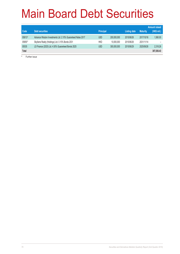|        |                                                             |                  |             |                     |                 | <b>Amount raised</b> |
|--------|-------------------------------------------------------------|------------------|-------------|---------------------|-----------------|----------------------|
| Code   | <b>Debt securities</b>                                      | <b>Principal</b> |             | <b>Listing date</b> | <b>Maturity</b> | (HK\$ mil.)          |
| 05813# | Advance Wisdom Investments Ltd. 2.10% Guaranteed Notes 2017 | <b>USD</b>       | 200,000,000 | 2015/06/26          | 2017/10/16      | 1.560.00             |
| 05855# | Skyfame Realty (Holdings) Ltd. 0.10% Bonds 2031             | <b>HKD</b>       | 10.000.000  | 2015/06/26          | 2031/11/14      |                      |
| 05535  | LS Finance (2025) Ltd. 4.50% Guaranteed Bonds 2025          | <b>USD</b>       | 300,000,000 | 2015/06/29          | 2025/06/26      | 2,318.26             |
| Total  |                                                             |                  |             |                     |                 | 307,836.43           |

# Further issue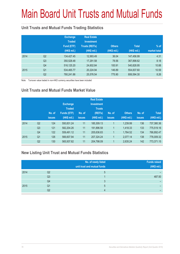# Main Board Unit Trusts and Mutual Funds

#### **Unit Trusts and Mutual Funds Trading Statistics**

|      |                | <b>Exchange</b><br><b>Traded</b><br>Fund (ETF)<br>(HK\$ mil.) | <b>Real Estate</b><br><b>Investment</b><br><b>Trusts (REITs)</b><br>(HK\$ mil.) | <b>Others</b><br>(HK\$ mil.) | <b>Total</b><br>(HK\$ mil.) | $%$ of<br>market total |
|------|----------------|---------------------------------------------------------------|---------------------------------------------------------------------------------|------------------------------|-----------------------------|------------------------|
| 2014 | Q <sub>2</sub> | 134,427.45                                                    | 12,993.49                                                                       | 36.04                        | 147.456.99                  | 4.31                   |
|      | Q <sub>3</sub> | 350,528.48                                                    | 17,291.58                                                                       | 78.56                        | 367,898.62                  | 8.18                   |
|      | Q4             | 516,125.20                                                    | 24,602.84                                                                       | 100.91                       | 540,828.95                  | 10.88                  |
| 2015 | Q <sub>1</sub> | 534,465.77                                                    | 20,224.94                                                                       | 146.89                       | 554,837.60                  | 10.59                  |
|      | Q <sub>2</sub> | 780.241.86                                                    | 25,576.54                                                                       | 775.90                       | 806,594.30                  | 8.26                   |

Note: Turnover value traded in non-HKD currency securities have been included

#### **Unit Trusts and Mutual Funds Market Value**

|      |                | No. of<br><b>issues</b> | <b>Exchange</b><br>Traded<br><b>Funds (ETF)</b><br>(HK\$ mil.) | No. of<br><b>issues</b> | <b>Real Estate</b><br><b>Investment</b><br><b>Trusts</b><br>(REITs)<br>(HK\$ mil.) | No. of<br><b>issues</b> | <b>Others</b><br>(HK\$ mil.) | No. of<br><b>issues</b> | <b>Total</b><br>(HK\$ mil.) |
|------|----------------|-------------------------|----------------------------------------------------------------|-------------------------|------------------------------------------------------------------------------------|-------------------------|------------------------------|-------------------------|-----------------------------|
| 2014 | Q <sub>2</sub> | 124                     | 550,831.24                                                     | 11                      | 185,309.13                                                                         |                         | 1,239.99                     | 136                     | 737,380.36                  |
|      | Q <sub>3</sub> | 121                     | 582,204.26                                                     | 11                      | 191,896.58                                                                         |                         | 1,418.33                     | 133                     | 775,519.16                  |
|      | Q4             | 122                     | 559,491.12                                                     | 11                      | 205,636.83                                                                         | 1                       | 1,764.52                     | 134                     | 766,892.47                  |
| 2015 | Q <sub>1</sub> | 126                     | 566,607.94                                                     | 11                      | 207,324.24                                                                         |                         | 2,077.14                     | 138                     | 776,009.32                  |
|      | Q <sub>2</sub> | 130                     | 565,937.82                                                     | 11                      | 204,798.09                                                                         | 1                       | 2,635.24                     | 142                     | 773,371.15                  |

#### **New Listing Unit Trust and Mutual Funds Statistics**

|      |    | No. of newly listed<br>unit trust and mutual funds | <b>Funds raised</b><br>(HK\$ mil.) |
|------|----|----------------------------------------------------|------------------------------------|
| 2014 | Q2 |                                                    |                                    |
|      | Q3 |                                                    | 487.50                             |
|      | Q4 |                                                    |                                    |
| 2015 | Q1 | 5                                                  |                                    |
|      | Q2 |                                                    |                                    |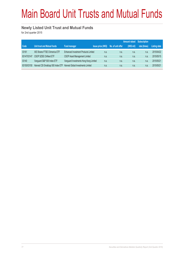# Main Board Unit Trusts and Mutual Funds

#### **Newly Listed Unit Trust and Mutual Funds**

for 2nd quarter 2015

|             |                                                                       |                                        |                           |                   | <b>Amount raised Subscription</b> |              |                     |
|-------------|-----------------------------------------------------------------------|----------------------------------------|---------------------------|-------------------|-----------------------------------|--------------|---------------------|
| Code        | Unit trust and Mutual funds                                           | <b>Fund manager</b>                    | <b>Issue price (HK\$)</b> | No. of unit offer | (HK\$ mi)                         | rate (times) | <b>Listing date</b> |
| 03161       | XIE Shares FTSE Chimerica ETF                                         | Enhanced Investment Products Limited   | n.a.                      | n.a.              | n.a.                              | n.a.         | 2015/04/22          |
| 83147/03147 | <b>CSOP SZSE ChiNext ETF</b>                                          | CSOP Asset Management Limited          | n.a.                      | n.a.              | n.a.                              | n.a.         | 2015/05/15          |
| 03140       | Vanguard S&P 500 Index ETF                                            | Vanguard Investments Hong Kong Limited | n.a.                      | n.a.              | n.a.                              | n.a.         | 2015/05/21          |
| 83150/03150 | Harvest CSI Smallcap 500 Index ETF Harvest Global Investments Limited |                                        | n.a.                      | n.a.              | n.a.                              | n.a.         | 2015/05/21          |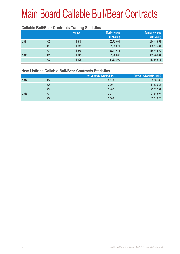#### **Callable Bull/Bear Contracts Trading Statistics**

|      |                | <b>Number</b> | <b>Market value</b> | <b>Turnover value</b> |
|------|----------------|---------------|---------------------|-----------------------|
|      |                |               | (HK\$ mil.)         | (HK\$ mil.)           |
| 2014 | Q2             | 1,846         | 52,720.61           | 244,418.59            |
|      | Q <sub>3</sub> | 1,918         | 61,358.71           | 338,575.61            |
|      | Q <sub>4</sub> | 1,579         | 55,419.48           | 336,442.50            |
| 2015 | Q <sub>1</sub> | 1,641         | 51,783.06           | 379,789.64            |
|      | Q2             | 1,905         | 84,638.00           | 433,656.16            |

#### **New Listings Callable Bull/Bear Contracts Statistics**

|      |                | No. of newly listed CBBC | Amount raised (HK\$ mil.) |
|------|----------------|--------------------------|---------------------------|
| 2014 | Q <sub>2</sub> | 2,079                    | 93,001.85                 |
|      | Q3             | 2,307                    | 111,530.32                |
|      | Q4             | 2,482                    | 122,022.54                |
| 2015 | Q1             | 2,287                    | 101,545.07                |
|      | Q2             | 3,066                    | 133,613.20                |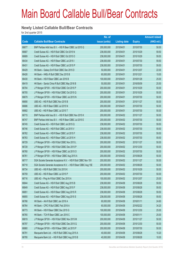#### **Newly Listed Callable Bull/Bear Contracts**

for 2nd quarter 2015

|       |                                                                | No. of        |                     |               | <b>Amount raised</b> |
|-------|----------------------------------------------------------------|---------------|---------------------|---------------|----------------------|
| Code  | <b>Callable Bull/Bear Contracts</b>                            | issue (units) | <b>Listing date</b> | <b>Expiry</b> | (HK\$ mil.)          |
| 66677 | BNP Paribas Arbit Issu B.V. - HSI R Bear CBBC Jul 2015 Q       | 200,000,000   | 2015/04/01          | 2015/07/30    | 50.00                |
| 66687 | Credit Suisse AG - HSI R Bull CBBC Oct 2015 N                  | 238,000,000   | 2015/04/01          | 2015/10/29    | 59.50                |
| 66689 | Credit Suisse AG - HSI R Bull CBBC Oct 2015 O                  | 238,000,000   | 2015/04/01          | 2015/10/29    | 59.50                |
| 66434 | Credit Suisse AG - HSI R Bear CBBC Jul 2015 I                  | 238,000,000   | 2015/04/01          | 2015/07/30    | 59.50                |
| 66431 | Credit Suisse AG - HSI R Bear CBBC Jul 2015 P                  | 238,000,000   | 2015/04/01          | 2015/07/30    | 59.50                |
| 66429 | HK Bank - Galaxy Ent R Bull CBBC Dec 2015 D                    | 50,000,000    | 2015/04/01          | 2015/12/07    | 22.00                |
| 66426 | HK Bank - HKEx R Bull CBBC Dec 2015 B                          | 60,000,000    | 2015/04/01          | 2015/12/21    | 15.00                |
| 66430 | HK Bank - HSI R Bear CBBC Jan 2016 B                           | 100,000,000   | 2015/04/01          | 2016/01/28    | 25.00                |
| 66419 | HK Bank - Sands China R Bull CBBC May 2016 B                   | 50,000,000    | 2015/04/01          | 2016/05/09    | 25.50                |
| 66704 | J P Morgan SP BV - HSI R Bull CBBC Oct 2015 P                  | 200,000,000   | 2015/04/01          | 2015/10/29    | 50.00                |
| 66705 | J P Morgan SP BV - HSI R Bull CBBC Oct 2015 Q                  | 200,000,000   | 2015/04/01          | 2015/10/29    | 50.00                |
| 66679 | J P Morgan SP BV - HSI R Bear CBBC Jul 2015 N                  | 200,000,000   | 2015/04/01          | 2015/07/30    | 50.00                |
| 66690 | UBS AG - HSI R Bull CBBC Nov 2015 B                            | 200,000,000   | 2015/04/01          | 2015/11/27    | 50.00                |
| 66686 | UBS AG - HSI R Bear CBBC Jul 2015 N                            | 200,000,000   | 2015/04/01          | 2015/07/30    | 50.00                |
| 66682 | UBS AG - HSI R Bear CBBC Jul 2015 T                            | 200,000,000   | 2015/04/01          | 2015/07/30    | 50.00                |
| 66715 | BNP Paribas Arbit Issu B.V. - HSI R Bull CBBC Nov 2015 K       | 200,000,000   | 2015/04/02          | 2015/11/27    | 50.00                |
| 66747 | BNP Paribas Arbit Issu B.V. - HSI R Bear CBBC Jul 2015 E       | 200,000,000   | 2015/04/02          | 2015/07/30    | 50.00                |
| 66745 | Credit Suisse AG - HSI R Bull CBBC Jul 2015 Q                  | 238,000,000   | 2015/04/02          | 2015/07/30    | 59.50                |
| 66746 | Credit Suisse AG - HSI R Bull CBBC Jul 2015 V                  | 238,000,000   | 2015/04/02          | 2015/07/30    | 59.50                |
| 66762 | Credit Suisse AG - HSI R Bear CBBC Jul 2015 F                  | 238,000,000   | 2015/04/02          | 2015/07/30    | 59.50                |
| 66763 | Credit Suisse AG - HSI R Bear CBBC Jul 2015 H                  | 238,000,000   | 2015/04/02          | 2015/07/30    | 59.50                |
| 66729 | J P Morgan SP BV - HSI R Bull CBBC Nov 2015 L                  | 200,000,000   | 2015/04/02          | 2015/11/27    | 50.00                |
| 66728 | J P Morgan SP BV - HSI R Bull CBBC Dec 2015 P                  | 200,000,000   | 2015/04/02          | 2015/12/30    | 50.00                |
| 66760 | J P Morgan SP BV - HSI R Bear CBBC Jul 2015 O                  | 200,000,000   | 2015/04/02          | 2015/07/30    | 50.00                |
| 66761 | J P Morgan SP BV - HSI R Bear CBBC Aug 2015 A                  | 200,000,000   | 2015/04/02          | 2015/08/28    | 50.00                |
| 66717 | SGA Societe Generale Acceptance N.V. - HSI R Bull CBBC Nov 15V | 200,000,000   | 2015/04/02          | 2015/11/27    | 50.00                |
| 66718 | SGA Societe Generale Acceptance N.V. - HSI R Bear CBBC Aug 15E | 200,000,000   | 2015/04/02          | 2015/08/28    | 50.00                |
| 66734 | UBS AG - HSI R Bull CBBC Oct 2015 K                            | 200,000,000   | 2015/04/02          | 2015/10/29    | 50.00                |
| 66759 | UBS AG - HSI R Bear CBBC Jul 2015 P                            | 200,000,000   | 2015/04/02          | 2015/07/30    | 50.00                |
| 66716 | UBS AG - Ping An R Bull CBBC Dec 2015 A                        | 100,000,000   | 2015/04/02          | 2015/12/07    | 25.00                |
| 66844 | Credit Suisse AG - HSI R Bull CBBC Aug 2015 B                  | 238,000,000   | 2015/04/08          | 2015/08/28    | 59.50                |
| 66849 | Credit Suisse AG - HSI R Bull CBBC Aug 2015 F                  | 238,000,000   | 2015/04/08          | 2015/08/28    | 59.50                |
| 66851 | Credit Suisse AG - HSI R Bear CBBC Aug 2015 R                  | 238,000,000   | 2015/04/08          | 2015/08/28    | 59.50                |
| 66855 | Credit Suisse AG - HSI R Bear CBBC Aug 2015 S                  | 238,000,000   | 2015/04/08          | 2015/08/28    | 59.50                |
| 66766 | HK Bank - AIA R Bull CBBC Jan 2016 A                           | 60,000,000    | 2015/04/08          | 2016/01/11    | 24.60                |
| 66764 | HK Bank - CPIC R Bull CBBC Feb 2016 A                          | 60,000,000    | 2015/04/08          | 2016/02/22    | 34.20                |
| 66773 | HK Bank - HSI R Bear CBBC Dec 2015 G                           | 100,000,000   | 2015/04/08          | 2015/12/30    | 25.00                |
| 66765 | HK Bank - TCH R Bear CBBC Jan 2016 C                           | 100,000,000   | 2015/04/08          | 2016/01/11    | 25.00                |
| 66819 | J P Morgan SP BV - HSI R Bull CBBC Nov 2015 M                  | 200,000,000   | 2015/04/08          | 2015/11/27    | 50.00                |
| 66797 | J P Morgan SP BV - HSI R Bull CBBC Dec 2015 Q                  | 200,000,000   | 2015/04/08          | 2015/12/30    | 50.00                |
| 66860 | J P Morgan SP BV - HSI R Bear CBBC Jul 2015 P                  | 200,000,000   | 2015/04/08          | 2015/07/30    | 50.00                |
| 66791 | Macquarie Bank Ltd. - HSI R Bull CBBC Aug 2015 A               | 40,000,000    | 2015/04/08          | 2015/08/28    | 10.20                |
| 66795 | Macquarie Bank Ltd. - HSI R Bull CBBC Aug 2015 B               | 40,000,000    | 2015/04/08          | 2015/08/28    | 10.00                |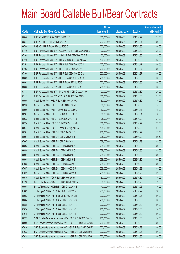|       |                                                                | No. of        |                     |               | <b>Amount raised</b> |
|-------|----------------------------------------------------------------|---------------|---------------------|---------------|----------------------|
| Code  | <b>Callable Bull/Bear Contracts</b>                            | issue (units) | <b>Listing date</b> | <b>Expiry</b> | $(HK$$ mil.)         |
| 66848 | UBS AG - HSCEI R Bull CBBC Oct 2015 D                          | 100,000,000   | 2015/04/08          | 2015/10/29    | 25.00                |
| 66847 | UBS AG - HSI R Bull CBBC Nov 2015 C                            | 200,000,000   | 2015/04/08          | 2015/11/27    | 50.00                |
| 66784 | UBS AG - HSI R Bear CBBC Jul 2015 Q                            | 200,000,000   | 2015/04/08          | 2015/07/30    | 50.00                |
| 67110 | BNP Paribas Arbit Issu B.V. - CSOP A50 ETF R Bull CBBC Dec15F  | 100,000,000   | 2015/04/09          | 2015/12/30    | 25.00                |
| 67105 | BNP Paribas Arbit Issu B.V. - A50 Ch R Bull CBBC Dec 2015 F    | 100,000,000   | 2015/04/09          | 2015/12/30    | 25.00                |
| 67116 | BNP Paribas Arbit Issu B.V. - HKEx R Bull CBBC Dec 2015 A      | 100,000,000   | 2015/04/09          | 2015/12/30    | 25.50                |
| 67101 | BNP Paribas Arbit Issu B.V. - HSI R Bull CBBC Nov 2015 J       | 200,000,000   | 2015/04/09          | 2015/11/27    | 50.00                |
| 67103 | BNP Paribas Arbit Issu B.V. - HSI R Bull CBBC Nov 2015 L       | 200,000,000   | 2015/04/09          | 2015/11/27    | 50.00                |
| 67104 | BNP Paribas Arbit Issu B.V. - HSI R Bull CBBC Nov 2015 M       | 200,000,000   | 2015/04/09          | 2015/11/27    | 50.00                |
| 66883 | BNP Paribas Arbit Issu B.V. - HSI R Bear CBBC Jul 2015 D       | 200,000,000   | 2015/04/09          | 2015/07/30    | 50.00                |
| 66863 | BNP Paribas Arbit Issu B.V. - HSI R Bear CBBC Jul 2015 I       | 200,000,000   | 2015/04/09          | 2015/07/30    | 50.00                |
| 66866 | BNP Paribas Arbit Issu B.V. - HSI R Bear CBBC Jul 2015 L       | 200,000,000   | 2015/04/09          | 2015/07/30    | 50.00                |
| 67118 | BNP Paribas Arbit Issu B.V. - Ping An R Bull CBBC Dec 2015 A   | 100,000,000   | 2015/04/09          | 2015/12/30    | 25.00                |
| 67115 | BNP Paribas Arbit Issu B.V. - TCH R Bull CBBC Dec 2015 A       | 100,000,000   | 2015/04/09          | 2015/12/30    | 25.00                |
| 66955 | Credit Suisse AG - HKEx R Bull CBBC Oct 2015 A                 | 60,000,000    | 2015/04/09          | 2015/10/30    | 15.00                |
| 66956 | Credit Suisse AG - HKEx R Bull CBBC Oct 2015 B                 | 60,000,000    | 2015/04/09          | 2015/10/30    | 15.00                |
| 66960 | Credit Suisse AG - HKEx R Bear CBBC Jul 2015 C                 | 60,000,000    | 2015/04/09          | 2015/07/31    | 15.00                |
| 66967 | Credit Suisse AG - HKEx R Bear CBBC Jul 2015 D                 | 60,000,000    | 2015/04/09          | 2015/07/31    | 16.50                |
| 66932 | Credit Suisse AG - HSCEI R Bull CBBC Oct 2015 C                | 108,000,000   | 2015/04/09          | 2015/10/29    | 27.00                |
| 66934 | Credit Suisse AG - HSCEI R Bull CBBC Oct 2015 D                | 108,000,000   | 2015/04/09          | 2015/10/29    | 27.00                |
| 66947 | Credit Suisse AG - HSCEI R Bear CBBC Aug 2015 A                | 108,000,000   | 2015/04/09          | 2015/08/28    | 27.00                |
| 66981 | Credit Suisse AG - HSI R Bull CBBC Sep 2015 R                  | 238,000,000   | 2015/04/09          | 2015/09/29    | 59.50                |
| 66991 | Credit Suisse AG - HSI R Bull CBBC Sep 2015 T                  | 238,000,000   | 2015/04/09          | 2015/09/29    | 59.50                |
| 67067 | Credit Suisse AG - HSI R Bull CBBC Sep 2015 V                  | 238,000,000   | 2015/04/09          | 2015/09/29    | 59.50                |
| 66893 | Credit Suisse AG - HSI R Bear CBBC Jul 2015 A                  | 238,000,000   | 2015/04/09          | 2015/07/30    | 59.50                |
| 66894 | Credit Suisse AG - HSI R Bear CBBC Jul 2015 C                  | 238,000,000   | 2015/04/09          | 2015/07/30    | 59.50                |
| 66901 | Credit Suisse AG - HSI R Bear CBBC Jul 2015 D                  | 238,000,000   | 2015/04/09          | 2015/07/30    | 59.50                |
| 66904 | Credit Suisse AG - HSI R Bear CBBC Jul 2015 E                  | 238,000,000   | 2015/04/09          | 2015/07/30    | 59.50                |
| 67055 | Credit Suisse AG - HSI R Bear CBBC Sep 2015 I                  | 238,000,000   | 2015/04/09          | 2015/09/29    | 59.50                |
| 67057 | Credit Suisse AG - HSI R Bear CBBC Sep 2015 J                  | 238,000,000   | 2015/04/09          | 2015/09/29    | 59.50                |
| 67059 | Credit Suisse AG - HSI R Bear CBBC Sep 2015 K                  | 238,000,000   | 2015/04/09          | 2015/09/29    | 59.50                |
| 66979 | Credit Suisse AG - TCH R Bull CBBC Oct 2015 C                  | 60,000,000    | 2015/04/09          | 2015/10/30    | 15.00                |
| 67120 | Bank of East Asia - COVS R Bull CBBC Feb 2016 A                | 30,000,000    | 2015/04/09          | 2016/02/26    | 19.50                |
| 66954 | Bank of East Asia - HKEx R Bull CBBC Nov 2015 B                | 40,000,000    | 2015/04/09          | 2015/11/06    | 10.00                |
| 67069 | J P Morgan SP BV - HSI R Bull CBBC Oct 2015 R                  | 200,000,000   | 2015/04/09          | 2015/10/29    | 50.00                |
| 66952 | J P Morgan SP BV - HSI R Bull CBBC Nov 2015 N                  | 200,000,000   | 2015/04/09          | 2015/11/27    | 50.00                |
| 66884 | J P Morgan SP BV - HSI R Bear CBBC Jul 2015 Q                  | 200,000,000   | 2015/04/09          | 2015/07/30    | 50.00                |
| 66885 | J P Morgan SP BV - HSI R Bear CBBC Jul 2015 R                  | 200,000,000   | 2015/04/09          | 2015/07/30    | 50.00                |
| 67074 | J P Morgan SP BV - HSI R Bear CBBC Jul 2015 S                  | 200,000,000   | 2015/04/09          | 2015/07/30    | 50.00                |
| 67075 | J P Morgan SP BV - HSI R Bear CBBC Jul 2015 T                  | 200,000,000   | 2015/04/09          | 2015/07/30    | 50.00                |
| 66997 | SGA Societe Generale Acceptance NV - HSCEI R Bull CBBC Dec15A  | 200,000,000   | 2015/04/09          | 2015/12/30    | 50.00                |
| 66999 | SGA Societe Generale Acceptance NV - HSCEI R Bull CBBC Dec15B  | 200,000,000   | 2015/04/09          | 2015/12/30    | 50.00                |
| 67016 | SGA Societe Generale Acceptance NV - HSCEI R Bear CBBC Oct15A  | 200,000,000   | 2015/04/09          | 2015/10/29    | 50.00                |
| 67032 | SGA Societe Generale Acceptance N.V. - HSI R Bull CBBC Nov15 W | 200,000,000   | 2015/04/09          | 2015/11/27    | 50.00                |
| 67035 | SGA Societe Generale Acceptance N.V. - HSI R Bull CBBC Dec15 G | 200,000,000   | 2015/04/09          | 2015/12/30    | 50.00                |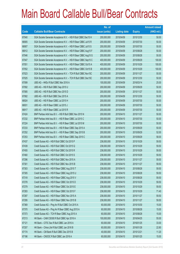|       |                                                                | No. of        |                     |               | <b>Amount raised</b> |
|-------|----------------------------------------------------------------|---------------|---------------------|---------------|----------------------|
| Code  | <b>Callable Bull/Bear Contracts</b>                            | issue (units) | <b>Listing date</b> | <b>Expiry</b> | (HK\$ mil.)          |
| 67040 | SGA Societe Generale Acceptance N.V. - HSI R Bull CBBC Dec15 H | 200,000,000   | 2015/04/09          | 2015/12/30    | 50.00                |
| 66905 | SGA Societe Generale Acceptance N.V. - HSI R Bear CBBC Jul15 R | 200,000,000   | 2015/04/09          | 2015/07/30    | 50.00                |
| 66907 | SGA Societe Generale Acceptance N.V. - HSI R Bear CBBC Jul15 S | 200,000,000   | 2015/04/09          | 2015/07/30    | 50.00                |
| 66912 | SGA Societe Generale Acceptance N.V. - HSI R Bear CBBC Aug15 F | 200,000,000   | 2015/04/09          | 2015/08/28    | 50.00                |
| 67046 | SGA Societe Generale Acceptance N.V. - HSI R Bear CBBC Aug15 G | 200,000,000   | 2015/04/09          | 2015/08/28    | 50.00                |
| 67047 | SGA Societe Generale Acceptance N.V. - HSI R Bear CBBC Sep15 C | 400,000,000   | 2015/04/09          | 2015/09/29    | 100.00               |
| 67051 | SGA Societe Generale Acceptance N.V. - HSI R Bear CBBC Oct15 A | 400,000,000   | 2015/04/09          | 2015/10/29    | 100.00               |
| 67052 | SGA Societe Generale Acceptance N.V. - HSI R Bear CBBC Oct15 B | 400,000,000   | 2015/04/09          | 2015/10/29    | 100.00               |
| 67023 | SGA Societe Generale Acceptance N.V. - TCH R Bull CBBC Nov15C  | 200,000,000   | 2015/04/09          | 2015/11/27    | 50.00                |
| 67025 | SGA Societe Generale Acceptance N.V. - TCH R Bull CBBC Dec15C  | 200,000,000   | 2015/04/09          | 2015/12/30    | 50.00                |
| 67099 | UBS AG - HKEx R Bull CBBC Mar 2016 A                           | 100,000,000   | 2015/04/09          | 2016/03/14    | 25.00                |
| 67092 | UBS AG - HSI R Bull CBBC Sep 2015 U                            | 200,000,000   | 2015/04/09          | 2015/09/29    | 50.00                |
| 67085 | UBS AG - HSI R Bull CBBC Nov 2015 D                            | 200,000,000   | 2015/04/09          | 2015/11/27    | 50.00                |
| 67082 | UBS AG - HSI R Bull CBBC Dec 2015 A                            | 200,000,000   | 2015/04/09          | 2015/12/30    | 50.00                |
| 66924 | UBS AG - HSI R Bear CBBC Jul 2015 H                            | 200,000,000   | 2015/04/09          | 2015/07/30    | 50.00                |
| 66931 | UBS AG - HSI R Bear CBBC Jul 2015 J                            | 200,000,000   | 2015/04/09          | 2015/07/30    | 50.00                |
| 66917 | UBS AG - HSI R Bear CBBC Jul 2015 R                            | 200,000,000   | 2015/04/09          | 2015/07/30    | 50.00                |
| 67424 | BNP Paribas Arbit Issu B.V. - HSI R Bull CBBC Nov 2015 N       | 200,000,000   | 2015/04/10          | 2015/11/27    | 50.00                |
| 67232 | BNP Paribas Arbit Issu B.V. - HSI R Bear CBBC Jul 2015 C       | 200,000,000   | 2015/04/10          | 2015/07/30    | 50.00                |
| 67224 | BNP Paribas Arbit Issu B.V. - HSI R Bear CBBC Jul 2015 M       | 200,000,000   | 2015/04/10          | 2015/07/30    | 50.00                |
| 67233 | BNP Paribas Arbit Issu B.V. - HSI R Bear CBBC Sep 2015 A       | 200,000,000   | 2015/04/10          | 2015/09/29    | 50.00                |
| 67252 | BNP Paribas Arbit Issu B.V. - HSI R Bear CBBC Sep 2015 B       | 200,000,000   | 2015/04/10          | 2015/09/29    | 52.00                |
| 67253 | BNP Paribas Arbit Issu B.V. - HSI R Bear CBBC Sep 2015 C       | 200,000,000   | 2015/04/10          | 2015/09/29    | 58.00                |
| 67437 | Credit Suisse AG - HSI R Bull CBBC Oct 2015 P                  | 238,000,000   | 2015/04/10          | 2015/10/29    | 59.50                |
| 67439 | Credit Suisse AG - HSI R Bull CBBC Oct 2015 Q                  | 238,000,000   | 2015/04/10          | 2015/10/29    | 59.50                |
| 67455 | Credit Suisse AG - HSI R Bull CBBC Oct 2015 R                  | 238,000,000   | 2015/04/10          | 2015/10/29    | 59.50                |
| 67460 | Credit Suisse AG - HSI R Bull CBBC Oct 2015 S                  | 238,000,000   | 2015/04/10          | 2015/10/29    | 59.50                |
| 67296 | Credit Suisse AG - HSI R Bull CBBC Nov 2015 A                  | 238,000,000   | 2015/04/10          | 2015/11/27    | 59.50                |
| 67301 | Credit Suisse AG - HSI R Bull CBBC Nov 2015 B                  | 238,000,000   | 2015/04/10          | 2015/11/27    | 59.50                |
| 67303 | Credit Suisse AG - HSI R Bear CBBC Aug 2015 T                  | 238,000,000   | 2015/04/10          | 2015/08/28    | 59.50                |
| 67305 | Credit Suisse AG - HSI R Bear CBBC Aug 2015 U                  | 238,000,000   | 2015/04/10          | 2015/08/28    | 59.50                |
| 67318 | Credit Suisse AG - HSI R Bear CBBC Aug 2015 V                  | 238,000,000   | 2015/04/10          | 2015/08/28    | 59.50                |
| 67278 | Credit Suisse AG - HSI R Bear CBBC Oct 2015 D                  | 238,000,000   | 2015/04/10          | 2015/10/29    | 59.50                |
| 67279 | Credit Suisse AG - HSI R Bear CBBC Oct 2015 E                  | 238,000,000   | 2015/04/10          | 2015/10/29    | 59.50                |
| 67283 | Credit Suisse AG - HSI R Bear CBBC Oct 2015 F                  | 238,000,000   | 2015/04/10          | 2015/10/29    | 71.40                |
| 67287 | Credit Suisse AG - HSI R Bear CBBC Nov 2015 A                  | 238,000,000   | 2015/04/10          | 2015/11/27    | 59.50                |
| 67295 | Credit Suisse AG - HSI R Bear CBBC Nov 2015 B                  | 238,000,000   | 2015/04/10          | 2015/11/27    | 59.50                |
| 67369 | Credit Suisse AG - Ping An R Bull CBBC Oct 2015 A              | 60,000,000    | 2015/04/10          | 2015/10/30    | 15.00                |
| 67370 | Credit Suisse AG - Ping An R Bear CBBC Aug 2015 A              | 60,000,000    | 2015/04/10          | 2015/08/28    | 15.00                |
| 67373 | Credit Suisse AG - TCH R Bear CBBC Aug 2015 A                  | 60,000,000    | 2015/04/10          | 2015/08/28    | 15.00                |
| 67213 | HK Bank - CAM CSI300 R Bull CBBC Apr 2016 A                    | 100,000,000   | 2015/04/10          | 2016/04/25    | 55.00                |
| 67121 | HK Bank - CITIC Sec R Bull CBBC Jan 2016 A                     | 60,000,000    | 2015/04/10          | 2016/01/25    | 33.00                |
| 67207 | HK Bank - China Life R Bull CBBC Jan 2016 B                    | 60,000,000    | 2015/04/10          | 2016/01/28    | 22.80                |
| 67174 | HK Bank - CM Bank R Bull CBBC Dec 2015 B                       | 40,000,000    | 2015/04/10          | 2015/12/21    | 11.20                |
| 67196 | HK Bank - CNOOC R Bull CBBC Jan 2016 A                         | 60,000,000    | 2015/04/10          | 2016/01/25    | 15.00                |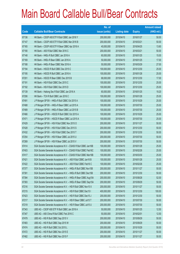|       |                                                                | No. of        |                     |               | <b>Amount raised</b> |
|-------|----------------------------------------------------------------|---------------|---------------------|---------------|----------------------|
| Code  | <b>Callable Bull/Bear Contracts</b>                            | issue (units) | <b>Listing date</b> | <b>Expiry</b> | $(HK$$ mil.)         |
| 67136 | HK Bank - CSOP A50 ETF R Bull CBBC Jan 2016 Y                  | 200,000,000   | 2015/04/10          | 2016/01/27    | 50.00                |
| 67147 | HK Bank - CSOP A50 ETF R Bull CBBC Mar 2016 B                  | 200,000,000   | 2015/04/10          | 2016/03/21    | 50.00                |
| 67165 | HK Bank – CSOP A50 ETF R Bear CBBC Apr 2016 A                  | 40,000,000    | 2015/04/10          | 2016/04/25    | 13.60                |
| 67190 | HK Bank - A50 R Bull CBBC Mar 2016 C                           | 200,000,000   | 2015/04/10          | 2016/03/21    | 50.00                |
| 67148 | HK Bank - HKEx R Bull CBBC Jan 2016 A                          | 60,000,000    | 2015/04/10          | 2016/01/25    | 15.00                |
| 67169 | HK Bank - HKEx R Bear CBBC Jan 2016 A                          | 50,000,000    | 2015/04/10          | 2016/01/25    | 17.00                |
| 67188 | HK Bank - HKEx R Bear CBBC Mar 2016 A                          | 50,000,000    | 2015/04/10          | 2016/03/29    | 27.00                |
| 67194 | HK Bank - HSCEI R Bull CBBC Dec 2015 C                         | 100,000,000   | 2015/04/10          | 2015/12/30    | 25.00                |
| 67195 | HK Bank - HSCEI R Bull CBBC Jan 2016 A                         | 100,000,000   | 2015/04/10          | 2016/01/28    | 25.00                |
| 67201 | HK Bank - HSCEI R Bear CBBC Dec 2015 B                         | 68,000,000    | 2015/04/10          | 2015/12/30    | 17.00                |
| 67191 | HK Bank - HSI R Bull CBBC Dec 2015 C                           | 100,000,000   | 2015/04/10          | 2015/12/30    | 25.00                |
| 67192 | HK Bank - HSI R Bull CBBC Dec 2015 D                           | 100,000,000   | 2015/04/10          | 2015/12/30    | 25.00                |
| 67139 | HK Bank - Haitong Sec R Bull CBBC Jan 2016 A                   | 60,000,000    | 2015/04/10          | 2016/01/25    | 19.20                |
| 67206 | HK Bank - TCH R Bull CBBC Jan 2016 C                           | 100,000,000   | 2015/04/10          | 2016/01/28    | 25.00                |
| 67491 | J P Morgan SP BV - HKEx R Bull CBBC Oct 2015 A                 | 100,000,000   | 2015/04/10          | 2015/10/29    | 25.00                |
| 67488 | J P Morgan SP BV - HKEx R Bear CBBC Jul 2015 A                 | 100,000,000   | 2015/04/10          | 2015/07/30    | 25.00                |
| 67489 | J P Morgan SP BV - HKEx R Bear CBBC Jul 2015 B                 | 100,000,000   | 2015/04/10          | 2015/07/30    | 25.00                |
| 67466 | J P Morgan SP BV - HSCEI R Bull CBBC Oct 2015 A                | 100,000,000   | 2015/04/10          | 2015/10/29    | 25.00                |
| 67471 | J P Morgan SP BV - HSCEI R Bear CBBC Jul 2015 A                | 100,000,000   | 2015/04/10          | 2015/07/30    | 25.00                |
| 67429 | J P Morgan SP BV - HSI R Bull CBBC Nov 2015 O                  | 200,000,000   | 2015/04/10          | 2015/11/27    | 50.00                |
| 67428 | J P Morgan SP BV - HSI R Bull CBBC Dec 2015 S                  | 200,000,000   | 2015/04/10          | 2015/12/30    | 50.00                |
| 67432 | J P Morgan SP BV - HSI R Bull CBBC Dec 2015 T                  | 200,000,000   | 2015/04/10          | 2015/12/30    | 50.00                |
| 67254 | J P Morgan SP BV - HSI R Bear CBBC Jul 2015 U                  | 200,000,000   | 2015/04/10          | 2015/07/30    | 50.00                |
| 67269 | J P Morgan SP BV - HSI R Bear CBBC Jul 2015 V                  | 200,000,000   | 2015/04/10          | 2015/07/30    | 50.00                |
| 67414 | SGA Societe Generale Acceptance N.V - CSA50 R Bull CBBC Jan16B | 100,000,000   | 2015/04/10          | 2016/01/28    | 25.00                |
| 67403 | SGA Societe Generale Acceptance N.V - CSA50 R Bull CBBC Feb16C | 100,000,000   | 2015/04/10          | 2016/02/26    | 25.00                |
| 67417 | SGA Societe Generale Acceptance N.V - CSA50 R Bull CBBC Mar16B | 100,000,000   | 2015/04/10          | 2016/03/30    | 25.00                |
| 67421 | SGA Societe Generale Acceptance N.V. - A50 R Bull CBBC Jan16 B | 100,000,000   | 2015/04/10          | 2016/01/28    | 25.00                |
| 67422 | SGA Societe Generale Acceptance N.V. - A50 R Bull CBBC Feb16 C | 100,000,000   | 2015/04/10          | 2016/02/26    | 25.00                |
| 67377 | SGA Societe Generale Acceptance N.V. - HKEx R Bull CBBC Nov15B | 200,000,000   | 2015/04/10          | 2015/11/27    | 50.00                |
| 67391 | SGA Societe Generale Acceptance N.V. - HKEx R Bull CBBC Dec15B | 200,000,000   | 2015/04/10          | 2015/12/30    | 50.00                |
| 67394 | SGA Societe Generale Acceptance N.V. - HKEx R Bear CBBC Aug15A | 200,000,000   | 2015/04/10          | 2015/08/28    | 52.00                |
| 67393 | SGA Societe Generale Acceptance N.V. - HKEx R Bear CBBC Sep15A | 200,000,000   | 2015/04/10          | 2015/09/29    | 50.00                |
| 67216 | SGA Societe Generale Acceptance N.V. - HSI R Bull CBBC Nov15 X | 200,000,000   | 2015/04/10          | 2015/11/27    | 50.00                |
| 67215 | SGA Societe Generale Acceptance N.V. - HSI R Bull CBBC Dec15 I | 400,000,000   | 2015/04/10          | 2015/12/30    | 100.00               |
| 67423 | SGA Societe Generale Acceptance N.V. - HSI R Bull CBBC Dec15 J | 200,000,000   | 2015/04/10          | 2015/12/30    | 50.00                |
| 67217 | SGA Societe Generale Acceptance N.V. - HSI R Bear CBBC Jul15 T | 200,000,000   | 2015/04/10          | 2015/07/30    | 50.00                |
| 67219 | SGA Societe Generale Acceptance N.V. - HSI R Bear CBBC Jul15 U | 200,000,000   | 2015/04/10          | 2015/07/30    | 50.00                |
| 67343 | UBS AG - CSOP A50 ETF R Bull CBBC Jan 2016 A                   | 50,000,000    | 2015/04/10          | 2016/01/25    | 12.50                |
| 67347 | UBS AG - A50 China R Bull CBBC Feb 2016 C                      | 50,000,000    | 2015/04/10          | 2016/02/01    | 12.50                |
| 67479 | UBS AG - HSI R Bull CBBC Sep 2015 V                            | 200,000,000   | 2015/04/10          | 2015/09/29    | 50.00                |
| 67483 | UBS AG - HSI R Bull CBBC Sep 2015 W                            | 200,000,000   | 2015/04/10          | 2015/09/29    | 50.00                |
| 67474 | UBS AG - HSI R Bull CBBC Oct 2015 L                            | 200,000,000   | 2015/04/10          | 2015/10/29    | 50.00                |
| 67472 | UBS AG - HSI R Bull CBBC Nov 2015 E                            | 200,000,000   | 2015/04/10          | 2015/11/27    | 50.00                |
| 67482 | UBS AG - HSI R Bull CBBC Nov 2015 F                            | 200,000,000   | 2015/04/10          | 2015/11/27    | 50.00                |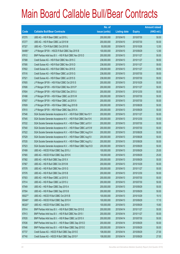|        |                                                                | No. of        |                     |               | <b>Amount raised</b> |
|--------|----------------------------------------------------------------|---------------|---------------------|---------------|----------------------|
| Code   | <b>Callable Bull/Bear Contracts</b>                            | issue (units) | <b>Listing date</b> | <b>Expiry</b> | $(HK$$ mil.)         |
| 67270  | UBS AG - HSI R Bear CBBC Jul 2015 L                            | 200,000,000   | 2015/04/10          | 2015/07/30    | 50.00                |
| 67277  | UBS AG - HSI R Bear CBBC Jul 2015 M                            | 200,000,000   | 2015/04/10          | 2015/07/30    | 50.00                |
| 67327  | UBS AG - TCH R Bull CBBC Oct 2015 B                            | 50,000,000    | 2015/04/10          | 2015/10/26    | 12.50                |
| 64486# | J P Morgan SP BV - HSCEI R Bull CBBC Sep 2015 B                | 100,000,000   | 2015/04/10          | 2015/09/29    | 12.90                |
| 67612  | BNP Paribas Arbit Issu B.V. - HSI R Bull CBBC Nov 2015 D       | 200,000,000   | 2015/04/13          | 2015/11/27    | 50.00                |
| 67588  | Credit Suisse AG - HSI R Bull CBBC Nov 2015 C                  | 238,000,000   | 2015/04/13          | 2015/11/27    | 59.50                |
| 67595  | Credit Suisse AG - HSI R Bull CBBC Nov 2015 D                  | 238,000,000   | 2015/04/13          | 2015/11/27    | 59.50                |
| 67602  | Credit Suisse AG - HSI R Bull CBBC Nov 2015 E                  | 238,000,000   | 2015/04/13          | 2015/11/27    | 59.50                |
| 67516  | Credit Suisse AG - HSI R Bear CBBC Jul 2015 G                  | 238,000,000   | 2015/04/13          | 2015/07/30    | 59.50                |
| 67521  | Credit Suisse AG - HSI R Bear CBBC Jul 2015 S                  | 238,000,000   | 2015/04/13          | 2015/07/30    | 59.50                |
| 67605  | J P Morgan SP BV - HSI R Bull CBBC Oct 2015 S                  | 200,000,000   | 2015/04/13          | 2015/10/29    | 50.00                |
| 67606  | J P Morgan SP BV - HSI R Bull CBBC Nov 2015 P                  | 200,000,000   | 2015/04/13          | 2015/11/27    | 50.00                |
| 67604  | J P Morgan SP BV - HSI R Bull CBBC Dec 2015 U                  | 200,000,000   | 2015/04/13          | 2015/12/30    | 50.00                |
| 67498  | J P Morgan SP BV - HSI R Bear CBBC Jul 2015 W                  | 200,000,000   | 2015/04/13          | 2015/07/30    | 50.00                |
| 67607  | J P Morgan SP BV - HSI R Bear CBBC Jul 2015 X                  | 200,000,000   | 2015/04/13          | 2015/07/30    | 50.00                |
| 67609  | J P Morgan SP BV - HSI R Bear CBBC Aug 2015 B                  | 200,000,000   | 2015/04/13          | 2015/08/28    | 50.00                |
| 67610  | J P Morgan SP BV - HSI R Bear CBBC Sep 2015 A                  | 200,000,000   | 2015/04/13          | 2015/09/29    | 50.00                |
| 67546  | SGA Societe Generale Acceptance N.V. - HSI R Bull CBBC Nov15 Y | 200,000,000   | 2015/04/13          | 2015/11/27    | 50.00                |
| 67545  | SGA Societe Generale Acceptance N.V. - HSI R Bull CBBC Dec15 K | 200,000,000   | 2015/04/13          | 2015/12/30    | 50.00                |
| 67532  | SGA Societe Generale Acceptance N.V. - HSI R Bear CBBC Jul15 V | 200,000,000   | 2015/04/13          | 2015/07/30    | 50.00                |
| 67540  | SGA Societe Generale Acceptance N.V. - HSI R Bear CBBC Jul15 W | 200,000,000   | 2015/04/13          | 2015/07/30    | 50.00                |
| 67522  | SGA Societe Generale Acceptance N.V. - HSI R Bear CBBC Aug15 H | 200,000,000   | 2015/04/13          | 2015/08/28    | 50.00                |
| 67529  | SGA Societe Generale Acceptance N.V. - HSI R Bear CBBC Aug15 I | 200,000,000   | 2015/04/13          | 2015/08/28    | 50.00                |
| 67535  | SGA Societe Generale Acceptance N.V. - HSI R Bear CBBC Aug15 J | 200,000,000   | 2015/04/13          | 2015/08/28    | 50.00                |
| 67523  | SGA Societe Generale Acceptance N.V. - HSI R Bear CBBC Sep15 D | 200,000,000   | 2015/04/13          | 2015/09/29    | 50.00                |
| 67499  | UBS AG - HSCEI R Bull CBBC Sep 2015 J                          | 100,000,000   | 2015/04/13          | 2015/09/29    | 25.00                |
| 67565  | UBS AG - HSCEI R Bull CBBC Sep 2015 K                          | 100,000,000   | 2015/04/13          | 2015/09/29    | 25.00                |
| 67582  | UBS AG - HSI R Bull CBBC Sep 2015 X                            | 200,000,000   | 2015/04/13          | 2015/09/29    | 50.00                |
| 67567  | UBS AG - HSI R Bull CBBC Oct 2015 M                            | 200,000,000   | 2015/04/13          | 2015/10/29    | 50.00                |
| 67578  | UBS AG - HSI R Bull CBBC Nov 2015 G                            | 200,000,000   | 2015/04/13          | 2015/11/27    | 50.00                |
| 67576  | UBS AG - HSI R Bull CBBC Dec 2015 B                            | 200,000,000   | 2015/04/13          | 2015/12/30    | 50.00                |
| 67503  | UBS AG - HSI R Bear CBBC Jul 2015 S                            | 200,000,000   | 2015/04/13          | 2015/07/30    | 50.00                |
| 67514  | UBS AG - HSI R Bear CBBC Jul 2015 U                            | 200,000,000   | 2015/04/13          | 2015/07/30    | 50.00                |
| 67549  | UBS AG - HSI R Bear CBBC Sep 2015 A                            | 200,000,000   | 2015/04/13          | 2015/09/29    | 50.00                |
| 67554  | UBS AG - HSI R Bear CBBC Sep 2015 B                            | 200,000,000   | 2015/04/13          | 2015/09/29    | 50.00                |
| 65027# | UBS AG - HSCEI R Bull CBBC Oct 2015 B                          | 100,000,000   | 2015/04/13          | 2015/10/29    | 19.10                |
| 65048# | UBS AG - HSCEI R Bull CBBC Sep 2015 H                          | 100,000,000   | 2015/04/13          | 2015/09/29    | 17.10                |
| 66320# | UBS AG - HSCEI R Bull CBBC Sep 2015 I                          | 100,000,000   | 2015/04/13          | 2015/09/29    | 15.60                |
| 67914  | BNP Paribas Arbit Issu B.V. - HSI R Bull CBBC Nov 2015 E       | 200,000,000   | 2015/04/14          | 2015/11/27    | 50.00                |
| 67913  | BNP Paribas Arbit Issu B.V. - HSI R Bull CBBC Nov 2015 I       | 200,000,000   | 2015/04/14          | 2015/11/27    | 50.00                |
| 67635  | BNP Paribas Arbit Issu B.V. - HSI R Bear CBBC Jul 2015 X       | 200,000,000   | 2015/04/14          | 2015/07/30    | 50.00                |
| 67636  | BNP Paribas Arbit Issu B.V. - HSI R Bear CBBC Sep 2015 D       | 200,000,000   | 2015/04/14          | 2015/09/29    | 50.00                |
| 67646  | BNP Paribas Arbit Issu B.V. - HSI R Bear CBBC Sep 2015 E       | 200,000,000   | 2015/04/14          | 2015/09/29    | 50.00                |
| 67737  | Credit Suisse AG - HSCEI R Bull CBBC Sep 2015 E                | 108,000,000   | 2015/04/14          | 2015/09/29    | 27.00                |
| 67740  | Credit Suisse AG - HSCEI R Bull CBBC Sep 2015 F                | 108,000,000   | 2015/04/14          | 2015/09/29    | 27.00                |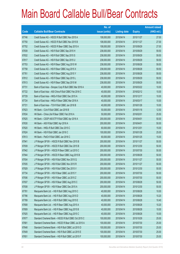|       |                                                         | No. of        |                     |               | <b>Amount raised</b> |
|-------|---------------------------------------------------------|---------------|---------------------|---------------|----------------------|
| Code  | <b>Callable Bull/Bear Contracts</b>                     | issue (units) | <b>Listing date</b> | <b>Expiry</b> | $(HK$$ mil.)         |
| 67746 | Credit Suisse AG - HSCEI R Bull CBBC Nov 2015 A         | 108,000,000   | 2015/04/14          | 2015/11/27    | 27.00                |
| 67750 | Credit Suisse AG - HSCEI R Bull CBBC Nov 2015 B         | 108,000,000   | 2015/04/14          | 2015/11/27    | 27.00                |
| 67752 | Credit Suisse AG - HSCEI R Bear CBBC Sep 2015 A         | 108,000,000   | 2015/04/14          | 2015/09/29    | 27.00                |
| 67839 | Credit Suisse AG - HSI R Bull CBBC Sep 2015 H           | 238,000,000   | 2015/04/14          | 2015/09/29    | 59.50                |
| 67832 | Credit Suisse AG - HSI R Bull CBBC Sep 2015 S           | 238,000,000   | 2015/04/14          | 2015/09/29    | 59.50                |
| 67817 | Credit Suisse AG - HSI R Bull CBBC Sep 2015 U           | 238,000,000   | 2015/04/14          | 2015/09/29    | 59.50                |
| 67753 | Credit Suisse AG - HSI R Bear CBBC Aug 2015 W           | 238,000,000   | 2015/04/14          | 2015/08/28    | 59.50                |
| 67758 | Credit Suisse AG - HSI R Bear CBBC Aug 2015 X           | 238,000,000   | 2015/04/14          | 2015/08/28    | 59.50                |
| 67761 | Credit Suisse AG - HSI R Bear CBBC Aug 2015 Y           | 238,000,000   | 2015/04/14          | 2015/08/28    | 59.50                |
| 67812 | Credit Suisse AG - HSI R Bear CBBC Sep 2015 L           | 238,000,000   | 2015/04/14          | 2015/09/29    | 59.50                |
| 67813 | Credit Suisse AG - HSI R Bear CBBC Sep 2015 M           | 238,000,000   | 2015/04/14          | 2015/09/29    | 59.50                |
| 67731 | Bank of East Asia - Sinopec Corp R Bull CBBC Mar 2016 A | 40,000,000    | 2015/04/14          | 2016/03/22    | 10.00                |
| 67722 | Bank of East Asia - A50 China R Bull CBBC Feb 2016 C    | 40,000,000    | 2015/04/14          | 2016/02/12    | 10.00                |
| 67729 | Bank of East Asia - HKEx R Bull CBBC Dec 2015 A         | 40,000,000    | 2015/04/14          | 2015/12/17    | 10.00                |
| 67724 | Bank of East Asia - HKEx R Bear CBBC Mar 2016 A         | 40,000,000    | 2015/04/14          | 2016/03/17    | 10.00                |
| 67721 | Bank of East Asia - TCH R Bull CBBC Jan 2016 B          | 40,000,000    | 2015/04/14          | 2016/01/26    | 10.00                |
| 67623 | HK Bank - CUni R Bull CBBC Jan 2016 B                   | 50,000,000    | 2015/04/14          | 2016/01/18    | 12.50                |
| 67634 | HK Bank - China Life R Bear CBBC Feb 2016 A             | 50,000,000    | 2015/04/14          | 2016/02/01    | 25.50                |
| 67625 | HK Bank - CSOP A50 ETF R Bull CBBC Apr 2016 A           | 200,000,000   | 2015/04/14          | 2016/04/01    | 50.00                |
| 67630 | HK Bank - A50 R Bull CBBC Apr 2016 A                    | 200,000,000   | 2015/04/14          | 2016/04/01    | 50.00                |
| 67620 | HK Bank - HKEx R Bull CBBC Dec 2015 C                   | 60,000,000    | 2015/04/14          | 2015/12/01    | 15.00                |
| 67624 | HK Bank - HSI R Bull CBBC Jan 2016 C                    | 100,000,000   | 2015/04/14          | 2016/01/28    | 25.00                |
| 67613 | HK Bank - PetCh R Bull CBBC Jan 2016 C                  | 60,000,000    | 2015/04/14          | 2016/01/25    | 15.00                |
| 67941 | J P Morgan SP BV - HSCEI R Bull CBBC Nov 2015 B         | 200,000,000   | 2015/04/14          | 2015/11/27    | 50.00                |
| 67939 | JP Morgan SP BV - HSCEIR Bull CBBC Dec 2015 B           | 200,000,000   | 2015/04/14          | 2015/12/30    | 50.00                |
| 67942 | J P Morgan SP BV - HSCEI R Bear CBBC Jul 2015 C         | 200,000,000   | 2015/04/14          | 2015/07/30    | 50.00                |
| 67944 | J P Morgan SP BV - HSCEI R Bear CBBC Aug 2015 B         | 200,000,000   | 2015/04/14          | 2015/08/28    | 50.00                |
| 67934 | J P Morgan SP BV - HSI R Bull CBBC Nov 2015 Q           | 200,000,000   | 2015/04/14          | 2015/11/27    | 50.00                |
| 67935 | J P Morgan SP BV - HSI R Bull CBBC Nov 2015 R           | 200,000,000   | 2015/04/14          | 2015/11/27    | 50.00                |
| 67929 | J P Morgan SP BV - HSI R Bull CBBC Dec 2015 V           | 200,000,000   | 2015/04/14          | 2015/12/30    | 50.00                |
| 67734 | J P Morgan SP BV - HSI R Bear CBBC Jul 2015 Y           | 200,000,000   | 2015/04/14          | 2015/07/30    | 50.00                |
| 67936 | J P Morgan SP BV - HSI R Bear CBBC Jul 2015 Z           | 200,000,000   | 2015/04/14          | 2015/07/30    | 50.00                |
| 67937 | J P Morgan SP BV - HSI R Bear CBBC Aug 2015 C           | 200,000,000   | 2015/04/14          | 2015/08/28    | 50.00                |
| 67938 | J P Morgan SP BV - HSI R Bear CBBC Dec 2015 A           | 200,000,000   | 2015/04/14          | 2015/12/30    | 50.00                |
| 67781 | Macquarie Bank Ltd. - HSI R Bull CBBC Aug 2015 C        | 40,000,000    | 2015/04/14          | 2015/08/28    | 10.00                |
| 67786 | Macquarie Bank Ltd. - HSI R Bull CBBC Aug 2015 D        | 40,000,000    | 2015/04/14          | 2015/08/28    | 10.20                |
| 67789 | Macquarie Bank Ltd. - HSI R Bull CBBC Aug 2015 E        | 40,000,000    | 2015/04/14          | 2015/08/28    | 10.40                |
| 67808 | Macquarie Bank Ltd. - HSI R Bear CBBC Aug 2015 A        | 40,000,000    | 2015/04/14          | 2015/08/28    | 10.20                |
| 67809 | Macquarie Bank Ltd. - HSI R Bear CBBC Aug 2015 B        | 40,000,000    | 2015/04/14          | 2015/08/28    | 10.00                |
| 67925 | Macquarie Bank Ltd. - HSI R Bear CBBC Aug 2015 C        | 40,000,000    | 2015/04/14          | 2015/08/28    | 10.00                |
| 67677 | Standard Chartered Bank - HSCEI R Bull CBBC Oct 2015 C  | 100,000,000   | 2015/04/14          | 2015/10/29    | 25.00                |
| 67681 | Standard Chartered Bank - HSCEI R Bear CBBC Jul 2015 A  | 100,000,000   | 2015/04/14          | 2015/07/30    | 25.00                |
| 67648 | Standard Chartered Bank - HSI R Bull CBBC Jul 2015 D    | 100,000,000   | 2015/04/14          | 2015/07/30    | 25.00                |
| 67649 | Standard Chartered Bank - HSI R Bull CBBC Jul 2015 E    | 100,000,000   | 2015/04/14          | 2015/07/30    | 25.00                |
| 67651 | Standard Chartered Bank - HSI R Bull CBBC Jul 2015 F    | 100,000,000   | 2015/04/14          | 2015/07/30    | 25.00                |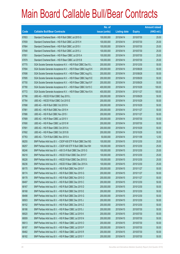|       |                                                                | No. of        |                     |               | <b>Amount raised</b> |
|-------|----------------------------------------------------------------|---------------|---------------------|---------------|----------------------|
| Code  | <b>Callable Bull/Bear Contracts</b>                            | issue (units) | <b>Listing date</b> | <b>Expiry</b> | (HK\$ mil.)          |
| 67653 | Standard Chartered Bank - HSI R Bull CBBC Jul 2015 G           | 100,000,000   | 2015/04/14          | 2015/07/30    | 25.00                |
| 67659 | Standard Chartered Bank - HSI R Bull CBBC Jul 2015 H           | 100,000,000   | 2015/04/14          | 2015/07/30    | 25.00                |
| 67664 | Standard Chartered Bank - HSI R Bull CBBC Jul 2015 I           | 100,000,000   | 2015/04/14          | 2015/07/30    | 25.00                |
| 67848 | Standard Chartered Bank - HSI R Bull CBBC Jul 2015 J           | 100,000,000   | 2015/04/14          | 2015/07/30    | 25.00                |
| 67851 | Standard Chartered Bank - HSI R Bear CBBC Jul 2015 A           | 100,000,000   | 2015/04/14          | 2015/07/30    | 25.00                |
| 67879 | Standard Chartered Bank - HSI R Bear CBBC Jul 2015 B           | 100,000,000   | 2015/04/14          | 2015/07/30    | 25.00                |
| 67770 | SGA Societe Generale Acceptance N.V. - HSI R Bull CBBC Dec15 L | 200,000,000   | 2015/04/14          | 2015/12/30    | 50.00                |
| 67694 | SGA Societe Generale Acceptance N.V. - HSI R Bear CBBC Aug15 K | 200,000,000   | 2015/04/14          | 2015/08/28    | 50.00                |
| 67698 | SGA Societe Generale Acceptance N.V. - HSI R Bear CBBC Aug15 L | 200,000,000   | 2015/04/14          | 2015/08/28    | 50.00                |
| 67695 | SGA Societe Generale Acceptance N.V. - HSI R Bear CBBC Sep15 E | 200,000,000   | 2015/04/14          | 2015/09/29    | 50.00                |
| 67700 | SGA Societe Generale Acceptance N.V. - HSI R Bear CBBC Sep15 F | 200,000,000   | 2015/04/14          | 2015/09/29    | 50.00                |
| 67780 | SGA Societe Generale Acceptance N.V. - HSI R Bear CBBC Oct15 C | 400,000,000   | 2015/04/14          | 2015/10/29    | 100.00               |
| 67772 | SGA Societe Generale Acceptance N.V. - HSI R Bear CBBC Nov15 A | 400,000,000   | 2015/04/14          | 2015/11/27    | 100.00               |
| 67766 | UBS AG - HSCEI R Bull CBBC Sep 2015 L                          | 200,000,000   | 2015/04/14          | 2015/09/29    | 50.00                |
| 67764 | UBS AG - HSCEI R Bull CBBC Oct 2015 E                          | 200,000,000   | 2015/04/14          | 2015/10/29    | 50.00                |
| 67898 | UBS AG - HSI R Bull CBBC Oct 2015 N                            | 200,000,000   | 2015/04/14          | 2015/10/29    | 50.00                |
| 67881 | UBS AG - HSI R Bull CBBC Nov 2015 H                            | 200,000,000   | 2015/04/14          | 2015/11/27    | 50.00                |
| 67886 | UBS AG - HSI R Bull CBBC Nov 2015 I                            | 200,000,000   | 2015/04/14          | 2015/11/27    | 50.00                |
| 67689 | UBS AG - HSI R Bear CBBC Jul 2015 V                            | 200,000,000   | 2015/04/14          | 2015/07/30    | 50.00                |
| 67690 | UBS AG - HSI R Bear CBBC Jul 2015 W                            | 200,000,000   | 2015/04/14          | 2015/07/30    | 50.00                |
| 67691 | UBS AG - HSI R Bear CBBC Oct 2015 A                            | 200,000,000   | 2015/04/14          | 2015/10/29    | 50.00                |
| 67692 | UBS AG - HSI R Bear CBBC Oct 2015 B                            | 200,000,000   | 2015/04/14          | 2015/10/29    | 50.00                |
| 67763 | UBS AG - TCH R Bull CBBC Nov 2015 A                            | 50,000,000    | 2015/04/14          | 2015/11/09    | 12.50                |
| 68255 | BNP Paribas Arbit Issu B.V. - CSOP A50 ETF R Bull CBBC Dec15G  | 100,000,000   | 2015/04/15          | 2015/12/30    | 25.00                |
| 68257 | BNP Paribas Arbit Issu B.V. - CSOP A50 ETF R Bull CBBC Dec15H  | 100,000,000   | 2015/04/15          | 2015/12/30    | 25.00                |
| 68246 | BNP Paribas Arbit Issu B.V. - A50 Ch R Bull CBBC Dec 2015 G    | 100,000,000   | 2015/04/15          | 2015/12/30    | 25.00                |
| 68218 | BNP Paribas Arbit Issu B.V. - HSCEI R Bull CBBC Dec 2015 F     | 100,000,000   | 2015/04/15          | 2015/12/30    | 25.00                |
| 68226 | BNP Paribas Arbit Issu B.V. - HSCEI R Bull CBBC Dec 2015 G     | 100,000,000   | 2015/04/15          | 2015/12/30    | 25.00                |
| 68236 | BNP Paribas Arbit Issu B.V. - HSCEI R Bear CBBC Dec 2015 A     | 100,000,000   | 2015/04/15          | 2015/12/30    | 25.00                |
| 68170 | BNP Paribas Arbit Issu B.V. - HSI R Bull CBBC Nov 2015 F       | 200,000,000   | 2015/04/15          | 2015/11/27    | 50.00                |
| 68174 | BNP Paribas Arbit Issu B.V. - HSI R Bull CBBC Nov 2015 G       | 200,000,000   | 2015/04/15          | 2015/11/27    | 50.00                |
| 68178 | BNP Paribas Arbit Issu B.V. - HSI R Bull CBBC Nov 2015 O       | 200,000,000   | 2015/04/15          | 2015/11/27    | 50.00                |
| 68497 | BNP Paribas Arbit Issu B.V. - HSI R Bull CBBC Dec 2015 C       | 200,000,000   | 2015/04/15          | 2015/12/30    | 50.00                |
| 68167 | BNP Paribas Arbit Issu B.V. - HSI R Bull CBBC Dec 2015 D       | 200,000,000   | 2015/04/15          | 2015/12/30    | 50.00                |
| 68168 | BNP Paribas Arbit Issu B.V. - HSI R Bull CBBC Dec 2015 E       | 200,000,000   | 2015/04/15          | 2015/12/30    | 50.00                |
| 68498 | BNP Paribas Arbit Issu B.V. - HSI R Bull CBBC Dec 2015 G       | 200,000,000   | 2015/04/15          | 2015/12/30    | 50.00                |
| 68503 | BNP Paribas Arbit Issu B.V. - HSI R Bull CBBC Dec 2015 J       | 200,000,000   | 2015/04/15          | 2015/12/30    | 50.00                |
| 68152 | BNP Paribas Arbit Issu B.V. - HSI R Bull CBBC Dec 2015 Z       | 200,000,000   | 2015/04/15          | 2015/12/30    | 50.00                |
| 68186 | BNP Paribas Arbit Issu B.V. - HSI R Bear CBBC Jul 2015 J       | 200,000,000   | 2015/04/15          | 2015/07/30    | 50.00                |
| 68020 | BNP Paribas Arbit Issu B.V. - HSI R Bear CBBC Jul 2015 K       | 200,000,000   | 2015/04/15          | 2015/07/30    | 50.00                |
| 68009 | BNP Paribas Arbit Issu B.V. - HSI R Bear CBBC Jul 2015 N       | 200,000,000   | 2015/04/15          | 2015/07/30    | 50.00                |
| 68013 | BNP Paribas Arbit Issu B.V. - HSI R Bear CBBC Jul 2015 O       | 200,000,000   | 2015/04/15          | 2015/07/30    | 50.00                |
| 68187 | BNP Paribas Arbit Issu B.V. - HSI R Bear CBBC Jul 2015 P       | 200,000,000   | 2015/04/15          | 2015/07/30    | 50.00                |
| 68482 | BNP Paribas Arbit Issu B.V. - HSI R Bear CBBC Jul 2015 R       | 200,000,000   | 2015/04/15          | 2015/07/30    | 50.00                |
| 68182 | BNP Paribas Arbit Issu B.V. - HSI R Bear CBBC Jul 2015 Y       | 200,000,000   | 2015/04/15          | 2015/07/30    | 50.00                |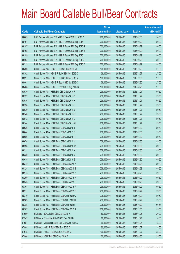|       |                                                          | No. of        |                     |               | <b>Amount raised</b> |
|-------|----------------------------------------------------------|---------------|---------------------|---------------|----------------------|
| Code  | <b>Callable Bull/Bear Contracts</b>                      | issue (units) | <b>Listing date</b> | <b>Expiry</b> | $(HK$$ mil.)         |
| 68003 | BNP Paribas Arbit Issu B.V. - HSI R Bear CBBC Jul 2015 Z | 200,000,000   | 2015/04/15          | 2015/07/30    | 50.00                |
| 68191 | BNP Paribas Arbit Issu B.V. - HSI R Bear CBBC Sep 2015 F | 200,000,000   | 2015/04/15          | 2015/09/29    | 50.00                |
| 68197 | BNP Paribas Arbit Issu B.V. - HSI R Bear CBBC Sep 2015 G | 200,000,000   | 2015/04/15          | 2015/09/29    | 50.00                |
| 68198 | BNP Paribas Arbit Issu B.V. - HSI R Bear CBBC Sep 2015 H | 200,000,000   | 2015/04/15          | 2015/09/29    | 50.00                |
| 68199 | BNP Paribas Arbit Issu B.V. - HSI R Bear CBBC Sep 2015 I | 200,000,000   | 2015/04/15          | 2015/09/29    | 50.00                |
| 68204 | BNP Paribas Arbit Issu B.V. - HSI R Bear CBBC Sep 2015 J | 200,000,000   | 2015/04/15          | 2015/09/29    | 50.00                |
| 68213 | BNP Paribas Arbit Issu B.V. - HSI R Bear CBBC Sep 2015 K | 200,000,000   | 2015/04/15          | 2015/09/29    | 58.00                |
| 68396 | Credit Suisse AG - HSCEI R Bull CBBC Oct 2015 E          | 108,000,000   | 2015/04/15          | 2015/10/29    | 27.00                |
| 68392 | Credit Suisse AG - HSCEI R Bull CBBC Nov 2015 C          | 108,000,000   | 2015/04/15          | 2015/11/27    | 27.00                |
| 68391 | Credit Suisse AG - HSCEI R Bull CBBC Dec 2015 A          | 108,000,000   | 2015/04/15          | 2015/12/30    | 27.00                |
| 68401 | Credit Suisse AG - HSCEI R Bear CBBC Jul 2015 C          | 108,000,000   | 2015/04/15          | 2015/07/30    | 27.00                |
| 68408 | Credit Suisse AG - HSCEI R Bear CBBC Aug 2015 B          | 108,000,000   | 2015/04/15          | 2015/08/28    | 27.00                |
| 68530 | Credit Suisse AG - HSI R Bull CBBC Nov 2015 F            | 238,000,000   | 2015/04/15          | 2015/11/27    | 59.50                |
| 68532 | Credit Suisse AG - HSI R Bull CBBC Nov 2015 G            | 238,000,000   | 2015/04/15          | 2015/11/27    | 59.50                |
| 68536 | Credit Suisse AG - HSI R Bull CBBC Nov 2015 H            | 238,000,000   | 2015/04/15          | 2015/11/27    | 59.50                |
| 68538 | Credit Suisse AG - HSI R Bull CBBC Nov 2015 I            | 238,000,000   | 2015/04/15          | 2015/11/27    | 59.50                |
| 68539 | Credit Suisse AG - HSI R Bull CBBC Nov 2015 J            | 238,000,000   | 2015/04/15          | 2015/11/27    | 59.50                |
| 68540 | Credit Suisse AG - HSI R Bull CBBC Nov 2015 K            | 238,000,000   | 2015/04/15          | 2015/11/27    | 59.50                |
| 68542 | Credit Suisse AG - HSI R Bull CBBC Nov 2015 L            | 238,000,000   | 2015/04/15          | 2015/11/27    | 59.50                |
| 68544 | Credit Suisse AG - HSI R Bull CBBC Nov 2015 M            | 238,000,000   | 2015/04/15          | 2015/11/27    | 59.50                |
| 68036 | Credit Suisse AG - HSI R Bear CBBC Jul 2015 J            | 238,000,000   | 2015/04/15          | 2015/07/30    | 59.50                |
| 68044 | Credit Suisse AG - HSI R Bear CBBC Jul 2015 Q            | 238,000,000   | 2015/04/15          | 2015/07/30    | 59.50                |
| 68056 | Credit Suisse AG - HSI R Bear CBBC Jul 2015 R            | 238,000,000   | 2015/04/15          | 2015/07/30    | 59.50                |
| 68074 | Credit Suisse AG - HSI R Bear CBBC Jul 2015 V            | 238,000,000   | 2015/04/15          | 2015/07/30    | 59.50                |
| 68298 | Credit Suisse AG - HSI R Bear CBBC Jul 2015 W            | 238,000,000   | 2015/04/15          | 2015/07/30    | 59.50                |
| 68311 | Credit Suisse AG - HSI R Bear CBBC Jul 2015 X            | 238,000,000   | 2015/04/15          | 2015/07/30    | 59.50                |
| 68330 | Credit Suisse AG - HSI R Bear CBBC Jul 2015 Y            | 238,000,000   | 2015/04/15          | 2015/07/30    | 59.50                |
| 68035 | Credit Suisse AG - HSI R Bear CBBC Jul 2015 Z            | 238,000,000   | 2015/04/15          | 2015/07/30    | 59.50                |
| 68342 | Credit Suisse AG - HSI R Bear CBBC Aug 2015 A            | 238,000,000   | 2015/04/15          | 2015/08/28    | 59.50                |
| 68324 | Credit Suisse AG - HSI R Bear CBBC Aug 2015 B            | 238,000,000   | 2015/04/15          | 2015/08/28    | 59.50                |
| 68275 | Credit Suisse AG - HSI R Bear CBBC Aug 2015 Z            | 238,000,000   | 2015/04/15          | 2015/08/28    | 59.50                |
| 68299 | Credit Suisse AG - HSI R Bear CBBC Sep 2015 N            | 238,000,000   | 2015/04/15          | 2015/09/29    | 59.50                |
| 68343 | Credit Suisse AG - HSI R Bear CBBC Sep 2015 O            | 238,000,000   | 2015/04/15          | 2015/09/29    | 59.50                |
| 68364 | Credit Suisse AG - HSI R Bear CBBC Sep 2015 P            | 238,000,000   | 2015/04/15          | 2015/09/29    | 59.50                |
| 68371 | Credit Suisse AG - HSI R Bear CBBC Sep 2015 Q            | 238,000,000   | 2015/04/15          | 2015/09/29    | 59.50                |
| 68370 | Credit Suisse AG - HSI R Bear CBBC Oct 2015 G            | 238,000,000   | 2015/04/15          | 2015/10/29    | 59.50                |
| 68383 | Credit Suisse AG - HSI R Bear CBBC Oct 2015 H            | 238,000,000   | 2015/04/15          | 2015/10/29    | 59.50                |
| 68385 | Credit Suisse AG - HSI R Bear CBBC Oct 2015 I            | 238,000,000   | 2015/04/15          | 2015/10/29    | 66.64                |
| 68387 | Credit Suisse AG - HSI R Bear CBBC Dec 2015 A            | 238,000,000   | 2015/04/15          | 2015/12/30    | 59.50                |
| 67950 | HK Bank - BOCL R Bull CBBC Jan 2016 A                    | 80,000,000    | 2015/04/15          | 2016/01/25    | 20.00                |
| 67947 | HK Bank - China Life R Bull CBBC Dec 2015 B              | 60,000,000    | 2015/04/15          | 2015/12/21    | 18.60                |
| 67951 | HK Bank - Minsheng Bank R Bull CBBC Jan 2016 A           | 60,000,000    | 2015/04/15          | 2016/01/25    | 15.00                |
| 67948 | HK Bank - HKEx R Bull CBBC Dec 2015 D                    | 60,000,000    | 2015/04/15          | 2015/12/07    | 18.60                |
| 67945 | HK Bank - HSCEI R Bull CBBC Nov 2015 D                   | 100,000,000   | 2015/04/15          | 2015/11/27    | 25.00                |
| 67946 | HK Bank - HSI R Bull CBBC Mar 2016 A                     | 100,000,000   | 2015/04/15          | 2016/03/30    | 25.00                |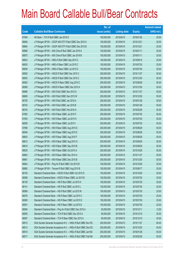|       |                                                                | No. of        |                     |               | <b>Amount raised</b> |
|-------|----------------------------------------------------------------|---------------|---------------------|---------------|----------------------|
| Code  | <b>Callable Bull/Bear Contracts</b>                            | issue (units) | <b>Listing date</b> | <b>Expiry</b> | (HK\$ mil.)          |
| 67949 | HK Bank - TCH R Bull CBBC Jan 2016 D                           | 100,000,000   | 2015/04/15          | 2016/01/25    | 25.00                |
| 68848 | J P Morgan SP BV - CSOP A50 ETF R Bull CBBC Dec 2015 A         | 100,000,000   | 2015/04/15          | 2015/12/21    | 25.00                |
| 68864 | J P Morgan SP BV - CSOP A50 ETF R Bull CBBC Dec 2015 B         | 100,000,000   | 2015/04/15          | 2015/12/21    | 25.00                |
| 68868 | J P Morgan SP BV - A50 China R Bull CBBC Jan 2016 A            | 100,000,000   | 2015/04/15          | 2016/01/11    | 25.00                |
| 68875 | J P Morgan SP BV - A50 China R Bull CBBC Jan 2016 B            | 100,000,000   | 2015/04/15          | 2016/01/11    | 25.00                |
| 68823 | J P Morgan SP BV - HKEx R Bull CBBC Sep 2015 C                 | 100,000,000   | 2015/04/15          | 2015/09/15    | 25.00                |
| 68835 | J P Morgan SP BV - HKEx R Bear CBBC Jul 2015 C                 | 100,000,000   | 2015/04/15          | 2015/07/30    | 25.00                |
| 68839 | J P Morgan SP BV - HKEx R Bear CBBC Jul 2015 D                 | 100,000,000   | 2015/04/15          | 2015/07/30    | 25.00                |
| 68592 | J P Morgan SP BV - HSCEI R Bull CBBC Nov 2015 C                | 200,000,000   | 2015/04/15          | 2015/11/27    | 50.00                |
| 68593 | J P Morgan SP BV - HSCEI R Bull CBBC Dec 2015 C                | 200,000,000   | 2015/04/15          | 2015/12/30    | 50.00                |
| 68583 | J P Morgan SP BV - HSCEI R Bear CBBC Aug 2015 C                | 200,000,000   | 2015/04/15          | 2015/08/28    | 50.00                |
| 68589 | J P Morgan SP BV - HSCEI R Bear CBBC Dec 2015 A                | 200,000,000   | 2015/04/15          | 2015/12/30    | 50.00                |
| 68696 | J P Morgan SP BV - HSI R Bull CBBC Nov 2015 S                  | 200,000,000   | 2015/04/15          | 2015/11/27    | 50.00                |
| 68685 | J P Morgan SP BV - HSI R Bull CBBC Dec 2015 W                  | 200,000,000   | 2015/04/15          | 2015/12/30    | 50.00                |
| 68700 | J P Morgan SP BV - HSI R Bull CBBC Jan 2016 A                  | 200,000,000   | 2015/04/15          | 2016/01/28    | 50.00                |
| 68702 | J P Morgan SP BV - HSI R Bull CBBC Jan 2016 B                  | 200,000,000   | 2015/04/15          | 2016/01/28    | 50.00                |
| 68704 | J P Morgan SP BV - HSI R Bull CBBC Feb 2016 A                  | 200,000,000   | 2015/04/15          | 2016/02/26    | 50.00                |
| 67952 | J P Morgan SP BV - HSI R Bear CBBC Jul 2015 F                  | 200,000,000   | 2015/04/15          | 2015/07/30    | 50.00                |
| 67953 | J P Morgan SP BV - HSI R Bear CBBC Jul 2015 H                  | 200,000,000   | 2015/04/15          | 2015/07/30    | 50.00                |
| 68595 | J P Morgan SP BV - HSI R Bear CBBC Jul 2015 I                  | 200,000,000   | 2015/04/15          | 2015/07/30    | 50.00                |
| 67958 | J P Morgan SP BV - HSI R Bear CBBC Aug 2015 D                  | 200,000,000   | 2015/04/15          | 2015/08/28    | 50.00                |
| 68546 | J P Morgan SP BV - HSI R Bear CBBC Aug 2015 E                  | 200,000,000   | 2015/04/15          | 2015/08/28    | 50.00                |
| 68603 | J P Morgan SP BV - HSI R Bear CBBC Aug 2015 F                  | 200,000,000   | 2015/04/15          | 2015/08/28    | 50.00                |
| 68612 | J P Morgan SP BV - HSI R Bear CBBC Aug 2015 G                  | 200,000,000   | 2015/04/15          | 2015/08/28    | 50.00                |
| 68619 | J P Morgan SP BV - HSI R Bear CBBC Sep 2015 B                  | 200,000,000   | 2015/04/15          | 2015/09/29    | 50.00                |
| 68635 | J P Morgan SP BV - HSI R Bear CBBC Oct 2015 A                  | 200,000,000   | 2015/04/15          | 2015/10/29    | 50.00                |
| 68663 | J P Morgan SP BV - HSI R Bear CBBC Nov 2015 A                  | 200,000,000   | 2015/04/15          | 2015/11/27    | 50.00                |
| 68681 | J P Morgan SP BV - HSI R Bear CBBC Dec 2015 B                  | 200,000,000   | 2015/04/15          | 2015/12/30    | 50.00                |
| 68844 | J P Morgan SP BV - Ping An R Bull CBBC Oct 2015 B              | 100,000,000   | 2015/04/15          | 2015/10/26    | 25.00                |
| 68880 | J P Morgan SP BV - Tencent R Bull CBBC Aug 2015 B              | 100,000,000   | 2015/04/15          | 2015/08/17    | 25.00                |
| 68150 | Standard Chartered Bank - HSCEI R Bull CBBC Oct 2015 D         | 100,000,000   | 2015/04/15          | 2015/10/29    | 25.00                |
| 68098 | Standard Chartered Bank - HSCEI R Bear CBBC Jul 2015 B         | 100,000,000   | 2015/04/15          | 2015/07/30    | 25.00                |
| 68139 | Standard Chartered Bank - HSI R Bull CBBC Jul 2015 K           | 100,000,000   | 2015/04/15          | 2015/07/30    | 25.00                |
| 68141 | Standard Chartered Bank - HSI R Bull CBBC Jul 2015 L           | 100,000,000   | 2015/04/15          | 2015/07/30    | 25.00                |
| 68568 | Standard Chartered Bank - HSI R Bull CBBC Jul 2015 M           | 100,000,000   | 2015/04/15          | 2015/07/30    | 25.00                |
| 68078 | Standard Chartered Bank - HSI R Bear CBBC Jul 2015 C           | 100,000,000   | 2015/04/15          | 2015/07/30    | 25.00                |
| 68085 | Standard Chartered Bank - HSI R Bear CBBC Jul 2015 D           | 100,000,000   | 2015/04/15          | 2015/07/30    | 25.00                |
| 68091 | Standard Chartered Bank - HSI R Bear CBBC Jul 2015 E           | 100,000,000   | 2015/04/15          | 2015/07/30    | 25.00                |
| 68094 | Standard Chartered Bank - Ping An R Bull CBBC Dec 2015 A       | 50,000,000    | 2015/04/15          | 2015/12/11    | 12.50                |
| 68095 | Standard Chartered Bank - TCH R Bull CBBC Dec 2015 A           | 80,000,000    | 2015/04/15          | 2015/12/10    | 20.00                |
| 68097 | Standard Chartered Bank - TCH R Bear CBBC Dec 2015 A           | 80,000,000    | 2015/04/15          | 2015/12/10    | 20.00                |
| 68512 | SGA Societe Generale Acceptance N.V. - HKEx R Bull CBBC Nov15C | 200,000,000   | 2015/04/15          | 2015/11/27    | 64.00                |
| 68513 | SGA Societe Generale Acceptance N.V. - HKEx R Bull CBBC Dec15C | 200,000,000   | 2015/04/15          | 2015/12/30    | 54.00                |
| 68516 | SGA Societe Generale Acceptance N.V. - HKEx R Bull CBBC Jan16A | 200,000,000   | 2015/04/15          | 2016/01/28    | 50.00                |
| 68517 | SGA Societe Generale Acceptance N.V. - HKEx R Bull CBBC Feb16A | 200,000,000   | 2015/04/15          | 2016/02/26    | 50.00                |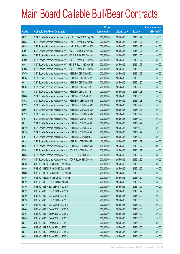|       |                                                                | No. of        |                     |               | <b>Amount raised</b> |
|-------|----------------------------------------------------------------|---------------|---------------------|---------------|----------------------|
| Code  | <b>Callable Bull/Bear Contracts</b>                            | issue (units) | <b>Listing date</b> | <b>Expiry</b> | (HK\$ mil.)          |
| 68522 | SGA Societe Generale Acceptance N.V. - HKEx R Bear CBBC Sep15B | 200,000,000   | 2015/04/15          | 2015/09/29    | 50.00                |
| 68523 | SGA Societe Generale Acceptance N.V. - HKEx R Bear CBBC Nov15A | 200,000,000   | 2015/04/15          | 2015/11/27    | 50.00                |
| 68524 | SGA Societe Generale Acceptance N.V. - HKEx R Bear CBBC Jan16A | 200,000,000   | 2015/04/15          | 2016/01/28    | 62.00                |
| 67967 | SGA Societe Generale Acceptance NV - HSCEI R Bull CBBC Nov15B  | 200,000,000   | 2015/04/15          | 2015/11/27    | 50.00                |
| 68508 | SGA Societe Generale Acceptance NV - HSCEI R Bull CBBC Dec15C  | 200,000,000   | 2015/04/15          | 2015/12/30    | 50.00                |
| 67969 | SGA Societe Generale Acceptance NV - HSCEI R Bear CBBC Nov15A  | 200,000,000   | 2015/04/15          | 2015/11/27    | 50.00                |
| 68511 | SGA Societe Generale Acceptance NV - HSCEI R Bear CBBC Nov15B  | 200,000,000   | 2015/04/15          | 2015/11/27    | 50.00                |
| 67988 | SGA Societe Generale Acceptance NV - HSCEI R Bear CBBC Dec15A  | 200,000,000   | 2015/04/15          | 2015/12/30    | 50.00                |
| 67970 | SGA Societe Generale Acceptance N.V. - HSI R Bull CBBC Nov15 Z | 200,000,000   | 2015/04/15          | 2015/11/27    | 50.00                |
| 68104 | SGA Societe Generale Acceptance N.V. - HSI R Bull CBBC Dec15 M | 200,000,000   | 2015/04/15          | 2015/12/30    | 50.00                |
| 68111 | SGA Societe Generale Acceptance N.V. - HSI R Bull CBBC Dec15 N | 200,000,000   | 2015/04/15          | 2015/12/30    | 50.00                |
| 68105 | SGA Societe Generale Acceptance N.V. - HSI R Bull CBBC Jan16 A | 200,000,000   | 2015/04/15          | 2016/01/28    | 50.00                |
| 68114 | SGA Societe Generale Acceptance N.V. - HSI R Bull CBBC Jan16 B | 200,000,000   | 2015/04/15          | 2016/01/28    | 50.00                |
| 68000 | SGA Societe Generale Acceptance N.V. - HSI R Bear CBBC Jul15 X | 200,000,000   | 2015/04/15          | 2015/07/30    | 50.00                |
| 67972 | SGA Societe Generale Acceptance N.V. - HSI R Bear CBBC Aug15 M | 200,000,000   | 2015/04/15          | 2015/08/28    | 50.00                |
| 67993 | SGA Societe Generale Acceptance N.V. - HSI R Bear CBBC Aug15 N | 200,000,000   | 2015/04/15          | 2015/08/28    | 50.00                |
| 68001 | SGA Societe Generale Acceptance N.V. - HSI R Bear CBBC Aug15 O | 200,000,000   | 2015/04/15          | 2015/08/28    | 50.00                |
| 67973 | SGA Societe Generale Acceptance N.V. - HSI R Bear CBBC Sep15 G | 200,000,000   | 2015/04/15          | 2015/09/29    | 50.00                |
| 67978 | SGA Societe Generale Acceptance N.V. - HSI R Bear CBBC Sep15 H | 200,000,000   | 2015/04/15          | 2015/09/29    | 50.00                |
| 68115 | SGA Societe Generale Acceptance N.V. - HSI R Bear CBBC Sep15 I | 200,000,000   | 2015/04/15          | 2015/09/29    | 50.00                |
| 68119 | SGA Societe Generale Acceptance N.V. - HSI R Bear CBBC Sep15 J | 200,000,000   | 2015/04/15          | 2015/09/29    | 50.00                |
| 68120 | SGA Societe Generale Acceptance N.V. - HSI R Bear CBBC Sep15 K | 200,000,000   | 2015/04/15          | 2015/09/29    | 50.00                |
| 67974 | SGA Societe Generale Acceptance N.V. - HSI R Bear CBBC Oct15 D | 200,000,000   | 2015/04/15          | 2015/10/29    | 50.00                |
| 68129 | SGA Societe Generale Acceptance N.V. - HSI R Bear CBBC Nov15 B | 400,000,000   | 2015/04/15          | 2015/11/27    | 100.00               |
| 68131 | SGA Societe Generale Acceptance N.V. - HSI R Bear CBBC Nov15 C | 400,000,000   | 2015/04/15          | 2015/11/27    | 100.00               |
| 67983 | SGA Societe Generale Acceptance N.V. - TCH R Bull CBBC Nov15D  | 200,000,000   | 2015/04/15          | 2015/11/27    | 50.00                |
| 68525 | SGA Societe Generale Acceptance N.V. - TCH R Bull CBBC Nov15E  | 200,000,000   | 2015/04/15          | 2015/11/27    | 50.00                |
| 67987 | SGA Societe Generale Acceptance N.V. - TCH R Bear CBBC Dec15B  | 200,000,000   | 2015/04/15          | 2015/12/30    | 50.00                |
| 68755 | UBS AG - HSCEI R Bull CBBC Dec 2015 A                          | 200,000,000   | 2015/04/15          | 2015/12/30    | 50.00                |
| 68804 | UBS AG - HSCEI R Bull CBBC Dec 2015 B                          | 200,000,000   | 2015/04/15          | 2015/12/30    | 50.00                |
| 68808 | UBS AG - HSCEI R Bull CBBC Dec 2015 C                          | 200,000,000   | 2015/04/15          | 2015/12/30    | 50.00                |
| 68467 | UBS AG - HSCEI R Bear CBBC Jul 2015 B                          | 200,000,000   | 2015/04/15          | 2015/07/30    | 50.00                |
| 68729 | UBS AG - HSI R Bull CBBC Oct 2015 O                            | 200,000,000   | 2015/04/15          | 2015/10/29    | 50.00                |
| 68705 | UBS AG - HSI R Bull CBBC Nov 2015 J                            | 200,000,000   | 2015/04/15          | 2015/11/27    | 50.00                |
| 68739 | UBS AG - HSI R Bull CBBC Nov 2015 K                            | 200,000,000   | 2015/04/15          | 2015/11/27    | 50.00                |
| 68706 | UBS AG - HSI R Bull CBBC Dec 2015 C                            | 200,000,000   | 2015/04/15          | 2015/12/30    | 50.00                |
| 68730 | UBS AG - HSI R Bull CBBC Dec 2015 D                            | 200,000,000   | 2015/04/15          | 2015/12/30    | 50.00                |
| 68746 | UBS AG - HSI R Bull CBBC Dec 2015 E                            | 200,000,000   | 2015/04/15          | 2015/12/30    | 50.00                |
| 68460 | UBS AG - HSI R Bear CBBC Jul 2015 B                            | 200,000,000   | 2015/04/15          | 2015/07/30    | 50.00                |
| 68468 | UBS AG - HSI R Bear CBBC Jul 2015 D                            | 200,000,000   | 2015/04/15          | 2015/07/30    | 50.00                |
| 68470 | UBS AG - HSI R Bear CBBC Jul 2015 E                            | 200,000,000   | 2015/04/15          | 2015/07/30    | 50.00                |
| 68471 | UBS AG - HSI R Bear CBBC Jul 2015 G                            | 200,000,000   | 2015/04/15          | 2015/07/30    | 50.00                |
| 68469 | UBS AG - HSI R Bear CBBC Jul 2015 I                            | 200,000,000   | 2015/04/15          | 2015/07/30    | 50.00                |
| 68441 | UBS AG - HSI R Bear CBBC Jul 2015 K                            | 200,000,000   | 2015/04/15          | 2015/07/30    | 50.00                |
| 68553 | UBS AG - HSI R Bear CBBC Jul 2015 N                            | 200,000,000   | 2015/04/15          | 2015/07/30    | 50.00                |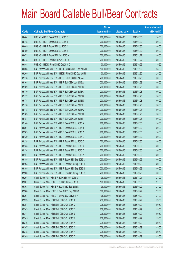|        |                                                            | No. of        |                     |               | <b>Amount raised</b> |
|--------|------------------------------------------------------------|---------------|---------------------|---------------|----------------------|
| Code   | <b>Callable Bull/Bear Contracts</b>                        | issue (units) | <b>Listing date</b> | <b>Expiry</b> | $(HK$$ mil.)         |
| 68464  | UBS AG - HSI R Bear CBBC Jul 2015 O                        | 200,000,000   | 2015/04/15          | 2015/07/30    | 50.00                |
| 68418  | UBS AG - HSI R Bear CBBC Jul 2015 X                        | 200,000,000   | 2015/04/15          | 2015/07/30    | 50.00                |
| 68449  | UBS AG - HSI R Bear CBBC Jul 2015 Y                        | 200,000,000   | 2015/04/15          | 2015/07/30    | 50.00                |
| 68459  | UBS AG - HSI R Bear CBBC Jul 2015 Z                        | 200,000,000   | 2015/04/15          | 2015/07/30    | 50.00                |
| 68472  | UBS AG - HSI R Bear CBBC Nov 2015 A                        | 200,000,000   | 2015/04/15          | 2015/11/27    | 50.00                |
| 68473  | UBS AG - HSI R Bear CBBC Nov 2015 B                        | 200,000,000   | 2015/04/15          | 2015/11/27    | 50.00                |
| 66848# | UBS AG - HSCEI R Bull CBBC Oct 2015 D                      | 100,000,000   | 2015/04/15          | 2015/10/29    | 19.90                |
| 69208  | BNP Paribas Arbit Issu B.V. - HSCEI R Bull CBBC Dec 2015 H | 100,000,000   | 2015/04/16          | 2015/12/30    | 25.00                |
| 69209  | BNP Paribas Arbit Issu B.V. - HSCEI R Bull CBBC Dec 2015 I | 100,000,000   | 2015/04/16          | 2015/12/30    | 25.00                |
| 69118  | BNP Paribas Arbit Issu B.V. - HSI R Bull CBBC Oct 2015 A   | 200,000,000   | 2015/04/16          | 2015/10/29    | 50.00                |
| 69168  | BNP Paribas Arbit Issu B.V. - HSI R Bull CBBC Jan 2016 A   | 200,000,000   | 2015/04/16          | 2016/01/28    | 50.00                |
| 69169  | BNP Paribas Arbit Issu B.V. - HSI R Bull CBBC Jan 2016 B   | 200,000,000   | 2015/04/16          | 2016/01/28    | 50.00                |
| 69170  | BNP Paribas Arbit Issu B.V. - HSI R Bull CBBC Jan 2016 C   | 200,000,000   | 2015/04/16          | 2016/01/28    | 50.00                |
| 69172  | BNP Paribas Arbit Issu B.V. - HSI R Bull CBBC Jan 2016 D   | 200,000,000   | 2015/04/16          | 2016/01/28    | 50.00                |
| 69174  | BNP Paribas Arbit Issu B.V. - HSI R Bull CBBC Jan 2016 E   | 200,000,000   | 2015/04/16          | 2016/01/28    | 50.00                |
| 69176  | BNP Paribas Arbit Issu B.V. - HSI R Bull CBBC Jan 2016 F   | 200,000,000   | 2015/04/16          | 2016/01/28    | 50.00                |
| 69178  | BNP Paribas Arbit Issu B.V. - HSI R Bull CBBC Jan 2016 G   | 200,000,000   | 2015/04/16          | 2016/01/28    | 50.00                |
| 69183  | BNP Paribas Arbit Issu B.V. - HSI R Bull CBBC Jan 2016 H   | 200,000,000   | 2015/04/16          | 2016/01/28    | 50.00                |
| 69184  | BNP Paribas Arbit Issu B.V. - HSI R Bull CBBC Jan 2016 I   | 200,000,000   | 2015/04/16          | 2016/01/28    | 50.00                |
| 69140  | BNP Paribas Arbit Issu B.V. - HSI R Bear CBBC Jul 2015 A   | 200,000,000   | 2015/04/16          | 2015/07/30    | 50.00                |
| 69201  | BNP Paribas Arbit Issu B.V. - HSI R Bear CBBC Jul 2015 B   | 200,000,000   | 2015/04/16          | 2015/07/30    | 50.00                |
| 69203  | BNP Paribas Arbit Issu B.V. - HSI R Bear CBBC Jul 2015 D   | 200,000,000   | 2015/04/16          | 2015/07/30    | 50.00                |
| 69139  | BNP Paribas Arbit Issu B.V. - HSI R Bear CBBC Jul 2015 E   | 200,000,000   | 2015/04/16          | 2015/07/30    | 50.00                |
| 69138  | BNP Paribas Arbit Issu B.V. - HSI R Bear CBBC Jul 2015 Q   | 200,000,000   | 2015/04/16          | 2015/07/30    | 50.00                |
| 69133  | BNP Paribas Arbit Issu B.V. - HSI R Bear CBBC Jul 2015 S   | 200,000,000   | 2015/04/16          | 2015/07/30    | 50.00                |
| 69134  | BNP Paribas Arbit Issu B.V. - HSI R Bear CBBC Jul 2015 T   | 200,000,000   | 2015/04/16          | 2015/07/30    | 50.00                |
| 69127  | BNP Paribas Arbit Issu B.V. - HSI R Bear CBBC Jul 2015 W   | 200,000,000   | 2015/04/16          | 2015/07/30    | 50.00                |
| 69185  | BNP Paribas Arbit Issu B.V. - HSI R Bear CBBC Sep 2015 L   | 200,000,000   | 2015/04/16          | 2015/09/29    | 50.00                |
| 69193  | BNP Paribas Arbit Issu B.V. - HSI R Bear CBBC Sep 2015 M   | 200,000,000   | 2015/04/16          | 2015/09/29    | 50.00                |
| 69195  | BNP Paribas Arbit Issu B.V. - HSI R Bear CBBC Sep 2015 N   | 200,000,000   | 2015/04/16          | 2015/09/29    | 50.00                |
| 69200  | BNP Paribas Arbit Issu B.V. - HSI R Bear CBBC Sep 2015 O   | 200,000,000   | 2015/04/16          | 2015/09/29    | 50.00                |
| 69294  | Credit Suisse AG - HSCEI R Bull CBBC Nov 2015 D            | 108,000,000   | 2015/04/16          | 2015/11/27    | 27.00                |
| 69301  | Credit Suisse AG - HSCEI R Bull CBBC Dec 2015 B            | 108,000,000   | 2015/04/16          | 2015/12/30    | 27.00                |
| 69303  | Credit Suisse AG - HSCEI R Bear CBBC Sep 2015 B            | 108,000,000   | 2015/04/16          | 2015/09/29    | 27.00                |
| 69308  | Credit Suisse AG - HSCEI R Bear CBBC Sep 2015 C            | 108,000,000   | 2015/04/16          | 2015/09/29    | 27.00                |
| 69304  | Credit Suisse AG - HSCEI R Bear CBBC Oct 2015 A            | 108,000,000   | 2015/04/16          | 2015/10/29    | 27.00                |
| 69353  | Credit Suisse AG - HSI R Bull CBBC Oct 2015 B              | 238,000,000   | 2015/04/16          | 2015/10/29    | 59.50                |
| 69354  | Credit Suisse AG - HSI R Bull CBBC Oct 2015 C              | 238,000,000   | 2015/04/16          | 2015/10/29    | 59.50                |
| 69343  | Credit Suisse AG - HSI R Bull CBBC Oct 2015 T              | 238,000,000   | 2015/04/16          | 2015/10/29    | 59.50                |
| 69344  | Credit Suisse AG - HSI R Bull CBBC Oct 2015 U              | 238,000,000   | 2015/04/16          | 2015/10/29    | 59.50                |
| 69345  | Credit Suisse AG - HSI R Bull CBBC Oct 2015 V              | 238,000,000   | 2015/04/16          | 2015/10/29    | 59.50                |
| 69346  | Credit Suisse AG - HSI R Bull CBBC Oct 2015 W              | 238,000,000   | 2015/04/16          | 2015/10/29    | 59.50                |
| 69347  | Credit Suisse AG - HSI R Bull CBBC Oct 2015 X              | 238,000,000   | 2015/04/16          | 2015/10/29    | 59.50                |
| 69348  | Credit Suisse AG - HSI R Bull CBBC Oct 2015 Y              | 238,000,000   | 2015/04/16          | 2015/10/29    | 59.50                |
| 69349  | Credit Suisse AG - HSI R Bull CBBC Oct 2015 Z              | 238,000,000   | 2015/04/16          | 2015/10/29    | 59.50                |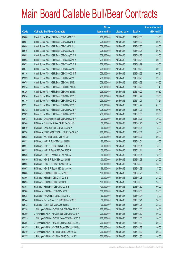|       |                                                 | No. of        |                     |               | <b>Amount raised</b> |
|-------|-------------------------------------------------|---------------|---------------------|---------------|----------------------|
| Code  | <b>Callable Bull/Bear Contracts</b>             | issue (units) | <b>Listing date</b> | <b>Expiry</b> | $(HK$$ mil.)         |
| 69080 | Credit Suisse AG - HSI R Bear CBBC Jul 2015 O   | 238,000,000   | 2015/04/16          | 2015/07/30    | 59.50                |
| 69081 | Credit Suisse AG - HSI R Bear CBBC Jul 2015 T   | 238,000,000   | 2015/04/16          | 2015/07/30    | 59.50                |
| 69098 | Credit Suisse AG - HSI R Bear CBBC Jul 2015 U   | 238,000,000   | 2015/04/16          | 2015/07/30    | 59.50                |
| 69076 | Credit Suisse AG - HSI R Bear CBBC Aug 2015 I   | 238,000,000   | 2015/04/16          | 2015/08/28    | 59.50                |
| 69092 | Credit Suisse AG - HSI R Bear CBBC Aug 2015 J   | 238,000,000   | 2015/04/16          | 2015/08/28    | 59.50                |
| 69093 | Credit Suisse AG - HSI R Bear CBBC Aug 2015 K   | 238,000,000   | 2015/04/16          | 2015/08/28    | 59.50                |
| 69072 | Credit Suisse AG - HSI R Bear CBBC Sep 2015 R   | 238,000,000   | 2015/04/16          | 2015/09/29    | 59.50                |
| 69077 | Credit Suisse AG - HSI R Bear CBBC Sep 2015 S   | 238,000,000   | 2015/04/16          | 2015/09/29    | 59.50                |
| 69316 | Credit Suisse AG - HSI R Bear CBBC Sep 2015 T   | 238,000,000   | 2015/04/16          | 2015/09/29    | 66.64                |
| 69339 | Credit Suisse AG - HSI R Bear CBBC Sep 2015 U   | 238,000,000   | 2015/04/16          | 2015/09/29    | 59.50                |
| 69078 | Credit Suisse AG - HSI R Bear CBBC Oct 2015 J   | 238,000,000   | 2015/04/16          | 2015/10/29    | 59.50                |
| 69314 | Credit Suisse AG - HSI R Bear CBBC Oct 2015 K   | 238,000,000   | 2015/04/16          | 2015/10/29    | 71.40                |
| 69326 | Credit Suisse AG - HSI R Bear CBBC Oct 2015 L   | 238,000,000   | 2015/04/16          | 2015/10/29    | 59.50                |
| 69074 | Credit Suisse AG - HSI R Bear CBBC Nov 2015 C   | 238,000,000   | 2015/04/16          | 2015/11/27    | 59.50                |
| 69310 | Credit Suisse AG - HSI R Bear CBBC Nov 2015 D   | 238,000,000   | 2015/04/16          | 2015/11/27    | 78.54                |
| 69321 | Credit Suisse AG - HSI R Bear CBBC Nov 2015 E   | 238,000,000   | 2015/04/16          | 2015/11/27    | 61.88                |
| 69342 | Credit Suisse AG - HSI R Bear CBBC Nov 2015 F   | 238,000,000   | 2015/04/16          | 2015/11/27    | 59.50                |
| 69309 | Credit Suisse AG - HSI R Bear CBBC Dec 2015 B   | 238,000,000   | 2015/04/16          | 2015/12/30    | 59.50                |
| 68943 | HK Bank - China Mobile R Bull CBBC Dec 2015 A   | 120,000,000   | 2015/04/16          | 2015/12/07    | 30.00                |
| 68946 | HK Bank - China Life R Bear CBBC Feb 2016 B     | 50,000,000    | 2015/04/16          | 2016/02/25    | 34.00                |
| 68940 | HK Bank - CNOOC R Bull CBBC Feb 2016 A          | 60,000,000    | 2015/04/16          | 2016/02/01    | 15.00                |
| 68926 | HK Bank - CSOP A50 ETF R Bull CBBC Feb 2016 G   | 200,000,000   | 2015/04/16          | 2016/02/01    | 50.00                |
| 68925 | HK Bank - A50 R Bull CBBC Mar 2016 D            | 200,000,000   | 2015/04/16          | 2016/03/07    | 50.00                |
| 68932 | HK Bank - HKEx R Bull CBBC Jan 2016 B           | 60,000,000    | 2015/04/16          | 2016/01/04    | 15.00                |
| 68927 | HK Bank - HKEx R Bull CBBC Feb 2016 A           | 60,000,000    | 2015/04/16          | 2016/02/01    | 15.00                |
| 68933 | HK Bank - HKEx R Bear CBBC Dec 2015 B           | 50,000,000    | 2015/04/16          | 2015/12/14    | 12.50                |
| 68936 | HK Bank - HKEx R Bear CBBC Feb 2016 A           | 50,000,000    | 2015/04/16          | 2016/02/01    | 18.50                |
| 68910 | HK Bank - HSCEI R Bull CBBC Jan 2016 B          | 100,000,000   | 2015/04/16          | 2016/01/28    | 25.00                |
| 68908 | HK Bank - HSCEI R Bull CBBC Mar 2016 A          | 100,000,000   | 2015/04/16          | 2016/03/30    | 25.00                |
| 68907 | HK Bank - HSCEI R Bear CBBC Jan 2016 A          | 68,000,000    | 2015/04/16          | 2016/01/28    | 17.00                |
| 68888 | HK Bank - HSI R Bull CBBC Jan 2016 D            | 100,000,000   | 2015/04/16          | 2016/01/28    | 25.00                |
| 68896 | HK Bank - HSI R Bull CBBC Jan 2016 E            | 100,000,000   | 2015/04/16          | 2016/01/28    | 25.00                |
| 68895 | HK Bank - HSI R Bull CBBC Mar 2016 B            | 100,000,000   | 2015/04/16          | 2016/03/30    | 25.00                |
| 68897 | HK Bank - HSI R Bear CBBC Mar 2016 B            | 400,000,000   | 2015/04/16          | 2016/03/30    | 100.00               |
| 68906 | HK Bank - HSI R Bear CBBC Mar 2016 C            | 100,000,000   | 2015/04/16          | 2016/03/30    | 25.00                |
| 68938 | HK Bank - PetCh R Bull CBBC Jan 2016 D          | 60,000,000    | 2015/04/16          | 2016/01/04    | 15.00                |
| 68944 | HK Bank - Sands China R Bull CBBC Dec 2015 E    | 50,000,000    | 2015/04/16          | 2015/12/21    | 28.00                |
| 68942 | HK Bank - TCH R Bull CBBC Jan 2016 E            | 100,000,000   | 2015/04/16          | 2016/01/28    | 25.00                |
| 69358 | JP Morgan SP BV - HSCEIR Bull CBBC Dec 2015 D   | 200,000,000   | 2015/04/16          | 2015/12/30    | 50.00                |
| 69359 | J P Morgan SP BV - HSCEI R Bull CBBC Mar 2016 A | 200,000,000   | 2015/04/16          | 2016/03/30    | 50.00                |
| 69355 | J P Morgan SP BV - HSCEI R Bear CBBC Dec 2015 B | 200,000,000   | 2015/04/16          | 2015/12/30    | 50.00                |
| 69356 | JP Morgan SP BV - HSCEIR Bear CBBC Dec 2015 C   | 200,000,000   | 2015/04/16          | 2015/12/30    | 50.00                |
| 69357 | J P Morgan SP BV - HSCEI R Bear CBBC Jan 2016 A | 200,000,000   | 2015/04/16          | 2016/01/28    | 50.00                |
| 69219 | J P Morgan SP BV - HSI R Bull CBBC Dec 2015 X   | 200,000,000   | 2015/04/16          | 2015/12/30    | 50.00                |
| 69227 | J P Morgan SP BV - HSI R Bull CBBC Dec 2015 Y   | 200,000,000   | 2015/04/16          | 2015/12/30    | 50.00                |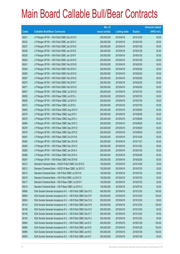|       |                                                                | No. of        |                     |               | <b>Amount raised</b> |
|-------|----------------------------------------------------------------|---------------|---------------------|---------------|----------------------|
| Code  | <b>Callable Bull/Bear Contracts</b>                            | issue (units) | <b>Listing date</b> | <b>Expiry</b> | (HK\$ mil.)          |
| 69231 | J P Morgan SP BV - HSI R Bull CBBC Dec 2015 Z                  | 200,000,000   | 2015/04/16          | 2015/12/30    | 50.00                |
| 69232 | J P Morgan SP BV - HSI R Bull CBBC Jan 2016 C                  | 200,000,000   | 2015/04/16          | 2016/01/28    | 50.00                |
| 69237 | JP Morgan SP BV - HSI R Bull CBBC Jan 2016 D                   | 200,000,000   | 2015/04/16          | 2016/01/28    | 50.00                |
| 69238 | J P Morgan SP BV - HSI R Bull CBBC Jan 2016 E                  | 200,000,000   | 2015/04/16          | 2016/01/28    | 50.00                |
| 69239 | J P Morgan SP BV - HSI R Bull CBBC Jan 2016 F                  | 200,000,000   | 2015/04/16          | 2016/01/28    | 50.00                |
| 69240 | J P Morgan SP BV - HSI R Bull CBBC Jan 2016 G                  | 200,000,000   | 2015/04/16          | 2016/01/28    | 50.00                |
| 69241 | J P Morgan SP BV - HSI R Bull CBBC Feb 2016 B                  | 200,000,000   | 2015/04/16          | 2016/02/26    | 50.00                |
| 69248 | J P Morgan SP BV - HSI R Bull CBBC Feb 2016 C                  | 200,000,000   | 2015/04/16          | 2016/02/26    | 50.00                |
| 69265 | J P Morgan SP BV - HSI R Bull CBBC Feb 2016 D                  | 200,000,000   | 2015/04/16          | 2016/02/26    | 50.00                |
| 69267 | J P Morgan SP BV - HSI R Bull CBBC Feb 2016 E                  | 200,000,000   | 2015/04/16          | 2016/02/26    | 50.00                |
| 69270 | J P Morgan SP BV - HSI R Bull CBBC Feb 2016 F                  | 200,000,000   | 2015/04/16          | 2016/02/26    | 50.00                |
| 69271 | J P Morgan SP BV - HSI R Bull CBBC Feb 2016 G                  | 200,000,000   | 2015/04/16          | 2016/02/26    | 50.00                |
| 69057 | J P Morgan SP BV - HSI R Bear CBBC Jul 2015 G                  | 200,000,000   | 2015/04/16          | 2015/07/30    | 50.00                |
| 69055 | J P Morgan SP BV - HSI R Bear CBBC Jul 2015 J                  | 200,000,000   | 2015/04/16          | 2015/07/30    | 50.00                |
| 69056 | J P Morgan SP BV - HSI R Bear CBBC Jul 2015 K                  | 200,000,000   | 2015/04/16          | 2015/07/30    | 50.00                |
| 69272 | J P Morgan SP BV - HSI R Bear CBBC Jul 2015 L                  | 200,000,000   | 2015/04/16          | 2015/07/30    | 50.00                |
| 69060 | J P Morgan SP BV - HSI R Bear CBBC Aug 2015 H                  | 200,000,000   | 2015/04/16          | 2015/08/28    | 50.00                |
| 69275 | J P Morgan SP BV - HSI R Bear CBBC Aug 2015 I                  | 200,000,000   | 2015/04/16          | 2015/08/28    | 50.00                |
| 69276 | J P Morgan SP BV - HSI R Bear CBBC Aug 2015 J                  | 200,000,000   | 2015/04/16          | 2015/08/28    | 50.00                |
| 69069 | J P Morgan SP BV - HSI R Bear CBBC Sep 2015 C                  | 200,000,000   | 2015/04/16          | 2015/09/29    | 50.00                |
| 69278 | J P Morgan SP BV - HSI R Bear CBBC Sep 2015 D                  | 200,000,000   | 2015/04/16          | 2015/09/29    | 50.00                |
| 69279 | J P Morgan SP BV - HSI R Bear CBBC Sep 2015 E                  | 200,000,000   | 2015/04/16          | 2015/09/29    | 50.00                |
| 69281 | J P Morgan SP BV - HSI R Bear CBBC Oct 2015 B                  | 200,000,000   | 2015/04/16          | 2015/10/29    | 50.00                |
| 69282 | J P Morgan SP BV - HSI R Bear CBBC Nov 2015 B                  | 200,000,000   | 2015/04/16          | 2015/11/27    | 50.00                |
| 69284 | J P Morgan SP BV - HSI R Bear CBBC Dec 2015 C                  | 200,000,000   | 2015/04/16          | 2015/12/30    | 50.00                |
| 69285 | J P Morgan SP BV - HSI R Bear CBBC Jan 2016 A                  | 200,000,000   | 2015/04/16          | 2016/01/28    | 50.00                |
| 69286 | J P Morgan SP BV - HSI R Bear CBBC Feb 2016 A                  | 200,000,000   | 2015/04/16          | 2016/02/26    | 50.00                |
| 69287 | J P Morgan SP BV - HSI R Bear CBBC Feb 2016 B                  | 200,000,000   | 2015/04/16          | 2016/02/26    | 50.00                |
| 69212 | Standard Chartered Bank - HSCEI R Bull CBBC Oct 2015 E         | 100,000,000   | 2015/04/16          | 2015/10/29    | 25.00                |
| 69213 | Standard Chartered Bank - HSCEI R Bear CBBC Jul 2015 C         | 100,000,000   | 2015/04/16          | 2015/07/30    | 25.00                |
| 69215 | Standard Chartered Bank - HSI R Bull CBBC Jul 2015 N           | 100,000,000   | 2015/04/16          | 2015/07/30    | 25.00                |
| 69216 | Standard Chartered Bank - HSI R Bull CBBC Jul 2015 O           | 100,000,000   | 2015/04/16          | 2015/07/30    | 25.00                |
| 69217 | Standard Chartered Bank - HSI R Bear CBBC Jul 2015 F           | 100,000,000   | 2015/04/16          | 2015/07/30    | 25.00                |
| 69218 | Standard Chartered Bank - HSI R Bear CBBC Jul 2015 G           | 100,000,000   | 2015/04/16          | 2015/07/30    | 25.00                |
| 68985 | SGA Societe Generale Acceptance N.V. - HSI R Bull CBBC Dec15 O | 400,000,000   | 2015/04/16          | 2015/12/30    | 100.00               |
| 68994 | SGA Societe Generale Acceptance N.V. - HSI R Bull CBBC Dec15 P | 400,000,000   | 2015/04/16          | 2015/12/30    | 100.00               |
| 69004 | SGA Societe Generale Acceptance N.V. - HSI R Bull CBBC Dec15 Q | 200,000,000   | 2015/04/16          | 2015/12/30    | 50.00                |
| 69143 | SGA Societe Generale Acceptance N.V. - HSI R Bull CBBC Dec15 R | 400,000,000   | 2015/04/16          | 2015/12/30    | 100.00               |
| 69146 | SGA Societe Generale Acceptance N.V. - HSI R Bull CBBC Dec15 S | 200,000,000   | 2015/04/16          | 2015/12/30    | 50.00                |
| 69148 | SGA Societe Generale Acceptance N.V. - HSI R Bull CBBC Dec15 T | 200,000,000   | 2015/04/16          | 2015/12/30    | 50.00                |
| 69150 | SGA Societe Generale Acceptance N.V. - HSI R Bull CBBC Dec15 U | 200,000,000   | 2015/04/16          | 2015/12/30    | 50.00                |
| 68984 | SGA Societe Generale Acceptance N.V. - HSI R Bull CBBC Jan16 C | 400,000,000   | 2015/04/16          | 2016/01/28    | 100.00               |
| 68988 | SGA Societe Generale Acceptance N.V. - HSI R Bull CBBC Jan16 D | 400,000,000   | 2015/04/16          | 2016/01/28    | 100.00               |
| 68996 | SGA Societe Generale Acceptance N.V. - HSI R Bull CBBC Jan16 E | 400,000,000   | 2015/04/16          | 2016/01/28    | 100.00               |
| 69005 | SGA Societe Generale Acceptance N.V. - HSI R Bull CBBC Jan16 F | 200,000,000   | 2015/04/16          | 2016/01/28    | 50.00                |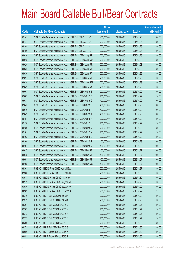|       |                                                                | No. of        |                     |               | <b>Amount raised</b> |
|-------|----------------------------------------------------------------|---------------|---------------------|---------------|----------------------|
| Code  | <b>Callable Bull/Bear Contracts</b>                            | issue (units) | <b>Listing date</b> | <b>Expiry</b> | (HK\$ mil.)          |
| 69145 | SGA Societe Generale Acceptance N.V. - HSI R Bull CBBC Jan16 G | 400,000,000   | 2015/04/16          | 2016/01/28    | 100.00               |
| 69147 | SGA Societe Generale Acceptance N.V. - HSI R Bull CBBC Jan16 H | 200,000,000   | 2015/04/16          | 2016/01/28    | 50.00                |
| 69149 | SGA Societe Generale Acceptance N.V. - HSI R Bull CBBC Jan16 I | 200,000,000   | 2015/04/16          | 2016/01/28    | 50.00                |
| 69156 | SGA Societe Generale Acceptance N.V. - HSI R Bull CBBC Jan16 J | 200,000,000   | 2015/04/16          | 2016/01/28    | 50.00                |
| 69010 | SGA Societe Generale Acceptance N.V. - HSI R Bear CBBC Aug15 P | 200,000,000   | 2015/04/16          | 2015/08/28    | 50.00                |
| 69015 | SGA Societe Generale Acceptance N.V. - HSI R Bear CBBC Aug15 Q | 200,000,000   | 2015/04/16          | 2015/08/28    | 50.00                |
| 69025 | SGA Societe Generale Acceptance N.V. - HSI R Bear CBBC Aug15 R | 200,000,000   | 2015/04/16          | 2015/08/28    | 50.00                |
| 69032 | SGA Societe Generale Acceptance N.V. - HSI R Bear CBBC Aug15 S | 200,000,000   | 2015/04/16          | 2015/08/28    | 50.00                |
| 69036 | SGA Societe Generale Acceptance N.V. - HSI R Bear CBBC Aug15 T | 200,000,000   | 2015/04/16          | 2015/08/28    | 50.00                |
| 69027 | SGA Societe Generale Acceptance N.V. - HSI R Bear CBBC Sep15 L | 200,000,000   | 2015/04/16          | 2015/09/29    | 50.00                |
| 69034 | SGA Societe Generale Acceptance N.V. - HSI R Bear CBBC Sep15 M | 200,000,000   | 2015/04/16          | 2015/09/29    | 50.00                |
| 69042 | SGA Societe Generale Acceptance N.V. - HSI R Bear CBBC Sep15 N | 200,000,000   | 2015/04/16          | 2015/09/29    | 50.00                |
| 69008 | SGA Societe Generale Acceptance N.V. - HSI R Bear CBBC Oct15 E | 200,000,000   | 2015/04/16          | 2015/10/29    | 50.00                |
| 69009 | SGA Societe Generale Acceptance N.V. - HSI R Bear CBBC Oct15 F | 200,000,000   | 2015/04/16          | 2015/10/29    | 50.00                |
| 69031 | SGA Societe Generale Acceptance N.V. - HSI R Bear CBBC Oct15 G | 400,000,000   | 2015/04/16          | 2015/10/29    | 100.00               |
| 69045 | SGA Societe Generale Acceptance N.V. - HSI R Bear CBBC Oct15 H | 400,000,000   | 2015/04/16          | 2015/10/29    | 100.00               |
| 69046 | SGA Societe Generale Acceptance N.V. - HSI R Bear CBBC Oct15 I | 400,000,000   | 2015/04/16          | 2015/10/29    | 100.00               |
| 69049 | SGA Societe Generale Acceptance N.V. - HSI R Bear CBBC Oct15 J | 400,000,000   | 2015/04/16          | 2015/10/29    | 100.00               |
| 69157 | SGA Societe Generale Acceptance N.V. - HSI R Bear CBBC Oct15 K | 200,000,000   | 2015/04/16          | 2015/10/29    | 50.00                |
| 69158 | SGA Societe Generale Acceptance N.V. - HSI R Bear CBBC Oct15 L | 200,000,000   | 2015/04/16          | 2015/10/29    | 50.00                |
| 69159 | SGA Societe Generale Acceptance N.V. - HSI R Bear CBBC Oct15 M | 200,000,000   | 2015/04/16          | 2015/10/29    | 50.00                |
| 69161 | SGA Societe Generale Acceptance N.V. - HSI R Bear CBBC Oct15 N | 200,000,000   | 2015/04/16          | 2015/10/29    | 50.00                |
| 69162 | SGA Societe Generale Acceptance N.V. - HSI R Bear CBBC Oct15 O | 200,000,000   | 2015/04/16          | 2015/10/29    | 50.00                |
| 69164 | SGA Societe Generale Acceptance N.V. - HSI R Bear CBBC Oct15 P | 400,000,000   | 2015/04/16          | 2015/10/29    | 100.00               |
| 69167 | SGA Societe Generale Acceptance N.V. - HSI R Bear CBBC Oct15 Q | 400,000,000   | 2015/04/16          | 2015/10/29    | 100.00               |
| 69017 | SGA Societe Generale Acceptance N.V. - HSI R Bear CBBC Nov15 D | 400,000,000   | 2015/04/16          | 2015/11/27    | 100.00               |
| 69048 | SGA Societe Generale Acceptance N.V. - HSI R Bear CBBC Nov15 E | 400,000,000   | 2015/04/16          | 2015/11/27    | 100.00               |
| 69051 | SGA Societe Generale Acceptance N.V. - HSI R Bear CBBC Nov15 F | 400,000,000   | 2015/04/16          | 2015/11/27    | 100.00               |
| 69165 | SGA Societe Generale Acceptance N.V. - HSI R Bear CBBC Nov15 G | 400,000,000   | 2015/04/16          | 2015/11/27    | 100.00               |
| 69361 | UBS AG - HSCEI R Bull CBBC Nov 2015 A                          | 200,000,000   | 2015/04/16          | 2015/11/27    | 50.00                |
| 69360 | UBS AG - HSCEI R Bull CBBC Dec 2015 D                          | 200,000,000   | 2015/04/16          | 2015/12/30    | 50.00                |
| 68973 | UBS AG - HSCEI R Bear CBBC Jul 2015 C                          | 200,000,000   | 2015/04/16          | 2015/07/30    | 50.00                |
| 68979 | UBS AG - HSCEI R Bear CBBC Aug 2015 B                          | 200,000,000   | 2015/04/16          | 2015/08/28    | 50.00                |
| 68980 | UBS AG - HSCEI R Bear CBBC Sep 2015 A                          | 200,000,000   | 2015/04/16          | 2015/09/29    | 50.00                |
| 68983 | UBS AG - HSCEI R Bear CBBC Oct 2015 A                          | 200,000,000   | 2015/04/16          | 2015/10/29    | 57.00                |
| 69370 | UBS AG - HSI R Bull CBBC Oct 2015 P                            | 200,000,000   | 2015/04/16          | 2015/10/29    | 50.00                |
| 69379 | UBS AG - HSI R Bull CBBC Oct 2015 Q                            | 200,000,000   | 2015/04/16          | 2015/10/29    | 50.00                |
| 69364 | UBS AG - HSI R Bull CBBC Nov 2015 L                            | 200,000,000   | 2015/04/16          | 2015/11/27    | 50.00                |
| 69367 | UBS AG - HSI R Bull CBBC Nov 2015 M                            | 200,000,000   | 2015/04/16          | 2015/11/27    | 50.00                |
| 69373 | UBS AG - HSI R Bull CBBC Nov 2015 N                            | 200,000,000   | 2015/04/16          | 2015/11/27    | 50.00                |
| 69377 | UBS AG - HSI R Bull CBBC Nov 2015 O                            | 200,000,000   | 2015/04/16          | 2015/11/27    | 50.00                |
| 69366 | UBS AG - HSI R Bull CBBC Dec 2015 F                            | 200,000,000   | 2015/04/16          | 2015/12/30    | 50.00                |
| 69371 | UBS AG - HSI R Bull CBBC Dec 2015 G                            | 200,000,000   | 2015/04/16          | 2015/12/30    | 50.00                |
| 68950 | UBS AG - HSI R Bear CBBC Jul 2015 A                            | 200,000,000   | 2015/04/16          | 2015/07/30    | 50.00                |
| 68952 | UBS AG - HSI R Bear CBBC Jul 2015 P                            | 200,000,000   | 2015/04/16          | 2015/07/30    | 50.00                |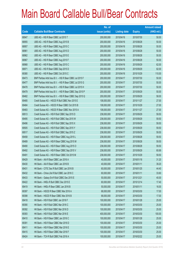|       |                                                          | No. of        |                     |               | <b>Amount raised</b> |
|-------|----------------------------------------------------------|---------------|---------------------|---------------|----------------------|
| Code  | <b>Callable Bull/Bear Contracts</b>                      | issue (units) | <b>Listing date</b> | <b>Expiry</b> | $(HK$$ mil.)         |
| 68947 | UBS AG - HSI R Bear CBBC Jul 2015 T                      | 200,000,000   | 2015/04/16          | 2015/07/30    | 50.00                |
| 68955 | UBS AG - HSI R Bear CBBC Aug 2015 B                      | 200,000,000   | 2015/04/16          | 2015/08/28    | 50.00                |
| 68957 | UBS AG - HSI R Bear CBBC Aug 2015 C                      | 200,000,000   | 2015/04/16          | 2015/08/28    | 50.00                |
| 68961 | UBS AG - HSI R Bear CBBC Aug 2015 D                      | 200,000,000   | 2015/04/16          | 2015/08/28    | 50.00                |
| 68962 | UBS AG - HSI R Bear CBBC Aug 2015 E                      | 200,000,000   | 2015/04/16          | 2015/08/28    | 50.00                |
| 68967 | UBS AG - HSI R Bear CBBC Aug 2015 F                      | 200,000,000   | 2015/04/16          | 2015/08/28    | 50.00                |
| 68968 | UBS AG - HSI R Bear CBBC Sep 2015 C                      | 200,000,000   | 2015/04/16          | 2015/09/29    | 62.00                |
| 68971 | UBS AG - HSI R Bear CBBC Sep 2015 D                      | 200,000,000   | 2015/04/16          | 2015/09/29    | 82.00                |
| 69380 | UBS AG - HSI R Bear CBBC Oct 2015 C                      | 200,000,000   | 2015/04/16          | 2015/10/29    | 110.00               |
| 69473 | BNP Paribas Arbit Issu B.V. - HSI R Bear CBBC Jul 2015 F | 200,000,000   | 2015/04/17          | 2015/07/30    | 50.00                |
| 69477 | BNP Paribas Arbit Issu B.V. - HSI R Bear CBBC Jul 2015 G | 200,000,000   | 2015/04/17          | 2015/07/30    | 50.00                |
| 69478 | BNP Paribas Arbit Issu B.V. - HSI R Bear CBBC Jul 2015 H | 200,000,000   | 2015/04/17          | 2015/07/30    | 50.00                |
| 69479 | BNP Paribas Arbit Issu B.V. - HSI R Bear CBBC Sep 2015 P | 200,000,000   | 2015/04/17          | 2015/09/29    | 50.00                |
| 69482 | BNP Paribas Arbit Issu B.V. - HSI R Bear CBBC Sep 2015 Q | 200,000,000   | 2015/04/17          | 2015/09/29    | 58.00                |
| 69485 | Credit Suisse AG - HSCEI R Bull CBBC Nov 2015 E          | 108,000,000   | 2015/04/17          | 2015/11/27    | 27.00                |
| 69484 | Credit Suisse AG - HSCEI R Bear CBBC Oct 2015 B          | 108,000,000   | 2015/04/17          | 2015/10/29    | 27.00                |
| 69483 | Credit Suisse AG - HSCEI R Bear CBBC Nov 2015 A          | 108,000,000   | 2015/04/17          | 2015/11/27    | 27.00                |
| 69513 | Credit Suisse AG - HSI R Bull CBBC Sep 2015 D            | 238,000,000   | 2015/04/17          | 2015/09/29    | 59.50                |
| 69495 | Credit Suisse AG - HSI R Bull CBBC Sep 2015 W            | 238,000,000   | 2015/04/17          | 2015/09/29    | 59.50                |
| 69496 | Credit Suisse AG - HSI R Bull CBBC Sep 2015 X            | 238,000,000   | 2015/04/17          | 2015/09/29    | 59.50                |
| 69505 | Credit Suisse AG - HSI R Bull CBBC Sep 2015 Y            | 238,000,000   | 2015/04/17          | 2015/09/29    | 59.50                |
| 69517 | Credit Suisse AG - HSI R Bull CBBC Sep 2015 Z            | 238,000,000   | 2015/04/17          | 2015/09/29    | 59.50                |
| 69458 | Credit Suisse AG - HSI R Bear CBBC Aug 2015 L            | 238,000,000   | 2015/04/17          | 2015/08/28    | 59.50                |
| 69489 | Credit Suisse AG - HSI R Bear CBBC Aug 2015 M            | 238,000,000   | 2015/04/17          | 2015/08/28    | 59.50                |
| 69490 | Credit Suisse AG - HSI R Bear CBBC Aug 2015 O            | 238,000,000   | 2015/04/17          | 2015/08/28    | 59.50                |
| 69492 | Credit Suisse AG - HSI R Bear CBBC Sep 2015 V            | 238,000,000   | 2015/04/17          | 2015/09/29    | 60.69                |
| 69491 | Credit Suisse AG - HSI R Bear CBBC Oct 2015 M            | 238,000,000   | 2015/04/17          | 2015/10/29    | 59.50                |
| 69429 | HK Bank - AIA R Bear CBBC Jan 2016 A                     | 40,000,000    | 2015/04/17          | 2016/01/18    | 31.20                |
| 69430 | HK Bank - AIA R Bear CBBC Jan 2016 B                     | 40,000,000    | 2015/04/17          | 2016/01/11    | 39.20                |
| 69431 | HK Bank - CITIC Sec R Bull CBBC Jan 2016 B               | 60,000,000    | 2015/04/17          | 2016/01/25    | 44.40                |
| 69432 | HK Bank - China Life R Bull CBBC Jan 2016 C              | 60,000,000    | 2015/04/17          | 2016/01/11    | 33.60                |
| 69433 | HK Bank - Galaxy Ent R Bull CBBC Dec 2015 E              | 50,000,000    | 2015/04/17          | 2015/12/21    | 40.00                |
| 69422 | HK Bank - HKEx R Bull CBBC Dec 2015 E                    | 60,000,000    | 2015/04/17          | 2015/12/14    | 17.40                |
| 69419 | HK Bank - HKEx R Bear CBBC Jan 2016 B                    | 50,000,000    | 2015/04/17          | 2016/01/11    | 16.00                |
| 69397 | HK Bank - HSCEI R Bear CBBC Mar 2016 A                   | 68,000,000    | 2015/04/17          | 2016/03/30    | 17.00                |
| 69398 | HK Bank - HSCEI R Bear CBBC Mar 2016 B                   | 68,000,000    | 2015/04/17          | 2016/03/30    | 17.00                |
| 69418 | HK Bank - HSI R Bull CBBC Jan 2016 F                     | 100,000,000   | 2015/04/17          | 2016/01/28    | 25.00                |
| 69390 | HK Bank - HSI R Bull CBBC Mar 2016 C                     | 100,000,000   | 2015/04/17          | 2016/03/30    | 25.00                |
| 69392 | HK Bank - HSI R Bull CBBC Mar 2016 D                     | 100,000,000   | 2015/04/17          | 2016/03/30    | 25.00                |
| 69393 | HK Bank - HSI R Bull CBBC Mar 2016 E                     | 400,000,000   | 2015/04/17          | 2016/03/30    | 100.00               |
| 69410 | HK Bank - HSI R Bear CBBC Jan 2016 C                     | 100,000,000   | 2015/04/17          | 2016/01/28    | 25.00                |
| 69391 | HK Bank - HSI R Bear CBBC Mar 2016 D                     | 100,000,000   | 2015/04/17          | 2016/03/30    | 25.00                |
| 69411 | HK Bank - HSI R Bear CBBC Mar 2016 E                     | 100,000,000   | 2015/04/17          | 2016/03/30    | 25.00                |
| 69415 | HK Bank - HSI R Bear CBBC Mar 2016 F                     | 100,000,000   | 2015/04/17          | 2016/03/30    | 25.00                |
| 69424 | HK Bank - TCH R Bull CBBC Feb 2016 A                     | 100,000,000   | 2015/04/17          | 2016/02/22    | 25.00                |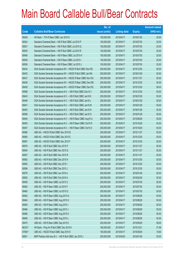|        |                                                                | No. of        |                     |               | <b>Amount raised</b> |
|--------|----------------------------------------------------------------|---------------|---------------------|---------------|----------------------|
| Code   | <b>Callable Bull/Bear Contracts</b>                            | issue (units) | <b>Listing date</b> | <b>Expiry</b> | $(HK$$ mil.)         |
| 69428  | HK Bank - TCH R Bear CBBC Jan 2016 D                           | 100,000,000   | 2015/04/17          | 2016/01/25    | 30.00                |
| 69524  | Standard Chartered Bank - HSI R Bull CBBC Jul 2015 P           | 100,000,000   | 2015/04/17          | 2015/07/30    | 25.00                |
| 69527  | Standard Chartered Bank - HSI R Bull CBBC Jul 2015 Q           | 100,000,000   | 2015/04/17          | 2015/07/30    | 25.00                |
| 69545  | Standard Chartered Bank - HSI R Bull CBBC Jul 2015 R           | 100,000,000   | 2015/04/17          | 2015/07/30    | 25.00                |
| 69546  | Standard Chartered Bank - HSI R Bear CBBC Jul 2015 H           | 100,000,000   | 2015/04/17          | 2015/07/30    | 25.00                |
| 69549  | Standard Chartered Bank - HSI R Bear CBBC Jul 2015 I           | 100,000,000   | 2015/04/17          | 2015/07/30    | 25.00                |
| 69559  | Standard Chartered Bank - HSI R Bear CBBC Jul 2015 J           | 100,000,000   | 2015/04/17          | 2015/07/30    | 25.00                |
| 69434  | SGA Societe Generale Acceptance NV - HSCEI R Bull CBBC Dec15D  | 200,000,000   | 2015/04/17          | 2015/12/30    | 50.00                |
| 69435  | SGA Societe Generale Acceptance NV - HSCEI R Bull CBBC Jan16A  | 200,000,000   | 2015/04/17          | 2016/01/28    | 50.00                |
| 69437  | SGA Societe Generale Acceptance NV - HSCEI R Bear CBBC Nov15C  | 200,000,000   | 2015/04/17          | 2015/11/27    | 50.00                |
| 69436  | SGA Societe Generale Acceptance NV - HSCEI R Bear CBBC Dec15B  | 200,000,000   | 2015/04/17          | 2015/12/30    | 50.00                |
| 69438  | SGA Societe Generale Acceptance NV - HSCEI R Bear CBBC Dec15C  | 200,000,000   | 2015/04/17          | 2015/12/30    | 56.00                |
| 69598  | SGA Societe Generale Acceptance N.V. - HSI R Bull CBBC Dec15 V | 200,000,000   | 2015/04/17          | 2015/12/30    | 50.00                |
| 69443  | SGA Societe Generale Acceptance N.V. - HSI R Bull CBBC Jan16 K | 200,000,000   | 2015/04/17          | 2016/01/28    | 50.00                |
| 69446  | SGA Societe Generale Acceptance N.V. - HSI R Bull CBBC Jan16 L | 200,000,000   | 2015/04/17          | 2016/01/28    | 50.00                |
| 69451  | SGA Societe Generale Acceptance N.V. - HSI R Bull CBBC Jan16 M | 200,000,000   | 2015/04/17          | 2016/01/28    | 50.00                |
| 69453  | SGA Societe Generale Acceptance N.V. - HSI R Bull CBBC Jan16 N | 200,000,000   | 2015/04/17          | 2016/01/28    | 50.00                |
| 69599  | SGA Societe Generale Acceptance N.V. - HSI R Bull CBBC Jan16 O | 200,000,000   | 2015/04/17          | 2016/01/28    | 50.00                |
| 69454  | SGA Societe Generale Acceptance N.V. - HSI R Bear CBBC Aug15 U | 200,000,000   | 2015/04/17          | 2015/08/28    | 50.00                |
| 69455  | SGA Societe Generale Acceptance N.V. - HSI R Bear CBBC Oct15 R | 200,000,000   | 2015/04/17          | 2015/10/29    | 50.00                |
| 69457  | SGA Societe Generale Acceptance N.V. - HSI R Bear CBBC Oct15 S | 200,000,000   | 2015/04/17          | 2015/10/29    | 50.00                |
| 69566  | UBS AG - HSCEI R Bull CBBC Nov 2015 B                          | 200,000,000   | 2015/04/17          | 2015/11/27    | 50.00                |
| 69565  | UBS AG - HSCEI R Bull CBBC Dec 2015 E                          | 200,000,000   | 2015/04/17          | 2015/12/30    | 50.00                |
| 69567  | UBS AG - HSCEI R Bull CBBC Dec 2015 F                          | 200,000,000   | 2015/04/17          | 2015/12/30    | 50.00                |
| 69578  | UBS AG - HSI R Bull CBBC Nov 2015 P                            | 200,000,000   | 2015/04/17          | 2015/11/27    | 50.00                |
| 69594  | UBS AG - HSI R Bull CBBC Nov 2015 Q                            | 200,000,000   | 2015/04/17          | 2015/11/27    | 50.00                |
| 69597  | UBS AG - HSI R Bull CBBC Nov 2015 R                            | 200,000,000   | 2015/04/17          | 2015/11/27    | 50.00                |
| 69592  | UBS AG - HSI R Bull CBBC Dec 2015 H                            | 200,000,000   | 2015/04/17          | 2015/12/30    | 50.00                |
| 69595  | UBS AG - HSI R Bull CBBC Dec 2015 I                            | 200,000,000   | 2015/04/17          | 2015/12/30    | 50.00                |
| 69596  | UBS AG - HSI R Bull CBBC Dec 2015 J                            | 200,000,000   | 2015/04/17          | 2015/12/30    | 50.00                |
| 69579  | UBS AG - HSI R Bull CBBC Jan 2016 A                            | 200,000,000   | 2015/04/17          | 2016/01/28    | 50.00                |
| 69593  | UBS AG - HSI R Bull CBBC Feb 2016 A                            | 200,000,000   | 2015/04/17          | 2016/02/26    | 50.00                |
| 69459  | UBS AG - HSI R Bear CBBC Jul 2015 C                            | 200,000,000   | 2015/04/17          | 2015/07/30    | 50.00                |
| 69463  | UBS AG - HSI R Bear CBBC Jul 2015 F                            | 200,000,000   | 2015/04/17          | 2015/07/30    | 50.00                |
| 69460  | UBS AG - HSI R Bear CBBC Jul 2015 Q                            | 200,000,000   | 2015/04/17          | 2015/07/30    | 50.00                |
| 69462  | UBS AG - HSI R Bear CBBC Aug 2015 G                            | 200,000,000   | 2015/04/17          | 2015/08/28    | 50.00                |
| 69464  | UBS AG - HSI R Bear CBBC Aug 2015 H                            | 200,000,000   | 2015/04/17          | 2015/08/28    | 50.00                |
| 69465  | UBS AG - HSI R Bear CBBC Aug 2015 I                            | 200,000,000   | 2015/04/17          | 2015/08/28    | 50.00                |
| 69466  | UBS AG - HSI R Bear CBBC Aug 2015 J                            | 200,000,000   | 2015/04/17          | 2015/08/28    | 50.00                |
| 69468  | UBS AG - HSI R Bear CBBC Aug 2015 K                            | 200,000,000   | 2015/04/17          | 2015/08/28    | 50.00                |
| 69469  | UBS AG - HSI R Bear CBBC Aug 2015 L                            | 200,000,000   | 2015/04/17          | 2015/08/28    | 50.00                |
| 69470  | UBS AG - HSI R Bear CBBC Sep 2015 E                            | 200,000,000   | 2015/04/17          | 2015/09/29    | 58.00                |
| 66333# | HK Bank - Ping An R Bull CBBC Dec 2015 K                       | 180,000,000   | 2015/04/17          | 2015/12/21    | 37.98                |
| 67565# | UBS AG - HSCEI R Bull CBBC Sep 2015 K                          | 100,000,000   | 2015/04/17          | 2015/09/29    | 19.60                |
| 69831  | BNP Paribas Arbit Issu B.V. - HSI R Bull CBBC Jan 2016 J       | 200,000,000   | 2015/04/20          | 2016/01/28    | 50.00                |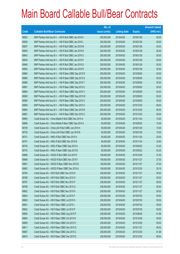|       |                                                          | No. of        |                     |               | <b>Amount raised</b> |
|-------|----------------------------------------------------------|---------------|---------------------|---------------|----------------------|
| Code  | <b>Callable Bull/Bear Contracts</b>                      | issue (units) | <b>Listing date</b> | <b>Expiry</b> | (HK\$ mil.)          |
| 69832 | BNP Paribas Arbit Issu B.V. - HSI R Bull CBBC Jan 2016 K | 200,000,000   | 2015/04/20          | 2016/01/28    | 50.00                |
| 69836 | BNP Paribas Arbit Issu B.V. - HSI R Bull CBBC Jan 2016 L | 200,000,000   | 2015/04/20          | 2016/01/28    | 50.00                |
| 69837 | BNP Paribas Arbit Issu B.V. - HSI R Bull CBBC Jan 2016 M | 200,000,000   | 2015/04/20          | 2016/01/28    | 50.00                |
| 69840 | BNP Paribas Arbit Issu B.V. - HSI R Bull CBBC Jan 2016 N | 200,000,000   | 2015/04/20          | 2016/01/28    | 50.00                |
| 69843 | BNP Paribas Arbit Issu B.V. - HSI R Bull CBBC Jan 2016 O | 200,000,000   | 2015/04/20          | 2016/01/28    | 50.00                |
| 69844 | BNP Paribas Arbit Issu B.V. - HSI R Bull CBBC Jan 2016 P | 200,000,000   | 2015/04/20          | 2016/01/28    | 50.00                |
| 69848 | BNP Paribas Arbit Issu B.V. - HSI R Bull CBBC Jan 2016 Q | 200,000,000   | 2015/04/20          | 2016/01/28    | 50.00                |
| 69854 | BNP Paribas Arbit Issu B.V. - HSI R Bull CBBC Jan 2016 R | 200,000,000   | 2015/04/20          | 2016/01/28    | 50.00                |
| 69884 | BNP Paribas Arbit Issu B.V. - HSI R Bear CBBC Sep 2015 R | 200,000,000   | 2015/04/20          | 2015/09/29    | 50.00                |
| 69885 | BNP Paribas Arbit Issu B.V. - HSI R Bear CBBC Sep 2015 S | 200,000,000   | 2015/04/20          | 2015/09/29    | 50.00                |
| 69886 | BNP Paribas Arbit Issu B.V. - HSI R Bear CBBC Sep 2015 T | 200,000,000   | 2015/04/20          | 2015/09/29    | 50.00                |
| 69891 | BNP Paribas Arbit Issu B.V. - HSI R Bear CBBC Sep 2015 U | 200,000,000   | 2015/04/20          | 2015/09/29    | 50.00                |
| 69894 | BNP Paribas Arbit Issu B.V. - HSI R Bear CBBC Sep 2015 V | 200,000,000   | 2015/04/20          | 2015/09/29    | 50.00                |
| 69900 | BNP Paribas Arbit Issu B.V. - HSI R Bear CBBC Sep 2015 W | 200,000,000   | 2015/04/20          | 2015/09/29    | 50.00                |
| 69906 | BNP Paribas Arbit Issu B.V. - HSI R Bear CBBC Sep 2015 X | 200,000,000   | 2015/04/20          | 2015/09/29    | 50.00                |
| 69859 | BNP Paribas Arbit Issu B.V. - HSI R Bear CBBC Dec 2015 A | 200,000,000   | 2015/04/20          | 2015/12/30    | 66.00                |
| 69864 | BNP Paribas Arbit Issu B.V. - HSI R Bear CBBC Dec 2015 B | 200,000,000   | 2015/04/20          | 2015/12/30    | 56.00                |
| 69881 | BNP Paribas Arbit Issu B.V. - HSI R Bear CBBC Dec 2015 C | 200,000,000   | 2015/04/20          | 2015/12/30    | 50.00                |
| 69695 | Credit Suisse AG - China Mobile R Bull CBBC Nov 2015 A   | 60,000,000    | 2015/04/20          | 2015/11/24    | 15.00                |
| 69696 | Credit Suisse AG - China Mobile R Bear CBBC Sep 2015 A   | 60,000,000    | 2015/04/20          | 2015/09/22    | 15.00                |
| 69728 | Credit Suisse AG - China Life R Bull CBBC Jan 2016 A     | 60,000,000    | 2015/04/20          | 2016/01/26    | 15.00                |
| 69730 | Credit Suisse AG - China Life R Bull CBBC Jan 2016 B     | 60,000,000    | 2015/04/20          | 2016/01/26    | 15.00                |
| 69731 | Credit Suisse AG - HKEx R Bull CBBC Nov 2015 A           | 80,000,000    | 2015/04/20          | 2015/11/24    | 20.00                |
| 69741 | Credit Suisse AG - HKEx R Bull CBBC Nov 2015 B           | 80,000,000    | 2015/04/20          | 2015/11/24    | 33.60                |
| 69742 | Credit Suisse AG - HKEx R Bear CBBC Sep 2015 A           | 80,000,000    | 2015/04/20          | 2015/09/22    | 43.20                |
| 69743 | Credit Suisse AG - HKEx R Bear CBBC Sep 2015 B           | 80,000,000    | 2015/04/20          | 2015/09/22    | 63.20                |
| 69688 | Credit Suisse AG - HSCEI R Bull CBBC Oct 2015 F          | 108,000,000   | 2015/04/20          | 2015/10/29    | 27.00                |
| 69689 | Credit Suisse AG - HSCEI R Bull CBBC Nov 2015 F          | 108,000,000   | 2015/04/20          | 2015/11/27    | 27.00                |
| 69691 | Credit Suisse AG - HSCEI R Bear CBBC Nov 2015 B          | 108,000,000   | 2015/04/20          | 2015/11/27    | 27.00                |
| 69693 | Credit Suisse AG - HSCEI R Bear CBBC Dec 2015 A          | 108,000,000   | 2015/04/20          | 2015/12/30    | 29.16                |
| 69784 | Credit Suisse AG - HSI R Bull CBBC Nov 2015 N            | 238,000,000   | 2015/04/20          | 2015/11/27    | 59.50                |
| 69786 | Credit Suisse AG - HSI R Bull CBBC Nov 2015 O            | 238,000,000   | 2015/04/20          | 2015/11/27    | 59.50                |
| 69787 | Credit Suisse AG - HSI R Bull CBBC Nov 2015 P            | 238,000,000   | 2015/04/20          | 2015/11/27    | 59.50                |
| 69788 | Credit Suisse AG - HSI R Bull CBBC Nov 2015 Q            | 238,000,000   | 2015/04/20          | 2015/11/27    | 59.50                |
| 69802 | Credit Suisse AG - HSI R Bull CBBC Nov 2015 R            | 238,000,000   | 2015/04/20          | 2015/11/27    | 59.50                |
| 69644 | Credit Suisse AG - HSI R Bear CBBC Jul 2015 F            | 238,000,000   | 2015/04/20          | 2015/07/30    | 59.50                |
| 69650 | Credit Suisse AG - HSI R Bear CBBC Jul 2015 H            | 238,000,000   | 2015/04/20          | 2015/07/30    | 59.50                |
| 69641 | Credit Suisse AG - HSI R Bear CBBC Jul 2015 I            | 238,000,000   | 2015/04/20          | 2015/07/30    | 59.50                |
| 69642 | Credit Suisse AG - HSI R Bear CBBC Jul 2015 P            | 238,000,000   | 2015/04/20          | 2015/07/30    | 59.50                |
| 69694 | Credit Suisse AG - HSI R Bear CBBC Aug 2015 P            | 238,000,000   | 2015/04/20          | 2015/08/28    | 61.88                |
| 69804 | Credit Suisse AG - HSI R Bear CBBC Oct 2015 N            | 238,000,000   | 2015/04/20          | 2015/10/29    | 59.50                |
| 69809 | Credit Suisse AG - HSI R Bear CBBC Oct 2015 O            | 238,000,000   | 2015/04/20          | 2015/10/29    | 59.50                |
| 69811 | Credit Suisse AG - HSI R Bear CBBC Nov 2015 G            | 238,000,000   | 2015/04/20          | 2015/11/27    | 80.92                |
| 69687 | Credit Suisse AG - HSI R Bear CBBC Dec 2015 C            | 238,000,000   | 2015/04/20          | 2015/12/30    | 61.88                |
| 69810 | Credit Suisse AG - HSI R Bear CBBC Dec 2015 D            | 238,000,000   | 2015/04/20          | 2015/12/30    | 66.64                |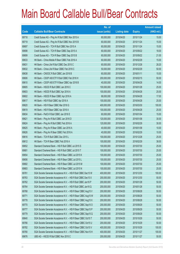|       |                                                                | No. of        |                     |               | <b>Amount raised</b> |
|-------|----------------------------------------------------------------|---------------|---------------------|---------------|----------------------|
| Code  | <b>Callable Bull/Bear Contracts</b>                            | issue (units) | <b>Listing date</b> | <b>Expiry</b> | (HK\$ mil.)          |
| 69718 | Credit Suisse AG - Ping An R Bull CBBC Nov 2015 A              | 60,000,000    | 2015/04/20          | 2015/11/24    | 15.00                |
| 69719 | Credit Suisse AG - Ping An R Bull CBBC Nov 2015 B              | 60,000,000    | 2015/04/20          | 2015/11/24    | 15.00                |
| 69697 | Credit Suisse AG - TCH R Bull CBBC Nov 2015 A                  | 60,000,000    | 2015/04/20          | 2015/11/24    | 15.00                |
| 69698 | Credit Suisse AG - TCH R Bear CBBC Sep 2015 A                  | 60,000,000    | 2015/04/20          | 2015/09/22    | 18.00                |
| 69699 | Credit Suisse AG - TCH R Bear CBBC Sep 2015 B                  | 60,000,000    | 2015/04/20          | 2015/09/22    | 21.00                |
| 69633 | HK Bank - China Mobile R Bear CBBC Feb 2016 A                  | 60,000,000    | 2015/04/20          | 2016/02/29    | 15.00                |
| 69631 | HK Bank - China Life R Bull CBBC Dec 2015 C                    | 60,000,000    | 2015/04/20          | 2015/12/28    | 28.20                |
| 69632 | HK Bank - China Life R Bear CBBC Feb 2016 C                    | 50,000,000    | 2015/04/20          | 2016/02/29    | 50.00                |
| 69638 | HK Bank - CNOOC R Bull CBBC Jan 2016 B                         | 60,000,000    | 2015/04/20          | 2016/01/11    | 15.00                |
| 69606 | HK Bank - CSOP A50 ETF R Bull CBBC Feb 2016 H                  | 200,000,000   | 2015/04/20          | 2016/02/15    | 50.00                |
| 69610 | HK Bank - CSOP A50 ETF R Bear CBBC Apr 2016 B                  | 40,000,000    | 2015/04/20          | 2016/04/28    | 14.00                |
| 69605 | HK Bank - HSCEI R Bull CBBC Jan 2016 C                         | 100,000,000   | 2015/04/20          | 2016/01/28    | 25.00                |
| 69603 | HK Bank - HSCEI R Bull CBBC Apr 2016 A                         | 100,000,000   | 2015/04/20          | 2016/04/28    | 25.00                |
| 69602 | HK Bank - HSCEI R Bear CBBC Apr 2016 A                         | 68,000,000    | 2015/04/20          | 2016/04/28    | 17.00                |
| 69617 | HK Bank - HSI R Bull CBBC Apr 2016 A                           | 100,000,000   | 2015/04/20          | 2016/04/28    | 25.00                |
| 69620 | HK Bank - HSI R Bear CBBC Mar 2016 G                           | 400,000,000   | 2015/04/20          | 2016/03/30    | 100.00               |
| 69619 | HK Bank - HSI R Bear CBBC Apr 2016 A                           | 100,000,000   | 2015/04/20          | 2016/04/28    | 25.00                |
| 69634 | HK Bank - PetCh R Bull CBBC Jan 2016 E                         | 60,000,000    | 2015/04/20          | 2016/01/04    | 15.00                |
| 69621 | HK Bank - Ping An R Bull CBBC Jan 2016 D                       | 120,000,000   | 2015/04/20          | 2016/01/08    | 30.00                |
| 69624 | HK Bank - Ping An R Bull CBBC Feb 2016 A                       | 120,000,000   | 2015/04/20          | 2016/02/29    | 30.00                |
| 69625 | HK Bank - Ping An R Bear CBBC Jan 2016 A                       | 40,000,000    | 2015/04/20          | 2016/01/08    | 10.00                |
| 69626 | HK Bank - Ping An R Bear CBBC Feb 2016 A                       | 40,000,000    | 2015/04/20          | 2016/02/29    | 10.00                |
| 69616 | HK Bank - TCH R Bull CBBC Dec 2015 L                           | 100,000,000   | 2015/04/20          | 2015/12/28    | 25.00                |
| 69612 | HK Bank - TCH R Bear CBBC Feb 2016 A                           | 100,000,000   | 2015/04/20          | 2016/02/29    | 38.00                |
| 69652 | Standard Chartered Bank - HSI R Bull CBBC Jul 2015 S           | 100,000,000   | 2015/04/20          | 2015/07/30    | 25.00                |
| 69681 | Standard Chartered Bank - HSI R Bull CBBC Jul 2015 T           | 100,000,000   | 2015/04/20          | 2015/07/30    | 25.00                |
| 69654 | Standard Chartered Bank - HSI R Bear CBBC Jul 2015 K           | 100,000,000   | 2015/04/20          | 2015/07/30    | 25.00                |
| 69656 | Standard Chartered Bank - HSI R Bear CBBC Jul 2015 L           | 100,000,000   | 2015/04/20          | 2015/07/30    | 25.00                |
| 69682 | Standard Chartered Bank - HSI R Bear CBBC Jul 2015 M           | 100,000,000   | 2015/04/20          | 2015/07/30    | 25.00                |
| 69683 | Standard Chartered Bank - HSI R Bear CBBC Jul 2015 N           | 100,000,000   | 2015/04/20          | 2015/07/30    | 25.00                |
| 69761 | SGA Societe Generale Acceptance N.V. - HSI R Bull CBBC Dec15 W | 400,000,000   | 2015/04/20          | 2015/12/30    | 100.00               |
| 69763 | SGA Societe Generale Acceptance N.V. - HSI R Bull CBBC Dec15 X | 200,000,000   | 2015/04/20          | 2015/12/30    | 50.00                |
| 69762 | SGA Societe Generale Acceptance N.V. - HSI R Bull CBBC Jan16 P | 200,000,000   | 2015/04/20          | 2016/01/28    | 50.00                |
| 69764 | SGA Societe Generale Acceptance N.V. - HSI R Bull CBBC Jan16 Q | 200,000,000   | 2015/04/20          | 2016/01/28    | 50.00                |
| 69768 | SGA Societe Generale Acceptance N.V. - HSI R Bear CBBC Aug15 V | 200,000,000   | 2015/04/20          | 2015/08/28    | 50.00                |
| 69771 | SGA Societe Generale Acceptance N.V. - HSI R Bear CBBC Aug15 W | 200,000,000   | 2015/04/20          | 2015/08/28    | 50.00                |
| 69778 | SGA Societe Generale Acceptance N.V. - HSI R Bear CBBC Aug15 X | 200,000,000   | 2015/04/20          | 2015/08/28    | 50.00                |
| 69770 | SGA Societe Generale Acceptance N.V. - HSI R Bear CBBC Sep15 O | 200,000,000   | 2015/04/20          | 2015/09/29    | 50.00                |
| 69777 | SGA Societe Generale Acceptance N.V. - HSI R Bear CBBC Sep15 P | 200,000,000   | 2015/04/20          | 2015/09/29    | 50.00                |
| 69779 | SGA Societe Generale Acceptance N.V. - HSI R Bear CBBC Sep15 Q | 200,000,000   | 2015/04/20          | 2015/09/29    | 50.00                |
| 69640 | SGA Societe Generale Acceptance N.V. - HSI R Bear CBBC Oct15 T | 200,000,000   | 2015/04/20          | 2015/10/29    | 50.00                |
| 69766 | SGA Societe Generale Acceptance N.V. - HSI R Bear CBBC Oct15 U | 200,000,000   | 2015/04/20          | 2015/10/29    | 50.00                |
| 69782 | SGA Societe Generale Acceptance N.V. - HSI R Bear CBBC Oct15 V | 400,000,000   | 2015/04/20          | 2015/10/29    | 100.00               |
| 69780 | SGA Societe Generale Acceptance N.V. - HSI R Bear CBBC Nov15 H | 400,000,000   | 2015/04/20          | 2015/11/27    | 100.00               |
| 69676 | UBS AG - HSCEI R Bull CBBC Nov 2015 C                          | 200,000,000   | 2015/04/20          | 2015/11/27    | 50.00                |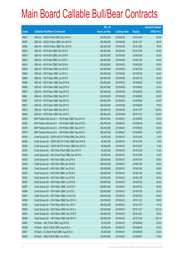|       |                                                          | No. of        |                     |               | <b>Amount raised</b> |
|-------|----------------------------------------------------------|---------------|---------------------|---------------|----------------------|
| Code  | <b>Callable Bull/Bear Contracts</b>                      | issue (units) | <b>Listing date</b> | <b>Expiry</b> | $(HK$$ mil.)         |
| 69678 | UBS AG - HSCEI R Bull CBBC Dec 2015 G                    | 200,000,000   | 2015/04/20          | 2015/12/30    | 50.00                |
| 69679 | UBS AG - HSCEI R Bear CBBC Nov 2015 A                    | 200,000,000   | 2015/04/20          | 2015/11/27    | 58.00                |
| 69680 | UBS AG - HSCEI R Bear CBBC Dec 2015 A                    | 200,000,000   | 2015/04/20          | 2015/12/30    | 78.00                |
| 69823 | UBS AG - HSI R Bull CBBC Dec 2015 K                      | 200,000,000   | 2015/04/20          | 2015/12/30    | 50.00                |
| 69816 | UBS AG - HSI R Bull CBBC Jan 2016 B                      | 200,000,000   | 2015/04/20          | 2016/01/28    | 50.00                |
| 69822 | UBS AG - HSI R Bull CBBC Jan 2016 C                      | 200,000,000   | 2015/04/20          | 2016/01/28    | 50.00                |
| 69819 | UBS AG - HSI R Bull CBBC Feb 2016 B                      | 200,000,000   | 2015/04/20          | 2016/02/26    | 50.00                |
| 69659 | UBS AG - HSI R Bear CBBC Jul 2015 H                      | 200,000,000   | 2015/04/20          | 2015/07/30    | 50.00                |
| 69660 | UBS AG - HSI R Bear CBBC Jul 2015 J                      | 200,000,000   | 2015/04/20          | 2015/07/30    | 50.00                |
| 69666 | UBS AG - HSI R Bear CBBC Jul 2015 R                      | 200,000,000   | 2015/04/20          | 2015/07/30    | 50.00                |
| 69668 | UBS AG - HSI R Bear CBBC Aug 2015 M                      | 200,000,000   | 2015/04/20          | 2015/08/28    | 50.00                |
| 69669 | UBS AG - HSI R Bear CBBC Aug 2015 N                      | 200,000,000   | 2015/04/20          | 2015/08/28    | 52.00                |
| 69670 | UBS AG - HSI R Bear CBBC Aug 2015 O                      | 200,000,000   | 2015/04/20          | 2015/08/28    | 68.00                |
| 69661 | UBS AG - HSI R Bear CBBC Sep 2015 F                      | 200,000,000   | 2015/04/20          | 2015/09/29    | 50.00                |
| 69667 | UBS AG - HSI R Bear CBBC Sep 2015 G                      | 200,000,000   | 2015/04/20          | 2015/09/29    | 50.00                |
| 69672 | UBS AG - HSI R Bear CBBC Sep 2015 H                      | 200,000,000   | 2015/04/20          | 2015/09/29    | 78.00                |
| 69673 | UBS AG - HSI R Bear CBBC Nov 2015 C                      | 200,000,000   | 2015/04/20          | 2015/11/27    | 120.00               |
| 69829 | UBS AG - HSI R Bear CBBC Nov 2015 D                      | 200,000,000   | 2015/04/20          | 2015/11/27    | 152.00               |
| 60082 | BNP Paribas Arbit Issu B.V. - HSI R Bear CBBC Sep 2015 A | 200,000,000   | 2015/04/21          | 2015/09/29    | 50.00                |
| 60083 | BNP Paribas Arbit Issu B.V. - HSI R Bear CBBC Sep 2015 B | 200,000,000   | 2015/04/21          | 2015/09/29    | 50.00                |
| 60078 | BNP Paribas Arbit Issu B.V. - HSI R Bear CBBC Sep 2015 Y | 200,000,000   | 2015/04/21          | 2015/09/29    | 50.00                |
| 60079 | BNP Paribas Arbit Issu B.V. - HSI R Bear CBBC Sep 2015 Z | 200,000,000   | 2015/04/21          | 2015/09/29    | 50.00                |
| 60030 | Credit Suisse AG - CSOP A50 ETF R Bull CBBC Dec 2015 A   | 60,000,000    | 2015/04/21          | 2015/12/29    | 15.00                |
| 60035 | Credit Suisse AG - CSOP A50 ETF R Bull CBBC Dec 2015 B   | 60,000,000    | 2015/04/21          | 2015/12/29    | 15.00                |
| 60036 | Credit Suisse AG - CSOP A50 ETF R Bear CBBC Oct 2015 A   | 60,000,000    | 2015/04/21          | 2015/10/27    | 17.40                |
| 60040 | Credit Suisse AG - A50 China R Bull CBBC Dec 2015 A      | 60,000,000    | 2015/04/21          | 2015/12/29    | 15.00                |
| 60042 | Credit Suisse AG - A50 China R Bull CBBC Dec 2015 B      | 60,000,000    | 2015/04/21          | 2015/12/29    | 15.00                |
| 60025 | Credit Suisse AG - HSI R Bull CBBC Jan 2016 A            | 238,000,000   | 2015/04/21          | 2016/01/28    | 59.50                |
| 60045 | Credit Suisse AG - HSI R Bull CBBC Jan 2016 B            | 238,000,000   | 2015/04/21          | 2016/01/28    | 59.50                |
| 60048 | Credit Suisse AG - HSI R Bull CBBC Jan 2016 C            | 238,000,000   | 2015/04/21          | 2016/01/28    | 59.50                |
| 60050 | Credit Suisse AG - HSI R Bull CBBC Jan 2016 D            | 238,000,000   | 2015/04/21          | 2016/01/28    | 59.50                |
| 60052 | Credit Suisse AG - HSI R Bull CBBC Jan 2016 E            | 238,000,000   | 2015/04/21          | 2016/01/28    | 59.50                |
| 60070 | Credit Suisse AG - HSI R Bear CBBC Jul 2015 B            | 238,000,000   | 2015/04/21          | 2015/07/30    | 59.50                |
| 60067 | Credit Suisse AG - HSI R Bear CBBC Jul 2015 K            | 238,000,000   | 2015/04/21          | 2015/07/30    | 59.50                |
| 60096 | Credit Suisse AG - HSI R Bear CBBC Jul 2015 L            | 238,000,000   | 2015/04/21          | 2015/07/30    | 59.50                |
| 60097 | Credit Suisse AG - HSI R Bear CBBC Jul 2015 M            | 238,000,000   | 2015/04/21          | 2015/07/30    | 59.50                |
| 60058 | Credit Suisse AG - HSI R Bear CBBC Nov 2015 H            | 238,000,000   | 2015/04/21          | 2015/11/27    | 59.50                |
| 60063 | Credit Suisse AG - HSI R Bear CBBC Nov 2015 I            | 238,000,000   | 2015/04/21          | 2015/11/27    | 76.16                |
| 60066 | Credit Suisse AG - HSI R Bear CBBC Nov 2015 J            | 238,000,000   | 2015/04/21          | 2015/11/27    | 102.34               |
| 60054 | Credit Suisse AG - HSI R Bear CBBC Dec 2015 E            | 238,000,000   | 2015/04/21          | 2015/12/30    | 92.82                |
| 60056 | Credit Suisse AG - HSI R Bear CBBC Dec 2015 F            | 238,000,000   | 2015/04/21          | 2015/12/30    | 126.14               |
| 69940 | HK Bank - ABC R Bull CBBC Aug 2016 A                     | 80,000,000    | 2015/04/21          | 2016/08/29    | 20.00                |
| 69938 | HK Bank - BOCL R Bull CBBC Aug 2016 A                    | 80,000,000    | 2015/04/21          | 2016/08/29    | 20.00                |
| 69947 | HK Bank - CC Bank R Bull CBBC Aug 2016 A                 | 80,000,000    | 2015/04/21          | 2016/08/29    | 20.00                |
| 69930 | HK Bank - HKEx R Bull CBBC Jun 2016 A                    | 100,000,000   | 2015/04/21          | 2016/06/27    | 75.00                |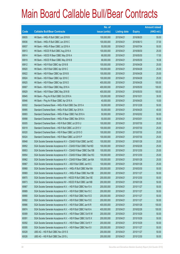|       |                                                                | No. of        |                     |               | <b>Amount raised</b> |
|-------|----------------------------------------------------------------|---------------|---------------------|---------------|----------------------|
| Code  | <b>Callable Bull/Bear Contracts</b>                            | issue (units) | <b>Listing date</b> | <b>Expiry</b> | (HK\$ mil.)          |
| 69935 | HK Bank - HKEx R Bull CBBC Jun 2016 B                          | 100,000,000   | 2015/04/21          | 2016/06/20    | 55.00                |
| 69936 | HK Bank - HKEx R Bull CBBC Jun 2016 C                          | 100,000,000   | 2015/04/21          | 2016/06/13    | 37.00                |
| 69937 | HK Bank - HKEx R Bear CBBC Jul 2016 A                          | 50,000,000    | 2015/04/21          | 2016/07/04    | 50.00                |
| 69913 | HK Bank - HSCEI R Bull CBBC Aug 2016 A                         | 100,000,000   | 2015/04/21          | 2016/08/30    | 25.00                |
| 69914 | HK Bank - HSCEI R Bear CBBC May 2016 A                         | 68,000,000    | 2015/04/21          | 2016/05/30    | 17.00                |
| 69919 | HK Bank - HSCEI R Bear CBBC May 2016 B                         | 68,000,000    | 2015/04/21          | 2016/05/30    | 18.36                |
| 69912 | HK Bank - HSI R Bull CBBC Apr 2016 B                           | 100,000,000   | 2015/04/21          | 2016/04/28    | 25.00                |
| 69920 | HK Bank - HSI R Bull CBBC Apr 2016 C                           | 100,000,000   | 2015/04/21          | 2016/04/28    | 25.00                |
| 69922 | HK Bank - HSI R Bear CBBC Apr 2016 B                           | 100,000,000   | 2015/04/21          | 2016/04/28    | 25.00                |
| 69924 | HK Bank - HSI R Bear CBBC Apr 2016 C                           | 100,000,000   | 2015/04/21          | 2016/04/28    | 25.00                |
| 69925 | HK Bank - HSI R Bear CBBC Apr 2016 D                           | 400,000,000   | 2015/04/21          | 2016/04/28    | 100.00               |
| 69907 | HK Bank - HSI R Bear CBBC May 2016 A                           | 400,000,000   | 2015/04/21          | 2016/05/30    | 100.00               |
| 69929 | HK Bank - HSI R Bear CBBC May 2016 B                           | 400,000,000   | 2015/04/21          | 2016/05/30    | 100.00               |
| 69945 | HK Bank - Ping An R Bull CBBC Oct 2016 A                       | 120,000,000   | 2015/04/21          | 2016/10/31    | 30.00                |
| 69946 | HK Bank - Ping An R Bear CBBC Apr 2016 A                       | 40,000,000    | 2015/04/21          | 2016/04/25    | 10.00                |
| 60002 | Standard Chartered Bank - HKEx R Bull CBBC Dec 2015 A          | 50,000,000    | 2015/04/21          | 2015/12/28    | 50.00                |
| 69995 | Standard Chartered Bank - HKEx R Bull CBBC Apr 2016 A          | 50,000,000    | 2015/04/21          | 2016/04/25    | 40.00                |
| 69993 | Standard Chartered Bank - HKEx R Bear CBBC Feb 2016 A          | 50,000,000    | 2015/04/21          | 2016/02/02    | 50.00                |
| 69998 | Standard Chartered Bank - HKEx R Bear CBBC Mar 2016 A          | 50,000,000    | 2015/04/21          | 2016/03/01    | 90.00                |
| 60005 | Standard Chartered Bank - HSI R Bull CBBC Jul 2015 U           | 100,000,000   | 2015/04/21          | 2015/07/30    | 25.00                |
| 60019 | Standard Chartered Bank - HSI R Bull CBBC Jul 2015 V           | 100,000,000   | 2015/04/21          | 2015/07/30    | 25.00                |
| 60020 | Standard Chartered Bank - HSI R Bear CBBC Jul 2015 O           | 100,000,000   | 2015/04/21          | 2015/07/30    | 25.00                |
| 60024 | Standard Chartered Bank - HSI R Bear CBBC Jul 2015 P           | 100,000,000   | 2015/04/21          | 2015/07/30    | 25.00                |
| 69948 | SGA Societe Generale Acceptance N.V - CSA50 R Bull CBBC Jan16C | 100,000,000   | 2015/04/21          | 2016/01/28    | 25.00                |
| 69952 | SGA Societe Generale Acceptance N.V - CSA50 R Bull CBBC Feb16D | 100,000,000   | 2015/04/21          | 2016/02/26    | 25.00                |
| 69953 | SGA Societe Generale Acceptance N.V - CSA50 R Bear CBBC Dec15B | 100,000,000   | 2015/04/21          | 2015/12/30    | 25.00                |
| 69954 | SGA Societe Generale Acceptance N.V - CSA50 R Bear CBBC Dec15C | 100,000,000   | 2015/04/21          | 2015/12/30    | 25.00                |
| 69962 | SGA Societe Generale Acceptance N.V - CSA50 R Bear CBBC Jan16A | 100,000,000   | 2015/04/21          | 2016/01/28    | 25.00                |
| 69967 | SGA Societe Generale Acceptance N.V. - A50 R Bull CBBC Jan16 C | 100,000,000   | 2015/04/21          | 2016/01/28    | 25.00                |
| 69968 | SGA Societe Generale Acceptance N.V. - HKEx R Bull CBBC Mar16A | 200,000,000   | 2015/04/21          | 2016/03/30    | 50.00                |
| 69969 | SGA Societe Generale Acceptance N.V. - HKEx R Bear CBBC Nov15B | 200,000,000   | 2015/04/21          | 2015/11/27    | 50.00                |
| 69970 | SGA Societe Generale Acceptance NV - HSCEI R Bull CBBC Dec15E  | 200,000,000   | 2015/04/21          | 2015/12/30    | 50.00                |
| 69973 | SGA Societe Generale Acceptance NV - HSCEI R Bull CBBC Jan16B  | 200,000,000   | 2015/04/21          | 2016/01/28    | 50.00                |
| 69987 | SGA Societe Generale Acceptance N.V. - HSI R Bull CBBC Nov15 A | 200,000,000   | 2015/04/21          | 2015/11/27    | 50.00                |
| 69989 | SGA Societe Generale Acceptance N.V. - HSI R Bull CBBC Nov15 C | 200,000,000   | 2015/04/21          | 2015/11/27    | 50.00                |
| 69990 | SGA Societe Generale Acceptance N.V. - HSI R Bull CBBC Nov15 D | 200,000,000   | 2015/04/21          | 2015/11/27    | 50.00                |
| 69992 | SGA Societe Generale Acceptance N.V. - HSI R Bull CBBC Nov15 E | 200,000,000   | 2015/04/21          | 2015/11/27    | 50.00                |
| 69986 | SGA Societe Generale Acceptance N.V. - HSI R Bull CBBC Jan16 R | 400,000,000   | 2015/04/21          | 2016/01/28    | 100.00               |
| 69974 | SGA Societe Generale Acceptance N.V. - HSI R Bull CBBC Feb16 A | 400,000,000   | 2015/04/21          | 2016/02/26    | 100.00               |
| 60089 | SGA Societe Generale Acceptance N.V. - HSI R Bear CBBC Oct15 W | 200,000,000   | 2015/04/21          | 2015/10/29    | 50.00                |
| 60091 | SGA Societe Generale Acceptance N.V. - HSI R Bear CBBC Oct15 X | 200,000,000   | 2015/04/21          | 2015/10/29    | 50.00                |
| 60092 | SGA Societe Generale Acceptance N.V. - HSI R Bear CBBC Oct15 Y | 200,000,000   | 2015/04/21          | 2015/10/29    | 50.00                |
| 60095 | SGA Societe Generale Acceptance N.V. - HSI R Bear CBBC Nov15 I | 200,000,000   | 2015/04/21          | 2015/11/27    | 50.00                |
| 60028 | UBS AG - HSI R Bull CBBC Nov 2015 S                            | 200,000,000   | 2015/04/21          | 2015/11/27    | 50.00                |
| 60026 | UBS AG - HSI R Bull CBBC Dec 2015 L                            | 200,000,000   | 2015/04/21          | 2015/12/30    | 50.00                |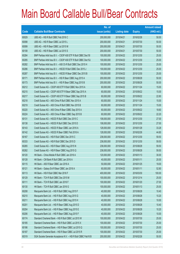|       |                                                                | No. of        |                     |               | <b>Amount raised</b> |
|-------|----------------------------------------------------------------|---------------|---------------------|---------------|----------------------|
| Code  | <b>Callable Bull/Bear Contracts</b>                            | issue (units) | <b>Listing date</b> | <b>Expiry</b> | $(HK$$ mil.)         |
| 60029 | UBS AG - HSI R Bull CBBC Feb 2016 C                            | 200,000,000   | 2015/04/21          | 2016/02/26    | 50.00                |
| 60098 | UBS AG - HSI R Bear CBBC Jul 2015 L                            | 200,000,000   | 2015/04/21          | 2015/07/30    | 50.00                |
| 60099 | UBS AG - HSI R Bear CBBC Jul 2015 M                            | 200,000,000   | 2015/04/21          | 2015/07/30    | 50.00                |
| 60108 | UBS AG - HSI R Bear CBBC Jul 2015 S                            | 200,000,000   | 2015/04/21          | 2015/07/30    | 50.00                |
| 60284 | BNP Paribas Arbit Issu B.V. - CSOP A50 ETF R Bull CBBC Dec151  | 100,000,000   | 2015/04/22          | 2015/12/30    | 25.00                |
| 60285 | BNP Paribas Arbit Issu B.V. - CSOP A50 ETF R Bull CBBC Dec15J  | 100,000,000   | 2015/04/22          | 2015/12/30    | 25.00                |
| 60282 | BNP Paribas Arbit Issu B.V. - A50 Ch R Bull CBBC Dec 2015 H    | 100,000,000   | 2015/04/22          | 2015/12/30    | 25.00                |
| 60286 | BNP Paribas Arbit Issu B.V. - HSCEI R Bull CBBC Dec 2015 J     | 100,000,000   | 2015/04/22          | 2015/12/30    | 25.00                |
| 60287 | BNP Paribas Arbit Issu B.V. - HSCEI R Bear CBBC Dec 2015 B     | 100,000,000   | 2015/04/22          | 2015/12/30    | 25.00                |
| 60171 | BNP Paribas Arbit Issu B.V. - HSI R Bear CBBC Aug 2015 A       | 200,000,000   | 2015/04/22          | 2015/08/28    | 50.00                |
| 60173 | BNP Paribas Arbit Issu B.V. - HSI R Bear CBBC Aug 2015 B       | 200,000,000   | 2015/04/22          | 2015/08/28    | 50.00                |
| 60212 | Credit Suisse AG - CSOP A50 ETF R Bull CBBC Nov 2015 A         | 60,000,000    | 2015/04/22          | 2015/11/24    | 15.00                |
| 60215 | Credit Suisse AG - CSOP A50 ETF R Bear CBBC Sep 2015 A         | 60,000,000    | 2015/04/22          | 2015/09/22    | 15.00                |
| 60217 | Credit Suisse AG - CSOP A50 ETF R Bear CBBC Sep 2015 B         | 60,000,000    | 2015/04/22          | 2015/09/22    | 22.80                |
| 60218 | Credit Suisse AG - A50 China R Bull CBBC Nov 2015 A            | 60,000,000    | 2015/04/22          | 2015/11/24    | 15.00                |
| 60219 | Credit Suisse AG - A50 China R Bull CBBC Nov 2015 B            | 60,000,000    | 2015/04/22          | 2015/11/24    | 15.00                |
| 60220 | Credit Suisse AG - A50 China R Bear CBBC Sep 2015 A            | 60,000,000    | 2015/04/22          | 2015/09/22    | 18.60                |
| 60224 | Credit Suisse AG - A50 China R Bear CBBC Sep 2015 B            | 60,000,000    | 2015/04/22          | 2015/09/22    | 22.20                |
| 60131 | Credit Suisse AG - HSCEI R Bull CBBC Dec 2015 C                | 108,000,000   | 2015/04/22          | 2015/12/30    | 27.00                |
| 60138 | Credit Suisse AG - HSCEI R Bull CBBC Dec 2015 D                | 108,000,000   | 2015/04/22          | 2015/12/30    | 27.00                |
| 60143 | Credit Suisse AG - HSCEI R Bear CBBC Jan 2016 A                | 128,000,000   | 2015/04/22          | 2016/01/28    | 33.28                |
| 60142 | Credit Suisse AG - HSCEI R Bear CBBC Feb 2016 A                | 128,000,000   | 2015/04/22          | 2016/02/26    | 44.80                |
| 60167 | Credit Suisse AG - HSI R Bull CBBC Dec 2015 C                  | 238,000,000   | 2015/04/22          | 2015/12/30    | 59.50                |
| 60333 | Credit Suisse AG - HSI R Bull CBBC Dec 2015 D                  | 238,000,000   | 2015/04/22          | 2015/12/30    | 59.50                |
| 60265 | Credit Suisse AG - HSI R Bear CBBC Aug 2015 N                  | 238,000,000   | 2015/04/22          | 2015/08/28    | 59.50                |
| 60262 | Credit Suisse AG - HSI R Bear CBBC Aug 2015 Q                  | 238,000,000   | 2015/04/22          | 2015/08/28    | 59.50                |
| 60120 | HK Bank - China Mobile R Bull CBBC Jan 2016 A                  | 120,000,000   | 2015/04/22          | 2016/01/13    | 30.00                |
| 60128 | HK Bank - CM Bank R Bull CBBC Jan 2016 A                       | 40,000,000    | 2015/04/22          | 2016/01/11    | 20.00                |
| 60115 | HK Bank - A50 R Bear CBBC Jan 2016 A                           | 50,000,000    | 2015/04/22          | 2016/01/25    | 19.00                |
| 60121 | HK Bank - Galaxy Ent R Bear CBBC Jan 2016 A                    | 60,000,000    | 2015/04/22          | 2016/01/11    | 52.80                |
| 60113 | HK Bank - HSI R Bull CBBC Mar 2016 F                           | 400,000,000   | 2015/04/22          | 2016/03/30    | 100.00               |
| 60129 | HK Bank - TCH R Bull CBBC Dec 2015 M                           | 100,000,000   | 2015/04/22          | 2015/12/14    | 25.00                |
| 60111 | HK Bank - TCH R Bull CBBC Jan 2016 F                           | 100,000,000   | 2015/04/22          | 2016/01/20    | 27.00                |
| 60130 | HK Bank - TCH R Bull CBBC Jan 2016 G                           | 100,000,000   | 2015/04/22          | 2016/01/13    | 25.00                |
| 60208 | Macquarie Bank Ltd. - HSI R Bull CBBC Aug 2015 F               | 40,000,000    | 2015/04/22          | 2015/08/28    | 10.40                |
| 60210 | Macquarie Bank Ltd. - HSI R Bull CBBC Aug 2015 G               | 40,000,000    | 2015/04/22          | 2015/08/28    | 10.20                |
| 60211 | Macquarie Bank Ltd. - HSI R Bull CBBC Aug 2015 H               | 40,000,000    | 2015/04/22          | 2015/08/28    | 10.00                |
| 60201 | Macquarie Bank Ltd. - HSI R Bear CBBC Aug 2015 D               | 40,000,000    | 2015/04/22          | 2015/08/28    | 10.40                |
| 60204 | Macquarie Bank Ltd. - HSI R Bear CBBC Aug 2015 E               | 40,000,000    | 2015/04/22          | 2015/08/28    | 10.20                |
| 60206 | Macquarie Bank Ltd. - HSI R Bear CBBC Aug 2015 F               | 40,000,000    | 2015/04/22          | 2015/08/28    | 10.00                |
| 60174 | Standard Chartered Bank - HSI R Bull CBBC Jul 2015 W           | 100,000,000   | 2015/04/22          | 2015/07/30    | 25.00                |
| 60185 | Standard Chartered Bank - HSI R Bull CBBC Jul 2015 X           | 100,000,000   | 2015/04/22          | 2015/07/30    | 25.00                |
| 60186 | Standard Chartered Bank - HSI R Bear CBBC Jul 2015 Q           | 100,000,000   | 2015/04/22          | 2015/07/30    | 25.00                |
| 60187 | Standard Chartered Bank - HSI R Bear CBBC Jul 2015 R           | 100,000,000   | 2015/04/22          | 2015/07/30    | 25.00                |
| 60319 | SGA Societe Generale Acceptance N.V. - HSI R Bull CBBC Feb16 B | 200,000,000   | 2015/04/22          | 2016/02/26    | 50.00                |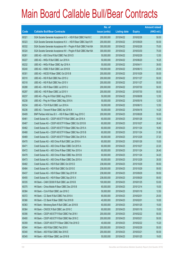|       |                                                                | No. of        |                     |               | <b>Amount raised</b> |
|-------|----------------------------------------------------------------|---------------|---------------------|---------------|----------------------|
| Code  | <b>Callable Bull/Bear Contracts</b>                            | issue (units) | <b>Listing date</b> | <b>Expiry</b> | $(HK$$ mil.)         |
| 60321 | SGA Societe Generale Acceptance N.V. - HSI R Bull CBBC Feb16 C | 200,000,000   | 2015/04/22          | 2016/02/26    | 50.00                |
| 60323 | SGA Societe Generale Acceptance N.V. - HSI R Bear CBBC Sep15 R | 200,000,000   | 2015/04/22          | 2015/09/29    | 50.00                |
| 60332 | SGA Societe Generale Acceptance NV - PingAn R Bull CBBC Feb16A | 300,000,000   | 2015/04/22          | 2016/02/26    | 75.00                |
| 60324 | SGA Societe Generale Acceptance NV - PingAn R Bull CBBC Mar16A | 300,000,000   | 2015/04/22          | 2016/03/30    | 75.00                |
| 60261 | UBS AG - A50 China R Bull CBBC Feb 2016 D                      | 50,000,000    | 2015/04/22          | 2016/02/29    | 12.50                |
| 60227 | UBS AG - HKEx R Bull CBBC Jun 2016 A                           | 50,000,000    | 2015/04/22          | 2016/06/20    | 16.25                |
| 60232 | UBS AG - HKEx R Bear CBBC Apr 2016 A                           | 50,000,000    | 2015/04/22          | 2016/04/11    | 39.50                |
| 60240 | UBS AG - HSBC R Bull CBBC Jun 2016 B                           | 100,000,000   | 2015/04/22          | 2016/06/13    | 25.00                |
| 60301 | UBS AG - HSCEI R Bear CBBC Oct 2015 B                          | 200,000,000   | 2015/04/22          | 2015/10/29    | 50.00                |
| 60310 | UBS AG - HSI R Bull CBBC Nov 2015 U                            | 200,000,000   | 2015/04/22          | 2015/11/27    | 50.00                |
| 60318 | UBS AG - HSI R Bull CBBC Nov 2015 V                            | 200,000,000   | 2015/04/22          | 2015/11/27    | 50.00                |
| 60288 | UBS AG - HSI R Bear CBBC Jul 2015 U                            | 200,000,000   | 2015/04/22          | 2015/07/30    | 50.00                |
| 60297 | UBS AG - HSI R Bear CBBC Jul 2015 V                            | 200,000,000   | 2015/04/22          | 2015/07/30    | 50.00                |
| 60237 | UBS AG - Ping An R Bull CBBC Aug 2016 A                        | 50,000,000    | 2015/04/22          | 2016/08/08    | 12.50                |
| 60238 | UBS AG - Ping An R Bear CBBC May 2016 A                        | 50,000,000    | 2015/04/22          | 2016/05/16    | 12.50                |
| 60234 | UBS AG - TCH R Bull CBBC Jun 2016 A                            | 50,000,000    | 2015/04/22          | 2016/06/13    | 12.50                |
| 60236 | UBS AG - Tencent R Bear CBBC Apr 2016 A                        | 50,000,000    | 2015/04/22          | 2016/04/18    | 14.25                |
| 60409 | BNP Paribas Arbit Issu B.V. - HSI R Bear CBBC Aug 2015 C       | 200,000,000   | 2015/04/23          | 2015/08/28    | 50.00                |
| 60461 | Credit Suisse AG - CSOP A50 ETF R Bull CBBC Jan 2016 A         | 60,000,000    | 2015/04/23          | 2016/01/26    | 15.00                |
| 60467 | Credit Suisse AG - CSOP A50 ETF R Bear CBBC Oct 2015 B         | 60,000,000    | 2015/04/23          | 2015/10/27    | 26.40                |
| 60462 | Credit Suisse AG - CSOP A50 ETF R Bear CBBC Nov 2015 A         | 60,000,000    | 2015/04/23          | 2015/11/24    | 16.80                |
| 60468 | Credit Suisse AG - CSOP A50 ETF R Bear CBBC Nov 2015 B         | 60,000,000    | 2015/04/23          | 2015/11/24    | 31.80                |
| 60469 | Credit Suisse AG - CSOP A50 ETF R Bear CBBC Dec 2015 A         | 60,000,000    | 2015/04/23          | 2015/12/29    | 37.20                |
| 60470 | Credit Suisse AG - A50 China R Bull CBBC Jan 2016 A            | 60,000,000    | 2015/04/23          | 2016/01/26    | 15.00                |
| 60471 | Credit Suisse AG - A50 China R Bear CBBC Oct 2015 A            | 60,000,000    | 2015/04/23          | 2015/10/27    | 22.20                |
| 60472 | Credit Suisse AG - A50 China R Bear CBBC Nov 2015 A            | 60,000,000    | 2015/04/23          | 2015/11/24    | 26.40                |
| 60479 | Credit Suisse AG - A50 China R Bear CBBC Nov 2015 B            | 60,000,000    | 2015/04/23          | 2015/11/24    | 34.20                |
| 60473 | Credit Suisse AG - A50 China R Bear CBBC Dec 2015 A            | 60,000,000    | 2015/04/23          | 2015/12/29    | 30.00                |
| 60482 | Credit Suisse AG - HSI R Bull CBBC Oct 2015 D                  | 238,000,000   | 2015/04/23          | 2015/10/29    | 59.50                |
| 60484 | Credit Suisse AG - HSI R Bull CBBC Oct 2015 E                  | 238,000,000   | 2015/04/23          | 2015/10/29    | 59.50                |
| 60437 | Credit Suisse AG - HSI R Bear CBBC Sep 2015 W                  | 238,000,000   | 2015/04/23          | 2015/09/29    | 59.50                |
| 60455 | Credit Suisse AG - HSI R Bear CBBC Sep 2015 X                  | 238,000,000   | 2015/04/23          | 2015/09/29    | 59.50                |
| 60335 | HK Bank - CAM CSI300 R Bull CBBC Jan 2016 B                    | 100,000,000   | 2015/04/23          | 2016/01/25    | 53.00                |
| 60375 | HK Bank - China Mobile R Bear CBBC Dec 2015 B                  | 60,000,000    | 2015/04/23          | 2015/12/14    | 15.00                |
| 60384 | HK Bank - CUni R Bull CBBC Jan 2016 C                          | 50,000,000    | 2015/04/23          | 2016/01/18    | 12.50                |
| 60372 | HK Bank - CC Bank R Bull CBBC Feb 2016 A                       | 80,000,000    | 2015/04/23          | 2016/02/01    | 20.00                |
| 60366 | HK Bank - CC Bank R Bear CBBC Feb 2016 B                       | 40,000,000    | 2015/04/23          | 2016/02/01    | 10.00                |
| 60363 | HK Bank - Minsheng Bank R Bull CBBC Jan 2016 B                 | 60,000,000    | 2015/04/23          | 2016/01/25    | 15.00                |
| 60364 | HK Bank - CNOOC R Bull CBBC Jan 2016 C                         | 60,000,000    | 2015/04/23          | 2016/01/18    | 15.00                |
| 60356 | HK Bank - CSOP A50 ETF R Bull CBBC Feb 2016 I                  | 200,000,000   | 2015/04/23          | 2016/02/22    | 50.00                |
| 60400 | HK Bank - CSOP A50 ETF R Bull CBBC Mar 2016 C                  | 200,000,000   | 2015/04/23          | 2016/03/21    | 50.00                |
| 60359 | HK Bank - CSOP A50 ETF R Bear CBBC Feb 2016 D                  | 40,000,000    | 2015/04/23          | 2016/02/22    | 15.20                |
| 60344 | HK Bank - A50 R Bull CBBC Feb 2016 I                           | 200,000,000   | 2015/04/23          | 2016/02/29    | 50.00                |
| 60340 | HK Bank - A50 R Bull CBBC Mar 2016 E                           | 200,000,000   | 2015/04/23          | 2016/03/21    | 50.00                |
| 60345 | HK Bank - A50 R Bear CBBC Jan 2016 B                           | 50,000,000    | 2015/04/23          | 2016/01/25    | 19.00                |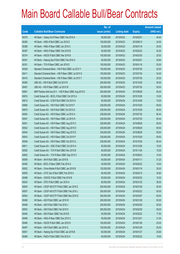|       |                                                          | No. of        |                     |               | <b>Amount raised</b> |
|-------|----------------------------------------------------------|---------------|---------------------|---------------|----------------------|
| Code  | <b>Callable Bull/Bear Contracts</b>                      | issue (units) | <b>Listing date</b> | <b>Expiry</b> | (HK\$ mil.)          |
| 60379 | HK Bank - Galaxy Ent R Bear CBBC Feb 2016 A              | 60,000,000    | 2015/04/23          | 2016/02/01    | 44.40                |
| 60365 | HK Bank - HKEx R Bull CBBC Jun 2016 D                    | 100,000,000   | 2015/04/23          | 2016/06/13    | 34.00                |
| 60389 | HK Bank - HKEx R Bear CBBC Jan 2016 C                    | 50,000,000    | 2015/04/23          | 2016/01/18    | 30.00                |
| 60387 | HK Bank - HKEx R Bear CBBC Feb 2016 B                    | 50,000,000    | 2015/04/23          | 2016/02/22    | 42.50                |
| 60374 | HK Bank - HSCEI R Bull CBBC Mar 2016 B                   | 100,000,000   | 2015/04/23          | 2016/03/30    | 25.00                |
| 60381 | HK Bank - Haitong Sec R Bull CBBC Feb 2016 A             | 60,000,000    | 2015/04/23          | 2016/02/01    | 30.60                |
| 60351 | HK Bank - TCH R Bear CBBC Jan 2016 E                     | 100,000,000   | 2015/04/23          | 2016/01/18    | 25.00                |
| 60429 | Standard Chartered Bank - HSI R Bull CBBC Jul 2015 Y     | 100,000,000   | 2015/04/23          | 2015/07/30    | 25.00                |
| 60411 | Standard Chartered Bank - HSI R Bear CBBC Jul 2015 S     | 100,000,000   | 2015/04/23          | 2015/07/30    | 34.00                |
| 60416 | Standard Chartered Bank - HSI R Bear CBBC Jul 2015 T     | 100,000,000   | 2015/04/23          | 2015/07/30    | 25.00                |
| 60485 | UBS AG - HSI R Bull CBBC Oct 2015 R                      | 200,000,000   | 2015/04/23          | 2015/10/29    | 50.00                |
| 60457 | UBS AG - HSI R Bear CBBC Jul 2015 W                      | 200,000,000   | 2015/04/23          | 2015/07/30    | 50.00                |
| 60691 | BNP Paribas Arbit Issu B.V. - HSI R Bear CBBC Aug 2015 D | 200,000,000   | 2015/04/24          | 2015/08/28    | 50.00                |
| 60616 | Credit Suisse AG - BOCL R Bull CBBC Oct 2015 A           | 60,000,000    | 2015/04/24          | 2015/10/28    | 15.00                |
| 60612 | Credit Suisse AG - CCB R Bull CBBC Oct 2015 A            | 60,000,000    | 2015/04/24          | 2015/10/28    | 15.00                |
| 60660 | Credit Suisse AG - HSI R Bull CBBC Oct 2015 F            | 238,000,000   | 2015/04/24          | 2015/10/29    | 59.50                |
| 60670 | Credit Suisse AG - HSI R Bull CBBC Oct 2015 G            | 238,000,000   | 2015/04/24          | 2015/10/29    | 59.50                |
| 60554 | Credit Suisse AG - HSI R Bear CBBC Jul 2015 A            | 238,000,000   | 2015/04/24          | 2015/07/30    | 90.44                |
| 60547 | Credit Suisse AG - HSI R Bear CBBC Jul 2015 N            | 238,000,000   | 2015/04/24          | 2015/07/30    | 90.44                |
| 60541 | Credit Suisse AG - HSI R Bear CBBC Aug 2015 C            | 238,000,000   | 2015/04/24          | 2015/08/28    | 59.50                |
| 60542 | Credit Suisse AG - HSI R Bear CBBC Aug 2015 D            | 238,000,000   | 2015/04/24          | 2015/08/28    | 59.50                |
| 60544 | Credit Suisse AG - HSI R Bear CBBC Aug 2015 E            | 238,000,000   | 2015/04/24          | 2015/08/28    | 59.50                |
| 60543 | Credit Suisse AG - HSI R Bear CBBC Oct 2015 P            | 238,000,000   | 2015/04/24          | 2015/10/29    | 59.50                |
| 60546 | Credit Suisse AG - HSI R Bear CBBC Oct 2015 Q            | 238,000,000   | 2015/04/24          | 2015/10/29    | 90.44                |
| 60611 | Credit Suisse AG - ICBC R Bull CBBC Oct 2015 A           | 60,000,000    | 2015/04/24          | 2015/10/28    | 15.00                |
| 60592 | Credit Suisse AG - TCH R Bull CBBC Nov 2015 B            | 60,000,000    | 2015/04/24          | 2015/11/24    | 15.00                |
| 60602 | Credit Suisse AG - TCH R Bear CBBC Sep 2015 C            | 60,000,000    | 2015/04/24          | 2015/09/23    | 15.00                |
| 60509 | HK Bank - AIA R Bull CBBC Jan 2016 B                     | 60,000,000    | 2015/04/24          | 2016/01/11    | 31.20                |
| 60495 | HK Bank - BOCL R Bear CBBC Feb 2016 A                    | 40,000,000    | 2015/04/24          | 2016/02/22    | 10.00                |
| 60502 | HK Bank - China Mobile R Bull CBBC Jan 2016 B            | 120,000,000   | 2015/04/24          | 2016/01/18    | 30.00                |
| 60500 | HK Bank - CITIC Sec R Bull CBBC Feb 2016 A               | 60,000,000    | 2015/04/24          | 2016/02/15    | 34.80                |
| 60488 | HK Bank - CNOOC R Bull CBBC Feb 2016 B                   | 60,000,000    | 2015/04/24          | 2016/02/22    | 15.00                |
| 60524 | HK Bank - CPIC R Bull CBBC Jan 2016 A                    | 60,000,000    | 2015/04/24          | 2016/01/25    | 36.00                |
| 60505 | HK Bank - CSOP A50 ETF R Bull CBBC Jan 2016 Z            | 200,000,000   | 2015/04/24          | 2016/01/28    | 50.00                |
| 60507 | HK Bank - CSOP A50 ETF R Bull CBBC Feb 2016 J            | 200,000,000   | 2015/04/24          | 2016/02/22    | 50.00                |
| 60504 | HK Bank - CSOP A50 ETF R Bull CBBC Mar 2016 D            | 200,000,000   | 2015/04/24          | 2016/03/07    | 50.00                |
| 60498 | HK Bank - A50 R Bull CBBC Jan 2016 W                     | 200,000,000   | 2015/04/24          | 2016/01/28    | 50.00                |
| 60489 | HK Bank - A50 R Bull CBBC Feb 2016 J                     | 200,000,000   | 2015/04/24          | 2016/02/29    | 50.00                |
| 60503 | HK Bank - A50 R Bull CBBC Feb 2016 K                     | 200,000,000   | 2015/04/24          | 2016/02/29    | 50.00                |
| 60494 | HK Bank - A50 R Bear CBBC Feb 2016 E                     | 50,000,000    | 2015/04/24          | 2016/02/22    | 17.50                |
| 60499 | HK Bank – HKEx R Bear CBBC Dec 2015 C                    | 50,000,000    | 2015/04/24          | 2015/12/21    | 21.00                |
| 60496 | HK Bank - HSCEI R Bull CBBC Jan 2016 D                   | 100,000,000   | 2015/04/24          | 2016/01/28    | 25.00                |
| 60497 | HK Bank - HSI R Bull CBBC Jan 2016 G                     | 100,000,000   | 2015/04/24          | 2016/01/28    | 25.00                |
| 60501 | HK Bank - Haitong Sec R Bull CBBC Jan 2016 B             | 60,000,000    | 2015/04/24          | 2016/01/27    | 25.80                |
| 60486 | HK Bank - PetCh R Bull CBBC Feb 2016 A                   | 60,000,000    | 2015/04/24          | 2016/02/22    | 15.00                |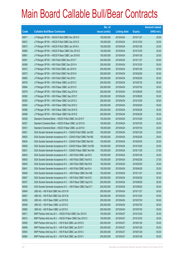|             |                                                                | No. of        |                     |               | <b>Amount raised</b> |
|-------------|----------------------------------------------------------------|---------------|---------------------|---------------|----------------------|
| <b>Code</b> | <b>Callable Bull/Bear Contracts</b>                            | issue (units) | <b>Listing date</b> | <b>Expiry</b> | (HK\$ mil.)          |
| 60671       | J P Morgan SP BV - HSCEI R Bull CBBC Nov 2015 D                | 100,000,000   | 2015/04/24          | 2015/11/27    | 25.00                |
| 60672       | J P Morgan SP BV - HSCEI R Bull CBBC Dec 2015 E                | 100,000,000   | 2015/04/24          | 2015/12/30    | 25.00                |
| 60673       | J P Morgan SP BV - HSCEI R Bull CBBC Jan 2016 A                | 100,000,000   | 2015/04/24          | 2016/01/28    | 25.00                |
| 60680       | J P Morgan SP BV - HSCEI R Bear CBBC Dec 2015 D                | 100,000,000   | 2015/04/24          | 2015/12/30    | 25.00                |
| 60681       | J P Morgan SP BV - HSCEI R Bear CBBC Jan 2016 B                | 100,000,000   | 2015/04/24          | 2016/01/28    | 25.00                |
| 60561       | J P Morgan SP BV - HSI R Bull CBBC Nov 2015 T                  | 200,000,000   | 2015/04/24          | 2015/11/27    | 50.00                |
| 60569       | J P Morgan SP BV - HSI R Bull CBBC Dec 2015 H                  | 200,000,000   | 2015/04/24          | 2015/12/30    | 50.00                |
| 60572       | J P Morgan SP BV - HSI R Bull CBBC Jan 2016 H                  | 200,000,000   | 2015/04/24          | 2016/01/28    | 50.00                |
| 60573       | J P Morgan SP BV - HSI R Bull CBBC Feb 2016 H                  | 200,000,000   | 2015/04/24          | 2016/02/26    | 50.00                |
| 60683       | J P Morgan SP BV - HSI R Bull CBBC Feb 2016 I                  | 200,000,000   | 2015/04/24          | 2016/02/26    | 50.00                |
| 60578       | J P Morgan SP BV - HSI R Bear CBBC Jul 2015 C                  | 200,000,000   | 2015/04/24          | 2015/07/30    | 50.00                |
| 60684       | J P Morgan SP BV - HSI R Bear CBBC Jul 2015 D                  | 200,000,000   | 2015/04/24          | 2015/07/30    | 50.00                |
| 60579       | JP Morgan SP BV - HSI R Bear CBBC Aug 2015 K                   | 200,000,000   | 2015/04/24          | 2015/08/28    | 50.00                |
| 60582       | J P Morgan SP BV - HSI R Bear CBBC Sep 2015 F                  | 200,000,000   | 2015/04/24          | 2015/09/29    | 50.00                |
| 60583       | JP Morgan SP BV - HSI R Bear CBBC Oct 2015 C                   | 200,000,000   | 2015/04/24          | 2015/10/29    | 50.00                |
| 60584       | J P Morgan SP BV - HSI R Bear CBBC Feb 2016 C                  | 200,000,000   | 2015/04/24          | 2016/02/26    | 50.00                |
| 60588       | JP Morgan SP BV - HSIR Bear CBBC Feb 2016 D                    | 200,000,000   | 2015/04/24          | 2016/02/26    | 50.00                |
| 60589       | J P Morgan SP BV - HSI R Bear CBBC Feb 2016 E                  | 200,000,000   | 2015/04/24          | 2016/02/26    | 50.00                |
| 60526       | Standard Chartered Bank - HSCEI R Bull CBBC Oct 2015 F         | 100,000,000   | 2015/04/24          | 2015/10/29    | 25.00                |
| 60527       | Standard Chartered Bank - HSCEI R Bear CBBC Jul 2015 D         | 100,000,000   | 2015/04/24          | 2015/07/30    | 25.00                |
| 60531       | Standard Chartered Bank - HSCEI R Bear CBBC Jul 2015 E         | 100,000,000   | 2015/04/24          | 2015/07/30    | 25.00                |
| 60621       | SGA Societe Generale Acceptance N.V - CSA50 R Bull CBBC Jan16D | 100,000,000   | 2015/04/24          | 2016/01/28    | 25.00                |
| 60620       | SGA Societe Generale Acceptance N.V - CSA50 R Bull CBBC Feb16E | 100,000,000   | 2015/04/24          | 2016/02/26    | 29.00                |
| 60624       | SGA Societe Generale Acceptance N.V - CSA50 R Bull CBBC Mar16C | 100,000,000   | 2015/04/24          | 2016/03/30    | 25.00                |
| 60628       | SGA Societe Generale Acceptance N.V - CSA50 R Bear CBBC Oct15B | 100,000,000   | 2015/04/24          | 2015/10/29    | 25.00                |
| 60631       | SGA Societe Generale Acceptance N.V - CSA50 R Bear CBBC Nov16A | 100,000,000   | 2015/04/24          | 2016/11/29    | 27.00                |
| 60643       | SGA Societe Generale Acceptance N.V. - A50 R Bull CBBC Jan16 D | 100,000,000   | 2015/04/24          | 2016/01/28    | 25.00                |
| 60635       | SGA Societe Generale Acceptance N.V. - A50 R Bull CBBC Feb16 D | 100,000,000   | 2015/04/24          | 2016/02/26    | 27.00                |
| 60640       | SGA Societe Generale Acceptance N.V. - A50 R Bull CBBC Mar16 B | 100,000,000   | 2015/04/24          | 2016/03/30    | 25.00                |
| 60641       | SGA Societe Generale Acceptance N.V. - A50 R Bull CBBC Apr16 A | 100,000,000   | 2015/04/24          | 2016/04/28    | 25.00                |
| 60646       | SGA Societe Generale Acceptance N.V. - A50 R Bear CBBC Nov15B  | 100,000,000   | 2015/04/24          | 2015/11/27    | 25.00                |
| 60647       | SGA Societe Generale Acceptance N.V. - HSI R Bull CBBC Feb16 D | 200,000,000   | 2015/04/24          | 2016/02/26    | 50.00                |
| 60537       | SGA Societe Generale Acceptance N.V. - HSI R Bear CBBC Sep15 S | 200,000,000   | 2015/04/24          | 2015/09/29    | 50.00                |
| 60540       | SGA Societe Generale Acceptance N.V. - HSI R Bear CBBC Sep15 T | 200,000,000   | 2015/04/24          | 2015/09/29    | 50.00                |
| 60649       | UBS AG - HSI R Bull CBBC Nov 2015 W                            | 200,000,000   | 2015/04/24          | 2015/11/27    | 50.00                |
| 60657       | UBS AG - HSI R Bull CBBC Dec 2015 M                            | 200,000,000   | 2015/04/24          | 2015/12/30    | 50.00                |
| 60555       | UBS AG - HSI R Bear CBBC Jul 2015 B                            | 200,000,000   | 2015/04/24          | 2015/07/30    | 50.00                |
| 60558       | UBS AG - HSI R Bear CBBC Jul 2015 D                            | 200,000,000   | 2015/04/24          | 2015/07/30    | 50.00                |
| 60682       | UBS AG - HSI R Bear CBBC Jul 2015 E                            | 200,000,000   | 2015/04/24          | 2015/07/30    | 50.00                |
| 60911       | BNP Paribas Arbit Issu B.V. - HSCEI R Bull CBBC Dec 2015 K     | 100,000,000   | 2015/04/27          | 2015/12/30    | 25.00                |
| 60912       | BNP Paribas Arbit Issu B.V. - HSCEI R Bear CBBC Dec 2015 C     | 100,000,000   | 2015/04/27          | 2015/12/30    | 25.00                |
| 60836       | BNP Paribas Arbit Issu B.V. - HSI R Bull CBBC Jan 2016 S       | 200,000,000   | 2015/04/27          | 2016/01/28    | 50.00                |
| 60848       | BNP Paribas Arbit Issu B.V. - HSI R Bull CBBC Jan 2016 T       | 200,000,000   | 2015/04/27          | 2016/01/28    | 50.00                |
| 60853       | BNP Paribas Arbit Issu B.V. - HSI R Bull CBBC Jan 2016 U       | 200,000,000   | 2015/04/27          | 2016/01/28    | 50.00                |
| 60854       | BNP Paribas Arbit Issu B.V. - HSI R Bull CBBC Jan 2016 V       | 200,000,000   | 2015/04/27          | 2016/01/28    | 50.00                |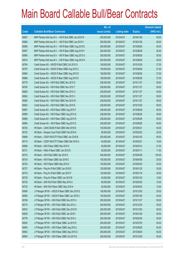|       |                                                          | No. of        |                     |               | <b>Amount raised</b> |
|-------|----------------------------------------------------------|---------------|---------------------|---------------|----------------------|
| Code  | <b>Callable Bull/Bear Contracts</b>                      | issue (units) | <b>Listing date</b> | <b>Expiry</b> | $(HK$$ mil.)         |
| 60857 | BNP Paribas Arbit Issu B.V. - HSI R Bull CBBC Jan 2016 W | 200,000,000   | 2015/04/27          | 2016/01/28    | 50.00                |
| 60860 | BNP Paribas Arbit Issu B.V. - HSI R Bull CBBC Jan 2016 X | 200,000,000   | 2015/04/27          | 2016/01/28    | 50.00                |
| 60906 | BNP Paribas Arbit Issu B.V. - HSI R Bear CBBC Aug 2015 E | 200,000,000   | 2015/04/27          | 2015/08/28    | 50.00                |
| 60907 | BNP Paribas Arbit Issu B.V. - HSI R Bear CBBC Aug 2015 F | 200,000,000   | 2015/04/27          | 2015/08/28    | 50.00                |
| 60909 | BNP Paribas Arbit Issu B.V. - HSI R Bear CBBC Aug 2015 G | 200,000,000   | 2015/04/27          | 2015/08/28    | 50.00                |
| 60910 | BNP Paribas Arbit Issu B.V. - HSI R Bear CBBC Aug 2015 H | 200,000,000   | 2015/04/27          | 2015/08/28    | 50.00                |
| 60784 | Credit Suisse AG - HSCEI R Bull CBBC Oct 2015 G          | 108,000,000   | 2015/04/27          | 2015/10/29    | 27.00                |
| 60787 | Credit Suisse AG - HSCEI R Bear CBBC Aug 2015 C          | 108,000,000   | 2015/04/27          | 2015/08/28    | 27.00                |
| 60884 | Credit Suisse AG - HSCEI R Bear CBBC Aug 2015 D          | 108,000,000   | 2015/04/27          | 2015/08/28    | 27.00                |
| 60886 | Credit Suisse AG - HSCEI R Bear CBBC Aug 2015 E          | 108,000,000   | 2015/04/27          | 2015/08/28    | 27.00                |
| 60779 | Credit Suisse AG - HSI R Bull CBBC Nov 2015 S            | 238,000,000   | 2015/04/27          | 2015/11/27    | 59.50                |
| 60780 | Credit Suisse AG - HSI R Bull CBBC Nov 2015 T            | 238,000,000   | 2015/04/27          | 2015/11/27    | 59.50                |
| 60820 | Credit Suisse AG - HSI R Bull CBBC Nov 2015 U            | 238,000,000   | 2015/04/27          | 2015/11/27    | 59.50                |
| 60824 | Credit Suisse AG - HSI R Bull CBBC Nov 2015 V            | 238,000,000   | 2015/04/27          | 2015/11/27    | 59.50                |
| 60826 | Credit Suisse AG - HSI R Bull CBBC Nov 2015 W            | 238,000,000   | 2015/04/27          | 2015/11/27    | 59.50                |
| 60832 | Credit Suisse AG - HSI R Bull CBBC Dec 2015 E            | 238,000,000   | 2015/04/27          | 2015/12/30    | 59.50                |
| 60887 | Credit Suisse AG - HSI R Bear CBBC Aug 2015 F            | 238,000,000   | 2015/04/27          | 2015/08/28    | 59.50                |
| 60895 | Credit Suisse AG - HSI R Bear CBBC Aug 2015 G            | 238,000,000   | 2015/04/27          | 2015/08/28    | 59.50                |
| 60889 | Credit Suisse AG - HSI R Bear CBBC Aug 2015 R            | 238,000,000   | 2015/04/27          | 2015/08/28    | 59.50                |
| 60890 | Credit Suisse AG - HSI R Bear CBBC Aug 2015 S            | 238,000,000   | 2015/04/27          | 2015/08/28    | 59.50                |
| 60720 | HK Bank - CAM CSI300 R Bull CBBC Mar 2016 B              | 100,000,000   | 2015/04/27          | 2016/03/21    | 54.00                |
| 60732 | HK Bank - Sinopec Corp R Bull CBBC Feb 2016 A            | 80,000,000    | 2015/04/27          | 2016/02/22    | 20.00                |
| 60699 | HK Bank - CSOP A50 ETF R Bull CBBC Jan 2016 B            | 200,000,000   | 2015/04/27          | 2016/01/25    | 50.00                |
| 60714 | HK Bank - CSOP A50 ETF R Bear CBBC Mar 2016 A            | 40,000,000    | 2015/04/27          | 2016/03/21    | 16.00                |
| 60698 | HK Bank - A50 R Bear CBBC Mar 2016 A                     | 50,000,000    | 2015/04/27          | 2016/03/14    | 21.50                |
| 60731 | HK Bank - HKEx R Bear CBBC Jan 2016 D                    | 50,000,000    | 2015/04/27          | 2016/01/11    | 17.50                |
| 60723 | HK Bank - HSI R Bull CBBC Apr 2016 D                     | 400,000,000   | 2015/04/27          | 2016/04/28    | 100.00               |
| 60724 | HK Bank - HSI R Bear CBBC Apr 2016 E                     | 100,000,000   | 2015/04/27          | 2016/04/28    | 25.00                |
| 60725 | HK Bank - HSI R Bear CBBC May 2016 C                     | 100,000,000   | 2015/04/27          | 2016/05/30    | 25.00                |
| 60727 | HK Bank - Ping An R Bull CBBC Jan 2016 E                 | 120,000,000   | 2015/04/27          | 2016/01/25    | 30.00                |
| 60733 | HK Bank - Ping An R Bull CBBC Jan 2016 F                 | 120,000,000   | 2015/04/27          | 2016/01/18    | 30.00                |
| 60736 | HK Bank - Ping An R Bear CBBC Jan 2016 B                 | 40,000,000    | 2015/04/27          | 2016/01/25    | 12.80                |
| 60729 | HK Bank - SHK Ppt R Bull CBBC May 2016 A                 | 60,000,000    | 2015/04/27          | 2016/05/30    | 15.00                |
| 60730 | HK Bank - SHK Ppt R Bear CBBC May 2016 A                 | 50,000,000    | 2015/04/27          | 2016/05/30    | 12.50                |
| 60956 | J P Morgan SP BV - HSCEI R Bear CBBC Dec 2015 E          | 100,000,000   | 2015/04/27          | 2015/12/30    | 25.00                |
| 60955 | JP Morgan SP BV - HSCEIR Bear CBBC Jan 2016 C            | 100,000,000   | 2015/04/27          | 2016/01/28    | 25.00                |
| 60768 | J P Morgan SP BV - HSI R Bull CBBC Nov 2015 U            | 200,000,000   | 2015/04/27          | 2015/11/27    | 50.00                |
| 60774 | J P Morgan SP BV - HSI R Bull CBBC Dec 2015 J            | 200,000,000   | 2015/04/27          | 2015/12/30    | 50.00                |
| 60915 | J P Morgan SP BV - HSI R Bull CBBC Dec 2015 R            | 200,000,000   | 2015/04/27          | 2015/12/30    | 50.00                |
| 60929 | J P Morgan SP BV - HSI R Bull CBBC Jan 2016 I            | 200,000,000   | 2015/04/27          | 2016/01/28    | 50.00                |
| 60778 | J P Morgan SP BV - HSI R Bull CBBC Feb 2016 J            | 200,000,000   | 2015/04/27          | 2016/02/26    | 50.00                |
| 60930 | J P Morgan SP BV - HSI R Bear CBBC Jul 2015 E            | 200,000,000   | 2015/04/27          | 2015/07/30    | 50.00                |
| 60945 | J P Morgan SP BV - HSI R Bear CBBC Aug 2015 L            | 200,000,000   | 2015/04/27          | 2015/08/28    | 50.00                |
| 60952 | JP Morgan SP BV - HSI R Bear CBBC Sep 2015 G             | 200,000,000   | 2015/04/27          | 2015/09/29    | 50.00                |
| 60954 | J P Morgan SP BV - HSI R Bear CBBC Oct 2015 D            | 200,000,000   | 2015/04/27          | 2015/10/29    | 50.00                |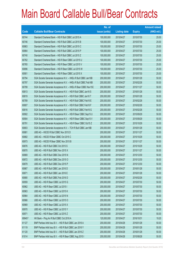|             |                                                                | No. of        |                     |               | <b>Amount raised</b> |
|-------------|----------------------------------------------------------------|---------------|---------------------|---------------|----------------------|
| <b>Code</b> | <b>Callable Bull/Bear Contracts</b>                            | issue (units) | <b>Listing date</b> | <b>Expiry</b> | $(HK$$ mil.)         |
| 60744       | Standard Chartered Bank - HSI R Bull CBBC Jul 2015 A           | 100,000,000   | 2015/04/27          | 2015/07/30    | 25.00                |
| 60746       | Standard Chartered Bank - HSI R Bull CBBC Jul 2015 B           | 100,000,000   | 2015/04/27          | 2015/07/30    | 25.00                |
| 60863       | Standard Chartered Bank - HSI R Bull CBBC Jul 2015 C           | 100,000,000   | 2015/04/27          | 2015/07/30    | 25.00                |
| 60864       | Standard Chartered Bank - HSI R Bull CBBC Jul 2015 P           | 100,000,000   | 2015/04/27          | 2015/07/30    | 25.00                |
| 60740       | Standard Chartered Bank - HSI R Bull CBBC Jul 2015 Z           | 100,000,000   | 2015/04/27          | 2015/07/30    | 25.00                |
| 60762       | Standard Chartered Bank - HSI R Bear CBBC Jul 2015 U           | 100,000,000   | 2015/04/27          | 2015/07/30    | 25.00                |
| 60765       | Standard Chartered Bank - HSI R Bear CBBC Jul 2015 V           | 100,000,000   | 2015/04/27          | 2015/07/30    | 25.00                |
| 60896       | Standard Chartered Bank - HSI R Bear CBBC Jul 2015 W           | 100,000,000   | 2015/04/27          | 2015/07/30    | 25.00                |
| 60901       | Standard Chartered Bank - HSI R Bear CBBC Jul 2015 X           | 100,000,000   | 2015/04/27          | 2015/07/30    | 25.00                |
| 60794       | SGA Societe Generale Acceptance N.V. - HKEx R Bull CBBC Jan16B | 200,000,000   | 2015/04/27          | 2016/01/28    | 50.00                |
| 60797       | SGA Societe Generale Acceptance N.V. - HKEx R Bull CBBC Feb16B | 200,000,000   | 2015/04/27          | 2016/02/26    | 50.00                |
| 60799       | SGA Societe Generale Acceptance N.V. - HKEx R Bear CBBC Nov15C | 200,000,000   | 2015/04/27          | 2015/11/27    | 50.00                |
| 60813       | SGA Societe Generale Acceptance N.V. - HSI R Bull CBBC Jan16 S | 200,000,000   | 2015/04/27          | 2016/01/28    | 50.00                |
| 60819       | SGA Societe Generale Acceptance N.V. - HSI R Bull CBBC Jan16 T | 200,000,000   | 2015/04/27          | 2016/01/28    | 50.00                |
| 60789       | SGA Societe Generale Acceptance N.V. - HSI R Bull CBBC Feb16 E | 200,000,000   | 2015/04/27          | 2016/02/26    | 50.00                |
| 60807       | SGA Societe Generale Acceptance N.V. - HSI R Bull CBBC Feb16 F | 200,000,000   | 2015/04/27          | 2016/02/26    | 50.00                |
| 60816       | SGA Societe Generale Acceptance N.V. - HSI R Bull CBBC Feb16 G | 200,000,000   | 2015/04/27          | 2016/02/26    | 50.00                |
| 60902       | SGA Societe Generale Acceptance N.V. - HSI R Bear CBBC Sep15 U | 200,000,000   | 2015/04/27          | 2015/09/29    | 50.00                |
| 60904       | SGA Societe Generale Acceptance N.V. - HSI R Bear CBBC Sep15 V | 200,000,000   | 2015/04/27          | 2015/09/29    | 50.00                |
| 60791       | SGA Societe Generale Acceptance N.V. - HSI R Bear CBBC Oct15 Z | 200,000,000   | 2015/04/27          | 2015/10/29    | 50.00                |
| 60803       | SGA Societe Generale Acceptance N.V. - TCH R Bull CBBC Jan16B  | 200,000,000   | 2015/04/27          | 2016/01/28    | 50.00                |
| 60881       | UBS AG - HSCEI R Bull CBBC Nov 2015 D                          | 200,000,000   | 2015/04/27          | 2015/11/27    | 50.00                |
| 60882       | UBS AG - HSCEI R Bear CBBC Oct 2015 C                          | 200,000,000   | 2015/04/27          | 2015/10/29    | 50.00                |
| 60973       | UBS AG - HSCEI R Bear CBBC Nov 2015 B                          | 200,000,000   | 2015/04/27          | 2015/11/27    | 50.00                |
| 60876       | UBS AG - HSI R Bull CBBC Oct 2015 S                            | 200,000,000   | 2015/04/27          | 2015/10/29    | 50.00                |
| 60870       | UBS AG - HSI R Bull CBBC Nov 2015 X                            | 200,000,000   | 2015/04/27          | 2015/11/27    | 50.00                |
| 60869       | UBS AG - HSI R Bull CBBC Dec 2015 N                            | 200,000,000   | 2015/04/27          | 2015/12/30    | 50.00                |
| 60872       | UBS AG - HSI R Bull CBBC Dec 2015 O                            | 200,000,000   | 2015/04/27          | 2015/12/30    | 50.00                |
| 60879       | UBS AG - HSI R Bull CBBC Dec 2015 P                            | 200,000,000   | 2015/04/27          | 2015/12/30    | 50.00                |
| 60867       | UBS AG - HSI R Bull CBBC Jan 2016 D                            | 200,000,000   | 2015/04/27          | 2016/01/28    | 50.00                |
| 60871       | UBS AG - HSI R Bull CBBC Jan 2016 E                            | 200,000,000   | 2015/04/27          | 2016/01/28    | 50.00                |
| 60880       | UBS AG - HSI R Bull CBBC Feb 2016 D                            | 200,000,000   | 2015/04/27          | 2016/02/26    | 50.00                |
| 60959       | UBS AG - HSI R Bear CBBC Jul 2015 G                            | 200,000,000   | 2015/04/27          | 2015/07/30    | 50.00                |
| 60962       | UBS AG - HSI R Bear CBBC Jul 2015 I                            | 200,000,000   | 2015/04/27          | 2015/07/30    | 50.00                |
| 60963       | UBS AG - HSI R Bear CBBC Jul 2015 K                            | 200,000,000   | 2015/04/27          | 2015/07/30    | 50.00                |
| 60964       | UBS AG - HSI R Bear CBBC Jul 2015 N                            | 200,000,000   | 2015/04/27          | 2015/07/30    | 50.00                |
| 60966       | UBS AG - HSI R Bear CBBC Jul 2015 O                            | 200,000,000   | 2015/04/27          | 2015/07/30    | 50.00                |
| 60969       | UBS AG - HSI R Bear CBBC Jul 2015 X                            | 200,000,000   | 2015/04/27          | 2015/07/30    | 50.00                |
| 60970       | UBS AG - HSI R Bear CBBC Jul 2015 Y                            | 200,000,000   | 2015/04/27          | 2015/07/30    | 50.00                |
| 60971       | UBS AG - HSI R Bear CBBC Jul 2015 Z                            | 200,000,000   | 2015/04/27          | 2015/07/30    | 50.00                |
| 69945#      | HK Bank - Ping An R Bull CBBC Oct 2016 A                       | 120,000,000   | 2015/04/27          | 2016/10/31    | 19.20                |
| 61127       | BNP Paribas Arbit Issu B.V. - HSI R Bull CBBC Jan 2016 A       | 200,000,000   | 2015/04/28          | 2016/01/28    | 50.00                |
| 61119       | BNP Paribas Arbit Issu B.V. - HSI R Bull CBBC Jan 2016 Y       | 200,000,000   | 2015/04/28          | 2016/01/28    | 50.00                |
| 61120       | BNP Paribas Arbit Issu B.V. - HSI R Bull CBBC Jan 2016 Z       | 200,000,000   | 2015/04/28          | 2016/01/28    | 50.00                |
| 61014       | BNP Paribas Arbit Issu B.V. - HSI R Bear CBBC Aug 2015 I       | 200,000,000   | 2015/04/28          | 2015/08/28    | 50.00                |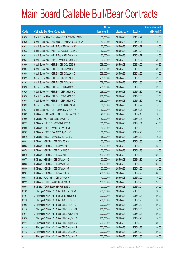|       |                                                        | No. of        |                     |               | <b>Amount raised</b> |
|-------|--------------------------------------------------------|---------------|---------------------|---------------|----------------------|
| Code  | <b>Callable Bull/Bear Contracts</b>                    | issue (units) | <b>Listing date</b> | <b>Expiry</b> | $(HK$$ mil.)         |
| 61038 | Credit Suisse AG - China Mobile R Bull CBBC Oct 2015 A | 60,000,000    | 2015/04/28          | 2015/10/27    | 15.00                |
| 61039 | Credit Suisse AG - China Mobile R Bear CBBC Oct 2015 A | 60,000,000    | 2015/04/28          | 2015/10/27    | 16.20                |
| 61031 | Credit Suisse AG - HKEx R Bull CBBC Oct 2015 C         | 60,000,000    | 2015/04/28          | 2015/10/27    | 18.60                |
| 61032 | Credit Suisse AG - HKEx R Bull CBBC Nov 2015 C         | 60,000,000    | 2015/04/28          | 2015/11/24    | 15.00                |
| 61033 | Credit Suisse AG - HKEx R Bear CBBC Oct 2015 A         | 60,000,000    | 2015/04/28          | 2015/10/27    | 18.60                |
| 61034 | Credit Suisse AG - HKEx R Bear CBBC Oct 2015 B         | 60,000,000    | 2015/04/28          | 2015/10/27    | 36.60                |
| 61096 | Credit Suisse AG - HSI R Bull CBBC Oct 2015 H          | 238,000,000   | 2015/04/28          | 2015/10/29    | 59.50                |
| 61094 | Credit Suisse AG - HSI R Bull CBBC Dec 2015 F          | 238,000,000   | 2015/04/28          | 2015/12/30    | 59.50                |
| 61098 | Credit Suisse AG - HSI R Bull CBBC Dec 2015 G          | 238,000,000   | 2015/04/28          | 2015/12/30    | 59.50                |
| 61099 | Credit Suisse AG - HSI R Bull CBBC Dec 2015 H          | 238,000,000   | 2015/04/28          | 2015/12/30    | 59.50                |
| 61102 | Credit Suisse AG - HSI R Bull CBBC Dec 2015 I          | 238,000,000   | 2015/04/28          | 2015/12/30    | 59.50                |
| 61026 | Credit Suisse AG - HSI R Bear CBBC Jul 2015 C          | 238,000,000   | 2015/04/28          | 2015/07/30    | 59.50                |
| 61029 | Credit Suisse AG - HSI R Bear CBBC Jul 2015 D          | 238,000,000   | 2015/04/28          | 2015/07/30    | 59.50                |
| 61030 | Credit Suisse AG - HSI R Bear CBBC Jul 2015 E          | 238,000,000   | 2015/04/28          | 2015/07/30    | 59.50                |
| 61044 | Credit Suisse AG - HSI R Bear CBBC Jul 2015 G          | 238,000,000   | 2015/04/28          | 2015/07/30    | 59.50                |
| 61035 | Credit Suisse AG - TCH R Bull CBBC Oct 2015 D          | 60,000,000    | 2015/04/28          | 2015/10/27    | 15.00                |
| 61037 | Credit Suisse AG - TCH R Bear CBBC Oct 2015 A          | 60,000,000    | 2015/04/28          | 2015/10/27    | 15.00                |
| 61002 | HK Bank - CSOP A50 ETF R Bear CBBC Apr 2016 C          | 40,000,000    | 2015/04/28          | 2016/04/18    | 10.00                |
| 61006 | HK Bank - A50 R Bear CBBC Mar 2016 B                   | 50,000,000    | 2015/04/28          | 2016/03/07    | 12.50                |
| 60999 | HK Bank - HKEx R Bull CBBC Feb 2016 B                  | 100,000,000   | 2015/04/28          | 2016/02/01    | 41.00                |
| 61000 | HK Bank - HKEx R Bear CBBC Jan 2016 E                  | 50,000,000    | 2015/04/28          | 2016/01/25    | 17.00                |
| 60987 | HK Bank - HSCEI R Bear CBBC Apr 2016 B                 | 68,000,000    | 2015/04/28          | 2016/04/28    | 17.00                |
| 60976 | HK Bank - HSCEI R Bear CBBC May 2016 C                 | 68,000,000    | 2015/04/28          | 2016/05/30    | 19.04                |
| 60982 | HK Bank - HSI R Bear CBBC Mar 2016 H                   | 100,000,000   | 2015/04/28          | 2016/03/30    | 25.00                |
| 60983 | HK Bank - HSI R Bear CBBC Mar 2016 I                   | 100,000,000   | 2015/04/28          | 2016/03/30    | 25.00                |
| 60978 | HK Bank - HSI R Bear CBBC Apr 2016 F                   | 100,000,000   | 2015/04/28          | 2016/04/28    | 25.00                |
| 60979 | HK Bank - HSI R Bear CBBC Apr 2016 G                   | 400,000,000   | 2015/04/28          | 2016/04/28    | 152.00               |
| 60977 | HK Bank - HSI R Bear CBBC May 2016 D                   | 100,000,000   | 2015/04/28          | 2016/05/30    | 25.00                |
| 60985 | HK Bank - HSI R Bear CBBC May 2016 E                   | 400,000,000   | 2015/04/28          | 2016/05/30    | 184.00               |
| 60986 | HK Bank - HSI R Bear CBBC May 2016 F                   | 400,000,000   | 2015/04/28          | 2016/05/30    | 132.00               |
| 60981 | HK Bank - HSI R Bear CBBC Jun 2016 A                   | 400,000,000   | 2015/04/28          | 2016/06/29    | 168.00               |
| 60988 | HK Bank - PetCh R Bear CBBC Feb 2016 A                 | 40,000,000    | 2015/04/28          | 2016/02/22    | 10.00                |
| 60992 | HK Bank - TCH R Bear CBBC Feb 2016 B                   | 100,000,000   | 2015/04/28          | 2016/02/29    | 25.00                |
| 60994 | HK Bank - TCH R Bear CBBC Feb 2016 C                   | 100,000,000   | 2015/04/28          | 2016/02/24    | 25.00                |
| 61103 | J P Morgan SP BV - HSI R Bull CBBC Dec 2015 X          | 200,000,000   | 2015/04/28          | 2015/12/30    | 50.00                |
| 61104 | J P Morgan SP BV - HSI R Bull CBBC Jan 2016 J          | 200,000,000   | 2015/04/28          | 2016/01/28    | 50.00                |
| 61110 | J P Morgan SP BV - HSI R Bull CBBC Feb 2016 K          | 200,000,000   | 2015/04/28          | 2016/02/26    | 50.00                |
| 61008 | J P Morgan SP BV - HSI R Bear CBBC Jul 2015 B          | 200,000,000   | 2015/04/28          | 2015/07/30    | 50.00                |
| 61116 | J P Morgan SP BV - HSI R Bear CBBC Jul 2015 M          | 200,000,000   | 2015/04/28          | 2015/07/30    | 50.00                |
| 61011 | J P Morgan SP BV - HSI R Bear CBBC Aug 2015 M          | 200,000,000   | 2015/04/28          | 2015/08/28    | 50.00                |
| 61070 | J P Morgan SP BV - HSI R Bear CBBC Aug 2015 N          | 200,000,000   | 2015/04/28          | 2015/08/28    | 50.00                |
| 61111 | J P Morgan SP BV - HSI R Bear CBBC Aug 2015 O          | 200,000,000   | 2015/04/28          | 2015/08/28    | 50.00                |
| 61118 | J P Morgan SP BV - HSI R Bear CBBC Aug 2015 P          | 200,000,000   | 2015/04/28          | 2015/08/28    | 50.00                |
| 61112 | J P Morgan SP BV - HSI R Bear CBBC Oct 2015 E          | 200,000,000   | 2015/04/28          | 2015/10/29    | 50.00                |
| 61113 | J P Morgan SP BV - HSI R Bear CBBC Dec 2015 D          | 200,000,000   | 2015/04/28          | 2015/12/30    | 50.00                |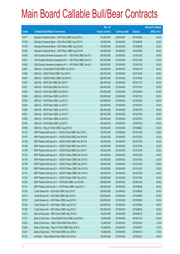|       |                                                                | No. of        |                     |               | <b>Amount raised</b> |
|-------|----------------------------------------------------------------|---------------|---------------------|---------------|----------------------|
| Code  | <b>Callable Bull/Bear Contracts</b>                            | issue (units) | <b>Listing date</b> | <b>Expiry</b> | (HK\$ mil.)          |
| 61017 | Standard Chartered Bank - HSI R Bull CBBC Aug 2015 Q           | 100,000,000   | 2015/04/28          | 2015/08/28    | 25.00                |
| 61129 | Standard Chartered Bank - HSI R Bull CBBC Aug 2015 R           | 100,000,000   | 2015/04/28          | 2015/08/28    | 25.00                |
| 61019 | Standard Chartered Bank - HSI R Bear CBBC Aug 2015 A           | 100,000,000   | 2015/04/28          | 2015/08/28    | 25.00                |
| 61020 | Standard Chartered Bank - HSI R Bear CBBC Aug 2015 B           | 100,000,000   | 2015/04/28          | 2015/08/28    | 25.00                |
| 61040 | SGA Societe Generale Acceptance N.V. - HSI R Bull CBBC Dec15 Y | 200,000,000   | 2015/04/28          | 2015/12/30    | 50.00                |
| 61041 | SGA Societe Generale Acceptance N.V. - HSI R Bull CBBC Dec15 Z | 200,000,000   | 2015/04/28          | 2015/12/30    | 50.00                |
| 61043 | SGA Societe Generale Acceptance N.V. - HSI R Bull CBBC Jan16 U | 200,000,000   | 2015/04/28          | 2016/01/28    | 50.00                |
| 61061 | UBS AG - China Mobile R Bull CBBC Jul 2016 A                   | 100,000,000   | 2015/04/28          | 2016/07/18    | 25.00                |
| 61056 | UBS AG - HSCEI R Bull CBBC Dec 2015 H                          | 200,000,000   | 2015/04/28          | 2015/12/30    | 50.00                |
| 61057 | UBS AG - HSCEI R Bear CBBC Oct 2015 D                          | 200,000,000   | 2015/04/28          | 2015/10/29    | 50.00                |
| 61083 | UBS AG - HSI R Bull CBBC Nov 2015 Y                            | 200,000,000   | 2015/04/28          | 2015/11/27    | 50.00                |
| 61071 | UBS AG - HSI R Bull CBBC Dec 2015 Q                            | 200,000,000   | 2015/04/28          | 2015/12/30    | 50.00                |
| 61093 | UBS AG - HSI R Bull CBBC Feb 2016 E                            | 200,000,000   | 2015/04/28          | 2016/02/26    | 50.00                |
| 61050 | UBS AG - HSI R Bear CBBC Jul 2015 A                            | 200,000,000   | 2015/04/28          | 2015/07/30    | 50.00                |
| 61053 | UBS AG - HSI R Bear CBBC Jul 2015 C                            | 200,000,000   | 2015/04/28          | 2015/07/30    | 50.00                |
| 61054 | UBS AG - HSI R Bear CBBC Jul 2015 F                            | 200,000,000   | 2015/04/28          | 2015/07/30    | 50.00                |
| 61069 | UBS AG - HSI R Bear CBBC Jul 2015 H                            | 200,000,000   | 2015/04/28          | 2015/07/30    | 50.00                |
| 61051 | UBS AG - HSI R Bear CBBC Jul 2015 P                            | 200,000,000   | 2015/04/28          | 2015/07/30    | 50.00                |
| 61062 | UBS AG - HSI R Bear CBBC Jul 2015 Q                            | 200,000,000   | 2015/04/28          | 2015/07/30    | 50.00                |
| 61052 | UBS AG - HSI R Bear CBBC Jul 2015 T                            | 200,000,000   | 2015/04/28          | 2015/07/30    | 50.00                |
| 61058 | UBS AG - Ping An R Bull CBBC Aug 2016 B                        | 100,000,000   | 2015/04/28          | 2016/08/22    | 25.00                |
| 61144 | BNP Paribas Arbit Issu B.V. - HSCEI R Bull CBBC Dec 2015 L     | 100,000,000   | 2015/04/29          | 2015/12/30    | 25.00                |
| 61147 | BNP Paribas Arbit Issu B.V. - HSCEI R Bull CBBC Dec 2015 M     | 100,000,000   | 2015/04/29          | 2015/12/30    | 25.00                |
| 61148 | BNP Paribas Arbit Issu B.V. - HSCEI R Bull CBBC Dec 2015 N     | 100,000,000   | 2015/04/29          | 2015/12/30    | 25.00                |
| 61149 | BNP Paribas Arbit Issu B.V. - HSCEI R Bull CBBC Dec 2015 O     | 100,000,000   | 2015/04/29          | 2015/12/30    | 25.00                |
| 61150 | BNP Paribas Arbit Issu B.V. - HSCEI R Bull CBBC Dec 2015 P     | 100,000,000   | 2015/04/29          | 2015/12/30    | 25.00                |
| 61152 | BNP Paribas Arbit Issu B.V. - HSCEI R Bear CBBC Dec 2015 D     | 100,000,000   | 2015/04/29          | 2015/12/30    | 25.00                |
| 61155 | BNP Paribas Arbit Issu B.V. - HSCEI R Bear CBBC Dec 2015 E     | 100,000,000   | 2015/04/29          | 2015/12/30    | 25.00                |
| 61158 | BNP Paribas Arbit Issu B.V. - HSCEI R Bear CBBC Dec 2015 F     | 100,000,000   | 2015/04/29          | 2015/12/30    | 25.00                |
| 61159 | BNP Paribas Arbit Issu B.V. - HSCEI R Bear CBBC Dec 2015 G     | 100,000,000   | 2015/04/29          | 2015/12/30    | 25.00                |
| 61161 | BNP Paribas Arbit Issu B.V. - HSCEI R Bear CBBC Dec 2015 H     | 100,000,000   | 2015/04/29          | 2015/12/30    | 25.00                |
| 61164 | BNP Paribas Arbit Issu B.V. - HSCEI R Bear CBBC Dec 2015 I     | 100,000,000   | 2015/04/29          | 2015/12/30    | 25.00                |
| 61235 | BNP Paribas Arbit Issu B.V. - HSI R Bull CBBC Jan 2016 B       | 200,000,000   | 2015/04/29          | 2016/01/28    | 50.00                |
| 61141 | BNP Paribas Arbit Issu B.V. - HSI R Bear CBBC Aug 2015 J       | 200,000,000   | 2015/04/29          | 2015/08/28    | 50.00                |
| 61193 | Credit Suisse AG - HSI R Bull CBBC Sep 2015 F                  | 238,000,000   | 2015/04/29          | 2015/09/29    | 59.50                |
| 61215 | Credit Suisse AG - HSI R Bull CBBC Sep 2015 G                  | 238,000,000   | 2015/04/29          | 2015/09/29    | 59.50                |
| 61167 | Credit Suisse AG - HSI R Bear CBBC Aug 2015 H                  | 238,000,000   | 2015/04/29          | 2015/08/28    | 59.50                |
| 61182 | Credit Suisse AG - HSI R Bear CBBC Aug 2015 U                  | 238,000,000   | 2015/04/29          | 2015/08/28    | 59.50                |
| 61189 | Credit Suisse AG - HSI R Bear CBBC Aug 2015 V                  | 238,000,000   | 2015/04/29          | 2015/08/28    | 59.50                |
| 61212 | Bank of East Asia - ABC R Bull CBBC May 2016 A                 | 80,000,000    | 2015/04/29          | 2016/05/13    | 20.00                |
| 61213 | Bank of East Asia - China Mobile R Bull CBBC Jan 2016 A        | 80,000,000    | 2015/04/29          | 2016/01/22    | 20.00                |
| 61203 | Bank of East Asia - HKEx R Bull CBBC Mar 2016 A                | 40,000,000    | 2015/04/29          | 2016/03/24    | 14.00                |
| 61202 | Bank of East Asia - Ping An R Bull CBBC May 2016 A             | 40,000,000    | 2015/04/29          | 2016/05/27    | 10.00                |
| 61201 | Bank of East Asia - TCH R Bull CBBC Apr 2016 A                 | 40,000,000    | 2015/04/29          | 2016/04/15    | 10.00                |
| 61132 | HK Bank - China Mobile R Bull CBBC Feb 2016 A                  | 120,000,000   | 2015/04/29          | 2016/02/01    | 30.00                |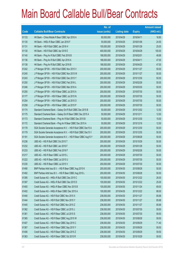|                          |                                                                | No. of        |                     |               | <b>Amount raised</b> |
|--------------------------|----------------------------------------------------------------|---------------|---------------------|---------------|----------------------|
| $\overline{\text{Code}}$ | <b>Callable Bull/Bear Contracts</b>                            | issue (units) | <b>Listing date</b> | <b>Expiry</b> | (HK\$ mil.)          |
| 61133                    | HK Bank - China Mobile R Bear CBBC Apr 2016 A                  | 60,000,000    | 2015/04/29          | 2016/04/11    | 16.80                |
| 61135                    | HK Bank - HKEx R Bear CBBC Jan 2016 F                          | 50,000,000    | 2015/04/29          | 2016/01/06    | 24.50                |
| 61131                    | HK Bank - HSI R Bull CBBC Jan 2016 H                           | 100,000,000   | 2015/04/29          | 2016/01/28    | 25.00                |
| 61130                    | HK Bank - HSI R Bull CBBC Apr 2016 E                           | 400,000,000   | 2015/04/29          | 2016/04/28    | 100.00               |
| 61140                    | HK Bank - Ping An R Bull CBBC Feb 2016 B                       | 188,000,000   | 2015/04/29          | 2016/02/01    | 48.88                |
| 61136                    | HK Bank - Ping An R Bull CBBC Apr 2016 A                       | 188,000,000   | 2015/04/29          | 2016/04/11    | 47.00                |
| 61138                    | HK Bank - Ping An R Bull CBBC Apr 2016 B                       | 188,000,000   | 2015/04/29          | 2016/04/20    | 47.00                |
| 61242                    | J P Morgan SP BV - HSI R Bull CBBC Nov 2015 V                  | 200,000,000   | 2015/04/29          | 2015/11/27    | 50.00                |
| 61245                    | J P Morgan SP BV - HSI R Bull CBBC Nov 2015 W                  | 200,000,000   | 2015/04/29          | 2015/11/27    | 50.00                |
| 61243                    | J P Morgan SP BV - HSI R Bull CBBC Dec 2015 Y                  | 200,000,000   | 2015/04/29          | 2015/12/30    | 50.00                |
| 61250                    | J P Morgan SP BV - HSI R Bull CBBC Feb 2016 L                  | 200,000,000   | 2015/04/29          | 2016/02/26    | 50.00                |
| 61246                    | J P Morgan SP BV - HSI R Bull CBBC Mar 2016 A                  | 200,000,000   | 2015/04/29          | 2016/03/30    | 50.00                |
| 61255                    | J P Morgan SP BV - HSI R Bear CBBC Jul 2015 A                  | 200,000,000   | 2015/04/29          | 2015/07/30    | 50.00                |
| 61177                    | J P Morgan SP BV - HSI R Bear CBBC Jul 2015 N                  | 200,000,000   | 2015/04/29          | 2015/07/30    | 50.00                |
| 61254                    | J P Morgan SP BV - HSI R Bear CBBC Jul 2015 O                  | 200,000,000   | 2015/04/29          | 2015/07/30    | 50.00                |
| 61258                    | J P Morgan SP BV - HSI R Bear CBBC Jul 2015 P                  | 200,000,000   | 2015/04/29          | 2015/07/30    | 50.00                |
| 61174                    | Standard Chartered Bank - Galaxy Ent R Bull CBBC Dec 2015 B    | 50,000,000    | 2015/04/29          | 2015/12/02    | 12.50                |
| 61175                    | Standard Chartered Bank - Galaxy Ent R Bear CBBC Dec 2015 A    | 50,000,000    | 2015/04/29          | 2015/12/11    | 12.50                |
| 61173                    | Standard Chartered Bank - Ping An R Bull CBBC Dec 2015 B       | 50,000,000    | 2015/04/29          | 2015/12/30    | 15.00                |
| 61172                    | Standard Chartered Bank - Ping An R Bear CBBC Dec 2015 A       | 50,000,000    | 2015/04/29          | 2015/12/16    | 12.50                |
| 61178                    | SGA Societe Generale Acceptance N.V. - HSI R Bull CBBC Dec15 A | 200,000,000   | 2015/04/29          | 2015/12/30    | 50.00                |
| 61179                    | SGA Societe Generale Acceptance N.V. - HSI R Bull CBBC Dec15 V | 200,000,000   | 2015/04/29          | 2015/12/30    | 50.00                |
| 61181                    | SGA Societe Generale Acceptance N.V. - HSI R Bear CBBC Aug15 Y | 200,000,000   | 2015/04/29          | 2015/08/28    | 50.00                |
| 61236                    | UBS AG - HSI R Bull CBBC Oct 2015 T                            | 200,000,000   | 2015/04/29          | 2015/10/29    | 50.00                |
| 61232                    | UBS AG - HSI R Bull CBBC Jan 2016 F                            | 200,000,000   | 2015/04/29          | 2016/01/28    | 50.00                |
| 61233                    | UBS AG - HSI R Bull CBBC Feb 2016 F                            | 200,000,000   | 2015/04/29          | 2016/02/26    | 50.00                |
| 61217                    | UBS AG - HSI R Bear CBBC Jul 2015 L                            | 200,000,000   | 2015/04/29          | 2015/07/30    | 50.00                |
| 61222                    | UBS AG - HSI R Bear CBBC Jul 2015 U                            | 200,000,000   | 2015/04/29          | 2015/07/30    | 50.00                |
| 61230                    | UBS AG - HSI R Bear CBBC Jul 2015 V                            | 200,000,000   | 2015/04/29          | 2015/07/30    | 50.00                |
| 61490                    | BNP Paribas Arbit Issu B.V. - HSI R Bear CBBC Aug 2015 K       | 200,000,000   | 2015/04/30          | 2015/08/28    | 50.00                |
| 61492                    | BNP Paribas Arbit Issu B.V. - HSI R Bear CBBC Aug 2015 L       | 200,000,000   | 2015/04/30          | 2015/08/28    | 50.00                |
| 61395                    | Credit Suisse AG - HKEx R Bull CBBC Dec 2015 C                 | 100,000,000   | 2015/04/30          | 2015/12/22    | 26.00                |
| 61397                    | Credit Suisse AG - HKEx R Bull CBBC Dec 2015 D                 | 100,000,000   | 2015/04/30          | 2015/12/22    | 25.00                |
| 61400                    | Credit Suisse AG - HKEx R Bear CBBC Nov 2015 B                 | 100,000,000   | 2015/04/30          | 2015/11/24    | 69.00                |
| 61402                    | Credit Suisse AG - HKEx R Bear CBBC Dec 2015 A                 | 100,000,000   | 2015/04/30          | 2015/12/22    | 88.00                |
| 61440                    | Credit Suisse AG - HSI R Bull CBBC Nov 2015 X                  | 238,000,000   | 2015/04/30          | 2015/11/27    | 85.68                |
| 61444                    | Credit Suisse AG - HSI R Bull CBBC Nov 2015 Y                  | 238,000,000   | 2015/04/30          | 2015/11/27    | 85.68                |
| 61445                    | Credit Suisse AG - HSI R Bull CBBC Nov 2015 Z                  | 238,000,000   | 2015/04/30          | 2015/11/27    | 85.68                |
| 61362                    | Credit Suisse AG - HSI R Bear CBBC Jul 2015 J                  | 238,000,000   | 2015/04/30          | 2015/07/30    | 59.50                |
| 61361                    | Credit Suisse AG - HSI R Bear CBBC Jul 2015 S                  | 238,000,000   | 2015/04/30          | 2015/07/30    | 59.50                |
| 61365                    | Credit Suisse AG - HSI R Bear CBBC Aug 2015 W                  | 238,000,000   | 2015/04/30          | 2015/08/28    | 59.50                |
| 61407                    | Credit Suisse AG - HSI R Bear CBBC Sep 2015 C                  | 238,000,000   | 2015/04/30          | 2015/09/29    | 71.40                |
| 61367                    | Credit Suisse AG - HSI R Bear CBBC Sep 2015 Y                  | 238,000,000   | 2015/04/30          | 2015/09/29    | 59.50                |
| 61406                    | Credit Suisse AG - HSI R Bear CBBC Sep 2015 Z                  | 238,000,000   | 2015/04/30          | 2015/09/29    | 59.50                |
| 61363                    | Credit Suisse AG - HSI R Bear CBBC Oct 2015 R                  | 238,000,000   | 2015/04/30          | 2015/10/29    | 59.50                |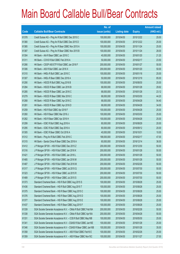|       |                                                                | No. of        |                     |               | <b>Amount raised</b> |
|-------|----------------------------------------------------------------|---------------|---------------------|---------------|----------------------|
| Code  | <b>Callable Bull/Bear Contracts</b>                            | issue (units) | <b>Listing date</b> | <b>Expiry</b> | (HK\$ mil.)          |
| 61378 | Credit Suisse AG - Ping An R Bull CBBC Dec 2015 C              | 100,000,000   | 2015/04/30          | 2015/12/22    | 25.00                |
| 61380 | Credit Suisse AG - Ping An R Bull CBBC Dec 2015 D              | 100,000,000   | 2015/04/30          | 2015/12/22    | 25.00                |
| 61385 | Credit Suisse AG - Ping An R Bear CBBC Nov 2015 A              | 100,000,000   | 2015/04/30          | 2015/11/24    | 25.00                |
| 61387 | Credit Suisse AG - Ping An R Bear CBBC Nov 2015 B              | 100,000,000   | 2015/04/30          | 2015/11/24    | 28.00                |
| 61304 | HK Bank - AIA R Bear CBBC Jan 2016 C                           | 40,000,000    | 2015/04/30          | 2016/01/20    | 21.20                |
| 61311 | HK Bank - COVS R Bull CBBC Feb 2016 A                          | 50,000,000    | 2015/04/30          | 2016/02/17    | 23.50                |
| 61266 | HK Bank - CSOP A50 ETF R Bull CBBC Jan 2016 F                  | 200,000,000   | 2015/04/30          | 2016/01/27    | 50.00                |
| 61306 | HK Bank - A50 R Bull CBBC Jan 2016 X                           | 200,000,000   | 2015/04/30          | 2016/01/20    | 50.00                |
| 61310 | HK Bank - HKEx R Bull CBBC Jan 2016 C                          | 100,000,000   | 2015/04/30          | 2016/01/18    | 25.00                |
| 61307 | HK Bank - HKEx R Bear CBBC Dec 2016 A                          | 50,000,000    | 2015/04/30          | 2016/12/19    | 85.00                |
| 61290 | HK Bank - HSCEI R Bull CBBC Aug 2016 B                         | 100,000,000   | 2015/04/30          | 2016/08/30    | 25.00                |
| 61284 | HK Bank - HSCEI R Bear CBBC Jan 2016 B                         | 68,000,000    | 2015/04/30          | 2016/01/28    | 29.92                |
| 61285 | HK Bank - HSCEI R Bear CBBC Jan 2016 C                         | 68,000,000    | 2015/04/30          | 2016/01/28    | 23.12                |
| 61279 | HK Bank - HSCEI R Bear CBBC Mar 2016 C                         | 68,000,000    | 2015/04/30          | 2016/03/30    | 44.20                |
| 61268 | HK Bank - HSCEI R Bear CBBC Apr 2016 C                         | 68,000,000    | 2015/04/30          | 2016/04/28    | 54.40                |
| 61281 | HK Bank - HSCEI R Bear CBBC Apr 2016 D                         | 68,000,000    | 2015/04/30          | 2016/04/28    | 34.00                |
| 61259 | HK Bank - HSI R Bull CBBC Apr 2016 F                           | 100,000,000   | 2015/04/30          | 2016/04/28    | 25.00                |
| 61260 | HK Bank - HSI R Bear CBBC Mar 2016 J                           | 100,000,000   | 2015/04/30          | 2016/03/30    | 25.00                |
| 61262 | HK Bank - HSI R Bear CBBC Apr 2016 H                           | 100,000,000   | 2015/04/30          | 2016/04/28    | 25.00                |
| 61299 | HK Bank - ICBC R Bull CBBC Aug 2016 A                          | 80,000,000    | 2015/04/30          | 2016/08/29    | 20.00                |
| 61295 | HK Bank - ICBC R Bull CBBC Sep 2016 A                          | 80,000,000    | 2015/04/30          | 2016/09/12    | 20.00                |
| 61305 | HK Bank - ICBC R Bear CBBC Oct 2016 A                          | 40,000,000    | 2015/04/30          | 2016/10/31    | 10.00                |
| 61312 | HK Bank - Ping An R Bull CBBC Feb 2016 C                       | 188,000,000   | 2015/04/30          | 2016/02/17    | 47.00                |
| 61315 | HK Bank - Sands China R Bear CBBC Dec 2016 A                   | 60,000,000    | 2015/04/30          | 2016/12/14    | 36.00                |
| 61412 | J P Morgan SP BV - HSI R Bull CBBC Dec 2015 Z                  | 200,000,000   | 2015/04/30          | 2015/12/30    | 50.00                |
| 61316 | J P Morgan SP BV - HSI R Bull CBBC Jan 2016 K                  | 200,000,000   | 2015/04/30          | 2016/01/28    | 50.00                |
| 61421 | J P Morgan SP BV - HSI R Bull CBBC Jan 2016 L                  | 200,000,000   | 2015/04/30          | 2016/01/28    | 50.00                |
| 61485 | J P Morgan SP BV - HSI R Bull CBBC Jan 2016 M                  | 200,000,000   | 2015/04/30          | 2016/01/28    | 50.00                |
| 61487 | J P Morgan SP BV - HSI R Bull CBBC Feb 2016 M                  | 200,000,000   | 2015/04/30          | 2016/02/26    | 50.00                |
| 61317 | J P Morgan SP BV - HSI R Bear CBBC Jul 2015 Q                  | 200,000,000   | 2015/04/30          | 2015/07/30    | 50.00                |
| 61323 | J P Morgan SP BV - HSI R Bear CBBC Jul 2015 R                  | 200,000,000   | 2015/04/30          | 2015/07/30    | 50.00                |
| 61489 | J P Morgan SP BV - HSI R Bear CBBC Jul 2015 S                  | 200,000,000   | 2015/04/30          | 2015/07/30    | 50.00                |
| 61373 | Standard Chartered Bank - HSI R Bull CBBC Aug 2015 S           | 100,000,000   | 2015/04/30          | 2015/08/28    | 25.00                |
| 61436 | Standard Chartered Bank - HSI R Bull CBBC Aug 2015 T           | 100,000,000   | 2015/04/30          | 2015/08/28    | 25.00                |
| 61375 | Standard Chartered Bank - HSI R Bear CBBC Aug 2015 C           | 100,000,000   | 2015/04/30          | 2015/08/28    | 25.00                |
| 61376 | Standard Chartered Bank - HSI R Bear CBBC Aug 2015 D           | 100,000,000   | 2015/04/30          | 2015/08/28    | 25.00                |
| 61377 | Standard Chartered Bank - HSI R Bear CBBC Aug 2015 E           | 100,000,000   | 2015/04/30          | 2015/08/28    | 25.00                |
| 61437 | Standard Chartered Bank - HSI R Bear CBBC Aug 2015 F           | 100,000,000   | 2015/04/30          | 2015/08/28    | 25.00                |
| 61339 | SGA Societe Generale Acceptance N.V. - CMob R Bull CBBC Feb16A | 200,000,000   | 2015/04/30          | 2016/02/26    | 50.00                |
| 61338 | SGA Societe Generale Acceptance N.V. - CMob R Bull CBBC Apr16A | 200,000,000   | 2015/04/30          | 2016/04/28    | 50.00                |
| 61331 | SGA Societe Generale Acceptance N.V. - CCB R Bull CBBC May16B  | 100,000,000   | 2015/04/30          | 2016/05/30    | 25.00                |
| 61341 | SGA Societe Generale Acceptance N.V - CSA50 R Bull CBBC Jan16E | 100,000,000   | 2015/04/30          | 2016/01/28    | 25.00                |
| 61346 | SGA Societe Generale Acceptance N.V - CSA50 R Bear CBBC Jan16B | 100,000,000   | 2015/04/30          | 2016/01/28    | 35.00                |
| 61358 | SGA Societe Generale Acceptance N.V. - A50 R Bull CBBC Feb16 E | 100,000,000   | 2015/04/30          | 2016/02/26    | 25.00                |
| 61359 | SGA Societe Generale Acceptance N.V. - A50 R Bear CBBC Nov15C  | 100,000,000   | 2015/04/30          | 2015/11/27    | 27.00                |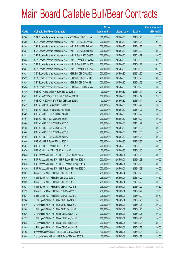|             |                                                                | No. of        |                     |               | <b>Amount raised</b> |
|-------------|----------------------------------------------------------------|---------------|---------------------|---------------|----------------------|
| <b>Code</b> | <b>Callable Bull/Bear Contracts</b>                            | issue (units) | <b>Listing date</b> | <b>Expiry</b> | $(HK$$ mil.)         |
| 61360       | SGA Societe Generale Acceptance N.V. - A50 R Bear CBBC Jan16A  | 100,000,000   | 2015/04/30          | 2016/01/28    | 37.00                |
| 61350       | SGA Societe Generale Acceptance N.V. - HKEx R Bull CBBC Jan16C | 200,000,000   | 2015/04/30          | 2016/01/28    | 92.00                |
| 61348       | SGA Societe Generale Acceptance N.V. - HKEx R Bull CBBC Feb16C | 200,000,000   | 2015/04/30          | 2016/02/26    | 112.00               |
| 61351       | SGA Societe Generale Acceptance N.V. - HKEx R Bull CBBC Mar16B | 200,000,000   | 2015/04/30          | 2016/03/30    | 50.00                |
| 61352       | SGA Societe Generale Acceptance N.V. - HKEx R Bear CBBC Oct15A | 200,000,000   | 2015/04/30          | 2015/10/29    | 50.00                |
| 61353       | SGA Societe Generale Acceptance N.V. - HKEx R Bear CBBC Dec15A | 200,000,000   | 2015/04/30          | 2015/12/30    | 62.00                |
| 61356       | SGA Societe Generale Acceptance N.V. - HKEx R Bear CBBC Jan16B | 200,000,000   | 2015/04/30          | 2016/01/28    | 102.00               |
| 61357       | SGA Societe Generale Acceptance N.V. - HKEx R Bear CBBC Mar16A | 200,000,000   | 2015/04/30          | 2016/03/30    | 204.00               |
| 61423       | SGA Societe Generale Acceptance N.V. - HSI R Bull CBBC Dec15 X | 200,000,000   | 2015/04/30          | 2015/12/30    | 50.00                |
| 61422       | SGA Societe Generale Acceptance N.V. - HSI R Bull CBBC Feb16 H | 400,000,000   | 2015/04/30          | 2016/02/26    | 100.00               |
| 61425       | SGA Societe Generale Acceptance N.V. - HSI R Bull CBBC Feb16 I | 200,000,000   | 2015/04/30          | 2016/02/26    | 50.00                |
| 61434       | SGA Societe Generale Acceptance N.V. - HSI R Bear CBBC Sep15 W | 200,000,000   | 2015/04/30          | 2015/09/29    | 50.00                |
| 61480       | UBS AG - China Mobile R Bull CBBC Jul 2016 B                   | 100,000,000   | 2015/04/30          | 2016/07/11    | 25.00                |
| 61477       | UBS AG - CSOP A50 ETF R Bull CBBC Jan 2016 B                   | 100,000,000   | 2015/04/30          | 2016/01/12    | 25.00                |
| 61478       | UBS AG - CSOP A50 ETF R Bull CBBC Jan 2016 C                   | 100,000,000   | 2015/04/30          | 2016/01/14    | 29.00                |
| 61472       | UBS AG - HSCEI R Bull CBBC Oct 2015 F                          | 200,000,000   | 2015/04/30          | 2015/10/29    | 50.00                |
| 61475       | UBS AG - HSCEI R Bull CBBC Nov 2015 E                          | 200,000,000   | 2015/04/30          | 2015/11/27    | 50.00                |
| 61463       | UBS AG - HSI R Bull CBBC Oct 2015 U                            | 200,000,000   | 2015/04/30          | 2015/10/29    | 50.00                |
| 61464       | UBS AG - HSI R Bull CBBC Oct 2015 V                            | 200,000,000   | 2015/04/30          | 2015/10/29    | 50.00                |
| 61460       | UBS AG - HSI R Bull CBBC Nov 2015 Z                            | 200,000,000   | 2015/04/30          | 2015/11/27    | 50.00                |
| 61458       | UBS AG - HSI R Bull CBBC Dec 2015 R                            | 200,000,000   | 2015/04/30          | 2015/12/30    | 50.00                |
| 61466       | UBS AG - HSI R Bull CBBC Dec 2015 S                            | 200,000,000   | 2015/04/30          | 2015/12/30    | 50.00                |
| 61462       | UBS AG - HSI R Bull CBBC Jan 2016 G                            | 200,000,000   | 2015/04/30          | 2016/01/28    | 50.00                |
| 61446       | UBS AG - HSI R Bear CBBC Jul 2015 J                            | 200,000,000   | 2015/04/30          | 2015/07/30    | 50.00                |
| 61481       | UBS AG - HSI R Bear CBBC Jul 2015 W                            | 200,000,000   | 2015/04/30          | 2015/07/30    | 50.00                |
| 61476       | UBS AG - Ping An R Bull CBBC Aug 2016 C                        | 100,000,000   | 2015/04/30          | 2016/08/10    | 25.00                |
| 61535       | BNP Paribas Arbit Issu B.V. - HSI R Bull CBBC Jan 2016 J       | 200,000,000   | 2015/05/04          | 2016/01/28    | 50.00                |
| 61494       | BNP Paribas Arbit Issu B.V. - HSI R Bear CBBC Aug 2015 M       | 200,000,000   | 2015/05/04          | 2015/08/28    | 50.00                |
| 61518       | BNP Paribas Arbit Issu B.V. - HSI R Bear CBBC Aug 2015 N       | 200,000,000   | 2015/05/04          | 2015/08/28    | 50.00                |
| 61520       | BNP Paribas Arbit Issu B.V. - HSI R Bear CBBC Aug 2015 O       | 200,000,000   | 2015/05/04          | 2015/08/28    | 50.00                |
| 61501       | Credit Suisse AG - HSI R Bull CBBC Oct 2015 I                  | 238,000,000   | 2015/05/04          | 2015/10/29    | 59.50                |
| 61536       | Credit Suisse AG - HSI R Bull CBBC Oct 2015 K                  | 238,000,000   | 2015/05/04          | 2015/10/29    | 59.50                |
| 61539       | Credit Suisse AG - HSI R Bull CBBC Oct 2015 L                  | 238,000,000   | 2015/05/04          | 2015/10/29    | 59.50                |
| 61521       | Credit Suisse AG - HSI R Bear CBBC Sep 2015 B                  | 238,000,000   | 2015/05/04          | 2015/09/29    | 59.50                |
| 61523       | Credit Suisse AG - HSI R Bear CBBC Sep 2015 D                  | 238,000,000   | 2015/05/04          | 2015/09/29    | 59.50                |
| 61524       | Credit Suisse AG - HSI R Bear CBBC Sep 2015 E                  | 238,000,000   | 2015/05/04          | 2015/09/29    | 59.50                |
| 61504       | J P Morgan SP BV - HSI R Bull CBBC Jan 2016 N                  | 200,000,000   | 2015/05/04          | 2016/01/28    | 50.00                |
| 61540       | J P Morgan SP BV - HSI R Bull CBBC Jan 2016 O                  | 200,000,000   | 2015/05/04          | 2016/01/28    | 50.00                |
| 61506       | J P Morgan SP BV - HSI R Bull CBBC Feb 2016 N                  | 200,000,000   | 2015/05/04          | 2016/02/26    | 50.00                |
| 61526       | J P Morgan SP BV - HSI R Bear CBBC Aug 2015 Q                  | 200,000,000   | 2015/05/04          | 2015/08/28    | 50.00                |
| 61527       | J P Morgan SP BV - HSI R Bear CBBC Aug 2015 R                  | 200,000,000   | 2015/05/04          | 2015/08/28    | 50.00                |
| 61528       | J P Morgan SP BV - HSI R Bear CBBC Aug 2015 S                  | 200,000,000   | 2015/05/04          | 2015/08/28    | 50.00                |
| 61545       | J P Morgan SP BV - HSI R Bear CBBC Aug 2015 T                  | 200,000,000   | 2015/05/04          | 2015/08/28    | 50.00                |
| 61495       | Standard Chartered Bank - HSI R Bull CBBC Aug 2015 U           | 100,000,000   | 2015/05/04          | 2015/08/28    | 25.00                |
| 61496       | Standard Chartered Bank - HSI R Bear CBBC Aug 2015 G           | 100,000,000   | 2015/05/04          | 2015/08/28    | 25.00                |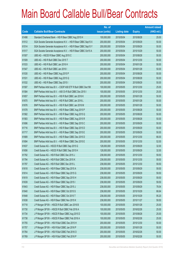|       |                                                                | No. of        |                     |               | <b>Amount raised</b> |
|-------|----------------------------------------------------------------|---------------|---------------------|---------------|----------------------|
| Code  | <b>Callable Bull/Bear Contracts</b>                            | issue (units) | <b>Listing date</b> | <b>Expiry</b> | $(HK$$ mil.)         |
| 61498 | Standard Chartered Bank - HSI R Bear CBBC Aug 2015 H           | 100,000,000   | 2015/05/04          | 2015/08/28    | 25.00                |
| 61512 | SGA Societe Generale Acceptance N.V. - HSI R Bear CBBC Sep15 X | 200,000,000   | 2015/05/04          | 2015/09/29    | 50.00                |
| 61514 | SGA Societe Generale Acceptance N.V. - HSI R Bear CBBC Sep15 Y | 200,000,000   | 2015/05/04          | 2015/09/29    | 50.00                |
| 61517 | SGA Societe Generale Acceptance N.V. - HSI R Bear CBBC Oct15 A | 200,000,000   | 2015/05/04          | 2015/10/29    | 50.00                |
| 61507 | UBS AG - HSCEI R Bear CBBC Aug 2015 C                          | 200,000,000   | 2015/05/04          | 2015/08/28    | 50.00                |
| 61509 | UBS AG - HSI R Bull CBBC Dec 2015 T                            | 200,000,000   | 2015/05/04          | 2015/12/30    | 50.00                |
| 61533 | UBS AG - HSI R Bull CBBC Jan 2016 H                            | 200,000,000   | 2015/05/04          | 2016/01/28    | 50.00                |
| 61547 | UBS AG - HSI R Bull CBBC Jan 2016 I                            | 200,000,000   | 2015/05/04          | 2016/01/28    | 50.00                |
| 61530 | UBS AG - HSI R Bear CBBC Aug 2015 P                            | 200,000,000   | 2015/05/04          | 2015/08/28    | 50.00                |
| 61531 | UBS AG - HSI R Bear CBBC Aug 2015 Q                            | 200,000,000   | 2015/05/04          | 2015/08/28    | 50.00                |
| 61532 | UBS AG - HSI R Bear CBBC Sep 2015 I                            | 200,000,000   | 2015/05/04          | 2015/09/29    | 50.00                |
| 61597 | BNP Paribas Arbit Issu B.V. - CSOP A50 ETF R Bull CBBC Dec15K  | 100,000,000   | 2015/05/05          | 2015/12/30    | 25.00                |
| 61584 | BNP Paribas Arbit Issu B.V. - A50 Ch R Bull CBBC Dec 2015 I    | 100,000,000   | 2015/05/05          | 2015/12/30    | 25.00                |
| 61657 | BNP Paribas Arbit Issu B.V. - HSI R Bull CBBC Jan 2016 K       | 200,000,000   | 2015/05/05          | 2016/01/28    | 50.00                |
| 61670 | BNP Paribas Arbit Issu B.V. - HSI R Bull CBBC Jan 2016 L       | 200,000,000   | 2015/05/05          | 2016/01/28    | 50.00                |
| 61676 | BNP Paribas Arbit Issu B.V. - HSI R Bull CBBC Jan 2016 M       | 200,000,000   | 2015/05/05          | 2016/01/28    | 50.00                |
| 61578 | BNP Paribas Arbit Issu B.V. - HSI R Bear CBBC Aug 2015 P       | 200,000,000   | 2015/05/05          | 2015/08/28    | 50.00                |
| 61582 | BNP Paribas Arbit Issu B.V. - HSI R Bear CBBC Aug 2015 Q       | 200,000,000   | 2015/05/05          | 2015/08/28    | 50.00                |
| 61583 | BNP Paribas Arbit Issu B.V. - HSI R Bear CBBC Aug 2015 R       | 200,000,000   | 2015/05/05          | 2015/08/28    | 50.00                |
| 61696 | BNP Paribas Arbit Issu B.V. - HSI R Bear CBBC Sep 2015 C       | 200,000,000   | 2015/05/05          | 2015/09/29    | 50.00                |
| 61716 | BNP Paribas Arbit Issu B.V. - HSI R Bear CBBC Sep 2015 D       | 200,000,000   | 2015/05/05          | 2015/09/29    | 50.00                |
| 61717 | BNP Paribas Arbit Issu B.V. - HSI R Bear CBBC Sep 2015 E       | 200,000,000   | 2015/05/05          | 2015/09/29    | 50.00                |
| 61689 | BNP Paribas Arbit Issu B.V. - HSI R Bear CBBC Dec 2015 D       | 200,000,000   | 2015/05/05          | 2015/12/30    | 66.00                |
| 61694 | BNP Paribas Arbit Issu B.V. - HSI R Bear CBBC Dec 2015 E       | 200,000,000   | 2015/05/05          | 2015/12/30    | 52.00                |
| 61637 | Credit Suisse AG - HSCEI R Bull CBBC Sep 2015 G                | 128,000,000   | 2015/05/05          | 2015/09/29    | 32.00                |
| 61656 | Credit Suisse AG - HSCEI R Bull CBBC Sep 2015 H                | 128,000,000   | 2015/05/05          | 2015/09/29    | 32.00                |
| 61792 | Credit Suisse AG - HSI R Bull CBBC Dec 2015 J                  | 238,000,000   | 2015/05/05          | 2015/12/30    | 59.50                |
| 61794 | Credit Suisse AG - HSI R Bull CBBC Dec 2015 K                  | 238,000,000   | 2015/05/05          | 2015/12/30    | 59.50                |
| 61797 | Credit Suisse AG - HSI R Bull CBBC Dec 2015 L                  | 238,000,000   | 2015/05/05          | 2015/12/30    | 59.50                |
| 61618 | Credit Suisse AG - HSI R Bear CBBC Sep 2015 A                  | 238,000,000   | 2015/05/05          | 2015/09/29    | 59.50                |
| 61614 | Credit Suisse AG - HSI R Bear CBBC Sep 2015 G                  | 238,000,000   | 2015/05/05          | 2015/09/29    | 59.50                |
| 61619 | Credit Suisse AG - HSI R Bear CBBC Sep 2015 H                  | 238,000,000   | 2015/05/05          | 2015/09/29    | 59.50                |
| 61639 | Credit Suisse AG - HSI R Bear CBBC Sep 2015 I                  | 238,000,000   | 2015/05/05          | 2015/09/29    | 59.50                |
| 61643 | Credit Suisse AG - HSI R Bear CBBC Sep 2015 J                  | 238,000,000   | 2015/05/05          | 2015/09/29    | 78.54                |
| 61640 | Credit Suisse AG - HSI R Bear CBBC Oct 2015 S                  | 238,000,000   | 2015/05/05          | 2015/10/29    | 66.64                |
| 61648 | Credit Suisse AG - HSI R Bear CBBC Oct 2015 T                  | 238,000,000   | 2015/05/05          | 2015/10/29    | 95.20                |
| 61638 | Credit Suisse AG - HSI R Bear CBBC Nov 2015 K                  | 238,000,000   | 2015/05/05          | 2015/11/27    | 59.50                |
| 61718 | J P Morgan SP BV - HSCEI R Bull CBBC Jan 2016 B                | 100,000,000   | 2015/05/05          | 2016/01/28    | 25.00                |
| 61730 | J P Morgan SP BV - HSCEI R Bull CBBC Feb 2016 A                | 100,000,000   | 2015/05/05          | 2016/02/26    | 25.00                |
| 61734 | J P Morgan SP BV - HSCEI R Bear CBBC Aug 2015 D                | 100,000,000   | 2015/05/05          | 2015/08/28    | 25.00                |
| 61738 | JP Morgan SP BV - HSCEIR Bear CBBC Feb 2016 A                  | 100,000,000   | 2015/05/05          | 2016/02/26    | 25.00                |
| 61755 | J P Morgan SP BV - HSI R Bull CBBC Dec 2015 H                  | 200,000,000   | 2015/05/05          | 2015/12/30    | 50.00                |
| 61757 | J P Morgan SP BV - HSI R Bull CBBC Jan 2016 P                  | 200,000,000   | 2015/05/05          | 2016/01/28    | 50.00                |
| 61764 | J P Morgan SP BV - HSI R Bull CBBC Feb 2016 O                  | 200,000,000   | 2015/05/05          | 2016/02/26    | 50.00                |
| 61769 | J P Morgan SP BV - HSI R Bull CBBC Feb 2016 P                  | 200,000,000   | 2015/05/05          | 2016/02/26    | 50.00                |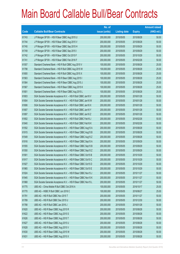|             |                                                                | No. of        |                     |               | <b>Amount raised</b> |
|-------------|----------------------------------------------------------------|---------------|---------------------|---------------|----------------------|
| <b>Code</b> | <b>Callable Bull/Bear Contracts</b>                            | issue (units) | <b>Listing date</b> | <b>Expiry</b> | $(HK$$ mil.)         |
| 61743       | J P Morgan SP BV - HSI R Bear CBBC Aug 2015 U                  | 200,000,000   | 2015/05/05          | 2015/08/28    | 50.00                |
| 61744       | J P Morgan SP BV - HSI R Bear CBBC Aug 2015 V                  | 200,000,000   | 2015/05/05          | 2015/08/28    | 50.00                |
| 61745       | J P Morgan SP BV - HSI R Bear CBBC Sep 2015 H                  | 200,000,000   | 2015/05/05          | 2015/09/29    | 50.00                |
| 61749       | J P Morgan SP BV - HSI R Bear CBBC Sep 2015 I                  | 200,000,000   | 2015/05/05          | 2015/09/29    | 50.00                |
| 61742       | J P Morgan SP BV - HSI R Bear CBBC Oct 2015 F                  | 200,000,000   | 2015/05/05          | 2015/10/29    | 50.00                |
| 61741       | J P Morgan SP BV - HSI R Bear CBBC Feb 2016 F                  | 200,000,000   | 2015/05/05          | 2016/02/26    | 50.00                |
| 61557       | Standard Chartered Bank - HSI R Bull CBBC Aug 2015 V           | 100,000,000   | 2015/05/05          | 2015/08/28    | 25.00                |
| 61798       | Standard Chartered Bank - HSI R Bull CBBC Aug 2015 W           | 100,000,000   | 2015/05/05          | 2015/08/28    | 25.00                |
| 61800       | Standard Chartered Bank - HSI R Bull CBBC Aug 2015 X           | 100,000,000   | 2015/05/05          | 2015/08/28    | 25.00                |
| 61563       | Standard Chartered Bank - HSI R Bear CBBC Aug 2015 I           | 100,000,000   | 2015/05/05          | 2015/08/28    | 25.00                |
| 61564       | Standard Chartered Bank - HSI R Bear CBBC Aug 2015 J           | 100,000,000   | 2015/05/05          | 2015/08/28    | 25.00                |
| 61567       | Standard Chartered Bank - HSI R Bear CBBC Aug 2015 K           | 100,000,000   | 2015/05/05          | 2015/08/28    | 25.00                |
| 61801       | Standard Chartered Bank - HSI R Bear CBBC Aug 2015 L           | 100,000,000   | 2015/05/05          | 2015/08/28    | 25.00                |
| 61803       | SGA Societe Generale Acceptance N.V. - HSI R Bull CBBC Jan16 V | 200,000,000   | 2015/05/05          | 2016/01/28    | 50.00                |
| 61804       | SGA Societe Generale Acceptance N.V. - HSI R Bull CBBC Jan16 W | 200,000,000   | 2015/05/05          | 2016/01/28    | 50.00                |
| 61806       | SGA Societe Generale Acceptance N.V. - HSI R Bull CBBC Jan16 X | 200,000,000   | 2015/05/05          | 2016/01/28    | 50.00                |
| 61807       | SGA Societe Generale Acceptance N.V. - HSI R Bull CBBC Jan16 Y | 200,000,000   | 2015/05/05          | 2016/01/28    | 50.00                |
| 61897       | SGA Societe Generale Acceptance N.V. - HSI R Bull CBBC Jan16 Z | 200,000,000   | 2015/05/05          | 2016/01/28    | 50.00                |
| 61802       | SGA Societe Generale Acceptance N.V. - HSI R Bull CBBC Feb16 J | 200,000,000   | 2015/05/05          | 2016/02/26    | 50.00                |
| 61840       | SGA Societe Generale Acceptance N.V. - HSI R Bull CBBC Feb16 K | 200,000,000   | 2015/05/05          | 2016/02/26    | 50.00                |
| 61552       | SGA Societe Generale Acceptance N.V. - HSI R Bear CBBC Aug15 A | 200,000,000   | 2015/05/05          | 2015/08/28    | 50.00                |
| 61915       | SGA Societe Generale Acceptance N.V. - HSI R Bear CBBC Aug15 B | 200,000,000   | 2015/05/05          | 2015/08/28    | 50.00                |
| 61549       | SGA Societe Generale Acceptance N.V. - HSI R Bear CBBC Aug15 Z | 200,000,000   | 2015/05/05          | 2015/08/28    | 50.00                |
| 61916       | SGA Societe Generale Acceptance N.V. - HSI R Bear CBBC Sep15 A | 200,000,000   | 2015/05/05          | 2015/09/29    | 50.00                |
| 61555       | SGA Societe Generale Acceptance N.V. - HSI R Bear CBBC Sep15 B | 200,000,000   | 2015/05/05          | 2015/09/29    | 50.00                |
| 61550       | SGA Societe Generale Acceptance N.V. - HSI R Bear CBBC Sep15 Z | 200,000,000   | 2015/05/05          | 2015/09/29    | 50.00                |
| 61901       | SGA Societe Generale Acceptance N.V. - HSI R Bear CBBC Oct15 B | 200,000,000   | 2015/05/05          | 2015/10/29    | 50.00                |
| 61917       | SGA Societe Generale Acceptance N.V. - HSI R Bear CBBC Oct15 C | 200,000,000   | 2015/05/05          | 2015/10/29    | 50.00                |
| 61927       | SGA Societe Generale Acceptance N.V. - HSI R Bear CBBC Oct15 D | 200,000,000   | 2015/05/05          | 2015/10/29    | 50.00                |
| 61965       | SGA Societe Generale Acceptance N.V. - HSI R Bear CBBC Oct15 E | 200,000,000   | 2015/05/05          | 2015/10/29    | 50.00                |
| 61924       | SGA Societe Generale Acceptance N.V. - HSI R Bear CBBC Nov15 J | 200,000,000   | 2015/05/05          | 2015/11/27    | 50.00                |
| 61945       | SGA Societe Generale Acceptance N.V. - HSI R Bear CBBC Nov15 K | 200,000,000   | 2015/05/05          | 2015/11/27    | 50.00                |
| 61968       | SGA Societe Generale Acceptance N.V. - HSI R Bear CBBC Nov15 L | 200,000,000   | 2015/05/05          | 2015/11/27    | 50.00                |
| 61775       | UBS AG - China Mobile R Bull CBBC Oct 2016 A                   | 100,000,000   | 2015/05/05          | 2016/10/17    | 25.00                |
| 61770       | UBS AG - HSBC R Bull CBBC Jun 2016 C                           | 100,000,000   | 2015/05/05          | 2016/06/27    | 25.00                |
| 61791       | UBS AG - HSI R Bull CBBC Nov 2015 T                            | 200,000,000   | 2015/05/05          | 2015/11/27    | 50.00                |
| 61789       | UBS AG - HSI R Bull CBBC Dec 2015 U                            | 200,000,000   | 2015/05/05          | 2015/12/30    | 50.00                |
| 61788       | UBS AG - HSI R Bull CBBC Jan 2016 J                            | 200,000,000   | 2015/05/05          | 2016/01/28    | 50.00                |
| 61620       | UBS AG - HSI R Bear CBBC Aug 2015 R                            | 200,000,000   | 2015/05/05          | 2015/08/28    | 50.00                |
| 61622       | UBS AG - HSI R Bear CBBC Aug 2015 S                            | 200,000,000   | 2015/05/05          | 2015/08/28    | 50.00                |
| 61626       | UBS AG - HSI R Bear CBBC Aug 2015 T                            | 200,000,000   | 2015/05/05          | 2015/08/28    | 50.00                |
| 61627       | UBS AG - HSI R Bear CBBC Aug 2015 U                            | 200,000,000   | 2015/05/05          | 2015/08/28    | 50.00                |
| 61628       | UBS AG - HSI R Bear CBBC Aug 2015 V                            | 200,000,000   | 2015/05/05          | 2015/08/28    | 50.00                |
| 61630       | UBS AG - HSI R Bear CBBC Aug 2015 W                            | 200,000,000   | 2015/05/05          | 2015/08/28    | 50.00                |
| 61631       | UBS AG - HSI R Bear CBBC Aug 2015 X                            | 200,000,000   | 2015/05/05          | 2015/08/28    | 50.00                |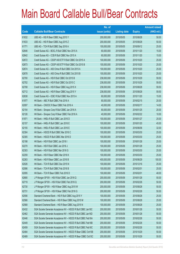|       |                                                               | No. of        |                     |               | <b>Amount raised</b> |
|-------|---------------------------------------------------------------|---------------|---------------------|---------------|----------------------|
| Code  | <b>Callable Bull/Bear Contracts</b>                           | issue (units) | <b>Listing date</b> | <b>Expiry</b> | $(HK$$ mil.)         |
| 61632 | UBS AG - HSI R Bear CBBC Aug 2015 Y                           | 200,000,000   | 2015/05/05          | 2015/08/28    | 50.00                |
| 61633 | UBS AG - HSI R Bear CBBC Aug 2015 Z                           | 200,000,000   | 2015/05/05          | 2015/08/28    | 50.00                |
| 61771 | UBS AG - TCH R Bull CBBC Sep 2016 A                           | 100,000,000   | 2015/05/05          | 2016/09/12    | 25.00                |
| 62646 | Credit Suisse AG - BOCL R Bull CBBC Nov 2015 A                | 60,000,000    | 2015/05/06          | 2015/11/20    | 15.00                |
| 62642 | Credit Suisse AG - CCB R Bull CBBC Nov 2015 A                 | 60,000,000    | 2015/05/06          | 2015/11/20    | 15.00                |
| 62672 | Credit Suisse AG - CSOP A50 ETF R Bull CBBC Oct 2015 A        | 100,000,000   | 2015/05/06          | 2015/10/20    | 25.00                |
| 62673 | Credit Suisse AG - CSOP A50 ETF R Bull CBBC Oct 2015 B        | 100,000,000   | 2015/05/06          | 2015/10/20    | 25.00                |
| 62674 | Credit Suisse AG - A50 China R Bull CBBC Oct 2015 A           | 100,000,000   | 2015/05/06          | 2015/10/20    | 25.00                |
| 62678 | Credit Suisse AG - A50 China R Bull CBBC Oct 2015 B           | 100,000,000   | 2015/05/06          | 2015/10/20    | 25.00                |
| 62700 | Credit Suisse AG - HSI R Bull CBBC Oct 2015 B                 | 238,000,000   | 2015/05/06          | 2015/10/29    | 59.50                |
| 62702 | Credit Suisse AG - HSI R Bull CBBC Oct 2015 C                 | 238,000,000   | 2015/05/06          | 2015/10/29    | 59.50                |
| 62708 | Credit Suisse AG - HSI R Bear CBBC Aug 2015 X                 | 238,000,000   | 2015/05/06          | 2015/08/28    | 59.50                |
| 62712 | Credit Suisse AG - HSI R Bear CBBC Aug 2015 Y                 | 238,000,000   | 2015/05/06          | 2015/08/28    | 59.50                |
| 62638 | Credit Suisse AG - ICBC R Bull CBBC Nov 2015 A                | 60,000,000    | 2015/05/06          | 2015/11/20    | 15.00                |
| 61977 | HK Bank - ABC R Bull CBBC Feb 2016 A                          | 80,000,000    | 2015/05/06          | 2016/02/15    | 20.00                |
| 62097 | HK Bank - CNOOC R Bear CBBC Feb 2016 A                        | 40,000,000    | 2015/05/06          | 2016/02/17    | 14.00                |
| 62154 | HK Bank - Sinopec Corp R Bull CBBC Jan 2016 A                 | 80,000,000    | 2015/05/06          | 2016/01/25    | 20.00                |
| 62126 | HK Bank - Sinopec Corp R Bear CBBC Feb 2016 A                 | 40,000,000    | 2015/05/06          | 2016/02/22    | 10.00                |
| 61971 | HK Bank - HKEx R Bull CBBC Jan 2016 D                         | 100,000,000   | 2015/05/06          | 2016/01/27    | 25.00                |
| 62157 | HK Bank - HKEx R Bull CBBC Jan 2016 E                         | 100,000,000   | 2015/05/06          | 2016/01/20    | 45.00                |
| 62155 | HK Bank - HKEx R Bull CBBC Jun 2016 E                         | 100,000,000   | 2015/05/06          | 2016/06/06    | 32.00                |
| 62304 | HK Bank - HSCEI R Bull CBBC Mar 2016 C                        | 100,000,000   | 2015/05/06          | 2016/03/30    | 25.00                |
| 62305 | HK Bank - HSCEI R Bull CBBC Mar 2016 D                        | 100,000,000   | 2015/05/06          | 2016/03/30    | 25.00                |
| 62198 | HK Bank - HSI R Bull CBBC Jan 2016 I                          | 100,000,000   | 2015/05/06          | 2016/01/28    | 25.00                |
| 62270 | HK Bank - HSI R Bull CBBC Jan 2016 J                          | 100,000,000   | 2015/05/06          | 2016/01/28    | 25.00                |
| 62303 | HK Bank - HSI R Bull CBBC Mar 2016 G                          | 100,000,000   | 2015/05/06          | 2016/03/30    | 25.00                |
| 62259 | HK Bank - HSI R Bear CBBC Mar 2016 K                          | 100,000,000   | 2015/05/06          | 2016/03/30    | 25.00                |
| 62263 | HK Bank - HSI R Bear CBBC Jun 2016 B                          | 400,000,000   | 2015/05/06          | 2016/06/29    | 100.00               |
| 62026 | HK Bank - TCH R Bull CBBC Dec 2015 N                          | 100,000,000   | 2015/05/06          | 2015/12/16    | 25.00                |
| 62086 | HK Bank - TCH R Bull CBBC Feb 2016 B                          | 100,000,000   | 2015/05/06          | 2016/02/01    | 25.00                |
| 62095 | HK Bank - TCH R Bear CBBC Feb 2016 D                          | 100,000,000   | 2015/05/06          | 2016/02/01    | 48.00                |
| 62680 | J P Morgan SP BV - HSI R Bull CBBC Jan 2016 Q                 | 200,000,000   | 2015/05/06          | 2016/01/28    | 50.00                |
| 62719 | J P Morgan SP BV - HSI R Bull CBBC Feb 2016 Q                 | 200,000,000   | 2015/05/06          | 2016/02/26    | 50.00                |
| 62730 | J P Morgan SP BV - HSI R Bear CBBC Aug 2015 W                 | 200,000,000   | 2015/05/06          | 2015/08/28    | 50.00                |
| 62731 | J P Morgan SP BV - HSI R Bear CBBC Feb 2016 G                 | 200,000,000   | 2015/05/06          | 2016/02/26    | 50.00                |
| 62556 | Standard Chartered Bank - HSI R Bull CBBC Aug 2015 Y          | 100,000,000   | 2015/05/06          | 2015/08/28    | 25.00                |
| 62566 | Standard Chartered Bank - HSI R Bear CBBC Aug 2015 M          | 100,000,000   | 2015/05/06          | 2015/08/28    | 25.00                |
| 62568 | Standard Chartered Bank - HSI R Bear CBBC Aug 2015 N          | 100,000,000   | 2015/05/06          | 2015/08/28    | 25.00                |
| 62432 | SGA Societe Generale Acceptance NV - HSCEI R Bull CBBC Jan16C | 200,000,000   | 2015/05/06          | 2016/01/28    | 50.00                |
| 62462 | SGA Societe Generale Acceptance NV - HSCEI R Bull CBBC Jan16D | 200,000,000   | 2015/05/06          | 2016/01/28    | 50.00                |
| 62446 | SGA Societe Generale Acceptance NV - HSCEI R Bull CBBC Feb16A | 200,000,000   | 2015/05/06          | 2016/02/26    | 50.00                |
| 62449 | SGA Societe Generale Acceptance NV - HSCEI R Bull CBBC Feb16B | 200,000,000   | 2015/05/06          | 2016/02/26    | 50.00                |
| 62459 | SGA Societe Generale Acceptance NV - HSCEI R Bull CBBC Feb16C | 200,000,000   | 2015/05/06          | 2016/02/26    | 50.00                |
| 62484 | SGA Societe Generale Acceptance NV - HSCEI R Bear CBBC Oct15B | 200,000,000   | 2015/05/06          | 2015/10/29    | 50.00                |
| 62489 | SGA Societe Generale Acceptance NV - HSCEI R Bear CBBC Oct15C | 200,000,000   | 2015/05/06          | 2015/10/29    | 50.00                |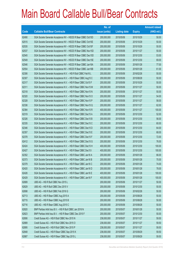|             |                                                                | No. of        |                     |               | <b>Amount raised</b> |
|-------------|----------------------------------------------------------------|---------------|---------------------|---------------|----------------------|
| <b>Code</b> | <b>Callable Bull/Bear Contracts</b>                            | issue (units) | <b>Listing date</b> | <b>Expiry</b> | $(HK$$ mil.)         |
| 62490       | SGA Societe Generale Acceptance NV - HSCEI R Bear CBBC Oct15D  | 200,000,000   | 2015/05/06          | 2015/10/29    | 50.00                |
| 62515       | SGA Societe Generale Acceptance NV - HSCEI R Bear CBBC Oct15E  | 200,000,000   | 2015/05/06          | 2015/10/29    | 50.00                |
| 62535       | SGA Societe Generale Acceptance NV - HSCEI R Bear CBBC Oct15F  | 200,000,000   | 2015/05/06          | 2015/10/29    | 50.00                |
| 62537       | SGA Societe Generale Acceptance NV - HSCEI R Bear CBBC Nov15D  | 200,000,000   | 2015/05/06          | 2015/11/27    | 50.00                |
| 62545       | SGA Societe Generale Acceptance NV - HSCEI R Bear CBBC Dec15D  | 200,000,000   | 2015/05/06          | 2015/12/30    | 53.00                |
| 62549       | SGA Societe Generale Acceptance NV - HSCEI R Bear CBBC Dec15E  | 200,000,000   | 2015/05/06          | 2015/12/30    | 69.00                |
| 62546       | SGA Societe Generale Acceptance NV - HSCEI R Bear CBBC Jan16A  | 200,000,000   | 2015/05/06          | 2016/01/28    | 77.00                |
| 62554       | SGA Societe Generale Acceptance NV - HSCEI R Bear CBBC Jan16B  | 200,000,000   | 2015/05/06          | 2016/01/28    | 61.00                |
| 62306       | SGA Societe Generale Acceptance N.V. - HSI R Bull CBBC Feb16 L | 200,000,000   | 2015/05/06          | 2016/02/26    | 50.00                |
| 62307       | SGA Societe Generale Acceptance N.V. - HSI R Bear CBBC Aug15 C | 200,000,000   | 2015/05/06          | 2015/08/28    | 50.00                |
| 62317       | SGA Societe Generale Acceptance N.V. - HSI R Bear CBBC Oct15 F | 200,000,000   | 2015/05/06          | 2015/10/29    | 50.00                |
| 62311       | SGA Societe Generale Acceptance N.V. - HSI R Bear CBBC Nov15 M | 200,000,000   | 2015/05/06          | 2015/11/27    | 50.00                |
| 62318       | SGA Societe Generale Acceptance N.V. - HSI R Bear CBBC Nov15 N | 200,000,000   | 2015/05/06          | 2015/11/27    | 50.00                |
| 62320       | SGA Societe Generale Acceptance N.V. - HSI R Bear CBBC Nov15 O | 200,000,000   | 2015/05/06          | 2015/11/27    | 54.00                |
| 62328       | SGA Societe Generale Acceptance N.V. - HSI R Bear CBBC Nov15 P | 200,000,000   | 2015/05/06          | 2015/11/27    | 58.00                |
| 62336       | SGA Societe Generale Acceptance N.V. - HSI R Bear CBBC Nov15 Q | 200,000,000   | 2015/05/06          | 2015/11/27    | 62.00                |
| 62384       | SGA Societe Generale Acceptance N.V. - HSI R Bear CBBC Nov15 R | 400,000,000   | 2015/05/06          | 2015/11/27    | 100.00               |
| 62319       | SGA Societe Generale Acceptance N.V. - HSI R Bear CBBC Dec15 A | 200,000,000   | 2015/05/06          | 2015/12/30    | 52.00                |
| 62326       | SGA Societe Generale Acceptance N.V. - HSI R Bear CBBC Dec15 B | 200,000,000   | 2015/05/06          | 2015/12/30    | 56.00                |
| 62335       | SGA Societe Generale Acceptance N.V. - HSI R Bear CBBC Dec15 C | 200,000,000   | 2015/05/06          | 2015/12/30    | 60.00                |
| 62346       | SGA Societe Generale Acceptance N.V. - HSI R Bear CBBC Dec15 D | 200,000,000   | 2015/05/06          | 2015/12/30    | 64.00                |
| 62357       | SGA Societe Generale Acceptance N.V. - HSI R Bear CBBC Dec15 E | 200,000,000   | 2015/05/06          | 2015/12/30    | 68.00                |
| 62378       | SGA Societe Generale Acceptance N.V. - HSI R Bear CBBC Dec15 F | 200,000,000   | 2015/05/06          | 2015/12/30    | 72.00                |
| 62412       | SGA Societe Generale Acceptance N.V. - HSI R Bear CBBC Dec15 G | 200,000,000   | 2015/05/06          | 2015/12/30    | 76.00                |
| 62424       | SGA Societe Generale Acceptance N.V. - HSI R Bear CBBC Dec15 H | 400,000,000   | 2015/05/06          | 2015/12/30    | 100.00               |
| 62427       | SGA Societe Generale Acceptance N.V. - HSI R Bear CBBC Dec15 I | 400,000,000   | 2015/05/06          | 2015/12/30    | 100.00               |
| 62352       | SGA Societe Generale Acceptance N.V. - HSI R Bear CBBC Jan16 A | 200,000,000   | 2015/05/06          | 2016/01/28    | 66.00                |
| 62373       | SGA Societe Generale Acceptance N.V. - HSI R Bear CBBC Jan16 B | 200,000,000   | 2015/05/06          | 2016/01/28    | 70.00                |
| 62379       | SGA Societe Generale Acceptance N.V. - HSI R Bear CBBC Jan16 C | 200,000,000   | 2015/05/06          | 2016/01/28    | 74.00                |
| 62420       | SGA Societe Generale Acceptance N.V. - HSI R Bear CBBC Jan16 D | 200,000,000   | 2015/05/06          | 2016/01/28    | 78.00                |
| 62426       | SGA Societe Generale Acceptance N.V. - HSI R Bear CBBC Jan16 E | 400,000,000   | 2015/05/06          | 2016/01/28    | 100.00               |
| 62429       | SGA Societe Generale Acceptance N.V. - HSI R Bear CBBC Jan16 F | 400,000,000   | 2015/05/06          | 2016/01/28    | 100.00               |
| 62689       | UBS AG - HSI R Bull CBBC Nov 2015 L                            | 200,000,000   | 2015/05/06          | 2015/11/27    | 50.00                |
| 62629       | UBS AG - HSI R Bull CBBC Dec 2015 V                            | 200,000,000   | 2015/05/06          | 2015/12/30    | 50.00                |
| 62698       | UBS AG - HSI R Bull CBBC Feb 2016 G                            | 200,000,000   | 2015/05/06          | 2016/02/26    | 50.00                |
| 62713       | UBS AG - HSI R Bear CBBC Aug 2015 A                            | 200,000,000   | 2015/05/06          | 2015/08/28    | 50.00                |
| 62715       | UBS AG - HSI R Bear CBBC Aug 2015 B                            | 200,000,000   | 2015/05/06          | 2015/08/28    | 50.00                |
| 62716       | UBS AG - HSI R Bear CBBC Aug 2015 C                            | 200,000,000   | 2015/05/06          | 2015/08/28    | 50.00                |
| 62820       | BNP Paribas Arbit Issu B.V. - HSI R Bull CBBC Jan 2016 N       | 200,000,000   | 2015/05/07          | 2016/01/28    | 50.00                |
| 62823       | BNP Paribas Arbit Issu B.V. - HSI R Bear CBBC Dec 2015 F       | 200,000,000   | 2015/05/07          | 2015/12/30    | 50.00                |
| 62806       | Credit Suisse AG - HSI R Bull CBBC Nov 2015 N                  | 238,000,000   | 2015/05/07          | 2015/11/27    | 59.50                |
| 62889       | Credit Suisse AG - HSI R Bull CBBC Nov 2015 O                  | 238,000,000   | 2015/05/07          | 2015/11/27    | 59.50                |
| 62895       | Credit Suisse AG - HSI R Bull CBBC Nov 2015 P                  | 238,000,000   | 2015/05/07          | 2015/11/27    | 59.50                |
| 62848       | Credit Suisse AG - HSI R Bear CBBC Sep 2015 K                  | 238,000,000   | 2015/05/07          | 2015/09/29    | 59.50                |
| 62887       | Credit Suisse AG - HSI R Bear CBBC Sep 2015 L                  | 238,000,000   | 2015/05/07          | 2015/09/29    | 59.50                |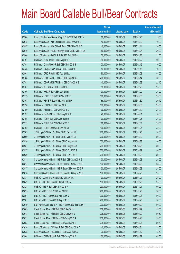|       |                                                          | No. of        |                     |               | <b>Amount raised</b> |
|-------|----------------------------------------------------------|---------------|---------------------|---------------|----------------------|
| Code  | <b>Callable Bull/Bear Contracts</b>                      | issue (units) | <b>Listing date</b> | <b>Expiry</b> | $(HK$$ mil.)         |
| 62960 | Bank of East Asia - Sinopec Corp R Bull CBBC Feb 2016 A  | 60,000,000    | 2015/05/07          | 2016/02/26    | 15.00                |
| 62948 | Bank of East Asia - A50 China R Bull CBBC Mar 2016 C     | 40,000,000    | 2015/05/07          | 2016/03/30    | 10.00                |
| 62957 | Bank of East Asia - A50 China R Bear CBBC Nov 2015 A     | 40,000,000    | 2015/05/07          | 2015/11/11    | 10.00                |
| 62940 | Bank of East Asia - HSBC Holdings R Bull CBBC Mar 2016 A | 80,000,000    | 2015/05/07          | 2016/03/24    | 20.00                |
| 62966 | Bank of East Asia - PetCh R Bull CBBC Feb 2016 A         | 50,000,000    | 2015/05/07          | 2016/02/26    | 12.50                |
| 62791 | HK Bank - BOCL R Bull CBBC Aug 2016 B                    | 80,000,000    | 2015/05/07          | 2016/08/22    | 20.00                |
| 62751 | HK Bank - China Mobile R Bull CBBC Feb 2016 B            | 120,000,000   | 2015/05/07          | 2016/02/15    | 30.00                |
| 62738 | HK Bank - Sinopec Corp R Bear CBBC Feb 2016 B            | 40,000,000    | 2015/05/07          | 2016/02/15    | 10.00                |
| 62803 | HK Bank - CPIC R Bull CBBC Aug 2016 A                    | 60,000,000    | 2015/05/07          | 2016/08/08    | 54.00                |
| 62788 | HK Bank - CSOP A50 ETF R Bull CBBC Mar 2016 E            | 200,000,000   | 2015/05/07          | 2016/03/14    | 50.00                |
| 62781 | HK Bank - CSOP A50 ETF R Bear CBBC Feb 2016 E            | 40,000,000    | 2015/05/07          | 2016/02/29    | 22.40                |
| 62787 | HK Bank - A50 R Bear CBBC Feb 2016 F                     | 50,000,000    | 2015/05/07          | 2016/02/29    | 25.00                |
| 62766 | HK Bank - HKEx R Bull CBBC Jan 2016 F                    | 100,000,000   | 2015/05/07          | 2016/01/20    | 25.00                |
| 62773 | HK Bank - HSCEI R Bull CBBC Mar 2016 E                   | 100,000,000   | 2015/05/07          | 2016/03/30    | 25.00                |
| 62753 | HK Bank - HSCEI R Bear CBBC Mar 2016 D                   | 68,000,000    | 2015/05/07          | 2016/03/30    | 20.40                |
| 62790 | HK Bank - HSI R Bull CBBC Mar 2016 H                     | 100,000,000   | 2015/05/07          | 2016/03/30    | 25.00                |
| 62759 | HK Bank - HSI R Bear CBBC Mar 2016 L                     | 100,000,000   | 2015/05/07          | 2016/03/30    | 25.00                |
| 62737 | HK Bank - PetCh R Bear CBBC Aug 2016 A                   | 40,000,000    | 2015/05/07          | 2016/08/01    | 10.00                |
| 62755 | HK Bank - TCH R Bull CBBC Jan 2016 H                     | 100,000,000   | 2015/05/07          | 2016/01/25    | 25.00                |
| 62752 | HK Bank - TCH R Bull CBBC Feb 2016 C                     | 100,000,000   | 2015/05/07          | 2016/02/01    | 25.00                |
| 62762 | HK Bank - TCH R Bear CBBC Jan 2016 F                     | 100,000,000   | 2015/05/07          | 2016/01/25    | 32.00                |
| 62903 | J P Morgan SP BV - HSI R Bull CBBC Feb 2016 R            | 200,000,000   | 2015/05/07          | 2016/02/26    | 50.00                |
| 62909 | J P Morgan SP BV - HSI R Bull CBBC Mar 2016 B            | 200,000,000   | 2015/05/07          | 2016/03/30    | 50.00                |
| 62930 | J P Morgan SP BV - HSI R Bear CBBC Aug 2015 X            | 200,000,000   | 2015/05/07          | 2015/08/28    | 50.00                |
| 62931 | J P Morgan SP BV - HSI R Bear CBBC Aug 2015 Y            | 200,000,000   | 2015/05/07          | 2015/08/28    | 50.00                |
| 62937 | J P Morgan SP BV - HSI R Bear CBBC Oct 2015 G            | 200,000,000   | 2015/05/07          | 2015/10/29    | 50.00                |
| 62939 | J P Morgan SP BV - HSI R Bear CBBC Oct 2015 H            | 200,000,000   | 2015/05/07          | 2015/10/29    | 50.00                |
| 62813 | Standard Chartered Bank - HSI R Bull CBBC Aug 2015 Z     | 100,000,000   | 2015/05/07          | 2015/08/28    | 25.00                |
| 62814 | Standard Chartered Bank - HSI R Bear CBBC Aug 2015 O     | 100,000,000   | 2015/05/07          | 2015/08/28    | 25.00                |
| 62817 | Standard Chartered Bank - HSI R Bear CBBC Aug 2015 P     | 100,000,000   | 2015/05/07          | 2015/08/28    | 25.00                |
| 62818 | Standard Chartered Bank - HSI R Bear CBBC Aug 2015 Q     | 100,000,000   | 2015/05/07          | 2015/08/28    | 25.00                |
| 62831 | UBS AG - A50 China R Bull CBBC Mar 2016 A                | 100,000,000   | 2015/05/07          | 2016/03/07    | 25.00                |
| 62842 | UBS AG - HSBC R Bear CBBC Feb 2016 A                     | 100,000,000   | 2015/05/07          | 2016/02/29    | 25.00                |
| 62824 | UBS AG - HSI R Bull CBBC Nov 2015 P                      | 200,000,000   | 2015/05/07          | 2015/11/27    | 50.00                |
| 62825 | UBS AG - HSI R Bull CBBC Jan 2016 K                      | 200,000,000   | 2015/05/07          | 2016/01/28    | 50.00                |
| 62897 | UBS AG - HSI R Bear CBBC Aug 2015 D                      | 200,000,000   | 2015/05/07          | 2015/08/28    | 50.00                |
| 62901 | UBS AG - HSI R Bear CBBC Aug 2015 E                      | 200,000,000   | 2015/05/07          | 2015/08/28    | 50.00                |
| 63049 | BNP Paribas Arbit Issu B.V. - HSI R Bear CBBC Sep 2015 F | 200,000,000   | 2015/05/08          | 2015/09/29    | 50.00                |
| 63009 | Credit Suisse AG - HSI R Bull CBBC Sep 2015 I            | 238,000,000   | 2015/05/08          | 2015/09/29    | 59.50                |
| 63013 | Credit Suisse AG - HSI R Bull CBBC Sep 2015 J            | 238,000,000   | 2015/05/08          | 2015/09/29    | 59.50                |
| 63051 | Credit Suisse AG - HSI R Bear CBBC Aug 2015 A            | 238,000,000   | 2015/05/08          | 2015/08/28    | 59.50                |
| 63053 | Credit Suisse AG - HSI R Bear CBBC Aug 2015 B            | 238,000,000   | 2015/05/08          | 2015/08/28    | 59.50                |
| 63020 | Bank of East Asia - CM Bank R Bull CBBC Mar 2016 A       | 40,000,000    | 2015/05/08          | 2016/03/24    | 18.00                |
| 63035 | Bank of East Asia - HKEx R Bear CBBC Apr 2016 A          | 30,000,000    | 2015/05/08          | 2016/04/12    | 13.50                |
| 62968 | HK Bank - CAM CSI300 R Bull CBBC Aug 2016 A              | 100,000,000   | 2015/05/08          | 2016/08/29    | 48.00                |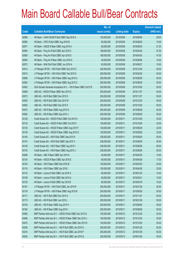|       |                                                                | No. of        |                     |               | <b>Amount raised</b> |
|-------|----------------------------------------------------------------|---------------|---------------------|---------------|----------------------|
| Code  | <b>Callable Bull/Bear Contracts</b>                            | issue (units) | <b>Listing date</b> | <b>Expiry</b> | $(HK$$ mil.)         |
| 62969 | HK Bank - CAM CSI300 R Bull CBBC Sep 2016 A                    | 100,000,000   | 2015/05/08          | 2016/09/05    | 28.00                |
| 62982 | HK Bank - CPIC R Bull CBBC Aug 2016 B                          | 60,000,000    | 2015/05/08          | 2016/08/29    | 15.00                |
| 62971 | HK Bank - HSCEI R Bear CBBC Aug 2016 A                         | 68,000,000    | 2015/05/08          | 2016/08/30    | 27.20                |
| 62994 | HK Bank - Ping An R Bull CBBC Apr 2016 C                       | 188,000,000   | 2015/05/08          | 2016/04/25    | 47.00                |
| 63008 | HK Bank - Ping An R Bull CBBC Apr 2016 D                       | 188,000,000   | 2015/05/08          | 2016/04/25    | 47.00                |
| 62993 | HK Bank - Ping An R Bear CBBC Jun 2016 A                       | 40,000,000    | 2015/05/08          | 2016/06/06    | 10.00                |
| 62972 | HK Bank - SHK Ppt R Bull CBBC Jun 2016 A                       | 60,000,000    | 2015/05/08          | 2016/06/27    | 15.00                |
| 63014 | J P Morgan SP BV - HSI R Bull CBBC Dec 2015 Z                  | 200,000,000   | 2015/05/08          | 2015/12/30    | 50.00                |
| 63015 | J P Morgan SP BV - HSI R Bull CBBC Feb 2016 S                  | 200,000,000   | 2015/05/08          | 2016/02/26    | 50.00                |
| 63088 | J P Morgan SP BV - HSI R Bear CBBC Aug 2015 A                  | 200,000,000   | 2015/05/08          | 2015/08/28    | 50.00                |
| 63083 | J P Morgan SP BV - HSI R Bear CBBC Aug 2015 Z                  | 200,000,000   | 2015/05/08          | 2015/08/28    | 50.00                |
| 63042 | SGA Societe Generale Acceptance N.V. - HSI R Bear CBBC Oct15 R | 200,000,000   | 2015/05/08          | 2015/10/29    | 50.00                |
| 63069 | UBS AG - HSCEI R Bear CBBC Nov 2015 C                          | 200,000,000   | 2015/05/08          | 2015/11/27    | 50.00                |
| 63073 | UBS AG - HSI R Bull CBBC Nov 2015 S                            | 200,000,000   | 2015/05/08          | 2015/11/27    | 50.00                |
| 63055 | UBS AG - HSI R Bull CBBC Dec 2015 W                            | 200,000,000   | 2015/05/08          | 2015/12/30    | 50.00                |
| 63062 | UBS AG - HSI R Bull CBBC Dec 2015 X                            | 200,000,000   | 2015/05/08          | 2015/12/30    | 50.00                |
| 63072 | UBS AG - HSI R Bear CBBC Aug 2015 G                            | 200,000,000   | 2015/05/08          | 2015/08/28    | 50.00                |
| 63082 | UBS AG - HSI R Bear CBBC Sep 2015 J                            | 200,000,000   | 2015/05/08          | 2015/09/29    | 50.00                |
| 63126 | Credit Suisse AG - HSCEI R Bull CBBC Oct 2015 H                | 128,000,000   | 2015/05/11          | 2015/10/29    | 32.00                |
| 63133 | Credit Suisse AG - HSCEI R Bull CBBC Oct 2015 I                | 128,000,000   | 2015/05/11          | 2015/10/29    | 32.00                |
| 63135 | Credit Suisse AG - HSCEI R Bear CBBC Aug 2015 F                | 128,000,000   | 2015/05/11          | 2015/08/28    | 32.00                |
| 63136 | Credit Suisse AG - HSCEI R Bear CBBC Aug 2015 G                | 128,000,000   | 2015/05/11          | 2015/08/28    | 32.00                |
| 63145 | Credit Suisse AG - HSI R Bull CBBC Sep 2015 K                  | 238,000,000   | 2015/05/11          | 2015/09/29    | 59.50                |
| 63147 | Credit Suisse AG - HSI R Bull CBBC Sep 2015 Y                  | 238,000,000   | 2015/05/11          | 2015/09/29    | 59.50                |
| 63148 | Credit Suisse AG - HSI R Bear CBBC Aug 2015 I                  | 238,000,000   | 2015/05/11          | 2015/08/28    | 59.50                |
| 63153 | Credit Suisse AG - HSI R Bear CBBC Aug 2015 J                  | 238,000,000   | 2015/05/11          | 2015/08/28    | 59.50                |
| 63096 | HK Bank - ABC R Bear CBBC Apr 2016 A                           | 40,000,000    | 2015/05/11          | 2016/04/25    | 10.00                |
| 63124 | HK Bank - HSCEI R Bear CBBC Apr 2016 E                         | 68,000,000    | 2015/05/11          | 2016/04/28    | 17.00                |
| 63104 | HK Bank - HSI R Bear CBBC Mar 2016 M                           | 100,000,000   | 2015/05/11          | 2016/03/30    | 25.00                |
| 63118 | HK Bank - HSI R Bear CBBC Apr 2016 I                           | 100,000,000   | 2015/05/11          | 2016/04/28    | 25.00                |
| 63123 | HK Bank - Lenovo R Bull CBBC Jan 2016 A                        | 60,000,000    | 2015/05/11          | 2016/01/25    | 15.00                |
| 63108 | HK Bank - Lenovo R Bull CBBC Mar 2016 A                        | 60,000,000    | 2015/05/11          | 2016/03/21    | 15.00                |
| 63125 | HK Bank - Lenovo R Bull CBBC Apr 2016 B                        | 60,000,000    | 2015/05/11          | 2016/04/18    | 19.20                |
| 63181 | J P Morgan SP BV - HSI R Bull CBBC Jan 2016 R                  | 200,000,000   | 2015/05/11          | 2016/01/28    | 50.00                |
| 63178 | J P Morgan SP BV - HSI R Bear CBBC Aug 2015 B                  | 200,000,000   | 2015/05/11          | 2015/08/28    | 50.00                |
| 63171 | UBS AG - HSI R Bull CBBC Nov 2015 A                            | 200,000,000   | 2015/05/11          | 2015/11/27    | 50.00                |
| 63173 | UBS AG - HSI R Bull CBBC Jan 2016 L                            | 200,000,000   | 2015/05/11          | 2016/01/28    | 50.00                |
| 63155 | UBS AG - HSI R Bear CBBC Aug 2015 H                            | 200,000,000   | 2015/05/11          | 2015/08/28    | 50.00                |
| 63164 | UBS AG - HSI R Bear CBBC Aug 2015 I                            | 200,000,000   | 2015/05/11          | 2015/08/28    | 50.00                |
| 63465 | BNP Paribas Arbit Issu B.V. - HSCEI R Bull CBBC Dec 2015 Q     | 100,000,000   | 2015/05/12          | 2015/12/30    | 25.00                |
| 63466 | BNP Paribas Arbit Issu B.V. - HSCEI R Bear CBBC Dec 2015 J     | 100,000,000   | 2015/05/12          | 2015/12/30    | 25.00                |
| 63470 | BNP Paribas Arbit Issu B.V. - HSCEI R Bear CBBC Dec 2015 K     | 100,000,000   | 2015/05/12          | 2015/12/30    | 25.00                |
| 63209 | BNP Paribas Arbit Issu B.V. - HSI R Bull CBBC Jan 2016 O       | 200,000,000   | 2015/05/12          | 2016/01/28    | 50.00                |
| 63216 | BNP Paribas Arbit Issu B.V. - HSI R Bull CBBC Jan 2016 P       | 200,000,000   | 2015/05/12          | 2016/01/28    | 50.00                |
| 63250 | BNP Paribas Arbit Issu B.V. - HSI R Bull CBBC Jan 2016 Q       | 200,000,000   | 2015/05/12          | 2016/01/28    | 50.00                |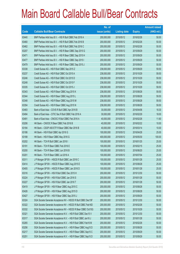|       |                                                                | No. of        |                     |               | <b>Amount raised</b> |
|-------|----------------------------------------------------------------|---------------|---------------------|---------------|----------------------|
| Code  | <b>Callable Bull/Bear Contracts</b>                            | issue (units) | <b>Listing date</b> | <b>Expiry</b> | $(HK$$ mil.)         |
| 63440 | BNP Paribas Arbit Issu B.V. - HSI R Bull CBBC Feb 2016 A       | 200,000,000   | 2015/05/12          | 2016/02/26    | 50.00                |
| 63460 | BNP Paribas Arbit Issu B.V. - HSI R Bull CBBC Feb 2016 B       | 200,000,000   | 2015/05/12          | 2016/02/26    | 50.00                |
| 63462 | BNP Paribas Arbit Issu B.V. - HSI R Bull CBBC Feb 2016 C       | 200,000,000   | 2015/05/12          | 2016/02/26    | 50.00                |
| 63207 | BNP Paribas Arbit Issu B.V. - HSI R Bear CBBC Sep 2015 G       | 200,000,000   | 2015/05/12          | 2015/09/29    | 50.00                |
| 63471 | BNP Paribas Arbit Issu B.V. - HSI R Bear CBBC Sep 2015 H       | 200,000,000   | 2015/05/12          | 2015/09/29    | 50.00                |
| 63477 | BNP Paribas Arbit Issu B.V. - HSI R Bear CBBC Sep 2015 I       | 200,000,000   | 2015/05/12          | 2015/09/29    | 50.00                |
| 63479 | BNP Paribas Arbit Issu B.V. - HSI R Bear CBBC Sep 2015 J       | 200,000,000   | 2015/05/12          | 2015/09/29    | 50.00                |
| 63338 | Credit Suisse AG - HSI R Bull CBBC Sep 2015 Z                  | 238,000,000   | 2015/05/12          | 2015/09/29    | 59.50                |
| 63237 | Credit Suisse AG - HSI R Bull CBBC Oct 2015 A                  | 238,000,000   | 2015/05/12          | 2015/10/29    | 59.50                |
| 63246 | Credit Suisse AG - HSI R Bull CBBC Oct 2015 D                  | 238,000,000   | 2015/05/12          | 2015/10/29    | 59.50                |
| 63248 | Credit Suisse AG - HSI R Bull CBBC Oct 2015 F                  | 238,000,000   | 2015/05/12          | 2015/10/29    | 59.50                |
| 63335 | Credit Suisse AG - HSI R Bull CBBC Oct 2015 J                  | 238,000,000   | 2015/05/12          | 2015/10/29    | 59.50                |
| 63343 | Credit Suisse AG - HSI R Bear CBBC Aug 2015 K                  | 238,000,000   | 2015/05/12          | 2015/08/28    | 59.50                |
| 63344 | Credit Suisse AG - HSI R Bear CBBC Aug 2015 L                  | 238,000,000   | 2015/05/12          | 2015/08/28    | 59.50                |
| 63348 | Credit Suisse AG - HSI R Bear CBBC Aug 2015 M                  | 238,000,000   | 2015/05/12          | 2015/08/28    | 59.50                |
| 63354 | Credit Suisse AG - HSI R Bear CBBC Aug 2015 N                  | 238,000,000   | 2015/05/12          | 2015/08/28    | 59.50                |
| 63483 | Bank of East Asia - COVS R Bull CBBC Apr 2016 B                | 30,000,000    | 2015/05/12          | 2016/04/06    | 18.30                |
| 63494 | Bank of East Asia - CITIC Sec R Bull CBBC Feb 2016 A           | 30,000,000    | 2015/05/12          | 2016/02/29    | 18.00                |
| 63491 | Bank of East Asia - CNOOC R Bull CBBC Feb 2016 A               | 40,000,000    | 2015/05/12          | 2016/02/26    | 11.60                |
| 63206 | HK Bank - CNOOC R Bear CBBC Feb 2016 B                         | 40,000,000    | 2015/05/12          | 2016/02/22    | 10.00                |
| 63184 | HK Bank - CSOP A50 ETF R Bear CBBC Mar 2016 B                  | 40,000,000    | 2015/05/12          | 2016/03/14    | 10.00                |
| 63186 | HK Bank - HSI R Bull CBBC Apr 2016 G                           | 100,000,000   | 2015/05/12          | 2016/04/28    | 25.00                |
| 63188 | HK Bank - HSI R Bear CBBC May 2016 G                           | 400,000,000   | 2015/05/12          | 2016/05/30    | 100.00               |
| 63202 | HK Bank - TCH R Bull CBBC Jan 2016 I                           | 100,000,000   | 2015/05/12          | 2016/01/25    | 25.00                |
| 63191 | HK Bank - TCH R Bear CBBC Feb 2016 E                           | 100,000,000   | 2015/05/12          | 2016/02/15    | 25.00                |
| 63200 | HK Bank - TCH R Bear CBBC Jun 2016 B                           | 100,000,000   | 2015/05/12          | 2016/06/20    | 25.00                |
| 63201 | HK Bank - TCH R Bear CBBC Jul 2016 A                           | 100,000,000   | 2015/05/12          | 2016/07/04    | 25.00                |
| 63311 | J P Morgan SP BV - HSCEI R Bull CBBC Jan 2016 C                | 100,000,000   | 2015/05/12          | 2016/01/28    | 25.00                |
| 63414 | JP Morgan SP BV - HSCEIR Bear CBBC Aug 2015 E                  | 100,000,000   | 2015/05/12          | 2015/08/28    | 25.00                |
| 63405 | J P Morgan SP BV - HSCEI R Bear CBBC Jan 2016 D                | 100,000,000   | 2015/05/12          | 2016/01/28    | 25.00                |
| 63316 | J P Morgan SP BV - HSI R Bull CBBC Dec 2015 H                  | 200,000,000   | 2015/05/12          | 2015/12/30    | 50.00                |
| 63224 | J P Morgan SP BV - HSI R Bull CBBC Jan 2016 S                  | 200,000,000   | 2015/05/12          | 2016/01/28    | 50.00                |
| 63227 | J P Morgan SP BV - HSI R Bull CBBC Jan 2016 T                  | 200,000,000   | 2015/05/12          | 2016/01/28    | 50.00                |
| 63419 | J P Morgan SP BV - HSI R Bear CBBC Aug 2015 C                  | 200,000,000   | 2015/05/12          | 2015/08/28    | 50.00                |
| 63426 | J P Morgan SP BV - HSI R Bear CBBC Aug 2015 D                  | 200,000,000   | 2015/05/12          | 2015/08/28    | 50.00                |
| 63427 | J P Morgan SP BV - HSI R Bear CBBC Sep 2015 J                  | 200,000,000   | 2015/05/12          | 2015/09/29    | 50.00                |
| 63324 | SGA Societe Generale Acceptance NV - HSCEI R Bull CBBC Dec15F  | 200,000,000   | 2015/05/12          | 2015/12/30    | 50.00                |
| 63322 | SGA Societe Generale Acceptance NV - HSCEI R Bull CBBC Feb16D  | 200,000,000   | 2015/05/12          | 2016/02/26    | 50.00                |
| 63332 | SGA Societe Generale Acceptance NV - HSCEI R Bear CBBC Oct15G  | 200,000,000   | 2015/05/12          | 2015/10/29    | 50.00                |
| 63321 | SGA Societe Generale Acceptance N.V. - HSI R Bull CBBC Dec15 V | 200,000,000   | 2015/05/12          | 2015/12/30    | 50.00                |
| 63317 | SGA Societe Generale Acceptance N.V. - HSI R Bull CBBC Jan16 J | 200,000,000   | 2015/05/12          | 2016/01/28    | 50.00                |
| 63265 | SGA Societe Generale Acceptance N.V. - HSI R Bull CBBC Feb16 M | 200,000,000   | 2015/05/12          | 2016/02/26    | 50.00                |
| 63256 | SGA Societe Generale Acceptance N.V. - HSI R Bear CBBC Aug15 D | 200,000,000   | 2015/05/12          | 2015/08/28    | 50.00                |
| 63217 | SGA Societe Generale Acceptance N.V. - HSI R Bear CBBC Sep15 C | 200,000,000   | 2015/05/12          | 2015/09/29    | 50.00                |
| 63251 | SGA Societe Generale Acceptance N.V. - HSI R Bear CBBC Sep15 D | 200,000,000   | 2015/05/12          | 2015/09/29    | 50.00                |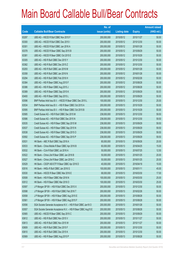|       |                                                                | No. of        |                     |               | <b>Amount raised</b> |
|-------|----------------------------------------------------------------|---------------|---------------------|---------------|----------------------|
| Code  | <b>Callable Bull/Bear Contracts</b>                            | issue (units) | <b>Listing date</b> | <b>Expiry</b> | $(HK$$ mil.)         |
| 63297 | UBS AG - HSCEI R Bull CBBC Nov 2015 F                          | 200,000,000   | 2015/05/12          | 2015/11/27    | 50.00                |
| 63300 | UBS AG - HSCEI R Bull CBBC Dec 2015 I                          | 200,000,000   | 2015/05/12          | 2015/12/30    | 50.00                |
| 63301 | UBS AG - HSCEI R Bull CBBC Jan 2016 A                          | 200,000,000   | 2015/05/12          | 2016/01/28    | 50.00                |
| 63378 | UBS AG - HSCEI R Bear CBBC Sep 2015 B                          | 200,000,000   | 2015/05/12          | 2015/09/29    | 50.00                |
| 63381 | UBS AG - HSCEI R Bear CBBC Oct 2015 E                          | 200,000,000   | 2015/05/12          | 2015/10/29    | 50.00                |
| 63305 | UBS AG - HSI R Bull CBBC Dec 2015 Y                            | 200,000,000   | 2015/05/12          | 2015/12/30    | 50.00                |
| 63362 | UBS AG - HSI R Bull CBBC Dec 2015 Z                            | 200,000,000   | 2015/05/12          | 2015/12/30    | 50.00                |
| 63293 | UBS AG - HSI R Bull CBBC Jan 2016 M                            | 200,000,000   | 2015/05/12          | 2016/01/28    | 50.00                |
| 63358 | UBS AG - HSI R Bull CBBC Jan 2016 N                            | 200,000,000   | 2015/05/12          | 2016/01/28    | 50.00                |
| 63294 | UBS AG - HSI R Bull CBBC Feb 2016 H                            | 200,000,000   | 2015/05/12          | 2016/02/26    | 50.00                |
| 63384 | UBS AG - HSI R Bear CBBC Aug 2015 F                            | 200,000,000   | 2015/05/12          | 2015/08/28    | 50.00                |
| 63386 | UBS AG - HSI R Bear CBBC Aug 2015 J                            | 200,000,000   | 2015/05/12          | 2015/08/28    | 50.00                |
| 63389 | UBS AG - HSI R Bear CBBC Sep 2015 K                            | 200,000,000   | 2015/05/12          | 2015/09/29    | 50.00                |
| 63400 | UBS AG - HSI R Bear CBBC Sep 2015 L                            | 200,000,000   | 2015/05/12          | 2015/09/29    | 50.00                |
| 63596 | BNP Paribas Arbit Issu B.V. - HSCEI R Bear CBBC Dec 2015 L     | 100,000,000   | 2015/05/13          | 2015/12/30    | 25.00                |
| 63534 | BNP Paribas Arbit Issu B.V. - HSI R Bear CBBC Oct 2015 A       | 200,000,000   | 2015/05/13          | 2015/10/29    | 50.00                |
| 63595 | BNP Paribas Arbit Issu B.V. - HSI R Bear CBBC Oct 2015 B       | 200,000,000   | 2015/05/13          | 2015/10/29    | 50.00                |
| 63585 | Credit Suisse AG - HSI R Bull CBBC Dec 2015 M                  | 238,000,000   | 2015/05/13          | 2015/12/30    | 59.50                |
| 63586 | Credit Suisse AG - HSI R Bull CBBC Dec 2015 N                  | 238,000,000   | 2015/05/13          | 2015/12/30    | 59.50                |
| 63535 | Credit Suisse AG - HSI R Bear CBBC Sep 2015 M                  | 238,000,000   | 2015/05/13          | 2015/09/29    | 59.50                |
| 63537 | Credit Suisse AG - HSI R Bear CBBC Sep 2015 N                  | 238,000,000   | 2015/05/13          | 2015/09/29    | 59.50                |
| 63538 | Credit Suisse AG - HSI R Bear CBBC Sep 2015 O                  | 238,000,000   | 2015/05/13          | 2015/09/29    | 59.50                |
| 63592 | Credit Suisse AG - HSI R Bear CBBC Sep 2015 P                  | 238,000,000   | 2015/05/13          | 2015/09/29    | 59.50                |
| 63531 | HK Bank - ABC R Bull CBBC Sep 2016 A                           | 80,000,000    | 2015/05/13          | 2016/09/26    | 20.00                |
| 63533 | HK Bank - China Mobile R Bear CBBC Apr 2016 B                  | 60,000,000    | 2015/05/13          | 2016/04/25    | 15.00                |
| 63532 | HK Bank - CUni R Bull CBBC Jul 2016 A                          | 50,000,000    | 2015/05/13          | 2016/07/25    | 12.50                |
| 63522 | HK Bank - China Life R Bear CBBC Jan 2016 B                    | 50,000,000    | 2015/05/13          | 2016/01/25    | 20.00                |
| 63527 | HK Bank – China Life R Bear CBBC Jan 2016 C                    | 50,000,000    | 2015/05/13          | 2016/01/25    | 20.00                |
| 63529 | HK Bank - CSOP A50 ETF R Bear CBBC Apr 2016 D                  | 40,000,000    | 2015/05/13          | 2016/04/18    | 10.00                |
| 63516 | HK Bank - HKEx R Bull CBBC Jan 2016 G                          | 100,000,000   | 2015/05/13          | 2016/01/11    | 45.00                |
| 63530 | HK Bank - HSCEI R Bear CBBC Mar 2016 E                         | 68,000,000    | 2015/05/13          | 2016/03/30    | 17.00                |
| 63508 | HK Bank - HSI R Bear CBBC Mar 2016 N                           | 100,000,000   | 2015/05/13          | 2016/03/30    | 25.00                |
| 63512 | HK Bank - HSI R Bear CBBC Mar 2016 O                           | 100,000,000   | 2015/05/13          | 2016/03/30    | 25.00                |
| 63597 | J P Morgan SP BV - HSI R Bull CBBC Dec 2015 X                  | 200,000,000   | 2015/05/13          | 2015/12/30    | 50.00                |
| 63598 | J P Morgan SP BV - HSI R Bull CBBC Feb 2016 T                  | 200,000,000   | 2015/05/13          | 2016/02/26    | 50.00                |
| 63558 | J P Morgan SP BV - HSI R Bear CBBC Aug 2015 E                  | 200,000,000   | 2015/05/13          | 2015/08/28    | 50.00                |
| 63561 | J P Morgan SP BV - HSI R Bear CBBC Aug 2015 F                  | 200,000,000   | 2015/05/13          | 2015/08/28    | 50.00                |
| 63556 | SGA Societe Generale Acceptance N.V. - HSI R Bull CBBC Jan16 O | 200,000,000   | 2015/05/13          | 2016/01/28    | 50.00                |
| 63557 | SGA Societe Generale Acceptance N.V. - HSI R Bear CBBC Aug15 E | 200,000,000   | 2015/05/13          | 2015/08/28    | 50.00                |
| 63565 | UBS AG - HSCEI R Bear CBBC Sep 2015 C                          | 200,000,000   | 2015/05/13          | 2015/09/29    | 50.00                |
| 63612 | UBS AG - HSI R Bull CBBC Nov 2015 V                            | 200,000,000   | 2015/05/13          | 2015/11/27    | 50.00                |
| 63613 | UBS AG - HSI R Bull CBBC Nov 2015 W                            | 200,000,000   | 2015/05/13          | 2015/11/27    | 50.00                |
| 63609 | UBS AG - HSI R Bull CBBC Dec 2015 F                            | 200,000,000   | 2015/05/13          | 2015/12/30    | 50.00                |
| 63610 | UBS AG - HSI R Bull CBBC Dec 2015 K                            | 200,000,000   | 2015/05/13          | 2015/12/30    | 50.00                |
| 63569 | UBS AG - HSI R Bear CBBC Aug 2015 P                            | 200,000,000   | 2015/05/13          | 2015/08/28    | 50.00                |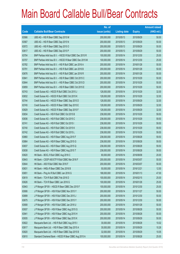|       |                                                            | No. of        |                     |               | <b>Amount raised</b> |
|-------|------------------------------------------------------------|---------------|---------------------|---------------|----------------------|
| Code  | <b>Callable Bull/Bear Contracts</b>                        | issue (units) | <b>Listing date</b> | <b>Expiry</b> | $(HK$$ mil.)         |
| 63566 | UBS AG - HSI R Bear CBBC Sep 2015 M                        | 200,000,000   | 2015/05/13          | 2015/09/29    | 50.00                |
| 63567 | UBS AG - HSI R Bear CBBC Sep 2015 N                        | 200,000,000   | 2015/05/13          | 2015/09/29    | 50.00                |
| 63572 | UBS AG - HSI R Bear CBBC Sep 2015 O                        | 200,000,000   | 2015/05/13          | 2015/09/29    | 50.00                |
| 63617 | UBS AG - HSI R Bear CBBC Sep 2015 P                        | 200,000,000   | 2015/05/13          | 2015/09/29    | 50.00                |
| 63704 | BNP Paribas Arbit Issu B.V. - HSCEI R Bull CBBC Dec 2015 R | 100,000,000   | 2015/05/14          | 2015/12/30    | 25.00                |
| 63707 | BNP Paribas Arbit Issu B.V. - HSCEI R Bear CBBC Dec 2015 M | 100,000,000   | 2015/05/14          | 2015/12/30    | 25.00                |
| 63782 | BNP Paribas Arbit Issu B.V. - HSI R Bull CBBC Jan 2016 A   | 200,000,000   | 2015/05/14          | 2016/01/28    | 50.00                |
| 63791 | BNP Paribas Arbit Issu B.V. - HSI R Bull CBBC Jan 2016 B   | 200,000,000   | 2015/05/14          | 2016/01/28    | 50.00                |
| 63676 | BNP Paribas Arbit Issu B.V. - HSI R Bull CBBC Jan 2016 R   | 200,000,000   | 2015/05/14          | 2016/01/28    | 50.00                |
| 63841 | BNP Paribas Arbit Issu B.V. - HSI R Bear CBBC Oct 2015 C   | 200,000,000   | 2015/05/14          | 2015/10/29    | 50.00                |
| 63844 | BNP Paribas Arbit Issu B.V. - HSI R Bear CBBC Oct 2015 D   | 200,000,000   | 2015/05/14          | 2015/10/29    | 50.00                |
| 63859 | BNP Paribas Arbit Issu B.V. - HSI R Bear CBBC Oct 2015 E   | 200,000,000   | 2015/05/14          | 2015/10/29    | 50.00                |
| 63743 | Credit Suisse AG - HSCEI R Bull CBBC Oct 2015 J            | 128,000,000   | 2015/05/14          | 2015/10/29    | 32.00                |
| 63832 | Credit Suisse AG - HSCEI R Bull CBBC Oct 2015 K            | 128,000,000   | 2015/05/14          | 2015/10/29    | 32.00                |
| 63744 | Credit Suisse AG - HSCEI R Bear CBBC Sep 2015 D            | 128,000,000   | 2015/05/14          | 2015/09/29    | 32.00                |
| 63745 | Credit Suisse AG - HSCEI R Bear CBBC Sep 2015 E            | 128,000,000   | 2015/05/14          | 2015/09/29    | 32.00                |
| 63829 | Credit Suisse AG - HSCEI R Bear CBBC Sep 2015 F            | 128,000,000   | 2015/05/14          | 2015/09/29    | 32.00                |
| 63834 | Credit Suisse AG - HSI R Bull CBBC Oct 2015 B              | 238,000,000   | 2015/05/14          | 2015/10/29    | 59.50                |
| 63836 | Credit Suisse AG - HSI R Bull CBBC Oct 2015 C              | 238,000,000   | 2015/05/14          | 2015/10/29    | 59.50                |
| 63741 | Credit Suisse AG - HSI R Bull CBBC Oct 2015 I              | 238,000,000   | 2015/05/14          | 2015/10/29    | 59.50                |
| 63740 | Credit Suisse AG - HSI R Bull CBBC Oct 2015 K              | 238,000,000   | 2015/05/14          | 2015/10/29    | 59.50                |
| 63742 | Credit Suisse AG - HSI R Bull CBBC Oct 2015 L              | 238,000,000   | 2015/05/14          | 2015/10/29    | 59.50                |
| 63860 | Credit Suisse AG - HSI R Bear CBBC Aug 2015 F              | 238,000,000   | 2015/05/14          | 2015/08/28    | 59.50                |
| 63864 | Credit Suisse AG - HSI R Bear CBBC Aug 2015 G              | 238,000,000   | 2015/05/14          | 2015/08/28    | 59.50                |
| 63837 | Credit Suisse AG - HSI R Bear CBBC Aug 2015 Q              | 238,000,000   | 2015/05/14          | 2015/08/28    | 59.50                |
| 63838 | Credit Suisse AG - HSI R Bear CBBC Aug 2015 T              | 238,000,000   | 2015/05/14          | 2015/08/28    | 59.50                |
| 63620 | HK Bank - BOCL R Bull CBBC Aug 2016 C                      | 80,000,000    | 2015/05/14          | 2016/08/08    | 20.00                |
| 63643 | HK Bank - CSOP A50 ETF R Bull CBBC Mar 2016 F              | 200,000,000   | 2015/05/14          | 2016/03/07    | 50.00                |
| 63644 | HK Bank - A50 R Bull CBBC Mar 2016 F                       | 200,000,000   | 2015/05/14          | 2016/03/07    | 50.00                |
| 63631 | HK Bank - HKEx R Bear CBBC Dec 2016 B                      | 50,000,000    | 2015/05/14          | 2016/12/21    | 12.50                |
| 63651 | HK Bank - Ping An R Bull CBBC Jan 2016 G                   | 188,000,000   | 2015/05/14          | 2016/01/13    | 47.00                |
| 63619 | HK Bank - TCH R Bull CBBC Feb 2016 D                       | 100,000,000   | 2015/05/14          | 2016/02/15    | 25.00                |
| 63626 | HK Bank - TCH R Bear CBBC Jan 2016 G                       | 100,000,000   | 2015/05/14          | 2016/01/26    | 25.00                |
| 63943 | J P Morgan SP BV - HSCEI R Bear CBBC Dec 2015 F            | 100,000,000   | 2015/05/14          | 2015/12/30    | 25.00                |
| 63906 | J P Morgan SP BV - HSI R Bull CBBC Nov 2015 Y              | 200,000,000   | 2015/05/14          | 2015/11/27    | 50.00                |
| 63899 | J P Morgan SP BV - HSI R Bull CBBC Dec 2015 J              | 200,000,000   | 2015/05/14          | 2015/12/30    | 50.00                |
| 63675 | J P Morgan SP BV - HSI R Bull CBBC Dec 2015 Y              | 200,000,000   | 2015/05/14          | 2015/12/30    | 50.00                |
| 63908 | J P Morgan SP BV - HSI R Bull CBBC Jan 2016 U              | 200,000,000   | 2015/05/14          | 2016/01/28    | 50.00                |
| 63937 | J P Morgan SP BV - HSI R Bear CBBC Aug 2015 G              | 200,000,000   | 2015/05/14          | 2015/08/28    | 50.00                |
| 63941 | J P Morgan SP BV - HSI R Bear CBBC Aug 2015 H              | 200,000,000   | 2015/05/14          | 2015/08/28    | 50.00                |
| 63935 | J P Morgan SP BV - HSI R Bear CBBC Sep 2015 K              | 200,000,000   | 2015/05/14          | 2015/09/29    | 50.00                |
| 63822 | Macquarie Bank Ltd. - HSI R Bull CBBC Aug 2015 I           | 30,000,000    | 2015/05/14          | 2015/08/28    | 10.02                |
| 63817 | Macquarie Bank Ltd. - HSI R Bear CBBC Sep 2015 A           | 30,000,000    | 2015/05/14          | 2015/09/29    | 10.26                |
| 63820 | Macquarie Bank Ltd. - HSI R Bear CBBC Sep 2015 B           | 32,000,000    | 2015/05/14          | 2015/09/29    | 10.05                |
| 63810 | Standard Chartered Bank - HSCEI R Bear CBBC Aug 2015 A     | 100,000,000   | 2015/05/14          | 2015/08/28    | 25.00                |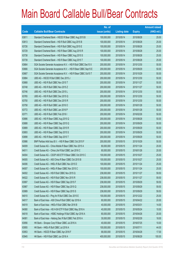|       |                                                                | No. of        |                     |               | <b>Amount raised</b> |
|-------|----------------------------------------------------------------|---------------|---------------------|---------------|----------------------|
| Code  | <b>Callable Bull/Bear Contracts</b>                            | issue (units) | <b>Listing date</b> | <b>Expiry</b> | (HK\$ mil.)          |
| 63811 | Standard Chartered Bank - HSCEI R Bear CBBC Aug 2015 B         | 100,000,000   | 2015/05/14          | 2015/08/28    | 25.00                |
| 63813 | Standard Chartered Bank - HSI R Bull CBBC Aug 2015 B           | 100,000,000   | 2015/05/14          | 2015/08/28    | 25.00                |
| 63726 | Standard Chartered Bank - HSI R Bull CBBC Aug 2015 E           | 100,000,000   | 2015/05/14          | 2015/08/28    | 25.00                |
| 63729 | Standard Chartered Bank - HSI R Bear CBBC Aug 2015 R           | 100,000,000   | 2015/05/14          | 2015/08/28    | 25.00                |
| 63738 | Standard Chartered Bank - HSI R Bear CBBC Aug 2015 S           | 100,000,000   | 2015/05/14          | 2015/08/28    | 25.00                |
| 63739 | Standard Chartered Bank - HSI R Bear CBBC Aug 2015 T           | 100,000,000   | 2015/05/14          | 2015/08/28    | 25.00                |
| 63664 | SGA Societe Generale Acceptance N.V. - HSI R Bull CBBC Dec15 X | 200,000,000   | 2015/05/14          | 2015/12/30    | 50.00                |
| 63666 | SGA Societe Generale Acceptance N.V. - HSI R Bear CBBC Sep15 E | 200,000,000   | 2015/05/14          | 2015/09/29    | 50.00                |
| 63667 | SGA Societe Generale Acceptance N.V. - HSI R Bear CBBC Oct15 T | 200,000,000   | 2015/05/14          | 2015/10/29    | 50.00                |
| 63884 | UBS AG - HSCEI R Bull CBBC Dec 2015 J                          | 200,000,000   | 2015/05/14          | 2015/12/30    | 50.00                |
| 63868 | UBS AG - HSI R Bull CBBC Nov 2015 T                            | 200,000,000   | 2015/05/14          | 2015/11/27    | 50.00                |
| 63748 | UBS AG - HSI R Bull CBBC Nov 2015 Z                            | 200,000,000   | 2015/05/14          | 2015/11/27    | 50.00                |
| 63746 | UBS AG - HSI R Bull CBBC Dec 2015 L                            | 200,000,000   | 2015/05/14          | 2015/12/30    | 50.00                |
| 63765 | UBS AG - HSI R Bull CBBC Dec 2015 Q                            | 200,000,000   | 2015/05/14          | 2015/12/30    | 50.00                |
| 63750 | UBS AG - HSI R Bull CBBC Dec 2015 R                            | 200,000,000   | 2015/05/14          | 2015/12/30    | 50.00                |
| 63758 | UBS AG - HSI R Bull CBBC Jan 2016 O                            | 200,000,000   | 2015/05/14          | 2016/01/28    | 50.00                |
| 63772 | UBS AG - HSI R Bull CBBC Jan 2016 P                            | 200,000,000   | 2015/05/14          | 2016/01/28    | 50.00                |
| 63771 | UBS AG - HSI R Bull CBBC Feb 2016 I                            | 200,000,000   | 2015/05/14          | 2016/02/26    | 50.00                |
| 63886 | UBS AG - HSI R Bear CBBC Aug 2015 Q                            | 200,000,000   | 2015/05/14          | 2015/08/28    | 50.00                |
| 63888 | UBS AG - HSI R Bear CBBC Sep 2015 Q                            | 200,000,000   | 2015/05/14          | 2015/09/29    | 50.00                |
| 63889 | UBS AG - HSI R Bear CBBC Sep 2015 R                            | 200,000,000   | 2015/05/14          | 2015/09/29    | 50.00                |
| 63893 | UBS AG - HSI R Bear CBBC Sep 2015 S                            | 200,000,000   | 2015/05/14          | 2015/09/29    | 50.00                |
| 63898 | UBS AG - HSI R Bear CBBC Sep 2015 T                            | 200,000,000   | 2015/05/14          | 2015/09/29    | 50.00                |
| 63986 | BNP Paribas Arbit Issu B.V. - HSI R Bear CBBC Oct 2015 F       | 200,000,000   | 2015/05/15          | 2015/10/29    | 50.00                |
| 64009 | Credit Suisse AG - China Mobile R Bear CBBC Nov 2015 A         | 80,000,000    | 2015/05/15          | 2015/11/24    | 20.00                |
| 64011 | Credit Suisse AG - China Life R Bull CBBC Jan 2016 C           | 80,000,000    | 2015/05/15          | 2016/01/26    | 20.00                |
| 64004 | Credit Suisse AG - CSOP A50 ETF R Bear CBBC Oct 2015 C         | 100,000,000   | 2015/05/15          | 2015/10/27    | 25.00                |
| 64005 | Credit Suisse AG - A50 China R Bear CBBC Oct 2015 B            | 100,000,000   | 2015/05/15          | 2015/10/27    | 25.00                |
| 64006 | Credit Suisse AG - HKEx R Bull CBBC Nov 2015 D                 | 100,000,000   | 2015/05/15          | 2015/11/24    | 25.00                |
| 64007 | Credit Suisse AG - HKEx R Bear CBBC Nov 2015 C                 | 100,000,000   | 2015/05/15          | 2015/11/24    | 25.00                |
| 64002 | Credit Suisse AG - HSI R Bull CBBC Nov 2015 Q                  | 238,000,000   | 2015/05/15          | 2015/11/27    | 59.50                |
| 64022 | Credit Suisse AG - HSI R Bull CBBC Nov 2015 R                  | 238,000,000   | 2015/05/15          | 2015/11/27    | 59.50                |
| 63997 | Credit Suisse AG - HSI R Bear CBBC Sep 2015 F                  | 238,000,000   | 2015/05/15          | 2015/09/29    | 59.50                |
| 63987 | Credit Suisse AG - HSI R Bear CBBC Sep 2015 Q                  | 238,000,000   | 2015/05/15          | 2015/09/29    | 59.50                |
| 63989 | Credit Suisse AG - HSI R Bear CBBC Sep 2015 S                  | 238,000,000   | 2015/05/15          | 2015/09/29    | 59.50                |
| 64010 | Credit Suisse AG - Ping An R Bull CBBC Dec 2015 E              | 100,000,000   | 2015/05/15          | 2015/12/22    | 25.00                |
| 64017 | Bank of East Asia - A50 China R Bull CBBC Apr 2016 A           | 80,000,000    | 2015/05/15          | 2016/04/22    | 20.00                |
| 64019 | Bank of East Asia - HKEx R Bull CBBC Mar 2016 B                | 40,000,000    | 2015/05/15          | 2016/03/31    | 14.00                |
| 64080 | Bank of East Asia - HS H-SH ETF R Bull CBBC May 2016 A         | 40,000,000    | 2015/05/15          | 2016/05/24    | 10.00                |
| 64018 | Bank of East Asia - HSBC Holdings R Bull CBBC Apr 2016 A       | 80,000,000    | 2015/05/15          | 2016/04/26    | 20.00                |
| 64081 | Bank of East Asia - Haitong Sec R Bull CBBC Feb 2016 A         | 30,000,000    | 2015/05/15          | 2016/02/29    | 18.00                |
| 63956 | HK Bank - Sinopec Corp R Bear CBBC Jul 2016 A                  | 40,000,000    | 2015/05/15          | 2016/07/25    | 10.00                |
| 63955 | HK Bank - HKEx R Bull CBBC Jul 2016 A                          | 100,000,000   | 2015/05/15          | 2016/07/11    | 44.00                |
| 63953 | HK Bank - HSCEI R Bear CBBC Apr 2016 F                         | 68,000,000    | 2015/05/15          | 2016/04/28    | 17.00                |
| 63945 | HK Bank - HSI R Bull CBBC Jun 2016 A                           | 400,000,000   | 2015/05/15          | 2016/06/29    | 100.00               |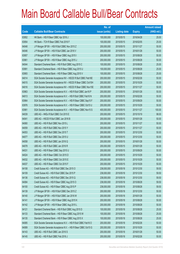|       |                                                                | No. of        |                     |               | <b>Amount raised</b> |
|-------|----------------------------------------------------------------|---------------|---------------------|---------------|----------------------|
| Code  | <b>Callable Bull/Bear Contracts</b>                            | issue (units) | <b>Listing date</b> | <b>Expiry</b> | $(HK$$ mil.)         |
| 63952 | HK Bank - HSI R Bear CBBC Apr 2016 J                           | 100,000,000   | 2015/05/15          | 2016/04/28    | 25.00                |
| 63954 | HK Bank - TCH R Bear CBBC Feb 2016 F                           | 100,000,000   | 2015/05/15          | 2016/02/05    | 25.00                |
| 64048 | J P Morgan SP BV - HSI R Bull CBBC Nov 2015 Z                  | 200,000,000   | 2015/05/15          | 2015/11/27    | 50.00                |
| 64046 | J P Morgan SP BV - HSI R Bull CBBC Jan 2016 V                  | 200,000,000   | 2015/05/15          | 2016/01/28    | 50.00                |
| 63957 | J P Morgan SP BV - HSI R Bear CBBC Aug 2015 I                  | 200,000,000   | 2015/05/15          | 2015/08/28    | 50.00                |
| 63961 | J P Morgan SP BV - HSI R Bear CBBC Aug 2015 J                  | 200,000,000   | 2015/05/15          | 2015/08/28    | 50.00                |
| 64044 | Standard Chartered Bank - HSI R Bull CBBC Aug 2015 C           | 100,000,000   | 2015/05/15          | 2015/08/28    | 25.00                |
| 63991 | Standard Chartered Bank - HSI R Bear CBBC Aug 2015 U           | 100,000,000   | 2015/05/15          | 2015/08/28    | 25.00                |
| 63993 | Standard Chartered Bank - HSI R Bear CBBC Aug 2015 V           | 100,000,000   | 2015/05/15          | 2015/08/28    | 25.00                |
| 64014 | SGA Societe Generale Acceptance NV - HSCEI R Bull CBBC Feb16E  | 200,000,000   | 2015/05/15          | 2016/02/26    | 50.00                |
| 64015 | SGA Societe Generale Acceptance NV - HSCEI R Bear CBBC Oct15H  | 200,000,000   | 2015/05/15          | 2015/10/29    | 50.00                |
| 64016 | SGA Societe Generale Acceptance NV - HSCEI R Bear CBBC Nov15E  | 200,000,000   | 2015/05/15          | 2015/11/27    | 50.00                |
| 63963 | SGA Societe Generale Acceptance N.V. - HSI R Bull CBBC Jan16 P | 200,000,000   | 2015/05/15          | 2016/01/28    | 50.00                |
| 64013 | SGA Societe Generale Acceptance N.V. - HSI R Bull CBBC Feb16 N | 200,000,000   | 2015/05/15          | 2016/02/26    | 50.00                |
| 63964 | SGA Societe Generale Acceptance N.V. - HSI R Bear CBBC Sep15 F | 200,000,000   | 2015/05/15          | 2015/09/29    | 50.00                |
| 63976 | SGA Societe Generale Acceptance N.V. - HSI R Bear CBBC Oct15 U | 200,000,000   | 2015/05/15          | 2015/10/29    | 50.00                |
| 63981 | SGA Societe Generale Acceptance N.V. - HSI R Bear CBBC Nov15 S | 400,000,000   | 2015/05/15          | 2015/11/27    | 100.00               |
| 64039 | UBS AG - HKEx R Bull CBBC Oct 2015 E                           | 200,000,000   | 2015/05/15          | 2015/10/19    | 98.00                |
| 64041 | UBS AG - HSCEI R Bull CBBC Jan 2016 B                          | 200,000,000   | 2015/05/15          | 2016/01/28    | 50.00                |
| 64060 | UBS AG - HSI R Bull CBBC Nov 2015 L                            | 200,000,000   | 2015/05/15          | 2015/11/27    | 50.00                |
| 64059 | UBS AG - HSI R Bull CBBC Nov 2015 Y                            | 200,000,000   | 2015/05/15          | 2015/11/27    | 50.00                |
| 64053 | UBS AG - HSI R Bull CBBC Dec 2015 T                            | 200,000,000   | 2015/05/15          | 2015/12/30    | 50.00                |
| 64077 | UBS AG - HSI R Bull CBBC Dec 2015 U                            | 200,000,000   | 2015/05/15          | 2015/12/30    | 50.00                |
| 64058 | UBS AG - HSI R Bull CBBC Jan 2016 Q                            | 200,000,000   | 2015/05/15          | 2016/01/28    | 50.00                |
| 64078 | UBS AG - HSI R Bull CBBC Jan 2016 R                            | 200,000,000   | 2015/05/15          | 2016/01/28    | 50.00                |
| 64031 | UBS AG - HSI R Bear CBBC Sep 2015 U                            | 200,000,000   | 2015/05/15          | 2015/09/29    | 50.00                |
| 64024 | UBS AG - HSI R Bear CBBC Oct 2015 D                            | 200,000,000   | 2015/05/15          | 2015/10/29    | 50.00                |
| 64032 | UBS AG - HSI R Bear CBBC Oct 2015 E                            | 200,000,000   | 2015/05/15          | 2015/10/29    | 50.00                |
| 64037 | UBS AG - HSI R Bear CBBC Oct 2015 F                            | 200,000,000   | 2015/05/15          | 2015/10/29    | 50.00                |
| 64108 | Credit Suisse AG - HSI R Bull CBBC Dec 2015 O                  | 238,000,000   | 2015/05/18          | 2015/12/30    | 59.50                |
| 64109 | Credit Suisse AG - HSI R Bull CBBC Dec 2015 P                  | 238,000,000   | 2015/05/18          | 2015/12/30    | 59.50                |
| 64136 | Credit Suisse AG - HSI R Bull CBBC Dec 2015 Q                  | 238,000,000   | 2015/05/18          | 2015/12/30    | 59.50                |
| 64084 | Credit Suisse AG - HSI R Bear CBBC Aug 2015 O                  | 238,000,000   | 2015/05/18          | 2015/08/28    | 59.50                |
| 64100 | Credit Suisse AG - HSI R Bear CBBC Aug 2015 P                  | 238,000,000   | 2015/05/18          | 2015/08/28    | 59.50                |
| 64139 | J P Morgan SP BV - HSI R Bull CBBC Dec 2015 Z                  | 200,000,000   | 2015/05/18          | 2015/12/30    | 50.00                |
| 64140 | J P Morgan SP BV - HSI R Bull CBBC Jan 2016 W                  | 200,000,000   | 2015/05/18          | 2016/01/28    | 50.00                |
| 64141 | J P Morgan SP BV - HSI R Bear CBBC Aug 2015 K                  | 200,000,000   | 2015/05/18          | 2015/08/28    | 50.00                |
| 64142 | J P Morgan SP BV - HSI R Bear CBBC Aug 2015 L                  | 200,000,000   | 2015/05/18          | 2015/08/28    | 50.00                |
| 64121 | Standard Chartered Bank - HSI R Bull CBBC Aug 2015 D           | 100,000,000   | 2015/05/18          | 2015/08/28    | 25.00                |
| 64133 | Standard Chartered Bank - HSI R Bear CBBC Aug 2015 W           | 100,000,000   | 2015/05/18          | 2015/08/28    | 25.00                |
| 64135 | Standard Chartered Bank - HSI R Bear CBBC Aug 2015 X           | 100,000,000   | 2015/05/18          | 2015/08/28    | 25.00                |
| 64085 | SGA Societe Generale Acceptance N.V. - HSI R Bull CBBC Feb16 O | 200,000,000   | 2015/05/18          | 2016/02/26    | 50.00                |
| 64089 | SGA Societe Generale Acceptance N.V. - HSI R Bear CBBC Oct15 G | 200,000,000   | 2015/05/18          | 2015/10/29    | 50.00                |
| 64143 | UBS AG - HSI R Bull CBBC Jan 2016 S                            | 200,000,000   | 2015/05/18          | 2016/01/28    | 50.00                |
| 64145 | UBS AG - HSI R Bull CBBC Feb 2016 J                            | 200,000,000   | 2015/05/18          | 2016/02/26    | 50.00                |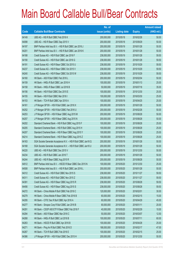|       |                                                                | No. of        |                     |               | <b>Amount raised</b> |
|-------|----------------------------------------------------------------|---------------|---------------------|---------------|----------------------|
| Code  | <b>Callable Bull/Bear Contracts</b>                            | issue (units) | <b>Listing date</b> | <b>Expiry</b> | $(HK$$ mil.)         |
| 64149 | UBS AG - HSI R Bull CBBC Feb 2016 K                            | 200,000,000   | 2015/05/18          | 2016/02/26    | 50.00                |
| 64098 | UBS AG - HSI R Bear CBBC Sep 2015 V                            | 200,000,000   | 2015/05/18          | 2015/09/29    | 50.00                |
| 64197 | BNP Paribas Arbit Issu B.V. - HSI R Bull CBBC Jan 2016 J       | 200,000,000   | 2015/05/19          | 2016/01/28    | 50.00                |
| 64201 | BNP Paribas Arbit Issu B.V. - HSI R Bull CBBC Jan 2016 K       | 200,000,000   | 2015/05/19          | 2016/01/28    | 50.00                |
| 64188 | Credit Suisse AG - HSI R Bull CBBC Jan 2016 F                  | 238,000,000   | 2015/05/19          | 2016/01/28    | 59.50                |
| 64190 | Credit Suisse AG - HSI R Bull CBBC Jan 2016 G                  | 238,000,000   | 2015/05/19          | 2016/01/28    | 59.50                |
| 64191 | Credit Suisse AG - HSI R Bear CBBC Oct 2015 U                  | 238,000,000   | 2015/05/19          | 2015/10/29    | 59.50                |
| 64237 | Credit Suisse AG - HSI R Bear CBBC Oct 2015 V                  | 238,000,000   | 2015/05/19          | 2015/10/29    | 59.50                |
| 64240 | Credit Suisse AG - HSI R Bear CBBC Oct 2015 W                  | 238,000,000   | 2015/05/19          | 2015/10/29    | 59.50                |
| 64160 | HK Bank - A50 R Bull CBBC Feb 2016 L                           | 200,000,000   | 2015/05/19          | 2016/02/04    | 50.00                |
| 64159 | HK Bank - HKEx R Bull CBBC Jan 2016 H                          | 100,000,000   | 2015/05/19          | 2016/01/13    | 25.00                |
| 64158 | HK Bank - HKEx R Bear CBBC Jul 2016 B                          | 50,000,000    | 2015/05/19          | 2016/07/18    | 35.00                |
| 64156 | HK Bank - HSI R Bull CBBC Dec 2015 E                           | 100,000,000   | 2015/05/19          | 2015/12/30    | 25.00                |
| 64155 | HK Bank - HSI R Bull CBBC Mar 2016 I                           | 100,000,000   | 2015/05/19          | 2016/03/30    | 25.00                |
| 64153 | HK Bank - TCH R Bull CBBC Apr 2016 A                           | 100,000,000   | 2015/05/19          | 2016/04/25    | 25.00                |
| 64161 | J P Morgan SP BV - HSI R Bull CBBC Jan 2016 X                  | 200,000,000   | 2015/05/19          | 2016/01/28    | 50.00                |
| 64252 | J P Morgan SP BV - HSI R Bull CBBC Feb 2016 U                  | 200,000,000   | 2015/05/19          | 2016/02/26    | 50.00                |
| 64253 | J P Morgan SP BV - HSI R Bear CBBC Aug 2015 M                  | 200,000,000   | 2015/05/19          | 2015/08/28    | 50.00                |
| 64257 | J P Morgan SP BV - HSI R Bear CBBC Aug 2015 N                  | 200,000,000   | 2015/05/19          | 2015/08/28    | 50.00                |
| 64202 | Standard Chartered Bank - HSI R Bull CBBC Aug 2015 F           | 100,000,000   | 2015/05/19          | 2015/08/28    | 25.00                |
| 64205 | Standard Chartered Bank - HSI R Bull CBBC Aug 2015 H           | 100,000,000   | 2015/05/19          | 2015/08/28    | 25.00                |
| 64207 | Standard Chartered Bank - HSI R Bear CBBC Aug 2015 Y           | 100,000,000   | 2015/05/19          | 2015/08/28    | 25.00                |
| 64214 | Standard Chartered Bank - HSI R Bear CBBC Aug 2015 Z           | 100,000,000   | 2015/05/19          | 2015/08/28    | 25.00                |
| 64163 | SGA Societe Generale Acceptance N.V. - HSI R Bull CBBC Jan16 Q | 200,000,000   | 2015/05/19          | 2016/01/28    | 50.00                |
| 64168 | SGA Societe Generale Acceptance N.V. - HSI R Bull CBBC Jan16 U | 200,000,000   | 2015/05/19          | 2016/01/28    | 50.00                |
| 64220 | UBS AG - HSI R Bull CBBC Dec 2015 V                            | 200,000,000   | 2015/05/19          | 2015/12/30    | 50.00                |
| 64234 | UBS AG - HSI R Bull CBBC Jan 2016 T                            | 200,000,000   | 2015/05/19          | 2016/01/28    | 50.00                |
| 64244 | UBS AG - HSI R Bear CBBC Aug 2015 R                            | 200,000,000   | 2015/05/19          | 2015/08/28    | 50.00                |
| 64512 | BNP Paribas Arbit Issu B.V. - HSCEI R Bear CBBC Dec 2015 N     | 100,000,000   | 2015/05/20          | 2015/12/30    | 25.00                |
| 64508 | BNP Paribas Arbit Issu B.V. - HSI R Bull CBBC Jan 2016 L       | 200,000,000   | 2015/05/20          | 2016/01/28    | 50.00                |
| 64312 | Credit Suisse AG - HSI R Bull CBBC Nov 2015 S                  | 238,000,000   | 2015/05/20          | 2015/11/27    | 59.50                |
| 64311 | Credit Suisse AG - HSI R Bull CBBC Nov 2015 Z                  | 238,000,000   | 2015/05/20          | 2015/11/27    | 59.50                |
| 64391 | Credit Suisse AG - HSI R Bear CBBC Aug 2015 R                  | 238,000,000   | 2015/05/20          | 2015/08/28    | 59.50                |
| 64456 | Credit Suisse AG - HSI R Bear CBBC Aug 2015 S                  | 238,000,000   | 2015/05/20          | 2015/08/28    | 59.50                |
| 64272 | HK Bank - China Mobile R Bull CBBC Feb 2016 C                  | 120,000,000   | 2015/05/20          | 2016/02/01    | 30.00                |
| 64279 | HK Bank - China Mobile R Bear CBBC Feb 2016 B                  | 60,000,000    | 2015/05/20          | 2016/02/15    | 15.00                |
| 64295 | HK Bank - CITIC Sec R Bull CBBC Apr 2016 A                     | 60,000,000    | 2015/05/20          | 2016/04/29    | 45.00                |
| 64277 | HK Bank - Sinopec Corp R Bull CBBC Jan 2016 B                  | 80,000,000    | 2015/05/20          | 2016/01/11    | 20.00                |
| 64291 | HK Bank - CSOP A50 ETF R Bear CBBC Feb 2016 F                  | 40,000,000    | 2015/05/20          | 2016/02/29    | 10.00                |
| 64294 | HK Bank - A50 R Bear CBBC Mar 2016 C                           | 50,000,000    | 2015/05/20          | 2016/03/07    | 12.50                |
| 64268 | HK Bank - HKEx R Bull CBBC Jul 2016 B                          | 100,000,000   | 2015/05/20          | 2016/07/11    | 60.00                |
| 64263 | HK Bank - HSCEI R Bull CBBC Apr 2016 B                         | 100,000,000   | 2015/05/20          | 2016/04/28    | 25.00                |
| 64271 | HK Bank - Ping An R Bull CBBC Feb 2016 D                       | 188,000,000   | 2015/05/20          | 2016/02/17    | 47.00                |
| 64267 | HK Bank - TCH R Bull CBBC Feb 2016 E                           | 100,000,000   | 2015/05/20          | 2016/02/15    | 25.00                |
| 64386 | J P Morgan SP BV - HSI R Bull CBBC Dec 2015 H                  | 200,000,000   | 2015/05/20          | 2015/12/30    | 50.00                |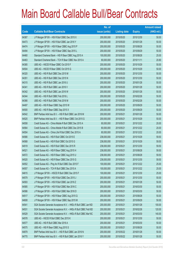|       |                                                                | No. of        |                     |               | <b>Amount raised</b> |
|-------|----------------------------------------------------------------|---------------|---------------------|---------------|----------------------|
| Code  | <b>Callable Bull/Bear Contracts</b>                            | issue (units) | <b>Listing date</b> | <b>Expiry</b> | $(HK$$ mil.)         |
| 64387 | J P Morgan SP BV - HSI R Bull CBBC Dec 2015 X                  | 200,000,000   | 2015/05/20          | 2015/12/30    | 50.00                |
| 64473 | J P Morgan SP BV - HSI R Bull CBBC Jan 2016 Y                  | 200,000,000   | 2015/05/20          | 2016/01/28    | 50.00                |
| 64474 | J P Morgan SP BV - HSI R Bear CBBC Aug 2015 P                  | 200,000,000   | 2015/05/20          | 2015/08/28    | 50.00                |
| 64494 | J P Morgan SP BV - HSI R Bear CBBC Sep 2015 L                  | 200,000,000   | 2015/05/20          | 2015/09/29    | 50.00                |
| 64460 | Standard Chartered Bank - HSI R Bear CBBC Aug 2015 A           | 100,000,000   | 2015/05/20          | 2015/08/28    | 25.00                |
| 64463 | Standard Chartered Bank - TCH R Bear CBBC Nov 2015 A           | 80,000,000    | 2015/05/20          | 2015/11/11    | 20.80                |
| 64385 | UBS AG - HSCEI R Bear CBBC Oct 2015 F                          | 200,000,000   | 2015/05/20          | 2015/10/29    | 50.00                |
| 64504 | UBS AG - HSCEI R Bear CBBC Oct 2015 G                          | 200,000,000   | 2015/05/20          | 2015/10/29    | 50.00                |
| 64320 | UBS AG - HSI R Bull CBBC Dec 2015 M                            | 200,000,000   | 2015/05/20          | 2015/12/30    | 50.00                |
| 64351 | UBS AG - HSI R Bull CBBC Dec 2015 N                            | 200,000,000   | 2015/05/20          | 2015/12/30    | 50.00                |
| 64315 | UBS AG - HSI R Bull CBBC Jan 2016 U                            | 200,000,000   | 2015/05/20          | 2016/01/28    | 50.00                |
| 64341 | UBS AG - HSI R Bull CBBC Jan 2016 V                            | 200,000,000   | 2015/05/20          | 2016/01/28    | 50.00                |
| 64342 | UBS AG - HSI R Bull CBBC Jan 2016 W                            | 200,000,000   | 2015/05/20          | 2016/01/28    | 50.00                |
| 64344 | UBS AG - HSI R Bull CBBC Feb 2016 L                            | 200,000,000   | 2015/05/20          | 2016/02/26    | 50.00                |
| 64366 | UBS AG - HSI R Bull CBBC Feb 2016 M                            | 200,000,000   | 2015/05/20          | 2016/02/26    | 50.00                |
| 64497 | UBS AG - HSI R Bear CBBC Sep 2015 W                            | 200,000,000   | 2015/05/20          | 2015/09/29    | 50.00                |
| 64500 | UBS AG - HSI R Bear CBBC Sep 2015 X                            | 200,000,000   | 2015/05/20          | 2015/09/29    | 50.00                |
| 64542 | BNP Paribas Arbit Issu B.V. - HSI R Bull CBBC Jan 2016 M       | 200,000,000   | 2015/05/21          | 2016/01/28    | 50.00                |
| 64525 | BNP Paribas Arbit Issu B.V. - HSI R Bear CBBC Oct 2015 G       | 200,000,000   | 2015/05/21          | 2015/10/29    | 50.00                |
| 64558 | Credit Suisse AG - China Mobile R Bull CBBC Dec 2015 A         | 80,000,000    | 2015/05/21          | 2015/12/22    | 20.00                |
| 64564 | Credit Suisse AG - China Mobile R Bull CBBC Dec 2015 B         | 80,000,000    | 2015/05/21          | 2015/12/22    | 20.00                |
| 64554 | Credit Suisse AG - China Life R Bull CBBC Dec 2015 A           | 80,000,000    | 2015/05/21          | 2015/12/22    | 20.00                |
| 64566 | Credit Suisse AG - HSI R Bull CBBC Oct 2015 E                  | 238,000,000   | 2015/05/21          | 2015/10/29    | 59.50                |
| 64568 | Credit Suisse AG - HSI R Bull CBBC Oct 2015 G                  | 238,000,000   | 2015/05/21          | 2015/10/29    | 59.50                |
| 64519 | Credit Suisse AG - HSI R Bull CBBC Dec 2015 R                  | 238,000,000   | 2015/05/21          | 2015/12/30    | 59.50                |
| 64521 | Credit Suisse AG - HSI R Bear CBBC Aug 2015 H                  | 238,000,000   | 2015/05/21          | 2015/08/28    | 59.50                |
| 64572 | Credit Suisse AG - HSI R Bear CBBC Aug 2015 U                  | 238,000,000   | 2015/05/21          | 2015/08/28    | 59.50                |
| 64520 | Credit Suisse AG - HSI R Bear CBBC Dec 2015 G                  | 238,000,000   | 2015/05/21          | 2015/12/30    | 59.50                |
| 64552 | Credit Suisse AG - Ping An R Bull CBBC Dec 2015 F              | 100,000,000   | 2015/05/21          | 2015/12/22    | 25.00                |
| 64557 | Credit Suisse AG - TCH R Bull CBBC Dec 2015 A                  | 100,000,000   | 2015/05/21          | 2015/12/22    | 25.00                |
| 64615 | J P Morgan SP BV - HSCEI R Bull CBBC Dec 2015 F                | 100,000,000   | 2015/05/21          | 2015/12/30    | 25.00                |
| 64579 | J P Morgan SP BV - HSI R Bull CBBC Dec 2015 J                  | 200,000,000   | 2015/05/21          | 2015/12/30    | 50.00                |
| 64593 | J P Morgan SP BV - HSI R Bull CBBC Jan 2016 Z                  | 200,000,000   | 2015/05/21          | 2016/01/28    | 50.00                |
| 64585 | J P Morgan SP BV - HSI R Bull CBBC Mar 2016 C                  | 200,000,000   | 2015/05/21          | 2016/03/30    | 50.00                |
| 64586 | J P Morgan SP BV - HSI R Bull CBBC Mar 2016 D                  | 200,000,000   | 2015/05/21          | 2016/03/30    | 50.00                |
| 64517 | J P Morgan SP BV - HSI R Bear CBBC Aug 2015 Q                  | 200,000,000   | 2015/05/21          | 2015/08/28    | 50.00                |
| 64608 | J P Morgan SP BV - HSI R Bear CBBC Sep 2015 M                  | 200,000,000   | 2015/05/21          | 2015/09/29    | 50.00                |
| 64541 | SGA Societe Generale Acceptance N.V. - HKEx R Bull CBBC Jan16D | 200,000,000   | 2015/05/21          | 2016/01/28    | 100.00               |
| 64531 | SGA Societe Generale Acceptance N.V. - HKEx R Bull CBBC Feb16D | 200,000,000   | 2015/05/21          | 2016/02/26    | 120.00               |
| 64529 | SGA Societe Generale Acceptance N.V. - HKEx R Bull CBBC Mar16C | 200,000,000   | 2015/05/21          | 2016/03/30    | 140.00               |
| 64578 | UBS AG - HSCEI R Bull CBBC Dec 2015 K                          | 200,000,000   | 2015/05/21          | 2015/12/30    | 50.00                |
| 64577 | UBS AG - HSI R Bull CBBC Mar 2016 A                            | 200,000,000   | 2015/05/21          | 2016/03/30    | 50.00                |
| 64575 | UBS AG - HSI R Bear CBBC Aug 2015 S                            | 200,000,000   | 2015/05/21          | 2015/08/28    | 50.00                |
| 64879 | BNP Paribas Arbit Issu B.V. - HSI R Bull CBBC Jan 2016 N       | 200,000,000   | 2015/05/22          | 2016/01/28    | 50.00                |
| 64770 | BNP Paribas Arbit Issu B.V. - HSI R Bull CBBC Jan 2016 Y       | 200,000,000   | 2015/05/22          | 2016/01/28    | 50.00                |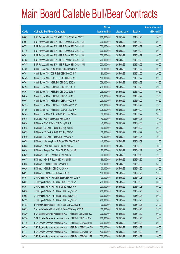|       |                                                                | No. of        |                     |               | <b>Amount raised</b> |
|-------|----------------------------------------------------------------|---------------|---------------------|---------------|----------------------|
| Code  | <b>Callable Bull/Bear Contracts</b>                            | issue (units) | <b>Listing date</b> | <b>Expiry</b> | $(HK$$ mil.)         |
| 64862 | BNP Paribas Arbit Issu B.V. - HSI R Bull CBBC Jan 2016 Z       | 200,000,000   | 2015/05/22          | 2016/01/28    | 50.00                |
| 64691 | BNP Paribas Arbit Issu B.V. - HSI R Bear CBBC Oct 2015 H       | 200,000,000   | 2015/05/22          | 2015/10/29    | 50.00                |
| 64771 | BNP Paribas Arbit Issu B.V. - HSI R Bear CBBC Oct 2015 I       | 200,000,000   | 2015/05/22          | 2015/10/29    | 50.00                |
| 64776 | BNP Paribas Arbit Issu B.V. - HSI R Bear CBBC Oct 2015 J       | 200,000,000   | 2015/05/22          | 2015/10/29    | 50.00                |
| 64781 | BNP Paribas Arbit Issu B.V. - HSI R Bear CBBC Oct 2015 K       | 200,000,000   | 2015/05/22          | 2015/10/29    | 50.00                |
| 64785 | BNP Paribas Arbit Issu B.V. - HSI R Bear CBBC Oct 2015 L       | 200,000,000   | 2015/05/22          | 2015/10/29    | 50.00                |
| 64787 | BNP Paribas Arbit Issu B.V. - HSI R Bear CBBC Oct 2015 M       | 200,000,000   | 2015/05/22          | 2015/10/29    | 50.00                |
| 64750 | Credit Suisse AG - BOCL R Bull CBBC Dec 2015 A                 | 80,000,000    | 2015/05/22          | 2015/12/22    | 20.00                |
| 64748 | Credit Suisse AG - CCB R Bull CBBC Dec 2015 A                  | 80,000,000    | 2015/05/22          | 2015/12/22    | 20.00                |
| 64743 | Credit Suisse AG - HKEx R Bull CBBC Dec 2015 E                 | 100,000,000   | 2015/05/22          | 2015/12/22    | 32.00                |
| 64768 | Credit Suisse AG - HSI R Bull CBBC Oct 2015 A                  | 238,000,000   | 2015/05/22          | 2015/10/29    | 59.50                |
| 64795 | Credit Suisse AG - HSI R Bull CBBC Oct 2015 D                  | 238,000,000   | 2015/05/22          | 2015/10/29    | 59.50                |
| 64801 | Credit Suisse AG - HSI R Bull CBBC Oct 2015 F                  | 238,000,000   | 2015/05/22          | 2015/10/29    | 59.50                |
| 64814 | Credit Suisse AG - HSI R Bull CBBC Oct 2015 J                  | 238,000,000   | 2015/05/22          | 2015/10/29    | 59.50                |
| 64697 | Credit Suisse AG - HSI R Bear CBBC Sep 2015 R                  | 238,000,000   | 2015/05/22          | 2015/09/29    | 59.50                |
| 64755 | Credit Suisse AG - HSI R Bear CBBC Sep 2015 W                  | 238,000,000   | 2015/05/22          | 2015/09/29    | 59.50                |
| 64756 | Credit Suisse AG - HSI R Bear CBBC Sep 2015 X                  | 238,000,000   | 2015/05/22          | 2015/09/29    | 59.50                |
| 64745 | Credit Suisse AG - ICBC R Bull CBBC Dec 2015 A                 | 80,000,000    | 2015/05/22          | 2015/12/22    | 20.00                |
| 64675 | HK Bank - ABC R Bear CBBC Aug 2016 A                           | 40,000,000    | 2015/05/22          | 2016/08/08    | 10.00                |
| 64654 | HK Bank - BOCL R Bear CBBC Aug 2016 A                          | 40,000,000    | 2015/05/22          | 2016/08/08    | 10.00                |
| 64618 | HK Bank - CC Bank R Bull CBBC Aug 2016 B                       | 80,000,000    | 2015/05/22          | 2016/08/22    | 20.00                |
| 64623 | HK Bank - CC Bank R Bull CBBC Aug 2016 C                       | 80,000,000    | 2015/05/22          | 2016/08/29    | 20.00                |
| 64619 | HK Bank - CC Bank R Bear CBBC Apr 2016 A                       | 40,000,000    | 2015/05/22          | 2016/04/25    | 10.00                |
| 64678 | HK Bank - Minsheng Bank R Bear CBBC May 2016 A                 | 40,000,000    | 2015/05/22          | 2016/05/09    | 12.00                |
| 64635 | HK Bank - CNOOC R Bear CBBC Jan 2016 A                         | 40,000,000    | 2015/05/22          | 2016/01/06    | 10.00                |
| 64636 | HK Bank - Sinopec Corp R Bull CBBC Feb 2016 B                  | 80,000,000    | 2015/05/22          | 2016/02/17    | 20.00                |
| 64632 | HK Bank - HKEx R Bear CBBC Feb 2016 C                          | 50,000,000    | 2015/05/22          | 2016/02/15    | 12.50                |
| 64617 | HK Bank - HSCEI R Bear CBBC Mar 2016 F                         | 68,000,000    | 2015/05/22          | 2016/03/30    | 17.00                |
| 64625 | HK Bank - HSI R Bull CBBC Mar 2016 J                           | 100,000,000   | 2015/05/22          | 2016/03/30    | 25.00                |
| 64626 | HK Bank - HSI R Bull CBBC Mar 2016 K                           | 100,000,000   | 2015/05/22          | 2016/03/30    | 25.00                |
| 64627 | HK Bank - HSI R Bear CBBC Jan 2016 D                           | 100,000,000   | 2015/05/22          | 2016/01/28    | 25.00                |
| 64794 | J P Morgan SP BV - HSCEI R Bear CBBC Aug 2015 F                | 100,000,000   | 2015/05/22          | 2015/08/28    | 25.00                |
| 64857 | J P Morgan SP BV - HSI R Bull CBBC Dec 2015 Y                  | 200,000,000   | 2015/05/22          | 2015/12/30    | 50.00                |
| 64861 | J P Morgan SP BV - HSI R Bull CBBC Jan 2016 K                  | 200,000,000   | 2015/05/22          | 2016/01/28    | 50.00                |
| 64850 | J P Morgan SP BV - HSI R Bear CBBC Aug 2015 C                  | 200,000,000   | 2015/05/22          | 2015/08/28    | 50.00                |
| 64698 | J P Morgan SP BV - HSI R Bear CBBC Aug 2015 R                  | 200,000,000   | 2015/05/22          | 2015/08/28    | 50.00                |
| 64793 | J P Morgan SP BV - HSI R Bear CBBC Aug 2015 S                  | 200,000,000   | 2015/05/22          | 2015/08/28    | 50.00                |
| 64788 | Standard Chartered Bank - HSI R Bull CBBC Aug 2015 I           | 100,000,000   | 2015/05/22          | 2015/08/28    | 25.00                |
| 64699 | Standard Chartered Bank - HSI R Bear CBBC Aug 2015 B           | 100,000,000   | 2015/05/22          | 2015/08/28    | 25.00                |
| 64820 | SGA Societe Generale Acceptance N.V. - HSI R Bull CBBC Dec 15A | 200,000,000   | 2015/05/22          | 2015/12/30    | 50.00                |
| 64726 | SGA Societe Generale Acceptance N.V. - HSI R Bull CBBC Jan 16V | 200,000,000   | 2015/05/22          | 2016/01/28    | 50.00                |
| 64740 | SGA Societe Generale Acceptance N.V. - HSI R Bear CBBC Aug 15F | 200,000,000   | 2015/05/22          | 2015/08/28    | 50.00                |
| 64730 | SGA Societe Generale Acceptance N.V. - HSI R Bear CBBC Sep 15G | 200,000,000   | 2015/05/22          | 2015/09/29    | 50.00                |
| 64741 | SGA Societe Generale Acceptance N.V. - HSI R Bear CBBC Oct 15K | 400,000,000   | 2015/05/22          | 2015/10/29    | 100.00               |
| 64734 | SGA Societe Generale Acceptance N.V. - HSI R Bear CBBC Oct 15S | 200,000,000   | 2015/05/22          | 2015/10/29    | 50.00                |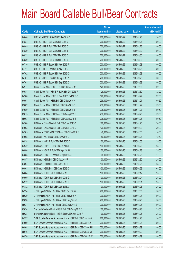|       |                                                                | No. of        |                     |               | <b>Amount raised</b> |
|-------|----------------------------------------------------------------|---------------|---------------------|---------------|----------------------|
| Code  | <b>Callable Bull/Bear Contracts</b>                            | issue (units) | <b>Listing date</b> | <b>Expiry</b> | (HK\$ mil.)          |
| 64846 | UBS AG - HSCEI R Bull CBBC Jan 2016 C                          | 200,000,000   | 2015/05/22          | 2016/01/28    | 50.00                |
| 64824 | UBS AG - HSI R Bull CBBC Feb 2016 N                            | 200,000,000   | 2015/05/22          | 2016/02/26    | 50.00                |
| 64845 | UBS AG - HSI R Bull CBBC Feb 2016 O                            | 200,000,000   | 2015/05/22          | 2016/02/26    | 50.00                |
| 64829 | UBS AG - HSI R Bull CBBC Mar 2016 B                            | 200,000,000   | 2015/05/22          | 2016/03/30    | 50.00                |
| 64832 | UBS AG - HSI R Bull CBBC Mar 2016 C                            | 200,000,000   | 2015/05/22          | 2016/03/30    | 50.00                |
| 64839 | UBS AG - HSI R Bull CBBC Mar 2016 D                            | 200,000,000   | 2015/05/22          | 2016/03/30    | 50.00                |
| 64710 | UBS AG - HSI R Bear CBBC Aug 2015 F                            | 200,000,000   | 2015/05/22          | 2015/08/28    | 50.00                |
| 64711 | UBS AG - HSI R Bear CBBC Aug 2015 J                            | 200,000,000   | 2015/05/22          | 2015/08/28    | 50.00                |
| 64702 | UBS AG - HSI R Bear CBBC Aug 2015 Q                            | 200,000,000   | 2015/05/22          | 2015/08/28    | 50.00                |
| 64701 | UBS AG - HSI R Bear CBBC Sep 2015 Y                            | 200,000,000   | 2015/05/22          | 2015/09/29    | 50.00                |
| 64703 | UBS AG - HSI R Bear CBBC Sep 2015 Z                            | 200,000,000   | 2015/05/22          | 2015/09/29    | 50.00                |
| 64971 | Credit Suisse AG - HSCEI R Bull CBBC Dec 2015 E                | 128,000,000   | 2015/05/26          | 2015/12/30    | 32.00                |
| 64984 | Credit Suisse AG - HSCEI R Bull CBBC Dec 2015 F                | 128,000,000   | 2015/05/26          | 2015/12/30    | 32.00                |
| 64986 | Credit Suisse AG - HSCEI R Bear CBBC Oct 2015 C                | 128,000,000   | 2015/05/26          | 2015/10/29    | 32.00                |
| 64991 | Credit Suisse AG - HSI R Bull CBBC Nov 2015 N                  | 238,000,000   | 2015/05/26          | 2015/11/27    | 59.50                |
| 65002 | Credit Suisse AG - HSI R Bull CBBC Nov 2015 O                  | 238,000,000   | 2015/05/26          | 2015/11/27    | 59.50                |
| 64989 | Credit Suisse AG - HSI R Bull CBBC Nov 2015 Y                  | 238,000,000   | 2015/05/26          | 2015/11/27    | 59.50                |
| 65015 | Credit Suisse AG - HSI R Bear CBBC Aug 2015 G                  | 238,000,000   | 2015/05/26          | 2015/08/28    | 59.50                |
| 65003 | Credit Suisse AG - HSI R Bear CBBC Aug 2015 Z                  | 238,000,000   | 2015/05/26          | 2015/08/28    | 59.50                |
| 64960 | HK Bank - China Mobile R Bull CBBC Jan 2016 C                  | 120,000,000   | 2015/05/26          | 2016/01/20    | 30.00                |
| 64963 | HK Bank - China Mobile R Bull CBBC Feb 2016 D                  | 120,000,000   | 2015/05/26          | 2016/02/03    | 30.00                |
| 64905 | HK Bank - CSOP A50 ETF R Bear CBBC Feb 2016 G                  | 40,000,000    | 2015/05/26          | 2016/02/03    | 10.00                |
| 64908 | HK Bank - A50 R Bear CBBC Mar 2016 D                           | 50,000,000    | 2015/05/26          | 2016/03/21    | 12.50                |
| 64928 | HK Bank - HKEx R Bull CBBC Feb 2016 C                          | 100,000,000   | 2015/05/26          | 2016/02/03    | 25.00                |
| 64942 | HK Bank - HKEx R Bull CBBC Jun 2016 F                          | 100,000,000   | 2015/05/26          | 2016/06/20    | 25.00                |
| 64886 | HK Bank - HSCEI R Bull CBBC Apr 2016 C                         | 100,000,000   | 2015/05/26          | 2016/04/28    | 25.00                |
| 64885 | HK Bank - HSCEI R Bear CBBC Apr 2016 G                         | 68,000,000    | 2015/05/26          | 2016/04/28    | 17.00                |
| 64887 | HK Bank - HSI R Bull CBBC Dec 2015 F                           | 100,000,000   | 2015/05/26          | 2015/12/30    | 25.00                |
| 64894 | HK Bank - HSI R Bull CBBC Apr 2016 H                           | 100,000,000   | 2015/05/26          | 2016/04/28    | 25.00                |
| 64903 | HK Bank - HSI R Bear CBBC Jun 2016 C                           | 400,000,000   | 2015/05/26          | 2016/06/29    | 108.00               |
| 64884 | HK Bank - TCH R Bull CBBC Feb 2016 F                           | 100,000,000   | 2015/05/26          | 2016/02/17    | 25.00                |
| 64909 | HK Bank - TCH R Bull CBBC Feb 2016 G                           | 100,000,000   | 2015/05/26          | 2016/02/24    | 25.00                |
| 64912 | HK Bank - TCH R Bull CBBC Feb 2016 H                           | 100,000,000   | 2015/05/26          | 2016/02/01    | 25.00                |
| 64882 | HK Bank - TCH R Bull CBBC Jun 2016 A                           | 100,000,000   | 2015/05/26          | 2016/06/06    | 25.00                |
| 64994 | J P Morgan SP BV - HSI R Bull CBBC Dec 2015 Z                  | 200,000,000   | 2015/05/26          | 2015/12/30    | 50.00                |
| 65029 | J P Morgan SP BV - HSI R Bull CBBC Jan 2016 N                  | 200,000,000   | 2015/05/26          | 2016/01/28    | 50.00                |
| 65030 | J P Morgan SP BV - HSI R Bear CBBC Aug 2015 D                  | 200,000,000   | 2015/05/26          | 2015/08/28    | 50.00                |
| 65031 | J P Morgan SP BV - HSI R Bear CBBC Aug 2015 E                  | 200,000,000   | 2015/05/26          | 2015/08/28    | 50.00                |
| 65024 | Standard Chartered Bank - HSI R Bull CBBC Aug 2015 G           | 100,000,000   | 2015/05/26          | 2015/08/28    | 25.00                |
| 65028 | Standard Chartered Bank - HSI R Bear CBBC Aug 2015 F           | 100,000,000   | 2015/05/26          | 2015/08/28    | 25.00                |
| 64997 | SGA Societe Generale Acceptance N.V. - HSI R Bull CBBC Jan16 W | 200,000,000   | 2015/05/26          | 2016/01/28    | 50.00                |
| 64999 | SGA Societe Generale Acceptance N.V. - HSI R Bull CBBC Jan16 X | 200,000,000   | 2015/05/26          | 2016/01/28    | 50.00                |
| 64968 | SGA Societe Generale Acceptance N.V. - HSI R Bear CBBC Sep15 H | 200,000,000   | 2015/05/26          | 2015/09/29    | 50.00                |
| 65016 | SGA Societe Generale Acceptance N.V. - HSI R Bear CBBC Sep15 I | 200,000,000   | 2015/05/26          | 2015/09/29    | 50.00                |
| 64970 | SGA Societe Generale Acceptance N.V. - HSI R Bear CBBC Oct15 W | 200,000,000   | 2015/05/26          | 2015/10/29    | 50.00                |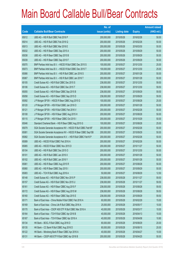|       |                                                                | No. of        |                     |               | <b>Amount raised</b> |
|-------|----------------------------------------------------------------|---------------|---------------------|---------------|----------------------|
| Code  | <b>Callable Bull/Bear Contracts</b>                            | issue (units) | <b>Listing date</b> | <b>Expiry</b> | (HK\$ mil.)          |
| 65012 | UBS AG - HSI R Bull CBBC Feb 2016 P                            | 200,000,000   | 2015/05/26          | 2016/02/26    | 50.00                |
| 65014 | UBS AG - HSI R Bull CBBC Feb 2016 Q                            | 200,000,000   | 2015/05/26          | 2016/02/26    | 50.00                |
| 65013 | UBS AG - HSI R Bull CBBC Mar 2016 E                            | 200,000,000   | 2015/05/26          | 2016/03/30    | 50.00                |
| 65032 | UBS AG - HSI R Bear CBBC Sep 2015 A                            | 200,000,000   | 2015/05/26          | 2015/09/29    | 50.00                |
| 65038 | UBS AG - HSI R Bear CBBC Sep 2015 B                            | 200,000,000   | 2015/05/26          | 2015/09/29    | 50.00                |
| 65039 | UBS AG - HSI R Bear CBBC Sep 2015 F                            | 200,000,000   | 2015/05/26          | 2015/09/29    | 50.00                |
| 65070 | BNP Paribas Arbit Issu B.V. - HSCEI R Bull CBBC Dec 2015 S     | 100,000,000   | 2015/05/27          | 2015/12/30    | 25.00                |
| 65073 | BNP Paribas Arbit Issu B.V. - HSCEI R Bull CBBC Dec 2015 T     | 100,000,000   | 2015/05/27          | 2015/12/30    | 25.00                |
| 65066 | BNP Paribas Arbit Issu B.V. - HSI R Bull CBBC Jan 2016 S       | 200,000,000   | 2015/05/27          | 2016/01/28    | 50.00                |
| 65067 | BNP Paribas Arbit Issu B.V. - HSI R Bull CBBC Jan 2016 T       | 200,000,000   | 2015/05/27          | 2016/01/28    | 50.00                |
| 65105 | Credit Suisse AG - HSI R Bull CBBC Dec 2015 S                  | 238,000,000   | 2015/05/27          | 2015/12/30    | 59.50                |
| 65106 | Credit Suisse AG - HSI R Bull CBBC Dec 2015 T                  | 238,000,000   | 2015/05/27          | 2015/12/30    | 59.50                |
| 65055 | Credit Suisse AG - HSI R Bear CBBC Sep 2015 B                  | 238,000,000   | 2015/05/27          | 2015/09/29    | 59.50                |
| 65058 | Credit Suisse AG - HSI R Bear CBBC Sep 2015 D                  | 238,000,000   | 2015/05/27          | 2015/09/29    | 59.50                |
| 65092 | J P Morgan SP BV - HSCEI R Bear CBBC Aug 2015 G                | 100,000,000   | 2015/05/27          | 2015/08/28    | 25.00                |
| 65120 | J P Morgan SP BV - HSI R Bull CBBC Jan 2016 O                  | 200,000,000   | 2015/05/27          | 2016/01/28    | 50.00                |
| 65121 | J P Morgan SP BV - HSI R Bull CBBC Feb 2016 V                  | 200,000,000   | 2015/05/27          | 2016/02/26    | 50.00                |
| 65108 | J P Morgan SP BV - HSI R Bear CBBC Aug 2015 H                  | 200,000,000   | 2015/05/27          | 2015/08/28    | 50.00                |
| 65115 | J P Morgan SP BV - HSI R Bear CBBC Oct 2015 I                  | 200,000,000   | 2015/05/27          | 2015/10/29    | 50.00                |
| 65046 | Standard Chartered Bank - HSI R Bear CBBC Aug 2015 G           | 100,000,000   | 2015/05/27          | 2015/08/28    | 25.00                |
| 65079 | SGA Societe Generale Acceptance NV - HSCEI R Bull CBBC Feb16F  | 200,000,000   | 2015/05/27          | 2016/02/26    | 50.00                |
| 65081 | SGA Societe Generale Acceptance NV - HSCEI R Bear CBBC Sep15B  | 200,000,000   | 2015/05/27          | 2015/09/29    | 50.00                |
| 65082 | SGA Societe Generale Acceptance N.V. - HSI R Bull CBBC Feb16 P | 200,000,000   | 2015/05/27          | 2016/02/26    | 50.00                |
| 65089 | UBS AG - HSCEI R Bull CBBC Feb 2016 A                          | 200,000,000   | 2015/05/27          | 2016/02/26    | 50.00                |
| 65065 | UBS AG - HSCEI R Bear CBBC Nov 2015 D                          | 200,000,000   | 2015/05/27          | 2015/11/27    | 50.00                |
| 65104 | UBS AG - HSI R Bull CBBC Dec 2015 O                            | 200,000,000   | 2015/05/27          | 2015/12/30    | 50.00                |
| 65101 | UBS AG - HSI R Bull CBBC Jan 2016 X                            | 200,000,000   | 2015/05/27          | 2016/01/28    | 50.00                |
| 65102 | UBS AG - HSI R Bull CBBC Jan 2016 Y                            | 200,000,000   | 2015/05/27          | 2016/01/28    | 50.00                |
| 65061 | UBS AG - HSI R Bear CBBC Aug 2015 R                            | 200,000,000   | 2015/05/27          | 2015/08/28    | 50.00                |
| 65060 | UBS AG - HSI R Bear CBBC Sep 2015 I                            | 200,000,000   | 2015/05/27          | 2015/09/29    | 50.00                |
| 65083 | UBS AG - TCH R Bull CBBC Aug 2016 A                            | 50,000,000    | 2015/05/27          | 2016/08/29    | 12.50                |
| 65148 | Credit Suisse AG - HSI R Bull CBBC Nov 2015 P                  | 238,000,000   | 2015/05/28          | 2015/11/27    | 59.50                |
| 65157 | Credit Suisse AG - HSI R Bull CBBC Nov 2015 U                  | 238,000,000   | 2015/05/28          | 2015/11/27    | 59.50                |
| 65161 | Credit Suisse AG - HSI R Bear CBBC Aug 2015 F                  | 238,000,000   | 2015/05/28          | 2015/08/28    | 59.50                |
| 65172 | Credit Suisse AG - HSI R Bear CBBC Aug 2015 M                  | 238,000,000   | 2015/05/28          | 2015/08/28    | 59.50                |
| 65160 | Credit Suisse AG - HSI R Bear CBBC Sep 2015 E                  | 238,000,000   | 2015/05/28          | 2015/09/29    | 59.50                |
| 65171 | Bank of East Asia - China Mobile R Bull CBBC Feb 2016 A        | 60,000,000    | 2015/05/28          | 2016/02/29    | 15.00                |
| 65169 | Bank of East Asia - China Life R Bull CBBC May 2016 A          | 25,000,000    | 2015/05/28          | 2016/05/17    | 10.00                |
| 65170 | Bank of East Asia - CSOP A50 ETF R Bull CBBC Mar 2016 A        | 40,000,000    | 2015/05/28          | 2016/03/17    | 10.00                |
| 65164 | Bank of East Asia - TCH R Bull CBBC Apr 2016 B                 | 40,000,000    | 2015/05/28          | 2016/04/13    | 10.00                |
| 65167 | Bank of East Asia - TCH R Bear CBBC Apr 2016 A                 | 40,000,000    | 2015/05/28          | 2016/04/08    | 10.80                |
| 65134 | HK Bank - BOCL R Bull CBBC Aug 2016 D                          | 80,000,000    | 2015/05/28          | 2016/08/29    | 20.00                |
| 65135 | HK Bank - CC Bank R Bull CBBC Aug 2016 D                       | 80,000,000    | 2015/05/28          | 2016/08/15    | 20.00                |
| 65122 | HK Bank - Minsheng Bank R Bear CBBC Apr 2016 A                 | 40,000,000    | 2015/05/28          | 2016/04/27    | 10.00                |
| 65131 | HK Bank - CSOP A50 ETF R Bull CBBC Apr 2016 B                  | 200,000,000   | 2015/05/28          | 2016/04/25    | 50.00                |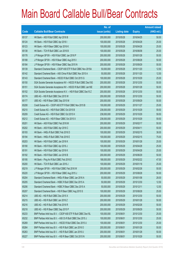|       |                                                                | No. of        |                     |               | <b>Amount raised</b> |
|-------|----------------------------------------------------------------|---------------|---------------------|---------------|----------------------|
| Code  | <b>Callable Bull/Bear Contracts</b>                            | issue (units) | <b>Listing date</b> | <b>Expiry</b> | $(HK$$ mil.)         |
| 65137 | HK Bank - A50 R Bull CBBC Apr 2016 B                           | 200,000,000   | 2015/05/28          | 2016/04/25    | 50.00                |
| 65124 | HK Bank - HSI R Bull CBBC Apr 2016 I                           | 100,000,000   | 2015/05/28          | 2016/04/28    | 25.00                |
| 65123 | HK Bank - HSI R Bear CBBC Apr 2016 K                           | 100,000,000   | 2015/05/28          | 2016/04/28    | 25.00                |
| 65138 | HK Bank - TCH R Bull CBBC Jun 2016 B                           | 100,000,000   | 2015/05/28          | 2016/06/08    | 25.00                |
| 65178 | J P Morgan SP BV - HSI R Bull CBBC Jan 2016 P                  | 200,000,000   | 2015/05/28          | 2016/01/28    | 50.00                |
| 65188 | J P Morgan SP BV - HSI R Bear CBBC Aug 2015 I                  | 200,000,000   | 2015/05/28          | 2015/08/28    | 50.00                |
| 65184 | J P Morgan SP BV - HSI R Bear CBBC Sep 2015 N                  | 200,000,000   | 2015/05/28          | 2015/09/29    | 50.00                |
| 65139 | Standard Chartered Bank - CSOP A50 ETF R Bull CBBC Nov 2015A   | 50,000,000    | 2015/05/28          | 2015/11/20    | 12.50                |
| 65142 | Standard Chartered Bank - A50 China R Bull CBBC Nov 2015 A     | 50,000,000    | 2015/05/28          | 2015/11/20    | 12.50                |
| 65143 | Standard Chartered Bank - HSCEI R Bull CBBC Oct 2015 G         | 100,000,000   | 2015/05/28          | 2015/10/29    | 25.00                |
| 65150 | SGA Societe Generale Acceptance NV - HSCEI R Bull CBBC Dec15G  | 200,000,000   | 2015/05/28          | 2015/12/30    | 50.00                |
| 65151 | SGA Societe Generale Acceptance NV - HSCEI R Bull CBBC Jan16E  | 200,000,000   | 2015/05/28          | 2016/01/28    | 50.00                |
| 65152 | SGA Societe Generale Acceptance N.V. - HSI R Bull CBBC Dec15 Z | 200,000,000   | 2015/05/28          | 2015/12/30    | 50.00                |
| 65174 | UBS AG - HSI R Bull CBBC Dec 2015 W                            | 200,000,000   | 2015/05/28          | 2015/12/30    | 50.00                |
| 65177 | UBS AG - HSI R Bear CBBC Sep 2015 M                            | 200,000,000   | 2015/05/28          | 2015/09/29    | 50.00                |
| 65208 | Credit Suisse AG - CSOP A50 ETF R Bull CBBC Nov 2015 B         | 100,000,000   | 2015/05/29          | 2015/11/27    | 25.00                |
| 65210 | Credit Suisse AG - HSI R Bull CBBC Oct 2015 B                  | 238,000,000   | 2015/05/29          | 2015/10/29    | 59.50                |
| 65209 | Credit Suisse AG - HSI R Bull CBBC Oct 2015 H                  | 238,000,000   | 2015/05/29          | 2015/10/29    | 59.50                |
| 65212 | Credit Suisse AG - HSI R Bear CBBC Oct 2015 X                  | 238,000,000   | 2015/05/29          | 2015/10/29    | 59.50                |
| 65201 | HK Bank - A50 R Bull CBBC Feb 2016 M                           | 200,000,000   | 2015/05/29          | 2016/02/17    | 50.00                |
| 65202 | HK Bank - A50 R Bull CBBC Apr 2016 C                           | 200,000,000   | 2015/05/29          | 2016/04/11    | 50.00                |
| 65193 | HK Bank - HKEx R Bull CBBC Feb 2016 D                          | 100,000,000   | 2015/05/29          | 2016/02/15    | 38.00                |
| 65194 | HK Bank - HKEx R Bull CBBC Feb 2016 E                          | 100,000,000   | 2015/05/29          | 2016/02/15    | 75.00                |
| 65203 | HK Bank - HSI R Bull CBBC Jan 2016 K                           | 100,000,000   | 2015/05/29          | 2016/01/28    | 25.00                |
| 65190 | HK Bank - HSI R Bull CBBC Apr 2016 J                           | 100,000,000   | 2015/05/29          | 2016/04/28    | 25.00                |
| 65191 | HK Bank - HSI R Bull CBBC Apr 2016 K                           | 100,000,000   | 2015/05/29          | 2016/04/28    | 25.00                |
| 65192 | HK Bank - HSI R Bull CBBC Jun 2016 B                           | 200,000,000   | 2015/05/29          | 2016/06/29    | 50.00                |
| 65195 | HK Bank - Ping An R Bull CBBC Feb 2016 E                       | 188,000,000   | 2015/05/29          | 2016/02/22    | 47.00                |
| 65200 | HK Bank - TCH R Bull CBBC Jan 2016 J                           | 100,000,000   | 2015/05/29          | 2016/01/18    | 25.00                |
| 65219 | J P Morgan SP BV - HSI R Bull CBBC Feb 2016 W                  | 200,000,000   | 2015/05/29          | 2016/02/26    | 50.00                |
| 65220 | J P Morgan SP BV - HSI R Bear CBBC Aug 2015 J                  | 200,000,000   | 2015/05/29          | 2015/08/28    | 50.00                |
| 65204 | Standard Chartered Bank - HKEx R Bear CBBC Jan 2016 A          | 50,000,000    | 2015/05/29          | 2016/01/08    | 28.00                |
| 65205 | Standard Chartered Bank - HSBC R Bull CBBC Dec 2015 A          | 50,000,000    | 2015/05/29          | 2015/12/30    | 12.50                |
| 65206 | Standard Chartered Bank - HSBC R Bear CBBC Dec 2015 A          | 50,000,000    | 2015/05/29          | 2015/12/11    | 12.50                |
| 65207 | Standard Chartered Bank - HSI R Bear CBBC Aug 2015 S           | 100,000,000   | 2015/05/29          | 2015/08/28    | 25.00                |
| 65214 | UBS AG - HSI R Bull CBBC Dec 2015 X                            | 200,000,000   | 2015/05/29          | 2015/12/30    | 50.00                |
| 65215 | UBS AG - HSI R Bull CBBC Jan 2016 Z                            | 200,000,000   | 2015/05/29          | 2016/01/28    | 50.00                |
| 65216 | UBS AG - HSI R Bull CBBC Feb 2016 R                            | 200,000,000   | 2015/05/29          | 2016/02/26    | 50.00                |
| 65218 | UBS AG - HSI R Bear CBBC Sep 2015 P                            | 200,000,000   | 2015/05/29          | 2015/09/29    | 50.00                |
| 65233 | BNP Paribas Arbit Issu B.V. - CSOP A50 ETF R Bull CBBC Dec15L  | 100,000,000   | 2015/06/01          | 2015/12/30    | 25.00                |
| 65232 | BNP Paribas Arbit Issu B.V. - A50 Ch R Bull CBBC Dec 2015 J    | 100,000,000   | 2015/06/01          | 2015/12/30    | 25.00                |
| 65269 | BNP Paribas Arbit Issu B.V. - HSCEI R Bull CBBC Dec 2015 U     | 100,000,000   | 2015/06/01          | 2015/12/30    | 25.00                |
| 65264 | BNP Paribas Arbit Issu B.V. - HSI R Bull CBBC Jan 2016 O       | 200,000,000   | 2015/06/01          | 2016/01/28    | 50.00                |
| 65263 | BNP Paribas Arbit Issu B.V. - HSI R Bull CBBC Jan 2016 U       | 200,000,000   | 2015/06/01          | 2016/01/28    | 50.00                |
| 65227 | BNP Paribas Arbit Issu B.V. - HSI R Bear CBBC Oct 2015 N       | 200,000,000   | 2015/06/01          | 2015/10/29    | 50.00                |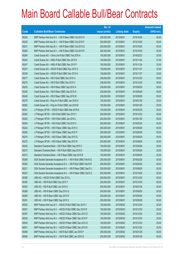|       |                                                                | No. of        |                     |               | <b>Amount raised</b> |
|-------|----------------------------------------------------------------|---------------|---------------------|---------------|----------------------|
| Code  | <b>Callable Bull/Bear Contracts</b>                            | issue (units) | <b>Listing date</b> | <b>Expiry</b> | $(HK$$ mil.)         |
| 65229 | BNP Paribas Arbit Issu B.V. - HSI R Bear CBBC Oct 2015 O       | 200,000,000   | 2015/06/01          | 2015/10/29    | 50.00                |
| 65230 | BNP Paribas Arbit Issu B.V. - HSI R Bear CBBC Oct 2015 P       | 200,000,000   | 2015/06/01          | 2015/10/29    | 50.00                |
| 65231 | BNP Paribas Arbit Issu B.V. - HSI R Bear CBBC Oct 2015 Q       | 200,000,000   | 2015/06/01          | 2015/10/29    | 50.00                |
| 65266 | BNP Paribas Arbit Issu B.V. - HSI R Bear CBBC Oct 2015 R       | 200,000,000   | 2015/06/01          | 2015/10/29    | 50.00                |
| 65284 | Credit Suisse AG - China Life R Bull CBBC Feb 2016 A           | 100,000,000   | 2015/06/01          | 2016/02/23    | 25.00                |
| 65244 | Credit Suisse AG - HKEx R Bull CBBC Nov 2015 E                 | 100,000,000   | 2015/06/01          | 2015/11/24    | 27.00                |
| 65247 | Credit Suisse AG - HKEx R Bull CBBC Nov 2015 F                 | 100,000,000   | 2015/06/01          | 2015/11/24    | 25.00                |
| 65237 | Credit Suisse AG - HSCEI R Bull CBBC Nov 2015 G                | 128,000,000   | 2015/06/01          | 2015/11/27    | 32.00                |
| 65238 | Credit Suisse AG - HSCEI R Bull CBBC Nov 2015 H                | 128,000,000   | 2015/06/01          | 2015/11/27    | 32.00                |
| 65277 | Credit Suisse AG - HSI R Bull CBBC Dec 2015 U                  | 238,000,000   | 2015/06/01          | 2015/12/30    | 59.50                |
| 65278 | Credit Suisse AG - HSI R Bull CBBC Dec 2015 V                  | 238,000,000   | 2015/06/01          | 2015/12/30    | 59.50                |
| 65235 | Credit Suisse AG - HSI R Bear CBBC Sep 2015 A                  | 238,000,000   | 2015/06/01          | 2015/09/29    | 59.50                |
| 65236 | Credit Suisse AG - HSI R Bear CBBC Sep 2015 G                  | 238,000,000   | 2015/06/01          | 2015/09/29    | 59.50                |
| 65249 | Credit Suisse AG - HSI R Bear CBBC Sep 2015 M                  | 238,000,000   | 2015/06/01          | 2015/09/29    | 59.50                |
| 65279 | Credit Suisse AG - Ping An R Bull CBBC Jan 2016 A              | 100,000,000   | 2015/06/01          | 2016/01/26    | 25.00                |
| 65282 | Credit Suisse AG - Ping An R Bull CBBC Jan 2016 B              | 100,000,000   | 2015/06/01          | 2016/01/26    | 25.00                |
| 65301 | J P Morgan SP BV - HSCEI R Bull CBBC Mar 2016 B                | 100,000,000   | 2015/06/01          | 2016/03/30    | 25.00                |
| 65292 | J P Morgan SP BV - HSI R Bull CBBC Dec 2015 Y                  | 200,000,000   | 2015/06/01          | 2015/12/30    | 50.00                |
| 65293 | J P Morgan SP BV - HSI R Bull CBBC Jan 2016 L                  | 200,000,000   | 2015/06/01          | 2016/01/28    | 50.00                |
| 65294 | J P Morgan SP BV - HSI R Bull CBBC Feb 2016 X                  | 200,000,000   | 2015/06/01          | 2016/02/26    | 50.00                |
| 65224 | J P Morgan SP BV - HSI R Bear CBBC Sep 2015 O                  | 200,000,000   | 2015/06/01          | 2015/09/29    | 50.00                |
| 65226 | J P Morgan SP BV - HSI R Bear CBBC Sep 2015 P                  | 200,000,000   | 2015/06/01          | 2015/09/29    | 50.00                |
| 65274 | J P Morgan SP BV - HSI R Bear CBBC Sep 2015 Q                  | 200,000,000   | 2015/06/01          | 2015/09/29    | 50.00                |
| 65275 | JP Morgan SP BV - HSI R Bear CBBC Sep 2015 R                   | 200,000,000   | 2015/06/01          | 2015/09/29    | 50.00                |
| 65234 | Standard Chartered Bank - HSI R Bull CBBC Sep 2015 C           | 100,000,000   | 2015/06/01          | 2015/09/29    | 25.00                |
| 65272 | Standard Chartered Bank - HSI R Bull CBBC Sep 2015 D           | 100,000,000   | 2015/06/01          | 2015/09/29    | 25.00                |
| 65273 | Standard Chartered Bank - HSI R Bear CBBC Sep 2015 B           | 100,000,000   | 2015/06/01          | 2015/09/29    | 25.00                |
| 65298 | SGA Societe Generale Acceptance N.V. - HSI R Bull CBBC Feb16 Q | 200,000,000   | 2015/06/01          | 2016/02/26    | 50.00                |
| 65300 | SGA Societe Generale Acceptance N.V. - HSI R Bull CBBC Feb16 R | 200,000,000   | 2015/06/01          | 2016/02/26    | 50.00                |
| 65221 | SGA Societe Generale Acceptance N.V. - HSI R Bear CBBC Sep15 J | 200,000,000   | 2015/06/01          | 2015/09/29    | 50.00                |
| 65223 | SGA Societe Generale Acceptance N.V. - HSI R Bear CBBC Oct15 Z | 200,000,000   | 2015/06/01          | 2015/10/29    | 50.00                |
| 65308 | UBS AG - HSCEI R Bull CBBC Dec 2015 L                          | 200,000,000   | 2015/06/01          | 2015/12/30    | 50.00                |
| 65306 | UBS AG - HSI R Bull CBBC Dec 2015 Y                            | 200,000,000   | 2015/06/01          | 2015/12/30    | 50.00                |
| 65305 | UBS AG - HSI R Bull CBBC Jan 2016 A                            | 200,000,000   | 2015/06/01          | 2016/01/28    | 50.00                |
| 65288 | UBS AG - HSI R Bear CBBC Sep 2015 Q                            | 200,000,000   | 2015/06/01          | 2015/09/29    | 50.00                |
| 65289 | UBS AG - HSI R Bear CBBC Sep 2015 R                            | 200,000,000   | 2015/06/01          | 2015/09/29    | 50.00                |
| 65291 | UBS AG - HSI R Bear CBBC Sep 2015 S                            | 200,000,000   | 2015/06/01          | 2015/09/29    | 50.00                |
| 65535 | BNP Paribas Arbit Issu B.V. - HSCEI R Bull CBBC Dec 2015 V     | 100,000,000   | 2015/06/02          | 2015/12/30    | 25.00                |
| 65537 | BNP Paribas Arbit Issu B.V. - HSCEI R Bull CBBC Dec 2015 W     | 100,000,000   | 2015/06/02          | 2015/12/30    | 25.00                |
| 65397 | BNP Paribas Arbit Issu B.V. - HSCEI R Bear CBBC Dec 2015 O     | 100,000,000   | 2015/06/02          | 2015/12/30    | 25.00                |
| 65538 | BNP Paribas Arbit Issu B.V. - HSCEI R Bear CBBC Dec 2015 P     | 100,000,000   | 2015/06/02          | 2015/12/30    | 25.00                |
| 65545 | BNP Paribas Arbit Issu B.V. - HSCEI R Bear CBBC Dec 2015 Q     | 100,000,000   | 2015/06/02          | 2015/12/30    | 25.00                |
| 65551 | BNP Paribas Arbit Issu B.V. - HSCEI R Bear CBBC Dec 2015 R     | 100,000,000   | 2015/06/02          | 2015/12/30    | 25.00                |
| 65499 | BNP Paribas Arbit Issu B.V. - HSI R Bull CBBC Jan 2016 P       | 200,000,000   | 2015/06/02          | 2016/01/28    | 50.00                |
| 65508 | BNP Paribas Arbit Issu B.V. - HSI R Bull CBBC Jan 2016 Q       | 200,000,000   | 2015/06/02          | 2016/01/28    | 50.00                |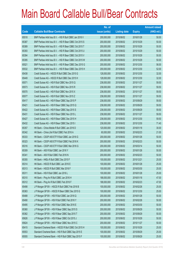|       |                                                          | No. of        |                     |               | <b>Amount raised</b> |
|-------|----------------------------------------------------------|---------------|---------------------|---------------|----------------------|
| Code  | <b>Callable Bull/Bear Contracts</b>                      | issue (units) | <b>Listing date</b> | <b>Expiry</b> | $(HK$$ mil.)         |
| 65518 | BNP Paribas Arbit Issu B.V. - HSI R Bull CBBC Jan 2016 V | 200,000,000   | 2015/06/02          | 2016/01/28    | 50.00                |
| 65387 | BNP Paribas Arbit Issu B.V. - HSI R Bear CBBC Oct 2015 S | 200,000,000   | 2015/06/02          | 2015/10/29    | 50.00                |
| 65389 | BNP Paribas Arbit Issu B.V. - HSI R Bear CBBC Oct 2015 T | 200,000,000   | 2015/06/02          | 2015/10/29    | 50.00                |
| 65393 | BNP Paribas Arbit Issu B.V. - HSI R Bear CBBC Oct 2015 U | 200,000,000   | 2015/06/02          | 2015/10/29    | 50.00                |
| 65394 | BNP Paribas Arbit Issu B.V. - HSI R Bear CBBC Oct 2015 V | 200,000,000   | 2015/06/02          | 2015/10/29    | 50.00                |
| 65395 | BNP Paribas Arbit Issu B.V. - HSI R Bear CBBC Oct 2015 W | 200,000,000   | 2015/06/02          | 2015/10/29    | 50.00                |
| 65521 | BNP Paribas Arbit Issu B.V. - HSI R Bear CBBC Dec 2015 G | 200,000,000   | 2015/06/02          | 2015/12/30    | 56.00                |
| 65532 | BNP Paribas Arbit Issu B.V. - HSI R Bear CBBC Dec 2015 H | 200,000,000   | 2015/06/02          | 2015/12/30    | 52.00                |
| 65438 | Credit Suisse AG - HSCEI R Bull CBBC Dec 2015 G          | 128,000,000   | 2015/06/02          | 2015/12/30    | 32.00                |
| 65449 | Credit Suisse AG - HSCEI R Bull CBBC Dec 2015 H          | 128,000,000   | 2015/06/02          | 2015/12/30    | 32.00                |
| 65571 | Credit Suisse AG - HSI R Bull CBBC Nov 2015 Q            | 238,000,000   | 2015/06/02          | 2015/11/27    | 59.50                |
| 65573 | Credit Suisse AG - HSI R Bull CBBC Nov 2015 R            | 238,000,000   | 2015/06/02          | 2015/11/27    | 59.50                |
| 65570 | Credit Suisse AG - HSI R Bull CBBC Nov 2015 X            | 238,000,000   | 2015/06/02          | 2015/11/27    | 59.50                |
| 65577 | Credit Suisse AG - HSI R Bull CBBC Nov 2015 Z            | 238,000,000   | 2015/06/02          | 2015/11/27    | 59.50                |
| 65417 | Credit Suisse AG - HSI R Bear CBBC Sep 2015 P            | 238,000,000   | 2015/06/02          | 2015/09/29    | 59.50                |
| 65421 | Credit Suisse AG - HSI R Bear CBBC Sep 2015 Q            | 238,000,000   | 2015/06/02          | 2015/09/29    | 59.50                |
| 65422 | Credit Suisse AG - HSI R Bear CBBC Sep 2015 S            | 238,000,000   | 2015/06/02          | 2015/09/29    | 59.50                |
| 65431 | Credit Suisse AG - HSI R Bear CBBC Nov 2015 L            | 238,000,000   | 2015/06/02          | 2015/11/27    | 59.50                |
| 65427 | Credit Suisse AG - HSI R Bear CBBC Dec 2015 H            | 238,000,000   | 2015/06/02          | 2015/12/30    | 59.50                |
| 65432 | Credit Suisse AG - HSI R Bear CBBC Dec 2015 I            | 238,000,000   | 2015/06/02          | 2015/12/30    | 71.40                |
| 65357 | HK Bank - China Mobile R Bull CBBC Jan 2016 D            | 120,000,000   | 2015/06/02          | 2016/01/18    | 30.00                |
| 65342 | HK Bank - China Life R Bull CBBC Feb 2016 A              | 60,000,000    | 2015/06/02          | 2016/02/23    | 21.00                |
| 65333 | HK Bank - CSOP A50 ETF R Bull CBBC Jan 2016 G            | 200,000,000   | 2015/06/02          | 2016/01/26    | 50.00                |
| 65323 | HK Bank - CSOP A50 ETF R Bull CBBC Feb 2016 K            | 200,000,000   | 2015/06/02          | 2016/02/23    | 50.00                |
| 65316 | HK Bank - CSOP A50 ETF R Bull CBBC Mar 2016 G            | 200,000,000   | 2015/06/02          | 2016/03/14    | 50.00                |
| 65309 | HK Bank - A50 R Bull CBBC Jan 2016 Y                     | 200,000,000   | 2015/06/02          | 2016/01/26    | 50.00                |
| 65341 | HK Bank - A50 R Bull CBBC Feb 2016 N                     | 200,000,000   | 2015/06/02          | 2016/02/23    | 50.00                |
| 65355 | HK Bank - HKEx R Bull CBBC Dec 2015 F                    | 100,000,000   | 2015/06/02          | 2015/12/21    | 25.00                |
| 65314 | HK Bank - HSCEI R Bull CBBC Jan 2016 E                   | 100,000,000   | 2015/06/02          | 2016/01/28    | 25.00                |
| 65313 | HK Bank - HSCEI R Bull CBBC Mar 2016 F                   | 100,000,000   | 2015/06/02          | 2016/03/30    | 25.00                |
| 65311 | HK Bank - HSI R Bull CBBC Jan 2016 L                     | 100,000,000   | 2015/06/02          | 2016/01/28    | 25.00                |
| 65310 | HK Bank - Ping An R Bull CBBC Jan 2016 H                 | 188,000,000   | 2015/06/02          | 2016/01/18    | 47.00                |
| 65312 | HK Bank - Ping An R Bull CBBC Feb 2016 F                 | 188,000,000   | 2015/06/02          | 2016/02/23    | 47.00                |
| 65498 | J P Morgan SP BV - HSCEI R Bull CBBC Feb 2016 B          | 100,000,000   | 2015/06/02          | 2016/02/26    | 25.00                |
| 65363 | J P Morgan SP BV - HSCEI R Bear CBBC Dec 2015 G          | 100,000,000   | 2015/06/02          | 2015/12/30    | 25.00                |
| 65488 | J P Morgan SP BV - HSI R Bull CBBC Jan 2016 Q            | 200,000,000   | 2015/06/02          | 2016/01/28    | 50.00                |
| 65490 | J P Morgan SP BV - HSI R Bull CBBC Feb 2016 Y            | 200,000,000   | 2015/06/02          | 2016/02/26    | 50.00                |
| 65495 | J P Morgan SP BV - HSI R Bull CBBC Mar 2016 E            | 200,000,000   | 2015/06/02          | 2016/03/30    | 50.00                |
| 65360 | J P Morgan SP BV - HSI R Bear CBBC Sep 2015 S            | 200,000,000   | 2015/06/02          | 2015/09/29    | 50.00                |
| 65362 | JP Morgan SP BV - HSIR Bear CBBC Sep 2015 T              | 200,000,000   | 2015/06/02          | 2015/09/29    | 50.00                |
| 65626 | J P Morgan SP BV - HSI R Bear CBBC Oct 2015 J            | 200,000,000   | 2015/06/02          | 2015/10/29    | 50.00                |
| 65624 | J P Morgan SP BV - HSI R Bear CBBC Nov 2015 C            | 200,000,000   | 2015/06/02          | 2015/11/27    | 50.00                |
| 65415 | Standard Chartered Bank - HSCEI R Bull CBBC Oct 2015 H   | 100,000,000   | 2015/06/02          | 2015/10/29    | 25.00                |
| 65553 | Standard Chartered Bank - HSI R Bull CBBC Sep 2015 E     | 100,000,000   | 2015/06/02          | 2015/09/29    | 25.00                |
| 65555 | Standard Chartered Bank - HSI R Bull CBBC Sep 2015 F     | 100,000,000   | 2015/06/02          | 2015/09/29    | 25.00                |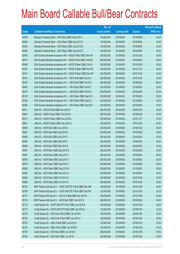|       |                                                                | No. of        |                     |               | <b>Amount raised</b> |
|-------|----------------------------------------------------------------|---------------|---------------------|---------------|----------------------|
| Code  | <b>Callable Bull/Bear Contracts</b>                            | issue (units) | <b>Listing date</b> | <b>Expiry</b> | (HK\$ mil.)          |
| 65569 | Standard Chartered Bank - HSI R Bull CBBC Sep 2015 G           | 100,000,000   | 2015/06/02          | 2015/09/29    | 25.00                |
| 65399 | Standard Chartered Bank - HSI R Bear CBBC Sep 2015 C           | 100,000,000   | 2015/06/02          | 2015/09/29    | 25.00                |
| 65400 | Standard Chartered Bank - HSI R Bear CBBC Sep 2015 D           | 100,000,000   | 2015/06/02          | 2015/09/29    | 25.00                |
| 65406 | Standard Chartered Bank - HSI R Bear CBBC Sep 2015 E           | 100,000,000   | 2015/06/02          | 2015/09/29    | 25.00                |
| 65476 | SGA Societe Generale Acceptance NV - HSCEI R Bull CBBC Dec15H  | 200,000,000   | 2015/06/02          | 2015/12/30    | 50.00                |
| 65477 | SGA Societe Generale Acceptance NV - HSCEI R Bull CBBC Feb16G  | 200,000,000   | 2015/06/02          | 2016/02/26    | 50.00                |
| 65480 | SGA Societe Generale Acceptance NV - HSCEI R Bear CBBC Oct15I  | 200,000,000   | 2015/06/02          | 2015/10/29    | 50.00                |
| 65370 | SGA Societe Generale Acceptance NV - HSCEI R Bear CBBC Nov15F  | 200,000,000   | 2015/06/02          | 2015/11/27    | 50.00                |
| 65374 | SGA Societe Generale Acceptance NV - HSCEI R Bear CBBC Dec15F  | 200,000,000   | 2015/06/02          | 2015/12/30    | 50.00                |
| 65376 | SGA Societe Generale Acceptance N.V. - HSI R Bull CBBC Dec15 V | 200,000,000   | 2015/06/02          | 2015/12/30    | 50.00                |
| 65375 | SGA Societe Generale Acceptance N.V. - HSI R Bull CBBC Feb16 S | 400,000,000   | 2015/06/02          | 2016/02/26    | 100.00               |
| 65465 | SGA Societe Generale Acceptance N.V. - HSI R Bull CBBC Feb16 T | 200,000,000   | 2015/06/02          | 2016/02/26    | 50.00                |
| 65475 | SGA Societe Generale Acceptance N.V. - HSI R Bull CBBC Feb16 U | 200,000,000   | 2015/06/02          | 2016/02/26    | 50.00                |
| 65379 | SGA Societe Generale Acceptance N.V. - HSI R Bear CBBC Sep15 K | 200,000,000   | 2015/06/02          | 2015/09/29    | 50.00                |
| 65384 | SGA Societe Generale Acceptance N.V. - HSI R Bear CBBC Sep15 L | 200,000,000   | 2015/06/02          | 2015/09/29    | 50.00                |
| 65386 | SGA Societe Generale Acceptance N.V. - HSI R Bear CBBC Sep15 R | 200,000,000   | 2015/06/02          | 2015/09/29    | 50.00                |
| 65611 | UBS AG - HSCEI R Bull CBBC Jan 2016 D                          | 200,000,000   | 2015/06/02          | 2016/01/28    | 50.00                |
| 65600 | UBS AG - HSCEI R Bull CBBC Feb 2016 B                          | 200,000,000   | 2015/06/02          | 2016/02/26    | 50.00                |
| 65613 | UBS AG - HSCEI R Bear CBBC Nov 2015 E                          | 200,000,000   | 2015/06/02          | 2015/11/27    | 50.00                |
| 65621 | UBS AG - HSCEI R Bear CBBC Dec 2015 B                          | 200,000,000   | 2015/06/02          | 2015/12/30    | 50.00                |
| 65585 | UBS AG - HSI R Bull CBBC Jan 2016 B                            | 200,000,000   | 2015/06/02          | 2016/01/28    | 50.00                |
| 65587 | UBS AG - HSI R Bull CBBC Feb 2016 S                            | 200,000,000   | 2015/06/02          | 2016/02/26    | 50.00                |
| 65589 | UBS AG - HSI R Bull CBBC Feb 2016 T                            | 200,000,000   | 2015/06/02          | 2016/02/26    | 50.00                |
| 65586 | UBS AG - HSI R Bull CBBC Mar 2016 F                            | 200,000,000   | 2015/06/02          | 2016/03/30    | 50.00                |
| 65588 | UBS AG - HSI R Bull CBBC Mar 2016 G                            | 200,000,000   | 2015/06/02          | 2016/03/30    | 50.00                |
| 65591 | UBS AG - HSI R Bear CBBC Sep 2015 N                            | 200,000,000   | 2015/06/02          | 2015/09/29    | 50.00                |
| 65597 | UBS AG - HSI R Bear CBBC Sep 2015 T                            | 200,000,000   | 2015/06/02          | 2015/09/29    | 50.00                |
| 65578 | UBS AG - HSI R Bear CBBC Sep 2015 U                            | 200,000,000   | 2015/06/02          | 2015/09/29    | 50.00                |
| 65579 | UBS AG - HSI R Bear CBBC Sep 2015 V                            | 200,000,000   | 2015/06/02          | 2015/09/29    | 50.00                |
| 65580 | UBS AG - HSI R Bear CBBC Sep 2015 W                            | 200,000,000   | 2015/06/02          | 2015/09/29    | 50.00                |
| 65584 | UBS AG - HSI R Bear CBBC Sep 2015 X                            | 200,000,000   | 2015/06/02          | 2015/09/29    | 50.00                |
| 65592 | UBS AG - HSI R Bear CBBC Oct 2015 G                            | 200,000,000   | 2015/06/02          | 2015/10/29    | 50.00                |
| 65596 | UBS AG - HSI R Bear CBBC Oct 2015 H                            | 200,000,000   | 2015/06/02          | 2015/10/29    | 50.00                |
| 65732 | BNP Paribas Arbit Issu B.V. - CSOP A50 ETF R Bull CBBC Dec15M  | 100,000,000   | 2015/06/03          | 2015/12/30    | 25.00                |
| 65738 | BNP Paribas Arbit Issu B.V. - CSOP A50 ETF R Bull CBBC Dec15N  | 100,000,000   | 2015/06/03          | 2015/12/30    | 25.00                |
| 65731 | BNP Paribas Arbit Issu B.V. - A50 Ch R Bull CBBC Dec 2015 K    | 100,000,000   | 2015/06/03          | 2015/12/30    | 25.00                |
| 65730 | BNP Paribas Arbit Issu B.V. - HSI R Bull CBBC Feb 2016 D       | 200,000,000   | 2015/06/03          | 2016/02/26    | 50.00                |
| 65715 | Credit Suisse AG - CSOP A50 ETF R Bull CBBC Jan 2016 B         | 100,000,000   | 2015/06/03          | 2016/01/26    | 25.00                |
| 65717 | Credit Suisse AG - CSOP A50 ETF R Bull CBBC Jan 2016 C         | 100,000,000   | 2015/06/03          | 2016/01/26    | 25.00                |
| 65722 | Credit Suisse AG - A50 China R Bull CBBC Jan 2016 B            | 100,000,000   | 2015/06/03          | 2016/01/26    | 25.00                |
| 65723 | Credit Suisse AG - A50 China R Bull CBBC Jan 2016 C            | 100,000,000   | 2015/06/03          | 2016/01/26    | 25.00                |
| 65725 | Credit Suisse AG - HKEx R Bull CBBC Jan 2016 A                 | 100,000,000   | 2015/06/03          | 2016/01/26    | 25.00                |
| 65726 | Credit Suisse AG - HKEx R Bull CBBC Jan 2016 B                 | 100,000,000   | 2015/06/03          | 2016/01/26    | 25.00                |
| 65703 | Credit Suisse AG - HSI R Bull CBBC Jan 2016 H                  | 238,000,000   | 2015/06/03          | 2016/01/28    | 59.50                |
| 65705 | Credit Suisse AG - HSI R Bull CBBC Jan 2016 I                  | 238,000,000   | 2015/06/03          | 2016/01/28    | 59.50                |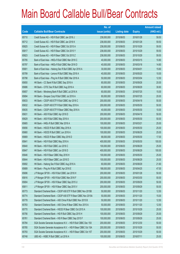|       |                                                                | No. of        |                     |               | <b>Amount raised</b> |
|-------|----------------------------------------------------------------|---------------|---------------------|---------------|----------------------|
| Code  | <b>Callable Bull/Bear Contracts</b>                            | issue (units) | <b>Listing date</b> | <b>Expiry</b> | (HK\$ mil.)          |
| 65710 | Credit Suisse AG - HSI R Bull CBBC Jan 2016 J                  | 238,000,000   | 2015/06/03          | 2016/01/28    | 59.50                |
| 65712 | Credit Suisse AG - HSI R Bull CBBC Jan 2016 K                  | 238,000,000   | 2015/06/03          | 2016/01/28    | 59.50                |
| 65825 | Credit Suisse AG - HSI R Bear CBBC Oct 2015 A                  | 238,000,000   | 2015/06/03          | 2015/10/29    | 59.50                |
| 65817 | Credit Suisse AG - HSI R Bear CBBC Oct 2015 Y                  | 238,000,000   | 2015/06/03          | 2015/10/29    | 59.50                |
| 65823 | Credit Suisse AG - HSI R Bear CBBC Oct 2015 Z                  | 238,000,000   | 2015/06/03          | 2015/10/29    | 59.50                |
| 65795 | Bank of East Asia - HKEx R Bull CBBC Mar 2016 C                | 40,000,000    | 2015/06/03          | 2016/03/15    | 10.80                |
| 65797 | Bank of East Asia - HKEx R Bull CBBC Mar 2016 D                | 40,000,000    | 2015/06/03          | 2016/03/18    | 14.80                |
| 65801 | Bank of East Asia - Haitong Sec R Bull CBBC Apr 2016 A         | 30,000,000    | 2015/06/03          | 2016/04/01    | 15.60                |
| 65799 | Bank of East Asia - Lenovo R Bull CBBC May 2016 A              | 40,000,000    | 2015/06/03          | 2016/05/20    | 10.00                |
| 65798 | Bank of East Asia - Ping An R Bull CBBC Mar 2016 A             | 50,000,000    | 2015/06/03          | 2016/03/04    | 12.50                |
| 65650 | HK Bank - CC Bank R Bull CBBC Sep 2016 A                       | 80,000,000    | 2015/06/03          | 2016/09/26    | 20.00                |
| 65686 | HK Bank - CITIC Sec R Bull CBBC Aug 2016 A                     | 60,000,000    | 2015/06/03          | 2016/08/29    | 30.60                |
| 65657 | HK Bank - Minsheng Bank R Bull CBBC Jul 2016 A                 | 60,000,000    | 2015/06/03          | 2016/07/25    | 15.00                |
| 65694 | HK Bank - Sinopec Corp R Bull CBBC Jul 2016 A                  | 80,000,000    | 2015/06/03          | 2016/07/25    | 20.00                |
| 65633 | HK Bank - CSOP A50 ETF R Bull CBBC Apr 2016 C                  | 200,000,000   | 2015/06/03          | 2016/04/18    | 50.00                |
| 65632 | HK Bank - CSOP A50 ETF R Bull CBBC May 2016 A                  | 200,000,000   | 2015/06/03          | 2016/05/30    | 50.00                |
| 65635 | HK Bank - CSOP A50 ETF R Bear CBBC May 2016 A                  | 40,000,000    | 2015/06/03          | 2016/05/30    | 10.00                |
| 65631 | HK Bank - A50 R Bull CBBC Apr 2016 D                           | 200,000,000   | 2015/06/03          | 2016/04/18    | 50.00                |
| 65629 | HK Bank - A50 R Bull CBBC May 2016 A                           | 200,000,000   | 2015/06/03          | 2016/05/30    | 50.00                |
| 65665 | HK Bank - HKEx R Bull CBBC Mar 2016 A                          | 100,000,000   | 2015/06/03          | 2016/03/21    | 25.00                |
| 65656 | HK Bank - HSCEI R Bull CBBC May 2016 A                         | 100,000,000   | 2015/06/03          | 2016/05/30    | 25.00                |
| 65660 | HK Bank - HSCEI R Bull CBBC Jun 2016 A                         | 100,000,000   | 2015/06/03          | 2016/06/29    | 25.00                |
| 65669 | HK Bank - HSCEI R Bear CBBC May 2016 D                         | 68,000,000    | 2015/06/03          | 2016/05/30    | 17.00                |
| 65641 | HK Bank - HSI R Bull CBBC May 2016 A                           | 400,000,000   | 2015/06/03          | 2016/05/30    | 100.00               |
| 65640 | HK Bank - HSI R Bull CBBC Jun 2016 C                           | 100,000,000   | 2015/06/03          | 2016/06/29    | 25.00                |
| 65647 | HK Bank - HSI R Bull CBBC Jun 2016 D                           | 400,000,000   | 2015/06/03          | 2016/06/29    | 100.00               |
| 65646 | HK Bank - HSI R Bear CBBC May 2016 H                           | 100,000,000   | 2015/06/03          | 2016/05/30    | 25.00                |
| 65644 | HK Bank - HSI R Bear CBBC Jun 2016 D                           | 100,000,000   | 2015/06/03          | 2016/06/29    | 25.00                |
| 65692 | HK Bank - Haitong Sec R Bull CBBC Aug 2016 A                   | 60,000,000    | 2015/06/03          | 2016/08/29    | 21.60                |
| 65689 | HK Bank - Ping An R Bull CBBC Apr 2016 E                       | 188,000,000   | 2015/06/03          | 2016/04/25    | 47.00                |
| 65696 | J P Morgan SP BV - HSI R Bull CBBC Jan 2016 H                  | 200,000,000   | 2015/06/03          | 2016/01/28    | 50.00                |
| 65816 | J P Morgan SP BV - HSI R Bull CBBC Mar 2016 F                  | 200,000,000   | 2015/06/03          | 2016/03/30    | 50.00                |
| 65804 | J P Morgan SP BV - HSI R Bear CBBC Sep 2015 U                  | 200,000,000   | 2015/06/03          | 2015/09/29    | 50.00                |
| 65811 | JP Morgan SP BV - HSI R Bear CBBC Sep 2015 V                   | 200,000,000   | 2015/06/03          | 2015/09/29    | 50.00                |
| 65773 | Standard Chartered Bank - CSOP A50 ETF R Bull CBBC Nov 2015B   | 50,000,000    | 2015/06/03          | 2015/11/20    | 12.50                |
| 65774 | Standard Chartered Bank - CSOP A50 ETF R Bear CBBC Nov 2015A   | 50,000,000    | 2015/06/03          | 2015/11/20    | 15.00                |
| 65778 | Standard Chartered Bank - A50 China R Bull CBBC Nov 2015 B     | 50,000,000    | 2015/06/03          | 2015/11/20    | 12.50                |
| 65783 | Standard Chartered Bank - A50 China R Bear CBBC Nov 2015 A     | 50,000,000    | 2015/06/03          | 2015/11/20    | 12.50                |
| 65770 | Standard Chartered Bank - HSCEI R Bear CBBC Oct 2015 A         | 100,000,000   | 2015/06/03          | 2015/10/29    | 25.00                |
| 65756 | Standard Chartered Bank - HSI R Bull CBBC Sep 2015 H           | 100,000,000   | 2015/06/03          | 2015/09/29    | 25.00                |
| 65761 | Standard Chartered Bank - HSI R Bear CBBC Sep 2015 F           | 100,000,000   | 2015/06/03          | 2015/09/29    | 25.00                |
| 65784 | SGA Societe Generale Acceptance N.V. - HSI R Bull CBBC Dec 15X | 200,000,000   | 2015/06/03          | 2015/12/30    | 50.00                |
| 65785 | SGA Societe Generale Acceptance N.V. - HSI R Bear CBBC Oct 15A | 200,000,000   | 2015/06/03          | 2015/10/29    | 50.00                |
| 65793 | SGA Societe Generale Acceptance N.V. - HSI R Bear CBBC Oct 15T | 200,000,000   | 2015/06/03          | 2015/10/29    | 50.00                |
| 65748 | UBS AG - HSBC R Bull CBBC Jul 2016 A                           | 100,000,000   | 2015/06/03          | 2016/07/11    | 25.00                |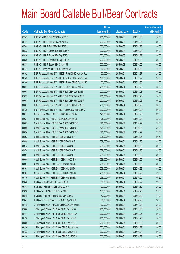|       |                                                            | No. of        |                     |               | <b>Amount raised</b> |
|-------|------------------------------------------------------------|---------------|---------------------|---------------|----------------------|
| Code  | <b>Callable Bull/Bear Contracts</b>                        | issue (units) | <b>Listing date</b> | <b>Expiry</b> | $(HK$$ mil.)         |
| 65742 | UBS AG - HSI R Bull CBBC Dec 2015 F                        | 200,000,000   | 2015/06/03          | 2015/12/30    | 50.00                |
| 65741 | UBS AG - HSI R Bull CBBC Jan 2016 C                        | 200,000,000   | 2015/06/03          | 2016/01/28    | 50.00                |
| 65745 | UBS AG - HSI R Bull CBBC Feb 2016 U                        | 200,000,000   | 2015/06/03          | 2016/02/26    | 50.00                |
| 65832 | UBS AG - HSI R Bear CBBC Sep 2015 A                        | 200,000,000   | 2015/06/03          | 2015/09/29    | 50.00                |
| 65826 | UBS AG - HSI R Bear CBBC Sep 2015 Y                        | 200,000,000   | 2015/06/03          | 2015/09/29    | 50.00                |
| 65830 | UBS AG - HSI R Bear CBBC Sep 2015 Z                        | 200,000,000   | 2015/06/03          | 2015/09/29    | 50.00                |
| 65833 | UBS AG - HSI R Bear CBBC Oct 2015 I                        | 200,000,000   | 2015/06/03          | 2015/10/29    | 50.00                |
| 65747 | UBS AG - Ping An R Bull CBBC Sep 2016 A                    | 50,000,000    | 2015/06/03          | 2016/09/05    | 12.50                |
| 66142 | BNP Paribas Arbit Issu B.V. - HSCEI R Bull CBBC Nov 2015 A | 100,000,000   | 2015/06/04          | 2015/11/27    | 25.00                |
| 66143 | BNP Paribas Arbit Issu B.V. - HSCEI R Bear CBBC Nov 2015 A | 100,000,000   | 2015/06/04          | 2015/11/27    | 25.00                |
| 66146 | BNP Paribas Arbit Issu B.V. - HSCEI R Bear CBBC Dec 2015 S | 100,000,000   | 2015/06/04          | 2015/12/30    | 25.00                |
| 66051 | BNP Paribas Arbit Issu B.V. - HSI R Bull CBBC Jan 2016 A   | 200,000,000   | 2015/06/04          | 2016/01/28    | 50.00                |
| 66063 | BNP Paribas Arbit Issu B.V. - HSI R Bull CBBC Jan 2016 B   | 200,000,000   | 2015/06/04          | 2016/01/28    | 50.00                |
| 65879 | BNP Paribas Arbit Issu B.V. - HSI R Bull CBBC Feb 2016 E   | 200,000,000   | 2015/06/04          | 2016/02/26    | 50.00                |
| 66057 | BNP Paribas Arbit Issu B.V. - HSI R Bull CBBC Feb 2016 F   | 200,000,000   | 2015/06/04          | 2016/02/26    | 50.00                |
| 66067 | BNP Paribas Arbit Issu B.V. - HSI R Bull CBBC Feb 2016 G   | 200,000,000   | 2015/06/04          | 2016/02/26    | 50.00                |
| 66139 | BNP Paribas Arbit Issu B.V. - HSI R Bear CBBC Sep 2015 O   | 200,000,000   | 2015/06/04          | 2015/09/29    | 50.00                |
| 66017 | Credit Suisse AG - HSCEI R Bull CBBC Jan 2016 A            | 128,000,000   | 2015/06/04          | 2016/01/28    | 32.00                |
| 66021 | Credit Suisse AG - HSCEI R Bull CBBC Jan 2016 B            | 128,000,000   | 2015/06/04          | 2016/01/28    | 32.00                |
| 66082 | Credit Suisse AG - HSCEI R Bear CBBC Oct 2015 D            | 128,000,000   | 2015/06/04          | 2015/10/29    | 32.00                |
| 66090 | Credit Suisse AG - HSCEI R Bear CBBC Oct 2015 E            | 128,000,000   | 2015/06/04          | 2015/10/29    | 32.00                |
| 66094 | Credit Suisse AG - HSCEI R Bear CBBC Oct 2015 F            | 128,000,000   | 2015/06/04          | 2015/10/29    | 32.00                |
| 65892 | Credit Suisse AG - HSI R Bull CBBC Feb 2016 A              | 238,000,000   | 2015/06/04          | 2016/02/26    | 59.50                |
| 65894 | Credit Suisse AG - HSI R Bull CBBC Feb 2016 B              | 238,000,000   | 2015/06/04          | 2016/02/26    | 59.50                |
| 65973 | Credit Suisse AG - HSI R Bull CBBC Feb 2016 D              | 238,000,000   | 2015/06/04          | 2016/02/26    | 59.50                |
| 65974 | Credit Suisse AG - HSI R Bull CBBC Feb 2016 E              | 238,000,000   | 2015/06/04          | 2016/02/26    | 59.50                |
| 65997 | Credit Suisse AG - HSI R Bull CBBC Feb 2016 F              | 238,000,000   | 2015/06/04          | 2016/02/26    | 59.50                |
| 66095 | Credit Suisse AG - HSI R Bear CBBC Sep 2015 N              | 238,000,000   | 2015/06/04          | 2015/09/29    | 59.50                |
| 66097 | Credit Suisse AG - HSI R Bear CBBC Oct 2015 B              | 238,000,000   | 2015/06/04          | 2015/10/29    | 59.50                |
| 66103 | Credit Suisse AG - HSI R Bear CBBC Oct 2015 C              | 238,000,000   | 2015/06/04          | 2015/10/29    | 59.50                |
| 66107 | Credit Suisse AG - HSI R Bear CBBC Oct 2015 D              | 238,000,000   | 2015/06/04          | 2015/10/29    | 59.50                |
| 66110 | Credit Suisse AG - HSI R Bear CBBC Oct 2015 E              | 238,000,000   | 2015/06/04          | 2015/10/29    | 59.50                |
| 65846 | HK Bank - AIA R Bull CBBC Jun 2016 A                       | 60,000,000    | 2015/06/04          | 2016/06/27    | 22.80                |
| 65843 | HK Bank - HSI R Bear CBBC Mar 2016 P                       | 100,000,000   | 2015/06/04          | 2016/03/30    | 25.00                |
| 65836 | HK Bank - HSI R Bear CBBC Apr 2016 L                       | 100,000,000   | 2015/06/04          | 2016/04/28    | 25.00                |
| 65845 | HK Bank - Ping An R Bear CBBC May 2016 A                   | 40,000,000    | 2015/06/04          | 2016/05/30    | 11.20                |
| 65847 | HK Bank - Sands China R Bear CBBC Apr 2016 A               | 60,000,000    | 2015/06/04          | 2016/04/25    | 28.80                |
| 66118 | J P Morgan SP BV - HSCEI R Bear CBBC Jan 2016 E            | 100,000,000   | 2015/06/04          | 2016/01/28    | 25.00                |
| 65880 | J P Morgan SP BV - HSI R Bull CBBC Dec 2015 Z              | 200,000,000   | 2015/06/04          | 2015/12/30    | 50.00                |
| 66117 | J P Morgan SP BV - HSI R Bull CBBC Feb 2016 O              | 200,000,000   | 2015/06/04          | 2016/02/26    | 50.00                |
| 66138 | J P Morgan SP BV - HSI R Bull CBBC Feb 2016 P              | 200,000,000   | 2015/06/04          | 2016/02/26    | 50.00                |
| 65886 | J P Morgan SP BV - HSI R Bull CBBC Feb 2016 Z              | 200,000,000   | 2015/06/04          | 2016/02/26    | 50.00                |
| 66126 | J P Morgan SP BV - HSI R Bear CBBC Sep 2015 W              | 200,000,000   | 2015/06/04          | 2015/09/29    | 50.00                |
| 66132 | JP Morgan SP BV - HSI R Bear CBBC Sep 2015 X               | 200,000,000   | 2015/06/04          | 2015/09/29    | 50.00                |
| 66136 | J P Morgan SP BV - HSI R Bear CBBC Oct 2015 K              | 200,000,000   | 2015/06/04          | 2015/10/29    | 50.00                |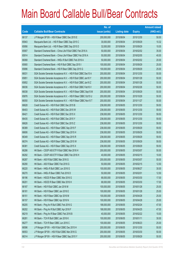|       |                                                                | No. of        |                     |               | <b>Amount raised</b> |
|-------|----------------------------------------------------------------|---------------|---------------------|---------------|----------------------|
| Code  | <b>Callable Bull/Bear Contracts</b>                            | issue (units) | <b>Listing date</b> | <b>Expiry</b> | $(HK$$ mil.)         |
| 66137 | J P Morgan SP BV - HSI R Bear CBBC Dec 2015 E                  | 200,000,000   | 2015/06/04          | 2015/12/30    | 50.00                |
| 65943 | Macquarie Bank Ltd. - HSI R Bear CBBC Sep 2015 C               | 30,000,000    | 2015/06/04          | 2015/09/29    | 10.32                |
| 65956 | Macquarie Bank Ltd. - HSI R Bear CBBC Sep 2015 D               | 32,000,000    | 2015/06/04          | 2015/09/29    | 10.05                |
| 65907 | Standard Chartered Bank - China Life R Bull CBBC Feb 2016 A    | 50,000,000    | 2015/06/04          | 2016/02/02    | 35.00                |
| 65914 | Standard Chartered Bank - China Life R Bear CBBC Feb 2016 A    | 50,000,000    | 2015/06/04          | 2016/02/05    | 40.00                |
| 66068 | Standard Chartered Bank - HKEx R Bull CBBC Feb 2016 A          | 50,000,000    | 2015/06/04          | 2016/02/02    | 20.00                |
| 65900 | Standard Chartered Bank - HSI R Bull CBBC Sep 2015 I           | 100,000,000   | 2015/06/04          | 2015/09/29    | 25.00                |
| 65896 | Standard Chartered Bank - HSI R Bear CBBC Sep 2015 G           | 100,000,000   | 2015/06/04          | 2015/09/29    | 25.00                |
| 66031 | SGA Societe Generale Acceptance N.V. - HSI R Bull CBBC Dec15 A | 200,000,000   | 2015/06/04          | 2015/12/30    | 50.00                |
| 65851 | SGA Societe Generale Acceptance N.V. - HSI R Bull CBBC Jan16 Y | 200,000,000   | 2015/06/04          | 2016/01/28    | 50.00                |
| 65852 | SGA Societe Generale Acceptance N.V. - HSI R Bull CBBC Jan16 Z | 200,000,000   | 2015/06/04          | 2016/01/28    | 50.00                |
| 66036 | SGA Societe Generale Acceptance N.V. - HSI R Bull CBBC Feb16 V | 200,000,000   | 2015/06/04          | 2016/02/26    | 50.00                |
| 66038 | SGA Societe Generale Acceptance N.V. - HSI R Bear CBBC Sep15 M | 200,000,000   | 2015/06/04          | 2015/09/29    | 50.00                |
| 65876 | SGA Societe Generale Acceptance N.V. - HSI R Bear CBBC Oct15 U | 200,000,000   | 2015/06/04          | 2015/10/29    | 50.00                |
| 66050 | SGA Societe Generale Acceptance N.V. - HSI R Bear CBBC Nov15 T | 200,000,000   | 2015/06/04          | 2015/11/27    | 50.00                |
| 66628 | Credit Suisse AG - HSI R Bull CBBC Dec 2015 B                  | 238,000,000   | 2015/06/05          | 2015/12/30    | 59.50                |
| 66403 | Credit Suisse AG - HSI R Bull CBBC Dec 2015 W                  | 238,000,000   | 2015/06/05          | 2015/12/30    | 59.50                |
| 66421 | Credit Suisse AG - HSI R Bull CBBC Dec 2015 X                  | 238,000,000   | 2015/06/05          | 2015/12/30    | 59.50                |
| 66435 | Credit Suisse AG - HSI R Bull CBBC Dec 2015 Y                  | 238,000,000   | 2015/06/05          | 2015/12/30    | 59.50                |
| 66626 | Credit Suisse AG - HSI R Bull CBBC Dec 2015 Z                  | 238,000,000   | 2015/06/05          | 2015/12/30    | 59.50                |
| 66389 | Credit Suisse AG - HSI R Bear CBBC Sep 2015 F                  | 238,000,000   | 2015/06/05          | 2015/09/29    | 59.50                |
| 66606 | Credit Suisse AG - HSI R Bear CBBC Sep 2015 H                  | 238,000,000   | 2015/06/05          | 2015/09/29    | 59.50                |
| 66349 | Credit Suisse AG - HSI R Bear CBBC Sep 2015 R                  | 238,000,000   | 2015/06/05          | 2015/09/29    | 59.50                |
| 66374 | Credit Suisse AG - HSI R Bear CBBC Sep 2015 W                  | 238,000,000   | 2015/06/05          | 2015/09/29    | 59.50                |
| 66381 | Credit Suisse AG - HSI R Bear CBBC Sep 2015 X                  | 238,000,000   | 2015/06/05          | 2015/09/29    | 59.50                |
| 66286 | HK Bank - CSOP A50 ETF R Bull CBBC Mar 2016 H                  | 200,000,000   | 2015/06/05          | 2016/03/07    | 50.00                |
| 66292 | HK Bank - CSOP A50 ETF R Bear CBBC Feb 2016 H                  | 40,000,000    | 2015/06/05          | 2016/02/15    | 10.00                |
| 66287 | HK Bank - A50 R Bull CBBC Mar 2016 G                           | 200,000,000   | 2015/06/05          | 2016/03/07    | 50.00                |
| 66290 | HK Bank - A50 R Bear CBBC Feb 2016 G                           | 50,000,000    | 2015/06/05          | 2016/02/15    | 12.50                |
| 66220 | HK Bank - HKEx R Bull CBBC Jun 2016 G                          | 100,000,000   | 2015/06/05          | 2016/06/27    | 30.00                |
| 66270 | HK Bank - HKEx R Bear CBBC Feb 2016 D                          | 50,000,000    | 2015/06/05          | 2016/02/01    | 12.50                |
| 66196 | HK Bank - HSCEI R Bear CBBC Mar 2016 G                         | 68,000,000    | 2015/06/05          | 2016/03/30    | 17.00                |
| 66201 | HK Bank - HSCEI R Bear CBBC Mar 2016 H                         | 68,000,000    | 2015/06/05          | 2016/03/30    | 17.00                |
| 66187 | HK Bank - HSI R Bull CBBC Jan 2016 M                           | 100,000,000   | 2015/06/05          | 2016/01/28    | 25.00                |
| 66181 | HK Bank - HSI R Bear CBBC Jan 2016 E                           | 100,000,000   | 2015/06/05          | 2016/01/28    | 25.00                |
| 66151 | HK Bank - HSI R Bear CBBC Apr 2016 M                           | 100,000,000   | 2015/06/05          | 2016/04/28    | 25.00                |
| 66157 | HK Bank - HSI R Bear CBBC Apr 2016 N                           | 100,000,000   | 2015/06/05          | 2016/04/28    | 25.00                |
| 66205 | HK Bank - Ping An R Bull CBBC Feb 2016 G                       | 188,000,000   | 2015/06/05          | 2016/02/24    | 47.00                |
| 66202 | HK Bank - Ping An R Bull CBBC Apr 2016 F                       | 188,000,000   | 2015/06/05          | 2016/04/25    | 47.00                |
| 66219 | HK Bank - Ping An R Bear CBBC Feb 2016 B                       | 40,000,000    | 2015/06/05          | 2016/02/22    | 10.00                |
| 66281 | HK Bank - TCH R Bull CBBC Jan 2016 K                           | 100,000,000   | 2015/06/05          | 2016/01/11    | 30.00                |
| 66277 | HK Bank - TCH R Bear CBBC Jun 2016 C                           | 100,000,000   | 2015/06/05          | 2016/06/23    | 25.00                |
| 66596 | J P Morgan SP BV - HSI R Bull CBBC Dec 2015 H                  | 200,000,000   | 2015/06/05          | 2015/12/30    | 50.00                |
| 66553 | J P Morgan SP BV - HSI R Bull CBBC Mar 2016 G                  | 200,000,000   | 2015/06/05          | 2016/03/30    | 50.00                |
| 66314 | J P Morgan SP BV - HSI R Bear CBBC Sep 2015 Y                  | 200,000,000   | 2015/06/05          | 2015/09/29    | 50.00                |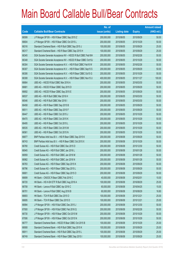|       |                                                                | No. of        |                     |               | <b>Amount raised</b> |
|-------|----------------------------------------------------------------|---------------|---------------------|---------------|----------------------|
| Code  | <b>Callable Bull/Bear Contracts</b>                            | issue (units) | <b>Listing date</b> | <b>Expiry</b> | $(HK$$ mil.)         |
| 66599 | JP Morgan SP BV - HSI R Bear CBBC Sep 2015 Z                   | 200,000,000   | 2015/06/05          | 2015/09/29    | 50.00                |
| 66604 | J P Morgan SP BV - HSI R Bear CBBC Oct 2015 L                  | 200,000,000   | 2015/06/05          | 2015/10/29    | 50.00                |
| 66316 | Standard Chartered Bank - HSI R Bull CBBC Sep 2015 J           | 100,000,000   | 2015/06/05          | 2015/09/29    | 25.00                |
| 66317 | Standard Chartered Bank - HSI R Bear CBBC Sep 2015 H           | 100,000,000   | 2015/06/05          | 2015/09/29    | 25.00                |
| 66345 | SGA Societe Generale Acceptance NV - HSCEI R Bull CBBC Feb16H  | 200,000,000   | 2015/06/05          | 2016/02/26    | 50.00                |
| 66348 | SGA Societe Generale Acceptance NV - HSCEI R Bear CBBC Oct15J  | 200,000,000   | 2015/06/05          | 2015/10/29    | 50.00                |
| 66304 | SGA Societe Generale Acceptance N.V. - HSI R Bull CBBC Feb16 W | 200,000,000   | 2015/06/05          | 2016/02/26    | 50.00                |
| 66307 | SGA Societe Generale Acceptance N.V. - HSI R Bear CBBC Sep15 S | 200,000,000   | 2015/06/05          | 2015/09/29    | 50.00                |
| 66306 | SGA Societe Generale Acceptance N.V. - HSI R Bear CBBC Oct15 G | 200,000,000   | 2015/06/05          | 2015/10/29    | 50.00                |
| 66308 | SGA Societe Generale Acceptance N.V. - HSI R Bear CBBC Nov15 U | 400,000,000   | 2015/06/05          | 2015/11/27    | 100.00               |
| 66664 | UBS AG - HSCEI R Bull CBBC Mar 2016 A                          | 200,000,000   | 2015/06/05          | 2016/03/30    | 50.00                |
| 66681 | UBS AG - HSCEIR Bear CBBC Sep 2015 D                           | 200,000,000   | 2015/06/05          | 2015/09/29    | 50.00                |
| 66692 | UBS AG - HSCEI R Bear CBBC Sep 2015 E                          | 200,000,000   | 2015/06/05          | 2015/09/29    | 50.00                |
| 66537 | UBS AG - HSI R Bull CBBC Mar 2016 H                            | 200,000,000   | 2015/06/05          | 2016/03/30    | 50.00                |
| 66546 | UBS AG - HSI R Bull CBBC Mar 2016 I                            | 200,000,000   | 2015/06/05          | 2016/03/30    | 50.00                |
| 66458 | UBS AG - HSI R Bear CBBC Sep 2015 B                            | 200,000,000   | 2015/06/05          | 2015/09/29    | 50.00                |
| 66511 | UBS AG - HSI R Bear CBBC Sep 2015 F                            | 200,000,000   | 2015/06/05          | 2015/09/29    | 50.00                |
| 66447 | UBS AG - HSI R Bear CBBC Oct 2015 J                            | 200,000,000   | 2015/06/05          | 2015/10/29    | 50.00                |
| 66470 | UBS AG - HSI R Bear CBBC Oct 2015 K                            | 200,000,000   | 2015/06/05          | 2015/10/29    | 50.00                |
| 66495 | UBS AG - HSI R Bear CBBC Oct 2015 L                            | 200,000,000   | 2015/06/05          | 2015/10/29    | 50.00                |
| 66535 | UBS AG - HSI R Bear CBBC Oct 2015 M                            | 200,000,000   | 2015/06/05          | 2015/10/29    | 50.00                |
| 66561 | UBS AG - HSI R Bear CBBC Oct 2015 N                            | 200,000,000   | 2015/06/05          | 2015/10/29    | 50.00                |
| 66877 | BNP Paribas Arbit Issu B.V. - HSI R Bear CBBC Sep 2015 K       | 200,000,000   | 2015/06/08          | 2015/09/29    | 50.00                |
| 66743 | BNP Paribas Arbit Issu B.V. - HSI R Bear CBBC Oct 2015 X       | 200,000,000   | 2015/06/08          | 2015/10/29    | 50.00                |
| 66780 | Credit Suisse AG - HSI R Bull CBBC Dec 2015 D                  | 200,000,000   | 2015/06/08          | 2015/12/30    | 50.00                |
| 66945 | Credit Suisse AG - HSI R Bull CBBC Jan 2016 L                  | 200,000,000   | 2015/06/08          | 2016/01/28    | 50.00                |
| 66959 | Credit Suisse AG - HSI R Bull CBBC Jan 2016 M                  | 200,000,000   | 2015/06/08          | 2016/01/28    | 50.00                |
| 66982 | Credit Suisse AG - HSI R Bull CBBC Jan 2016 N                  | 200,000,000   | 2015/06/08          | 2016/01/28    | 50.00                |
| 66783 | Credit Suisse AG - HSI R Bear CBBC Sep 2015 K                  | 200,000,000   | 2015/06/08          | 2015/09/29    | 50.00                |
| 66796 | Credit Suisse AG - HSI R Bear CBBC Sep 2015 L                  | 200,000,000   | 2015/06/08          | 2015/09/29    | 50.00                |
| 66801 | Credit Suisse AG - HSI R Bear CBBC Sep 2015 O                  | 200,000,000   | 2015/06/08          | 2015/09/29    | 50.00                |
| 66699 | HK Bank - CNOOC R Bear CBBC Feb 2016 C                         | 40,000,000    | 2015/06/08          | 2016/02/01    | 10.00                |
| 66720 | HK Bank - HS H-SH ETF R Bull CBBC Aug 2016 A                   | 100,000,000   | 2015/06/08          | 2016/08/29    | 25.00                |
| 66708 | HK Bank - Lenovo R Bull CBBC Apr 2016 C                        | 60,000,000    | 2015/06/08          | 2016/04/25    | 15.00                |
| 66701 | HK Bank - Lenovo R Bull CBBC Aug 2016 B                        | 60,000,000    | 2015/06/08          | 2016/08/29    | 16.80                |
| 66693 | HK Bank - TCH R Bull CBBC Dec 2015 O                           | 100,000,000   | 2015/06/08          | 2015/12/21    | 25.00                |
| 66695 | HK Bank - TCH R Bear CBBC Dec 2015 D                           | 100,000,000   | 2015/06/08          | 2015/12/21    | 25.00                |
| 66994 | J P Morgan SP BV - HSI R Bull CBBC Dec 2015 J                  | 200,000,000   | 2015/06/08          | 2015/12/30    | 50.00                |
| 67000 | J P Morgan SP BV - HSI R Bull CBBC Feb 2016 Q                  | 200,000,000   | 2015/06/08          | 2016/02/26    | 50.00                |
| 66730 | J P Morgan SP BV - HSI R Bear CBBC Oct 2015 M                  | 200,000,000   | 2015/06/08          | 2015/10/29    | 50.00                |
| 67006 | J P Morgan SP BV - HSI R Bear CBBC Oct 2015 N                  | 200,000,000   | 2015/06/08          | 2015/10/29    | 50.00                |
| 66777 | Standard Chartered Bank - HSCEI R Bear CBBC Oct 2015 B         | 100,000,000   | 2015/06/08          | 2015/10/29    | 25.00                |
| 66908 | Standard Chartered Bank - HSI R Bull CBBC Sep 2015 K           | 100,000,000   | 2015/06/08          | 2015/09/29    | 25.00                |
| 66911 | Standard Chartered Bank - HSI R Bull CBBC Sep 2015 L           | 100,000,000   | 2015/06/08          | 2015/09/29    | 25.00                |
| 66749 | Standard Chartered Bank - HSI R Bear CBBC Sep 2015 I           | 100,000,000   | 2015/06/08          | 2015/09/29    | 25.00                |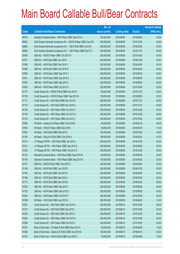|        |                                                                | No. of        |                     |               | <b>Amount raised</b> |
|--------|----------------------------------------------------------------|---------------|---------------------|---------------|----------------------|
| Code   | <b>Callable Bull/Bear Contracts</b>                            | issue (units) | <b>Listing date</b> | <b>Expiry</b> | $(HK$$ mil.)         |
| 66752  | Standard Chartered Bank - HSI R Bear CBBC Sep 2015 J           | 100,000,000   | 2015/06/08          | 2015/09/29    | 25.00                |
| 66852  | SGA Societe Generale Acceptance NV - HSCEI R Bear CBBC Dec15G  | 200,000,000   | 2015/06/08          | 2015/12/30    | 50.00                |
| 66859  | SGA Societe Generale Acceptance N.V. - HSI R Bull CBBC Feb16 X | 200,000,000   | 2015/06/08          | 2016/02/26    | 50.00                |
| 66865  | SGA Societe Generale Acceptance N.V. - HSI R Bear CBBC Nov15 V | 200,000,000   | 2015/06/08          | 2015/11/27    | 50.00                |
| 67080  | UBS AG - HSCEI R Bear CBBC Oct 2015 H                          | 200,000,000   | 2015/06/08          | 2015/10/29    | 50.00                |
| 67077  | UBS AG - HSI R Bull CBBC Jan 2016 I                            | 200,000,000   | 2015/06/08          | 2016/01/28    | 50.00                |
| 67065  | UBS AG - HSI R Bull CBBC Feb 2016 V                            | 200,000,000   | 2015/06/08          | 2016/02/26    | 50.00                |
| 67068  | UBS AG - HSI R Bull CBBC Feb 2016 W                            | 200,000,000   | 2015/06/08          | 2016/02/26    | 50.00                |
| 67009  | UBS AG - HSI R Bear CBBC Sep 2015 J                            | 200,000,000   | 2015/06/08          | 2015/09/29    | 50.00                |
| 67041  | UBS AG - HSI R Bear CBBC Sep 2015 K                            | 200,000,000   | 2015/06/08          | 2015/09/29    | 50.00                |
| 67053  | UBS AG - HSI R Bear CBBC Sep 2015 L                            | 200,000,000   | 2015/06/08          | 2015/09/29    | 50.00                |
| 67043  | UBS AG - HSI R Bear CBBC Oct 2015 O                            | 200,000,000   | 2015/06/08          | 2015/10/29    | 50.00                |
| 67137  | Credit Suisse AG - HSCEI R Bull CBBC Nov 2015 I                | 128,000,000   | 2015/06/09          | 2015/11/27    | 32.00                |
| 67128  | Credit Suisse AG - HSCEI R Bear CBBC Sep 2015 G                | 128,000,000   | 2015/06/09          | 2015/09/29    | 32.00                |
| 67111  | Credit Suisse AG - HSI R Bull CBBC Nov 2015 N                  | 200,000,000   | 2015/06/09          | 2015/11/27    | 50.00                |
| 67112  | Credit Suisse AG - HSI R Bull CBBC Nov 2015 O                  | 200,000,000   | 2015/06/09          | 2015/11/27    | 50.00                |
| 67138  | Credit Suisse AG - HSI R Bear CBBC Oct 2015 F                  | 200,000,000   | 2015/06/09          | 2015/10/29    | 50.00                |
| 67140  | Credit Suisse AG - HSI R Bear CBBC Oct 2015 G                  | 200,000,000   | 2015/06/09          | 2015/10/29    | 50.00                |
| 67143  | Credit Suisse AG - HSI R Bear CBBC Oct 2015 J                  | 200,000,000   | 2015/06/09          | 2015/10/29    | 50.00                |
| 67096  | HK Bank - Galaxy Ent R Bear CBBC Feb 2016 B                    | 60,000,000    | 2015/06/09          | 2016/02/18    | 36.00                |
| 67094  | HK Bank - HSCEI R Bear CBBC Mar 2016 I                         | 68,000,000    | 2015/06/09          | 2016/03/30    | 17.00                |
| 67093  | HK Bank - HSI R Bull CBBC Mar 2016 L                           | 100,000,000   | 2015/06/09          | 2016/03/30    | 25.00                |
| 67100  | HK Bank - Ping An R Bull CBBC Feb 2016 H                       | 188,000,000   | 2015/06/09          | 2016/02/24    | 47.00                |
| 67214  | J P Morgan SP BV - HSI R Bull CBBC Jan 2016 J                  | 200,000,000   | 2015/06/09          | 2016/01/28    | 50.00                |
| 67212  | J P Morgan SP BV - HSI R Bear CBBC Sep 2015 A                  | 200,000,000   | 2015/06/09          | 2015/09/29    | 50.00                |
| 67222  | J P Morgan SP BV - HSI R Bear CBBC Oct 2015 O                  | 200,000,000   | 2015/06/09          | 2015/10/29    | 50.00                |
| 67122  | Standard Chartered Bank - HSI R Bull CBBC Sep 2015 M           | 100,000,000   | 2015/06/09          | 2015/09/29    | 25.00                |
| 67144  | Standard Chartered Bank - HSI R Bear CBBC Sep 2015 K           | 100,000,000   | 2015/06/09          | 2015/09/29    | 25.00                |
| 67167  | UBS AG - HSCEI R Bull CBBC Feb 2016 C                          | 200,000,000   | 2015/06/09          | 2016/02/26    | 50.00                |
| 67149  | UBS AG - HSI R Bull CBBC Jan 2016 D                            | 200,000,000   | 2015/06/09          | 2016/01/28    | 50.00                |
| 67164  | UBS AG - HSI R Bull CBBC Feb 2016 X                            | 200,000,000   | 2015/06/09          | 2016/02/26    | 50.00                |
| 67166  | UBS AG - HSI R Bull CBBC Mar 2016 J                            | 200,000,000   | 2015/06/09          | 2016/03/30    | 50.00                |
| 67173  | UBS AG - HSI R Bull CBBC Mar 2016 K                            | 200,000,000   | 2015/06/09          | 2016/03/30    | 50.00                |
| 67203  | UBS AG - HSI R Bear CBBC Sep 2015 I                            | 200,000,000   | 2015/06/09          | 2015/09/29    | 50.00                |
| 67193  | UBS AG - HSI R Bear CBBC Sep 2015 O                            | 200,000,000   | 2015/06/09          | 2015/09/29    | 50.00                |
| 67204  | UBS AG - HSI R Bear CBBC Oct 2015 P                            | 200,000,000   | 2015/06/09          | 2015/10/29    | 50.00                |
| 63186# | HK Bank - HSI R Bull CBBC Apr 2016 G                           | 500,000,000   | 2015/06/09          | 2016/04/28    | 12.00                |
| 67291  | Credit Suisse AG - HSI R Bull CBBC Dec 2015 H                  | 200,000,000   | 2015/06/10          | 2015/12/30    | 50.00                |
| 67319  | Credit Suisse AG - HSI R Bull CBBC Dec 2015 I                  | 200,000,000   | 2015/06/10          | 2015/12/30    | 50.00                |
| 67329  | Credit Suisse AG - HSI R Bull CBBC Dec 2015 J                  | 200,000,000   | 2015/06/10          | 2015/12/30    | 50.00                |
| 67265  | Credit Suisse AG - HSI R Bear CBBC Oct 2015 H                  | 200,000,000   | 2015/06/10          | 2015/10/29    | 50.00                |
| 67268  | Credit Suisse AG - HSI R Bear CBBC Oct 2015 I                  | 200,000,000   | 2015/06/10          | 2015/10/29    | 50.00                |
| 67273  | Bank of East Asia - CC Bank R Bull CBBC May 2016 A             | 60,000,000    | 2015/06/10          | 2016/05/26    | 15.00                |
| 67288  | Bank of East Asia - Galaxy Ent R Bull CBBC Apr 2016 B          | 120,000,000   | 2015/06/10          | 2016/04/15    | 30.00                |
| 67274  | Bank of East Asia - PetCh R Bull CBBC Apr 2016 A               | 50,000,000    | 2015/06/10          | 2016/04/26    | 12.50                |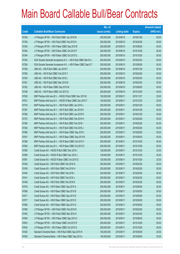|       |                                                                | No. of        |                     |               | <b>Amount raised</b> |
|-------|----------------------------------------------------------------|---------------|---------------------|---------------|----------------------|
| Code  | <b>Callable Bull/Bear Contracts</b>                            | issue (units) | <b>Listing date</b> | <b>Expiry</b> | (HK\$ mil.)          |
| 67338 | J P Morgan SP BV - HSI R Bull CBBC Jan 2016 M                  | 200,000,000   | 2015/06/10          | 2016/01/28    | 50.00                |
| 67339 | J P Morgan SP BV - HSI R Bull CBBC Feb 2016 N                  | 200,000,000   | 2015/06/10          | 2016/02/26    | 50.00                |
| 67340 | J P Morgan SP BV - HSI R Bear CBBC Sep 2015 B                  | 200,000,000   | 2015/06/10          | 2015/09/29    | 50.00                |
| 67264 | J P Morgan SP BV - HSI R Bear CBBC Oct 2015 P                  | 200,000,000   | 2015/06/10          | 2015/10/29    | 50.00                |
| 67344 | J P Morgan SP BV - HSI R Bear CBBC Oct 2015 Q                  | 200,000,000   | 2015/06/10          | 2015/10/29    | 50.00                |
| 67234 | SGA Societe Generale Acceptance N.V. - HSI R Bull CBBC Mar16 A | 200,000,000   | 2015/06/10          | 2016/03/30    | 50.00                |
| 67256 | SGA Societe Generale Acceptance N.V. - HSI R Bear CBBC Sep15 T | 200,000,000   | 2015/06/10          | 2015/09/29    | 50.00                |
| 67356 | UBS AG - HSI R Bull CBBC Jan 2016 F                            | 200,000,000   | 2015/06/10          | 2016/01/28    | 50.00                |
| 67365 | UBS AG - HSI R Bull CBBC Feb 2016 Y                            | 200,000,000   | 2015/06/10          | 2016/02/26    | 50.00                |
| 67354 | UBS AG - HSI R Bull CBBC Mar 2016 L                            | 200,000,000   | 2015/06/10          | 2016/03/30    | 50.00                |
| 67361 | UBS AG - HSI R Bull CBBC Mar 2016 M                            | 200,000,000   | 2015/06/10          | 2016/03/30    | 50.00                |
| 67352 | UBS AG - HSI R Bear CBBC Sep 2015 M                            | 200,000,000   | 2015/06/10          | 2015/09/29    | 50.00                |
| 67348 | UBS AG - HSI R Bear CBBC Oct 2015 Q                            | 200,000,000   | 2015/06/10          | 2015/10/29    | 50.00                |
| 67525 | BNP Paribas Arbit Issu B.V. - HSCEI R Bull CBBC Nov 2015 B     | 100,000,000   | 2015/06/11          | 2015/11/27    | 25.00                |
| 67531 | BNP Paribas Arbit Issu B.V. - HSCEI R Bear CBBC Dec 2015 T     | 100,000,000   | 2015/06/11          | 2015/12/30    | 25.00                |
| 67375 | BNP Paribas Arbit Issu B.V. - HSI R Bull CBBC Jan 2016 J       | 200,000,000   | 2015/06/11          | 2016/01/28    | 50.00                |
| 67387 | BNP Paribas Arbit Issu B.V. - HSI R Bull CBBC Jan 2016 K       | 200,000,000   | 2015/06/11          | 2016/01/28    | 50.00                |
| 67366 | BNP Paribas Arbit Issu B.V. - HSI R Bull CBBC Jan 2016 R       | 200,000,000   | 2015/06/11          | 2016/01/28    | 50.00                |
| 67372 | BNP Paribas Arbit Issu B.V. - HSI R Bull CBBC Feb 2016 H       | 200,000,000   | 2015/06/11          | 2016/02/26    | 50.00                |
| 67380 | BNP Paribas Arbit Issu B.V. - HSI R Bull CBBC Feb 2016 I       | 200,000,000   | 2015/06/11          | 2016/02/26    | 50.00                |
| 67392 | BNP Paribas Arbit Issu B.V. - HSI R Bull CBBC Feb 2016 J       | 200,000,000   | 2015/06/11          | 2016/02/26    | 50.00                |
| 67566 | BNP Paribas Arbit Issu B.V. - HSI R Bear CBBC Sep 2015 I       | 200,000,000   | 2015/06/11          | 2015/09/29    | 50.00                |
| 67547 | BNP Paribas Arbit Issu B.V. - HSI R Bear CBBC Sep 2015 N       | 200,000,000   | 2015/06/11          | 2015/09/29    | 50.00                |
| 67368 | BNP Paribas Arbit Issu B.V. - HSI R Bear CBBC Oct 2015 Y       | 200,000,000   | 2015/06/11          | 2015/10/29    | 50.00                |
| 67562 | BNP Paribas Arbit Issu B.V. - HSI R Bear CBBC Oct 2015 Z       | 200,000,000   | 2015/06/11          | 2015/10/29    | 50.00                |
| 67585 | Credit Suisse AG - HSCEI R Bull CBBC Dec 2015 I                | 128,000,000   | 2015/06/11          | 2015/12/30    | 32.00                |
| 67586 | Credit Suisse AG - HSCEI R Bull CBBC Dec 2015 J                | 128,000,000   | 2015/06/11          | 2015/12/30    | 32.00                |
| 67581 | Credit Suisse AG - HSCEI R Bear CBBC Oct 2015 G                | 128,000,000   | 2015/06/11          | 2015/10/29    | 32.00                |
| 67426 | Credit Suisse AG - HSI R Bull CBBC Feb 2016 G                  | 200,000,000   | 2015/06/11          | 2016/02/26    | 50.00                |
| 67438 | Credit Suisse AG - HSI R Bull CBBC Feb 2016 H                  | 200,000,000   | 2015/06/11          | 2016/02/26    | 50.00                |
| 67440 | Credit Suisse AG - HSI R Bull CBBC Feb 2016 I                  | 200,000,000   | 2015/06/11          | 2016/02/26    | 50.00                |
| 67441 | Credit Suisse AG - HSI R Bull CBBC Feb 2016 J                  | 200,000,000   | 2015/06/11          | 2016/02/26    | 50.00                |
| 67448 | Credit Suisse AG - HSI R Bull CBBC Feb 2016 K                  | 200,000,000   | 2015/06/11          | 2016/02/26    | 50.00                |
| 67579 | Credit Suisse AG - HSI R Bear CBBC Sep 2015 A                  | 200,000,000   | 2015/06/11          | 2015/09/29    | 50.00                |
| 67568 | Credit Suisse AG - HSI R Bear CBBC Sep 2015 B                  | 200,000,000   | 2015/06/11          | 2015/09/29    | 50.00                |
| 67571 | Credit Suisse AG - HSI R Bear CBBC Sep 2015 D                  | 200,000,000   | 2015/06/11          | 2015/09/29    | 50.00                |
| 67577 | Credit Suisse AG - HSI R Bear CBBC Sep 2015 E                  | 200,000,000   | 2015/06/11          | 2015/09/29    | 50.00                |
| 67580 | Credit Suisse AG - HSI R Bear CBBC Sep 2015 G                  | 200,000,000   | 2015/06/11          | 2015/09/29    | 50.00                |
| 67480 | J P Morgan SP BV - HSI R Bull CBBC Feb 2016 R                  | 200,000,000   | 2015/06/11          | 2016/02/26    | 50.00                |
| 67492 | J P Morgan SP BV - HSI R Bull CBBC Mar 2016 H                  | 200,000,000   | 2015/06/11          | 2016/03/30    | 50.00                |
| 67594 | J P Morgan SP BV - HSI R Bear CBBC Sep 2015 C                  | 200,000,000   | 2015/06/11          | 2015/09/29    | 50.00                |
| 67603 | J P Morgan SP BV - HSI R Bear CBBC Oct 2015 R                  | 200,000,000   | 2015/06/11          | 2015/10/29    | 50.00                |
| 67642 | J P Morgan SP BV - HSI R Bear CBBC Oct 2015 S                  | 200,000,000   | 2015/06/11          | 2015/10/29    | 50.00                |
| 67425 | Standard Chartered Bank - HSI R Bull CBBC Sep 2015 N           | 100,000,000   | 2015/06/11          | 2015/09/29    | 25.00                |
| 67505 | Standard Chartered Bank - HSI R Bear CBBC Sep 2015 L           | 100,000,000   | 2015/06/11          | 2015/09/29    | 25.00                |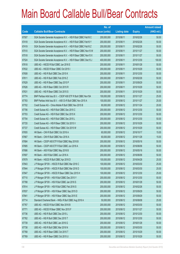|       |                                                                | No. of        |                     |               | <b>Amount raised</b> |
|-------|----------------------------------------------------------------|---------------|---------------------|---------------|----------------------|
| Code  | <b>Callable Bull/Bear Contracts</b>                            | issue (units) | <b>Listing date</b> | <b>Expiry</b> | $(HK$$ mil.)         |
| 67507 | SGA Societe Generale Acceptance N.V. - HSI R Bull CBBC Feb16 C | 200,000,000   | 2015/06/11          | 2016/02/26    | 50.00                |
| 67418 | SGA Societe Generale Acceptance N.V. - HSI R Bull CBBC Feb16 Y | 200,000,000   | 2015/06/11          | 2016/02/26    | 50.00                |
| 67419 | SGA Societe Generale Acceptance N.V. - HSI R Bull CBBC Feb16 Z | 200,000,000   | 2015/06/11          | 2016/02/26    | 50.00                |
| 67510 | SGA Societe Generale Acceptance N.V. - HSI R Bear CBBC Nov15 W | 200,000,000   | 2015/06/11          | 2015/11/27    | 50.00                |
| 67518 | SGA Societe Generale Acceptance N.V. - HSI R Bear CBBC Nov15 X | 200,000,000   | 2015/06/11          | 2015/11/27    | 50.00                |
| 67524 | SGA Societe Generale Acceptance N.V. - HSI R Bear CBBC Dec15 J | 400,000,000   | 2015/06/11          | 2015/12/30    | 100.00               |
| 67618 | UBS AG - HSCEI R Bull CBBC Jan 2016 E                          | 200,000,000   | 2015/06/11          | 2016/01/28    | 50.00                |
| 67632 | UBS AG - HSCEI R Bear CBBC Oct 2015 I                          | 200,000,000   | 2015/06/11          | 2015/10/29    | 50.00                |
| 67608 | UBS AG - HSI R Bull CBBC Dec 2015 K                            | 200,000,000   | 2015/06/11          | 2015/12/30    | 50.00                |
| 67611 | UBS AG - HSI R Bull CBBC Feb 2016 Z                            | 200,000,000   | 2015/06/11          | 2016/02/26    | 50.00                |
| 67629 | UBS AG - HSI R Bear CBBC Sep 2015 P                            | 200,000,000   | 2015/06/11          | 2015/09/29    | 50.00                |
| 67626 | UBS AG - HSI R Bear CBBC Oct 2015 R                            | 200,000,000   | 2015/06/11          | 2015/10/29    | 50.00                |
| 67631 | UBS AG - HSI R Bear CBBC Oct 2015 S                            | 200,000,000   | 2015/06/11          | 2015/10/29    | 50.00                |
| 67774 | BNP Paribas Arbit Issu B.V. - CSOP A50 ETF R Bull CBBC Nov15A  | 100,000,000   | 2015/06/12          | 2015/11/27    | 25.00                |
| 67783 | BNP Paribas Arbit Issu B.V. - A50 Ch R Bull CBBC Nov 2015 A    | 100,000,000   | 2015/06/12          | 2015/11/27    | 25.00                |
| 67702 | Credit Suisse AG - China Mobile R Bull CBBC Nov 2015 B         | 80,000,000    | 2015/06/12          | 2015/11/24    | 20.00                |
| 67706 | Credit Suisse AG - HSI R Bull CBBC Dec 2015 C                  | 200,000,000   | 2015/06/12          | 2015/12/30    | 50.00                |
| 67703 | Credit Suisse AG - HSI R Bull CBBC Dec 2015 K                  | 200,000,000   | 2015/06/12          | 2015/12/30    | 50.00                |
| 67704 | Credit Suisse AG - HSI R Bull CBBC Dec 2015 L                  | 200,000,000   | 2015/06/12          | 2015/12/30    | 50.00                |
| 67720 | Credit Suisse AG - HSI R Bear CBBC Oct 2015 V                  | 200,000,000   | 2015/06/12          | 2015/10/29    | 50.00                |
| 67727 | Credit Suisse AG - HSI R Bear CBBC Oct 2015 W                  | 200,000,000   | 2015/06/12          | 2015/10/29    | 50.00                |
| 67655 | HK Bank - CKH R Bull CBBC Oct 2016 A                           | 60,000,000    | 2015/06/12          | 2016/10/17    | 15.00                |
| 67667 | HK Bank - CKH R Bull CBBC Nov 2016 A                           | 60,000,000    | 2015/06/12          | 2016/11/28    | 15.00                |
| 67684 | HK Bank - CSOP A50 ETF R Bull CBBC May 2016 B                  | 200,000,000   | 2015/06/12          | 2016/05/16    | 50.00                |
| 67685 | HK Bank - CSOP A50 ETF R Bull CBBC Jun 2016 A                  | 200,000,000   | 2015/06/12          | 2016/06/06    | 50.00                |
| 67686 | HK Bank - A50 R Bull CBBC May 2016 B                           | 200,000,000   | 2015/06/12          | 2016/05/16    | 50.00                |
| 67697 | HK Bank - A50 R Bull CBBC Jun 2016 A                           | 200,000,000   | 2015/06/12          | 2016/06/06    | 50.00                |
| 67679 | HK Bank - HSCEI R Bull CBBC Apr 2016 D                         | 100,000,000   | 2015/06/12          | 2016/04/28    | 25.00                |
| 67843 | JP Morgan SP BV - HSCEIR Bull CBBC Mar 2016 C                  | 100,000,000   | 2015/06/12          | 2016/03/30    | 25.00                |
| 67844 | J P Morgan SP BV - HSCEI R Bull CBBC Mar 2016 D                | 100,000,000   | 2015/06/12          | 2016/03/30    | 25.00                |
| 67847 | J P Morgan SP BV - HSCEI R Bear CBBC Dec 2015 H                | 100,000,000   | 2015/06/12          | 2015/12/30    | 25.00                |
| 67710 | J P Morgan SP BV - HSI R Bull CBBC Dec 2015 Y                  | 200,000,000   | 2015/06/12          | 2015/12/30    | 50.00                |
| 67788 | J P Morgan SP BV - HSI R Bull CBBC Jan 2016 S                  | 200,000,000   | 2015/06/12          | 2016/01/28    | 50.00                |
| 67814 | J P Morgan SP BV - HSI R Bull CBBC Feb 2016 S                  | 200,000,000   | 2015/06/12          | 2016/02/26    | 50.00                |
| 67837 | JP Morgan SP BV - HSI R Bear CBBC Sep 2015 D                   | 200,000,000   | 2015/06/12          | 2015/09/29    | 50.00                |
| 67841 | J P Morgan SP BV - HSI R Bear CBBC Sep 2015 E                  | 200,000,000   | 2015/06/12          | 2015/09/29    | 50.00                |
| 67714 | Standard Chartered Bank - HKEx R Bull CBBC Aug 2016 A          | 50,000,000    | 2015/06/12          | 2016/08/08    | 25.00                |
| 67767 | UBS AG - HSCEI R Bull CBBC Mar 2016 B                          | 200,000,000   | 2015/06/12          | 2016/03/30    | 50.00                |
| 67771 | UBS AG - HSCEI R Bear CBBC Nov 2015 F                          | 200,000,000   | 2015/06/12          | 2015/11/27    | 50.00                |
| 67736 | UBS AG - HSI R Bull CBBC Dec 2015 L                            | 200,000,000   | 2015/06/12          | 2015/12/30    | 50.00                |
| 67762 | UBS AG - HSI R Bull CBBC Dec 2015 T                            | 200,000,000   | 2015/06/12          | 2015/12/30    | 50.00                |
| 67739 | UBS AG - HSI R Bull CBBC Jan 2016 G                            | 200,000,000   | 2015/06/12          | 2016/01/28    | 50.00                |
| 67738 | UBS AG - HSI R Bull CBBC Mar 2016 N                            | 200,000,000   | 2015/06/12          | 2016/03/30    | 50.00                |
| 67768 | UBS AG - HSI R Bear CBBC Oct 2015 T                            | 200,000,000   | 2015/06/12          | 2015/10/29    | 50.00                |
| 67769 | UBS AG - HSI R Bear CBBC Oct 2015 U                            | 200,000,000   | 2015/06/12          | 2015/10/29    | 50.00                |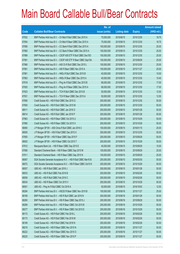|             |                                                                | No. of        |                     |               | <b>Amount raised</b> |
|-------------|----------------------------------------------------------------|---------------|---------------------|---------------|----------------------|
| <b>Code</b> | <b>Callable Bull/Bear Contracts</b>                            | issue (units) | <b>Listing date</b> | <b>Expiry</b> | $(HK$$ mil.)         |
| 67932       | BNP Paribas Arbit Issu B.V. - Ch Mob R Bull CBBC Dec 2015 A    | 75,000,000    | 2015/06/15          | 2015/12/30    | 18.75                |
| 67954       | BNP Paribas Arbit Issu B.V. - Ch Mob R Bear CBBC Dec 2015 A    | 75,000,000    | 2015/06/15          | 2015/12/30    | 18.75                |
| 67956       | BNP Paribas Arbit Issu B.V. - CC Bank R Bull CBBC Dec 2015 A   | 100,000,000   | 2015/06/15          | 2015/12/30    | 25.00                |
| 67960       | BNP Paribas Arbit Issu B.V. - CC Bank R Bear CBBC Dec 2015 A   | 100,000,000   | 2015/06/15          | 2015/12/30    | 25.00                |
| 67989       | BNP Paribas Arbit Issu B.V. - CSOP A50 ETF R Bull CBBC Dec150  | 100,000,000   | 2015/06/15          | 2015/12/30    | 25.00                |
| 67991       | BNP Paribas Arbit Issu B.V. - CSOP A50 ETF R Bear CBBC Sep15A  | 100,000,000   | 2015/06/15          | 2015/09/29    | 25.00                |
| 67966       | BNP Paribas Arbit Issu B.V. - A50 Ch R Bull CBBC Dec 2015 L    | 100,000,000   | 2015/06/15          | 2015/12/30    | 25.00                |
| 67981       | BNP Paribas Arbit Issu B.V. - A50 R Bear CBBC Nov 2015 A       | 100,000,000   | 2015/06/15          | 2015/11/27    | 25.00                |
| 67961       | BNP Paribas Arbit Issu B.V. - HKEx R Bull CBBC Dec 2015 B      | 40,000,000    | 2015/06/15          | 2015/12/30    | 10.00                |
| 67963       | BNP Paribas Arbit Issu B.V. - HKEx R Bear CBBC Dec 2015 A      | 40,000,000    | 2015/06/15          | 2015/12/30    | 10.40                |
| 67918       | BNP Paribas Arbit Issu B.V. - Ping An R Bull CBBC Dec 2015 B   | 68,000,000    | 2015/06/15          | 2015/12/30    | 17.00                |
| 67920       | BNP Paribas Arbit Issu B.V. - Ping An R Bear CBBC Dec 2015 A   | 68,000,000    | 2015/06/15          | 2015/12/30    | 17.00                |
| 67923       | BNP Paribas Arbit Issu B.V. - TCH R Bull CBBC Dec 2015 B       | 50,000,000    | 2015/06/15          | 2015/12/30    | 12.50                |
| 67931       | BNP Paribas Arbit Issu B.V. - TCH R Bear CBBC Dec 2015 A       | 50,000,000    | 2015/06/15          | 2015/12/30    | 12.50                |
| 67890       | Credit Suisse AG - HSI R Bull CBBC Dec 2015 G                  | 200,000,000   | 2015/06/15          | 2015/12/30    | 50.00                |
| 67900       | Credit Suisse AG - HSI R Bull CBBC Dec 2015 M                  | 200,000,000   | 2015/06/15          | 2015/12/30    | 50.00                |
| 68011       | Credit Suisse AG - HSI R Bull CBBC Jan 2016 O                  | 200,000,000   | 2015/06/15          | 2016/01/28    | 50.00                |
| 68014       | Credit Suisse AG - HSI R Bull CBBC Jan 2016 P                  | 200,000,000   | 2015/06/15          | 2016/01/28    | 50.00                |
| 67863       | Credit Suisse AG - HSI R Bear CBBC Oct 2015 U                  | 200,000,000   | 2015/06/15          | 2015/10/29    | 50.00                |
| 67880       | Credit Suisse AG - HSI R Bear CBBC Oct 2015 X                  | 200,000,000   | 2015/06/15          | 2015/10/29    | 50.00                |
| 68060       | J P Morgan SP BV - A50 China R Bull CBBC Jan 2016 C            | 100,000,000   | 2015/06/15          | 2016/01/15    | 25.00                |
| 68005       | J P Morgan SP BV - HSI R Bull CBBC Dec 2015 X                  | 200,000,000   | 2015/06/15          | 2015/12/30    | 50.00                |
| 67855       | J P Morgan SP BV - HSI R Bear CBBC Sep 2015 F                  | 200,000,000   | 2015/06/15          | 2015/09/29    | 50.00                |
| 68002       | J P Morgan SP BV - HSI R Bear CBBC Oct 2015 T                  | 200,000,000   | 2015/06/15          | 2015/10/29    | 50.00                |
| 67912       | Macquarie Bank Ltd. - HSI R Bear CBBC Sep 2015 E               | 40,000,000    | 2015/06/15          | 2015/09/29    | 10.00                |
| 67906       | Standard Chartered Bank - HSI R Bear CBBC Sep 2015 M           | 100,000,000   | 2015/06/15          | 2015/09/29    | 25.00                |
| 67911       | Standard Chartered Bank - HSI R Bear CBBC Sep 2015 N           | 100,000,000   | 2015/06/15          | 2015/09/29    | 25.00                |
| 68067       | SGA Societe Generale Acceptance N.V. - HSI R Bull CBBC Mar16 B | 200,000,000   | 2015/06/15          | 2016/03/30    | 50.00                |
| 68072       | SGA Societe Generale Acceptance N.V. - HSI R Bear CBBC Oct15 K | 200,000,000   | 2015/06/15          | 2015/10/29    | 50.00                |
| 68057       | UBS AG - HSI R Bull CBBC Jan 2016 J                            | 200,000,000   | 2015/06/15          | 2016/01/28    | 50.00                |
| 68033       | UBS AG - HSI R Bull CBBC Feb 2016 B                            | 200,000,000   | 2015/06/15          | 2016/02/26    | 50.00                |
| 68059       | UBS AG - HSI R Bull CBBC Feb 2016 C                            | 200,000,000   | 2015/06/15          | 2016/02/26    | 50.00                |
| 68034       | UBS AG - HSI R Bear CBBC Oct 2015 V                            | 200,000,000   | 2015/06/15          | 2015/10/29    | 50.00                |
| 68051       | UBS AG - Ping An R Bull CBBC Oct 2016 A                        | 50,000,000    | 2015/06/15          | 2016/10/03    | 12.50                |
| 68284       | BNP Paribas Arbit Issu B.V. - HSCEI R Bear CBBC Nov 2015 B     | 100,000,000   | 2015/06/16          | 2015/11/27    | 25.00                |
| 68169       | BNP Paribas Arbit Issu B.V. - HSI R Bull CBBC Jan 2016 N       | 200,000,000   | 2015/06/16          | 2016/01/28    | 50.00                |
| 68265       | BNP Paribas Arbit Issu B.V. - HSI R Bear CBBC Sep 2015 J       | 200,000,000   | 2015/06/16          | 2015/09/29    | 50.00                |
| 68289       | BNP Paribas Arbit Issu B.V. - HSI R Bear CBBC Oct 2015 B       | 200,000,000   | 2015/06/16          | 2015/10/29    | 50.00                |
| 68277       | BNP Paribas Arbit Issu B.V. - HSI R Bear CBBC Oct 2015 E       | 200,000,000   | 2015/06/16          | 2015/10/29    | 50.00                |
| 68172       | Credit Suisse AG - HSI R Bull CBBC Feb 2016 L                  | 200,000,000   | 2015/06/16          | 2016/02/26    | 50.00                |
| 68173       | Credit Suisse AG - HSI R Bull CBBC Feb 2016 M                  | 200,000,000   | 2015/06/16          | 2016/02/26    | 50.00                |
| 68189       | Credit Suisse AG - HSI R Bull CBBC Feb 2016 N                  | 200,000,000   | 2015/06/16          | 2016/02/26    | 50.00                |
| 68216       | Credit Suisse AG - HSI R Bear CBBC Nov 2015 N                  | 200,000,000   | 2015/06/16          | 2015/11/27    | 50.00                |
| 68222       | Credit Suisse AG - HSI R Bear CBBC Nov 2015 O                  | 200,000,000   | 2015/06/16          | 2015/11/27    | 50.00                |
| 68225       | Credit Suisse AG - HSI R Bear CBBC Nov 2015 P                  | 200,000,000   | 2015/06/16          | 2015/11/27    | 50.00                |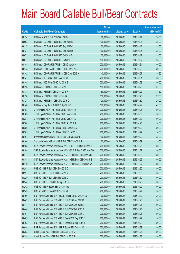|       |                                                                | No. of        |                     |               | <b>Amount raised</b> |
|-------|----------------------------------------------------------------|---------------|---------------------|---------------|----------------------|
| Code  | <b>Callable Bull/Bear Contracts</b>                            | issue (units) | <b>Listing date</b> | <b>Expiry</b> | $(HK$$ mil.)         |
| 68124 | HK Bank - ABC R Bull CBBC Oct 2016 A                           | 80,000,000    | 2015/06/16          | 2016/10/17    | 20.00                |
| 68092 | HK Bank - CC Bank R Bull CBBC Sep 2016 B                       | 100,000,000   | 2015/06/16          | 2016/09/01    | 25.00                |
| 68117 | HK Bank - CC Bank R Bull CBBC Sep 2016 C                       | 100,000,000   | 2015/06/16          | 2016/09/12    | 25.00                |
| 68121 | HK Bank - CC Bank R Bull CBBC Sep 2016 D                       | 100,000,000   | 2015/06/16          | 2016/09/05    | 25.00                |
| 68073 | HK Bank - CC Bank R Bull CBBC Oct 2016 A                       | 100,000,000   | 2015/06/16          | 2016/10/17    | 25.00                |
| 68077 | HK Bank - CC Bank R Bull CBBC Oct 2016 B                       | 100,000,000   | 2015/06/16          | 2016/10/07    | 25.00                |
| 68144 | HK Bank - CSOP A50 ETF R Bull CBBC Mar 2016 I                  | 200,000,000   | 2015/06/16          | 2016/03/31    | 50.00                |
| 68143 | HK Bank - CSOP A50 ETF R Bull CBBC Apr 2016 D                  | 200,000,000   | 2015/06/16          | 2016/04/29    | 50.00                |
| 68142 | HK Bank - CSOP A50 ETF R Bear CBBC Jun 2016 A                  | 40,000,000    | 2015/06/16          | 2016/06/27    | 15.20                |
| 68147 | HK Bank - A50 R Bull CBBC Mar 2016 H                           | 200,000,000   | 2015/06/16          | 2016/03/31    | 50.00                |
| 68145 | HK Bank - A50 R Bull CBBC Apr 2016 E                           | 200,000,000   | 2015/06/16          | 2016/04/29    | 50.00                |
| 68126 | HK Bank - HSI R Bull CBBC Jun 2016 E                           | 150,000,000   | 2015/06/16          | 2016/06/29    | 37.50                |
| 68133 | HK Bank - HSI R Bull CBBC Jun 2016 F                           | 150,000,000   | 2015/06/16          | 2016/06/29    | 37.50                |
| 68128 | HK Bank - HSI R Bull CBBC Jul 2016 A                           | 150,000,000   | 2015/06/16          | 2016/07/28    | 37.50                |
| 68127 | HK Bank - HSI R Bear CBBC Mar 2016 Q                           | 100,000,000   | 2015/06/16          | 2016/03/30    | 25.00                |
| 68148 | HK Bank - Ping An R Bull CBBC Apr 2016 G                       | 188,000,000   | 2015/06/16          | 2016/04/29    | 47.00                |
| 68153 | J P Morgan SP BV - HSI R Bull CBBC Feb 2016 K                  | 200,000,000   | 2015/06/16          | 2016/02/26    | 50.00                |
| 68163 | J P Morgan SP BV - HSI R Bull CBBC Mar 2016 I                  | 200,000,000   | 2015/06/16          | 2016/03/30    | 50.00                |
| 68287 | J P Morgan SP BV - HSI R Bull CBBC Mar 2016 J                  | 200,000,000   | 2015/06/16          | 2016/03/30    | 50.00                |
| 68288 | J P Morgan SP BV - HSI R Bull CBBC Apr 2016 A                  | 200,000,000   | 2015/06/16          | 2016/04/28    | 50.00                |
| 68286 | J P Morgan SP BV - HSI R Bear CBBC Sep 2015 G                  | 200,000,000   | 2015/06/16          | 2015/09/29    | 50.00                |
| 68285 | J P Morgan SP BV - HSI R Bear CBBC Oct 2015 U                  | 200,000,000   | 2015/06/16          | 2015/10/29    | 50.00                |
| 68164 | Standard Chartered Bank - HSI R Bull CBBC Sep 2015 O           | 100,000,000   | 2015/06/16          | 2015/09/29    | 25.00                |
| 68166 | Standard Chartered Bank - HSI R Bull CBBC Sep 2015 P           | 100,000,000   | 2015/06/16          | 2015/09/29    | 25.00                |
| 68185 | SGA Societe Generale Acceptance NV - HSCEI R Bull CBBC Jan16F  | 200,000,000   | 2015/06/16          | 2016/01/28    | 50.00                |
| 68188 | SGA Societe Generale Acceptance NV - HSCEI R Bear CBBC Nov15G  | 200,000,000   | 2015/06/16          | 2015/11/27    | 50.00                |
| 68177 | SGA Societe Generale Acceptance N.V. - HSI R Bull CBBC Mar16 C | 200,000,000   | 2015/06/16          | 2016/03/30    | 50.00                |
| 68181 | SGA Societe Generale Acceptance N.V. - HSI R Bear CBBC Oct15 S | 200,000,000   | 2015/06/16          | 2015/10/29    | 50.00                |
| 68179 | SGA Societe Generale Acceptance N.V. - HSI R Bear CBBC Nov15 Y | 200,000,000   | 2015/06/16          | 2015/11/27    | 50.00                |
| 68241 | UBS AG - HSI R Bull CBBC Dec 2015 O                            | 200,000,000   | 2015/06/16          | 2015/12/30    | 50.00                |
| 68227 | UBS AG - HSI R Bull CBBC Dec 2015 V                            | 200,000,000   | 2015/06/16          | 2015/12/30    | 50.00                |
| 68229 | UBS AG - HSI R Bull CBBC Mar 2016 O                            | 200,000,000   | 2015/06/16          | 2016/03/30    | 50.00                |
| 68244 | UBS AG - HSI R Bear CBBC Sep 2015 Q                            | 200,000,000   | 2015/06/16          | 2015/09/29    | 50.00                |
| 68242 | UBS AG - HSI R Bear CBBC Oct 2015 W                            | 200,000,000   | 2015/06/16          | 2015/10/29    | 50.00                |
| 68243 | UBS AG - HSI R Bear CBBC Oct 2015 X                            | 200,000,000   | 2015/06/16          | 2015/10/29    | 50.00                |
| 68490 | BNP Paribas Arbit Issu B.V. - HSCEI R Bear CBBC Dec 2015 U     | 100,000,000   | 2015/06/17          | 2015/12/30    | 25.00                |
| 68442 | BNP Paribas Arbit Issu B.V. - HSI R Bull CBBC Jan 2016 M       | 200,000,000   | 2015/06/17          | 2016/01/28    | 50.00                |
| 68447 | BNP Paribas Arbit Issu B.V. - HSI R Bull CBBC Jan 2016 S       | 200,000,000   | 2015/06/17          | 2016/01/28    | 50.00                |
| 68446 | BNP Paribas Arbit Issu B.V. - HSI R Bull CBBC Feb 2016 K       | 200,000,000   | 2015/06/17          | 2016/02/26    | 50.00                |
| 68451 | BNP Paribas Arbit Issu B.V. - HSI R Bull CBBC Feb 2016 L       | 200,000,000   | 2015/06/17          | 2016/02/26    | 50.00                |
| 68489 | BNP Paribas Arbit Issu B.V. - HSI R Bear CBBC Sep 2015 F       | 200,000,000   | 2015/06/17          | 2015/09/29    | 50.00                |
| 68463 | BNP Paribas Arbit Issu B.V. - HSI R Bear CBBC Sep 2015 H       | 200,000,000   | 2015/06/17          | 2015/09/29    | 50.00                |
| 68488 | BNP Paribas Arbit Issu B.V. - HSI R Bear CBBC Oct 2015 C       | 200,000,000   | 2015/06/17          | 2015/10/29    | 50.00                |
| 68353 | Credit Suisse AG - HSI R Bull CBBC Jan 2016 Q                  | 200,000,000   | 2015/06/17          | 2016/01/28    | 50.00                |
| 68355 | Credit Suisse AG - HSI R Bull CBBC Jan 2016 R                  | 200,000,000   | 2015/06/17          | 2016/01/28    | 50.00                |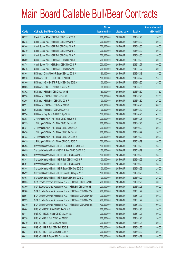|       |                                                                | No. of        |                     |               | <b>Amount raised</b> |
|-------|----------------------------------------------------------------|---------------|---------------------|---------------|----------------------|
| Code  | <b>Callable Bull/Bear Contracts</b>                            | issue (units) | <b>Listing date</b> | <b>Expiry</b> | $(HK$$ mil.)         |
| 68357 | Credit Suisse AG - HSI R Bull CBBC Jan 2016 S                  | 200,000,000   | 2015/06/17          | 2016/01/28    | 50.00                |
| 68345 | Credit Suisse AG - HSI R Bull CBBC Mar 2016 A                  | 200,000,000   | 2015/06/17          | 2016/03/30    | 50.00                |
| 68346 | Credit Suisse AG - HSI R Bull CBBC Mar 2016 B                  | 200,000,000   | 2015/06/17          | 2016/03/30    | 50.00                |
| 68349 | Credit Suisse AG - HSI R Bull CBBC Mar 2016 C                  | 200,000,000   | 2015/06/17          | 2016/03/30    | 50.00                |
| 68351 | Credit Suisse AG - HSI R Bull CBBC Mar 2016 D                  | 200,000,000   | 2015/06/17          | 2016/03/30    | 50.00                |
| 68369 | Credit Suisse AG - HSI R Bear CBBC Oct 2015 E                  | 200,000,000   | 2015/06/17          | 2015/10/29    | 50.00                |
| 68374 | Credit Suisse AG - HSI R Bear CBBC Nov 2015 R                  | 200,000,000   | 2015/06/17          | 2015/11/27    | 50.00                |
| 68376 | Credit Suisse AG - HSI R Bear CBBC Nov 2015 S                  | 200,000,000   | 2015/06/17          | 2015/11/27    | 50.00                |
| 68304 | HK Bank - China Mobile R Bear CBBC Jul 2016 A                  | 60,000,000    | 2015/06/17          | 2016/07/18    | 15.00                |
| 68310 | HK Bank - HKEx R Bull CBBC Jun 2016 H                          | 100,000,000   | 2015/06/17          | 2016/06/27    | 25.00                |
| 68300 | HK Bank - HS H-SH ETF R Bull CBBC Sep 2016 A                   | 100,000,000   | 2015/06/17          | 2016/09/30    | 25.00                |
| 68303 | HK Bank - HSCEI R Bear CBBC May 2016 E                         | 68,000,000    | 2015/06/17          | 2016/05/30    | 17.00                |
| 68302 | HK Bank - HSI R Bull CBBC May 2016 B                           | 150,000,000   | 2015/06/17          | 2016/05/30    | 37.50                |
| 68290 | HK Bank - HSI R Bull CBBC Jul 2016 B                           | 150,000,000   | 2015/06/17          | 2016/07/28    | 37.50                |
| 68295 | HK Bank - HSI R Bear CBBC Mar 2016 R                           | 100,000,000   | 2015/06/17          | 2016/03/30    | 25.00                |
| 68291 | HK Bank - HSI R Bear CBBC Apr 2016 O                           | 400,000,000   | 2015/06/17          | 2016/04/28    | 100.00               |
| 68301 | HK Bank - HSI R Bear CBBC May 2016 I                           | 100,000,000   | 2015/06/17          | 2016/05/30    | 25.00                |
| 68294 | HK Bank - Ping An R Bull CBBC Apr 2016 H                       | 188,000,000   | 2015/06/17          | 2016/04/25    | 47.00                |
| 68358 | J P Morgan SP BV - HSI R Bull CBBC Jan 2016 T                  | 200,000,000   | 2015/06/17          | 2016/01/28    | 50.00                |
| 68359 | J P Morgan SP BV - HSI R Bull CBBC Feb 2016 T                  | 200,000,000   | 2015/06/17          | 2016/02/26    | 50.00                |
| 68421 | J P Morgan SP BV - HSI R Bear CBBC Sep 2015 K                  | 200,000,000   | 2015/06/17          | 2015/09/29    | 50.00                |
| 68426 | JP Morgan SP BV - HSIR Bear CBBC Sep 2015 L                    | 200,000,000   | 2015/06/17          | 2015/09/29    | 50.00                |
| 68423 | J P Morgan SP BV - HSI R Bear CBBC Oct 2015 V                  | 200,000,000   | 2015/06/17          | 2015/10/29    | 50.00                |
| 68439 | J P Morgan SP BV - HSI R Bear CBBC Oct 2015 W                  | 200,000,000   | 2015/06/17          | 2015/10/29    | 50.00                |
| 68495 | Standard Chartered Bank - HSCEI R Bull CBBC Oct 2015 I         | 100,000,000   | 2015/06/17          | 2015/10/29    | 25.00                |
| 68499 | Standard Chartered Bank - HSCEI R Bear CBBC Oct 2015 C         | 100,000,000   | 2015/06/17          | 2015/10/29    | 25.00                |
| 68316 | Standard Chartered Bank - HSI R Bull CBBC Sep 2015 Q           | 100,000,000   | 2015/06/17          | 2015/09/29    | 25.00                |
| 68341 | Standard Chartered Bank - HSI R Bull CBBC Sep 2015 R           | 100,000,000   | 2015/06/17          | 2015/09/29    | 25.00                |
| 68491 | Standard Chartered Bank - HSI R Bull CBBC Sep 2015 S           | 100,000,000   | 2015/06/17          | 2015/09/29    | 25.00                |
| 68344 | Standard Chartered Bank - HSI R Bear CBBC Sep 2015 O           | 100,000,000   | 2015/06/17          | 2015/09/29    | 25.00                |
| 68492 | Standard Chartered Bank - HSI R Bear CBBC Sep 2015 P           | 100,000,000   | 2015/06/17          | 2015/09/29    | 25.00                |
| 68493 | Standard Chartered Bank - HSI R Bear CBBC Sep 2015 Q           | 100,000,000   | 2015/06/17          | 2015/09/29    | 25.00                |
| 68335 | SGA Societe Generale Acceptance N.V. - HSI R Bull CBBC Feb 16D | 200,000,000   | 2015/06/17          | 2016/02/26    | 50.00                |
| 68360 | SGA Societe Generale Acceptance N.V. - HSI R Bull CBBC Feb 161 | 200,000,000   | 2015/06/17          | 2016/02/26    | 50.00                |
| 68500 | SGA Societe Generale Acceptance N.V. - HSI R Bear CBBC Nov 15A | 200,000,000   | 2015/06/17          | 2015/11/27    | 50.00                |
| 68501 | SGA Societe Generale Acceptance N.V. - HSI R Bear CBBC Nov 15D | 200,000,000   | 2015/06/17          | 2015/11/27    | 50.00                |
| 68339 | SGA Societe Generale Acceptance N.V. - HSI R Bear CBBC Nov 15Z | 200,000,000   | 2015/06/17          | 2015/11/27    | 50.00                |
| 68340 | SGA Societe Generale Acceptance N.V. - HSI R Bear CBBC Dec 15K | 400,000,000   | 2015/06/17          | 2015/12/30    | 100.00               |
| 68404 | UBS AG - HSCEI R Bull CBBC Jan 2016 F                          | 200,000,000   | 2015/06/17          | 2016/01/28    | 50.00                |
| 68417 | UBS AG - HSCEI R Bear CBBC Nov 2015 G                          | 200,000,000   | 2015/06/17          | 2015/11/27    | 50.00                |
| 68378 | UBS AG - HSI R Bull CBBC Jan 2016 K                            | 200,000,000   | 2015/06/17          | 2016/01/28    | 50.00                |
| 68379 | UBS AG - HSI R Bull CBBC Jan 2016 L                            | 200,000,000   | 2015/06/17          | 2016/01/28    | 50.00                |
| 68402 | UBS AG - HSI R Bull CBBC Feb 2016 G                            | 200,000,000   | 2015/06/17          | 2016/02/26    | 50.00                |
| 68377 | UBS AG - HSI R Bull CBBC Mar 2016 P                            | 200,000,000   | 2015/06/17          | 2016/03/30    | 50.00                |
| 68412 | UBS AG - HSI R Bear CBBC Oct 2015 A                            | 200,000,000   | 2015/06/17          | 2015/10/29    | 50.00                |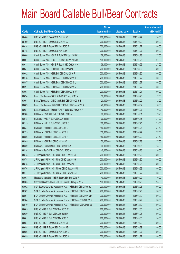|       |                                                                | No. of        |                     |               | <b>Amount raised</b> |
|-------|----------------------------------------------------------------|---------------|---------------------|---------------|----------------------|
| Code  | <b>Callable Bull/Bear Contracts</b>                            | issue (units) | <b>Listing date</b> | <b>Expiry</b> | $(HK$$ mil.)         |
| 68406 | UBS AG - HSI R Bear CBBC Oct 2015 Y                            | 200,000,000   | 2015/06/17          | 2015/10/29    | 50.00                |
| 68409 | UBS AG - HSI R Bear CBBC Oct 2015 Z                            | 200,000,000   | 2015/06/17          | 2015/10/29    | 50.00                |
| 68414 | UBS AG - HSI R Bear CBBC Nov 2015 E                            | 200,000,000   | 2015/06/17          | 2015/11/27    | 50.00                |
| 68415 | UBS AG - HSI R Bear CBBC Nov 2015 F                            | 200,000,000   | 2015/06/17          | 2015/11/27    | 50.00                |
| 68606 | Credit Suisse AG - HSCEI R Bull CBBC Jan 2016 C                | 108,000,000   | 2015/06/18          | 2016/01/28    | 27.00                |
| 68607 | Credit Suisse AG - HSCEI R Bull CBBC Jan 2016 D                | 108,000,000   | 2015/06/18          | 2016/01/28    | 27.00                |
| 68613 | Credit Suisse AG - HSCEI R Bear CBBC Oct 2015 H                | 108,000,000   | 2015/06/18          | 2015/10/29    | 27.00                |
| 68637 | Credit Suisse AG - HSI R Bull CBBC Mar 2016 E                  | 200,000,000   | 2015/06/18          | 2016/03/30    | 50.00                |
| 68642 | Credit Suisse AG - HSI R Bull CBBC Mar 2016 F                  | 200,000,000   | 2015/06/18          | 2016/03/30    | 50.00                |
| 68578 | Credit Suisse AG - HSI R Bear CBBC Nov 2015 T                  | 200,000,000   | 2015/06/18          | 2015/11/27    | 50.00                |
| 68587 | Credit Suisse AG - HSI R Bear CBBC Nov 2015 U                  | 200,000,000   | 2015/06/18          | 2015/11/27    | 50.00                |
| 68597 | Credit Suisse AG - HSI R Bear CBBC Nov 2015 V                  | 200,000,000   | 2015/06/18          | 2015/11/27    | 50.00                |
| 68598 | Credit Suisse AG - HSI R Bear CBBC Nov 2015 W                  | 200,000,000   | 2015/06/18          | 2015/11/27    | 50.00                |
| 68694 | Bank of East Asia - BOCL R Bull CBBC May 2016 A                | 50,000,000    | 2015/06/18          | 2016/05/20    | 12.50                |
| 68691 | Bank of East Asia - CITIC Sec R Bull CBBC Feb 2016 B           | 20,000,000    | 2015/06/18          | 2016/02/29    | 12.00                |
| 68689 | Bank of East Asia - HS H-SH ETF R Bull CBBC Jun 2016 A         | 40,000,000    | 2015/06/18          | 2016/06/02    | 10.00                |
| 68684 | Bank of East Asia – Tracker Fund R Bull CBBC Apr 2016 A        | 40,000,000    | 2015/06/18          | 2016/04/07    | 10.00                |
| 68560 | HK Bank - CNOOC R Bull CBBC Oct 2016 A                         | 60,000,000    | 2015/06/18          | 2016/10/31    | 19.20                |
| 68518 | HK Bank - HKEx R Bull CBBC Jun 2016 I                          | 100,000,000   | 2015/06/18          | 2016/06/15    | 34.00                |
| 68515 | HK Bank - HKEx R Bull CBBC Jul 2016 C                          | 100,000,000   | 2015/06/18          | 2016/07/25    | 25.00                |
| 68534 | HK Bank - HSI R Bull CBBC Apr 2016 L                           | 150,000,000   | 2015/06/18          | 2016/04/28    | 37.50                |
| 68535 | HK Bank - HSI R Bull CBBC Jun 2016 G                           | 150,000,000   | 2015/06/18          | 2016/06/29    | 37.50                |
| 68556 | HK Bank - HSI R Bull CBBC Jun 2016 H                           | 150,000,000   | 2015/06/18          | 2016/06/29    | 37.50                |
| 68545 | HK Bank - HSI R Bull CBBC Jul 2016 C                           | 150,000,000   | 2015/06/18          | 2016/07/28    | 37.50                |
| 68559 | HK Bank - Lenovo R Bull CBBC Sep 2016 A                        | 60,000,000    | 2015/06/18          | 2016/09/05    | 15.00                |
| 68514 | HK Bank - PetCh R Bear CBBC Oct 2016 A                         | 40,000,000    | 2015/06/18          | 2016/10/26    | 10.00                |
| 68573 | J P Morgan SP BV - HSI R Bull CBBC Feb 2016 V                  | 200,000,000   | 2015/06/18          | 2016/02/26    | 50.00                |
| 68574 | J P Morgan SP BV - HSI R Bull CBBC Mar 2016 K                  | 200,000,000   | 2015/06/18          | 2016/03/30    | 50.00                |
| 68575 | J P Morgan SP BV - HSI R Bull CBBC Apr 2016 B                  | 200,000,000   | 2015/06/18          | 2016/04/28    | 50.00                |
| 68576 | J P Morgan SP BV - HSI R Bear CBBC Sep 2015 M                  | 200,000,000   | 2015/06/18          | 2015/09/29    | 50.00                |
| 68577 | J P Morgan SP BV - HSI R Bear CBBC Nov 2015 D                  | 200,000,000   | 2015/06/18          | 2015/11/27    | 50.00                |
| 68563 | Macquarie Bank Ltd. - HSI R Bear CBBC Sep 2015 F               | 40,000,000    | 2015/06/18          | 2015/09/29    | 10.00                |
| 68565 | Standard Chartered Bank - HSI R Bear CBBC Sep 2015 R           | 100,000,000   | 2015/06/18          | 2015/09/29    | 25.00                |
| 68502 | SGA Societe Generale Acceptance N.V. - HSI R Bull CBBC Feb16 J | 200,000,000   | 2015/06/18          | 2016/02/26    | 50.00                |
| 68562 | SGA Societe Generale Acceptance N.V. - HSI R Bull CBBC Feb16 K | 200,000,000   | 2015/06/18          | 2016/02/26    | 50.00                |
| 68561 | SGA Societe Generale Acceptance N.V. - HSI R Bull CBBC Mar16 D | 200,000,000   | 2015/06/18          | 2016/03/30    | 50.00                |
| 68504 | SGA Societe Generale Acceptance N.V. - HSI R Bear CBBC Oct15 R | 200,000,000   | 2015/06/18          | 2015/10/29    | 50.00                |
| 68510 | SGA Societe Generale Acceptance N.V. - HSI R Bear CBBC Dec15 L | 200,000,000   | 2015/06/18          | 2015/12/30    | 50.00                |
| 68665 | UBS AG - HSI R Bull CBBC Dec 2015 W                            | 200,000,000   | 2015/06/18          | 2015/12/30    | 50.00                |
| 68680 | UBS AG - HSI R Bull CBBC Jan 2016 M                            | 200,000,000   | 2015/06/18          | 2016/01/28    | 50.00                |
| 68661 | UBS AG - HSI R Bull CBBC Mar 2016 Q                            | 200,000,000   | 2015/06/18          | 2016/03/30    | 50.00                |
| 68654 | UBS AG - HSI R Bear CBBC Oct 2015 B                            | 200,000,000   | 2015/06/18          | 2015/10/29    | 50.00                |
| 68658 | UBS AG - HSI R Bear CBBC Oct 2015 D                            | 200,000,000   | 2015/06/18          | 2015/10/29    | 50.00                |
| 68656 | UBS AG - HSI R Bear CBBC Nov 2015 G                            | 200,000,000   | 2015/06/18          | 2015/11/27    | 50.00                |
| 68659 | UBS AG - HSI R Bear CBBC Nov 2015 H                            | 200,000,000   | 2015/06/18          | 2015/11/27    | 50.00                |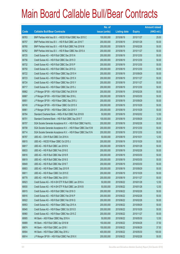|       |                                                                | No. of        |                     |               | <b>Amount raised</b> |
|-------|----------------------------------------------------------------|---------------|---------------------|---------------|----------------------|
| Code  | <b>Callable Bull/Bear Contracts</b>                            | issue (units) | <b>Listing date</b> | <b>Expiry</b> | (HK\$ mil.)          |
| 68763 | BNP Paribas Arbit Issu B.V. - HSCEI R Bull CBBC Nov 2015 C     | 100,000,000   | 2015/06/19          | 2015/11/27    | 25.00                |
| 68757 | BNP Paribas Arbit Issu B.V. - HSI R Bull CBBC Jan 2016 T       | 200,000,000   | 2015/06/19          | 2016/01/28    | 50.00                |
| 68760 | BNP Paribas Arbit Issu B.V. - HSI R Bull CBBC Feb 2016 M       | 200,000,000   | 2015/06/19          | 2016/02/26    | 50.00                |
| 68762 | BNP Paribas Arbit Issu B.V. - HSI R Bear CBBC Nov 2015 A       | 200,000,000   | 2015/06/19          | 2015/11/27    | 50.00                |
| 68725 | Credit Suisse AG - HSI R Bull CBBC Dec 2015 N                  | 200,000,000   | 2015/06/19          | 2015/12/30    | 50.00                |
| 68756 | Credit Suisse AG - HSI R Bull CBBC Dec 2015 O                  | 200,000,000   | 2015/06/19          | 2015/12/30    | 50.00                |
| 68732 | Credit Suisse AG - HSI R Bull CBBC Dec 2015 P                  | 200,000,000   | 2015/06/19          | 2015/12/30    | 50.00                |
| 68750 | Credit Suisse AG - HSI R Bull CBBC Dec 2015 Q                  | 200,000,000   | 2015/06/19          | 2015/12/30    | 50.00                |
| 68722 | Credit Suisse AG - HSI R Bear CBBC Sep 2015 H                  | 200,000,000   | 2015/06/19          | 2015/09/29    | 50.00                |
| 68723 | Credit Suisse AG - HSI R Bear CBBC Nov 2015 X                  | 200,000,000   | 2015/06/19          | 2015/11/27    | 50.00                |
| 68724 | Credit Suisse AG - HSI R Bear CBBC Nov 2015 Y                  | 200,000,000   | 2015/06/19          | 2015/11/27    | 50.00                |
| 68717 | Credit Suisse AG - HSI R Bear CBBC Dec 2015 J                  | 200,000,000   | 2015/06/19          | 2015/12/30    | 50.00                |
| 68862 | J P Morgan SP BV - HSI R Bull CBBC Feb 2016 W                  | 200,000,000   | 2015/06/19          | 2016/02/26    | 50.00                |
| 68867 | J P Morgan SP BV - HSI R Bull CBBC Mar 2016 L                  | 200,000,000   | 2015/06/19          | 2016/03/30    | 50.00                |
| 68851 | J P Morgan SP BV - HSI R Bear CBBC Sep 2015 J                  | 200,000,000   | 2015/06/19          | 2015/09/29    | 50.00                |
| 68745 | J P Morgan SP BV - HSI R Bear CBBC Oct 2015 X                  | 200,000,000   | 2015/06/19          | 2015/10/29    | 50.00                |
| 68861 | J P Morgan SP BV - HSI R Bear CBBC Oct 2015 Y                  | 200,000,000   | 2015/06/19          | 2015/10/29    | 50.00                |
| 68764 | Standard Chartered Bank - HKEx R Bull CBBC Feb 2016 B          | 50,000,000    | 2015/06/19          | 2016/02/02    | 12.50                |
| 68701 | Standard Chartered Bank - HSI R Bull CBBC Sep 2015 T           | 100,000,000   | 2015/06/19          | 2015/09/29    | 25.00                |
| 68707 | SGA Societe Generale Acceptance N.V. - HSI R Bull CBBC Feb16 L | 200,000,000   | 2015/06/19          | 2016/02/26    | 50.00                |
| 68708 | SGA Societe Generale Acceptance N.V. - HSI R Bear CBBC Dec15 M | 200,000,000   | 2015/06/19          | 2015/12/30    | 50.00                |
| 68714 | SGA Societe Generale Acceptance N.V. - HSI R Bear CBBC Dec15 N | 200,000,000   | 2015/06/19          | 2015/12/30    | 50.00                |
| 68787 | UBS AG - CKH R Bull CBBC Oct 2016 A                            | 50,000,000    | 2015/06/19          | 2016/10/31    | 12.50                |
| 68815 | UBS AG - HSCEI R Bear CBBC Oct 2015 J                          | 200,000,000   | 2015/06/19          | 2015/10/29    | 50.00                |
| 68817 | UBS AG - HSI R Bull CBBC Jan 2016 N                            | 200,000,000   | 2015/06/19          | 2016/01/28    | 50.00                |
| 68833 | UBS AG - HSI R Bull CBBC Feb 2016 E                            | 200,000,000   | 2015/06/19          | 2016/02/26    | 50.00                |
| 68816 | UBS AG - HSI R Bull CBBC Mar 2016 R                            | 200,000,000   | 2015/06/19          | 2016/03/30    | 50.00                |
| 68819 | UBS AG - HSI R Bull CBBC Mar 2016 S                            | 200,000,000   | 2015/06/19          | 2016/03/30    | 50.00                |
| 68849 | UBS AG - HSI R Bull CBBC Mar 2016 T                            | 200,000,000   | 2015/06/19          | 2016/03/30    | 50.00                |
| 68803 | UBS AG - HSI R Bear CBBC Sep 2015 R                            | 200,000,000   | 2015/06/19          | 2015/09/29    | 50.00                |
| 68811 | UBS AG - HSI R Bear CBBC Oct 2015 E                            | 200,000,000   | 2015/06/19          | 2015/10/29    | 50.00                |
| 68778 | UBS AG - HSI R Bear CBBC Nov 2015 I                            | 200,000,000   | 2015/06/19          | 2015/11/27    | 50.00                |
| 68923 | Credit Suisse AG - HS H-SH ETF R Bull CBBC Jan 2016 A          | 50,000,000    | 2015/06/22          | 2016/01/28    | 12.50                |
| 68930 | Credit Suisse AG - HS H-SH ETF R Bull CBBC Jan 2016 B          | 50,000,000    | 2015/06/22          | 2016/01/28    | 12.50                |
| 68915 | Credit Suisse AG - HSI R Bull CBBC Feb 2016 O                  | 200,000,000   | 2015/06/22          | 2016/02/26    | 50.00                |
| 68916 | Credit Suisse AG - HSI R Bull CBBC Feb 2016 P                  | 200,000,000   | 2015/06/22          | 2016/02/26    | 50.00                |
| 68922 | Credit Suisse AG - HSI R Bull CBBC Feb 2016 Q                  | 200,000,000   | 2015/06/22          | 2016/02/26    | 50.00                |
| 68953 | Credit Suisse AG - HSI R Bear CBBC Sep 2015 A                  | 200,000,000   | 2015/06/22          | 2015/09/29    | 50.00                |
| 68945 | Credit Suisse AG - HSI R Bear CBBC Oct 2015 D                  | 200,000,000   | 2015/06/22          | 2015/10/29    | 50.00                |
| 68960 | Credit Suisse AG - HSI R Bear CBBC Nov 2015 Z                  | 200,000,000   | 2015/06/22          | 2015/11/27    | 50.00                |
| 68905 | HK Bank - A50 R Bear CBBC May 2016 A                           | 50,000,000    | 2015/06/22          | 2016/05/30    | 12.50                |
| 68889 | HK Bank - HSI R Bull CBBC Apr 2016 M                           | 150,000,000   | 2015/06/22          | 2016/04/28    | 37.50                |
| 68874 | HK Bank - HSI R Bull CBBC Jun 2016 I                           | 150,000,000   | 2015/06/22          | 2016/06/29    | 37.50                |
| 68904 | HK Bank - HSI R Bear CBBC May 2016 J                           | 400,000,000   | 2015/06/22          | 2016/05/30    | 100.00               |
| 68914 | J P Morgan SP BV - HSI R Bull CBBC Feb 2016 X                  | 200,000,000   | 2015/06/22          | 2016/02/26    | 50.00                |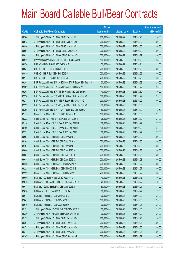|       |                                                               | No. of        |                     |               | <b>Amount raised</b> |
|-------|---------------------------------------------------------------|---------------|---------------------|---------------|----------------------|
| Code  | <b>Callable Bull/Bear Contracts</b>                           | issue (units) | <b>Listing date</b> | <b>Expiry</b> | $(HK$$ mil.)         |
| 68986 | J P Morgan SP BV - HSI R Bull CBBC Feb 2016 Y                 | 200,000,000   | 2015/06/22          | 2016/02/26    | 50.00                |
| 68913 | J P Morgan SP BV - HSI R Bull CBBC Mar 2016 M                 | 200,000,000   | 2015/06/22          | 2016/03/30    | 50.00                |
| 68990 | J P Morgan SP BV - HSI R Bull CBBC Mar 2016 N                 | 200,000,000   | 2015/06/22          | 2016/03/30    | 50.00                |
| 68997 | J P Morgan SP BV - HSI R Bear CBBC Sep 2015 N                 | 200,000,000   | 2015/06/22          | 2015/09/29    | 50.00                |
| 69012 | J P Morgan SP BV - HSI R Bear CBBC Sep 2015 O                 | 200,000,000   | 2015/06/22          | 2015/09/29    | 50.00                |
| 68912 | Standard Chartered Bank - HSI R Bull CBBC Sep 2015 U          | 100,000,000   | 2015/06/22          | 2015/09/29    | 25.00                |
| 68976 | UBS AG - HKEx R Bull CBBC Oct 2016 A                          | 50,000,000    | 2015/06/22          | 2016/10/24    | 12.50                |
| 68937 | UBS AG - HSI R Bull CBBC Feb 2016 H                           | 200,000,000   | 2015/06/22          | 2016/02/26    | 50.00                |
| 68939 | UBS AG - HSI R Bull CBBC Feb 2016 J                           | 200,000,000   | 2015/06/22          | 2016/02/26    | 50.00                |
| 68977 | UBS AG - HSI R Bear CBBC Oct 2015 F                           | 200,000,000   | 2015/06/22          | 2015/10/29    | 50.00                |
| 69298 | BNP Paribas Arbit Issu B.V. - CSOP A50 ETF R Bear CBBC Sep15B | 100,000,000   | 2015/06/23          | 2015/09/29    | 25.00                |
| 69302 | BNP Paribas Arbit Issu B.V. - A50 R Bear CBBC Nov 2015 B      | 100,000,000   | 2015/06/23          | 2015/11/27    | 25.00                |
| 69291 | BNP Paribas Arbit Issu B.V. - HKEx R Bull CBBC Dec 2015 C     | 40,000,000    | 2015/06/23          | 2015/12/30    | 10.00                |
| 69290 | BNP Paribas Arbit Issu B.V. - HSCEI R Bear CBBC Nov 2015 C    | 100,000,000   | 2015/06/23          | 2015/11/27    | 25.00                |
| 69288 | BNP Paribas Arbit Issu B.V. - HSI R Bear CBBC Oct 2015 D      | 200,000,000   | 2015/06/23          | 2015/10/29    | 50.00                |
| 69292 | BNP Paribas Arbit Issu B.V. - Ping An R Bull CBBC Dec 2015 C  | 68,000,000    | 2015/06/23          | 2015/12/30    | 17.00                |
| 69295 | BNP Paribas Arbit Issu B.V. - TCH R Bull CBBC Dec 2015 C      | 50,000,000    | 2015/06/23          | 2015/12/30    | 12.50                |
| 69115 | Credit Suisse AG - HSCEI R Bull CBBC Dec 2015 L               | 108,000,000   | 2015/06/23          | 2015/12/30    | 27.00                |
| 69222 | Credit Suisse AG - HSCEI R Bull CBBC Dec 2015 M               | 108,000,000   | 2015/06/23          | 2015/12/30    | 27.00                |
| 69116 | Credit Suisse AG - HSCEI R Bear CBBC Sep 2015 H               | 108,000,000   | 2015/06/23          | 2015/09/29    | 27.00                |
| 69166 | Credit Suisse AG - HSCEI R Bear CBBC Sep 2015 I               | 108,000,000   | 2015/06/23          | 2015/09/29    | 27.00                |
| 69221 | Credit Suisse AG - HSCEI R Bear CBBC Sep 2015 J               | 108,000,000   | 2015/06/23          | 2015/09/29    | 27.00                |
| 69094 | Credit Suisse AG - HSI R Bull CBBC Mar 2016 G                 | 200,000,000   | 2015/06/23          | 2016/03/30    | 50.00                |
| 69105 | Credit Suisse AG - HSI R Bull CBBC Mar 2016 H                 | 200,000,000   | 2015/06/23          | 2016/03/30    | 50.00                |
| 69107 | Credit Suisse AG - HSI R Bull CBBC Mar 2016 I                 | 200,000,000   | 2015/06/23          | 2016/03/30    | 50.00                |
| 69086 | Credit Suisse AG - HSI R Bull CBBC Apr 2016 A                 | 200,000,000   | 2015/06/23          | 2016/04/28    | 50.00                |
| 69087 | Credit Suisse AG - HSI R Bull CBBC Apr 2016 B                 | 200,000,000   | 2015/06/23          | 2016/04/28    | 50.00                |
| 69088 | Credit Suisse AG - HSI R Bull CBBC Apr 2016 C                 | 200,000,000   | 2015/06/23          | 2016/04/28    | 50.00                |
| 69226 | Credit Suisse AG - HSI R Bear CBBC Nov 2015 A                 | 200,000,000   | 2015/06/23          | 2015/11/27    | 50.00                |
| 69228 | Credit Suisse AG - HSI R Bear CBBC Nov 2015 B                 | 200,000,000   | 2015/06/23          | 2015/11/27    | 50.00                |
| 69229 | Credit Suisse AG - HSI R Bear CBBC Nov 2015 C                 | 200,000,000   | 2015/06/23          | 2015/11/27    | 50.00                |
| 69059 | HK Bank - CC Bank R Bear CBBC Feb 2016 C                      | 40,000,000    | 2015/06/23          | 2016/02/15    | 10.00                |
| 69013 | HK Bank - CSOP A50 ETF R Bear CBBC Jun 2016 B                 | 40,000,000    | 2015/06/23          | 2016/06/27    | 10.00                |
| 69071 | HK Bank - Galaxy Ent R Bear CBBC Jun 2016 A                   | 60,000,000    | 2015/06/23          | 2016/06/27    | 33.00                |
| 69050 | HK Bank - HKEx R Bear CBBC Jun 2016 A                         | 50,000,000    | 2015/06/23          | 2016/06/27    | 12.50                |
| 69044 | HK Bank - HSI R Bear CBBC Mar 2016 S                          | 100,000,000   | 2015/06/23          | 2016/03/30    | 25.00                |
| 69047 | HK Bank - HSI R Bear CBBC Mar 2016 T                          | 100,000,000   | 2015/06/23          | 2016/03/30    | 25.00                |
| 69019 | HK Bank - HSI R Bear CBBC Apr 2016 P                          | 100,000,000   | 2015/06/23          | 2016/04/28    | 25.00                |
| 69171 | J P Morgan SP BV - HSCEI R Bull CBBC Mar 2016 E               | 100,000,000   | 2015/06/23          | 2016/03/30    | 25.00                |
| 69280 | J P Morgan SP BV - HSCEI R Bear CBBC Oct 2015 A               | 100,000,000   | 2015/06/23          | 2015/10/29    | 25.00                |
| 69129 | J P Morgan SP BV - HSI R Bull CBBC Feb 2016 O                 | 200,000,000   | 2015/06/23          | 2016/02/26    | 50.00                |
| 69264 | J P Morgan SP BV - HSI R Bull CBBC Feb 2016 P                 | 200,000,000   | 2015/06/23          | 2016/02/26    | 50.00                |
| 69273 | J P Morgan SP BV - HSI R Bull CBBC Mar 2016 O                 | 200,000,000   | 2015/06/23          | 2016/03/30    | 50.00                |
| 69277 | J P Morgan SP BV - HSI R Bull CBBC Apr 2016 C                 | 200,000,000   | 2015/06/23          | 2016/04/28    | 50.00                |
| 69247 | J P Morgan SP BV - HSI R Bear CBBC Sep 2015 P                 | 200,000,000   | 2015/06/23          | 2015/09/29    | 50.00                |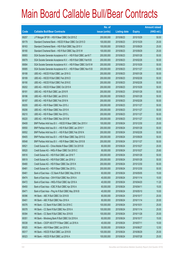|       |                                                                | No. of        |                     |               | <b>Amount raised</b> |
|-------|----------------------------------------------------------------|---------------|---------------------|---------------|----------------------|
| Code  | <b>Callable Bull/Bear Contracts</b>                            | issue (units) | <b>Listing date</b> | <b>Expiry</b> | $(HK$$ mil.)         |
| 69257 | J P Morgan SP BV - HSI R Bear CBBC Oct 2015 Z                  | 200,000,000   | 2015/06/23          | 2015/10/29    | 50.00                |
| 69179 | Standard Chartered Bank - HSCEI R Bear CBBC Oct 2015 D         | 100,000,000   | 2015/06/23          | 2015/10/29    | 25.00                |
| 69163 | Standard Chartered Bank - HSI R Bull CBBC Sep 2015 V           | 100,000,000   | 2015/06/23          | 2015/09/29    | 25.00                |
| 69180 | Standard Chartered Bank - HSI R Bull CBBC Sep 2015 W           | 100,000,000   | 2015/06/23          | 2015/09/29    | 25.00                |
| 69083 | SGA Societe Generale Acceptance N.V. - HSI R Bull CBBC Jan16 T | 200,000,000   | 2015/06/23          | 2016/01/28    | 50.00                |
| 69079 | SGA Societe Generale Acceptance N.V. - HSI R Bull CBBC Feb16 B | 200,000,000   | 2015/06/23          | 2016/02/26    | 50.00                |
| 69084 | SGA Societe Generale Acceptance N.V. - HSI R Bear CBBC Oct15 W | 200,000,000   | 2015/06/23          | 2015/10/29    | 50.00                |
| 69085 | SGA Societe Generale Acceptance N.V. - HSI R Bear CBBC Nov15 B | 200,000,000   | 2015/06/23          | 2015/11/27    | 50.00                |
| 69188 | UBS AG - HSCEI R Bull CBBC Jan 2016 G                          | 200,000,000   | 2015/06/23          | 2016/01/28    | 50.00                |
| 69189 | UBS AG - HSCEI R Bull CBBC Feb 2016 D                          | 200,000,000   | 2015/06/23          | 2016/02/26    | 50.00                |
| 69190 | UBS AG - HSCEI R Bull CBBC Feb 2016 E                          | 200,000,000   | 2015/06/23          | 2016/02/26    | 50.00                |
| 69202 | UBS AG - HSCEI R Bear CBBC Oct 2015 K                          | 200,000,000   | 2015/06/23          | 2015/10/29    | 50.00                |
| 69181 | UBS AG - HSI R Bull CBBC Jan 2016 R                            | 200,000,000   | 2015/06/23          | 2016/01/28    | 50.00                |
| 69186 | UBS AG - HSI R Bull CBBC Jan 2016 S                            | 200,000,000   | 2015/06/23          | 2016/01/28    | 50.00                |
| 69187 | UBS AG - HSI R Bull CBBC Feb 2016 N                            | 200,000,000   | 2015/06/23          | 2016/02/26    | 50.00                |
| 69205 | UBS AG - HSI R Bear CBBC Nov 2015 J                            | 200,000,000   | 2015/06/23          | 2015/11/27    | 50.00                |
| 69206 | UBS AG - HSI R Bear CBBC Nov 2015 K                            | 200,000,000   | 2015/06/23          | 2015/11/27    | 50.00                |
| 69210 | UBS AG - HSI R Bear CBBC Nov 2015 L                            | 200,000,000   | 2015/06/23          | 2015/11/27    | 50.00                |
| 69220 | UBS AG - HSI R Bear CBBC Nov 2015 M                            | 200,000,000   | 2015/06/23          | 2015/11/27    | 50.00                |
| 69408 | BNP Paribas Arbit Issu B.V. - HSCEI R Bear CBBC Dec 2015 V     | 100,000,000   | 2015/06/24          | 2015/12/30    | 25.00                |
| 69550 | BNP Paribas Arbit Issu B.V. - HSI R Bull CBBC Jan 2016 Y       | 200,000,000   | 2015/06/24          | 2016/01/28    | 50.00                |
| 69552 | BNP Paribas Arbit Issu B.V. - HSI R Bull CBBC Feb 2016 N       | 200,000,000   | 2015/06/24          | 2016/02/26    | 50.00                |
| 69405 | BNP Paribas Arbit Issu B.V. - HSI R Bear CBBC Sep 2015 G       | 200,000,000   | 2015/06/24          | 2015/09/29    | 50.00                |
| 69548 | BNP Paribas Arbit Issu B.V. - HSI R Bear CBBC Nov 2015 B       | 200,000,000   | 2015/06/24          | 2015/11/27    | 50.00                |
| 69521 | Credit Suisse AG - China Mobile R Bear CBBC Oct 2015 B         | 80,000,000    | 2015/06/24          | 2015/10/27    | 20.00                |
| 69520 | Credit Suisse AG - HKEx R Bear CBBC Oct 2015 C                 | 80,000,000    | 2015/06/24          | 2015/10/27    | 25.60                |
| 69516 | Credit Suisse AG - HSI R Bull CBBC Jan 2016 T                  | 200,000,000   | 2015/06/24          | 2016/01/28    | 50.00                |
| 69519 | Credit Suisse AG - HSI R Bull CBBC Jan 2016 U                  | 200,000,000   | 2015/06/24          | 2016/01/28    | 50.00                |
| 69480 | Credit Suisse AG - HSI R Bear CBBC Dec 2015 K                  | 200,000,000   | 2015/06/24          | 2015/12/30    | 50.00                |
| 69481 | Credit Suisse AG - HSI R Bear CBBC Dec 2015 L                  | 200,000,000   | 2015/06/24          | 2015/12/30    | 50.00                |
| 69461 | Bank of East Asia - CC Bank R Bull CBBC May 2016 B             | 60,000,000    | 2015/06/24          | 2016/05/05    | 15.00                |
| 69474 | Bank of East Asia - CKH R Bull CBBC Nov 2016 A                 | 40,000,000    | 2015/06/24          | 2016/11/14    | 10.00                |
| 69472 | Bank of East Asia - HKEx R Bull CBBC Apr 2016 A                | 40,000,000    | 2015/06/24          | 2016/04/20    | 11.20                |
| 69450 | Bank of East Asia - ICBC R Bull CBBC Apr 2016 A                | 60,000,000    | 2015/06/24          | 2016/04/11    | 15.00                |
| 69471 | Bank of East Asia - Ping An R Bull CBBC May 2016 B             | 40,000,000    | 2015/06/24          | 2016/05/10    | 10.00                |
| 69396 | HK Bank - ABC R Bull CBBC Oct 2016 B                           | 80,000,000    | 2015/06/24          | 2016/10/17    | 20.00                |
| 69401 | HK Bank - ABC R Bull CBBC Nov 2016 A                           | 80,000,000    | 2015/06/24          | 2016/11/14    | 20.00                |
| 69376 | HK Bank - CC Bank R Bull CBBC Oct 2016 C                       | 100,000,000   | 2015/06/24          | 2016/10/31    | 25.00                |
| 69378 | HK Bank - CC Bank R Bull CBBC Nov 2016 A                       | 100,000,000   | 2015/06/24          | 2016/11/14    | 25.00                |
| 69394 | HK Bank - CC Bank R Bull CBBC Nov 2016 B                       | 100,000,000   | 2015/06/24          | 2016/11/28    | 25.00                |
| 69351 | HK Bank - Minsheng Bank R Bull CBBC Oct 2016 A                 | 60,000,000    | 2015/06/24          | 2016/10/17    | 15.00                |
| 69338 | HK Bank - CSOP A50 ETF R Bear CBBC Jul 2016 A                  | 40,000,000    | 2015/06/24          | 2016/07/11    | 10.00                |
| 69325 | HK Bank - A50 R Bear CBBC Jun 2016 A                           | 50,000,000    | 2015/06/24          | 2016/06/27    | 12.50                |
| 69317 | HK Bank - HSCEI R Bull CBBC Jun 2016 B                         | 100,000,000   | 2015/06/24          | 2016/06/29    | 25.00                |
| 69323 | HK Bank - HSCEI R Bull CBBC Jul 2016 A                         | 100,000,000   | 2015/06/24          | 2016/07/28    | 25.00                |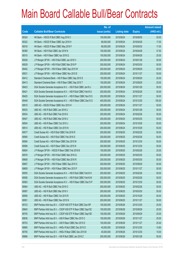|       |                                                                | No. of        |                     |               | <b>Amount raised</b> |
|-------|----------------------------------------------------------------|---------------|---------------------|---------------|----------------------|
| Code  | <b>Callable Bull/Bear Contracts</b>                            | issue (units) | <b>Listing date</b> | <b>Expiry</b> | (HK\$ mil.)          |
| 69324 | HK Bank - HSCEI R Bull CBBC Aug 2016 C                         | 100,000,000   | 2015/06/24          | 2016/08/30    | 25.00                |
| 69322 | HK Bank - HSCEI R Bear CBBC Apr 2016 H                         | 68,000,000    | 2015/06/24          | 2016/04/28    | 17.00                |
| 69318 | HK Bank - HSCEI R Bear CBBC May 2016 F                         | 68,000,000    | 2015/06/24          | 2016/05/30    | 17.00                |
| 69369 | HK Bank - HSI R Bull CBBC Apr 2016 N                           | 150,000,000   | 2015/06/24          | 2016/04/28    | 37.50                |
| 69315 | HK Bank - HSI R Bear CBBC Apr 2016 Q                           | 100,000,000   | 2015/06/24          | 2016/04/28    | 25.00                |
| 69528 | J P Morgan SP BV - HSI R Bull CBBC Jan 2016 V                  | 200,000,000   | 2015/06/24          | 2016/01/28    | 50.00                |
| 69529 | J P Morgan SP BV - HSI R Bull CBBC Mar 2016 P                  | 200,000,000   | 2015/06/24          | 2016/03/30    | 50.00                |
| 69402 | JP Morgan SP BV - HSIR Bear CBBC Sep 2015 W                    | 200,000,000   | 2015/06/24          | 2015/09/29    | 50.00                |
| 69531 | J P Morgan SP BV - HSI R Bear CBBC Nov 2015 E                  | 200,000,000   | 2015/06/24          | 2015/11/27    | 50.00                |
| 69412 | Standard Chartered Bank - HSI R Bear CBBC Sep 2015 S           | 100,000,000   | 2015/06/24          | 2015/09/29    | 25.00                |
| 69413 | Standard Chartered Bank - HSI R Bear CBBC Sep 2015 T           | 100,000,000   | 2015/06/24          | 2015/09/29    | 25.00                |
| 69423 | SGA Societe Generale Acceptance N.V. - HSI R Bull CBBC Jan16 J | 200,000,000   | 2015/06/24          | 2016/01/28    | 50.00                |
| 69421 | SGA Societe Generale Acceptance N.V. - HSI R Bull CBBC Feb16 G | 200,000,000   | 2015/06/24          | 2016/02/26    | 50.00                |
| 69425 | SGA Societe Generale Acceptance N.V. - HSI R Bear CBBC Nov15 S | 200,000,000   | 2015/06/24          | 2015/11/27    | 50.00                |
| 69449 | SGA Societe Generale Acceptance N.V. - HSI R Bear CBBC Dec15 O | 400,000,000   | 2015/06/24          | 2015/12/30    | 100.00               |
| 69515 | UBS AG - HSCEI R Bear CBBC Nov 2015 H                          | 200,000,000   | 2015/06/24          | 2015/11/27    | 50.00                |
| 69533 | UBS AG - HSI R Bull CBBC Jan 2016 U                            | 200,000,000   | 2015/06/24          | 2016/01/28    | 50.00                |
| 69534 | UBS AG - HSI R Bull CBBC Feb 2016 K                            | 200,000,000   | 2015/06/24          | 2016/02/26    | 50.00                |
| 69547 | UBS AG - HSI R Bull CBBC Mar 2016 U                            | 200,000,000   | 2015/06/24          | 2016/03/30    | 50.00                |
| 69504 | UBS AG - HSI R Bear CBBC Oct 2015 J                            | 200,000,000   | 2015/06/24          | 2015/10/29    | 50.00                |
| 69514 | UBS AG - HSI R Bear CBBC Oct 2015 N                            | 200,000,000   | 2015/06/24          | 2015/10/29    | 50.00                |
| 69577 | Credit Suisse AG - HSI R Bull CBBC Feb 2016 R                  | 200,000,000   | 2015/06/25          | 2016/02/26    | 50.00                |
| 69580 | Credit Suisse AG - HSI R Bull CBBC Feb 2016 S                  | 200,000,000   | 2015/06/25          | 2016/02/26    | 50.00                |
| 69584 | Credit Suisse AG - HSI R Bear CBBC Dec 2015 M                  | 200,000,000   | 2015/06/25          | 2015/12/30    | 50.00                |
| 69586 | Credit Suisse AG - HSI R Bear CBBC Dec 2015 N                  | 200,000,000   | 2015/06/25          | 2015/12/30    | 50.00                |
| 69604 | JP Morgan SP BV - HSCEIR Bear CBBC Feb 2016 B                  | 100,000,000   | 2015/06/25          | 2016/02/26    | 25.00                |
| 69576 | J P Morgan SP BV - HSI R Bull CBBC Mar 2016 Q                  | 200,000,000   | 2015/06/25          | 2016/03/30    | 50.00                |
| 69608 | J P Morgan SP BV - HSI R Bull CBBC Mar 2016 R                  | 200,000,000   | 2015/06/25          | 2016/03/30    | 50.00                |
| 69607 | J P Morgan SP BV - HSI R Bear CBBC Sep 2015 X                  | 200,000,000   | 2015/06/25          | 2015/09/29    | 50.00                |
| 69609 | JP Morgan SP BV - HSI R Bear CBBC Nov 2015 F                   | 200,000,000   | 2015/06/25          | 2015/11/27    | 50.00                |
| 69555 | SGA Societe Generale Acceptance N.V. - HSI R Bull CBBC Feb16 H | 200,000,000   | 2015/06/25          | 2016/02/26    | 50.00                |
| 69556 | SGA Societe Generale Acceptance N.V. - HSI R Bull CBBC Feb16 M | 200,000,000   | 2015/06/25          | 2016/02/26    | 50.00                |
| 69563 | SGA Societe Generale Acceptance N.V. - HSI R Bear CBBC Dec15 P | 200,000,000   | 2015/06/25          | 2015/12/30    | 50.00                |
| 69564 | UBS AG - HSI R Bull CBBC Feb 2016 O                            | 200,000,000   | 2015/06/25          | 2016/02/26    | 50.00                |
| 69587 | UBS AG - HSI R Bull CBBC Mar 2016 V                            | 200,000,000   | 2015/06/25          | 2016/03/30    | 50.00                |
| 69590 | UBS AG - HSI R Bear CBBC Oct 2015 R                            | 200,000,000   | 2015/06/25          | 2015/10/29    | 50.00                |
| 69591 | UBS AG - HSI R Bear CBBC Nov 2015 N                            | 200,000,000   | 2015/06/25          | 2015/11/27    | 50.00                |
| 69723 | BNP Paribas Arbit Issu B.V. - CSOP A50 ETF R Bull CBBC Dec15P  | 100,000,000   | 2015/06/26          | 2015/12/30    | 25.00                |
| 69645 | BNP Paribas Arbit Issu B.V. - CSOP A50 ETF R Bear CBBC Sep15C  | 100,000,000   | 2015/06/26          | 2015/09/29    | 25.00                |
| 69705 | BNP Paribas Arbit Issu B.V. - CSOP A50 ETF R Bear CBBC Sep15D  | 100,000,000   | 2015/06/26          | 2015/09/29    | 25.00                |
| 69636 | BNP Paribas Arbit Issu B.V. - A50 R Bear CBBC Nov 2015 C       | 100,000,000   | 2015/06/26          | 2015/11/27    | 25.00                |
| 69703 | BNP Paribas Arbit Issu B.V. - A50 R Bear CBBC Nov 2015 D       | 100,000,000   | 2015/06/26          | 2015/11/27    | 25.00                |
| 69690 | BNP Paribas Arbit Issu B.V. - HKEx R Bull CBBC Dec 2015 D      | 40,000,000    | 2015/06/26          | 2015/12/30    | 10.80                |
| 69700 | BNP Paribas Arbit Issu B.V. - HKEx R Bear CBBC Dec 2015 B      | 40,000,000    | 2015/06/26          | 2015/12/30    | 10.00                |
| 69686 | BNP Paribas Arbit Issu B.V. - HSI R Bull CBBC Jan 2016 Z       | 200,000,000   | 2015/06/26          | 2016/01/28    | 50.00                |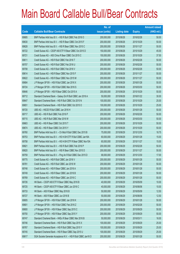|       |                                                                | No. of        |                     |               | <b>Amount raised</b> |
|-------|----------------------------------------------------------------|---------------|---------------------|---------------|----------------------|
| Code  | <b>Callable Bull/Bear Contracts</b>                            | issue (units) | <b>Listing date</b> | <b>Expiry</b> | $(HK$$ mil.)         |
| 69685 | BNP Paribas Arbit Issu B.V. - HSI R Bull CBBC Feb 2016 O       | 200,000,000   | 2015/06/26          | 2016/02/26    | 50.00                |
| 69630 | BNP Paribas Arbit Issu B.V. - HSI R Bear CBBC Oct 2015 F       | 200,000,000   | 2015/06/26          | 2015/10/29    | 50.00                |
| 69628 | BNP Paribas Arbit Issu B.V. - HSI R Bear CBBC Nov 2015 C       | 200,000,000   | 2015/06/26          | 2015/11/27    | 50.00                |
| 69722 | Credit Suisse AG - CSOP A50 ETF R Bear CBBC Oct 2015 D         | 150,000,000   | 2015/06/26          | 2015/10/29    | 45.00                |
| 69721 | Credit Suisse AG - A50 China R Bear CBBC Oct 2015 C            | 150,000,000   | 2015/06/26          | 2015/10/29    | 37.50                |
| 69611 | Credit Suisse AG - HSI R Bull CBBC Feb 2016 T                  | 200,000,000   | 2015/06/26          | 2016/02/26    | 50.00                |
| 69707 | Credit Suisse AG - HSI R Bull CBBC Feb 2016 U                  | 200,000,000   | 2015/06/26          | 2016/02/26    | 50.00                |
| 69708 | Credit Suisse AG - HSI R Bull CBBC Feb 2016 V                  | 200,000,000   | 2015/06/26          | 2016/02/26    | 50.00                |
| 69614 | Credit Suisse AG - HSI R Bear CBBC Nov 2015 F                  | 200,000,000   | 2015/06/26          | 2015/11/27    | 50.00                |
| 69622 | Credit Suisse AG - HSI R Bear CBBC Nov 2015 M                  | 200,000,000   | 2015/06/26          | 2015/11/27    | 50.00                |
| 69684 | J P Morgan SP BV - HSI R Bull CBBC Jan 2016 X                  | 200,000,000   | 2015/06/26          | 2016/01/28    | 50.00                |
| 69724 | J P Morgan SP BV - HSI R Bull CBBC Mar 2016 S                  | 200,000,000   | 2015/06/26          | 2016/03/30    | 50.00                |
| 69646 | J P Morgan SP BV - HSI R Bear CBBC Oct 2015 A                  | 200,000,000   | 2015/06/26          | 2015/10/29    | 50.00                |
| 69712 | Standard Chartered Bank - Galaxy Ent R Bull CBBC Jan 2016 A    | 50,000,000    | 2015/06/26          | 2016/01/22    | 30.00                |
| 69647 | Standard Chartered Bank - HSI R Bull CBBC Oct 2015 N           | 100,000,000   | 2015/06/26          | 2015/10/29    | 25.00                |
| 69651 | Standard Chartered Bank - HSI R Bull CBBC Oct 2015 O           | 100,000,000   | 2015/06/26          | 2015/10/29    | 25.00                |
| 69720 | UBS AG - HSCEI R Bull CBBC Jan 2016 H                          | 200,000,000   | 2015/06/26          | 2016/01/28    | 50.00                |
| 69717 | UBS AG - HSI R Bull CBBC Feb 2016 P                            | 200,000,000   | 2015/06/26          | 2016/02/26    | 50.00                |
| 69715 | UBS AG - HSI R Bull CBBC Mar 2016 W                            | 200,000,000   | 2015/06/26          | 2016/03/30    | 50.00                |
| 69663 | UBS AG - HSI R Bear CBBC Oct 2015 T                            | 200,000,000   | 2015/06/26          | 2015/10/29    | 50.00                |
| 69674 | UBS AG - HSI R Bear CBBC Oct 2015 Y                            | 200,000,000   | 2015/06/26          | 2015/10/29    | 50.00                |
| 69760 | BNP Paribas Arbit Issu B.V. - Ch Mob R Bull CBBC Dec 2015 B    | 75,000,000    | 2015/06/29          | 2015/12/30    | 18.75                |
| 69753 | BNP Paribas Arbit Issu B.V. - HS H-SH ETF R Bull CBBC Jan16A   | 60,000,000    | 2015/06/29          | 2016/01/28    | 15.00                |
| 69758 | BNP Paribas Arbit Issu B.V. - HS H-SH ETF R Bear CBBC Nov15A   | 60,000,000    | 2015/06/29          | 2015/11/27    | 15.00                |
| 69821 | BNP Paribas Arbit Issu B.V. - HSI R Bull CBBC Feb 2016 P       | 200,000,000   | 2015/06/29          | 2016/02/26    | 50.00                |
| 69820 | BNP Paribas Arbit Issu B.V. - HSI R Bear CBBC Nov 2015 D       | 200,000,000   | 2015/06/29          | 2015/11/27    | 50.00                |
| 69759 | BNP Paribas Arbit Issu B.V. - Ping An R Bull CBBC Dec 2015 D   | 68,000,000    | 2015/06/29          | 2015/12/30    | 17.00                |
| 69775 | Credit Suisse AG - HSI R Bull CBBC Jan 2016 V                  | 200,000,000   | 2015/06/29          | 2016/01/28    | 50.00                |
| 69781 | Credit Suisse AG - HSI R Bull CBBC Jan 2016 W                  | 200,000,000   | 2015/06/29          | 2016/01/28    | 50.00                |
| 69748 | Credit Suisse AG - HSI R Bear CBBC Jan 2016 A                  | 200,000,000   | 2015/06/29          | 2016/01/28    | 50.00                |
| 69749 | Credit Suisse AG - HSI R Bear CBBC Jan 2016 B                  | 200,000,000   | 2015/06/29          | 2016/01/28    | 50.00                |
| 69769 | Credit Suisse AG - HSI R Bear CBBC Jan 2016 C                  | 200,000,000   | 2015/06/29          | 2016/01/28    | 50.00                |
| 69726 | HK Bank - CSOP A50 ETF R Bear CBBC May 2016 B                  | 40,000,000    | 2015/06/29          | 2016/05/09    | 10.00                |
| 69725 | HK Bank - CSOP A50 ETF R Bear CBBC Jun 2016 C                  | 40,000,000    | 2015/06/29          | 2016/06/06    | 10.00                |
| 69733 | HK Bank - A50 R Bear CBBC May 2016 B                           | 50,000,000    | 2015/06/29          | 2016/05/09    | 12.50                |
| 69727 | HK Bank - A50 R Bear CBBC Jun 2016 B                           | 50,000,000    | 2015/06/29          | 2016/06/06    | 12.50                |
| 69805 | J P Morgan SP BV - HSI R Bull CBBC Jan 2016 K                  | 200,000,000   | 2015/06/29          | 2016/01/28    | 50.00                |
| 69801 | J P Morgan SP BV - HSI R Bull CBBC Feb 2016 Z                  | 200,000,000   | 2015/06/29          | 2016/02/26    | 50.00                |
| 69800 | J P Morgan SP BV - HSI R Bear CBBC Sep 2015 C                  | 200,000,000   | 2015/06/29          | 2015/09/29    | 50.00                |
| 69750 | J P Morgan SP BV - HSI R Bear CBBC Sep 2015 Y                  | 200,000,000   | 2015/06/29          | 2015/09/29    | 50.00                |
| 69747 | Standard Chartered Bank - HKEx R Bear CBBC Mar 2016 B          | 50,000,000    | 2015/06/29          | 2016/03/11    | 16.00                |
| 69746 | Standard Chartered Bank - HSI R Bull CBBC Sep 2015 X           | 100,000,000   | 2015/06/29          | 2015/09/29    | 25.00                |
| 69767 | Standard Chartered Bank - HSI R Bull CBBC Sep 2015 Y           | 100,000,000   | 2015/06/29          | 2015/09/29    | 25.00                |
| 69745 | Standard Chartered Bank - HSI R Bear CBBC Sep 2015 U           | 100,000,000   | 2015/06/29          | 2015/09/29    | 25.00                |
| 69817 | SGA Societe Generale Acceptance N.V. - HSI R Bull CBBC Jan16 O | 200,000,000   | 2015/06/29          | 2016/01/28    | 50.00                |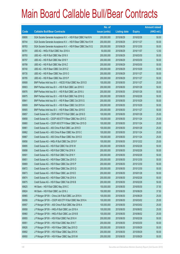|       |                                                                | No. of        |                     |               | <b>Amount raised</b> |
|-------|----------------------------------------------------------------|---------------|---------------------|---------------|----------------------|
| Code  | <b>Callable Bull/Bear Contracts</b>                            | issue (units) | <b>Listing date</b> | <b>Expiry</b> | $(HK$$ mil.)         |
| 69806 | SGA Societe Generale Acceptance N.V. - HSI R Bull CBBC Feb16 N | 200,000,000   | 2015/06/29          | 2016/02/26    | 50.00                |
| 69744 | SGA Societe Generale Acceptance N.V. - HSI R Bear CBBC Nov15 W | 200,000,000   | 2015/06/29          | 2015/11/27    | 50.00                |
| 69783 | SGA Societe Generale Acceptance N.V. - HSI R Bear CBBC Dec15 Q | 200,000,000   | 2015/06/29          | 2015/12/30    | 50.00                |
| 69791 | UBS AG - HKEx R Bull CBBC Nov 2016 A                           | 50,000,000    | 2015/06/29          | 2016/11/07    | 12.50                |
| 69793 | UBS AG - HSI R Bull CBBC Mar 2016 X                            | 200,000,000   | 2015/06/29          | 2016/03/30    | 50.00                |
| 69797 | UBS AG - HSI R Bull CBBC Mar 2016 Y                            | 200,000,000   | 2015/06/29          | 2016/03/30    | 50.00                |
| 69799 | UBS AG - HSI R Bull CBBC Mar 2016 Z                            | 200,000,000   | 2015/06/29          | 2016/03/30    | 50.00                |
| 69740 | UBS AG - HSI R Bear CBBC Oct 2015 Z                            | 200,000,000   | 2015/06/29          | 2015/10/29    | 50.00                |
| 69735 | UBS AG - HSI R Bear CBBC Nov 2015 O                            | 200,000,000   | 2015/06/29          | 2015/11/27    | 50.00                |
| 69785 | UBS AG - HSI R Bear CBBC Nov 2015 P                            | 200,000,000   | 2015/06/29          | 2015/11/27    | 50.00                |
| 69908 | BNP Paribas Arbit Issu B.V. - HSCEI R Bull CBBC Nov 2015 D     | 100,000,000   | 2015/06/30          | 2015/11/27    | 25.00                |
| 69903 | BNP Paribas Arbit Issu B.V. - HSI R Bull CBBC Jan 2016 O       | 200,000,000   | 2015/06/30          | 2016/01/28    | 50.00                |
| 69976 | BNP Paribas Arbit Issu B.V. - HSI R Bull CBBC Jan 2016 U       | 200,000,000   | 2015/06/30          | 2016/01/28    | 50.00                |
| 69975 | BNP Paribas Arbit Issu B.V. - HSI R Bull CBBC Feb 2016 Q       | 200,000,000   | 2015/06/30          | 2016/02/26    | 50.00                |
| 69841 | BNP Paribas Arbit Issu B.V. - HSI R Bear CBBC Oct 2015 G       | 200,000,000   | 2015/06/30          | 2015/10/29    | 50.00                |
| 69909 | BNP Paribas Arbit Issu B.V. - HSI R Bear CBBC Oct 2015 H       | 200,000,000   | 2015/06/30          | 2015/10/29    | 50.00                |
| 69905 | BNP Paribas Arbit Issu B.V. - HSI R Bear CBBC Nov 2015 E       | 200,000,000   | 2015/06/30          | 2015/11/27    | 50.00                |
| 69857 | Credit Suisse AG - CSOP A50 ETF R Bull CBBC Jan 2016 D         | 100,000,000   | 2015/06/30          | 2016/01/28    | 25.00                |
| 69858 | Credit Suisse AG - CSOP A50 ETF R Bear CBBC Nov 2015 C         | 100,000,000   | 2015/06/30          | 2015/11/24    | 25.00                |
| 69860 | Credit Suisse AG - CSOP A50 ETF R Bear CBBC Nov 2015 D         | 100,000,000   | 2015/06/30          | 2015/11/24    | 25.00                |
| 69861 | Credit Suisse AG - A50 China R Bull CBBC Jan 2016 D            | 100,000,000   | 2015/06/30          | 2016/01/28    | 25.00                |
| 69862 | Credit Suisse AG - A50 China R Bear CBBC Nov 2015 C            | 100,000,000   | 2015/06/30          | 2015/11/24    | 25.00                |
| 69867 | Credit Suisse AG - A50 China R Bear CBBC Nov 2015 D            | 100,000,000   | 2015/06/30          | 2015/11/24    | 25.00                |
| 69856 | Credit Suisse AG - HKEx R Bull CBBC Dec 2015 F                 | 100,000,000   | 2015/06/30          | 2015/12/22    | 25.00                |
| 69895 | Credit Suisse AG - HSI R Bull CBBC Feb 2016 W                  | 200,000,000   | 2015/06/30          | 2016/02/26    | 50.00                |
| 69898 | Credit Suisse AG - HSI R Bull CBBC Feb 2016 X                  | 200,000,000   | 2015/06/30          | 2016/02/26    | 50.00                |
| 69901 | Credit Suisse AG - HSI R Bull CBBC Feb 2016 Y                  | 200,000,000   | 2015/06/30          | 2016/02/26    | 50.00                |
| 69851 | Credit Suisse AG - HSI R Bear CBBC Dec 2015 O                  | 200,000,000   | 2015/06/30          | 2015/12/30    | 50.00                |
| 69869 | Credit Suisse AG - HSI R Bear CBBC Dec 2015 P                  | 200,000,000   | 2015/06/30          | 2015/12/30    | 50.00                |
| 69872 | Credit Suisse AG - HSI R Bear CBBC Dec 2015 Q                  | 200,000,000   | 2015/06/30          | 2015/12/30    | 50.00                |
| 69873 | Credit Suisse AG - HSI R Bear CBBC Jan 2016 D                  | 200,000,000   | 2015/06/30          | 2016/01/28    | 50.00                |
| 69874 | Credit Suisse AG - HSI R Bear CBBC Feb 2016 A                  | 200,000,000   | 2015/06/30          | 2016/02/26    | 50.00                |
| 69875 | Credit Suisse AG - HSI R Bear CBBC Feb 2016 B                  | 200,000,000   | 2015/06/30          | 2016/02/26    | 50.00                |
| 69825 | HK Bank - HSI R Bull CBBC May 2016 C                           | 150,000,000   | 2015/06/30          | 2016/05/30    | 37.50                |
| 69824 | HK Bank - HSI R Bull CBBC Jun 2016 J                           | 150,000,000   | 2015/06/30          | 2016/06/29    | 37.50                |
| 69965 | J P Morgan SP BV - China Life R Bull CBBC Jun 2016 A           | 100,000,000   | 2015/06/30          | 2016/06/29    | 25.00                |
| 69956 | J P Morgan SP BV - CSOP A50 ETF R Bull CBBC Mar 2016 A         | 100,000,000   | 2015/06/30          | 2016/03/02    | 25.00                |
| 69957 | J P Morgan SP BV - A50 China R Bull CBBC Mar 2016 A            | 100,000,000   | 2015/06/30          | 2016/03/02    | 25.00                |
| 69958 | J P Morgan SP BV - HKEx R Bull CBBC Jun 2016 A                 | 100,000,000   | 2015/06/30          | 2016/06/02    | 25.00                |
| 69960 | J P Morgan SP BV - HKEx R Bull CBBC Jun 2016 B                 | 100,000,000   | 2015/06/30          | 2016/06/02    | 25.00                |
| 69955 | J P Morgan SP BV - HSI R Bull CBBC Feb 2016 H                  | 200,000,000   | 2015/06/30          | 2016/02/26    | 50.00                |
| 69951 | J P Morgan SP BV - HSI R Bull CBBC Mar 2016 T                  | 200,000,000   | 2015/06/30          | 2016/03/30    | 50.00                |
| 69826 | J P Morgan SP BV - HSI R Bear CBBC Sep 2015 D                  | 200,000,000   | 2015/06/30          | 2015/09/29    | 50.00                |
| 69892 | J P Morgan SP BV - HSI R Bear CBBC Sep 2015 K                  | 200,000,000   | 2015/06/30          | 2015/09/29    | 50.00                |
| 69950 | J P Morgan SP BV - HSI R Bear CBBC Sep 2015 M                  | 200,000,000   | 2015/06/30          | 2015/09/29    | 50.00                |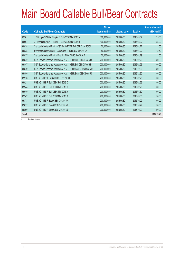|              |                                                                | No. of        |                     |               | <b>Amount raised</b> |
|--------------|----------------------------------------------------------------|---------------|---------------------|---------------|----------------------|
| <b>Code</b>  | <b>Callable Bull/Bear Contracts</b>                            | issue (units) | <b>Listing date</b> | <b>Expiry</b> | (HK\$ mil.)          |
| 69961        | J P Morgan SP BV - Ping An R Bull CBBC Mar 2016 A              | 100,000,000   | 2015/06/30          | 2016/03/02    | 25.00                |
| 69964        | J P Morgan SP BV - Ping An R Bull CBBC Mar 2016 B              | 100,000,000   | 2015/06/30          | 2016/03/02    | 25.00                |
| 69828        | Standard Chartered Bank - CSOP A50 ETF R Bull CBBC Jan 2016A   | 50,000,000    | 2015/06/30          | 2016/01/22    | 12.50                |
| 69838        | Standard Chartered Bank - A50 China R Bull CBBC Jan 2016 A     | 50,000,000    | 2015/06/30          | 2016/01/22    | 12.50                |
| 69827        | Standard Chartered Bank - Ping An R Bull CBBC Jan 2016 A       | 50,000,000    | 2015/06/30          | 2016/01/29    | 12.50                |
| 69842        | SGA Societe Generale Acceptance N.V. - HSI R Bull CBBC Feb16 O | 200,000,000   | 2015/06/30          | 2016/02/26    | 50.00                |
| 69847        | SGA Societe Generale Acceptance N.V. - HSI R Bull CBBC Feb16 P | 200,000,000   | 2015/06/30          | 2016/02/26    | 50.00                |
| 69849        | SGA Societe Generale Acceptance N.V. - HSI R Bear CBBC Dec15 R | 200,000,000   | 2015/06/30          | 2015/12/30    | 50.00                |
| 69850        | SGA Societe Generale Acceptance N.V. - HSI R Bear CBBC Dec15 S | 200,000,000   | 2015/06/30          | 2015/12/30    | 50.00                |
| 69916        | UBS AG - HSCEI R Bull CBBC Feb 2016 F                          | 200,000,000   | 2015/06/30          | 2016/02/26    | 50.00                |
| 69921        | UBS AG - HSI R Bull CBBC Feb 2016 Q                            | 200,000,000   | 2015/06/30          | 2016/02/26    | 50.00                |
| 69944        | UBS AG - HSI R Bull CBBC Feb 2016 S                            | 200,000,000   | 2015/06/30          | 2016/02/26    | 50.00                |
| 69949        | UBS AG - HSI R Bull CBBC Mar 2016 A                            | 200,000,000   | 2015/06/30          | 2016/03/30    | 50.00                |
| 69942        | UBS AG - HSI R Bull CBBC Mar 2016 B                            | 200,000,000   | 2015/06/30          | 2016/03/30    | 50.00                |
| 69878        | UBS AG - HSI R Bear CBBC Oct 2015 A                            | 200,000,000   | 2015/06/30          | 2015/10/29    | 50.00                |
| 69877        | UBS AG - HSI R Bear CBBC Oct 2015 B                            | 200,000,000   | 2015/06/30          | 2015/10/29    | 50.00                |
| 69890        | UBS AG - HSI R Bear CBBC Oct 2015 D                            | 200,000,000   | 2015/06/30          | 2015/10/29    | 50.00                |
| <b>Total</b> |                                                                |               |                     |               | 133,613.20           |

# Further issue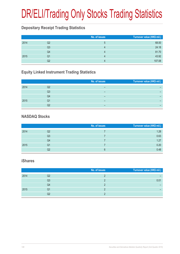# DR/ELI/Trading Only Stocks Trading Statistics

### **Depositary Receipt Trading Statistics**

|      |    | No. of issues | Turnover value (HK\$ mil.) |
|------|----|---------------|----------------------------|
| 2014 | Q2 | ხ             | 68.00                      |
|      | Q3 | 4             | 24.18                      |
|      | Q4 |               | 81.70                      |
| 2015 | Q1 |               | 43.92                      |
|      | Q2 | 4             | 107.08                     |

### **Equity Linked Instrument Trading Statistics**

|      |    | No. of issues | Turnover value (HK\$ mil.) |
|------|----|---------------|----------------------------|
| 2014 | Q2 | -             |                            |
|      | Q3 | -             |                            |
|      | Q4 | -             |                            |
| 2015 | Q1 | -             |                            |
|      | Q2 |               |                            |

#### **NASDAQ Stocks**

|      |                | No. of issues | Turnover value (HK\$ mil.) |
|------|----------------|---------------|----------------------------|
| 2014 | Q2             |               | 1.28                       |
|      | Q <sub>3</sub> |               | 0.63                       |
|      | Q4             |               | 1.27                       |
| 2015 | Q1             |               | 0.20                       |
|      | Q2             | ճ             | 0.48                       |

#### **iShares**

|      |    | No. of issues | Turnover value (HK\$ mil.) |
|------|----|---------------|----------------------------|
| 2014 | Q2 |               |                            |
|      | Q3 |               | 0.01                       |
|      | Q4 |               |                            |
| 2015 | Q1 |               |                            |
|      |    |               |                            |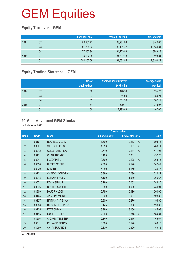### **Equity Turnover – GEM**

|      |    | Share (Mil. shs) | Value (HK\$ mil.) | No. of deals |
|------|----|------------------|-------------------|--------------|
| 2014 | Q2 | 80,562.77        | 28,231.96         | 844,565      |
|      | Q3 | 91,704.03        | 39,161.42         | 1,013,981    |
|      | Q4 | 77,002.94        | 34,223.56         | 888,648      |
| 2015 | Q1 | 74,102.98        | 31,767.18         | 912,664      |
|      | Q2 | 254,155.08       | 131,631.55        | 2,815,024    |

### **Equity Trading Statistics – GEM**

|      |                | No. of<br>trading days | <b>Average daily turnover</b><br>(HK\$ mil.) | <b>Average value</b><br>per deal |
|------|----------------|------------------------|----------------------------------------------|----------------------------------|
| 2014 | Q <sub>2</sub> | 60                     | 470.53                                       | 33,428                           |
|      | Q <sub>3</sub> | 64                     | 611.90                                       | 38,621                           |
|      | Q <sub>4</sub> | 62                     | 551.99                                       | 38,512                           |
| 2015 | Q <sub>1</sub> | 61                     | 520.77                                       | 34,807                           |
|      | Q2             | 60                     | 2,193.86                                     | 46,760                           |

#### **20 Most Advanced GEM Stocks**

for 2nd quarter 2015

|                |       |                          | <b>Closing price</b> |                         |        |
|----------------|-------|--------------------------|----------------------|-------------------------|--------|
| Rank           | Code  | <b>Stock</b>             | End of Jun 2015      | End of Mar 2015         | $%$ up |
| $\mathbf{1}$   | 08167 | <b>NEO TELEMEDIA</b>     | 1.690                | 0.213<br>$\mathsf{A}$   | 693.43 |
| $\overline{2}$ | 08021 | <b>WLS HOLDINGS</b>      | 1.050                | 0.181<br>$\mathsf{A}$   | 480.11 |
| 3              | 08212 | <b>CELEBRATE-NEW</b>     | 0.710                | 0.131<br>$\overline{A}$ | 441.98 |
| 4              | 08171 | <b>CHINA TRENDS</b>      | 0.165                | 0.031                   | 432.26 |
| 5              | 08041 | <b>LUXEY INT'L</b>       | 0.600                | 0.128<br>$\overline{A}$ | 368.75 |
| 6              | 08056 | <b>DIFFER GROUP</b>      | 9.800                | 2.190                   | 347.49 |
| $\overline{7}$ | 08029 | <b>SUN INT'L</b>         | 5.050                | 1.150                   | 339.13 |
| 8              | 08132 | CHINAOILGANGRAN          | 0.380                | 0.090                   | 322.22 |
| 9              | 08218 | ECHO INT HOLD            | 6.160                | 1.680                   | 266.67 |
| 10             | 08072 | <b>ROMA GROUP</b>        | 0.180                | 0.052                   | 246.15 |
| 11             | 08246 | NOBLE HOUSE H            | 3.550                | 1.060                   | 234.91 |
| 12             | 08209 | <b>MAJOR HLDGS</b>       | 2.790                | 0.930                   | 200.00 |
| 13             | 08165 | <b>JIAN EPAYMENT</b>     | 0.260                | 0.087                   | 198.85 |
| 14             | 08227 | <b>HAITIAN ANTENNA</b>   | 0.800                | 0.270                   | 196.30 |
| 15             | 08086 | <b>DX.COM HOLDINGS</b>   | 0.145                | 0.050                   | 190.00 |
| 16             | 08125 | <b>KATE CHINA</b>        | 8.980                | 3.150                   | 185.08 |
| 17             | 08195 | <b>L&amp;A INTL HOLD</b> | 2.320                | 0.816<br>$\overline{A}$ | 184.31 |
| 18             | 08206 | C COMM TELE SER          | 0.840                | 0.315                   | 166.67 |
| 19             | 08011 | POLYARD PETRO            | 0.500                | 0.190                   | 163.16 |
| 20             | 08090 | <b>CHI ASSURANCE</b>     | 2.130                | 0.820                   | 159.76 |
|                |       |                          |                      |                         |        |

A Adjusted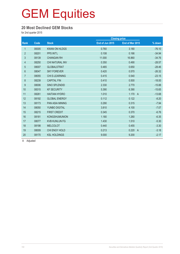#### **20 Most Declined GEM Stocks**

for 2nd quarter 2015

|       |                        |                 | <b>Closing price</b>    |          |
|-------|------------------------|-----------------|-------------------------|----------|
| Code  | <b>Stock</b>           | End of Jun 2015 | End of Mar 2015         | % down   |
| 08305 | <b>KWAN ON HLDGS</b>   | 0.760           | 3.180                   | $-76.10$ |
| 08201 | <b>PPS INT'L</b>       | 0.108           | 0.166                   | $-34.94$ |
| 08139 | <b>CHANGAN RH</b>      | 11.000          | 16.860                  | $-34.76$ |
| 08250 | <b>CHI NATURAL INV</b> | 0.350           | 0.490                   | $-28.57$ |
| 08007 | <b>GLOBALSTRAT</b>     | 0.465           | 0.650                   | $-28.46$ |
| 08047 | <b>SKY FOREVER</b>     | 0.420           | 0.570                   | $-26.32$ |
| 08055 | <b>CHI E-LEARNING</b>  | 0.415           | 0.540                   | $-23.15$ |
| 08239 | <b>CAPITAL FIN</b>     | 0.410           | 0.500                   | $-18.00$ |
| 08006 | <b>SINO SPLENDID</b>   | 2.330           | 2.770                   | $-15.88$ |
| 08315 | <b>KF SECURITY</b>     | 5.390           | 6.390                   | $-15.65$ |
| 08261 | <b>HAITIAN HYDRO</b>   | 1.010           | 1.170<br>$\overline{A}$ | $-13.68$ |
| 08192 | <b>GLOBAL ENERGY</b>   | 0.112           | 0.122                   | $-8.20$  |
| 08173 | <b>PAN ASIA MINING</b> | 0.290           | 0.315                   | $-7.94$  |
| 08050 | YUNBO DIGITAL          | 3.810           | 4.100                   | $-7.07$  |
| 08215 | <b>FIRST CREDIT</b>    | 0.345           | 0.370                   | $-6.76$  |
| 08181 | <b>KONGSHUMUNION</b>   | 1.180           | 1.260                   | $-6.35$  |
| 08077 | <b>KVB KUNLUN FG</b>   | 1.430           | 1.510                   | $-5.30$  |
| 08198 | <b>MELCOLOT</b>        | 0.440           | 0.455                   | $-3.30$  |
| 08009 | CHI ENGY HOLD          | 0.213           | 0.220<br>$\overline{A}$ | $-3.18$  |
| 08170 | <b>KSL HOLDINGS</b>    | 9.000           | 9.200                   | $-2.17$  |
|       |                        |                 |                         |          |

A Adjusted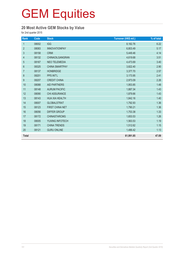### **20 Most Active GEM Stocks by Value**

for 2nd quarter 2015

| Rank             | Code  | <b>Stock</b>          | Turnover (HK\$ mil.) | % of total |
|------------------|-------|-----------------------|----------------------|------------|
| $\mathbf{1}$     | 08002 | <b>IGG</b>            | 8,182.76             | 6.22       |
| $\overline{2}$   | 08083 | <b>INNOVATIONPAY</b>  | 6,803.49             | 5.17       |
| $\mathbf{3}$     | 08158 | <b>CRMI</b>           | 5,449.46             | 4.14       |
| 4                | 08132 | CHINAOILGANGRAN       | 4,619.68             | 3.51       |
| 5                | 08167 | <b>NEO TELEMEDIA</b>  | 4,473.69             | 3.40       |
| $\,6\,$          | 08325 | <b>CHINA SMARTPAY</b> | 3,822.40             | 2.90       |
| $\overline{7}$   | 08137 | <b>HONBRIDGE</b>      | 3,377.70             | 2.57       |
| $\,8\,$          | 08201 | PPS INT'L             | 3,173.95             | 2.41       |
| $\boldsymbol{9}$ | 08207 | <b>CREDIT CHINA</b>   | 2,973.09             | 2.26       |
| 10               | 08088 | <b>AID PARTNERS</b>   | 1,953.85             | 1.48       |
| 11               | 08148 | <b>AURUM PACIFIC</b>  | 1,887.34             | 1.43       |
| 12               | 08090 | CHI ASSURANCE         | 1,879.66             | 1.43       |
| 13               | 08143 | <b>HUA XIA HEALTH</b> | 1,842.16             | 1.40       |
| 14               | 08007 | <b>GLOBALSTRAT</b>    | 1,792.93             | 1.36       |
| 15               | 08123 | FIRST CHINA NET       | 1,790.21             | 1.36       |
| 16               | 08056 | <b>DIFFER GROUP</b>   | 1,753.38             | 1.33       |
| 17               | 08172 | <b>CHINASTARCMG</b>   | 1,653.53             | 1.26       |
| 18               | 08005 | YUXING INFOTECH       | 1,563.53             | 1.19       |
| 19               | 08171 | <b>CHINA TRENDS</b>   | 1,512.62             | 1.15       |
| 20               | 08121 | <b>GURU ONLINE</b>    | 1,486.42             | 1.13       |
| <b>Total</b>     |       |                       | 61,991.85            | 47.09      |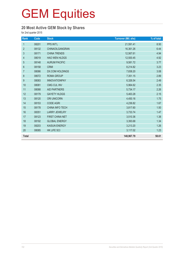### **20 Most Active GEM Stock by Shares**

for 2nd quarter 2015

| Rank           | Code  | <b>Stock</b>           | <b>Turnover (Mil. shs)</b> | % of total |
|----------------|-------|------------------------|----------------------------|------------|
| $\mathbf{1}$   | 08201 | PPS INT'L              | 21,591.41                  | 8.50       |
| $\overline{2}$ | 08132 | CHINAOILGANGRAN        | 16,361.26                  | 6.44       |
| $\mathfrak{S}$ | 08171 | <b>CHINA TRENDS</b>    | 12,567.61                  | 4.94       |
| $\overline{4}$ | 08019 | <b>HAO WEN HLDGS</b>   | 12,500.45                  | 4.92       |
| $\sqrt{5}$     | 08148 | <b>AURUM PACIFIC</b>   | 9,581.72                   | 3.77       |
| $6\phantom{1}$ | 08158 | <b>CRMI</b>            | 8,214.82                   | 3.23       |
| $\overline{7}$ | 08086 | <b>DX.COM HOLDINGS</b> | 7,838.20                   | 3.08       |
| $\,8\,$        | 08072 | <b>ROMA GROUP</b>      | 7,351.15                   | 2.89       |
| 9              | 08083 | <b>INNOVATIONPAY</b>   | 6,326.54                   | 2.49       |
| 10             | 08081 | CMG CUL INV            | 5,964.62                   | 2.35       |
| 11             | 08088 | <b>AID PARTNERS</b>    | 5,734.17                   | 2.26       |
| 12             | 08179 | <b>GAYETY HLDGS</b>    | 5,463.28                   | 2.15       |
| 13             | 08120 | <b>ORI UNICORN</b>     | 4,450.16                   | 1.75       |
| 14             | 08153 | <b>CODE AGRI</b>       | 4,236.82                   | 1.67       |
| 15             | 08178 | CHINA INFO TECH        | 3,817.60                   | 1.50       |
| 16             | 08351 | <b>LARRY JEWELRY</b>   | 3,733.74                   | 1.47       |
| 17             | 08123 | FIRST CHINA NET        | 3,510.36                   | 1.38       |
| 18             | 08192 | <b>GLOBAL ENERGY</b>   | 3,393.68                   | 1.34       |
| 19             | 08203 | <b>KAISUN ENERGY</b>   | 3,213.20                   | 1.26       |
| 20             | 08085 | HK LIFE SCI            | 3,117.02                   | 1.23       |
| <b>Total</b>   |       |                        | 148,967.79                 | 58.61      |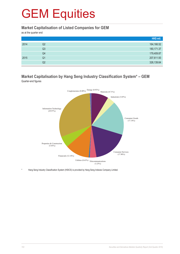#### **Market Capitalisation of Listed Companies for GEM**

as at the quarter end

|      |    | HK\$ mil.   |
|------|----|-------------|
| 2014 | Q2 | 164,166.52  |
|      | Q3 | 180, 171.37 |
|      | Q4 | 179,409.87  |
| 2015 | Q1 | 207,611.93  |
|      | Q2 | 326,139.64  |

#### **Market Capitalisation by Hang Seng Industry Classification System\* – GEM** Quarter-end figures



Hang Seng Industry Classification System (HSICS) is provided by Hang Seng Indexes Company Limited.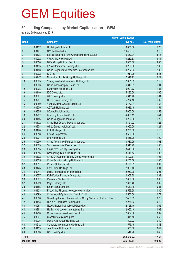### **50 Leading Companies by Market Capitalisation – GEM**

as at the 2nd quarter end 2015

|                     |       |                                                              | <b>Market capitalisation</b> |                   |
|---------------------|-------|--------------------------------------------------------------|------------------------------|-------------------|
| Rank                |       | <b>Company</b>                                               | (HK\$ mil.)                  | % of market total |
| $\mathbf{1}$        | 08137 | Honbridge Holdings Ltd.                                      | 18,835.06                    | 5.78              |
| $\overline{2}$      | 08167 | Neo Telemedia Ltd.                                           | 10,403.37                    | 3.19              |
| $\mathfrak{S}$      | 08138 | Beijing Tong Ren Tang Chinese Medicine Co. Ltd.              | 10,380.04                    | 3.18              |
| $\overline{4}$      | 08032 | Viva China Holdings Ltd.                                     | 10,232.33                    | 3.14              |
| 5                   | 08056 | Differ Group Holding Co. Ltd.                                | 9,800.00                     | 3.00              |
| $6\phantom{1}6$     | 08195 | L & A International Holdings Ltd.                            | 9,280.00                     | 2.85              |
| 7                   | 08158 | China Regenerative Medicine International Ltd.               | 9,207.62                     | 2.82              |
| $\bf 8$             | 08002 | IGG Inc                                                      | 7,911.99                     | 2.43              |
| 9                   | 08147 | Millennium Pacific Group Holdings Ltd.                       | 7,318.92                     | 2.24              |
| 10                  | 08005 | Yuxing InfoTech Investment Holdings Ltd.                     | 7,031.62                     | 2.16              |
| 11                  | 08083 | China Innovationpay Group Ltd.                               | 6,310.91                     | 1.94              |
| 12                  | 08008 | Sunevision Holdings Ltd.                                     | 5,991.72                     | 1.84              |
| 13                  | 08140 | ICO Group Ltd.                                               | 5,430.00                     | 1.66              |
| 14                  | 08021 | WLS Holdings Ltd.                                            | 5,341.46                     | 1.64              |
| 15                  | 08207 | Credit China Holdings Ltd.                                   | 5,274.10                     | 1.62              |
| 16                  | 08050 | Yunbo Digital Synergy Group Ltd.                             | 5,167.31                     | 1.58              |
| 17                  | 08279 | AGTech Holdings Ltd.                                         | 5,013.45                     | 1.54              |
| 18                  | 08355 | i-Control Holdings Ltd.                                      | 5,000.00                     | 1.53              |
| 19                  | 08267 | Linekong Interactive Co., Ltd.                               | 4,608.19                     | 1.41              |
| 20                  | 08156 | China Vanguard Group Ltd.                                    | 4,200.98                     | 1.29              |
| 21                  | 08172 | China Star Cultural Media Group Ltd.                         | 4,121.02                     | 1.26              |
| 22                  | 08238 | Winto Group (Holdings) Ltd.                                  | 3,960.00                     | 1.21              |
| 23                  | 08170 | KSL Holdings Ltd.                                            | 3,700.80                     | 1.13              |
| 24                  | 08018 | <b>Finsoft Corporation</b>                                   | 3,600.00                     | 1.10              |
| 25                  | 08237 | Link Holdings Ltd.                                           | 3,556.00                     | 1.09              |
| 26                  | 08090 | China Assurance Finance Group Ltd.                           | 3,537.29                     | 1.08              |
| 27                  | 08029 | Sun International Resources Ltd.                             | 3,513.29                     | 1.08              |
| 28                  | 08315 | King Force Security Holdings Ltd.                            | 3,449.60                     | 1.06              |
| 29                  | 08016 | Changhong Jiahua Holdings Ltd.                               | 3,418.43                     | 1.05              |
| 30                  | 08132 | China Oil Gangran Energy Group Holdings Ltd.                 | 3,390.51                     | 1.04              |
| 31                  | 08325 | China Smartpay Group Holdings Ltd.                           | 3,252.08                     | 1.00              |
| 32                  | 08311 | Perfect Optronics Ltd.                                       | 3,175.09                     | 0.97              |
| 33                  | 08125 | Kate China Holdings Ltd.                                     | 2,963.40                     | 0.91              |
| 34                  | 08041 | Luxey International (Holdings) Ltd.                          | 2,959.08                     | 0.91              |
| 35                  | 08077 | KVB Kunlun Financial Group Ltd.                              | 2,907.25                     | 0.89              |
| 36                  | 08097 | Pinestone Captial Ltd.                                       | 2,880.00                     | 0.88              |
| 37                  | 08209 | Major Holdings Ltd.                                          | 2,678.40                     | 0.82              |
| 38                  | 08155 | South China Land Ltd.                                        | 2,649.30                     | 0.81              |
| 39                  | 08123 | First China Financial Network Holdings Ltd.                  | 2,599.58                     | 0.80              |
| 40                  | 08099 | China Wood Optimization (Holding) Ltd.                       | 2,500.00                     | 0.77              |
| 41                  | 08058 | Shandong Luoxin Pharmaceutical Group Stock Co., Ltd. - H Shs | 2,458.53                     | 0.75              |
| 42                  | 08143 | Hua Xia Healthcare Holdings Ltd.                             | 2,268.82                     | 0.70              |
| 43                  | 08068 | New Universe International Group Ltd.                        | 2,128.10                     | 0.65              |
| 44                  | 08261 | Haitian Hydropower International Ltd.                        | 2,060.40                     | 0.63              |
| 45                  | 08250 | China Natural Investment Co. Ltd.                            | 2,034.38                     | 0.62              |
| 46                  | 08007 | Global Strategic Group Ltd.                                  | 1,841.40                     | 0.56              |
| 47                  | 08075 | Media Asia Group Holdings Ltd.                               | 1,590.22                     | 0.49              |
| 48                  | 08212 | Celebrate International Holdings Ltd.                        | 1,575.45                     | 0.48              |
| 49                  | 08133 | Jete Power Holdings Ltd.                                     | 1,533.00                     | 0.47              |
| 50                  | 08356 | CNC Holdings Ltd.                                            | 1,514.26                     | 0.46              |
| <b>Total</b>        |       |                                                              | 236,554.74                   | 72.53             |
| <b>Market Total</b> |       |                                                              | 326,139.64                   | 100.00            |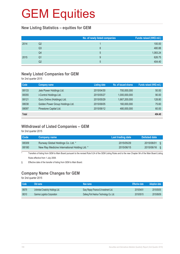#### **New Listing Statistics – equities for GEM**

|      |    | No. of newly listed companies | Funds raised (HK\$ mil.) |
|------|----|-------------------------------|--------------------------|
| 2014 | Q2 |                               | 100.00                   |
|      | Q3 | 8                             | 480.88                   |
|      | Q4 | 5                             | 1,083.24                 |
| 2015 | Q1 | 9                             | 626.75                   |
|      | Q2 | 5                             | 404.40                   |

### **Newly Listed Companies for GEM**

for 2nd quarter 2015

| Code         | <b>Company name</b>              | <b>Listing date</b> | No. of issued shares | Funds raised (HK\$ mil.) |
|--------------|----------------------------------|---------------------|----------------------|--------------------------|
| 08133        | Jete Power Holdings Ltd.         | 2015/04/30          | 700,000,000          | 50.00                    |
| 08355        | i-Control Holdings Ltd.          | 2015/05/27          | 1,000,000,000        | 90.00                    |
| 08121        | Guru Online (Holdings) Ltd.      | 2015/05/29          | 1,667,200,000        | 128.80                   |
| 08038        | Golden Power Group Holdings Ltd. | 2015/06/05          | 160,000,000          | 75.60                    |
| 08097        | Pinestone Captial Ltd.           | 2015/06/12          | 480,000,000          | 60.00                    |
| <b>Total</b> |                                  |                     |                      | 404.40                   |

#### **Withdrawal of Listed Companies – GEM**

for 2nd quarter 2015

| <b>Code</b> | Company name                                  | Last trading date | Delisted date     |
|-------------|-----------------------------------------------|-------------------|-------------------|
| 08309       | Runway Global Holdings Co. Ltd. *             | 2015/05/29        | 2015/06/01<br>S.  |
| 08180       | New Ray Medicine International Holding Ltd. * | 2015/06/15        | 2015/06/16<br>- 8 |

\* Transfers of listing from GEM to Main Board pursuant to the revised Rule 9.24 of the GEM Listing Rules and to the new Chapter 9A of the Main Board Listing Rules effective from 1 July 2008.

§ Effective date of the transfer of listing from GEM to Main Board.

### **Company Name Changes for GEM**

for 2nd quarter 2015

| Code  | Old name                           | New name                               | <b>Effective date</b> | <b>Adoption date</b> |
|-------|------------------------------------|----------------------------------------|-----------------------|----------------------|
| 08079 | Unlimited Creativity Holdings Ltd. | Easy Repay Finance & Investment Ltd.   | 2015/04/01            | 2015/05/05           |
| 08310 | Gamma Logistics Corporation        | Dafeng Port Heshun Technology Co. Ltd. | 2015/05/15            | 2015/06/09           |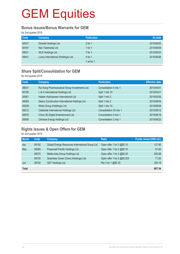#### **Bonus Issues/Bonus Warrants for GEM**

for 2nd quarter 2015

| Code  | <b>Company</b>                      | <b>Particulars</b> | Ex-date    |
|-------|-------------------------------------|--------------------|------------|
| 08337 | Directel Holdings Ltd.              | 2 for 1            | 2015/06/05 |
| 08167 | Neo Telemedia Ltd.                  | 1 for $1$          | 2015/06/09 |
| 08021 | WLS Holdings Ltd.                   | $7$ for 1          | 2015/06/23 |
| 08041 | Luxey International (Holdings) Ltd. | 4 for $1$          | 2015/06/26 |
|       |                                     | 1 wt for 1         |            |

### **Share Split/Consolidation for GEM**

for 2nd quarter 2015

| <b>Code</b> | <b>Company</b>                                 | <b>Particulars</b>      | <b>Effective date</b> |
|-------------|------------------------------------------------|-------------------------|-----------------------|
| 08037       | Rui Kang Pharmaceutical Group Investments Ltd. | Consolidation 5 into 1  | 2015/04/01            |
| 08195       | L & A International Holdings Ltd.              | Split 1 into 10         | 2015/04/21            |
| 08261       | Haitian Hydropower International Ltd.          | Split 1 into 2          | 2015/05/26            |
| 08268       | Deson Construction International Holdings Ltd. | Split 1 into 2          | 2015/06/04            |
| 08238       | Winto Group (Holdings) Ltd.                    | Split 1 into 10         | 2015/06/08            |
| 08212       | Celebrate International Holdings Ltd.          | Consolidation 20 into 1 | 2015/06/12            |
| 08078       | China 3D Digital Entertainment Ltd.            | Consolidation 5 into 1  | 2015/06/18            |
| 08009       | Chinese Energy Holdings Ltd.                   | Consolidation 2 into 1  | 2015/06/22            |

### **Rights Issues & Open Offers for GEM**

for 2nd quarter 2015

| <b>Month</b> | Code  | Company                                          | <b>Ratio</b>                | Funds raised (HK\$ mil.) |
|--------------|-------|--------------------------------------------------|-----------------------------|--------------------------|
| Apr          | 08192 | Global Energy Resources International Group Ltd. | Open offer 1 for 2 @\$0.10  | 127.95                   |
| May          | 08265 | Powerwell Pacific Holdings Ltd.                  | Open offer 1 for 2 @\$0.70  | 61.60                    |
|              | 08075 | Media Asia Group Holdings Ltd.                   | Open offer 1 for 2 @\$0.30  | 200.98                   |
|              | 08150 | Seamless Green China (Holdings) Ltd.             | Open offer 1 for 2 @\$0.203 | 71.83                    |
| Jun          | 08100 | <b>GET Holdings Ltd.</b>                         | Rts 3 for 1 @\$0.35         | 205.18                   |
| <b>Total</b> |       |                                                  |                             | 667.54                   |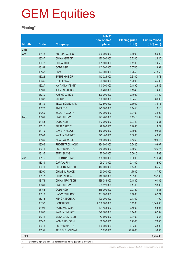### **Placing\***

|              |       |                        | No. of        |                      |                     |
|--------------|-------|------------------------|---------------|----------------------|---------------------|
|              |       |                        | new shares    | <b>Placing price</b> | <b>Funds raised</b> |
| <b>Month</b> | Code  | <b>Company</b>         | placed        | (HK\$)               | $(HK$$ mil.)        |
| 2015         |       |                        |               |                      |                     |
| Apr          | 08148 | <b>AURUM PACIFIC</b>   | 600,000,000   | 0.1000               | 60.00               |
|              | 08087 | CHINA 33MEDIA          | 120,000,000   | 0.2200               | 26.40               |
|              | 08078 | <b>CHINA3D DIGIT</b>   | 131,800,000   | 0.1100               | 14.50               |
|              | 08153 | <b>CODE AGRI</b>       | 142,000,000   | 0.0700               | 9.94                |
|              | 08158 | <b>CRMI</b>            | 977,300,000   | 0.2850               | 278.53              |
|              | 08022 | <b>EVERSHINE GP</b>    | 112,026,000   | 0.3100               | 34.73               |
|              | 08036 | <b>GOLDENMARS</b>      | 29,880,000    | 1.2000               | 35.86               |
|              | 08227 | <b>HAITIAN ANTENNA</b> | 140,000,000   | 0.1890               | 26.46               |
|              | 08101 | <b>JIA MENG HLDG</b>   | 96,400,000    | 0.1540               | 14.85               |
|              | 08080 | <b>NAS HOLDINGS</b>    | 300,000,000   | 0.1050               | 31.50               |
|              | 08068 | <b>NU INT'L</b>        | 200,000,000   | 0.3450               | 69.00               |
|              | 08189 | <b>TEDA BIOMEDICAL</b> | 192,500,000   | 0.7000               | 134.75              |
|              | 08028 | <b>TIMELESS</b>        | 125,000,000   | 0.1450               | 18.13               |
|              | 08269 | <b>WEALTH GLORY</b>    | 162,000,000   | 0.2100               | 34.02               |
| May          | 08081 | <b>CMG CUL INV</b>     | 171,486,000   | 0.1510               | 25.89               |
|              | 08153 | <b>CODE AGRI</b>       | 142,000,000   | 0.0740               | 10.51               |
|              | 08215 | <b>FIRST CREDIT</b>    | 28,800,000    | 0.2880               | 8.29                |
|              | 08179 | <b>GAYETY HLDGS</b>    | 480,000,000   | 0.1930               | 92.64               |
|              | 08203 | <b>KAISUN ENERGY</b>   | 523,400,000   | 0.0890               | 46.58               |
|              | 08180 | <b>NEW RAY MEDIC</b>   | 245,000,000   | 0.4250               | 104.13              |
|              | 08066 | PHOENITRON HOLD        | 384,600,000   | 0.2420               | 93.07               |
|              | 08011 | POLYARD PETRO          | 650,000,000   | 0.1950               | 126.75              |
|              | 08135 | <b>ZMFY GLASS</b>      | 25,000,000    | 0.6010               | 15.03               |
| Jun          | 08116 | C FORTUNE INV          | 398,800,000   | 0.3000               | 119.64              |
|              | 08239 | <b>CAPITAL FIN</b>     | 29,270,000    | 0.4100               | 12.00               |
|              | 08071 | CH NETCOMTECH          | 443,000,000   | 0.1480               | 65.56               |
|              | 08090 | CHI ASSURANCE          | 50,000,000    | 1.7500               | 87.50               |
|              | 08117 | CHI P ENERGY           | 110,000,000   | 1.3900               | 152.90              |
|              | 08178 | CHINA INFO TECH        | 539,088,000   | 0.1880               | 101.35              |
|              | 08081 | <b>CMG CUL INV</b>     | 533,520,000   | 0.1760               | 93.90               |
|              | 08153 | <b>CODE AGRI</b>       | 258,000,000   | 0.0750               | 19.35               |
|              | 08019 | HAO WEN HLDGS          | 851,800,000   | 0.1030               | 87.74               |
|              | 08046 | <b>HENG XIN CHINA</b>  | 100,000,000   | 0.1700               | 17.00               |
|              | 08137 | <b>HONBRIDGE</b>       | 1,200,000,000 | 1.1200               | 1,344.00            |
|              | 08191 | <b>HONG WEI ASIA</b>   | 121,488,000   | 0.5600               | 68.03               |
|              | 08203 | <b>KAISUN ENERGY</b>   | 628,000,000   | 0.1400               | 87.92               |
|              | 08242 | <b>MEGALOGICTECH</b>   | 57,600,000    | 0.3400               | 19.58               |
|              | 08246 | NOBLE HOUSE H          | 80,000,000    | 0.9500               | 76.00               |
|              | 08011 | POLYARD PETRO          | 100,000,000   | 0.3300               | 33.00               |
|              | 08051 | <b>TELEEYE HOLDING</b> | 2,650,000     | 22.2000              | 58.83               |
| <b>Total</b> |       |                        |               |                      | 3,755.85            |

\* Due to the reporting time-lag, placing figures for the quarter are provisional.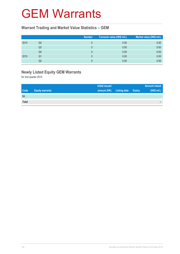### GEM Warrants

#### **Warrant Trading and Market Value Statistics – GEM**

|      |                | <b>Number</b> | Turnover value (HK\$ mil.) <sup>1</sup> | Market value (HK\$ mil.) |
|------|----------------|---------------|-----------------------------------------|--------------------------|
| 2014 | Q2             |               | 0.00                                    | 0.00                     |
|      | Q <sub>3</sub> |               | 0.00                                    | 0.00                     |
|      | Q4             |               | 0.00                                    | 0.00                     |
| 2015 | Q1             |               | 0.00                                    | 0.00                     |
|      | Q2             |               | 0.00                                    | 0.00                     |

### **Newly Listed Equity GEM Warrants**

for 2nd quarter 2015

|              |                        | <b>Initial issued</b> |                     |               | <b>Amount raised</b> |
|--------------|------------------------|-----------------------|---------------------|---------------|----------------------|
| <b>Code</b>  | <b>Equity warrants</b> | amount (HK)           | <b>Listing date</b> | <b>Expiry</b> | (HK\$ mil.)          |
| Nil          |                        |                       |                     |               |                      |
| <b>Total</b> |                        |                       |                     |               | -                    |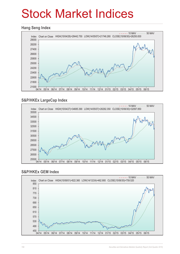# Stock Market Indices

#### **Hang Seng Index**



### **S&P/HKEx LargeCap Index**



#### **S&P/HKEx GEM Index**

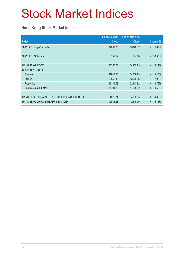# Stock Market Indices

### **Hong Kong Stock Market Indices**

|                                               | End of Jun 2015 | End of Mar 2015 |           |          |
|-----------------------------------------------|-----------------|-----------------|-----------|----------|
| <b>Index</b>                                  | <b>Close</b>    | <b>Close</b>    |           | Change % |
| S&P/HKEx LargeCap Index                       | 32097.85        | 30376.17        | $+$       | 5.67%    |
|                                               |                 |                 |           |          |
| S&P/HKEx GEM Index                            | 759.52          | 504.56          | $+$       | 50.53%   |
|                                               |                 |                 |           |          |
| <b>HANG SENG INDEX</b>                        | 26250.03        | 24900.89        | $+$       | 5.42%    |
| <b>SECTORIAL INDICES</b>                      |                 |                 |           |          |
| Finance                                       | 37847.38        | 34568.93        | $+$       | 9.48%    |
| <b>Utilities</b>                              | 53858.18        | 55510.36        |           | 2.98%    |
| Properties                                    | 35144.58        | 32313.82        | $\ddot{}$ | 8.76%    |
| Commerce & Industry                           | 14701.88        | 14605.32        | $\ddot{}$ | 0.66%    |
|                                               |                 |                 |           |          |
| HANG SENG CHINA-AFFILIATED CORPORATIONS INDEX | 4876.74         | 4650.05         | $\ddot{}$ | 4.88%    |
| HANG SENG CHINA ENTERPRISES INDEX             | 12981.23        | 12346.09        | $+$       | 5.14%    |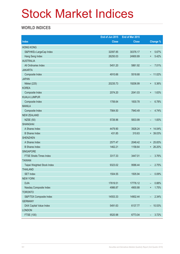# Stock Market Indices

### **WORLD INDICES**

|                                 | End of Jun 2015 | End of Mar 2015 |                                   |
|---------------------------------|-----------------|-----------------|-----------------------------------|
| <b>Index</b>                    | <b>Close</b>    | <b>Close</b>    | <b>Change %</b>                   |
| <b>HONG KONG</b>                |                 |                 |                                   |
| S&P/HKEx LargeCap Index         | 32097.85        | 30376.17        | 5.67%<br>$\ddot{}$                |
| Hang Seng Index                 | 26250.03        | 24900.89        | 5.42%<br>$\ddot{}$                |
| <b>AUSTRALIA</b>                |                 |                 |                                   |
| All Ordinaries Index            | 5451.20         | 5861.92         | 7.01%<br>-                        |
| <b>JAKARTA</b>                  |                 |                 |                                   |
| Composite Index                 | 4910.66         | 5518.68         | $-11.02\%$                        |
| <b>JAPAN</b>                    |                 |                 |                                   |
| Nikkei (225)                    | 20235.73        | 19206.99        | 5.36%<br>$\ddot{}$                |
| <b>KOREA</b>                    |                 |                 |                                   |
| Composite Index                 | 2074.20         | 2041.03         | 1.63%<br>$\ddot{}$                |
| <b>KUALA LUMPUR</b>             |                 |                 |                                   |
| Composite Index                 | 1706.64         | 1830.78         | 6.78%<br>-                        |
| <b>MANILA</b>                   |                 |                 |                                   |
| Composite Index                 | 7564.50         | 7940.49         | 4.74%<br>-                        |
| <b>NEW ZEALAND</b>              |                 |                 |                                   |
| <b>NZSE (50)</b>                | 5726.96         | 5833.99         | 1.83%<br>$\overline{\phantom{0}}$ |
| <b>SHANGHAI</b>                 |                 |                 |                                   |
| A Shares Index                  | 4479.90         | 3928.24         | $+ 14.04\%$                       |
| <b>B</b> Shares Index           | 431.85          | 310.63          | + 39.03%                          |
| <b>SHENZHEN</b>                 |                 |                 |                                   |
| A Shares Index                  | 2577.47         | 2048.42         | $+ 25.83%$                        |
| <b>B</b> Shares Index           | 1462.21         | 1158.64         | + 26.20%                          |
| <b>SINGAPORE</b>                |                 |                 |                                   |
| <b>FTSE Straits Times Index</b> | 3317.33         | 3447.01         | 3.76%<br>$\overline{\phantom{0}}$ |
| <b>TAIWAN</b>                   |                 |                 |                                   |
| Taipei Weighted Stock Index     | 9323.02         | 9586.44         | 2.75%<br>-                        |
| <b>THAILAND</b>                 |                 |                 |                                   |
| <b>SET Index</b>                | 1504.55         | 1505.94         | 0.09%<br>-                        |
| <b>NEW YORK</b>                 |                 |                 |                                   |
| <b>DJIA</b>                     | 17619.51        | 17776.12        | 0.88%<br>-                        |
| Nasdaq Composite Index          | 4986.87         | 4900.88         | 1.75%<br>$\ddot{}$                |
| <b>TORONTO</b>                  |                 |                 |                                   |
| S&P/TSX Composite Index         | 14553.33        | 14902.44        | 2.34%<br>$\overline{\phantom{a}}$ |
| <b>GERMANY</b>                  |                 |                 |                                   |
| DAX Capital Value Index         | 5491.63         | 6137.77         | $-10.53%$                         |
| <b>LONDON</b>                   |                 |                 |                                   |
| <b>FTSE (100)</b>               | 6520.98         | 6773.04         | 3.72%<br>-                        |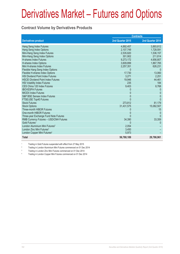#### **Contract Volume by Derivatives Products**

|                                            | <b>Contracts</b> |                  |  |
|--------------------------------------------|------------------|------------------|--|
| <b>Derivatives product</b>                 | 2nd Quarter 2015 | 2nd Quarter 2014 |  |
| Hang Seng Index Futures                    | 4,892,457        | 3,893,812        |  |
| Hang Seng Index Options                    | 2,107,749        | 1,728,591        |  |
| Mini-Hang Seng Index Futures               | 2,535,820        | 1,536,157        |  |
| Mini-Hang Seng Index Options               | 301,902          | 211,814          |  |
| <b>H-shares Index Futures</b>              | 9,273,172        | 4,656,807        |  |
| H-shares Index Options                     | 3,609,899        | 1,867,765        |  |
| Mini H-shares Index Futures                | 2,257,351        | 626,231          |  |
| Flexible Hang Seng Index Options           |                  |                  |  |
| Flexible H-shares Index Options            | 17,730           | 13,060           |  |
| <b>HSI Dividend Point Index Futures</b>    | 3,271            | 2,251            |  |
| <b>HSCEI Dividend Point Index Futures</b>  | 19,946           | 44,461           |  |
| <b>HSI Volatility Index Futures</b>        | 235              | 184              |  |
| CES China 120 Index Futures                | 9,403            | 8,768            |  |
| <b>IBOVESPA Futures</b>                    |                  |                  |  |
| <b>MICEX Index Futures</b>                 | 0                | 0                |  |
| S&P BSE Sensex Index Futures               | 0                | $\Omega$         |  |
| FTSE/JSE Top40 Futures                     |                  | <sup>0</sup>     |  |
| <b>Stock Futures</b>                       | 273,812          | 81,179           |  |
| <b>Stock Options</b>                       | 31,431,575       | 15,082,507       |  |
| Three-month HIBOR Futures                  |                  | 15               |  |
| One-month HIBOR Futures                    |                  | $\Omega$         |  |
| Three-year Exchange Fund Note Futures      |                  | 0                |  |
| RMB Currency Futures - USD/CNH Futures     | 34,390           | 33,359           |  |
| Gold Futures <sup>1</sup>                  |                  |                  |  |
| London Aluminium Mini Futures <sup>2</sup> | 2,054            |                  |  |
| London Zinc Mini Futures <sup>3</sup>      | 3,450            |                  |  |
| London Copper Mini Futures <sup>4</sup>    | 5,973            |                  |  |
| <b>Total</b>                               | 56,780,189       | 29,786,961       |  |

1 Trading in Gold Futures suspended with effect from 27 May 2015

2 Trading in London Aluminium Mini Futures commenced on 01 Dec 2014

3 Trading in London Zinc Mini Futures commenced on 01 Dec 2014

4 Trading in London Copper Mini Futures commenced on 01 Dec 2014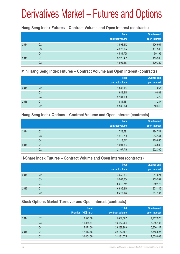#### **Hang Seng Index Futures – Contract Volume and Open Interest (contracts)**

|      |                | <b>Total</b><br>contract volume | <b>Quarter-end</b><br>open interest |
|------|----------------|---------------------------------|-------------------------------------|
| 2014 | Q2             | 3,893,812                       | 126,964                             |
|      | Q <sub>3</sub> | 4,270,694                       | 131,566                             |
|      | Q4             | 4,534,728                       | 99,195                              |
| 2015 | Q <sub>1</sub> | 3,925,409                       | 115,396                             |
|      | Q <sub>2</sub> | 4,892,457                       | 120,329                             |

#### **Mini Hang Seng Index Futures – Contract Volume and Open Interest (contracts)**

|      |                | <b>Total</b><br>contract volume | Quarter-end<br>open interest |
|------|----------------|---------------------------------|------------------------------|
| 2014 | Q2             | 1,536,157                       | 7,067                        |
|      | Q <sub>3</sub> | 1,644,415                       | 9,081                        |
|      | Q4             | 2,131,008                       | 7,472                        |
| 2015 | Q <sub>1</sub> | 1,834,431                       | 7,247                        |
|      | Q2             | 2,535,820                       | 10,316                       |

#### **Hang Seng Index Options – Contract Volume and Open Interest (contracts)**

|      |                | <b>Total</b>    | Quarter-end   |
|------|----------------|-----------------|---------------|
|      |                | contract volume | open interest |
| 2014 | Q2             | 1,728,591       | 184,741       |
|      | Q <sub>3</sub> | 1,912,755       | 254,144       |
|      | Q4             | 2,118,013       | 169,950       |
| 2015 | Q <sub>1</sub> | 1,691,364       | 203,839       |
|      | Q <sub>2</sub> | 2,107,749       | 202,300       |

### **H-Share Index Futures – Contract Volume and Open Interest (contracts)**

|      |    | <b>Total</b>    | <b>Quarter-end</b> |
|------|----|-----------------|--------------------|
|      |    | contract volume | open interest      |
| 2014 | Q2 | 4,656,807       | 217,624            |
|      | Q3 | 5,067,604       | 209,592            |
|      | Q4 | 6,612,741       | 259,173            |
| 2015 | Q1 | 6,635,210       | 303,145            |
|      | Q2 | 9,273,172       | 317,137            |

### **Stock Options Market Turnover and Open Interest (contracts)**

|      |    | <b>Total</b>        | <b>Total</b>    | <b>Quarter-end</b> |
|------|----|---------------------|-----------------|--------------------|
|      |    | Premium (HK\$ mil.) | contract volume | open interest      |
| 2014 | Q2 | 10,523.18           | 15,082,507      | 4,767,976          |
|      | Q3 | 11,835.64           | 19,462,284      | 6,016,138          |
|      | Q4 | 15,471.60           | 23,238,909      | 6,320,147          |
| 2015 | Q1 | 17,410.66           | 22, 162, 657    | 6,545,827          |
|      | Q2 | 30,404.09           | 31,431,575      | 7,635,003          |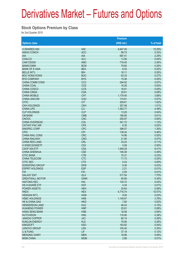#### **Stock Options Premium by Class**

for 2nd Quarter 2015

|                        |                 | Premium     |            |
|------------------------|-----------------|-------------|------------|
| <b>Options class</b>   |                 | (HK\$ mil.) | % of total |
| X ISHARES A50          | A <sub>50</sub> | 4,647.40    | 15.29%     |
| <b>ANHUI CONCH</b>     | <b>ACC</b>      | 99.73       | 0.33%      |
| <b>AIA</b>             | <b>AIA</b>      | 697.41      | 2.29%      |
| <b>CHALCO</b>          | <b>ALC</b>      | 13.56       | 0.04%      |
| CAM CSI300             | <b>AMC</b>      | 716.45      | 2.36%      |
| <b>BANKCOMM</b>        | <b>BCM</b>      | 79.84       | 0.26%      |
| <b>BANK OF E ASIA</b>  | <b>BEA</b>      | 6.53        | 0.02%      |
| <b>BELLE INT'L</b>     | <b>BIH</b>      | 16.11       | 0.05%      |
| <b>BOC HONG KONG</b>   | <b>BOC</b>      | 83.33       | 0.27%      |
| <b>BYD COMPANY</b>     | <b>BYD</b>      | 15.36       | 0.05%      |
| <b>CHINA COMM CONS</b> | CCC             | 294.82      | 0.97%      |
| <b>CHINA COAL</b>      | <b>CCE</b>      | 16.26       | 0.05%      |
| <b>CHINA COSCO</b>     | <b>CCS</b>      | 16.61       | 0.05%      |
| <b>CHINA CINDA</b>     | <b>CDA</b>      | 25.61       | 0.08%      |
| <b>CHINA MOBILE</b>    | <b>CHT</b>      | 1,179.45    | 3.88%      |
| <b>CHINA UNICOM</b>    | <b>CHU</b>      | 174.61      | 0.57%      |
| <b>CITIC</b>           | <b>CIT</b>      | 309.61      | 1.02%      |
| <b>CKH HOLDINGS</b>    | <b>CKH</b>      | 307.48      | 1.01%      |
| <b>CHINA LIFE</b>      | <b>CLI</b>      | 1,363.77    | 4.49%      |
| <b>CLP HOLDINGS</b>    | <b>CLP</b>      | 13.29       | 0.04%      |
| <b>CM BANK</b>         | <b>CMB</b>      | 186.90      | 0.61%      |
| <b>CNOOC</b>           | <b>CNC</b>      | 255.97      | 0.84%      |
| <b>CHINA OVERSEAS</b>  | COL             | 341.72      | 1.12%      |
| <b>CATHAY PAC AIR</b>  | <b>CPA</b>      | 6.30        | 0.02%      |
| SINOPEC CORP           | <b>CPC</b>      | 396.57      | 1.30%      |
| <b>CPIC</b>            | <b>CPI</b>      | 139.24      | 0.46%      |
| <b>CHINA RAIL CONS</b> | <b>CRC</b>      | 14.96       | 0.05%      |
| <b>CHINA RAILWAY</b>   | <b>CRG</b>      | 21.95       | 0.07%      |
| <b>CHINA RES LAND</b>  | <b>CRL</b>      | 33.24       | 0.11%      |
| X WISECSI300ETF        | CS <sub>3</sub> | 0.08        | 0.00%      |
| CSOP A50 ETF           | <b>CSA</b>      | 1,949.28    | 6.41%      |
| <b>CHINA SHENHUA</b>   | <b>CSE</b>      | 146.38      | 0.48%      |
| <b>CITIC BANK</b>      | <b>CTB</b>      | 70.31       | 0.23%      |
| <b>CHINA TELECOM</b>   | <b>CTC</b>      | 71.73       | 0.24%      |
| <b>CITIC SEC</b>       | <b>CTS</b>      | 0.43        | 0.00%      |
| <b>DONGFENG GROUP</b>  | <b>DFM</b>      | 8.36        | 0.03%      |
| <b>ESPRIT HOLDINGS</b> | <b>ESP</b>      | 2.21        | 0.01%      |
| <b>FIH</b>             | <b>FIH</b>      | 2.55        | 0.01%      |
| <b>GALAXY ENT</b>      | <b>GLX</b>      | 517.54      | 1.70%      |
| <b>GREATWALL MOTOR</b> | <b>GWM</b>      | 90.69       | 0.30%      |
| <b>HAITONG SEC</b>     | HAI             | 130.72      | 0.43%      |
| <b>HS H-SHARE ETF</b>  | <b>HCF</b>      | 4.34        | 0.01%      |
| <b>POWER ASSETS</b>    | <b>HEH</b>      | 25.64       | 0.08%      |
| <b>HKEX</b>            | <b>HEX</b>      | 4,716.74    | 15.51%     |
| <b>HENGAN INT'L</b>    | <b>HGN</b>      | 9.00        | 0.03%      |
| <b>HSBC HOLDINGS</b>   | <b>HKB</b>      | 1,149.67    | 3.78%      |
| HK & CHINA GAS         | <b>HKG</b>      | 7.60        | 0.02%      |
| <b>HENDERSON LAND</b>  | <b>HLD</b>      | 46.43       | 0.15%      |
| <b>HUANENG POWER</b>   | <b>HNP</b>      | 25.81       | 0.08%      |
| <b>HANG SENG BANK</b>  | <b>HSB</b>      | 18.08       | 0.06%      |
| <b>HUTCHISON</b>       | <b>HWL</b>      | 116.90      | 0.38%      |
| <b>JIANGXI COPPER</b>  | <b>JXC</b>      | 80.14       | 0.26%      |
| <b>KUNLUN ENERGY</b>   | <b>KLE</b>      | 79.56       | 0.26%      |
| <b>KINGSOFT</b>        | <b>KSO</b>      | 163.82      | 0.54%      |
| <b>LENOVO GROUP</b>    | LEN             | 105.40      | 0.35%      |
| LI & FUNG              | <b>LIF</b>      | 37.18       | 0.12%      |
| <b>MENGNIU DAIRY</b>   | <b>MEN</b>      | 18.88       | 0.06%      |
| <b>MGM CHINA</b>       | <b>MGM</b>      | 2.88        | 0.01%      |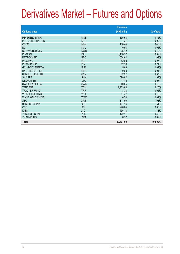|                           |            | <b>Premium</b> |            |
|---------------------------|------------|----------------|------------|
| <b>Options class</b>      |            | (HK\$ mil.)    | % of total |
| <b>MINSHENG BANK</b>      | <b>MSB</b> | 135.53         | 0.45%      |
| <b>MTR CORPORATION</b>    | <b>MTR</b> | 7.37           | 0.02%      |
| <b>CNBM</b>               | <b>NBM</b> | 138.44         | 0.46%      |
| <b>NCI</b>                | <b>NCL</b> | 10.94          | 0.04%      |
| NEW WORLD DEV             | <b>NWD</b> | 35.12          | 0.12%      |
| <b>PING AN</b>            | PAI        | 3,138.57       | 10.32%     |
| <b>PETROCHINA</b>         | <b>PEC</b> | 604.64         | 1.99%      |
| PICC P&C                  | <b>PIC</b> | 82.98          | 0.27%      |
| PICC GROUP                | <b>PIN</b> | 62.59          | 0.21%      |
| <b>GCL-POLY ENERGY</b>    | PLE        | 5.66           | 0.02%      |
| <b>R&amp;F PROPERTIES</b> | <b>RFP</b> | 10.83          | 0.04%      |
| <b>SANDS CHINA LTD</b>    | <b>SAN</b> | 202.97         | 0.67%      |
| <b>SHK PPT</b>            | <b>SHK</b> | 590.82         | 1.94%      |
| <b>STANCHART</b>          | <b>STC</b> | 14.13          | 0.05%      |
| <b>SWIRE PACIFIC A</b>    | <b>SWA</b> | 40.05          | 0.13%      |
| <b>TENCENT</b>            | <b>TCH</b> | 1,903.60       | 6.26%      |
| <b>TRACKER FUND</b>       | <b>TRF</b> | 13.38          | 0.04%      |
| <b>WHARF HOLDINGS</b>     | <b>WHL</b> | 57.47          | 0.19%      |
| <b>WANT WANT CHINA</b>    | <b>WWC</b> | 6.70           | 0.02%      |
| <b>ABC</b>                | <b>XAB</b> | 311.90         | 1.03%      |
| <b>BANK OF CHINA</b>      | <b>XBC</b> | 467.14         | 1.54%      |
| <b>CCB</b>                | <b>XCC</b> | 926.04         | 3.05%      |
| <b>ICBC</b>               | <b>XIC</b> | 436.18         | 1.43%      |
| YANZHOU COAL              | <b>YZC</b> | 122.11         | 0.40%      |
| <b>ZIJIN MINING</b>       | <b>ZJM</b> | 6.52           | 0.02%      |
| <b>Total</b>              |            | 30,404.09      | 100.00%    |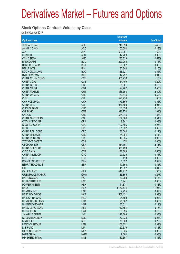#### **Stock Options Contract Volume by Class**

for 2nd Quarter 2015

|                           |                 | <b>Contract</b> |            |
|---------------------------|-----------------|-----------------|------------|
| <b>Options class</b>      |                 | volume          | % of total |
| X ISHARES A50             | A50             | 1,716,090       | 5.46%      |
|                           |                 |                 |            |
| <b>ANHUI CONCH</b>        | <b>ACC</b>      | 152,054         | 0.48%      |
| <b>AIA</b>                | <b>AIA</b>      | 503,061         | 1.60%      |
| <b>CHALCO</b>             | <b>ALC</b>      | 17,209          | 0.05%      |
| CAM CSI300                | <b>AMC</b>      | 185,229         | 0.59%      |
| <b>BANKCOMM</b>           | <b>BCM</b>      | 223,208         | 0.71%      |
| <b>BANK OF E ASIA</b>     | <b>BEA</b>      | 26,502          | 0.08%      |
| <b>BELLE INT'L</b>        | <b>BIH</b>      | 32,340          | 0.10%      |
| <b>BOC HONG KONG</b>      | <b>BOC</b>      | 168,327         | 0.54%      |
| <b>BYD COMPANY</b>        | <b>BYD</b>      | 12,797          | 0.04%      |
| <b>CHINA COMM CONS</b>    | CCC             | 355,976         | 1.13%      |
| <b>CHINA COAL</b>         | <b>CCE</b>      | 64,409          | 0.20%      |
| <b>CHINA COSCO</b>        | <b>CCS</b>      | 58,001          | 0.18%      |
| <b>CHINA CINDA</b>        | <b>CDA</b>      | 24,762          | 0.08%      |
| <b>CHINA MOBILE</b>       | <b>CHT</b>      | 816,393         | 2.60%      |
| <b>CHINA UNICOM</b>       | <b>CHU</b>      | 163,645         | 0.52%      |
| <b>CITIC</b>              | <b>CIT</b>      | 428,276         | 1.36%      |
| <b>CKH HOLDINGS</b>       | <b>CKH</b>      | 173,869         | 0.55%      |
|                           |                 |                 |            |
| <b>CHINA LIFE</b>         | <b>CLI</b>      | 956,680         | 3.04%      |
| <b>CLP HOLDINGS</b>       | <b>CLP</b>      | 30,036          | 0.10%      |
| <b>CM BANK</b>            | <b>CMB</b>      | 326,770         | 1.04%      |
| <b>CNOOC</b>              | <b>CNC</b>      | 584,945         | 1.86%      |
| <b>CHINA OVERSEAS</b>     | COL             | 159,086         | 0.51%      |
| <b>CATHAY PAC AIR</b>     | <b>CPA</b>      | 8,841           | 0.03%      |
| SINOPEC CORP              | <b>CPC</b>      | 707,406         | 2.25%      |
| <b>CPIC</b>               | <b>CPI</b>      | 101,352         | 0.32%      |
| <b>CHINA RAIL CONS</b>    | <b>CRC</b>      | 36,500          | 0.12%      |
| <b>CHINA RAILWAY</b>      | <b>CRG</b>      | 34,904          | 0.11%      |
| <b>CHINA RES LAND</b>     | <b>CRL</b>      | 10,855          | 0.03%      |
| X WISECSI300ETF           | CS <sub>3</sub> | 174             | 0.00%      |
| CSOP A50 ETF              | <b>CSA</b>      | 684,791         | 2.18%      |
| <b>CHINA SHENHUA</b>      | <b>CSE</b>      | 378,499         | 1.20%      |
| <b>CITIC BANK</b>         | <b>CTB</b>      | 176,699         | 0.56%      |
| <b>CHINA TELECOM</b>      | <b>CTC</b>      | 129,525         | 0.41%      |
| <b>CITIC SEC</b>          | <b>CTS</b>      | 413             | 0.00%      |
| <b>DONGFENG GROUP</b>     | <b>DFM</b>      | 6,327           | 0.02%      |
| <b>ESPRIT HOLDINGS</b>    | <b>ESP</b>      | 47,658          | 0.15%      |
| <b>FIH</b>                | <b>FIH</b>      | 11,092          | 0.04%      |
| <b>GALAXY ENT</b>         | <b>GLX</b>      | 419,417         | 1.33%      |
|                           |                 |                 |            |
| <b>GREATWALL MOTOR</b>    | <b>GWM</b>      | 85,855          | 0.27%      |
| <b>HAITONG SEC</b>        | HAI             | 39,298          | 0.13%      |
| HS H-SHARE ETF            | <b>HCF</b>      | 1,441           | 0.00%      |
| <b>POWER ASSETS</b>       | <b>HEH</b>      | 41,871          | 0.13%      |
| <b>HKEX</b>               | <b>HEX</b>      | 3,760,574       | 11.96%     |
| <b>HENGAN INT'L</b>       | <b>HGN</b>      | 7,725           | 0.02%      |
| <b>HSBC HOLDINGS</b>      | <b>HKB</b>      | 1,568,121       | 4.99%      |
| <b>HK &amp; CHINA GAS</b> | <b>HKG</b>      | 24,659          | 0.08%      |
| <b>HENDERSON LAND</b>     | <b>HLD</b>      | 26,087          | 0.08%      |
| <b>HUANENG POWER</b>      | <b>HNP</b>      | 33,011          | 0.11%      |
| <b>HANG SENG BANK</b>     | <b>HSB</b>      | 47,554          | 0.15%      |
| <b>HUTCHISON</b>          | <b>HWL</b>      | 39,996          | 0.13%      |
| <b>JIANGXI COPPER</b>     | <b>JXC</b>      | 117,686         | 0.37%      |
| <b>KUNLUN ENERGY</b>      | <b>KLE</b>      | 72,933          | 0.23%      |
| <b>KINGSOFT</b>           | <b>KSO</b>      | 79,968          | 0.25%      |
| <b>LENOVO GROUP</b>       | <b>LEN</b>      | 106,351         | 0.34%      |
| LI & FUNG                 | <b>LIF</b>      | 50,339          | 0.16%      |
| <b>MENGNIU DAIRY</b>      | <b>MEN</b>      | 9,326           | 0.03%      |
| <b>MGM CHINA</b>          | <b>MGM</b>      | 9,684           | 0.03%      |
| <b>MINSHENG BANK</b>      | <b>MSB</b>      | 110,657         | 0.35%      |
|                           |                 |                 |            |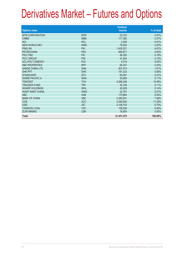|                           |            | <b>Contract</b> |            |
|---------------------------|------------|-----------------|------------|
| <b>Options class</b>      |            | volume          | % of total |
| <b>MTR CORPORATION</b>    | <b>MTR</b> | 22,753          | 0.07%      |
| <b>CNBM</b>               | <b>NBM</b> | 117,392         | 0.37%      |
| <b>NCI</b>                | <b>NCL</b> | 3,349           | 0.01%      |
| <b>NEW WORLD DEV</b>      | <b>NWD</b> | 79,250          | 0.25%      |
| <b>PING AN</b>            | PAI        | 1,450,021       | 4.61%      |
| <b>PETROCHINA</b>         | PEC        | 890.877         | 2.83%      |
| PICC P&C                  | <b>PIC</b> | 58,320          | 0.19%      |
| <b>PICC GROUP</b>         | <b>PIN</b> | 41,934          | 0.13%      |
| <b>GCL-POLY ENERGY</b>    | <b>PLE</b> | 5,219           | 0.02%      |
| <b>R&amp;F PROPERTIES</b> | <b>RFP</b> | 64,337          | 0.20%      |
| <b>SANDS CHINA LTD</b>    | <b>SAN</b> | 507,474         | 1.61%      |
| <b>SHK PPT</b>            | <b>SHK</b> | 181,333         | 0.58%      |
| <b>STANCHART</b>          | <b>STC</b> | 65,267          | 0.21%      |
| <b>SWIRE PACIFIC A</b>    | <b>SWA</b> | 35,909          | 0.11%      |
| <b>TENCENT</b>            | <b>TCH</b> | 3,286,258       | 10.46%     |
| <b>TRACKER FUND</b>       | <b>TRF</b> | 35,749          | 0.11%      |
| <b>WHARF HOLDINGS</b>     | <b>WHL</b> | 42,639          | 0.14%      |
| <b>WANT WANT CHINA</b>    | <b>WWC</b> | 22,757          | 0.07%      |
| ABC                       | <b>XAB</b> | 170,964         | 0.54%      |
| <b>BANK OF CHINA</b>      | <b>XBC</b> | 2,382,831       | 7.58%      |
| <b>CCB</b>                | <b>XCC</b> | 3,549,555       | 11.29%     |
| <b>ICBC</b>               | <b>XIC</b> | 2,106,743       | 6.70%      |
| YANZHOU COAL              | <b>YZC</b> | 126,536         | 0.40%      |
| <b>ZIJIN MINING</b>       | <b>ZJM</b> | 16,854          | 0.05%      |
| <b>Total</b>              |            | 31,431,575      | 100.00%    |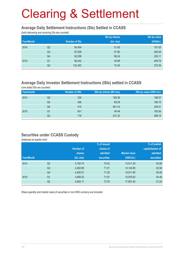#### **Average Daily Settlement Instructions (SIs) Settled in CCASS**

(both delivering and receiving SIs are counted)

|            |                |                      | Sis by shares | Sis by value |
|------------|----------------|----------------------|---------------|--------------|
| Year/Month |                | <b>Number of SIs</b> | (bil. shs)    | (HK\$bil.)   |
| 2014       | Q <sub>2</sub> | 84,454               | 51.80         | 191.05       |
|            | Q <sub>3</sub> | 87,928               | 57.80         | 206.26       |
|            | Q4             | 92,208               | 58.24         | 220.11       |
| 2015       | Q1             | 90,242               | 44.99         | 209.79       |
|            | Q2             | 122,363              | 72.45         | 372.55       |

### **Average Daily Investor Settlement Instructions (ISIs) settled in CCASS**

(one sided ISIs are counted)

| Year/month |    | <b>Number of ISIs</b> | ISIs by shares (Mil shs) | ISIs by value (HK\$ mil.) |
|------------|----|-----------------------|--------------------------|---------------------------|
| 2014       | Q2 | 334                   | 169.36                   | 188.57                    |
|            | Q3 | 406                   | 69.28                    | 166.15                    |
|            | Q4 | 415                   | 651.43                   | 249.41                    |
| 2015       | Q1 | 401                   | 49.48                    | 165.36                    |
|            | Q2 | 716                   | 231.32                   | 289.16                    |

#### **Securities under CCASS Custody**

(balances at quarter end)

|            |                |                  | % of issued       |                     | % of market       |
|------------|----------------|------------------|-------------------|---------------------|-------------------|
|            |                | <b>Number of</b> | shares of         |                     | capitalisation of |
|            |                | shares           | admitted          | <b>Market value</b> | admitted          |
| Year/Month |                | (bil. shs)       | <b>securities</b> | (HK\$ bil.)         | <b>securities</b> |
| 2014       | Q <sub>2</sub> | 4,100.74         | 70.42             | 13,911.39           | 50.86             |
|            | Q <sub>3</sub> | 4,262.88         | 71.01             | 14,144.85           | 52.56             |
|            | Q4             | 4,450.01         | 71.29             | 14,911.90           | 54.09             |
| 2015       | Q <sub>1</sub> | 4,489.32         | 71.67             | 15,975.62           | 54.46             |
|            | Q <sub>2</sub> | 4,952.17         | 73.78             | 17,891.63           | 57.24             |

Share quantity and market value of securities in non-HKD currency are included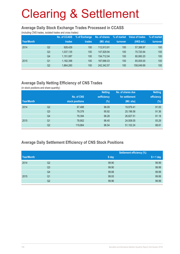#### **Average Daily Stock Exchange Trades Processed in CCASS**

(including CNS trades, isolated trades and cross trades)

|            |                | <b>No. of CCASS</b> | % of Exchange | No. of shares | % of market | Value of trades | % of market |
|------------|----------------|---------------------|---------------|---------------|-------------|-----------------|-------------|
| Year/Month |                | trades              | trades        | (Mil. shs)    | turnover    | (HK\$ mil.)     | turnover    |
| 2014       | Q2             | 928,429             | 100           | 112.913.91    | 100         | 57,388.97       | 100         |
|            | Q <sub>3</sub> | 1,037,135           | 100           | 147.929.94    | 100         | 70.720.94       | 100         |
|            | Q4             | 1,151,087           | 100           | 154.712.04    | 100         | 80.060.20       | 100         |
| 2015       | Q1             | 1,182,398           | 100           | 187,686,03    | 100         | 85.005.00       | 100         |
|            | Q2             | 1,864,260           | 100           | 242.342.57    | 100         | 158,049.69      | 100         |

### **Average Daily Netting Efficiency of CNS Trades**

(in stock positions and share quantity)

|            |                |                 | <b>Netting</b> | No. of shares due | <b>Netting</b> |
|------------|----------------|-----------------|----------------|-------------------|----------------|
|            |                | No. of CNS      | eefficiency    | for settlement    | efficiency     |
| Year/Month |                | stock positions | $(\%)$         | (Mil. shs)        | $(\%)$         |
| 2014       | Q2             | 67,488          | 96.09          | 19.979.41         | 91.05          |
|            | Q <sub>3</sub> | 79,378          | 95.92          | 25,196.56         | 91.36          |
|            | Q4             | 79,394          | 96.28          | 26,827.51         | 91.18          |
| 2015       | Q <sub>1</sub> | 78,902          | 96.40          | 24,508.05         | 93.29          |
|            | Q2             | 119,864         | 96.54          | 51,102.24         | 88.81          |

### **Average Daily Settlement Efficiency of CNS Stock Positions**

|            |                |       | <b>Settlement efficiency (%)</b> |
|------------|----------------|-------|----------------------------------|
| Year/Month |                | S day | $S + 1$ day                      |
| 2014       | Q2             | 99.90 | 99.99                            |
|            | Q <sub>3</sub> | 99.90 | 99.99                            |
|            | Q4             | 99.88 | 99.99                            |
| 2015       | Q <sub>1</sub> | 99.93 | 99.99                            |
|            | Q2             | 99.96 | 99.99                            |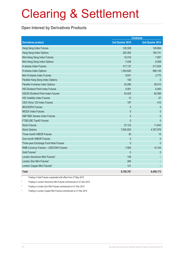### **Open Interest by Derivatives Products**

| <b>Contracts</b>                           |                  |                  |
|--------------------------------------------|------------------|------------------|
| <b>Derivatives product</b>                 | 2nd Quarter 2015 | 2nd Quarter 2014 |
| Hang Seng Index Futures                    | 120,329          | 126,964          |
| Hang Seng Index Options                    | 202,300          | 184,741          |
| Mini-Hang Seng Index Futures               | 10,316           | 7,067            |
| Mini-Hang Seng Index Options               | 7,438            | 6,508            |
| H-shares Index Futures                     | 317,137          | 217,624          |
| H-shares Index Options                     | 1,354,820        | 996,149          |
| Mini H-shares Index Futures                | 9,041            | 2,772            |
| Flexible Hang Seng Index Options           | 100              | $\mathbf{0}$     |
| Flexible H-shares Index Options            | 35,290           | 29,010           |
| <b>HSI Dividend Point Index Futures</b>    | 5,081            | 6,483            |
| <b>HSCEI Dividend Point Index Futures</b>  | 53,425           | 82,598           |
| <b>HSI Volatility Index Futures</b>        | 13               | 57               |
| CES China 120 Index Futures                | 197              | 412              |
| <b>IBOVESPA Futures</b>                    | $\mathbf{0}$     | $\theta$         |
| <b>MICEX Index Futures</b>                 | $\mathbf{0}$     | $\mathbf{0}$     |
| S&P BSE Sensex Index Futures               | $\mathbf{0}$     | $\mathbf{0}$     |
| FTSE/JSE Top40 Futures                     | $\mathbf{0}$     | $\mathbf{0}$     |
| <b>Stock Futures</b>                       | 27,123           | 11,643           |
| <b>Stock Options</b>                       | 7,635,003        | 4,767,976        |
| <b>Three-month HIBOR Futures</b>           | 30               | 15               |
| One-month HIBOR Futures                    | $\mathbf{0}$     | $\theta$         |
| Three-year Exchange Fund Note Futures      | $\mathbf 0$      | $\pmb{0}$        |
| RMB Currency Futures - USD/CNH Futures     | 7,583            | 10,154           |
| Gold Futures <sup>1</sup>                  | $\mathbf 0$      | $\theta$         |
| London Aluminium Mini Futures <sup>2</sup> | 136              |                  |
| London Zinc Mini Futures <sup>3</sup>      | 284              |                  |
| London Copper Mini Futures <sup>4</sup>    | 121              |                  |
| <b>Total</b>                               | 9,785,767        | 6,450,173        |

1 Trading in Gold Futures suspended with effect from 27 May 2015

2 Trading in London Aluminium Mini Futures commenced on 01 Dec 2014

3 Trading in London Zinc Mini Futures commenced on 01 Dec 2014

4 Trading in London Copper Mini Futures commenced on 01 Dec 2014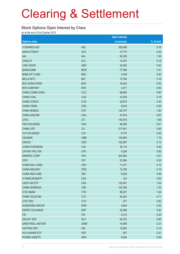#### **Stock Options Open Interest by Class**

as at the end of 2nd Quarter 2015

|                        |                 | <b>Open interest</b> |            |
|------------------------|-----------------|----------------------|------------|
| <b>Options class</b>   |                 | (contracts)          | % of total |
| X ISHARES A50          | A50             | 393,858              | 5.16       |
| <b>ANHUI CONCH</b>     | <b>ACC</b>      | 37,775               | 0.49       |
| AIA                    | <b>AIA</b>      | 83,329               | 1.09       |
| <b>CHALCO</b>          | <b>ALC</b>      | 14,372               | 0.19       |
| CAM CSI300             | <b>AMC</b>      | 34,305               | 0.45       |
| <b>BANKCOMM</b>        | <b>BCM</b>      | 77,399               | 1.01       |
| <b>BANK OF E ASIA</b>  | <b>BEA</b>      | 3,449                | 0.05       |
| <b>BELLE INT'L</b>     | <b>BIH</b>      | 13,785               | 0.18       |
| <b>BOC HONG KONG</b>   | <b>BOC</b>      | 42,625               | 0.56       |
| <b>BYD COMPANY</b>     | <b>BYD</b>      | 4,271                | 0.06       |
| CHINA COMM CONS        | CCC             | 68,659               | 0.90       |
| CHINA COAL             | <b>CCE</b>      | 14,536               | 0.19       |
| CHINA COSCO            | <b>CCS</b>      | 22,616               | 0.30       |
| <b>CHINA CINDA</b>     | <b>CDA</b>      | 6,918                | 0.09       |
| <b>CHINA MOBILE</b>    | <b>CHT</b>      | 140,747              | 1.84       |
| <b>CHINA UNICOM</b>    | <b>CHU</b>      | 47,919               | 0.63       |
| <b>CITIC</b>           | <b>CIT</b>      | 143,519              | 1.88       |
| <b>CKH HOLDINGS</b>    | <b>CKH</b>      | 46,385               | 0.61       |
| <b>CHINA LIFE</b>      | <b>CLI</b>      | 217,041              | 2.84       |
| <b>CLP HOLDINGS</b>    | <b>CLP</b>      | 6,775                | 0.09       |
| <b>CM BANK</b>         | <b>CMB</b>      | 134,650              | 1.76       |
| <b>CNOOC</b>           | <b>CNC</b>      | 162,087              | 2.12       |
| CHINA OVERSEAS         | COL             | 35,116               | 0.46       |
| <b>CATHAY PAC AIR</b>  | <b>CPA</b>      | 4,236                | 0.06       |
| SINOPEC CORP           | <b>CPC</b>      | 203,852              | 2.67       |
| <b>CPIC</b>            | <b>CPI</b>      | 23,084               | 0.30       |
| CHINA RAIL CONS        | <b>CRC</b>      | 11,571               | 0.15       |
| <b>CHINA RAILWAY</b>   | <b>CRG</b>      | 12,189               | 0.16       |
| <b>CHINA RES LAND</b>  | <b>CRL</b>      | 6,036                | 0.08       |
| X WISECSI300ETF        | CS <sub>3</sub> | 124                  | 0.00       |
| CSOP A50 ETF           | <b>CSA</b>      | 125,581              | 1.64       |
| <b>CHINA SHENHUA</b>   | <b>CSE</b>      | 103,390              | 1.35       |
| <b>CITIC BANK</b>      | <b>CTB</b>      | 96,327               | 1.26       |
| CHINA TELECOM          | <b>CTC</b>      | 54,424               | 0.71       |
| <b>CITIC SEC</b>       | <b>CTS</b>      | 277                  | 0.00       |
| DONGFENG GROUP         | <b>DFM</b>      | 2,644                | 0.03       |
| <b>ESPRIT HOLDINGS</b> | <b>ESP</b>      | 23,058               | 0.30       |
| <b>FIH</b>             | <b>FIH</b>      | 3,312                | 0.04       |
| <b>GALAXY ENT</b>      | <b>GLX</b>      | 64,333               | 0.84       |
| <b>GREATWALL MOTOR</b> | <b>GWM</b>      | 15,909               | 0.21       |
| <b>HAITONG SEC</b>     | HAI             | 10,893               | 0.14       |
| HS H-SHARE ETF         | <b>HCF</b>      | 927                  | 0.01       |
| POWER ASSETS           | <b>HEH</b>      | 6,834                | 0.09       |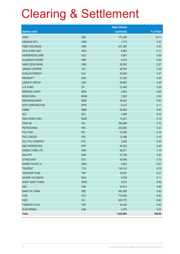|                           |            | <b>Open interest</b> |            |
|---------------------------|------------|----------------------|------------|
| <b>Options class</b>      |            | (contracts)          | % of total |
| <b>HKEX</b>               | <b>HEX</b> | 772,206              | 10.11      |
| <b>HENGAN INT'L</b>       | <b>HGN</b> | 1,773                | 0.02       |
| <b>HSBC HOLDINGS</b>      | <b>HKB</b> | 421,396              | 5.52       |
| <b>HK &amp; CHINA GAS</b> | <b>HKG</b> | 8,062                | 0.11       |
| <b>HENDERSON LAND</b>     | <b>HLD</b> | 6,867                | 0.09       |
| <b>HUANENG POWER</b>      | <b>HNP</b> | 6,579                | 0.09       |
| <b>HANG SENG BANK</b>     | <b>HSB</b> | 20,943               | 0.27       |
| <b>JIANGXI COPPER</b>     | <b>JXC</b> | 29,754               | 0.39       |
| <b>KUNLUN ENERGY</b>      | <b>KLE</b> | 20,500               | 0.27       |
| <b>KINGSOFT</b>           | <b>KSO</b> | 21,330               | 0.28       |
| <b>LENOVO GROUP</b>       | <b>LEN</b> | 29,652               | 0.39       |
| LI & FUNG                 | LIF        | 21,064               | 0.28       |
| <b>MENGNIU DAIRY</b>      | <b>MEN</b> | 3,603                | 0.05       |
| <b>MGM CHINA</b>          | <b>MGM</b> | 3,320                | 0.04       |
| <b>MINSHENG BANK</b>      | <b>MSB</b> | 38,022               | 0.50       |
| <b>MTR CORPORATION</b>    | <b>MTR</b> | 8,213                | 0.11       |
| <b>CNBM</b>               | <b>NBM</b> | 62,802               | 0.82       |
| <b>NCI</b>                | <b>NCL</b> | 2,569                | 0.03       |
| <b>NEW WORLD DEV</b>      | <b>NWD</b> | 14,527               | 0.19       |
| <b>PING AN</b>            | PAI        | 360,688              | 4.72       |
| <b>PETROCHINA</b>         | PEC        | 253,893              | 3.33       |
| PICC P&C                  | <b>PIC</b> | 13,400               | 0.18       |
| PICC GROUP                | <b>PIN</b> | 12,488               | 0.16       |
| <b>GCL-POLY ENERGY</b>    | <b>PLE</b> | 3,256                | 0.04       |
| <b>R&amp;F PROPERTIES</b> | <b>RFP</b> | 30,320               | 0.40       |
| <b>SANDS CHINA LTD</b>    | SAN        | 89,971               | 1.18       |
| <b>SHK PPT</b>            | <b>SHK</b> | 27,756               | 0.36       |
| <b>STANCHART</b>          | <b>STC</b> | 55,649               | 0.73       |
| <b>SWIRE PACIFIC A</b>    | <b>SWA</b> | 5,603                | 0.07       |
| <b>TENCENT</b>            | <b>TCH</b> | 745,133              | 9.76       |
| <b>TRACKER FUND</b>       | <b>TRF</b> | 16,267               | 0.21       |
| <b>WHARF HOLDINGS</b>     | <b>WHL</b> | 8,756                | 0.11       |
| <b>WANT WANT CHINA</b>    | <b>WWC</b> | 4,613                | 0.06       |
| <b>ABC</b>                | <b>XAB</b> | 50,614               | 0.66       |
| <b>BANK OF CHINA</b>      | <b>XBC</b> | 683,366              | 8.95       |
| <b>CCB</b>                | <b>XCC</b> | 714,635              | 9.36       |
| <b>ICBC</b>               | <b>XIC</b> | 505,770              | 6.62       |
| YANZHOU COAL              | <b>YZC</b> | 34,932               | 0.46       |
| <b>ZIJIN MINING</b>       | ZJM        | 3,574                | 0.05       |
| Total                     |            | 7,635,003            | 100.00     |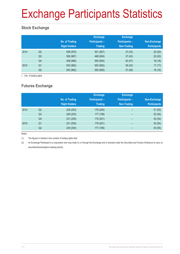# Exchange Participants Statistics

### **Stock Exchange**

|      |                | No. of Trading<br><b>Right Holders</b> | <b>Exchange</b><br><b>Participants -</b><br><b>Trading</b> | <b>Exchange</b><br><b>Participants -</b><br>Non-Trading | Non-Exchange<br><b>Participants</b> |
|------|----------------|----------------------------------------|------------------------------------------------------------|---------------------------------------------------------|-------------------------------------|
| 2014 | Q <sub>2</sub> | 558 (970)                              | 501 (907)                                                  | 37(43)                                                  | 20(20)                              |
|      | Q <sub>3</sub> | 556 (967)                              | 499 (904)                                                  | 37(43)                                                  | 20(20)                              |
|      | Q4             | 558 (969)                              | 500 (904)                                                  | 40 (47)                                                 | 18(18)                              |
| 2015 | Q <sub>1</sub> | 553 (962)                              | 500 (902)                                                  | 36(43)                                                  | 17(17)                              |
|      | Q2             | 553 (962)                              | 500 (900)                                                  | 37(46)                                                  | 16(16)                              |

( ) No. of trading rights

### **Futures Exchange**

|      |                | No. of Trading<br><b>Right Holders</b> | <b>Exchange</b><br><b>Participants -</b><br><b>Trading</b> | <b>Exchange</b><br><b>Participants -</b><br>Non-Trading | Non-Exchange<br><b>Participants</b> |
|------|----------------|----------------------------------------|------------------------------------------------------------|---------------------------------------------------------|-------------------------------------|
| 2014 | Q <sub>2</sub> | 229 (253)                              | 178 (200)                                                  | -                                                       | 51(53)                              |
|      | Q <sub>3</sub> | 229 (253)                              | 177 (199)                                                  | -                                                       | 52(54)                              |
|      | Q <sub>4</sub> | 231 (255)                              | 179 (201)                                                  | -                                                       | 52(54)                              |
| 2015 | Q <sub>1</sub> | 231 (255)                              | 179 (201)                                                  | $\overline{\phantom{0}}$                                | 52(54)                              |
|      | Q2             | 230 (254)                              | 177 (199)                                                  | -                                                       | 53(55)                              |

Notes:

(1) The figures in blanket is the number of trading rights held.

(2) An Exchange Participant is a corporation who may trade on or through the Exchange and is licensed under the Securities and Futures Ordinance to carry on securities/futures/options dealing activity.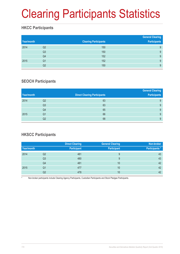# Clearing Participants Statistics

### **HKCC Participants**

| Year/month |                | <b>Clearing Participants</b> | <b>General Clearing</b><br><b>Participants</b> |
|------------|----------------|------------------------------|------------------------------------------------|
| 2014       | Q <sub>2</sub> | 150                          | 9                                              |
|            | Q <sub>3</sub> | 150                          | 9                                              |
|            | Q4             | 152                          | 9                                              |
| 2015       | Q1             | 152                          | 9                                              |
|            | Q2             | 150                          | 9                                              |

### **SEOCH Participants**

|            |                |                                     | <b>General Clearing</b> |
|------------|----------------|-------------------------------------|-------------------------|
| Year/month |                | <b>Direct Clearing Participants</b> | <b>Participants</b>     |
| 2014       | Q <sub>2</sub> | 63                                  | 9                       |
|            | Q <sub>3</sub> | 63                                  | 9                       |
|            | Q4             | 65                                  | 9                       |
| 2015       | Q1             | 66                                  | 9                       |
|            | Q <sub>2</sub> | 68                                  | 9                       |

### **HKSCC Participants**

|            |    | <b>Direct Clearing</b> | <b>General Clearing</b> | Non-broker           |
|------------|----|------------------------|-------------------------|----------------------|
| Year/month |    | <b>Participant</b>     | <b>Participant</b>      | <b>Participants*</b> |
| 2014       | Q2 | 481                    | 9                       | 43                   |
|            | Q3 | 480                    | 9                       | 43                   |
|            | Q4 | 481                    | 10                      | 42                   |
| 2015       | Q1 | 477                    | 10                      | 42                   |
|            | Q2 | 478                    | 10                      | 42                   |

Non-broker participants include Clearing Agency Participants, Custodian Participants and Stock Pledgee Participants.